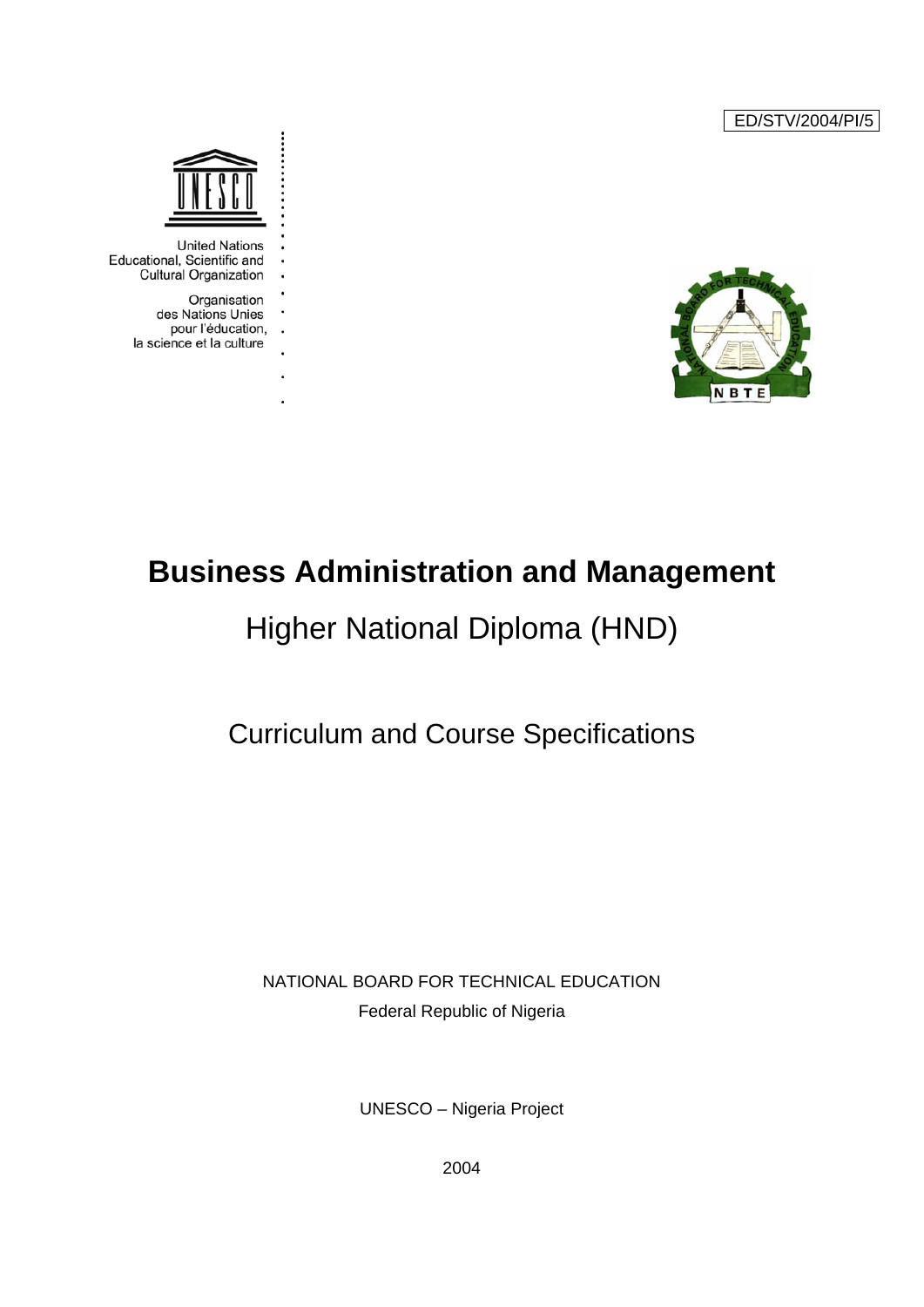ED/STV/2004/PI/5





**United Nations** Educational, Scientific and **Cultural Organization** 

> Organisation des Nations Unies pour l'éducation, . . la science et la culture

> > l,

# **Business Administration and Management**

# Higher National Diploma (HND)

## Curriculum and Course Specifications

### NATIONAL BOARD FOR TECHNICAL EDUCATION Federal Republic of Nigeria

UNESCO – Nigeria Project

2004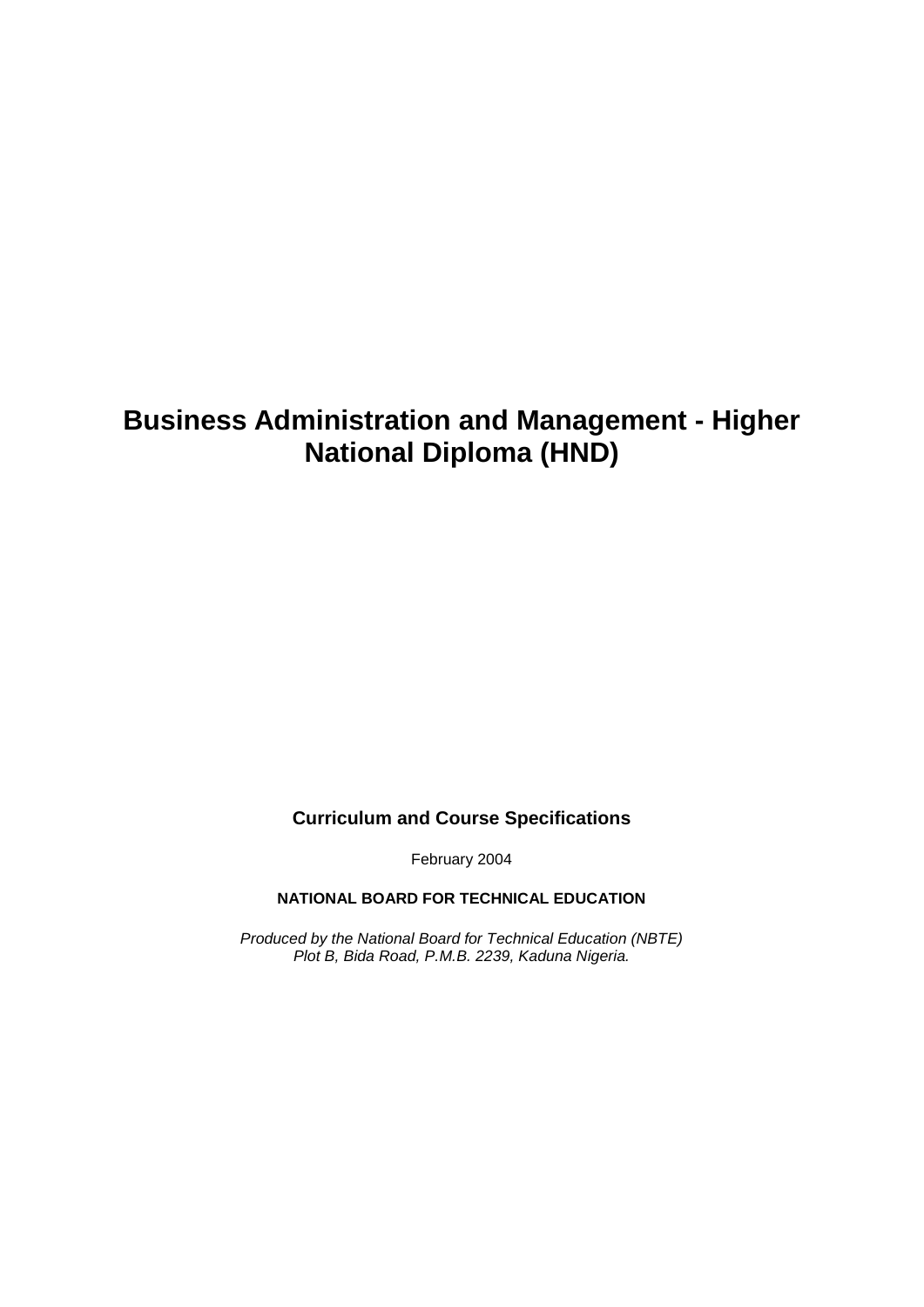### **Business Administration and Management - Higher National Diploma (HND)**

**Curriculum and Course Specifications** 

February 2004

#### **NATIONAL BOARD FOR TECHNICAL EDUCATION**

*Produced by the National Board for Technical Education (NBTE) Plot B, Bida Road, P.M.B. 2239, Kaduna Nigeria.*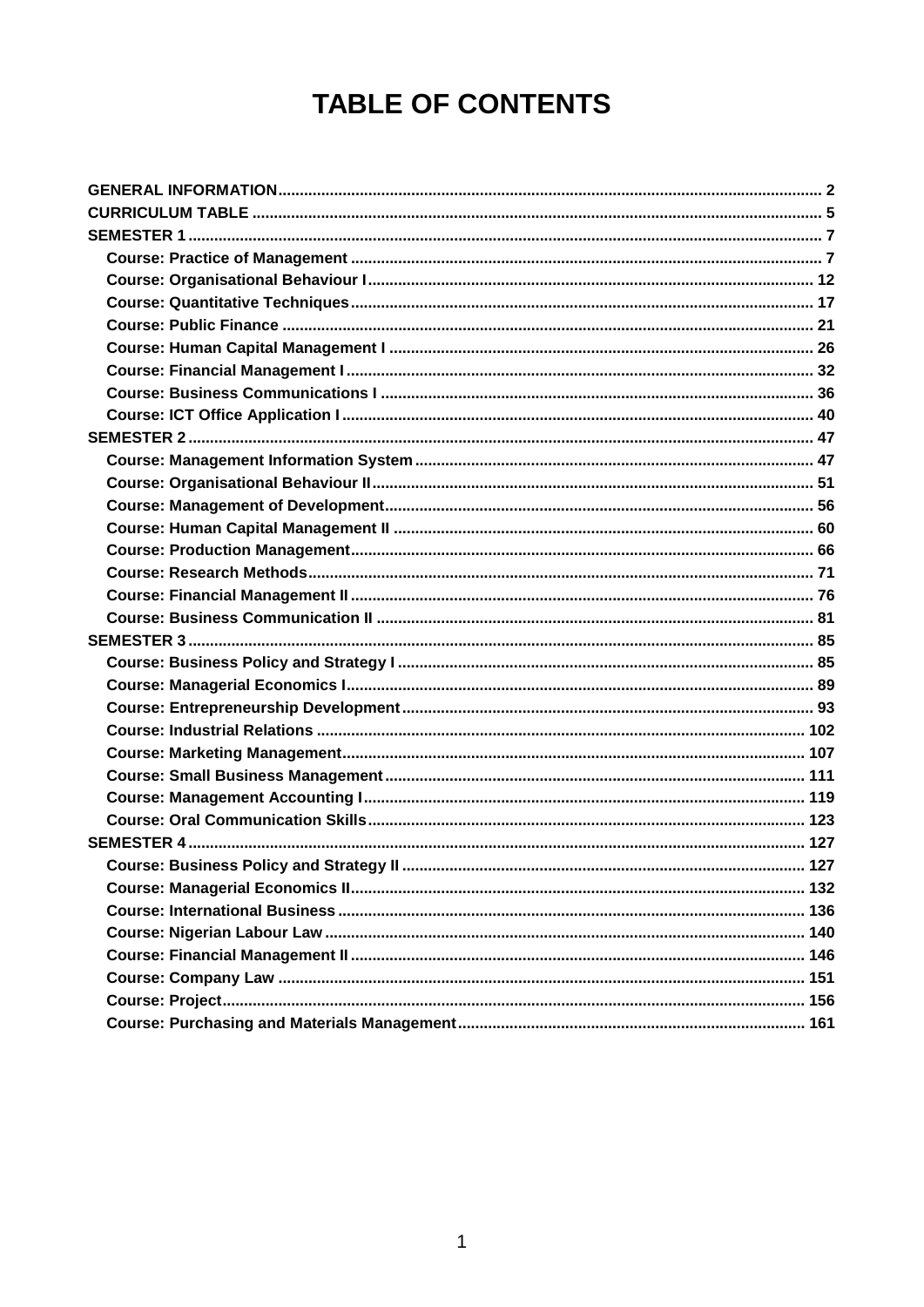# **TABLE OF CONTENTS**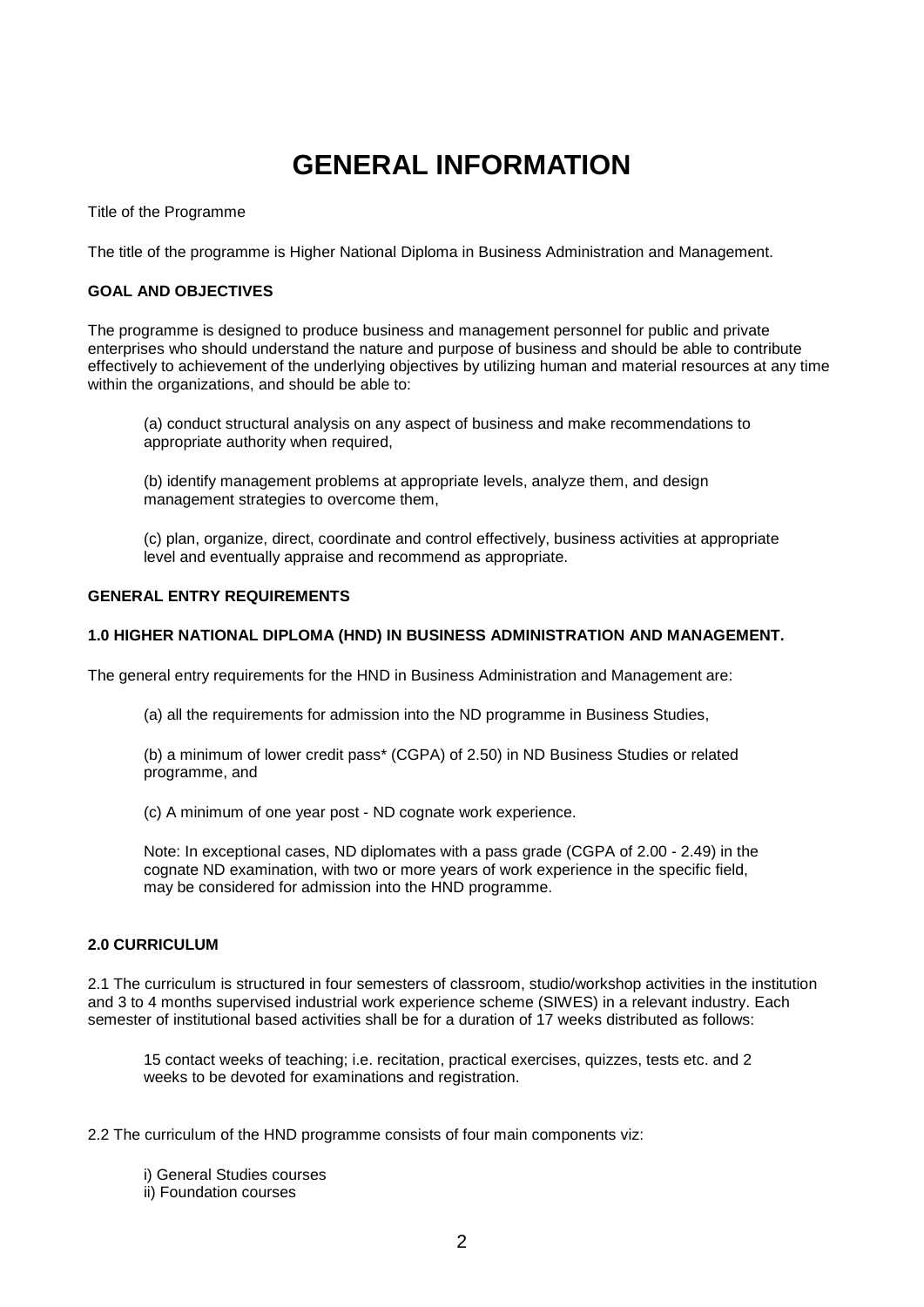### **GENERAL INFORMATION**

<span id="page-3-0"></span>Title of the Programme

The title of the programme is Higher National Diploma in Business Administration and Management.

#### **GOAL AND OBJECTIVES**

The programme is designed to produce business and management personnel for public and private enterprises who should understand the nature and purpose of business and should be able to contribute effectively to achievement of the underlying objectives by utilizing human and material resources at any time within the organizations, and should be able to:

(a) conduct structural analysis on any aspect of business and make recommendations to appropriate authority when required,

(b) identify management problems at appropriate levels, analyze them, and design management strategies to overcome them,

(c) plan, organize, direct, coordinate and control effectively, business activities at appropriate level and eventually appraise and recommend as appropriate.

#### **GENERAL ENTRY REQUIREMENTS**

#### **1.0 HIGHER NATIONAL DIPLOMA (HND) IN BUSINESS ADMINISTRATION AND MANAGEMENT.**

The general entry requirements for the HND in Business Administration and Management are:

(a) all the requirements for admission into the ND programme in Business Studies,

(b) a minimum of lower credit pass\* (CGPA) of 2.50) in ND Business Studies or related programme, and

(c) A minimum of one year post - ND cognate work experience.

Note: In exceptional cases, ND diplomates with a pass grade (CGPA of 2.00 - 2.49) in the cognate ND examination, with two or more years of work experience in the specific field, may be considered for admission into the HND programme.

#### **2.0 CURRICULUM**

2.1 The curriculum is structured in four semesters of classroom, studio/workshop activities in the institution and 3 to 4 months supervised industrial work experience scheme (SIWES) in a relevant industry. Each semester of institutional based activities shall be for a duration of 17 weeks distributed as follows:

15 contact weeks of teaching; i.e. recitation, practical exercises, quizzes, tests etc. and 2 weeks to be devoted for examinations and registration.

2.2 The curriculum of the HND programme consists of four main components viz:

i) General Studies courses ii) Foundation courses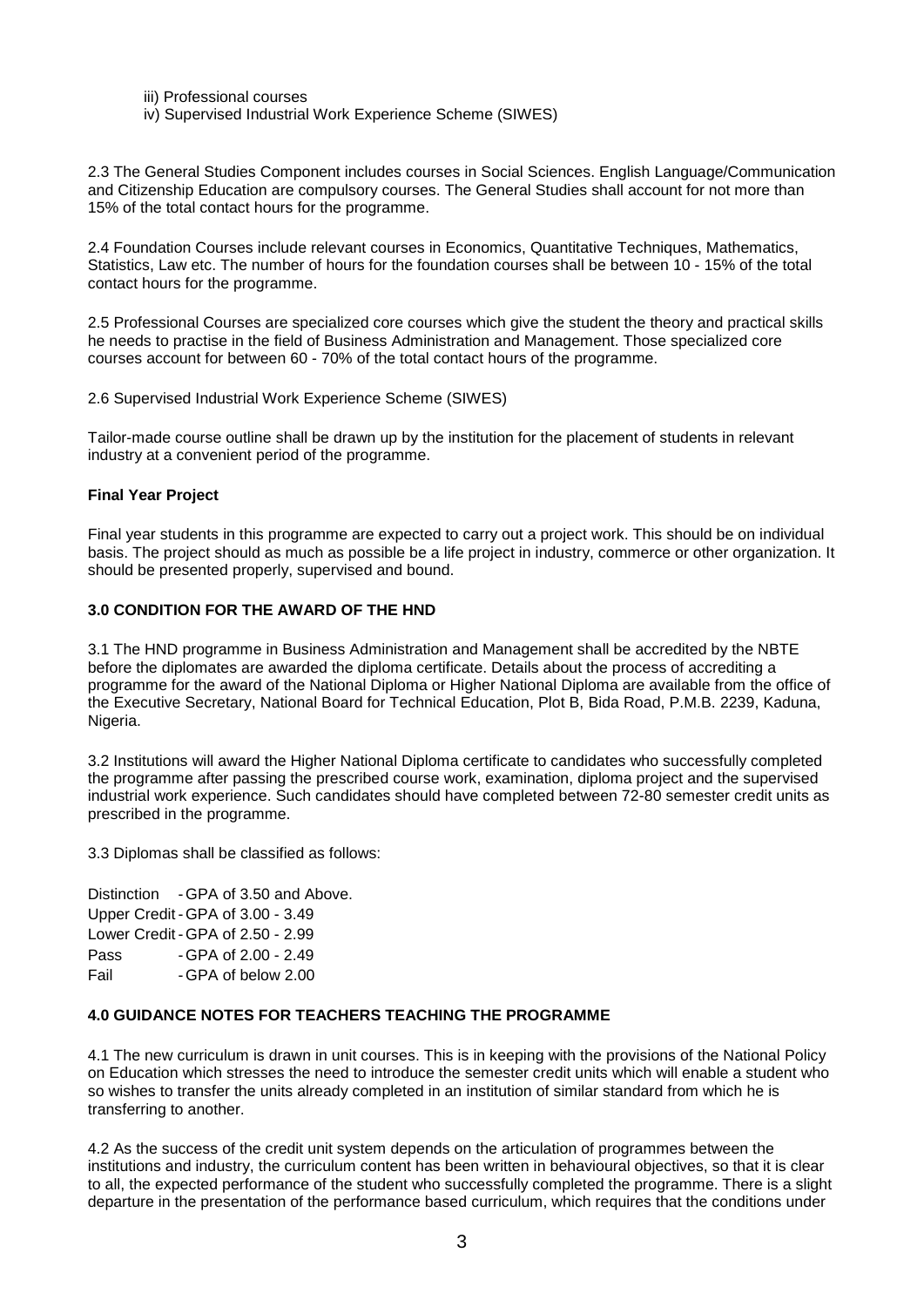- iii) Professional courses
- iv) Supervised Industrial Work Experience Scheme (SIWES)

2.3 The General Studies Component includes courses in Social Sciences. English Language/Communication and Citizenship Education are compulsory courses. The General Studies shall account for not more than 15% of the total contact hours for the programme.

2.4 Foundation Courses include relevant courses in Economics, Quantitative Techniques, Mathematics, Statistics, Law etc. The number of hours for the foundation courses shall be between 10 - 15% of the total contact hours for the programme.

2.5 Professional Courses are specialized core courses which give the student the theory and practical skills he needs to practise in the field of Business Administration and Management. Those specialized core courses account for between 60 - 70% of the total contact hours of the programme.

2.6 Supervised Industrial Work Experience Scheme (SIWES)

Tailor-made course outline shall be drawn up by the institution for the placement of students in relevant industry at a convenient period of the programme.

#### **Final Year Project**

Final year students in this programme are expected to carry out a project work. This should be on individual basis. The project should as much as possible be a life project in industry, commerce or other organization. It should be presented properly, supervised and bound.

#### **3.0 CONDITION FOR THE AWARD OF THE HND**

3.1 The HND programme in Business Administration and Management shall be accredited by the NBTE before the diplomates are awarded the diploma certificate. Details about the process of accrediting a programme for the award of the National Diploma or Higher National Diploma are available from the office of the Executive Secretary, National Board for Technical Education, Plot B, Bida Road, P.M.B. 2239, Kaduna, Nigeria.

3.2 Institutions will award the Higher National Diploma certificate to candidates who successfully completed the programme after passing the prescribed course work, examination, diploma project and the supervised industrial work experience. Such candidates should have completed between 72-80 semester credit units as prescribed in the programme.

3.3 Diplomas shall be classified as follows:

Distinction - GPA of 3.50 and Above. Upper Credit - GPA of 3.00 - 3.49 Lower Credit - GPA of 2.50 - 2.99 Pass - GPA of 2.00 - 2.49 Fail - GPA of below 2.00

#### **4.0 GUIDANCE NOTES FOR TEACHERS TEACHING THE PROGRAMME**

4.1 The new curriculum is drawn in unit courses. This is in keeping with the provisions of the National Policy on Education which stresses the need to introduce the semester credit units which will enable a student who so wishes to transfer the units already completed in an institution of similar standard from which he is transferring to another.

4.2 As the success of the credit unit system depends on the articulation of programmes between the institutions and industry, the curriculum content has been written in behavioural objectives, so that it is clear to all, the expected performance of the student who successfully completed the programme. There is a slight departure in the presentation of the performance based curriculum, which requires that the conditions under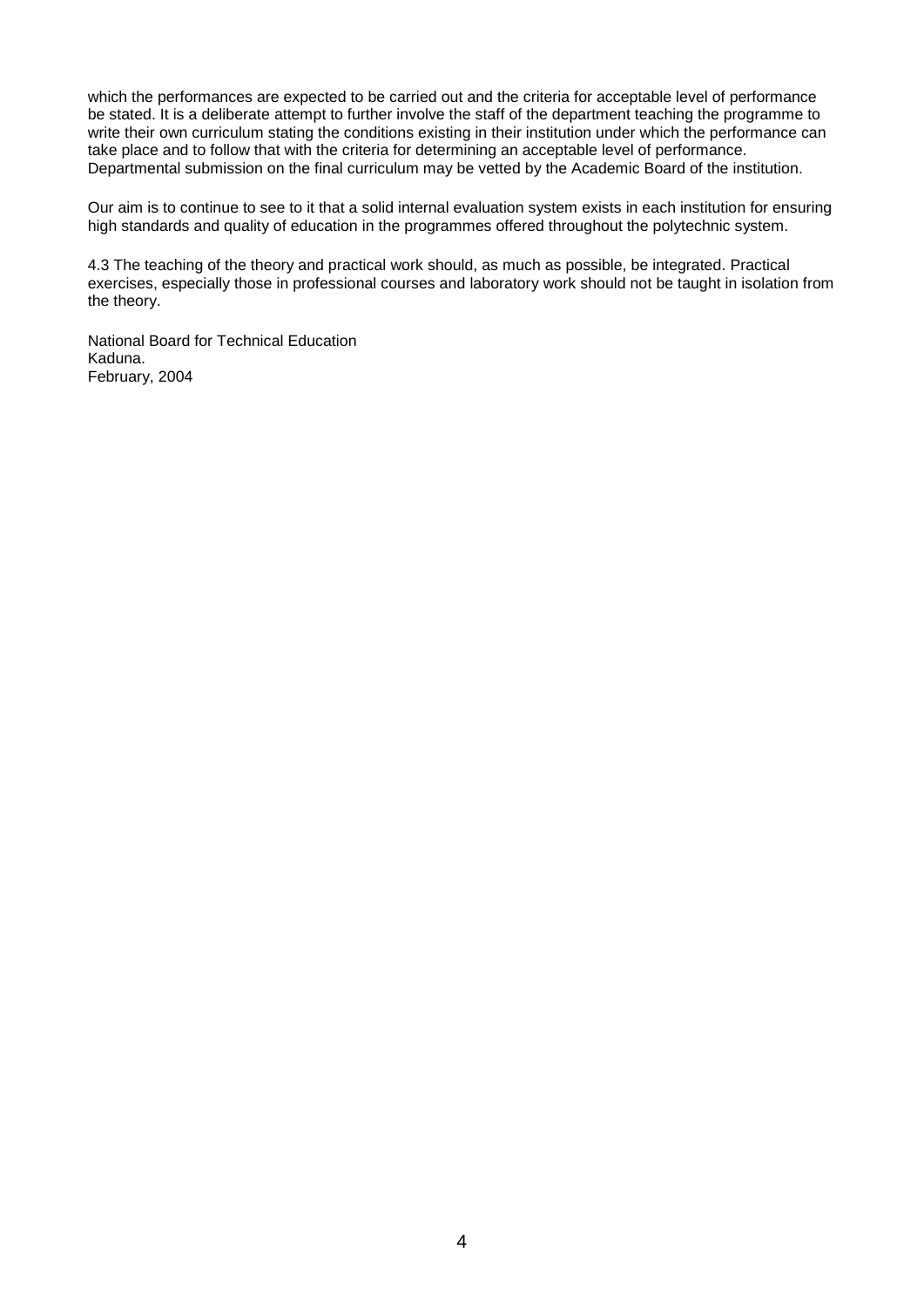which the performances are expected to be carried out and the criteria for acceptable level of performance be stated. It is a deliberate attempt to further involve the staff of the department teaching the programme to write their own curriculum stating the conditions existing in their institution under which the performance can take place and to follow that with the criteria for determining an acceptable level of performance. Departmental submission on the final curriculum may be vetted by the Academic Board of the institution.

Our aim is to continue to see to it that a solid internal evaluation system exists in each institution for ensuring high standards and quality of education in the programmes offered throughout the polytechnic system.

4.3 The teaching of the theory and practical work should, as much as possible, be integrated. Practical exercises, especially those in professional courses and laboratory work should not be taught in isolation from the theory.

National Board for Technical Education Kaduna. February, 2004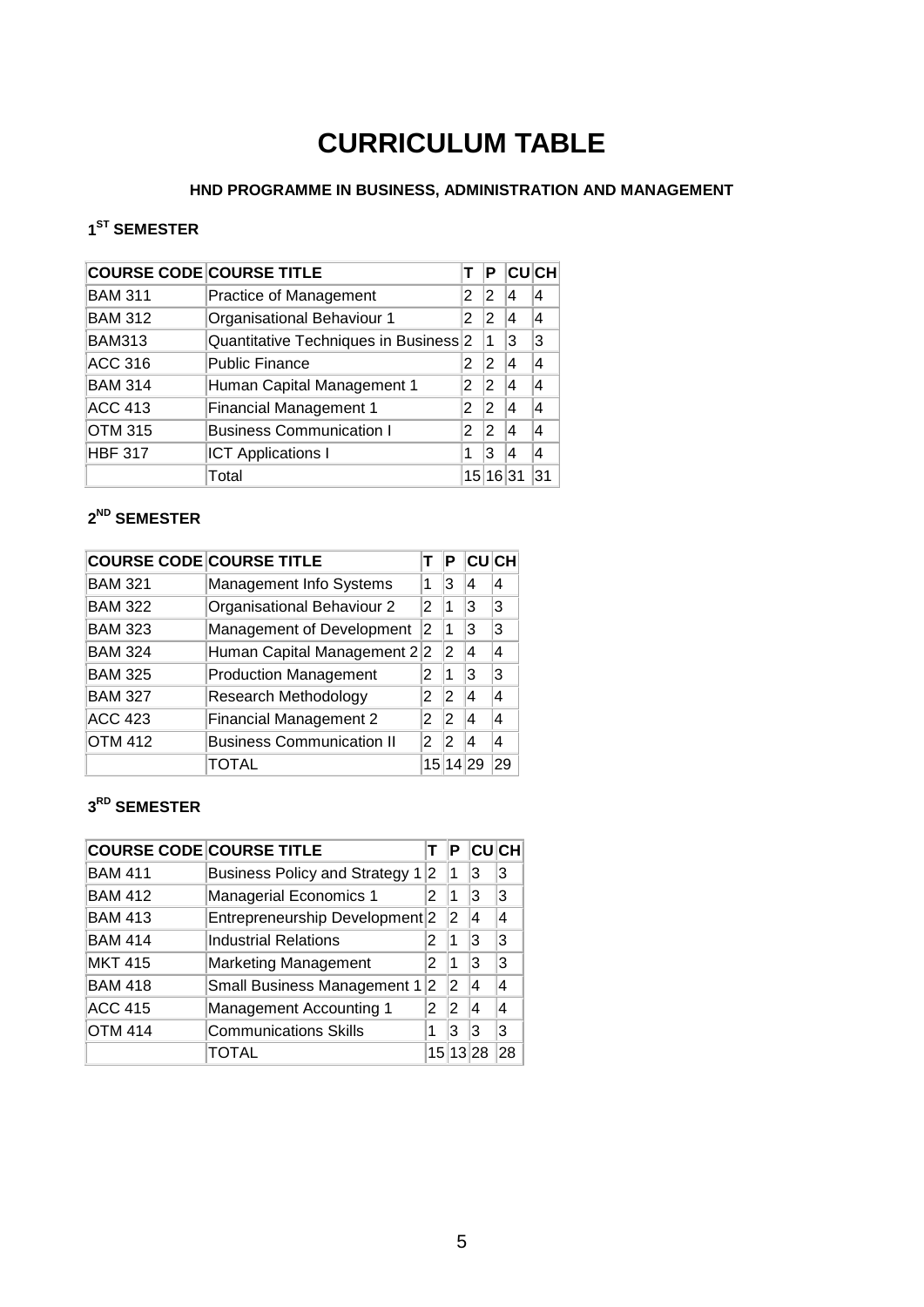## **CURRICULUM TABLE**

#### **HND PROGRAMME IN BUSINESS, ADMINISTRATION AND MANAGEMENT**

### <span id="page-6-0"></span>**1ST SEMESTER**

|                | <b>COURSE CODE COURSE TITLE</b>                  |    | P              |   | <b>CUCH</b> |
|----------------|--------------------------------------------------|----|----------------|---|-------------|
| <b>BAM 311</b> | Practice of Management                           | 2  | 2              | 4 | 4           |
| <b>BAM 312</b> | Organisational Behaviour 1                       | 2  | 2              | 4 | 4           |
| <b>BAM313</b>  | Quantitative Techniques in Business <sup>2</sup> |    | 1              | 3 | з           |
| <b>ACC 316</b> | <b>Public Finance</b>                            |    | 2              | 4 | 4           |
| <b>BAM 314</b> | Human Capital Management 1                       | 2  | 2              | 4 | 4           |
| <b>ACC 413</b> | <b>Financial Management 1</b>                    | 2  | $\overline{2}$ | 4 | 4           |
| <b>OTM 315</b> | <b>Business Communication I</b>                  | 2  | 2              | 4 | 4           |
| <b>HBF 317</b> | <b>ICT Applications I</b>                        | 1  | 3              | 4 | 4           |
|                | Total                                            | 15 | 16 31          |   |             |

### **2ND SEMESTER**

|                | <b>COURSE CODE COURSE TITLE</b>  |    | Р              | <b>CUCH</b> |                |
|----------------|----------------------------------|----|----------------|-------------|----------------|
| <b>BAM 321</b> | Management Info Systems          | 1  | 3              | 4           | 4              |
| <b>BAM 322</b> | Organisational Behaviour 2       | 2  | 1              | 3           | 3              |
| <b>BAM 323</b> | Management of Development        | 2  | 1              | 13          | 3              |
| <b>BAM 324</b> | Human Capital Management 22      |    | 12             | 4           | 4              |
| <b>BAM 325</b> | <b>Production Management</b>     | 2  | 1              | 3           | 3              |
| <b>BAM 327</b> | <b>Research Methodology</b>      | 2  | 12             | 4           | $\overline{4}$ |
| <b>ACC 423</b> | <b>Financial Management 2</b>    | 2  | 12             | 4           | 4              |
| <b>OTM 412</b> | <b>Business Communication II</b> | 2  | $\overline{2}$ | 4           | 4              |
|                | TOTAL                            | 15 |                |             | 29             |

#### **3RD SEMESTER**

|                | <b>COURSE CODE COURSE TITLE</b>           |    | Р       |    | <b>CHI</b>     |
|----------------|-------------------------------------------|----|---------|----|----------------|
| <b>BAM 411</b> | <b>Business Policy and Strategy 1</b>     | 12 |         | 3  | 3              |
| <b>BAM 412</b> | Managerial Economics 1                    | 2  | 1       | 13 | 3              |
| <b>BAM 413</b> | Entrepreneurship Development <sup>2</sup> |    | 2       | 14 | 4              |
| <b>BAM 414</b> | <b>Industrial Relations</b>               |    | ∣1      | 13 | 3              |
| <b>MKT 415</b> | <b>Marketing Management</b>               | 2  | ∣1      | 13 | 3              |
| <b>BAM 418</b> | <b>Small Business Management 1</b>        | 2  | 2       | 14 | $\overline{a}$ |
| <b>ACC 415</b> | <b>Management Accounting 1</b>            | 2  | 2       | 14 | 4              |
| <b>OTM 414</b> | <b>Communications Skills</b>              |    | 3       | 13 | 3              |
|                |                                           |    | 15 13 2 |    | 28             |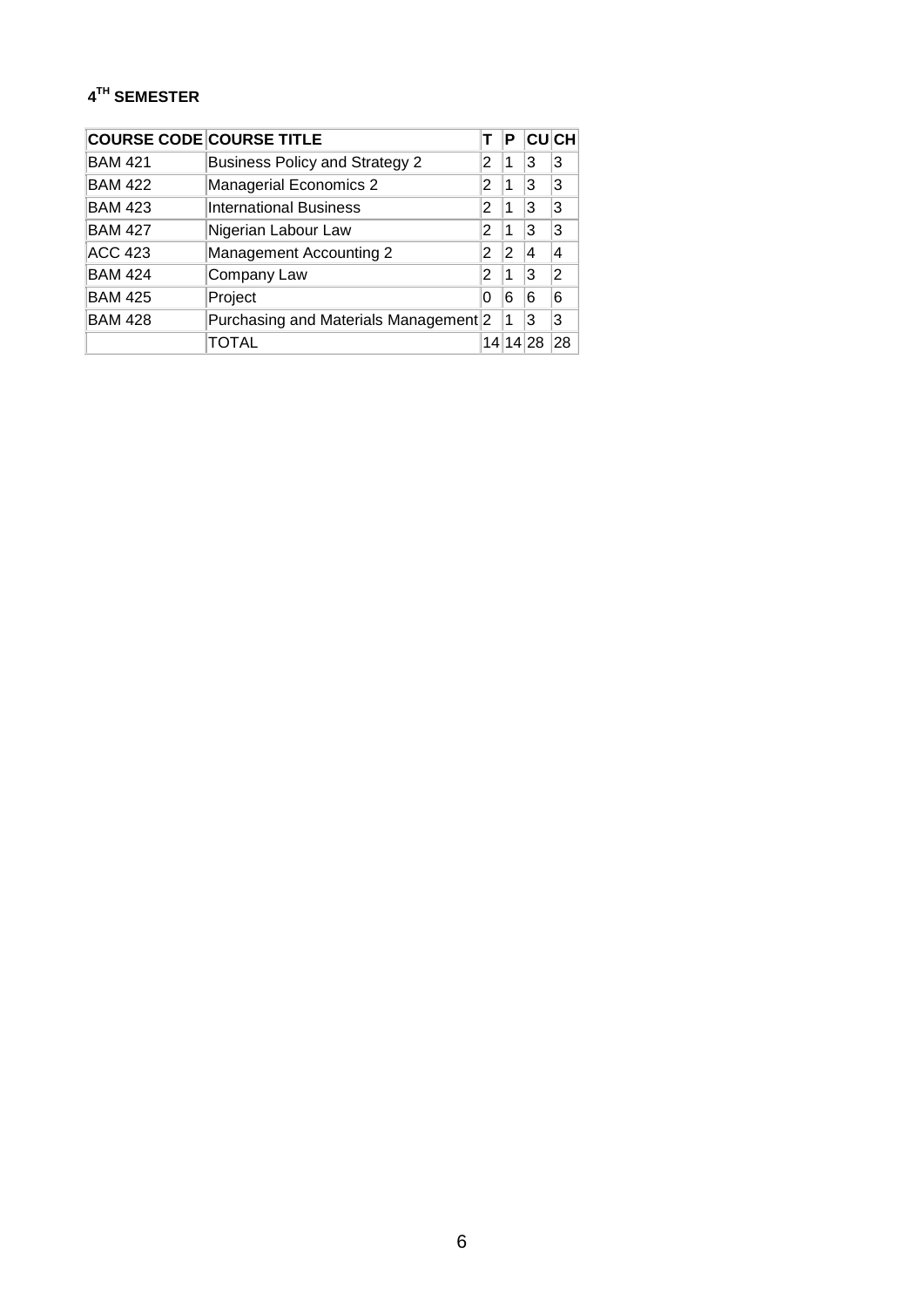### **4TH SEMESTER**

| <b>COURSE CODE COURSE TITLE</b> |                                       |    | Р  |    | <b>CUCH</b> |
|---------------------------------|---------------------------------------|----|----|----|-------------|
| <b>BAM 421</b>                  | <b>Business Policy and Strategy 2</b> | 2  | 1  | 3  | 3           |
| <b>BAM 422</b>                  | Managerial Economics 2                | 2  | 1  | 3  | 3           |
| <b>BAM 423</b>                  | <b>International Business</b>         | 2  | 1  | 3  | 3           |
| <b>BAM 427</b>                  | Nigerian Labour Law                   | 2  | 1  | 3  | 3           |
| <b>ACC 423</b>                  | <b>Management Accounting 2</b>        | 2  | 2  | 4  | 4           |
| <b>BAM 424</b>                  | Company Law                           | 2  | 1  | 3  | 2           |
| <b>BAM 425</b>                  | Project                               | 0  | 6  | 6  | 6           |
| <b>BAM 428</b>                  | Purchasing and Materials Management 2 |    | 1  | 3  | 3           |
|                                 | TOTAL                                 | 14 | 14 | 28 | 28          |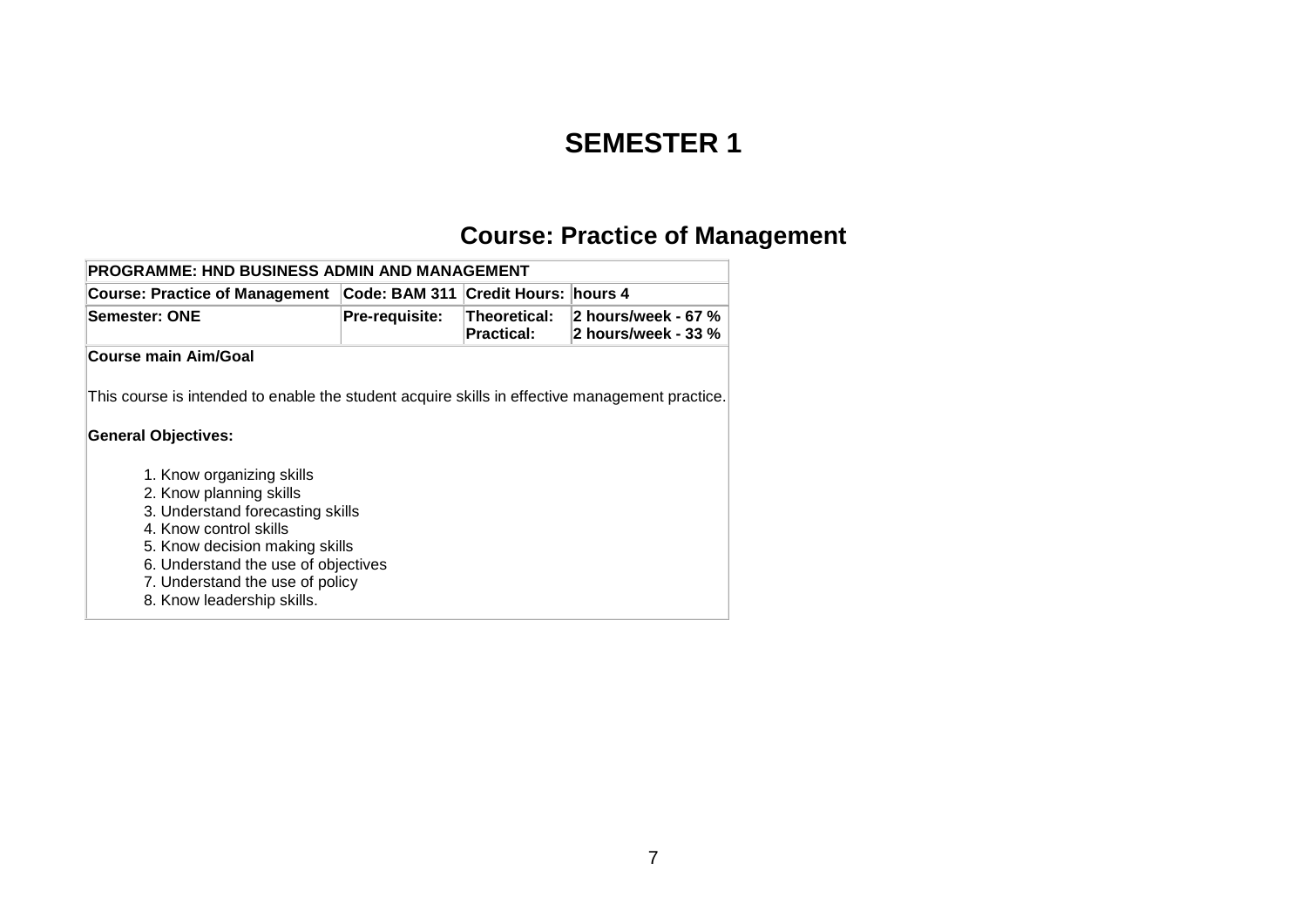### **SEMESTER 1**

# **Course: Practice of Management**

<span id="page-8-0"></span>

| <b>PROGRAMME: HND BUSINESS ADMIN AND MANAGEMENT</b>                                                                                                                                                                                                          |                       |                                   |                                            |
|--------------------------------------------------------------------------------------------------------------------------------------------------------------------------------------------------------------------------------------------------------------|-----------------------|-----------------------------------|--------------------------------------------|
| <b>Course: Practice of Management</b>                                                                                                                                                                                                                        | Code: BAM 311         | <b>Credit Hours:   hours 4</b>    |                                            |
| Semester: ONE                                                                                                                                                                                                                                                | <b>Pre-requisite:</b> | Theoretical:<br><b>Practical:</b> | 2 hours/week - 67 %<br>2 hours/week - 33 % |
| <b>Course main Aim/Goal</b>                                                                                                                                                                                                                                  |                       |                                   |                                            |
| This course is intended to enable the student acquire skills in effective management practice.<br>General Objectives:                                                                                                                                        |                       |                                   |                                            |
| 1. Know organizing skills<br>2. Know planning skills<br>3. Understand forecasting skills<br>4. Know control skills<br>5. Know decision making skills<br>6. Understand the use of objectives<br>7. Understand the use of policy<br>8. Know leadership skills. |                       |                                   |                                            |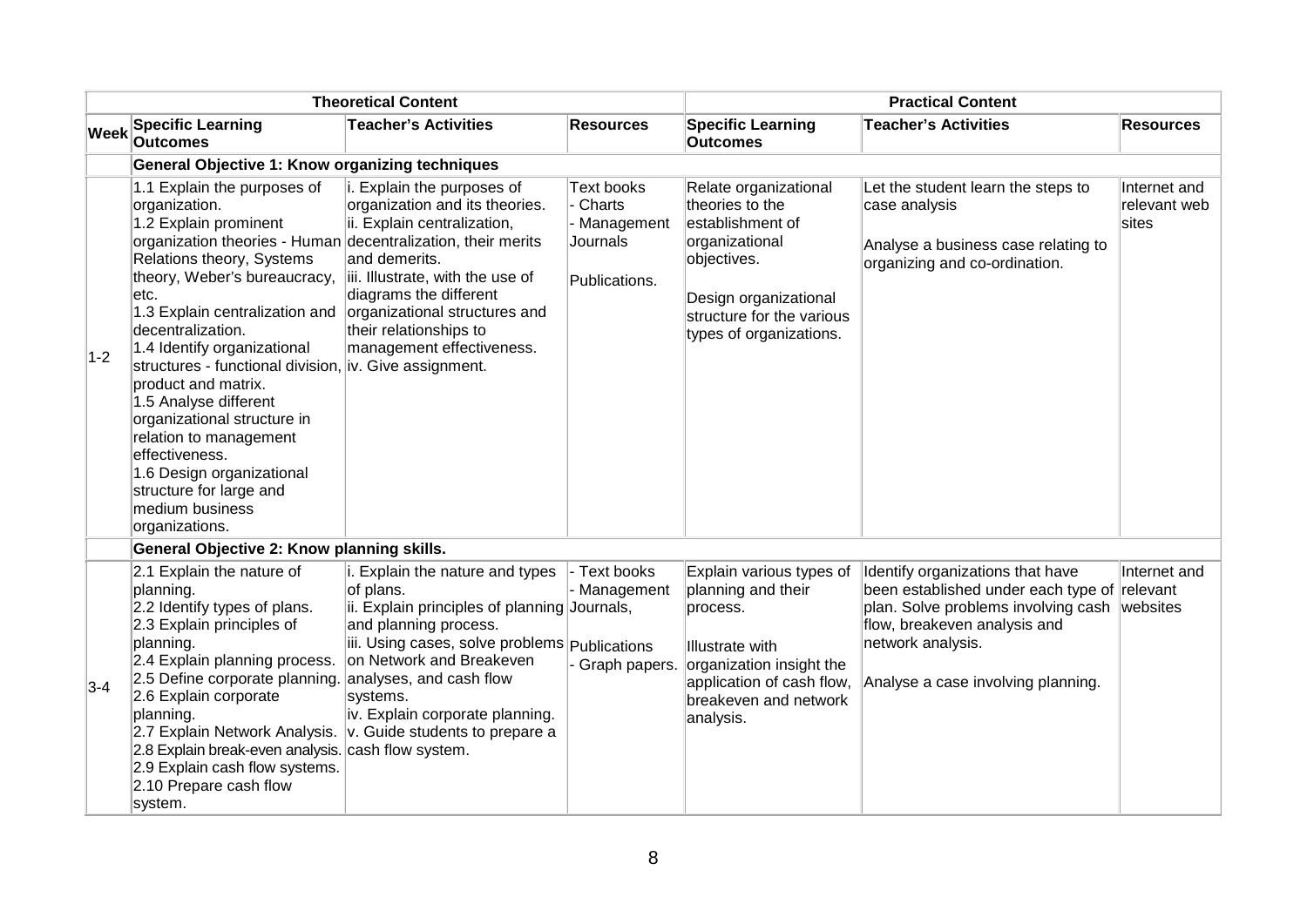| <b>Theoretical Content</b> |                                                                                                                                                                                                                                                                                                                                                                                                                                                                                                                                                                                    |                                                                                                                                                                                                                                                                                                          |                                                                        | <b>Practical Content</b>                                                                                                                                                            |                                                                                                                                                                                                                             |                                       |  |
|----------------------------|------------------------------------------------------------------------------------------------------------------------------------------------------------------------------------------------------------------------------------------------------------------------------------------------------------------------------------------------------------------------------------------------------------------------------------------------------------------------------------------------------------------------------------------------------------------------------------|----------------------------------------------------------------------------------------------------------------------------------------------------------------------------------------------------------------------------------------------------------------------------------------------------------|------------------------------------------------------------------------|-------------------------------------------------------------------------------------------------------------------------------------------------------------------------------------|-----------------------------------------------------------------------------------------------------------------------------------------------------------------------------------------------------------------------------|---------------------------------------|--|
| <b>Week</b>                | <b>Specific Learning</b><br><b>Outcomes</b>                                                                                                                                                                                                                                                                                                                                                                                                                                                                                                                                        | <b>Teacher's Activities</b>                                                                                                                                                                                                                                                                              | <b>Resources</b>                                                       | <b>Specific Learning</b><br><b>Outcomes</b>                                                                                                                                         | <b>Teacher's Activities</b>                                                                                                                                                                                                 | <b>Resources</b>                      |  |
|                            | <b>General Objective 1: Know organizing techniques</b>                                                                                                                                                                                                                                                                                                                                                                                                                                                                                                                             |                                                                                                                                                                                                                                                                                                          |                                                                        |                                                                                                                                                                                     |                                                                                                                                                                                                                             |                                       |  |
| $1-2$                      | 1.1 Explain the purposes of<br>organization.<br>1.2 Explain prominent<br>organization theories - Human decentralization, their merits<br>Relations theory, Systems<br>theory, Weber's bureaucracy,<br>etc.<br>1.3 Explain centralization and<br>decentralization.<br>1.4 Identify organizational<br>structures - functional division, iv. Give assignment.<br>product and matrix.<br>1.5 Analyse different<br>organizational structure in<br>relation to management<br>effectiveness.<br>1.6 Design organizational<br>structure for large and<br>medium business<br>organizations. | Explain the purposes of<br>organization and its theories.<br>ii. Explain centralization,<br>and demerits.<br>iii. Illustrate, with the use of<br>diagrams the different<br>organizational structures and<br>their relationships to<br>management effectiveness.                                          | <b>Text books</b><br>Charts<br>Management<br>Journals<br>Publications. | Relate organizational<br>theories to the<br>establishment of<br>organizational<br>objectives.<br>Design organizational<br>structure for the various<br>types of organizations.      | Let the student learn the steps to<br>case analysis<br>Analyse a business case relating to<br>organizing and co-ordination.                                                                                                 | Internet and<br>relevant web<br>sites |  |
|                            | General Objective 2: Know planning skills.                                                                                                                                                                                                                                                                                                                                                                                                                                                                                                                                         |                                                                                                                                                                                                                                                                                                          |                                                                        |                                                                                                                                                                                     |                                                                                                                                                                                                                             |                                       |  |
| $3-4$                      | 2.1 Explain the nature of<br>planning.<br>2.2 Identify types of plans.<br>2.3 Explain principles of<br>planning.<br>2.4 Explain planning process.<br>2.5 Define corporate planning. analyses, and cash flow<br>2.6 Explain corporate<br>planning.<br>2.7 Explain Network Analysis.<br>2.8 Explain break-even analysis.<br>2.9 Explain cash flow systems.<br>2.10 Prepare cash flow<br>system.                                                                                                                                                                                      | i. Explain the nature and types<br>of plans.<br>ii. Explain principles of planning Journals,<br>and planning process.<br>iii. Using cases, solve problems Publications<br>on Network and Breakeven<br>systems.<br>iv. Explain corporate planning.<br>v. Guide students to prepare a<br>cash flow system. | Text books<br>Management<br>Graph papers.                              | Explain various types of<br>planning and their<br>process.<br><b>Illustrate with</b><br>organization insight the<br>application of cash flow,<br>breakeven and network<br>analysis. | Identify organizations that have<br>been established under each type of relevant<br>plan. Solve problems involving cash websites<br>flow, breakeven analysis and<br>network analysis.<br>Analyse a case involving planning. | Internet and                          |  |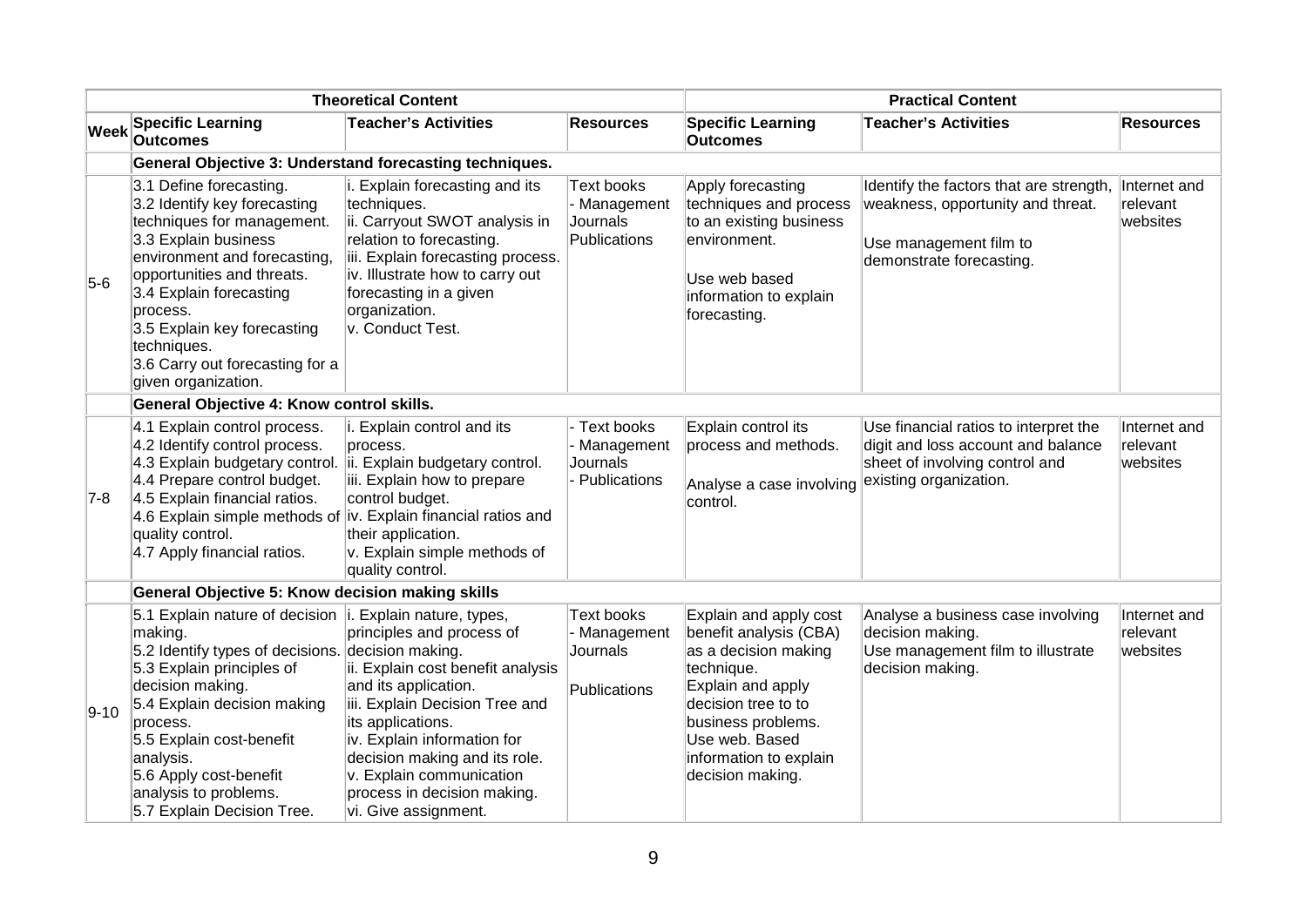|             | <b>Theoretical Content</b>                                                                                                                                                                                                                                                                                                                       |                                                                                                                                                                                                                                                                                                  |                                                                      | <b>Practical Content</b>                                                                                                                                                                                                 |                                                                                                                                         |                                      |
|-------------|--------------------------------------------------------------------------------------------------------------------------------------------------------------------------------------------------------------------------------------------------------------------------------------------------------------------------------------------------|--------------------------------------------------------------------------------------------------------------------------------------------------------------------------------------------------------------------------------------------------------------------------------------------------|----------------------------------------------------------------------|--------------------------------------------------------------------------------------------------------------------------------------------------------------------------------------------------------------------------|-----------------------------------------------------------------------------------------------------------------------------------------|--------------------------------------|
| <b>Week</b> | <b>Specific Learning</b><br><b>Outcomes</b>                                                                                                                                                                                                                                                                                                      | <b>Teacher's Activities</b>                                                                                                                                                                                                                                                                      | Resources                                                            | <b>Specific Learning</b><br><b>Outcomes</b>                                                                                                                                                                              | <b>Teacher's Activities</b>                                                                                                             | <b>Resources</b>                     |
|             | General Objective 3: Understand forecasting techniques.                                                                                                                                                                                                                                                                                          |                                                                                                                                                                                                                                                                                                  |                                                                      |                                                                                                                                                                                                                          |                                                                                                                                         |                                      |
| $5-6$       | 3.1 Define forecasting.<br>3.2 Identify key forecasting<br>techniques for management.<br>3.3 Explain business<br>environment and forecasting,<br>opportunities and threats.<br>3.4 Explain forecasting<br>process.<br>3.5 Explain key forecasting<br>techniques.<br>3.6 Carry out forecasting for a<br>given organization.                       | i. Explain forecasting and its<br>techniques.<br>ii. Carryout SWOT analysis in<br>relation to forecasting.<br>iii. Explain forecasting process.<br>iv. Illustrate how to carry out<br>forecasting in a given<br>organization.<br>v. Conduct Test.                                                | <b>Text books</b><br>- Management<br>Journals<br><b>Publications</b> | Apply forecasting<br>techniques and process<br>to an existing business<br>environment.<br>Use web based<br>information to explain<br>forecasting.                                                                        | Identify the factors that are strength,<br>weakness, opportunity and threat.<br>Use management film to<br>demonstrate forecasting.      | Internet and<br>relevant<br>websites |
|             | General Objective 4: Know control skills.                                                                                                                                                                                                                                                                                                        |                                                                                                                                                                                                                                                                                                  |                                                                      |                                                                                                                                                                                                                          |                                                                                                                                         |                                      |
| $7-8$       | 4.1 Explain control process.<br>4.2 Identify control process.<br>4.3 Explain budgetary control.<br>4.4 Prepare control budget.<br>4.5 Explain financial ratios.<br>4.6 Explain simple methods of iv. Explain financial ratios and<br>quality control.<br>4.7 Apply financial ratios.                                                             | i. Explain control and its<br>process.<br>ii. Explain budgetary control.<br>iii. Explain how to prepare<br>control budget.<br>their application.<br>v. Explain simple methods of<br>quality control.                                                                                             | Text books<br>Management<br>Journals<br>Publications                 | Explain control its<br>process and methods.<br>Analyse a case involving<br>control.                                                                                                                                      | Use financial ratios to interpret the<br>digit and loss account and balance<br>sheet of involving control and<br>existing organization. | Internet and<br>relevant<br>websites |
|             | General Objective 5: Know decision making skills                                                                                                                                                                                                                                                                                                 |                                                                                                                                                                                                                                                                                                  |                                                                      |                                                                                                                                                                                                                          |                                                                                                                                         |                                      |
| $9 - 10$    | 5.1 Explain nature of decision   i. Explain nature, types,<br>making.<br>5.2 Identify types of decisions. decision making.<br>5.3 Explain principles of<br>decision making.<br>5.4 Explain decision making<br>process.<br>5.5 Explain cost-benefit<br>analysis.<br>5.6 Apply cost-benefit<br>analysis to problems.<br>5.7 Explain Decision Tree. | principles and process of<br>ii. Explain cost benefit analysis<br>and its application.<br>iii. Explain Decision Tree and<br>its applications.<br>iv. Explain information for<br>decision making and its role.<br>v. Explain communication<br>process in decision making.<br>vi. Give assignment. | Text books<br>Management<br>Journals<br>Publications                 | Explain and apply cost<br>benefit analysis (CBA)<br>as a decision making<br>technique.<br>Explain and apply<br>decision tree to to<br>business problems.<br>Use web. Based<br>information to explain<br>decision making. | Analyse a business case involving<br>decision making.<br>Use management film to illustrate<br>decision making.                          | Internet and<br>relevant<br>websites |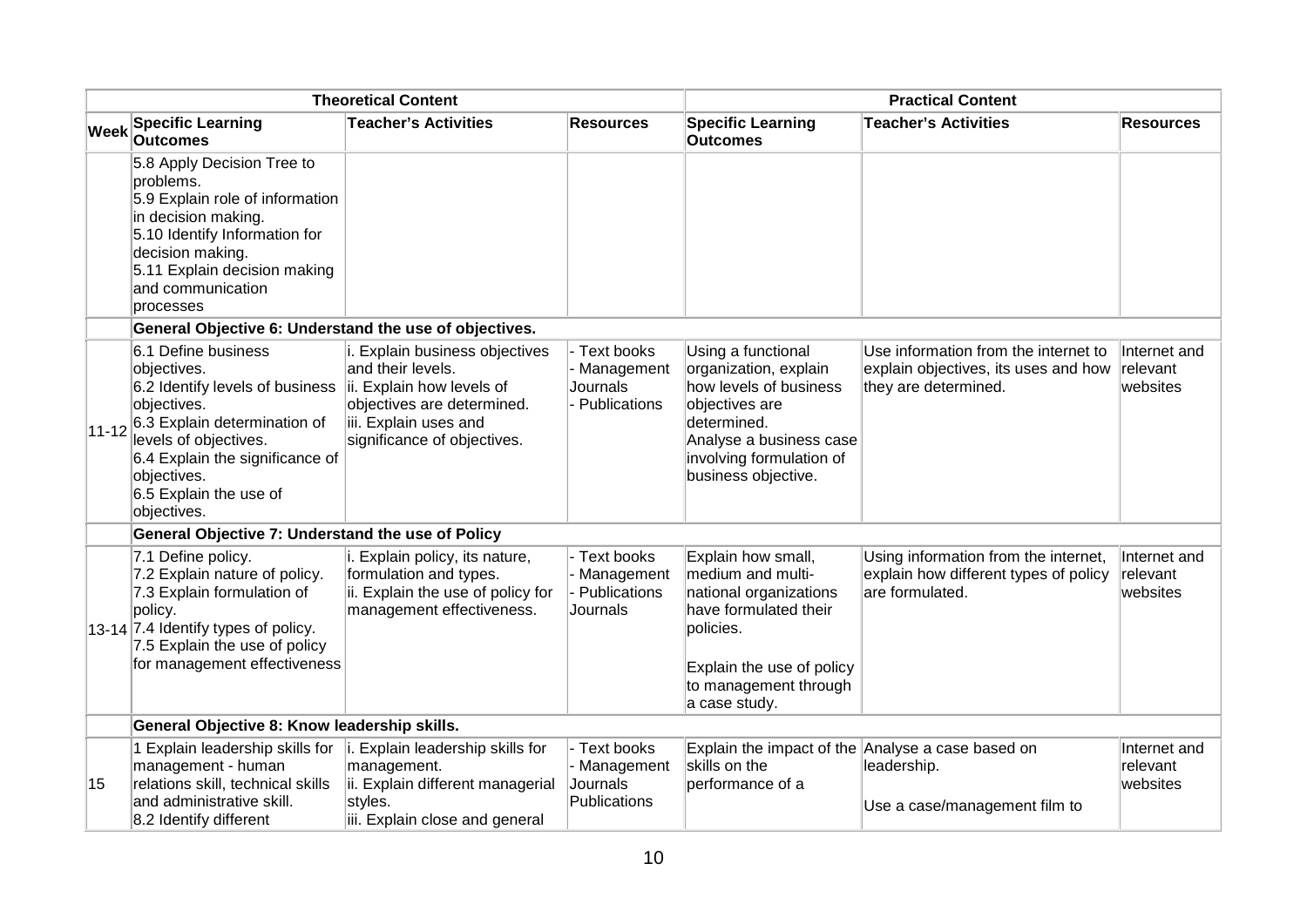| <b>Theoretical Content</b> |                                                                                                                                                                                                                                          |                                                                                                                                                                        | <b>Practical Content</b>                             |                                                                                                                                                                                      |                                                                                                      |                                      |
|----------------------------|------------------------------------------------------------------------------------------------------------------------------------------------------------------------------------------------------------------------------------------|------------------------------------------------------------------------------------------------------------------------------------------------------------------------|------------------------------------------------------|--------------------------------------------------------------------------------------------------------------------------------------------------------------------------------------|------------------------------------------------------------------------------------------------------|--------------------------------------|
| <b>Week</b>                | <b>Specific Learning</b><br><b>Outcomes</b>                                                                                                                                                                                              | <b>Teacher's Activities</b>                                                                                                                                            | <b>Resources</b>                                     | <b>Specific Learning</b><br><b>Outcomes</b>                                                                                                                                          | <b>Teacher's Activities</b>                                                                          | <b>Resources</b>                     |
|                            | 5.8 Apply Decision Tree to<br>problems.<br>5.9 Explain role of information<br>in decision making.<br>5.10 Identify Information for<br>decision making.<br>5.11 Explain decision making<br>and communication<br>processes                 |                                                                                                                                                                        |                                                      |                                                                                                                                                                                      |                                                                                                      |                                      |
|                            | General Objective 6: Understand the use of objectives.                                                                                                                                                                                   |                                                                                                                                                                        |                                                      |                                                                                                                                                                                      |                                                                                                      |                                      |
| $11 - 12$                  | 6.1 Define business<br>objectives.<br>6.2 Identify levels of business<br>objectives.<br>6.3 Explain determination of<br>levels of objectives.<br>6.4 Explain the significance of<br>objectives.<br>6.5 Explain the use of<br>objectives. | i. Explain business objectives<br>and their levels.<br>ii. Explain how levels of<br>objectives are determined.<br>iii. Explain uses and<br>significance of objectives. | Text books<br>Management<br>Journals<br>Publications | Using a functional<br>organization, explain<br>how levels of business<br>objectives are<br>determined.<br>Analyse a business case<br>involving formulation of<br>business objective. | Use information from the internet to<br>explain objectives, its uses and how<br>they are determined. | Internet and<br>relevant<br>websites |
|                            | General Objective 7: Understand the use of Policy                                                                                                                                                                                        |                                                                                                                                                                        |                                                      |                                                                                                                                                                                      |                                                                                                      |                                      |
|                            | 7.1 Define policy.<br>7.2 Explain nature of policy.<br>7.3 Explain formulation of<br>policy.<br>13-14 7.4 Identify types of policy.<br>7.5 Explain the use of policy<br>for management effectiveness                                     | i. Explain policy, its nature,<br>formulation and types.<br>ii. Explain the use of policy for<br>management effectiveness.                                             | Text books<br>Management<br>Publications<br>Journals | Explain how small,<br>medium and multi-<br>national organizations<br>have formulated their<br>policies.<br>Explain the use of policy<br>to management through<br>a case study.       | Using information from the internet,<br>explain how different types of policy<br>are formulated.     | Internet and<br>relevant<br>websites |
|                            | General Objective 8: Know leadership skills.                                                                                                                                                                                             |                                                                                                                                                                        |                                                      |                                                                                                                                                                                      |                                                                                                      |                                      |
| 15                         | 1 Explain leadership skills for<br>management - human<br>relations skill, technical skills<br>and administrative skill.<br>8.2 Identify different                                                                                        | i. Explain leadership skills for<br>management.<br>ii. Explain different managerial<br>styles.<br>iii. Explain close and general                                       | Text books<br>Management<br>Journals<br>Publications | skills on the<br>performance of a                                                                                                                                                    | Explain the impact of the Analyse a case based on<br>leadership.<br>Use a case/management film to    | Internet and<br>relevant<br>websites |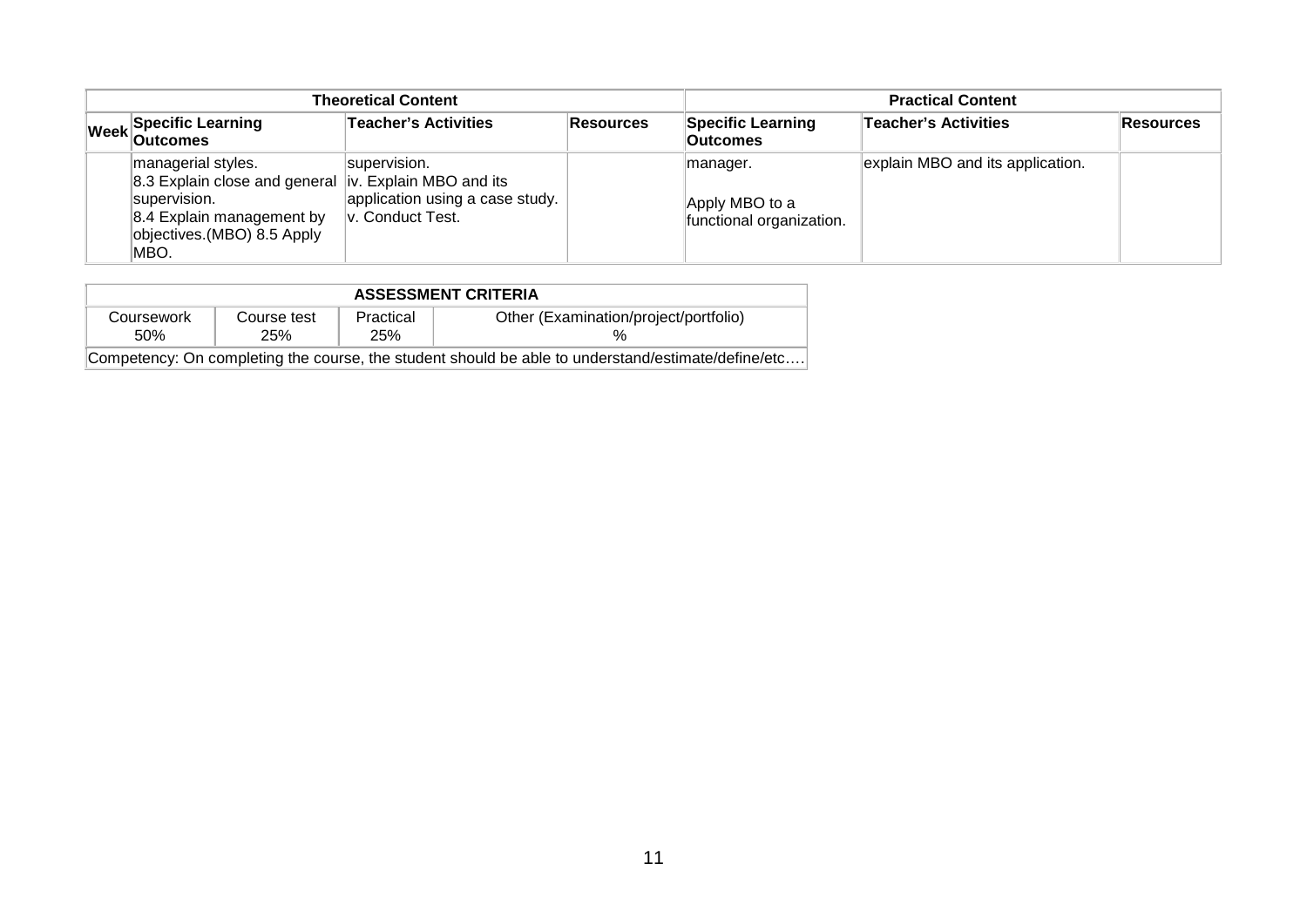| <b>Theoretical Content</b> |                                                                                                                                                                  |                                                                     |                  | <b>Practical Content</b>                               |                                  |                  |
|----------------------------|------------------------------------------------------------------------------------------------------------------------------------------------------------------|---------------------------------------------------------------------|------------------|--------------------------------------------------------|----------------------------------|------------------|
|                            | Week Specific Learning                                                                                                                                           | Teacher's Activities                                                | <b>Resources</b> | <b>Specific Learning</b><br>Outcomes                   | <b>Teacher's Activities</b>      | <b>Resources</b> |
|                            | managerial styles.<br>8.3 Explain close and general  iv. Explain MBO and its<br>supervision.<br>8.4 Explain management by<br>objectives.(MBO) 8.5 Apply<br>IMBO. | supervision.<br>application using a case study.<br>v. Conduct Test. |                  | manager.<br>Apply MBO to a<br>functional organization. | explain MBO and its application. |                  |

| <b>ASSESSMENT CRITERIA</b> |             |           |                                                                                                    |  |  |
|----------------------------|-------------|-----------|----------------------------------------------------------------------------------------------------|--|--|
| Coursework                 | Course test | Practical | Other (Examination/project/portfolio)                                                              |  |  |
| 50%                        | 25%         | 25%       |                                                                                                    |  |  |
|                            |             |           | Competency: On completing the course, the student should be able to understand/estimate/define/etc |  |  |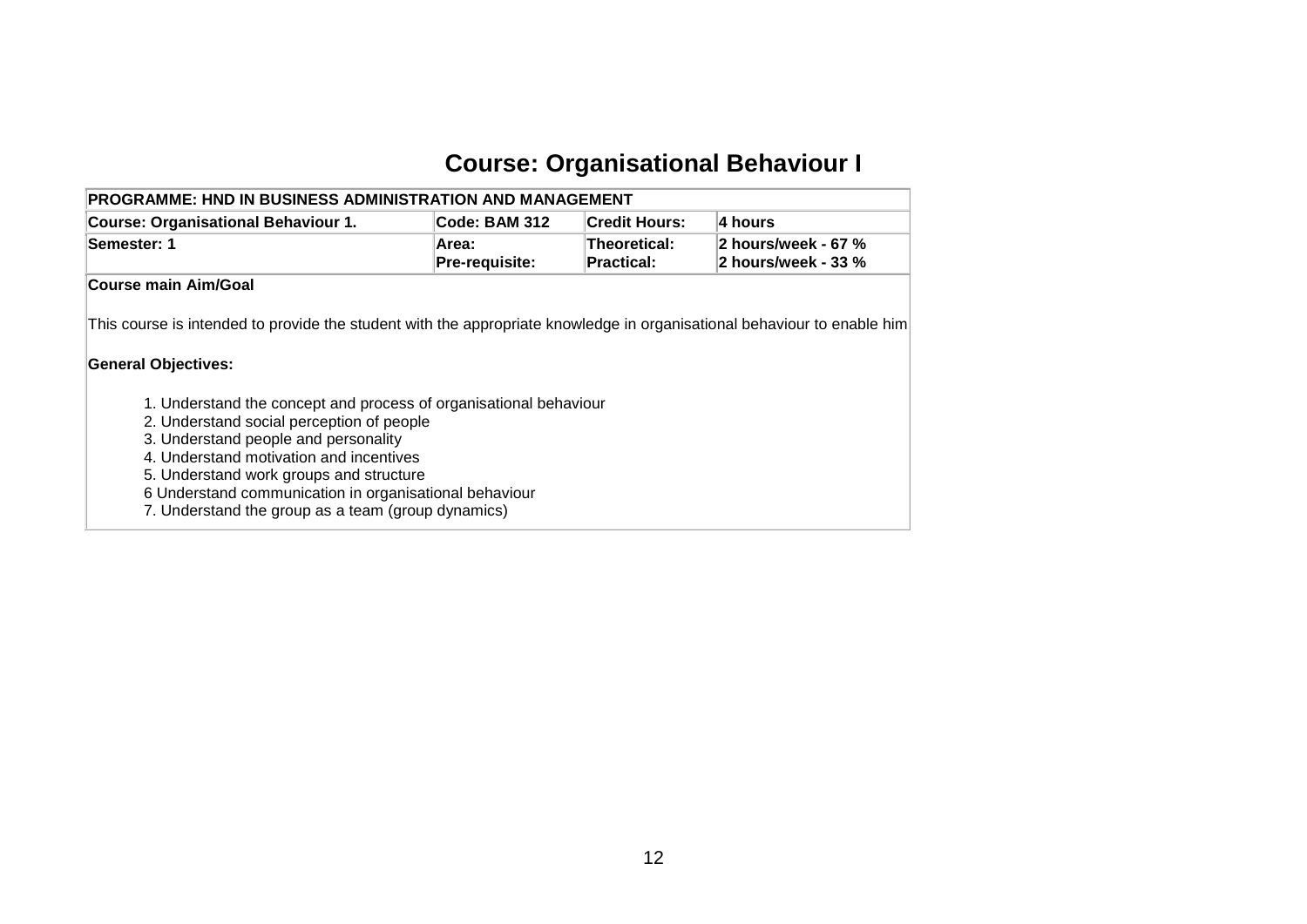### **Course: Organisational Behaviour I**

<span id="page-13-0"></span>

| <b>PROGRAMME: HND IN BUSINESS ADMINISTRATION AND MANAGEMENT</b>   |                         |                                   |                                            |
|-------------------------------------------------------------------|-------------------------|-----------------------------------|--------------------------------------------|
| <b>Course: Organisational Behaviour 1.</b>                        | Code: BAM 312           | <b>Credit Hours:</b>              | 4 hours                                    |
| Semester: 1                                                       | Area:<br>Pre-requisite: | Theoretical:<br><b>Practical:</b> | 2 hours/week - 67 %<br>2 hours/week - 33 % |
| Course main Aim/Goal                                              |                         |                                   |                                            |
| <b>General Objectives:</b>                                        |                         |                                   |                                            |
| 1. Understand the concept and process of organisational behaviour |                         |                                   |                                            |
| 2. Understand social perception of people                         |                         |                                   |                                            |
| 3. Understand people and personality                              |                         |                                   |                                            |
| 4. Understand motivation and incentives                           |                         |                                   |                                            |
| 5. Understand work groups and structure                           |                         |                                   |                                            |
| 6 Understand communication in organisational behaviour            |                         |                                   |                                            |
| 7. Understand the group as a team (group dynamics)                |                         |                                   |                                            |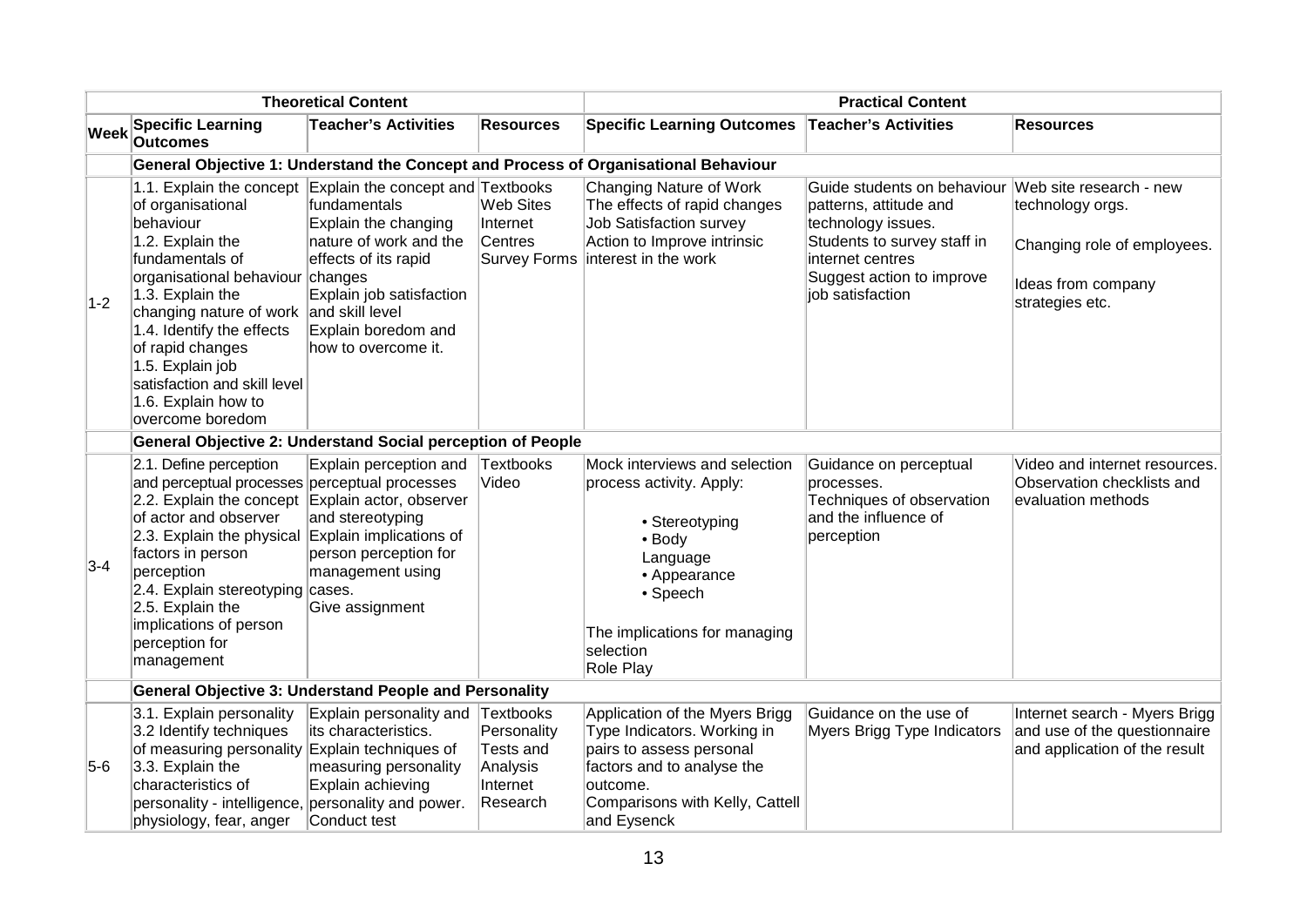|             | <b>Theoretical Content</b>                                                                                                                                                                                                                                                                                                                                                             |                                                                                                                                                                  | <b>Practical Content</b>                                              |                                                                                                                                                                                          |                                                                                                                                                                                                         |                                                                                                |  |  |  |
|-------------|----------------------------------------------------------------------------------------------------------------------------------------------------------------------------------------------------------------------------------------------------------------------------------------------------------------------------------------------------------------------------------------|------------------------------------------------------------------------------------------------------------------------------------------------------------------|-----------------------------------------------------------------------|------------------------------------------------------------------------------------------------------------------------------------------------------------------------------------------|---------------------------------------------------------------------------------------------------------------------------------------------------------------------------------------------------------|------------------------------------------------------------------------------------------------|--|--|--|
| <b>Week</b> | <b>Specific Learning</b><br><b>Outcomes</b>                                                                                                                                                                                                                                                                                                                                            | <b>Teacher's Activities</b>                                                                                                                                      | <b>Resources</b>                                                      | Specific Learning Outcomes Teacher's Activities                                                                                                                                          |                                                                                                                                                                                                         | <b>Resources</b>                                                                               |  |  |  |
|             |                                                                                                                                                                                                                                                                                                                                                                                        |                                                                                                                                                                  |                                                                       | General Objective 1: Understand the Concept and Process of Organisational Behaviour                                                                                                      |                                                                                                                                                                                                         |                                                                                                |  |  |  |
| $1-2$       | 1.1. Explain the concept Explain the concept and Textbooks<br>of organisational<br>behaviour<br>1.2. Explain the<br>fundamentals of<br>organisational behaviour changes<br>1.3. Explain the<br>changing nature of work and skill level<br>1.4. Identify the effects<br>of rapid changes<br>1.5. Explain job<br>satisfaction and skill level<br>1.6. Explain how to<br>overcome boredom | fundamentals<br>Explain the changing<br>nature of work and the<br>effects of its rapid<br>Explain job satisfaction<br>Explain boredom and<br>how to overcome it. | <b>Web Sites</b><br>Internet<br><b>Centres</b><br><b>Survey Forms</b> | Changing Nature of Work<br>The effects of rapid changes<br><b>Job Satisfaction survey</b><br>Action to Improve intrinsic<br>interest in the work                                         | Guide students on behaviour Web site research - new<br>patterns, attitude and<br>technology issues.<br>Students to survey staff in<br>internet centres<br>Suggest action to improve<br>job satisfaction | technology orgs.<br>Changing role of employees.<br>Ideas from company<br>strategies etc.       |  |  |  |
|             | General Objective 2: Understand Social perception of People                                                                                                                                                                                                                                                                                                                            |                                                                                                                                                                  |                                                                       |                                                                                                                                                                                          |                                                                                                                                                                                                         |                                                                                                |  |  |  |
| $3-4$       | 2.1. Define perception<br>and perceptual processes perceptual processes<br>2.2. Explain the concept Explain actor, observer<br>of actor and observer<br>2.3. Explain the physical<br>factors in person<br>perception<br>2.4. Explain stereotyping cases.<br>2.5. Explain the<br>implications of person<br>perception for<br>management                                                 | Explain perception and<br>and stereotyping<br>Explain implications of<br>person perception for<br>management using<br>Give assignment                            | Textbooks<br>Video                                                    | Mock interviews and selection<br>process activity. Apply:<br>• Stereotyping<br>• Body<br>Language<br>• Appearance<br>• Speech<br>The implications for managing<br>selection<br>Role Play | Guidance on perceptual<br>processes.<br>Techniques of observation<br>and the influence of<br>perception                                                                                                 | Video and internet resources.<br>Observation checklists and<br>evaluation methods              |  |  |  |
|             | General Objective 3: Understand People and Personality                                                                                                                                                                                                                                                                                                                                 |                                                                                                                                                                  |                                                                       |                                                                                                                                                                                          |                                                                                                                                                                                                         |                                                                                                |  |  |  |
| $5-6$       | 3.1. Explain personality<br>3.2 Identify techniques<br>of measuring personality Explain techniques of<br>$3.3.$ Explain the<br>characteristics of<br>personality - intelligence, personality and power.<br>physiology, fear, anger                                                                                                                                                     | Explain personality and Textbooks<br>its characteristics.<br>measuring personality<br>Explain achieving<br>Conduct test                                          | Personality<br><b>Tests and</b><br>Analysis<br>Internet<br>Research   | Application of the Myers Brigg<br>Type Indicators. Working in<br>pairs to assess personal<br>factors and to analyse the<br>outcome.<br>Comparisons with Kelly, Cattell<br>and Eysenck    | Guidance on the use of<br>Myers Brigg Type Indicators                                                                                                                                                   | Internet search - Myers Brigg<br>and use of the questionnaire<br>and application of the result |  |  |  |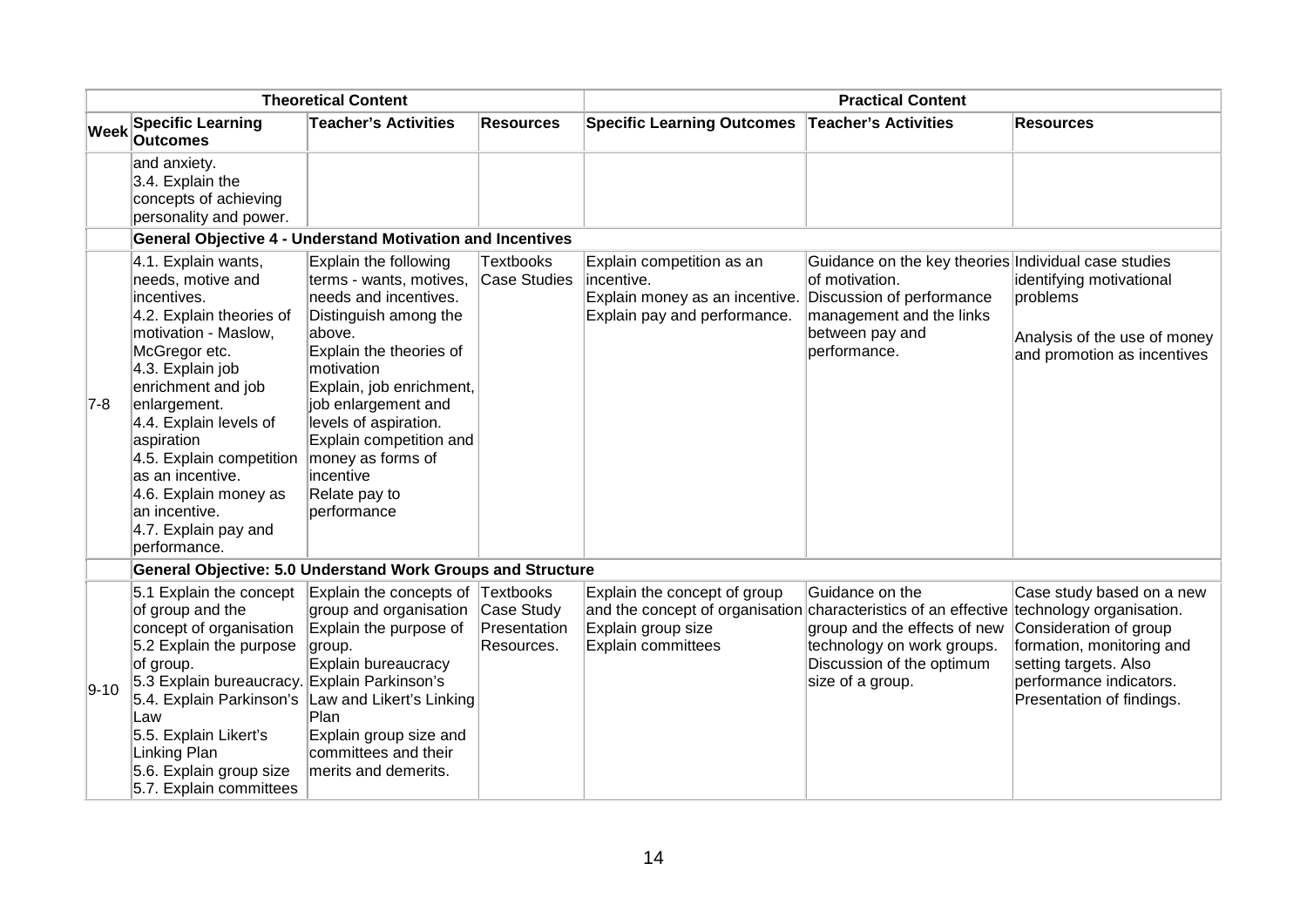| <b>Theoretical Content</b> |                                                                                                                                                                                                                                                                                                                                                                  | <b>Practical Content</b>                                                                                                                                                                                                                                                                                                       |                                          |                                                                                                                                                                      |                                                                                                                                                                    |                                                                                                                                                                   |
|----------------------------|------------------------------------------------------------------------------------------------------------------------------------------------------------------------------------------------------------------------------------------------------------------------------------------------------------------------------------------------------------------|--------------------------------------------------------------------------------------------------------------------------------------------------------------------------------------------------------------------------------------------------------------------------------------------------------------------------------|------------------------------------------|----------------------------------------------------------------------------------------------------------------------------------------------------------------------|--------------------------------------------------------------------------------------------------------------------------------------------------------------------|-------------------------------------------------------------------------------------------------------------------------------------------------------------------|
| <b>Week</b>                | <b>Specific Learning</b><br><b>Outcomes</b>                                                                                                                                                                                                                                                                                                                      | <b>Teacher's Activities</b>                                                                                                                                                                                                                                                                                                    | <b>Resources</b>                         | <b>Specific Learning Outcomes</b>                                                                                                                                    | Teacher's Activities                                                                                                                                               | <b>Resources</b>                                                                                                                                                  |
|                            | and anxiety.<br>3.4. Explain the<br>concepts of achieving<br>personality and power.                                                                                                                                                                                                                                                                              |                                                                                                                                                                                                                                                                                                                                |                                          |                                                                                                                                                                      |                                                                                                                                                                    |                                                                                                                                                                   |
|                            | <b>General Objective 4 - Understand Motivation and Incentives</b>                                                                                                                                                                                                                                                                                                |                                                                                                                                                                                                                                                                                                                                |                                          |                                                                                                                                                                      |                                                                                                                                                                    |                                                                                                                                                                   |
| $7-8$                      | 4.1. Explain wants,<br>needs, motive and<br>incentives.<br>4.2. Explain theories of<br>motivation - Maslow,<br>McGregor etc.<br>4.3. Explain job<br>enrichment and job<br>enlargement.<br>4.4. Explain levels of<br>aspiration<br>4.5. Explain competition<br>as an incentive.<br>4.6. Explain money as<br>an incentive.<br>4.7. Explain pay and<br>performance. | Explain the following<br>terms - wants, motives,<br>needs and incentives.<br>Distinguish among the<br>above.<br>Explain the theories of<br>motivation<br>Explain, job enrichment,<br>job enlargement and<br>levels of aspiration.<br>Explain competition and<br>money as forms of<br>incentive<br>Relate pay to<br>performance | <b>Textbooks</b><br><b>Case Studies</b>  | Explain competition as an<br>lincentive.<br>Explain money as an incentive.<br>Explain pay and performance.                                                           | Guidance on the key theories Individual case studies<br>of motivation.<br>Discussion of performance<br>management and the links<br>between pay and<br>performance. | identifying motivational<br>problems<br>Analysis of the use of money<br>and promotion as incentives                                                               |
|                            | <b>General Objective: 5.0 Understand Work Groups and Structure</b>                                                                                                                                                                                                                                                                                               |                                                                                                                                                                                                                                                                                                                                |                                          |                                                                                                                                                                      |                                                                                                                                                                    |                                                                                                                                                                   |
| $9 - 10$                   | 5.1 Explain the concept<br>of group and the<br>concept of organisation<br>5.2 Explain the purpose<br>of group.<br>5.3 Explain bureaucracy. Explain Parkinson's<br>5.4. Explain Parkinson's Law and Likert's Linking<br>Law<br>5.5. Explain Likert's<br>Linking Plan<br>5.6. Explain group size<br>5.7. Explain committees                                        | Explain the concepts of Textbooks<br>group and organisation<br>Explain the purpose of<br>group.<br>Explain bureaucracy<br>Plan<br>Explain group size and<br>committees and their<br>merits and demerits.                                                                                                                       | Case Study<br>Presentation<br>Resources. | Explain the concept of group<br>and the concept of organisation characteristics of an effective technology organisation.<br>Explain group size<br>Explain committees | Guidance on the<br>group and the effects of new<br>technology on work groups.<br>Discussion of the optimum<br>size of a group.                                     | Case study based on a new<br>Consideration of group<br>formation, monitoring and<br>setting targets. Also<br>performance indicators.<br>Presentation of findings. |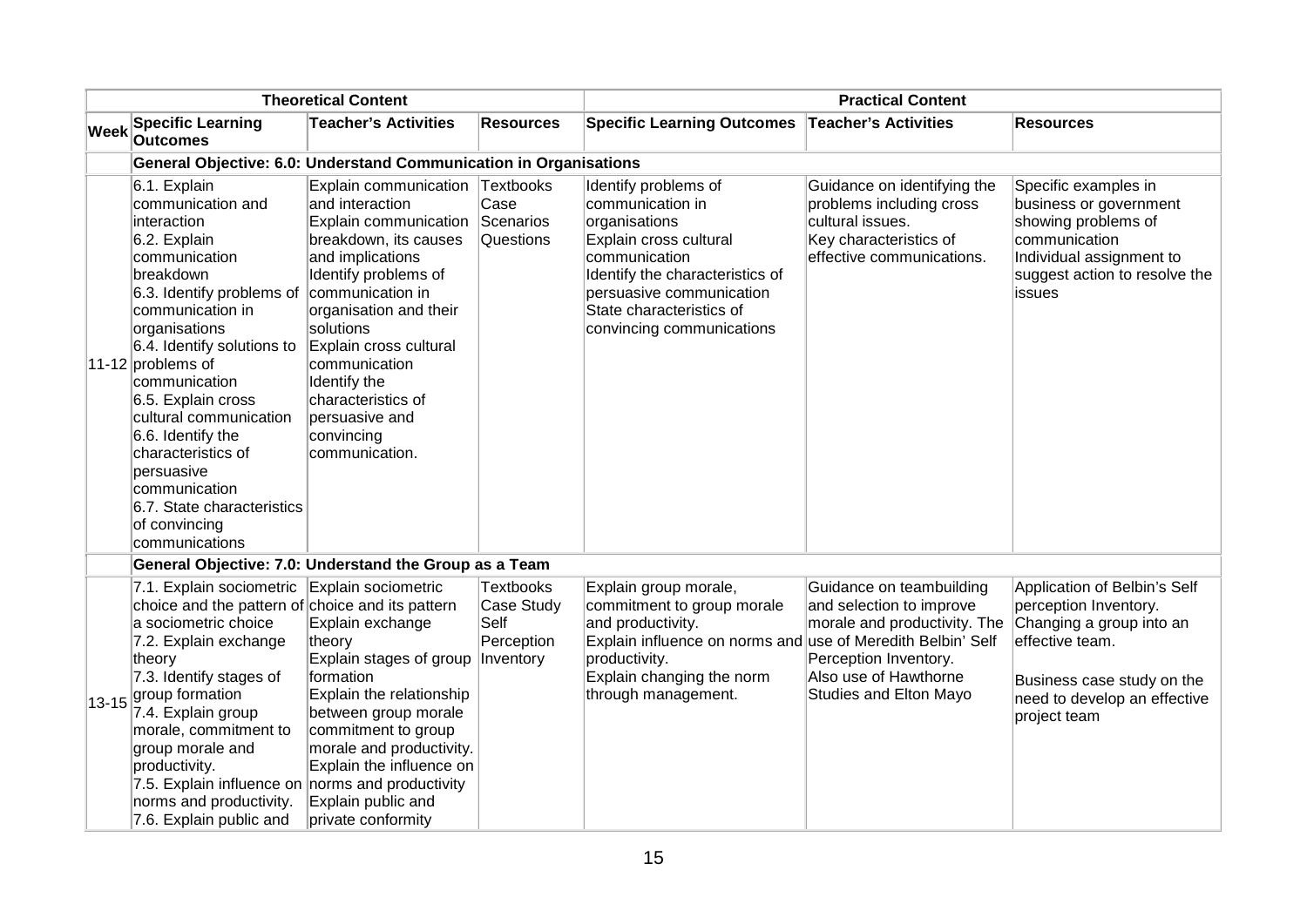| <b>Theoretical Content</b> |                                                                                                                                                                                                                                                                                                                                                                                                                                 |                                                                                                                                                                                                                                                                                                                                                |                                                                   |                                                                                                                                                                                                                              | <b>Practical Content</b>                                                                                                                                         |                                                                                                                                                                                    |  |  |
|----------------------------|---------------------------------------------------------------------------------------------------------------------------------------------------------------------------------------------------------------------------------------------------------------------------------------------------------------------------------------------------------------------------------------------------------------------------------|------------------------------------------------------------------------------------------------------------------------------------------------------------------------------------------------------------------------------------------------------------------------------------------------------------------------------------------------|-------------------------------------------------------------------|------------------------------------------------------------------------------------------------------------------------------------------------------------------------------------------------------------------------------|------------------------------------------------------------------------------------------------------------------------------------------------------------------|------------------------------------------------------------------------------------------------------------------------------------------------------------------------------------|--|--|
| <b>Week</b>                | <b>Specific Learning</b><br><b>Outcomes</b>                                                                                                                                                                                                                                                                                                                                                                                     | <b>Teacher's Activities</b>                                                                                                                                                                                                                                                                                                                    | <b>Resources</b>                                                  | <b>Specific Learning Outcomes</b>                                                                                                                                                                                            | Teacher's Activities                                                                                                                                             | <b>Resources</b>                                                                                                                                                                   |  |  |
|                            | General Objective: 6.0: Understand Communication in Organisations                                                                                                                                                                                                                                                                                                                                                               |                                                                                                                                                                                                                                                                                                                                                |                                                                   |                                                                                                                                                                                                                              |                                                                                                                                                                  |                                                                                                                                                                                    |  |  |
|                            | 6.1. Explain<br>communication and<br>interaction<br>6.2. Explain<br>communication<br>breakdown<br>6.3. Identify problems of<br>communication in<br>organisations<br>6.4. Identify solutions to<br>11-12 problems of<br>communication<br>6.5. Explain cross<br>cultural communication<br>6.6. Identify the<br>characteristics of<br>persuasive<br>communication<br>6.7. State characteristics<br>of convincing<br>communications | Explain communication Textbooks<br>and interaction<br>Explain communication<br>breakdown, its causes<br>and implications<br>Identify problems of<br>communication in<br>organisation and their<br>solutions<br>Explain cross cultural<br>communication<br>Identify the<br>characteristics of<br>persuasive and<br>convincing<br>communication. | Case<br>Scenarios<br>Questions                                    | Identify problems of<br>communication in<br>organisations<br>Explain cross cultural<br>communication<br>Identify the characteristics of<br>persuasive communication<br>State characteristics of<br>convincing communications | Guidance on identifying the<br>problems including cross<br>cultural issues.<br>Key characteristics of<br>effective communications.                               | Specific examples in<br>business or government<br>showing problems of<br>communication<br>Individual assignment to<br>suggest action to resolve the<br>issues                      |  |  |
|                            | General Objective: 7.0: Understand the Group as a Team                                                                                                                                                                                                                                                                                                                                                                          |                                                                                                                                                                                                                                                                                                                                                |                                                                   |                                                                                                                                                                                                                              |                                                                                                                                                                  |                                                                                                                                                                                    |  |  |
| $13 - 15$                  | 7.1. Explain sociometric<br>choice and the pattern of choice and its pattern<br>a sociometric choice<br>7.2. Explain exchange<br>theory<br>7.3. Identify stages of<br>group formation<br>7.4. Explain group<br>morale, commitment to<br>group morale and<br>productivity.<br>7.5. Explain influence on norms and productivity<br>norms and productivity.<br>7.6. Explain public and                                             | Explain sociometric<br>Explain exchange<br>theory<br>Explain stages of group<br>formation<br>Explain the relationship<br>between group morale<br>commitment to group<br>morale and productivity.<br>Explain the influence on<br>Explain public and<br>private conformity                                                                       | <b>Textbooks</b><br>Case Study<br>Self<br>Perception<br>Inventory | Explain group morale,<br>commitment to group morale<br>and productivity.<br>Explain influence on norms and use of Meredith Belbin' Self<br>productivity.<br>Explain changing the norm<br>through management.                 | Guidance on teambuilding<br>and selection to improve<br>morale and productivity. The<br>Perception Inventory.<br>Also use of Hawthorne<br>Studies and Elton Mayo | Application of Belbin's Self<br>perception Inventory.<br>Changing a group into an<br>effective team.<br>Business case study on the<br>need to develop an effective<br>project team |  |  |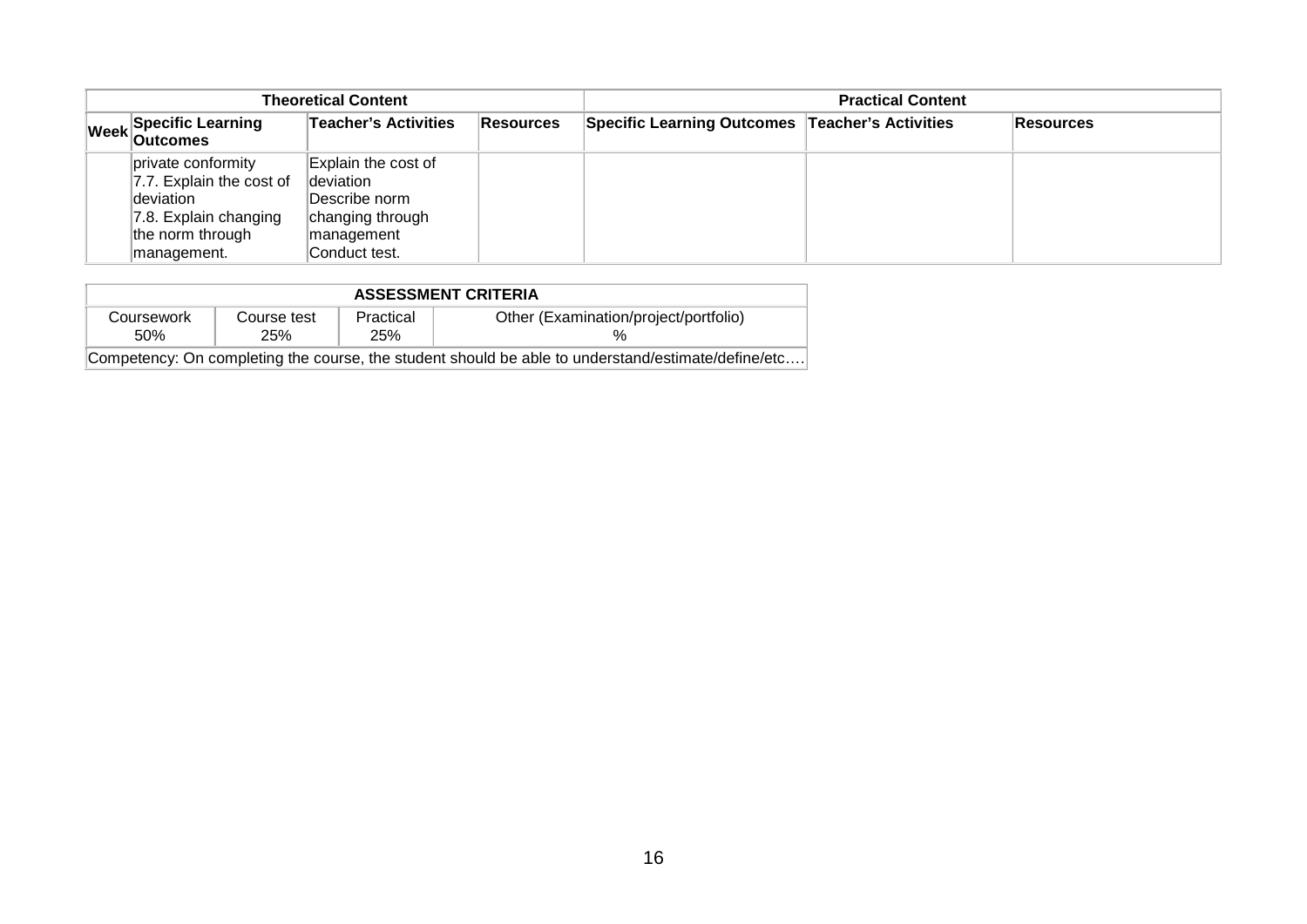| <b>Theoretical Content</b> |                                                                                                                         |                                                                                                      |                  | <b>Practical Content</b>                        |  |                  |  |
|----------------------------|-------------------------------------------------------------------------------------------------------------------------|------------------------------------------------------------------------------------------------------|------------------|-------------------------------------------------|--|------------------|--|
|                            | Week Specific Learning                                                                                                  | Teacher's Activities                                                                                 | <b>Resources</b> | Specific Learning Outcomes Teacher's Activities |  | <b>Resources</b> |  |
|                            | private conformity<br>7.7. Explain the cost of<br>deviation<br>7.8. Explain changing<br>the norm through<br>management. | Explain the cost of<br>deviation<br>Describe norm<br>changing through<br>management<br>Conduct test. |                  |                                                 |  |                  |  |

| <b>ASSESSMENT CRITERIA</b> |                                       |     |                                                                                                    |  |  |  |  |
|----------------------------|---------------------------------------|-----|----------------------------------------------------------------------------------------------------|--|--|--|--|
| Coursework                 | Other (Examination/project/portfolio) |     |                                                                                                    |  |  |  |  |
| .50%                       | 25%                                   | 25% |                                                                                                    |  |  |  |  |
|                            |                                       |     | Competency: On completing the course, the student should be able to understand/estimate/define/etc |  |  |  |  |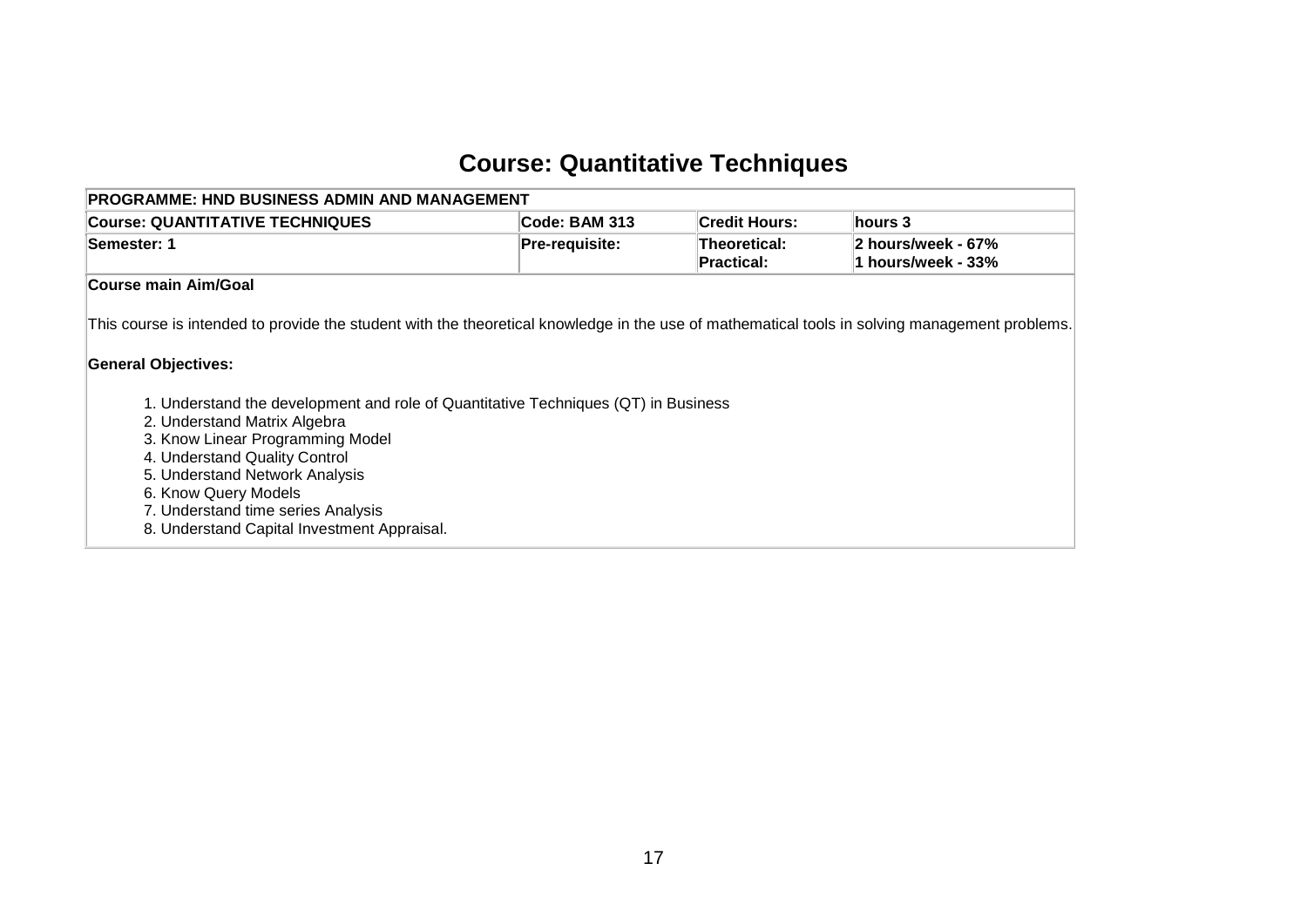# **Course: Quantitative Techniques**

<span id="page-18-0"></span>

| <b>PROGRAMME: HND BUSINESS ADMIN AND MANAGEMENT</b>                                                                                                                                                                                                                                                                                                                                                                                                                                                                    |                |                                   |                                          |
|------------------------------------------------------------------------------------------------------------------------------------------------------------------------------------------------------------------------------------------------------------------------------------------------------------------------------------------------------------------------------------------------------------------------------------------------------------------------------------------------------------------------|----------------|-----------------------------------|------------------------------------------|
| <b>Course: QUANTITATIVE TECHNIQUES</b>                                                                                                                                                                                                                                                                                                                                                                                                                                                                                 | Code: BAM 313  | <b>Credit Hours:</b>              | hours 3                                  |
| Semester: 1                                                                                                                                                                                                                                                                                                                                                                                                                                                                                                            | Pre-requisite: | Theoretical:<br><b>Practical:</b> | 2 hours/week - 67%<br>1 hours/week - 33% |
| Course main Aim/Goal                                                                                                                                                                                                                                                                                                                                                                                                                                                                                                   |                |                                   |                                          |
| This course is intended to provide the student with the theoretical knowledge in the use of mathematical tools in solving management problems.<br><b>General Objectives:</b><br>1. Understand the development and role of Quantitative Techniques (QT) in Business<br>2. Understand Matrix Algebra<br>3. Know Linear Programming Model<br>4. Understand Quality Control<br>5. Understand Network Analysis<br>6. Know Query Models<br>7. Understand time series Analysis<br>8. Understand Capital Investment Appraisal. |                |                                   |                                          |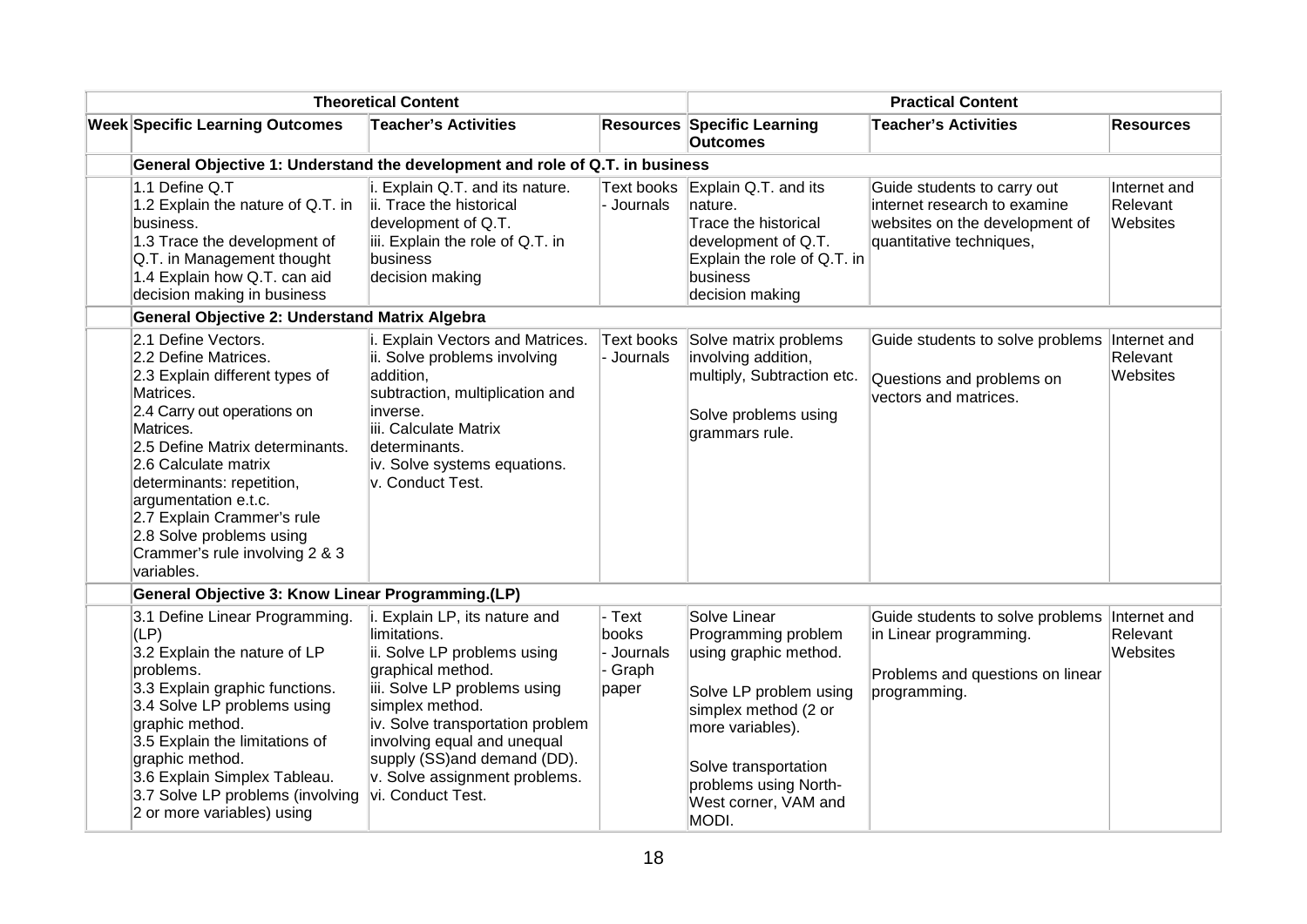| <b>Theoretical Content</b>                                                                                                                                                                                                                                                                                                                                       |                                                                                                                                                                                                                                                                                                              |                                                 | <b>Practical Content</b>                                                                                                                                                                                             |                                                                                                                           |                                      |  |
|------------------------------------------------------------------------------------------------------------------------------------------------------------------------------------------------------------------------------------------------------------------------------------------------------------------------------------------------------------------|--------------------------------------------------------------------------------------------------------------------------------------------------------------------------------------------------------------------------------------------------------------------------------------------------------------|-------------------------------------------------|----------------------------------------------------------------------------------------------------------------------------------------------------------------------------------------------------------------------|---------------------------------------------------------------------------------------------------------------------------|--------------------------------------|--|
| <b>Week Specific Learning Outcomes</b>                                                                                                                                                                                                                                                                                                                           | <b>Teacher's Activities</b>                                                                                                                                                                                                                                                                                  |                                                 | <b>Resources Specific Learning</b><br><b>Outcomes</b>                                                                                                                                                                | <b>Teacher's Activities</b>                                                                                               | <b>Resources</b>                     |  |
| General Objective 1: Understand the development and role of Q.T. in business                                                                                                                                                                                                                                                                                     |                                                                                                                                                                                                                                                                                                              |                                                 |                                                                                                                                                                                                                      |                                                                                                                           |                                      |  |
| 1.1 Define Q.T<br>1.2 Explain the nature of Q.T. in<br>business.<br>1.3 Trace the development of<br>Q.T. in Management thought<br>1.4 Explain how Q.T. can aid<br>decision making in business                                                                                                                                                                    | i. Explain Q.T. and its nature.<br>ii. Trace the historical<br>development of Q.T.<br>iii. Explain the role of Q.T. in<br>business<br>decision making                                                                                                                                                        | <b>Text books</b><br>- Journals                 | Explain Q.T. and its<br>nature.<br>Trace the historical<br>development of Q.T.<br>Explain the role of Q.T. in<br>business<br>decision making                                                                         | Guide students to carry out<br>internet research to examine<br>websites on the development of<br>quantitative techniques, | Internet and<br>Relevant<br>Websites |  |
| <b>General Objective 2: Understand Matrix Algebra</b>                                                                                                                                                                                                                                                                                                            |                                                                                                                                                                                                                                                                                                              |                                                 |                                                                                                                                                                                                                      |                                                                                                                           |                                      |  |
| 2.1 Define Vectors.<br>2.2 Define Matrices.<br>2.3 Explain different types of<br>Matrices.<br>2.4 Carry out operations on<br>Matrices.<br>2.5 Define Matrix determinants.<br>2.6 Calculate matrix<br>determinants: repetition,<br>argumentation e.t.c.<br>2.7 Explain Crammer's rule<br>2.8 Solve problems using<br>Crammer's rule involving 2 & 3<br>variables. | i. Explain Vectors and Matrices.<br>ii. Solve problems involving<br>addition,<br>subtraction, multiplication and<br>inverse.<br>iii. Calculate Matrix<br>determinants.<br>iv. Solve systems equations.<br>v. Conduct Test.                                                                                   | Text books<br>Journals                          | Solve matrix problems<br>involving addition,<br>multiply, Subtraction etc.<br>Solve problems using<br>grammars rule.                                                                                                 | Guide students to solve problems<br>Questions and problems on<br>vectors and matrices.                                    | Internet and<br>Relevant<br>Websites |  |
| General Objective 3: Know Linear Programming.(LP)                                                                                                                                                                                                                                                                                                                |                                                                                                                                                                                                                                                                                                              |                                                 |                                                                                                                                                                                                                      |                                                                                                                           |                                      |  |
| 3.1 Define Linear Programming.<br>$ $ (LP)<br>3.2 Explain the nature of LP<br>problems.<br>3.3 Explain graphic functions.<br>3.4 Solve LP problems using<br>graphic method.<br>3.5 Explain the limitations of<br>graphic method.<br>3.6 Explain Simplex Tableau.<br>3.7 Solve LP problems (involving<br>2 or more variables) using                               | i. Explain LP, its nature and<br>limitations.<br>ii. Solve LP problems using<br>graphical method.<br>iii. Solve LP problems using<br>simplex method.<br>iv. Solve transportation problem<br>involving equal and unequal<br>supply (SS)and demand (DD).<br>v. Solve assignment problems.<br>vi. Conduct Test. | - Text<br>books<br>- Journals<br>Graph<br>paper | Solve Linear<br>Programming problem<br>using graphic method.<br>Solve LP problem using<br>simplex method (2 or<br>more variables).<br>Solve transportation<br>problems using North-<br>West corner, VAM and<br>MODI. | Guide students to solve problems<br>in Linear programming.<br>Problems and questions on linear<br>programming.            | Internet and<br>Relevant<br>Websites |  |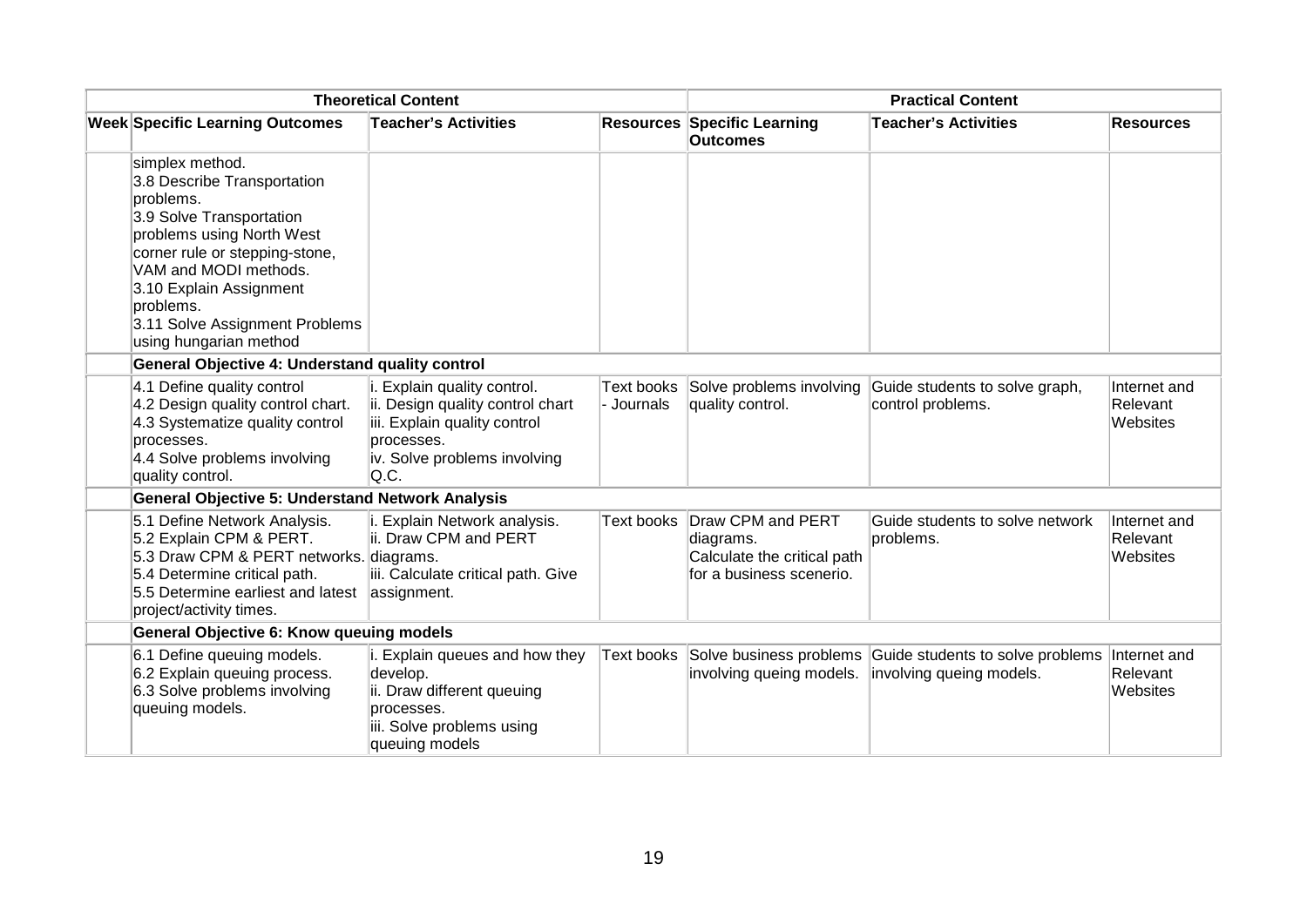| <b>Theoretical Content</b> |                                                                                                                                                                                                                                                                                     |                                                                                                                                                       | <b>Practical Content</b> |                                                                                           |                                                                                                 |                                      |
|----------------------------|-------------------------------------------------------------------------------------------------------------------------------------------------------------------------------------------------------------------------------------------------------------------------------------|-------------------------------------------------------------------------------------------------------------------------------------------------------|--------------------------|-------------------------------------------------------------------------------------------|-------------------------------------------------------------------------------------------------|--------------------------------------|
|                            | <b>Week Specific Learning Outcomes</b>                                                                                                                                                                                                                                              | <b>Teacher's Activities</b>                                                                                                                           |                          | <b>Resources Specific Learning</b><br><b>Outcomes</b>                                     | <b>Teacher's Activities</b>                                                                     | <b>Resources</b>                     |
|                            | simplex method.<br>3.8 Describe Transportation<br>problems.<br>3.9 Solve Transportation<br>problems using North West<br>corner rule or stepping-stone,<br>VAM and MODI methods.<br>3.10 Explain Assignment<br>problems.<br>3.11 Solve Assignment Problems<br>using hungarian method |                                                                                                                                                       |                          |                                                                                           |                                                                                                 |                                      |
|                            | General Objective 4: Understand quality control                                                                                                                                                                                                                                     |                                                                                                                                                       |                          |                                                                                           |                                                                                                 |                                      |
|                            | 4.1 Define quality control<br>4.2 Design quality control chart.<br>4.3 Systematize quality control<br>processes.<br>4.4 Solve problems involving<br>quality control.                                                                                                                | i. Explain quality control.<br>ii. Design quality control chart<br>iii. Explain quality control<br>processes.<br>iv. Solve problems involving<br>Q.C. | - Journals               | Text books Solve problems involving<br>quality control.                                   | Guide students to solve graph,<br>control problems.                                             | Internet and<br>Relevant<br>Websites |
|                            | <b>General Objective 5: Understand Network Analysis</b>                                                                                                                                                                                                                             |                                                                                                                                                       |                          |                                                                                           |                                                                                                 |                                      |
|                            | 5.1 Define Network Analysis.<br>5.2 Explain CPM & PERT.<br>5.3 Draw CPM & PERT networks. diagrams.<br>5.4 Determine critical path.<br>5.5 Determine earliest and latest<br>project/activity times.                                                                                  | i. Explain Network analysis.<br>ii. Draw CPM and PERT<br>iii. Calculate critical path. Give<br>assignment.                                            | Text books               | Draw CPM and PERT<br>diagrams.<br>Calculate the critical path<br>for a business scenerio. | Guide students to solve network<br>problems.                                                    | Internet and<br>Relevant<br>Websites |
|                            | <b>General Objective 6: Know queuing models</b>                                                                                                                                                                                                                                     |                                                                                                                                                       |                          |                                                                                           |                                                                                                 |                                      |
|                            | 6.1 Define queuing models.<br>6.2 Explain queuing process.<br>6.3 Solve problems involving<br>queuing models.                                                                                                                                                                       | i. Explain queues and how they<br>develop.<br>ii. Draw different queuing<br>processes.<br>iii. Solve problems using<br>queuing models                 |                          | involving queing models.                                                                  | Text books Solve business problems Guide students to solve problems<br>involving queing models. | Internet and<br>Relevant<br>Websites |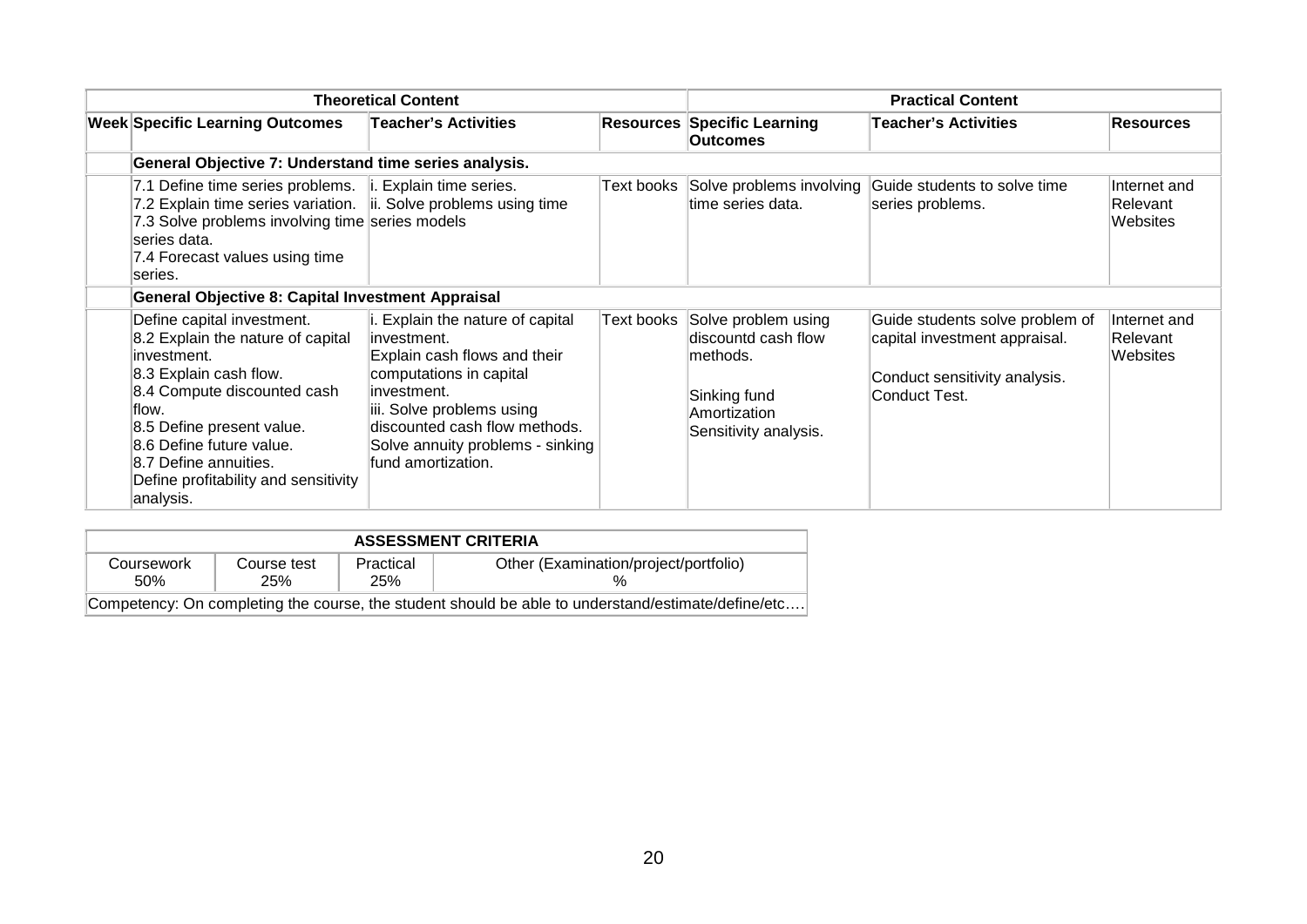| <b>Theoretical Content</b>                                                                                                                                                                                                                                                               |                                                                                                                                                                                                                                                     |            | <b>Practical Content</b>                                                                                         |                                                                                                                    |                                      |
|------------------------------------------------------------------------------------------------------------------------------------------------------------------------------------------------------------------------------------------------------------------------------------------|-----------------------------------------------------------------------------------------------------------------------------------------------------------------------------------------------------------------------------------------------------|------------|------------------------------------------------------------------------------------------------------------------|--------------------------------------------------------------------------------------------------------------------|--------------------------------------|
| <b>Week Specific Learning Outcomes</b>                                                                                                                                                                                                                                                   | <b>Teacher's Activities</b>                                                                                                                                                                                                                         |            | <b>Resources Specific Learning</b><br><b>Outcomes</b>                                                            | <b>Teacher's Activities</b>                                                                                        | <b>Resources</b>                     |
| General Objective 7: Understand time series analysis.                                                                                                                                                                                                                                    |                                                                                                                                                                                                                                                     |            |                                                                                                                  |                                                                                                                    |                                      |
| 7.1 Define time series problems.<br>7.2 Explain time series variation.   ii. Solve problems using time<br>7.3 Solve problems involving time series models<br>series data.<br>7.4 Forecast values using time<br>series.                                                                   | i. Explain time series.                                                                                                                                                                                                                             | Text books | Solve problems involving<br>ltime series data.                                                                   | Guide students to solve time<br>series problems.                                                                   | Internet and<br>Relevant<br>Websites |
| <b>General Objective 8: Capital Investment Appraisal</b>                                                                                                                                                                                                                                 |                                                                                                                                                                                                                                                     |            |                                                                                                                  |                                                                                                                    |                                      |
| Define capital investment.<br>8.2 Explain the nature of capital<br>linvestment.<br>8.3 Explain cash flow.<br>8.4 Compute discounted cash<br>flow.<br>8.5 Define present value.<br>8.6 Define future value.<br>8.7 Define annuities.<br>Define profitability and sensitivity<br>analysis. | i. Explain the nature of capital<br>linvestment.<br>Explain cash flows and their<br>computations in capital<br>linvestment.<br>iii. Solve problems using<br>discounted cash flow methods.<br>Solve annuity problems - sinking<br>fund amortization. | Text books | Solve problem using<br>discountd cash flow<br>lmethods.<br>Sinking fund<br>Amortization<br>Sensitivity analysis. | Guide students solve problem of<br>capital investment appraisal.<br>Conduct sensitivity analysis.<br>Conduct Test. | Internet and<br>Relevant<br>Websites |

| <b>ASSESSMENT CRITERIA</b> |                           |                  |                                                                                                    |  |  |  |  |  |
|----------------------------|---------------------------|------------------|----------------------------------------------------------------------------------------------------|--|--|--|--|--|
| Coursework<br>.50%         | Course test<br><b>25%</b> | Practical<br>25% | Other (Examination/project/portfolio)                                                              |  |  |  |  |  |
|                            |                           |                  | Competency: On completing the course, the student should be able to understand/estimate/define/etc |  |  |  |  |  |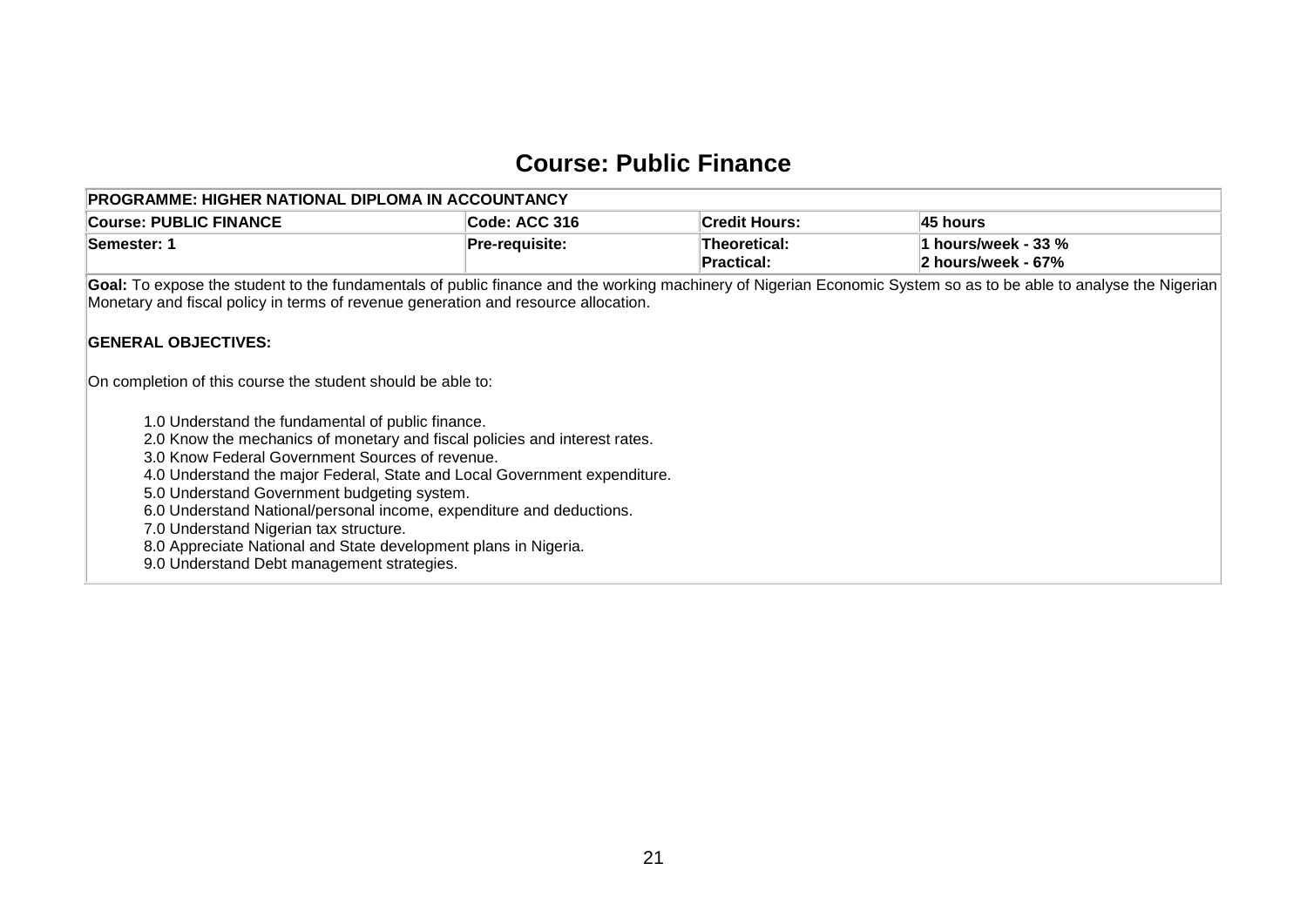### **Course: Public Finance**

<span id="page-22-0"></span>

| <b>PROGRAMME: HIGHER NATIONAL DIPLOMA IN ACCOUNTANCY</b>                                                                     |                                                                                                                                                                                                                                                        |                                   |                                           |  |  |  |  |  |  |  |
|------------------------------------------------------------------------------------------------------------------------------|--------------------------------------------------------------------------------------------------------------------------------------------------------------------------------------------------------------------------------------------------------|-----------------------------------|-------------------------------------------|--|--|--|--|--|--|--|
| <b>Course: PUBLIC FINANCE</b>                                                                                                | Code: ACC 316                                                                                                                                                                                                                                          | <b>Credit Hours:</b>              | 45 hours                                  |  |  |  |  |  |  |  |
| Semester: 1                                                                                                                  | Pre-requisite:                                                                                                                                                                                                                                         | Theoretical:<br><b>Practical:</b> | 1 hours/week - 33 %<br>2 hours/week - 67% |  |  |  |  |  |  |  |
|                                                                                                                              | Goal: To expose the student to the fundamentals of public finance and the working machinery of Nigerian Economic System so as to be able to analyse the Nigerian<br>Monetary and fiscal policy in terms of revenue generation and resource allocation. |                                   |                                           |  |  |  |  |  |  |  |
| <b>GENERAL OBJECTIVES:</b>                                                                                                   |                                                                                                                                                                                                                                                        |                                   |                                           |  |  |  |  |  |  |  |
| On completion of this course the student should be able to:                                                                  |                                                                                                                                                                                                                                                        |                                   |                                           |  |  |  |  |  |  |  |
| 1.0 Understand the fundamental of public finance.                                                                            |                                                                                                                                                                                                                                                        |                                   |                                           |  |  |  |  |  |  |  |
| 2.0 Know the mechanics of monetary and fiscal policies and interest rates.                                                   |                                                                                                                                                                                                                                                        |                                   |                                           |  |  |  |  |  |  |  |
| 3.0 Know Federal Government Sources of revenue.<br>4.0 Understand the major Federal, State and Local Government expenditure. |                                                                                                                                                                                                                                                        |                                   |                                           |  |  |  |  |  |  |  |
| 5.0 Understand Government budgeting system.                                                                                  |                                                                                                                                                                                                                                                        |                                   |                                           |  |  |  |  |  |  |  |
| 6.0 Understand National/personal income, expenditure and deductions.                                                         |                                                                                                                                                                                                                                                        |                                   |                                           |  |  |  |  |  |  |  |
| 7.0 Understand Nigerian tax structure.                                                                                       |                                                                                                                                                                                                                                                        |                                   |                                           |  |  |  |  |  |  |  |
| 8.0 Appreciate National and State development plans in Nigeria.                                                              |                                                                                                                                                                                                                                                        |                                   |                                           |  |  |  |  |  |  |  |
| 9.0 Understand Debt management strategies.                                                                                   |                                                                                                                                                                                                                                                        |                                   |                                           |  |  |  |  |  |  |  |
|                                                                                                                              |                                                                                                                                                                                                                                                        |                                   |                                           |  |  |  |  |  |  |  |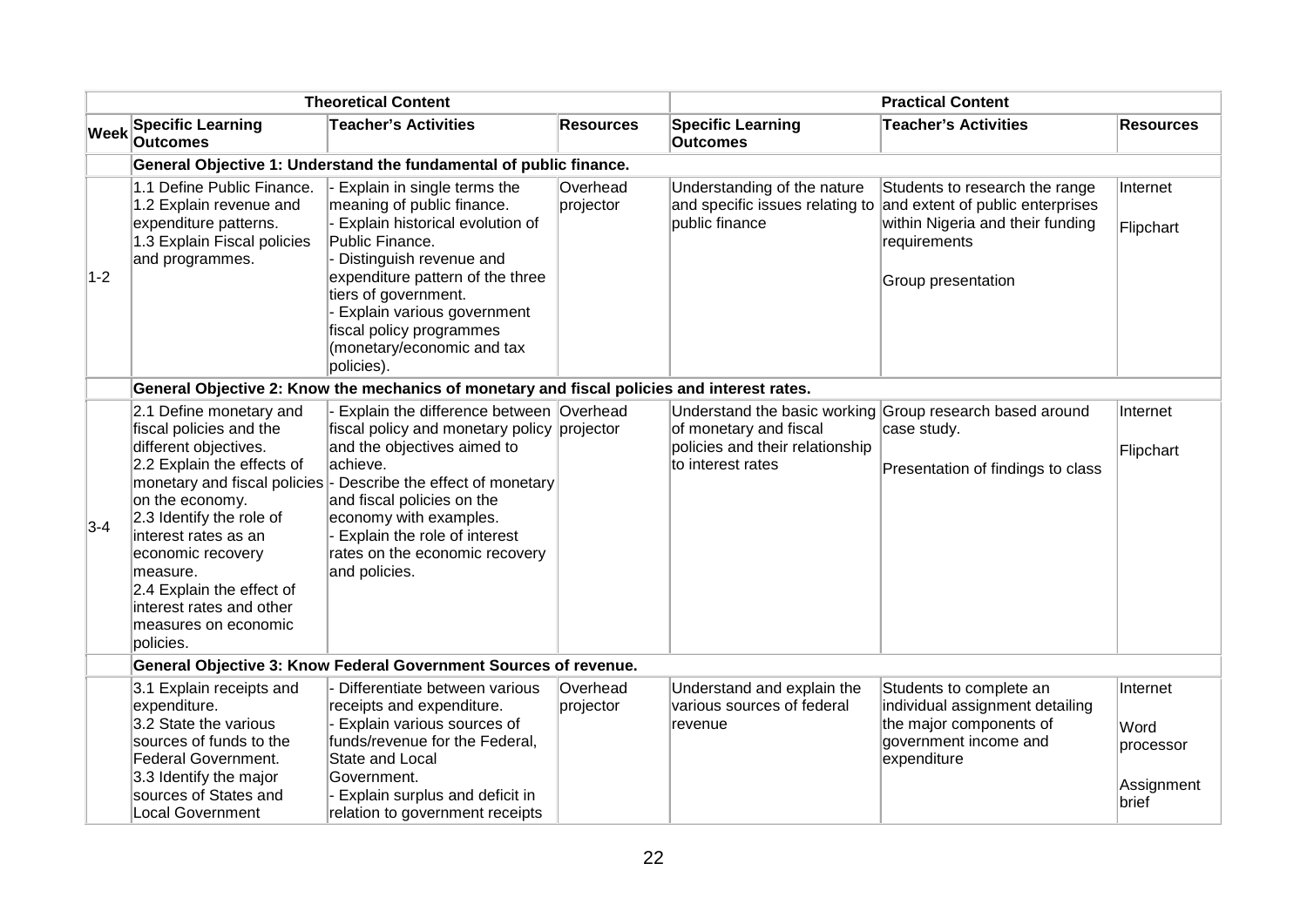|       |                                                                                                                                                                                                                                                                                                                 | <b>Theoretical Content</b>                                                                                                                                                                                                                                                                                                                     |                       |                                                                                  | <b>Practical Content</b>                                                                                                                     |                                                      |
|-------|-----------------------------------------------------------------------------------------------------------------------------------------------------------------------------------------------------------------------------------------------------------------------------------------------------------------|------------------------------------------------------------------------------------------------------------------------------------------------------------------------------------------------------------------------------------------------------------------------------------------------------------------------------------------------|-----------------------|----------------------------------------------------------------------------------|----------------------------------------------------------------------------------------------------------------------------------------------|------------------------------------------------------|
| Week  | <b>Specific Learning</b><br><b>Outcomes</b>                                                                                                                                                                                                                                                                     | <b>Teacher's Activities</b>                                                                                                                                                                                                                                                                                                                    | <b>Resources</b>      | <b>Specific Learning</b><br><b>Outcomes</b>                                      | <b>Teacher's Activities</b>                                                                                                                  | <b>Resources</b>                                     |
|       |                                                                                                                                                                                                                                                                                                                 | General Objective 1: Understand the fundamental of public finance.                                                                                                                                                                                                                                                                             |                       |                                                                                  |                                                                                                                                              |                                                      |
| $1-2$ | 1.1 Define Public Finance.<br>1.2 Explain revenue and<br>expenditure patterns.<br>1.3 Explain Fiscal policies<br>and programmes.                                                                                                                                                                                | Explain in single terms the<br>meaning of public finance.<br>Explain historical evolution of<br>Public Finance.<br>Distinguish revenue and<br>expenditure pattern of the three<br>tiers of government.<br>Explain various government<br>fiscal policy programmes<br>(monetary/economic and tax<br>policies).                                   | Overhead<br>projector | Understanding of the nature<br>and specific issues relating to<br>public finance | Students to research the range<br>and extent of public enterprises<br>within Nigeria and their funding<br>requirements<br>Group presentation | Internet<br>Flipchart                                |
|       |                                                                                                                                                                                                                                                                                                                 | General Objective 2: Know the mechanics of monetary and fiscal policies and interest rates.                                                                                                                                                                                                                                                    |                       |                                                                                  |                                                                                                                                              |                                                      |
| $3-4$ | 2.1 Define monetary and<br>fiscal policies and the<br>different objectives.<br>2.2 Explain the effects of<br>on the economy.<br>2.3 Identify the role of<br>interest rates as an<br>economic recovery<br>measure.<br>2.4 Explain the effect of<br>interest rates and other<br>measures on economic<br>policies. | Explain the difference between Overhead<br>fiscal policy and monetary policy projector<br>and the objectives aimed to<br>achieve.<br>monetary and fiscal policies - Describe the effect of monetary<br>and fiscal policies on the<br>economy with examples.<br>Explain the role of interest<br>rates on the economic recovery<br>and policies. |                       | of monetary and fiscal<br>policies and their relationship<br>to interest rates   | Understand the basic working Group research based around<br>case study.<br>Presentation of findings to class                                 | Internet<br>Flipchart                                |
|       |                                                                                                                                                                                                                                                                                                                 | General Objective 3: Know Federal Government Sources of revenue.                                                                                                                                                                                                                                                                               |                       |                                                                                  |                                                                                                                                              |                                                      |
|       | 3.1 Explain receipts and<br>expenditure.<br>3.2 State the various<br>sources of funds to the<br>Federal Government.<br>3.3 Identify the major<br>sources of States and<br><b>Local Government</b>                                                                                                               | Differentiate between various<br>receipts and expenditure.<br>Explain various sources of<br>funds/revenue for the Federal,<br>State and Local<br>Government.<br>Explain surplus and deficit in<br>relation to government receipts                                                                                                              | Overhead<br>projector | Understand and explain the<br>various sources of federal<br>revenue              | Students to complete an<br>individual assignment detailing<br>the major components of<br>government income and<br>expenditure                | Internet<br>Word<br>processor<br>Assignment<br>brief |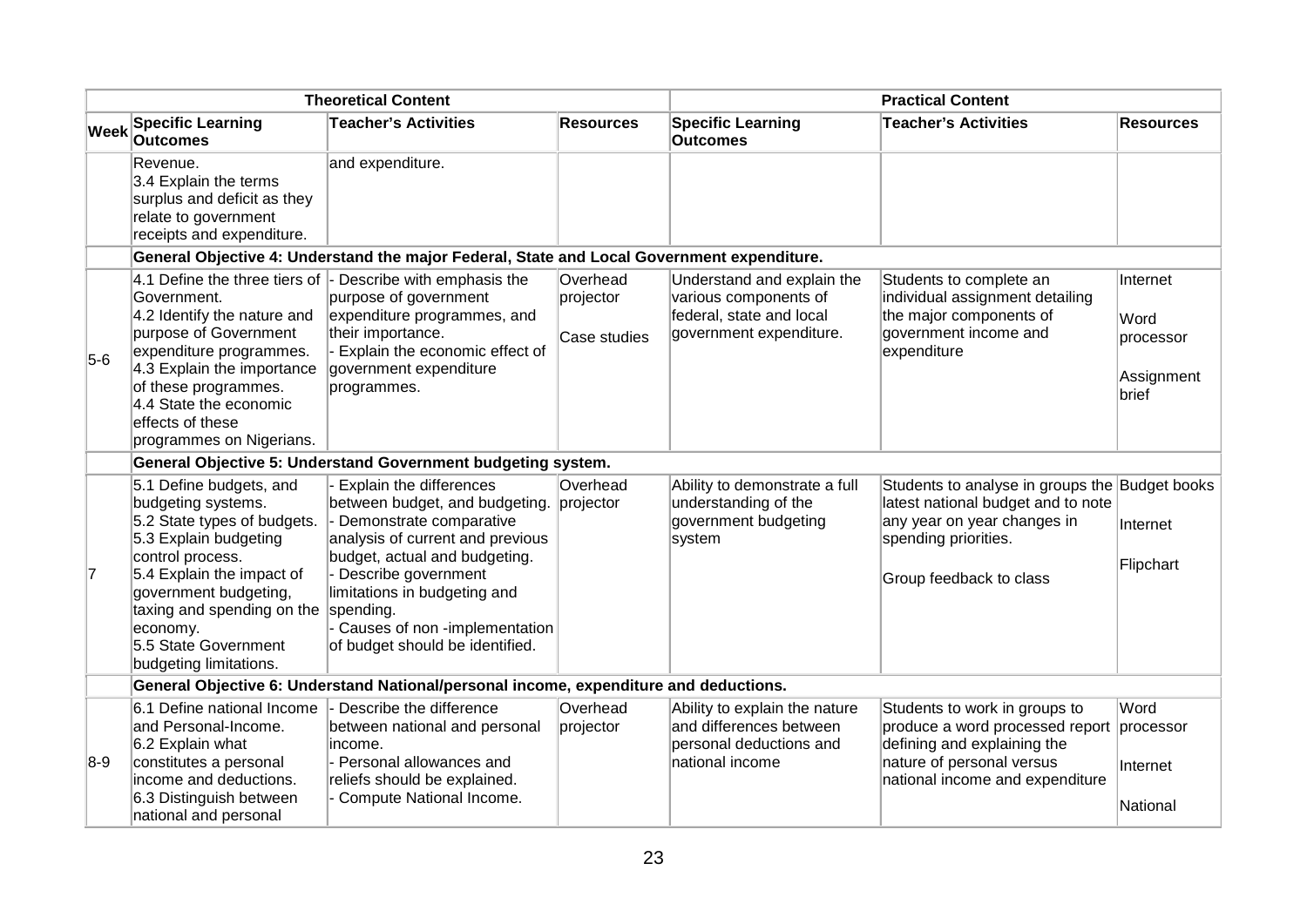| <b>Theoretical Content</b> |                                                                                                                                                                                                                                                                             |                                                                                                                                                                                                                                                                                                   | <b>Practical Content</b>              |                                                                                                            |                                                                                                                                                                           |                                                      |
|----------------------------|-----------------------------------------------------------------------------------------------------------------------------------------------------------------------------------------------------------------------------------------------------------------------------|---------------------------------------------------------------------------------------------------------------------------------------------------------------------------------------------------------------------------------------------------------------------------------------------------|---------------------------------------|------------------------------------------------------------------------------------------------------------|---------------------------------------------------------------------------------------------------------------------------------------------------------------------------|------------------------------------------------------|
| <b>Week</b>                | <b>Specific Learning</b><br><b>Outcomes</b>                                                                                                                                                                                                                                 | <b>Teacher's Activities</b>                                                                                                                                                                                                                                                                       | <b>Resources</b>                      | <b>Specific Learning</b><br><b>Outcomes</b>                                                                | <b>Teacher's Activities</b>                                                                                                                                               | <b>Resources</b>                                     |
|                            | Revenue.<br>3.4 Explain the terms<br>surplus and deficit as they<br>relate to government<br>receipts and expenditure.                                                                                                                                                       | and expenditure.                                                                                                                                                                                                                                                                                  |                                       |                                                                                                            |                                                                                                                                                                           |                                                      |
|                            |                                                                                                                                                                                                                                                                             | General Objective 4: Understand the major Federal, State and Local Government expenditure.                                                                                                                                                                                                        |                                       |                                                                                                            |                                                                                                                                                                           |                                                      |
| $5-6$                      | 4.1 Define the three tiers of<br>Government.<br>4.2 Identify the nature and<br>purpose of Government<br>expenditure programmes.<br>4.3 Explain the importance<br>of these programmes.<br>4.4 State the economic<br>effects of these<br>programmes on Nigerians.             | - Describe with emphasis the<br>purpose of government<br>expenditure programmes, and<br>their importance.<br>Explain the economic effect of<br>government expenditure<br>programmes.                                                                                                              | Overhead<br>projector<br>Case studies | Understand and explain the<br>various components of<br>federal, state and local<br>government expenditure. | Students to complete an<br>individual assignment detailing<br>the major components of<br>government income and<br>expenditure                                             | Internet<br>Word<br>processor<br>Assignment<br>brief |
|                            |                                                                                                                                                                                                                                                                             | General Objective 5: Understand Government budgeting system.                                                                                                                                                                                                                                      |                                       |                                                                                                            |                                                                                                                                                                           |                                                      |
| 7                          | 5.1 Define budgets, and<br>budgeting systems.<br>5.2 State types of budgets.<br>5.3 Explain budgeting<br>control process.<br>5.4 Explain the impact of<br>government budgeting,<br>taxing and spending on the<br>economy.<br>5.5 State Government<br>budgeting limitations. | Explain the differences<br>between budget, and budgeting.<br>Demonstrate comparative<br>analysis of current and previous<br>budget, actual and budgeting.<br>Describe government<br>limitations in budgeting and<br>spending.<br>Causes of non -implementation<br>of budget should be identified. | Overhead<br>projector                 | Ability to demonstrate a full<br>understanding of the<br>government budgeting<br>system                    | Students to analyse in groups the Budget books<br>latest national budget and to note<br>any year on year changes in<br>spending priorities.<br>Group feedback to class    | Internet<br>Flipchart                                |
|                            |                                                                                                                                                                                                                                                                             | General Objective 6: Understand National/personal income, expenditure and deductions.                                                                                                                                                                                                             |                                       |                                                                                                            |                                                                                                                                                                           |                                                      |
| $8-9$                      | 6.1 Define national Income<br>and Personal-Income.<br>6.2 Explain what<br>constitutes a personal<br>income and deductions.<br>6.3 Distinguish between<br>national and personal                                                                                              | Describe the difference<br>between national and personal<br>income.<br>- Personal allowances and<br>reliefs should be explained.<br>Compute National Income.                                                                                                                                      | Overhead<br>projector                 | Ability to explain the nature<br>and differences between<br>personal deductions and<br>national income     | Students to work in groups to<br>produce a word processed report processor<br>defining and explaining the<br>nature of personal versus<br>national income and expenditure | Word<br>Internet<br>National                         |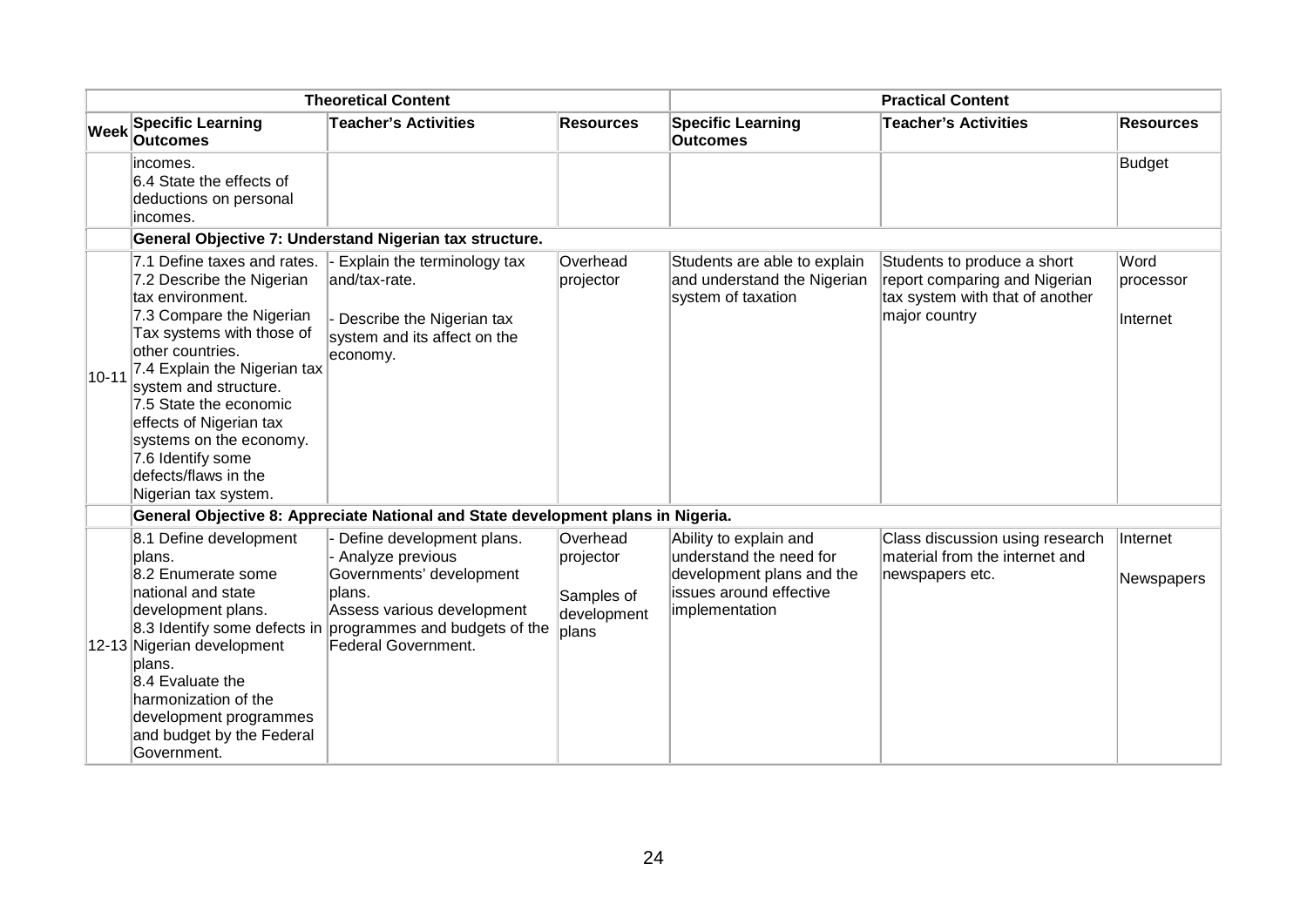| <b>Theoretical Content</b> |                                                                                                                                                                                                                                                                                                                                                                         |                                                                                                                                                                                                               | <b>Practical Content</b>                                    |                                                                                                                             |                                                                                                                  |                               |
|----------------------------|-------------------------------------------------------------------------------------------------------------------------------------------------------------------------------------------------------------------------------------------------------------------------------------------------------------------------------------------------------------------------|---------------------------------------------------------------------------------------------------------------------------------------------------------------------------------------------------------------|-------------------------------------------------------------|-----------------------------------------------------------------------------------------------------------------------------|------------------------------------------------------------------------------------------------------------------|-------------------------------|
| <b>Week</b>                | <b>Specific Learning</b><br><b>Outcomes</b>                                                                                                                                                                                                                                                                                                                             | <b>Teacher's Activities</b>                                                                                                                                                                                   | <b>Resources</b>                                            | <b>Specific Learning</b><br><b>Outcomes</b>                                                                                 | <b>Teacher's Activities</b>                                                                                      | <b>Resources</b>              |
|                            | lincomes.<br>6.4 State the effects of<br>deductions on personal<br>incomes.                                                                                                                                                                                                                                                                                             |                                                                                                                                                                                                               |                                                             |                                                                                                                             |                                                                                                                  | Budget                        |
|                            |                                                                                                                                                                                                                                                                                                                                                                         | General Objective 7: Understand Nigerian tax structure.                                                                                                                                                       |                                                             |                                                                                                                             |                                                                                                                  |                               |
| $10 - 11$                  | 7.1 Define taxes and rates.<br>7.2 Describe the Nigerian<br>tax environment.<br>7.3 Compare the Nigerian<br>Tax systems with those of<br>other countries.<br>7.4 Explain the Nigerian tax<br>system and structure.<br>7.5 State the economic<br>effects of Nigerian tax<br>systems on the economy.<br>7.6 Identify some<br>defects/flaws in the<br>Nigerian tax system. | Explain the terminology tax<br>and/tax-rate.<br>Describe the Nigerian tax<br>system and its affect on the<br>economy.                                                                                         | Overhead<br>projector                                       | Students are able to explain<br>and understand the Nigerian<br>system of taxation                                           | Students to produce a short<br>report comparing and Nigerian<br>tax system with that of another<br>major country | Word<br>processor<br>Internet |
|                            |                                                                                                                                                                                                                                                                                                                                                                         | General Objective 8: Appreciate National and State development plans in Nigeria.                                                                                                                              |                                                             |                                                                                                                             |                                                                                                                  |                               |
|                            | 8.1 Define development<br>plans.<br>8.2 Enumerate some<br>national and state<br>development plans.<br>12-13 Nigerian development<br>lplans.<br>8.4 Evaluate the<br>harmonization of the<br>development programmes<br>and budget by the Federal<br>Government.                                                                                                           | Define development plans.<br>Analyze previous<br>Governments' development<br>plans.<br>Assess various development<br>8.3 Identify some defects in programmes and budgets of the<br><b>Federal Government.</b> | Overhead<br>projector<br>Samples of<br>development<br>plans | Ability to explain and<br>understand the need for<br>development plans and the<br>issues around effective<br>implementation | Class discussion using research<br>material from the internet and<br>newspapers etc.                             | Internet<br>Newspapers        |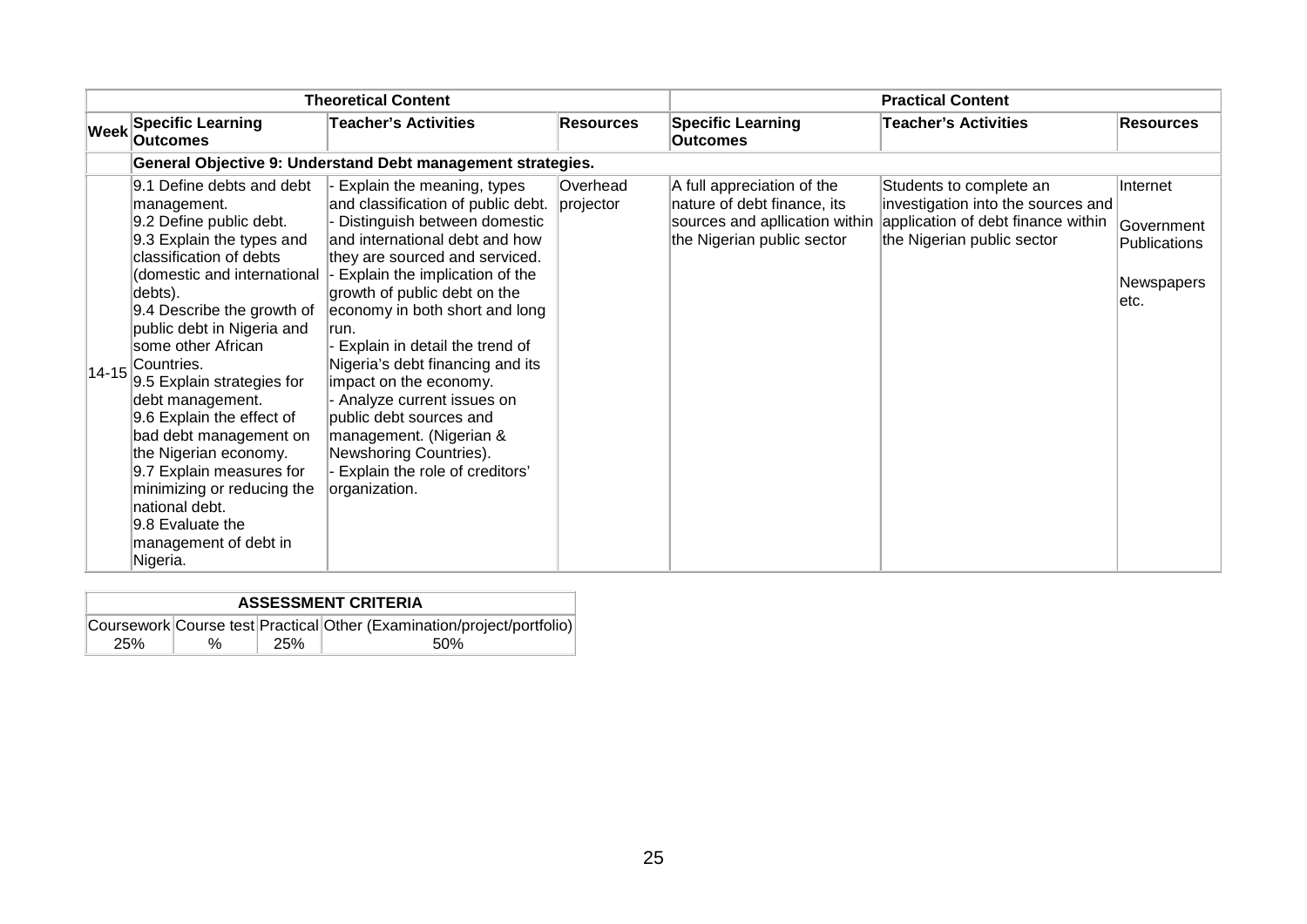| <b>Theoretical Content</b> |                                                                                                                                                                                                                                                                                                                                                                                                                                                                                                                                              |                                                                                                                                                                                                                                                                                                                                                                                                                                                                                                                                                      |                       | <b>Practical Content</b>                                                                                                  |                                                                                                                                   |                                                                      |  |
|----------------------------|----------------------------------------------------------------------------------------------------------------------------------------------------------------------------------------------------------------------------------------------------------------------------------------------------------------------------------------------------------------------------------------------------------------------------------------------------------------------------------------------------------------------------------------------|------------------------------------------------------------------------------------------------------------------------------------------------------------------------------------------------------------------------------------------------------------------------------------------------------------------------------------------------------------------------------------------------------------------------------------------------------------------------------------------------------------------------------------------------------|-----------------------|---------------------------------------------------------------------------------------------------------------------------|-----------------------------------------------------------------------------------------------------------------------------------|----------------------------------------------------------------------|--|
| <b>Week</b>                | <b>Specific Learning</b><br><b>Outcomes</b>                                                                                                                                                                                                                                                                                                                                                                                                                                                                                                  | <b>Teacher's Activities</b>                                                                                                                                                                                                                                                                                                                                                                                                                                                                                                                          | <b>Resources</b>      | <b>Specific Learning</b><br><b>Outcomes</b>                                                                               | <b>Teacher's Activities</b>                                                                                                       | <b>Resources</b>                                                     |  |
|                            |                                                                                                                                                                                                                                                                                                                                                                                                                                                                                                                                              | General Objective 9: Understand Debt management strategies.                                                                                                                                                                                                                                                                                                                                                                                                                                                                                          |                       |                                                                                                                           |                                                                                                                                   |                                                                      |  |
| $14 - 15$                  | 9.1 Define debts and debt<br>management.<br>9.2 Define public debt.<br>9.3 Explain the types and<br>classification of debts<br>(domestic and international<br>debts).<br>9.4 Describe the growth of<br>public debt in Nigeria and<br>some other African<br>Countries.<br>9.5 Explain strategies for<br>debt management.<br>9.6 Explain the effect of<br>bad debt management on<br>the Nigerian economy.<br>9.7 Explain measures for<br>minimizing or reducing the<br>national debt.<br>9.8 Evaluate the<br>management of debt in<br>Nigeria. | Explain the meaning, types<br>and classification of public debt.<br>Distinguish between domestic<br>and international debt and how<br>they are sourced and serviced.<br>- Explain the implication of the<br>growth of public debt on the<br>economy in both short and long<br>run.<br>Explain in detail the trend of<br>Nigeria's debt financing and its<br>impact on the economy.<br>- Analyze current issues on<br>public debt sources and<br>management. (Nigerian &<br>Newshoring Countries).<br>Explain the role of creditors'<br>organization. | Overhead<br>projector | A full appreciation of the<br>nature of debt finance, its<br>sources and apllication within<br>the Nigerian public sector | Students to complete an<br>investigation into the sources and<br>application of debt finance within<br>the Nigerian public sector | Internet<br>Government<br><b>Publications</b><br>Newspapers<br>letc. |  |

| <b>ASSESSMENT CRITERIA</b> |      |     |                                                                        |  |  |  |
|----------------------------|------|-----|------------------------------------------------------------------------|--|--|--|
|                            |      |     | Coursework Course test Practical Other (Examination/project/portfolio) |  |  |  |
| <b>25%</b>                 | $\%$ | 25% | .50%                                                                   |  |  |  |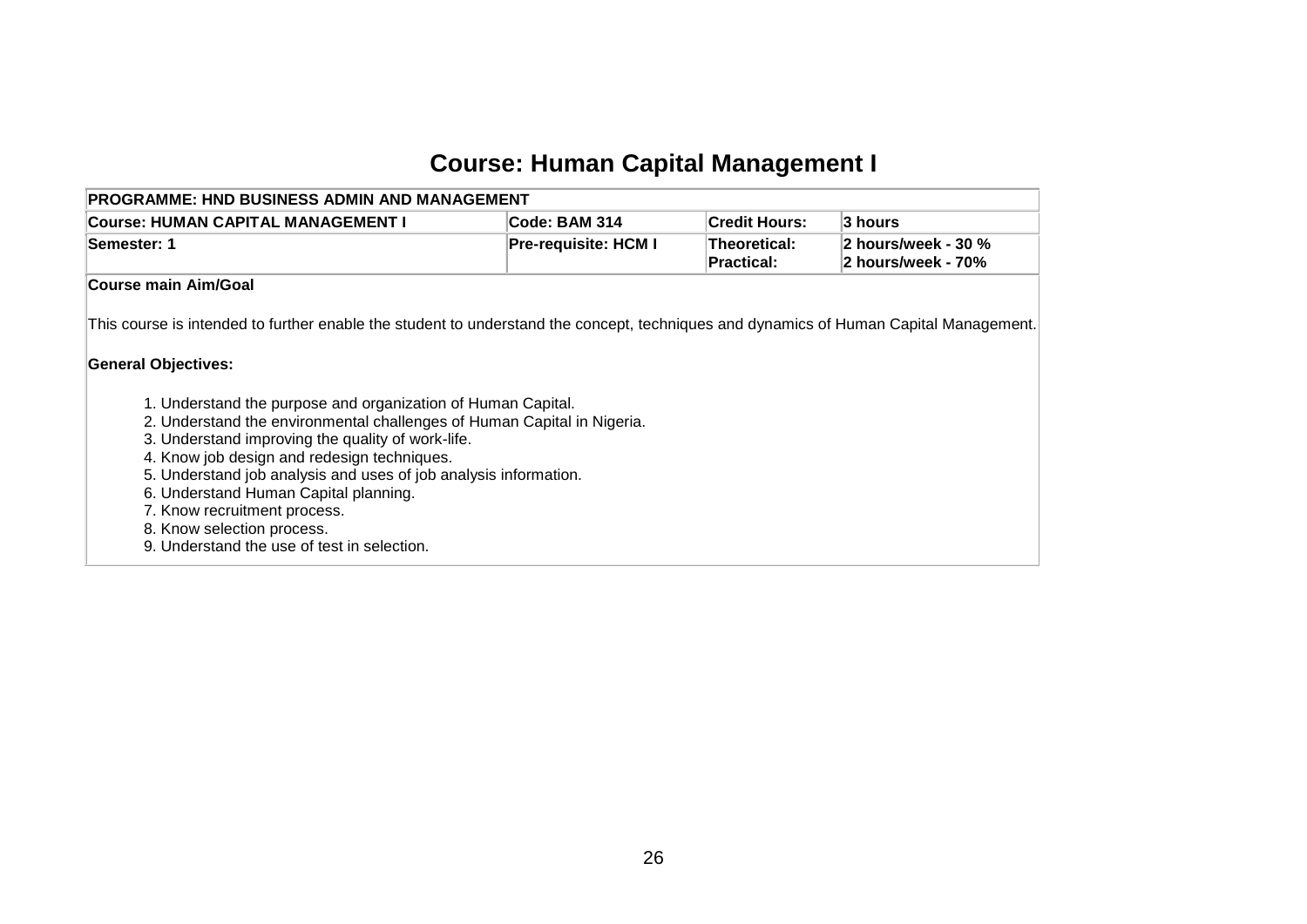# **Course: Human Capital Management I**

<span id="page-27-0"></span>

| <b>PROGRAMME: HND BUSINESS ADMIN AND MANAGEMENT</b>                                                                                                                                                                                                                                                                                                                                                                                                                                                                                                                                                                                          |                             |                                   |                                           |  |  |  |  |  |
|----------------------------------------------------------------------------------------------------------------------------------------------------------------------------------------------------------------------------------------------------------------------------------------------------------------------------------------------------------------------------------------------------------------------------------------------------------------------------------------------------------------------------------------------------------------------------------------------------------------------------------------------|-----------------------------|-----------------------------------|-------------------------------------------|--|--|--|--|--|
| Course: HUMAN CAPITAL MANAGEMENT I                                                                                                                                                                                                                                                                                                                                                                                                                                                                                                                                                                                                           | Code: BAM 314               | <b>Credit Hours:</b>              | 3 hours                                   |  |  |  |  |  |
| Semester: 1                                                                                                                                                                                                                                                                                                                                                                                                                                                                                                                                                                                                                                  | <b>Pre-requisite: HCM I</b> | <b>Theoretical:</b><br>Practical: | 2 hours/week - 30 %<br>2 hours/week - 70% |  |  |  |  |  |
| Course main Aim/Goal                                                                                                                                                                                                                                                                                                                                                                                                                                                                                                                                                                                                                         |                             |                                   |                                           |  |  |  |  |  |
| This course is intended to further enable the student to understand the concept, techniques and dynamics of Human Capital Management.<br><b>General Objectives:</b><br>1. Understand the purpose and organization of Human Capital.<br>2. Understand the environmental challenges of Human Capital in Nigeria.<br>3. Understand improving the quality of work-life.<br>4. Know job design and redesign techniques.<br>5. Understand job analysis and uses of job analysis information.<br>6. Understand Human Capital planning.<br>7. Know recruitment process.<br>8. Know selection process.<br>9. Understand the use of test in selection. |                             |                                   |                                           |  |  |  |  |  |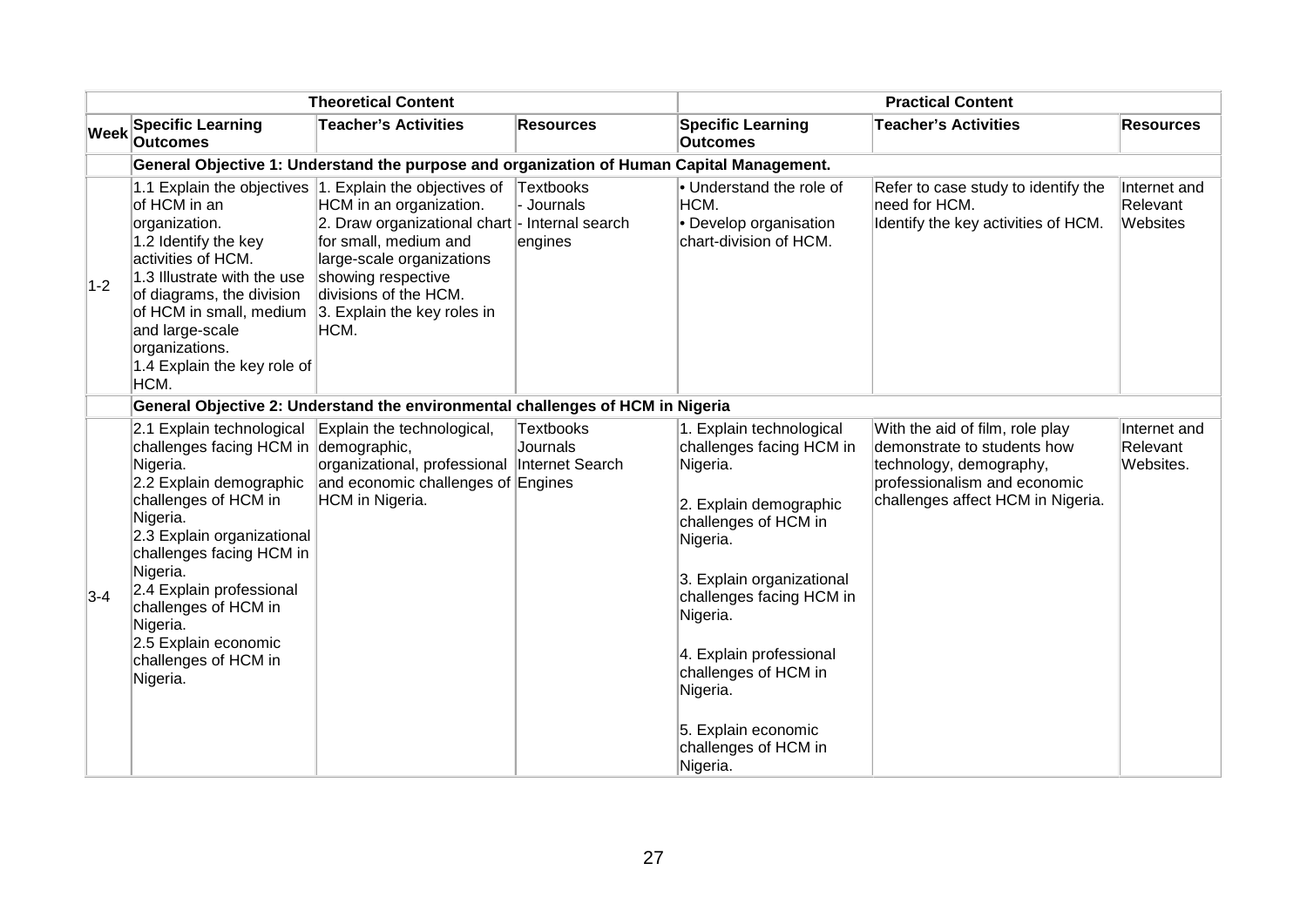| <b>Theoretical Content</b> |                                                                                                                                                                                                                                                                                                                                                 |                                                                                                                                                                                                                                                                                  | <b>Practical Content</b>                  |                                                                                                                                                                                                                                                                                                                               |                                                                                                                                                                |                                       |  |  |
|----------------------------|-------------------------------------------------------------------------------------------------------------------------------------------------------------------------------------------------------------------------------------------------------------------------------------------------------------------------------------------------|----------------------------------------------------------------------------------------------------------------------------------------------------------------------------------------------------------------------------------------------------------------------------------|-------------------------------------------|-------------------------------------------------------------------------------------------------------------------------------------------------------------------------------------------------------------------------------------------------------------------------------------------------------------------------------|----------------------------------------------------------------------------------------------------------------------------------------------------------------|---------------------------------------|--|--|
| <b>Week</b>                | <b>Specific Learning</b><br><b>Outcomes</b>                                                                                                                                                                                                                                                                                                     | <b>Teacher's Activities</b>                                                                                                                                                                                                                                                      | <b>Resources</b>                          | <b>Specific Learning</b><br><b>Outcomes</b>                                                                                                                                                                                                                                                                                   | <b>Teacher's Activities</b>                                                                                                                                    | <b>Resources</b>                      |  |  |
|                            |                                                                                                                                                                                                                                                                                                                                                 | General Objective 1: Understand the purpose and organization of Human Capital Management.                                                                                                                                                                                        |                                           |                                                                                                                                                                                                                                                                                                                               |                                                                                                                                                                |                                       |  |  |
| $1-2$                      | of HCM in an<br>organization.<br>1.2 Identify the key<br>activities of HCM.<br>1.3 Illustrate with the use<br>of diagrams, the division<br>of HCM in small, medium<br>and large-scale<br>organizations.<br>1.4 Explain the key role of<br>HCM.                                                                                                  | 1.1 Explain the objectives 1. Explain the objectives of<br>HCM in an organization.<br>2. Draw organizational chart - Internal search<br>for small, medium and<br>large-scale organizations<br>showing respective<br>divisions of the HCM.<br>3. Explain the key roles in<br>HCM. | <b>Textbooks</b><br>- Journals<br>engines | • Understand the role of<br>HCM.<br>• Develop organisation<br>chart-division of HCM.                                                                                                                                                                                                                                          | Refer to case study to identify the<br>need for HCM.<br>Identify the key activities of HCM.                                                                    | Internet and<br>Relevant<br>Websites  |  |  |
|                            | General Objective 2: Understand the environmental challenges of HCM in Nigeria                                                                                                                                                                                                                                                                  |                                                                                                                                                                                                                                                                                  |                                           |                                                                                                                                                                                                                                                                                                                               |                                                                                                                                                                |                                       |  |  |
| $3-4$                      | 2.1 Explain technological<br>challenges facing HCM in demographic,<br>Nigeria.<br>2.2 Explain demographic<br>challenges of HCM in<br>Nigeria.<br>2.3 Explain organizational<br>challenges facing HCM in<br>Nigeria.<br>2.4 Explain professional<br>challenges of HCM in<br>Nigeria.<br>2.5 Explain economic<br>challenges of HCM in<br>Nigeria. | Explain the technological,<br>organizational, professional Internet Search<br>and economic challenges of Engines<br>HCM in Nigeria.                                                                                                                                              | <b>Textbooks</b><br><b>Journals</b>       | 1. Explain technological<br>challenges facing HCM in<br>Nigeria.<br>2. Explain demographic<br>challenges of HCM in<br>Nigeria.<br>3. Explain organizational<br>challenges facing HCM in<br>Nigeria.<br>4. Explain professional<br>challenges of HCM in<br>Nigeria.<br>5. Explain economic<br>challenges of HCM in<br>Nigeria. | With the aid of film, role play<br>demonstrate to students how<br>technology, demography,<br>professionalism and economic<br>challenges affect HCM in Nigeria. | Internet and<br>Relevant<br>Websites. |  |  |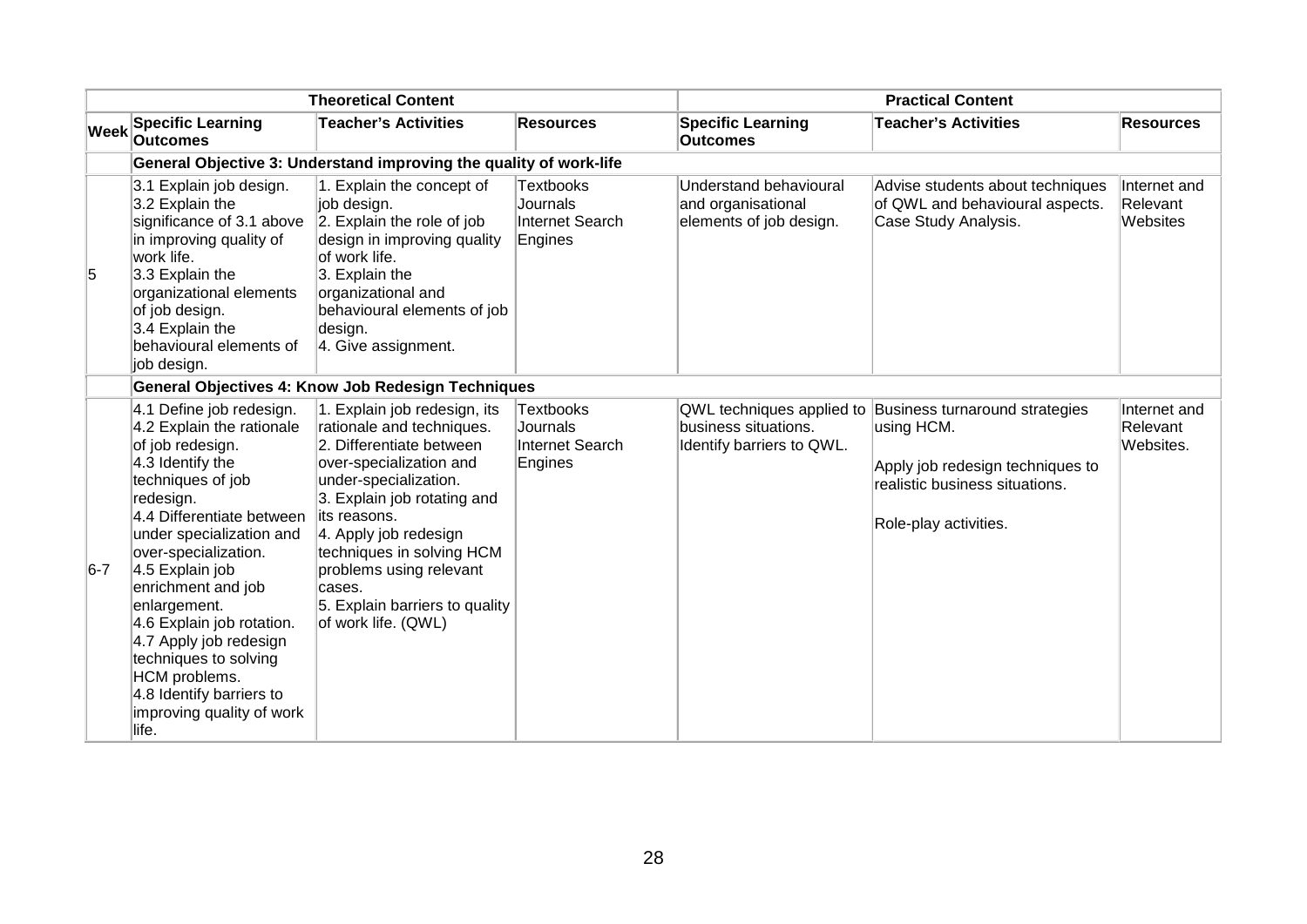| <b>Theoretical Content</b> |                                                                                                                                                                                                                                                                                                                                                                                                                                              |                                                                                                                                                                                                                                                                                                                                               | <b>Practical Content</b>                                   |                                                                                |                                                                                                                                             |                                       |  |  |
|----------------------------|----------------------------------------------------------------------------------------------------------------------------------------------------------------------------------------------------------------------------------------------------------------------------------------------------------------------------------------------------------------------------------------------------------------------------------------------|-----------------------------------------------------------------------------------------------------------------------------------------------------------------------------------------------------------------------------------------------------------------------------------------------------------------------------------------------|------------------------------------------------------------|--------------------------------------------------------------------------------|---------------------------------------------------------------------------------------------------------------------------------------------|---------------------------------------|--|--|
| <b>Week</b>                | <b>Specific Learning</b><br><b>Outcomes</b>                                                                                                                                                                                                                                                                                                                                                                                                  | <b>Teacher's Activities</b>                                                                                                                                                                                                                                                                                                                   | <b>Resources</b>                                           | <b>Specific Learning</b><br><b>Outcomes</b>                                    | <b>Teacher's Activities</b>                                                                                                                 | <b>Resources</b>                      |  |  |
|                            |                                                                                                                                                                                                                                                                                                                                                                                                                                              | General Objective 3: Understand improving the quality of work-life                                                                                                                                                                                                                                                                            |                                                            |                                                                                |                                                                                                                                             |                                       |  |  |
| 5                          | 3.1 Explain job design.<br>3.2 Explain the<br>significance of 3.1 above<br>in improving quality of<br>work life.<br>3.3 Explain the<br>organizational elements<br>of job design.<br>3.4 Explain the<br>behavioural elements of<br>job design.                                                                                                                                                                                                | 1. Explain the concept of<br>job design.<br>2. Explain the role of job<br>design in improving quality<br>lof work life.<br>3. Explain the<br>organizational and<br>behavioural elements of job<br>design.<br>4. Give assignment.                                                                                                              | Textbooks<br>Journals<br>Internet Search<br>Engines        | Understand behavioural<br>and organisational<br>elements of job design.        | Advise students about techniques<br>of QWL and behavioural aspects.<br>Case Study Analysis.                                                 | Internet and<br>Relevant<br>Websites  |  |  |
|                            | <b>General Objectives 4: Know Job Redesign Techniques</b>                                                                                                                                                                                                                                                                                                                                                                                    |                                                                                                                                                                                                                                                                                                                                               |                                                            |                                                                                |                                                                                                                                             |                                       |  |  |
| $6-7$                      | 4.1 Define job redesign.<br>4.2 Explain the rationale<br>of job redesign.<br>4.3 Identify the<br>techniques of job<br>redesign.<br>4.4 Differentiate between<br>under specialization and<br>over-specialization.<br>4.5 Explain job<br>enrichment and job<br>enlargement.<br>4.6 Explain job rotation.<br>4.7 Apply job redesign<br>techniques to solving<br>HCM problems.<br>4.8 Identify barriers to<br>improving quality of work<br>life. | 1. Explain job redesign, its<br>rationale and techniques.<br>2. Differentiate between<br>over-specialization and<br>under-specialization.<br>3. Explain job rotating and<br>lits reasons.<br>4. Apply job redesign<br>techniques in solving HCM<br>problems using relevant<br>cases.<br>5. Explain barriers to quality<br>of work life. (QWL) | <b>Textbooks</b><br>Journals<br>Internet Search<br>Engines | QWL techniques applied to<br>business situations.<br>Identify barriers to QWL. | Business turnaround strategies<br>using HCM.<br>Apply job redesign techniques to<br>realistic business situations.<br>Role-play activities. | Internet and<br>Relevant<br>Websites. |  |  |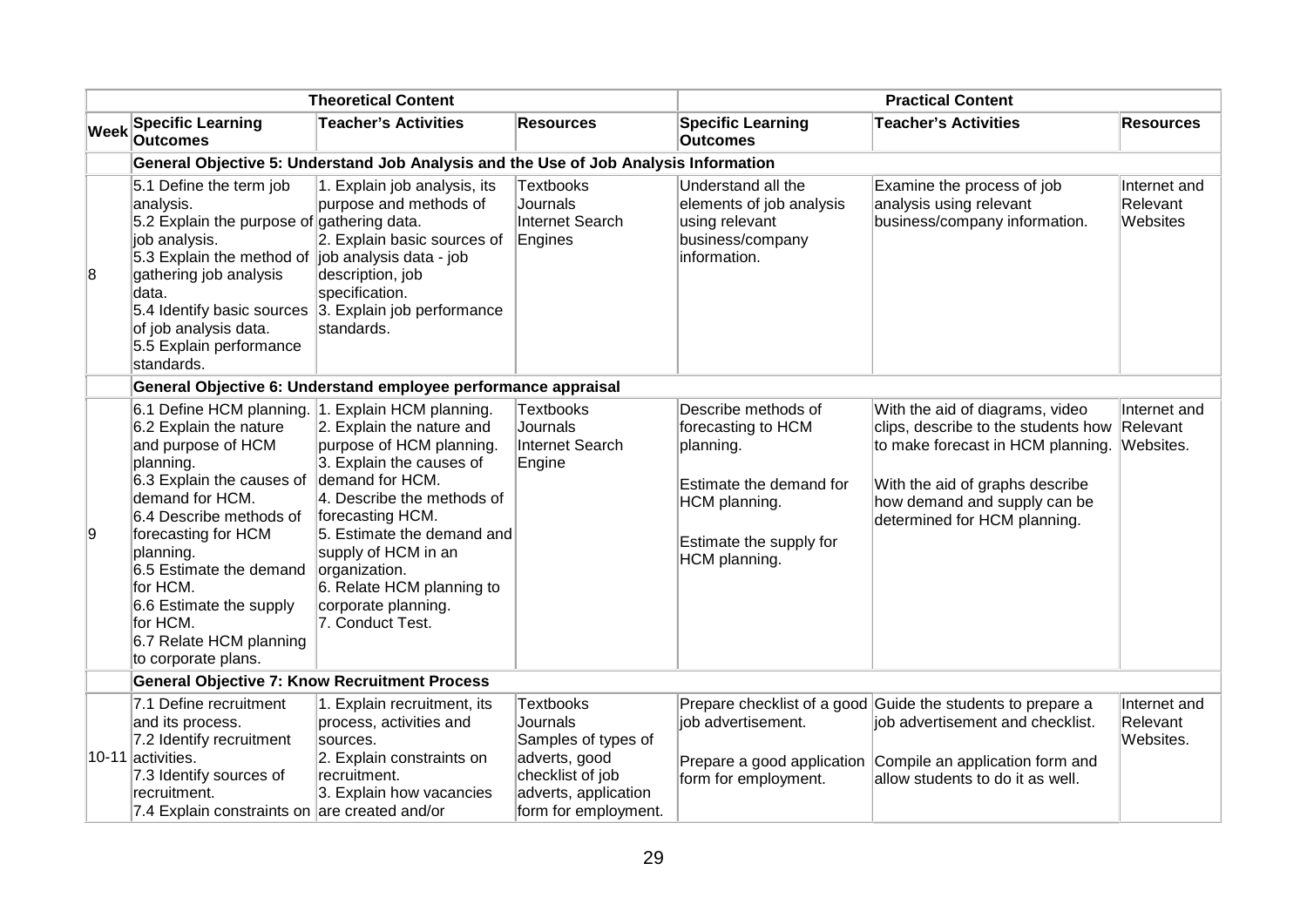| <b>Theoretical Content</b> |                                                                                                                                                                                                                                                                                                                                                               |                                                                                                                                                                                                                                                                                                      | <b>Practical Content</b>                                                                                                                        |                                                                                                                                                |                                                                                                                                                                                                                |                                       |  |
|----------------------------|---------------------------------------------------------------------------------------------------------------------------------------------------------------------------------------------------------------------------------------------------------------------------------------------------------------------------------------------------------------|------------------------------------------------------------------------------------------------------------------------------------------------------------------------------------------------------------------------------------------------------------------------------------------------------|-------------------------------------------------------------------------------------------------------------------------------------------------|------------------------------------------------------------------------------------------------------------------------------------------------|----------------------------------------------------------------------------------------------------------------------------------------------------------------------------------------------------------------|---------------------------------------|--|
| <b>Week</b>                | <b>Specific Learning</b><br><b>Outcomes</b>                                                                                                                                                                                                                                                                                                                   | <b>Teacher's Activities</b>                                                                                                                                                                                                                                                                          | <b>Resources</b>                                                                                                                                | <b>Specific Learning</b><br><b>Outcomes</b>                                                                                                    | <b>Teacher's Activities</b>                                                                                                                                                                                    | <b>Resources</b>                      |  |
|                            | General Objective 5: Understand Job Analysis and the Use of Job Analysis Information                                                                                                                                                                                                                                                                          |                                                                                                                                                                                                                                                                                                      |                                                                                                                                                 |                                                                                                                                                |                                                                                                                                                                                                                |                                       |  |
| 8                          | 5.1 Define the term job<br>analysis.<br>5.2 Explain the purpose of gathering data.<br>job analysis.<br>5.3 Explain the method of job analysis data - job<br>gathering job analysis<br>data.<br>of job analysis data.<br>5.5 Explain performance<br>standards.                                                                                                 | 1. Explain job analysis, its<br>purpose and methods of<br>2. Explain basic sources of<br>description, job<br>specification.<br>5.4 Identify basic sources 3. Explain job performance<br>standards.                                                                                                   | <b>Textbooks</b><br>Journals<br>Internet Search<br>Engines                                                                                      | Understand all the<br>elements of job analysis<br>using relevant<br>business/company<br>information.                                           | Examine the process of job<br>analysis using relevant<br>business/company information.                                                                                                                         | Internet and<br>Relevant<br>Websites  |  |
|                            |                                                                                                                                                                                                                                                                                                                                                               | General Objective 6: Understand employee performance appraisal                                                                                                                                                                                                                                       |                                                                                                                                                 |                                                                                                                                                |                                                                                                                                                                                                                |                                       |  |
| 9                          | 6.1 Define HCM planning. 1. Explain HCM planning.<br>6.2 Explain the nature<br>and purpose of HCM<br>planning.<br>6.3 Explain the causes of<br>demand for HCM.<br>6.4 Describe methods of<br>forecasting for HCM<br>planning.<br>6.5 Estimate the demand<br>for HCM.<br>6.6 Estimate the supply<br>for HCM.<br>6.7 Relate HCM planning<br>to corporate plans. | 2. Explain the nature and<br>purpose of HCM planning.<br>3. Explain the causes of<br>demand for HCM.<br>4. Describe the methods of<br>forecasting HCM.<br>5. Estimate the demand and<br>supply of HCM in an<br>organization.<br>6. Relate HCM planning to<br>corporate planning.<br>7. Conduct Test. | <b>Textbooks</b><br>Journals<br>Internet Search<br>Engine                                                                                       | Describe methods of<br>forecasting to HCM<br>planning.<br>Estimate the demand for<br>HCM planning.<br>Estimate the supply for<br>HCM planning. | With the aid of diagrams, video<br>clips, describe to the students how<br>to make forecast in HCM planning.<br>With the aid of graphs describe<br>how demand and supply can be<br>determined for HCM planning. | Internet and<br>Relevant<br>Websites. |  |
|                            | <b>General Objective 7: Know Recruitment Process</b>                                                                                                                                                                                                                                                                                                          |                                                                                                                                                                                                                                                                                                      |                                                                                                                                                 |                                                                                                                                                |                                                                                                                                                                                                                |                                       |  |
|                            | 7.1 Define recruitment<br>and its process.<br>7.2 Identify recruitment<br>10-11 activities.<br>7.3 Identify sources of<br>recruitment.<br>7.4 Explain constraints on are created and/or                                                                                                                                                                       | 1. Explain recruitment, its<br>process, activities and<br>sources.<br>2. Explain constraints on<br>recruitment.<br>3. Explain how vacancies                                                                                                                                                          | <b>Textbooks</b><br><b>Journals</b><br>Samples of types of<br>adverts, good<br>checklist of job<br>adverts, application<br>form for employment. | job advertisement.<br>form for employment.                                                                                                     | Prepare checklist of a good Guide the students to prepare a<br>job advertisement and checklist.<br>Prepare a good application Compile an application form and<br>allow students to do it as well.              | Internet and<br>Relevant<br>Websites. |  |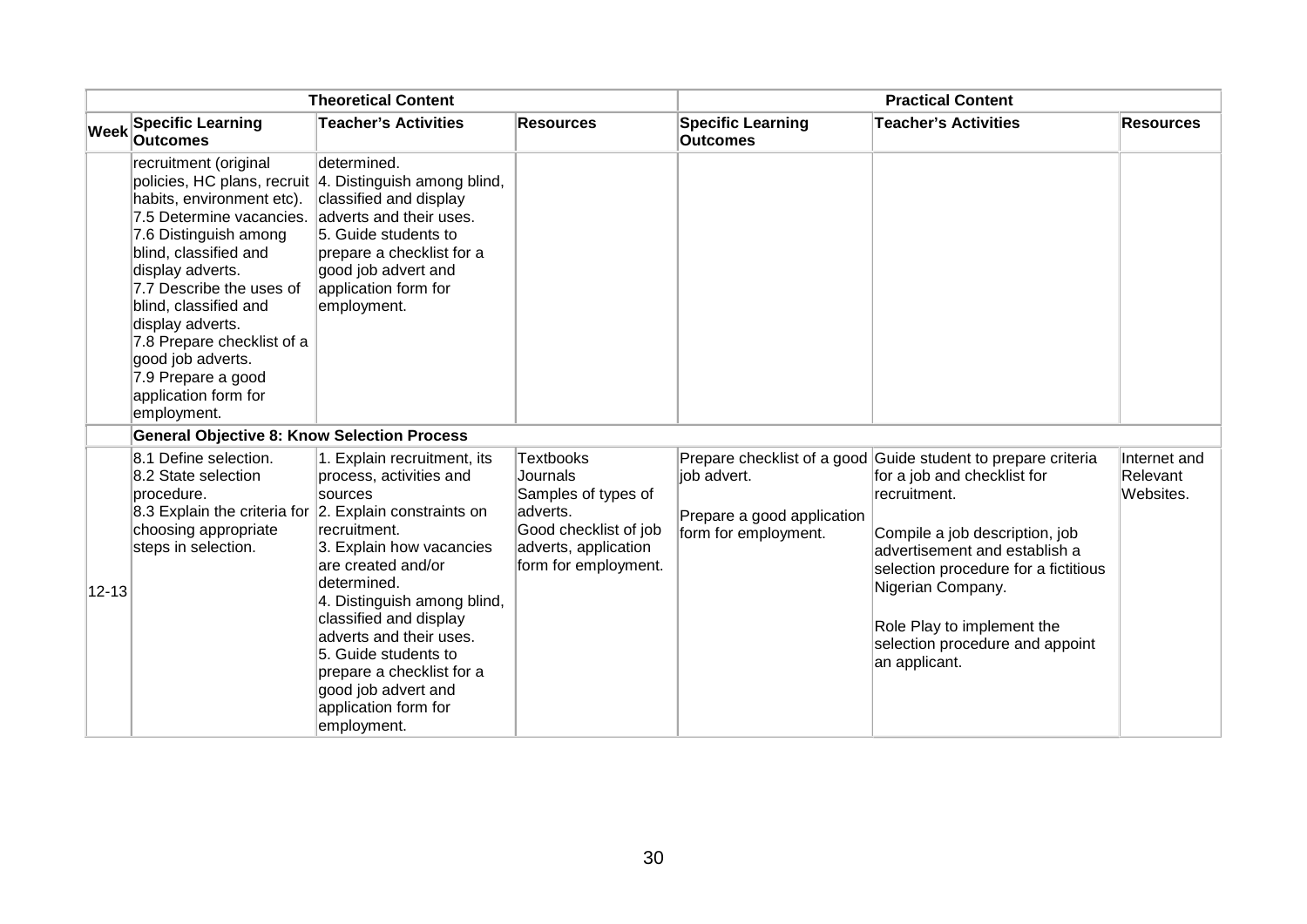| <b>Theoretical Content</b> |                                                                                                                                                                                                                                                                                                                                               |                                                                                                                                                                                                                                                                                                                                                           | <b>Practical Content</b>                                                                                                          |                                                                   |                                                                                                                                                                                                                                                                                                                                |                                       |
|----------------------------|-----------------------------------------------------------------------------------------------------------------------------------------------------------------------------------------------------------------------------------------------------------------------------------------------------------------------------------------------|-----------------------------------------------------------------------------------------------------------------------------------------------------------------------------------------------------------------------------------------------------------------------------------------------------------------------------------------------------------|-----------------------------------------------------------------------------------------------------------------------------------|-------------------------------------------------------------------|--------------------------------------------------------------------------------------------------------------------------------------------------------------------------------------------------------------------------------------------------------------------------------------------------------------------------------|---------------------------------------|
| Week                       | <b>Specific Learning</b><br><b>Outcomes</b>                                                                                                                                                                                                                                                                                                   | <b>Teacher's Activities</b>                                                                                                                                                                                                                                                                                                                               | <b>Resources</b>                                                                                                                  | <b>Specific Learning</b><br><b>Outcomes</b>                       | <b>Teacher's Activities</b>                                                                                                                                                                                                                                                                                                    | <b>Resources</b>                      |
|                            | recruitment (original<br>habits, environment etc).<br>7.5 Determine vacancies.<br>7.6 Distinguish among<br>blind, classified and<br>display adverts.<br>7.7 Describe the uses of<br>blind, classified and<br>display adverts.<br>7.8 Prepare checklist of a<br>good job adverts.<br>7.9 Prepare a good<br>application form for<br>employment. | determined.<br>policies, HC plans, recruit   4. Distinguish among blind,<br>classified and display<br>adverts and their uses.<br>5. Guide students to<br>prepare a checklist for a<br>good job advert and<br>application form for<br>employment.                                                                                                          |                                                                                                                                   |                                                                   |                                                                                                                                                                                                                                                                                                                                |                                       |
|                            | <b>General Objective 8: Know Selection Process</b>                                                                                                                                                                                                                                                                                            |                                                                                                                                                                                                                                                                                                                                                           |                                                                                                                                   |                                                                   |                                                                                                                                                                                                                                                                                                                                |                                       |
| $12 - 13$                  | 8.1 Define selection.<br>8.2 State selection<br>procedure.<br>8.3 Explain the criteria for 2. Explain constraints on<br>choosing appropriate<br>steps in selection.                                                                                                                                                                           | 1. Explain recruitment, its<br>process, activities and<br>sources<br>recruitment.<br>3. Explain how vacancies<br>are created and/or<br>determined.<br>4. Distinguish among blind,<br>classified and display<br>adverts and their uses.<br>5. Guide students to<br>prepare a checklist for a<br>good job advert and<br>application form for<br>employment. | Textbooks<br>Journals<br>Samples of types of<br>adverts.<br>Good checklist of job<br>adverts, application<br>form for employment. | job advert.<br>Prepare a good application<br>form for employment. | Prepare checklist of a good Guide student to prepare criteria<br>for a job and checklist for<br>recruitment.<br>Compile a job description, job<br>advertisement and establish a<br>selection procedure for a fictitious<br>Nigerian Company.<br>Role Play to implement the<br>selection procedure and appoint<br>an applicant. | Internet and<br>Relevant<br>Websites. |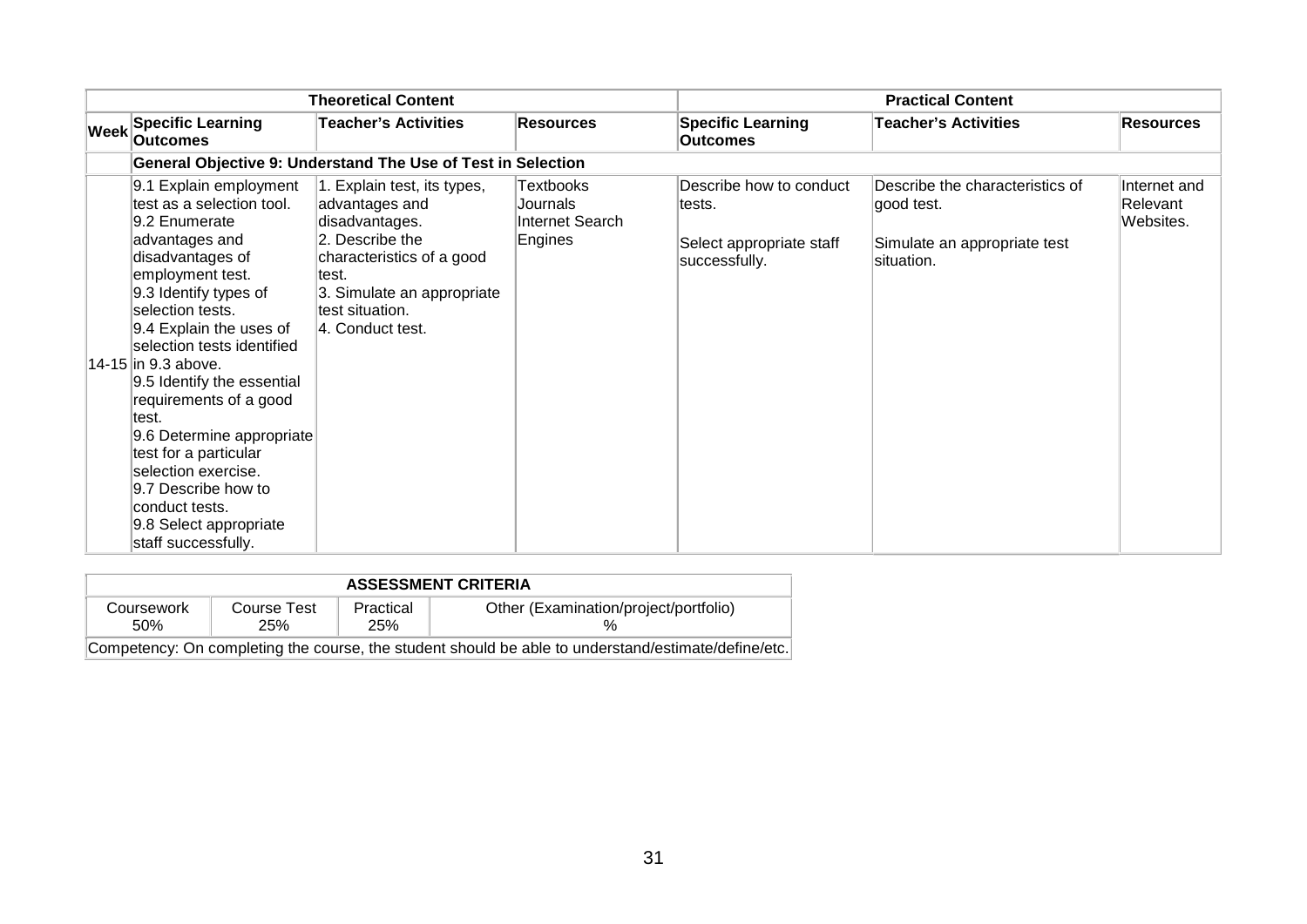| <b>Theoretical Content</b> |                                                                                                                                                                                                                                                                                                                                                                                                                                                                                                      |                                                                                                                                                                                                | <b>Practical Content</b>                                   |                                                                                |                                                                                             |                                       |
|----------------------------|------------------------------------------------------------------------------------------------------------------------------------------------------------------------------------------------------------------------------------------------------------------------------------------------------------------------------------------------------------------------------------------------------------------------------------------------------------------------------------------------------|------------------------------------------------------------------------------------------------------------------------------------------------------------------------------------------------|------------------------------------------------------------|--------------------------------------------------------------------------------|---------------------------------------------------------------------------------------------|---------------------------------------|
| Week                       | <b>Specific Learning</b><br>Outcomes                                                                                                                                                                                                                                                                                                                                                                                                                                                                 | <b>Teacher's Activities</b>                                                                                                                                                                    | <b>Resources</b>                                           | <b>Specific Learning</b><br><b>Outcomes</b>                                    | <b>Teacher's Activities</b>                                                                 | <b>Resources</b>                      |
|                            |                                                                                                                                                                                                                                                                                                                                                                                                                                                                                                      | General Objective 9: Understand The Use of Test in Selection                                                                                                                                   |                                                            |                                                                                |                                                                                             |                                       |
|                            | 9.1 Explain employment<br>test as a selection tool.<br>9.2 Enumerate<br>advantages and<br>disadvantages of<br>employment test.<br>9.3 Identify types of<br>selection tests.<br>9.4 Explain the uses of<br>selection tests identified<br>14-15 in 9.3 above.<br>9.5 Identify the essential<br>requirements of a good<br>ltest.<br>9.6 Determine appropriate<br>test for a particular<br>selection exercise.<br>9.7 Describe how to<br>conduct tests.<br>9.8 Select appropriate<br>staff successfully. | 1. Explain test, its types,<br>advantages and<br>disadvantages.<br>2. Describe the<br>characteristics of a good<br>∣test.<br>3. Simulate an appropriate<br>test situation.<br>4. Conduct test. | <b>Textbooks</b><br>Journals<br>Internet Search<br>Engines | Describe how to conduct<br>tests.<br>Select appropriate staff<br>successfully. | Describe the characteristics of<br>good test.<br>Simulate an appropriate test<br>situation. | Internet and<br>Relevant<br>Websites. |

| <b>ASSESSMENT CRITERIA</b>                                                                          |                    |                  |                                       |  |  |  |  |
|-----------------------------------------------------------------------------------------------------|--------------------|------------------|---------------------------------------|--|--|--|--|
| Coursework<br>.50%                                                                                  | Course Test<br>25% | Practical<br>25% | Other (Examination/project/portfolio) |  |  |  |  |
| Competency: On completing the course, the student should be able to understand/estimate/define/etc. |                    |                  |                                       |  |  |  |  |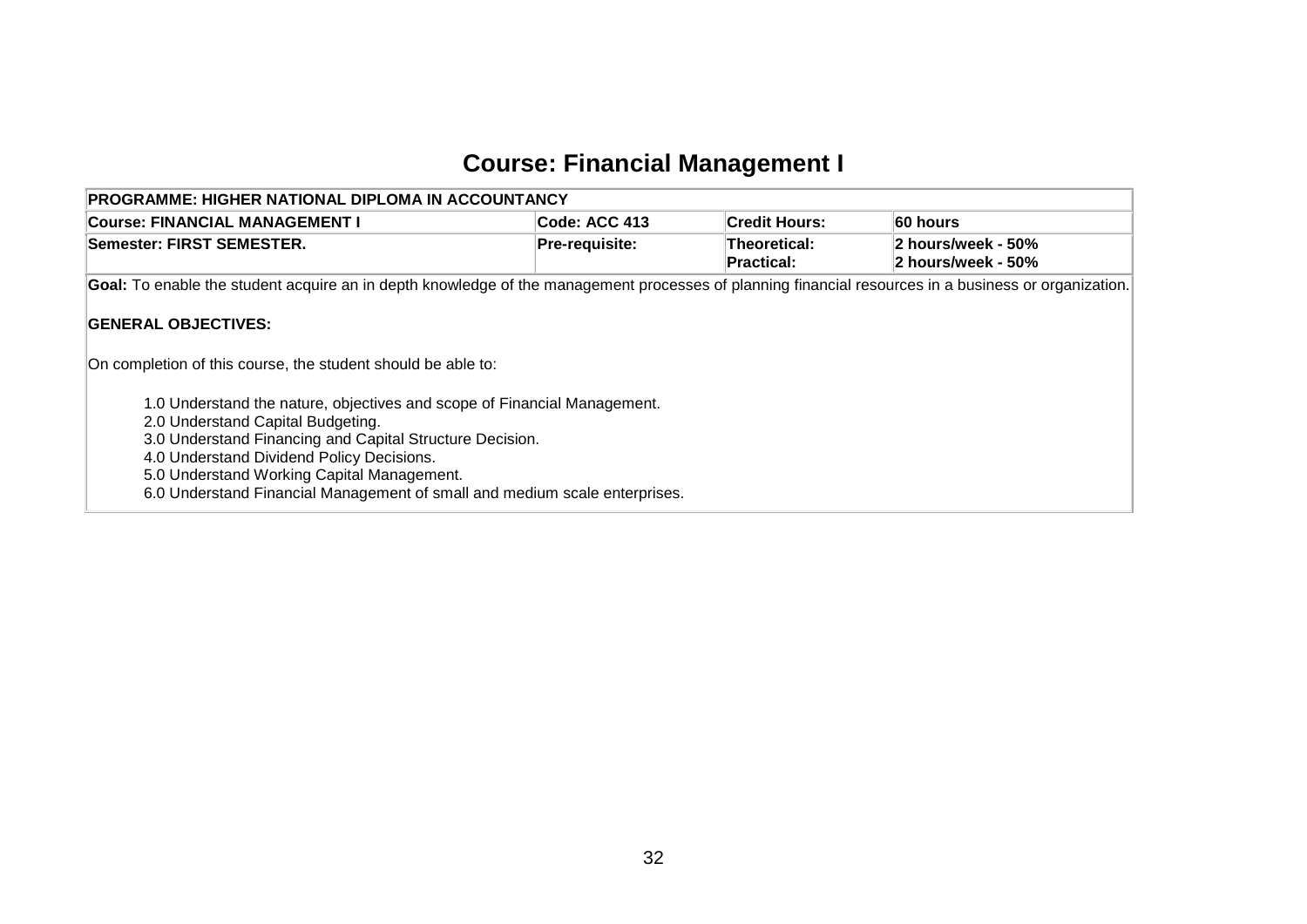### **Course: Financial Management I**

<span id="page-33-0"></span>

| <b>PROGRAMME: HIGHER NATIONAL DIPLOMA IN ACCOUNTANCY</b>                                                                                                                                                                                                                                                                                                                                                                                         |                       |                                   |                                          |  |  |  |  |  |
|--------------------------------------------------------------------------------------------------------------------------------------------------------------------------------------------------------------------------------------------------------------------------------------------------------------------------------------------------------------------------------------------------------------------------------------------------|-----------------------|-----------------------------------|------------------------------------------|--|--|--|--|--|
| <b>Course: FINANCIAL MANAGEMENT I</b>                                                                                                                                                                                                                                                                                                                                                                                                            | Code: ACC 413         | <b>Credit Hours:</b>              | ∣60 hours                                |  |  |  |  |  |
| Semester: FIRST SEMESTER.                                                                                                                                                                                                                                                                                                                                                                                                                        | <b>Pre-requisite:</b> | Theoretical:<br><b>Practical:</b> | 2 hours/week - 50%<br>2 hours/week - 50% |  |  |  |  |  |
| Goal: To enable the student acquire an in depth knowledge of the management processes of planning financial resources in a business or organization.                                                                                                                                                                                                                                                                                             |                       |                                   |                                          |  |  |  |  |  |
| <b>GENERAL OBJECTIVES:</b><br>On completion of this course, the student should be able to:<br>1.0 Understand the nature, objectives and scope of Financial Management.<br>2.0 Understand Capital Budgeting.<br>3.0 Understand Financing and Capital Structure Decision.<br>4.0 Understand Dividend Policy Decisions.<br>5.0 Understand Working Capital Management.<br>6.0 Understand Financial Management of small and medium scale enterprises. |                       |                                   |                                          |  |  |  |  |  |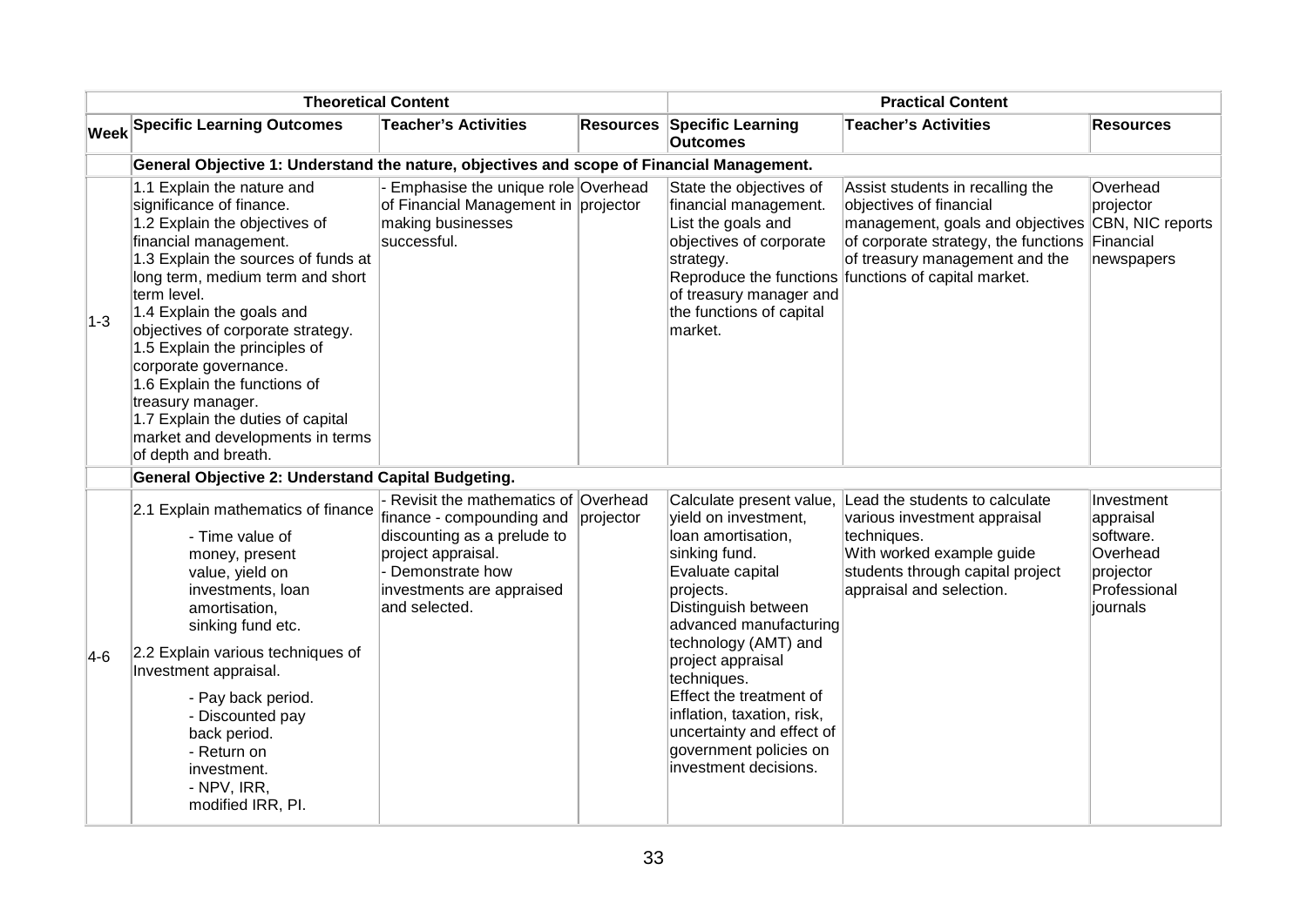|       |                                                                                                                                                                                                                                                                                                                                                                                                                                                                                              | <b>Theoretical Content</b>                                                                                                                                                               | <b>Practical Content</b> |                                                                                                                                                                                                                                                                                                                                                                                |                                                                                                                                                                                                                                                              |                                                                                           |  |  |  |  |  |
|-------|----------------------------------------------------------------------------------------------------------------------------------------------------------------------------------------------------------------------------------------------------------------------------------------------------------------------------------------------------------------------------------------------------------------------------------------------------------------------------------------------|------------------------------------------------------------------------------------------------------------------------------------------------------------------------------------------|--------------------------|--------------------------------------------------------------------------------------------------------------------------------------------------------------------------------------------------------------------------------------------------------------------------------------------------------------------------------------------------------------------------------|--------------------------------------------------------------------------------------------------------------------------------------------------------------------------------------------------------------------------------------------------------------|-------------------------------------------------------------------------------------------|--|--|--|--|--|
|       | <b>Week Specific Learning Outcomes</b>                                                                                                                                                                                                                                                                                                                                                                                                                                                       | <b>Teacher's Activities</b>                                                                                                                                                              | <b>Resources</b>         | <b>Specific Learning</b><br><b>Outcomes</b>                                                                                                                                                                                                                                                                                                                                    | <b>Teacher's Activities</b>                                                                                                                                                                                                                                  | <b>Resources</b>                                                                          |  |  |  |  |  |
|       | General Objective 1: Understand the nature, objectives and scope of Financial Management.                                                                                                                                                                                                                                                                                                                                                                                                    |                                                                                                                                                                                          |                          |                                                                                                                                                                                                                                                                                                                                                                                |                                                                                                                                                                                                                                                              |                                                                                           |  |  |  |  |  |
| $1-3$ | 1.1 Explain the nature and<br>significance of finance.<br>1.2 Explain the objectives of<br>financial management.<br>1.3 Explain the sources of funds at<br>long term, medium term and short<br>term level.<br>1.4 Explain the goals and<br>objectives of corporate strategy.<br>1.5 Explain the principles of<br>corporate governance.<br>1.6 Explain the functions of<br>treasury manager.<br>1.7 Explain the duties of capital<br>market and developments in terms<br>of depth and breath. | Emphasise the unique role Overhead<br>of Financial Management in projector<br>making businesses<br>successful.                                                                           |                          | State the objectives of<br>financial management.<br>List the goals and<br>objectives of corporate<br>strategy.<br>of treasury manager and<br>the functions of capital<br>market.                                                                                                                                                                                               | Assist students in recalling the<br>objectives of financial<br>management, goals and objectives CBN, NIC reports<br>of corporate strategy, the functions Financial<br>of treasury management and the<br>Reproduce the functions functions of capital market. | Overhead<br>projector<br>newspapers                                                       |  |  |  |  |  |
|       | General Objective 2: Understand Capital Budgeting.                                                                                                                                                                                                                                                                                                                                                                                                                                           |                                                                                                                                                                                          |                          |                                                                                                                                                                                                                                                                                                                                                                                |                                                                                                                                                                                                                                                              |                                                                                           |  |  |  |  |  |
| $4-6$ | 2.1 Explain mathematics of finance<br>- Time value of<br>money, present<br>value, yield on<br>investments, loan<br>amortisation,<br>sinking fund etc.<br>2.2 Explain various techniques of<br>Investment appraisal.<br>- Pay back period.<br>- Discounted pay<br>back period.<br>- Return on<br>investment.<br>- NPV, IRR,<br>modified IRR, PI.                                                                                                                                              | Revisit the mathematics of Overhead<br>finance - compounding and<br>discounting as a prelude to<br>project appraisal.<br>- Demonstrate how<br>investments are appraised<br>and selected. | projector                | Calculate present value,<br>vield on investment,<br>loan amortisation,<br>sinking fund.<br>Evaluate capital<br>projects.<br>Distinguish between<br>advanced manufacturing<br>technology (AMT) and<br>project appraisal<br>techniques.<br>Effect the treatment of<br>inflation, taxation, risk,<br>uncertainty and effect of<br>government policies on<br>investment decisions. | Lead the students to calculate<br>various investment appraisal<br>techniques.<br>With worked example guide<br>students through capital project<br>appraisal and selection.                                                                                   | Investment<br>appraisal<br>software.<br>Overhead<br>projector<br>Professional<br>iournals |  |  |  |  |  |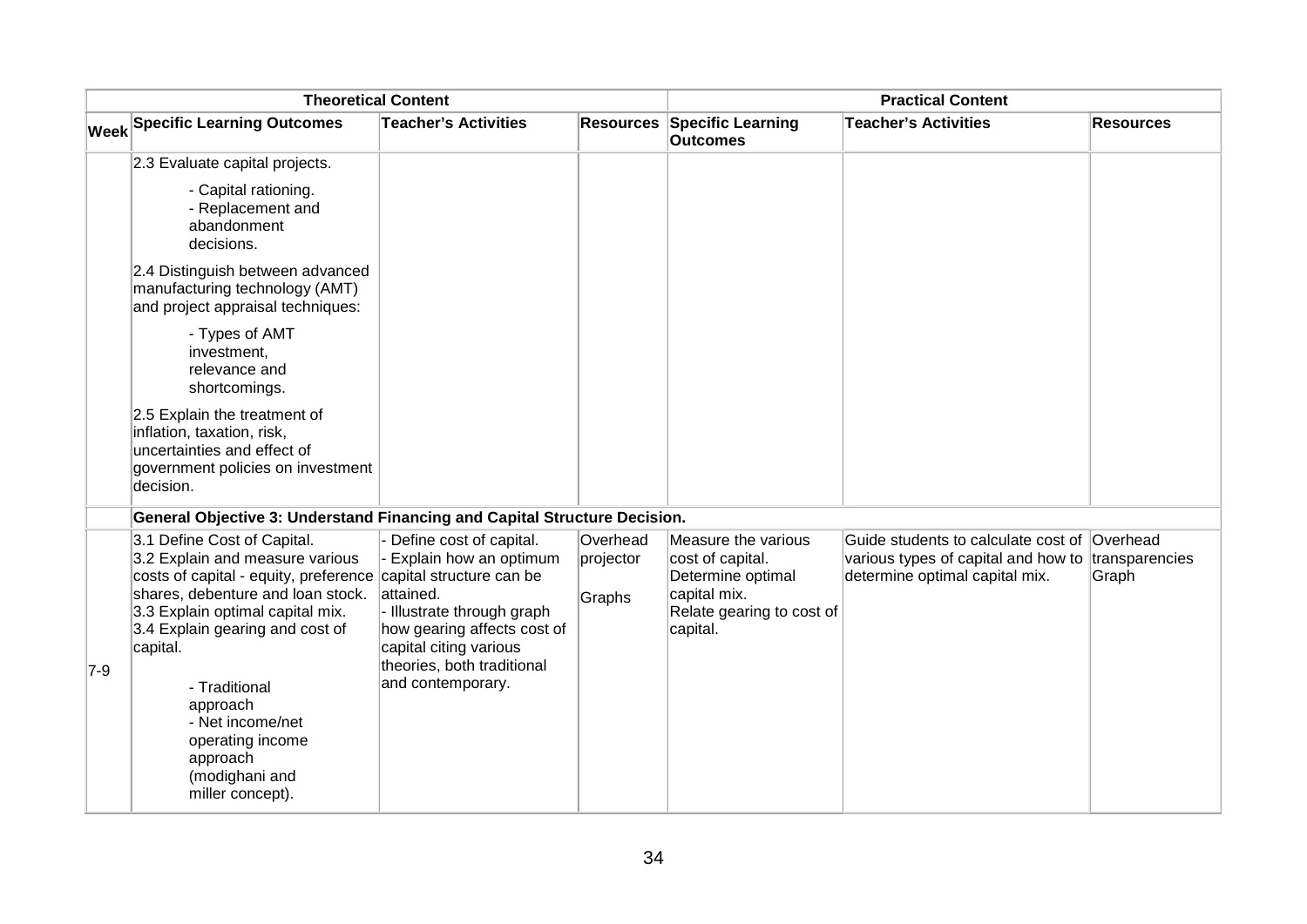| <b>Theoretical Content</b> |                                                                                                                                                                                                                                                                                                                                                        |                                                                                                                                                                                                                                      |                                 | <b>Practical Content</b>                                                                                              |                                                                                                                                      |                  |
|----------------------------|--------------------------------------------------------------------------------------------------------------------------------------------------------------------------------------------------------------------------------------------------------------------------------------------------------------------------------------------------------|--------------------------------------------------------------------------------------------------------------------------------------------------------------------------------------------------------------------------------------|---------------------------------|-----------------------------------------------------------------------------------------------------------------------|--------------------------------------------------------------------------------------------------------------------------------------|------------------|
|                            | <b>Week Specific Learning Outcomes</b>                                                                                                                                                                                                                                                                                                                 | <b>Teacher's Activities</b>                                                                                                                                                                                                          | <b>Resources</b>                | <b>Specific Learning</b><br><b>Outcomes</b>                                                                           | <b>Teacher's Activities</b>                                                                                                          | <b>Resources</b> |
|                            | 2.3 Evaluate capital projects.                                                                                                                                                                                                                                                                                                                         |                                                                                                                                                                                                                                      |                                 |                                                                                                                       |                                                                                                                                      |                  |
|                            | - Capital rationing.<br>- Replacement and<br>abandonment<br>decisions.                                                                                                                                                                                                                                                                                 |                                                                                                                                                                                                                                      |                                 |                                                                                                                       |                                                                                                                                      |                  |
|                            | 2.4 Distinguish between advanced<br>manufacturing technology (AMT)<br>and project appraisal techniques:                                                                                                                                                                                                                                                |                                                                                                                                                                                                                                      |                                 |                                                                                                                       |                                                                                                                                      |                  |
|                            | - Types of AMT<br>investment,<br>relevance and<br>shortcomings.                                                                                                                                                                                                                                                                                        |                                                                                                                                                                                                                                      |                                 |                                                                                                                       |                                                                                                                                      |                  |
|                            | 2.5 Explain the treatment of<br>inflation, taxation, risk,<br>uncertainties and effect of<br>government policies on investment<br>decision.                                                                                                                                                                                                            |                                                                                                                                                                                                                                      |                                 |                                                                                                                       |                                                                                                                                      |                  |
|                            | General Objective 3: Understand Financing and Capital Structure Decision.                                                                                                                                                                                                                                                                              |                                                                                                                                                                                                                                      |                                 |                                                                                                                       |                                                                                                                                      |                  |
| $7-9$                      | 3.1 Define Cost of Capital.<br>3.2 Explain and measure various<br>costs of capital - equity, preference<br>shares, debenture and loan stock.<br>3.3 Explain optimal capital mix.<br>3.4 Explain gearing and cost of<br>capital.<br>- Traditional<br>approach<br>- Net income/net<br>operating income<br>approach<br>(modighani and<br>miller concept). | Define cost of capital.<br>Explain how an optimum<br>capital structure can be<br>attained.<br>- Illustrate through graph<br>how gearing affects cost of<br>capital citing various<br>theories, both traditional<br>and contemporary. | Overhead<br>projector<br>Graphs | Measure the various<br>cost of capital.<br>Determine optimal<br>capital mix.<br>Relate gearing to cost of<br>capital. | Guide students to calculate cost of Overhead<br>various types of capital and how to transparencies<br>determine optimal capital mix. | Graph            |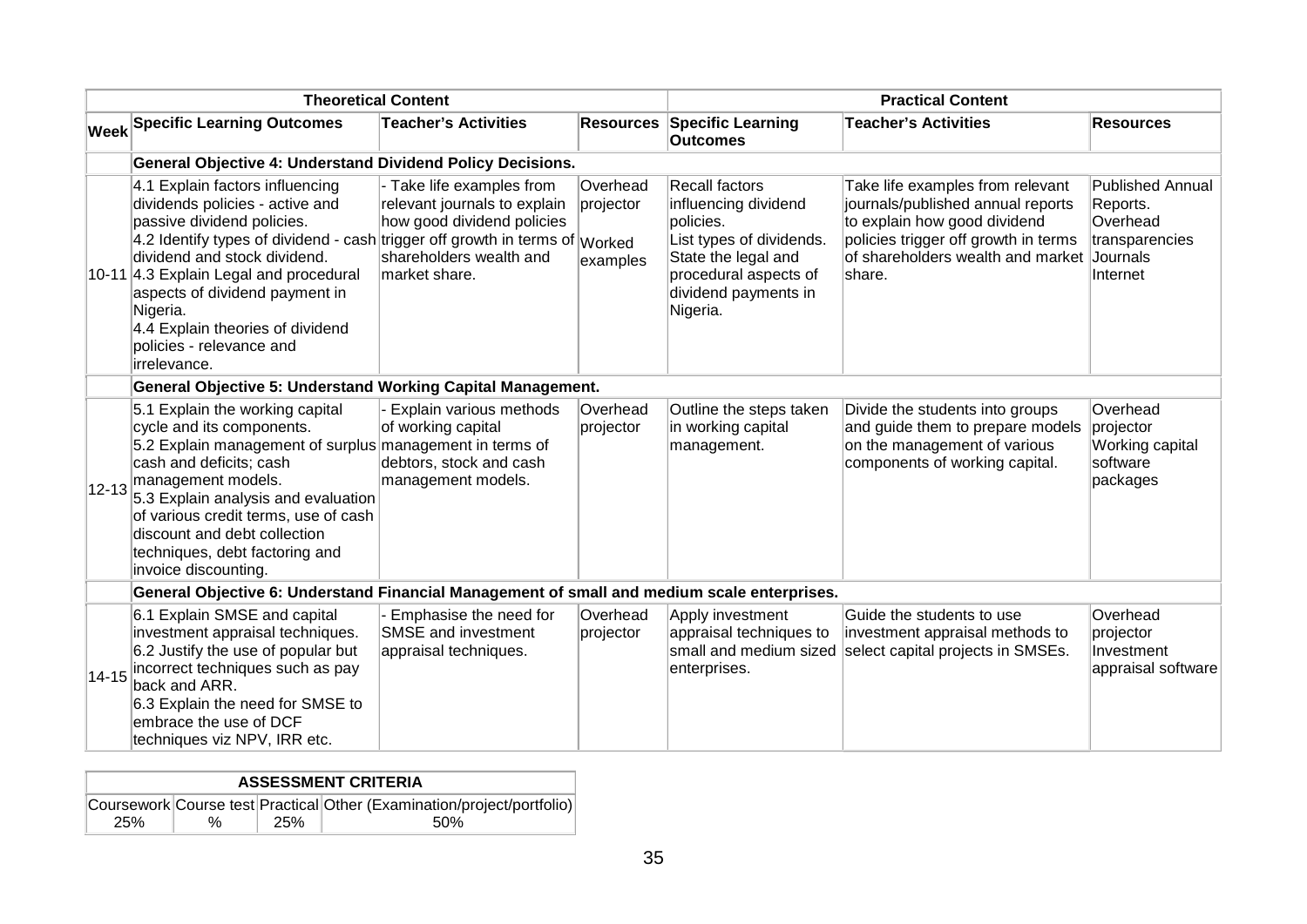| <b>Theoretical Content</b> |                                                                                                                                                                                                                                                                                                                                                                                         |                                                                                                                                     | <b>Practical Content</b>          |                                                                                                                                                                            |                                                                                                                                                                                              |                                                                                           |
|----------------------------|-----------------------------------------------------------------------------------------------------------------------------------------------------------------------------------------------------------------------------------------------------------------------------------------------------------------------------------------------------------------------------------------|-------------------------------------------------------------------------------------------------------------------------------------|-----------------------------------|----------------------------------------------------------------------------------------------------------------------------------------------------------------------------|----------------------------------------------------------------------------------------------------------------------------------------------------------------------------------------------|-------------------------------------------------------------------------------------------|
|                            | <b>Week Specific Learning Outcomes</b>                                                                                                                                                                                                                                                                                                                                                  | <b>Teacher's Activities</b>                                                                                                         | <b>Resources</b>                  | <b>Specific Learning</b><br><b>Outcomes</b>                                                                                                                                | <b>Teacher's Activities</b>                                                                                                                                                                  | <b>Resources</b>                                                                          |
|                            | <b>General Objective 4: Understand Dividend Policy Decisions.</b>                                                                                                                                                                                                                                                                                                                       |                                                                                                                                     |                                   |                                                                                                                                                                            |                                                                                                                                                                                              |                                                                                           |
|                            | 4.1 Explain factors influencing<br>dividends policies - active and<br>passive dividend policies.<br>4.2 Identify types of dividend - cash trigger off growth in terms of Worked<br>dividend and stock dividend.<br>10-11 4.3 Explain Legal and procedural<br>aspects of dividend payment in<br>Nigeria.<br>4.4 Explain theories of dividend<br>policies - relevance and<br>irrelevance. | - Take life examples from<br>relevant journals to explain<br>how good dividend policies<br>shareholders wealth and<br>market share. | Overhead<br>projector<br>examples | <b>Recall factors</b><br>influencing dividend<br>policies.<br>List types of dividends.<br>State the legal and<br>procedural aspects of<br>dividend payments in<br>Nigeria. | Take life examples from relevant<br>journals/published annual reports<br>to explain how good dividend<br>policies trigger off growth in terms<br>of shareholders wealth and market<br>share. | <b>Published Annual</b><br>Reports.<br>Overhead<br>transparencies<br>Journals<br>Internet |
|                            | <b>General Objective 5: Understand Working Capital Management.</b>                                                                                                                                                                                                                                                                                                                      |                                                                                                                                     |                                   |                                                                                                                                                                            |                                                                                                                                                                                              |                                                                                           |
|                            | 5.1 Explain the working capital<br>cycle and its components.<br>5.2 Explain management of surplus management in terms of<br>cash and deficits; cash<br>$ 12-13 $ management models.<br>5.3 Explain analysis and evaluation<br>of various credit terms, use of cash<br>discount and debt collection<br>techniques, debt factoring and<br>invoice discounting.                            | Explain various methods<br>of working capital<br>debtors, stock and cash<br>management models.                                      | Overhead<br>projector             | Outline the steps taken<br>in working capital<br>management.                                                                                                               | Divide the students into groups<br>and guide them to prepare models<br>on the management of various<br>components of working capital.                                                        | Overhead<br>projector<br>Working capital<br>software<br>packages                          |
|                            | General Objective 6: Understand Financial Management of small and medium scale enterprises.                                                                                                                                                                                                                                                                                             |                                                                                                                                     |                                   |                                                                                                                                                                            |                                                                                                                                                                                              |                                                                                           |
| 14-15                      | 6.1 Explain SMSE and capital<br>investment appraisal techniques.<br>6.2 Justify the use of popular but<br>incorrect techniques such as pay<br>back and ARR.<br>6.3 Explain the need for SMSE to<br>lembrace the use of DCF<br>techniques viz NPV, IRR etc.                                                                                                                              | Emphasise the need for<br><b>SMSE</b> and investment<br>appraisal techniques.                                                       | Overhead<br>projector             | Apply investment<br>appraisal techniques to<br>small and medium sized<br>enterprises.                                                                                      | Guide the students to use<br>investment appraisal methods to<br>select capital projects in SMSEs.                                                                                            | Overhead<br>projector<br>Investment<br>appraisal software                                 |

| <b>ASSESSMENT CRITERIA</b> |                                                                        |     |      |  |  |  |  |  |  |
|----------------------------|------------------------------------------------------------------------|-----|------|--|--|--|--|--|--|
|                            | Coursework Course test Practical Other (Examination/project/portfolio) |     |      |  |  |  |  |  |  |
| 25%                        | $\%$                                                                   | 25% | .50% |  |  |  |  |  |  |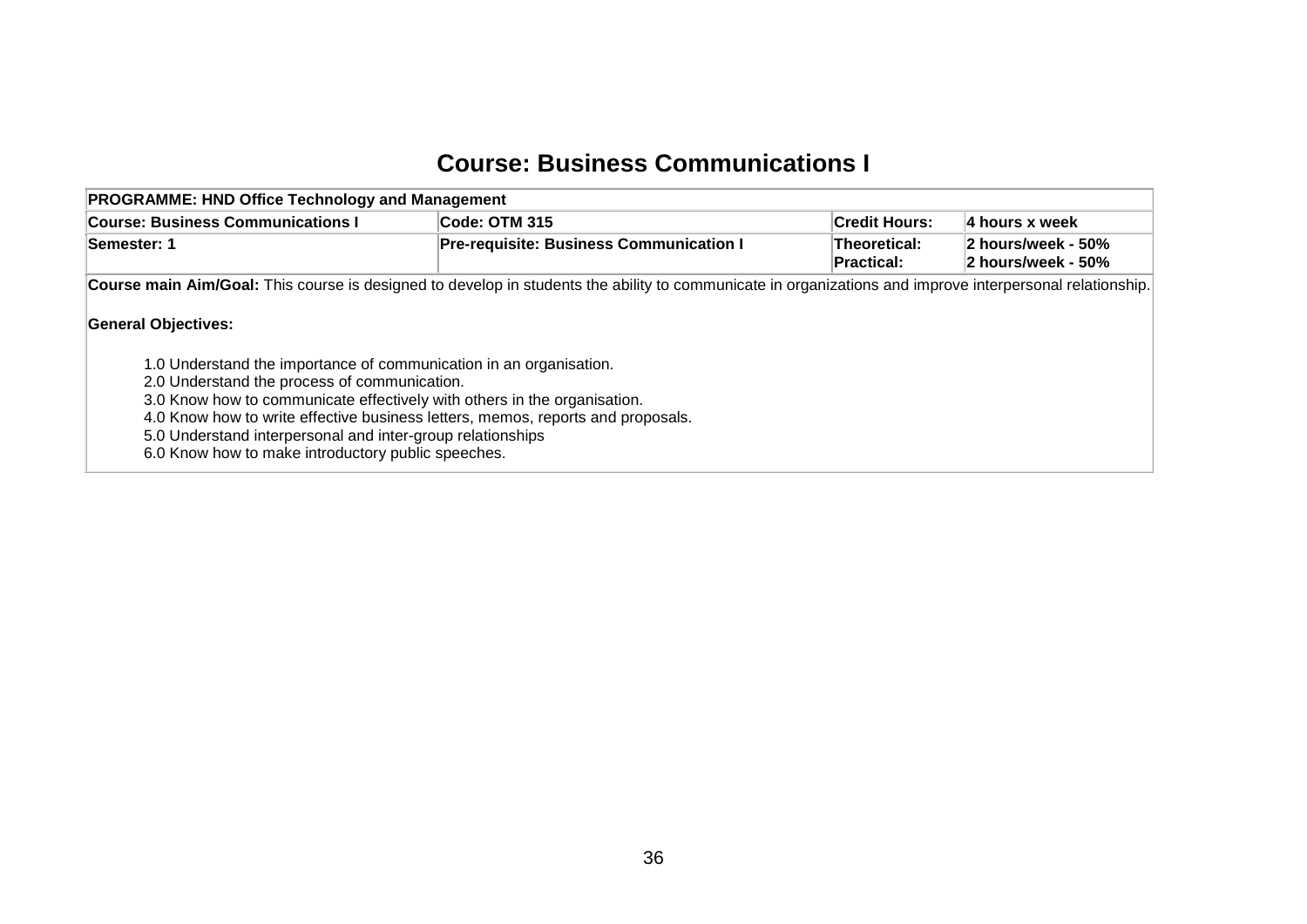#### **Course: Business Communications I**

| <b>PROGRAMME: HND Office Technology and Management</b>                                                                                                                                                                                                                                                                                                                                                                              |                                                                                                                                                          |                                   |                                          |  |  |  |  |  |  |
|-------------------------------------------------------------------------------------------------------------------------------------------------------------------------------------------------------------------------------------------------------------------------------------------------------------------------------------------------------------------------------------------------------------------------------------|----------------------------------------------------------------------------------------------------------------------------------------------------------|-----------------------------------|------------------------------------------|--|--|--|--|--|--|
| <b>Course: Business Communications I</b>                                                                                                                                                                                                                                                                                                                                                                                            | Code: OTM 315                                                                                                                                            | <b>Credit Hours:</b>              | 4 hours x week                           |  |  |  |  |  |  |
| <b>Semester: 1</b>                                                                                                                                                                                                                                                                                                                                                                                                                  | <b>Pre-requisite: Business Communication I</b>                                                                                                           | <b>Theoretical:</b><br>Practical: | 2 hours/week - 50%<br>2 hours/week - 50% |  |  |  |  |  |  |
|                                                                                                                                                                                                                                                                                                                                                                                                                                     | Course main Aim/Goal: This course is designed to develop in students the ability to communicate in organizations and improve interpersonal relationship. |                                   |                                          |  |  |  |  |  |  |
| <b>General Objectives:</b><br>1.0 Understand the importance of communication in an organisation.<br>2.0 Understand the process of communication.<br>3.0 Know how to communicate effectively with others in the organisation.<br>4.0 Know how to write effective business letters, memos, reports and proposals.<br>5.0 Understand interpersonal and inter-group relationships<br>6.0 Know how to make introductory public speeches. |                                                                                                                                                          |                                   |                                          |  |  |  |  |  |  |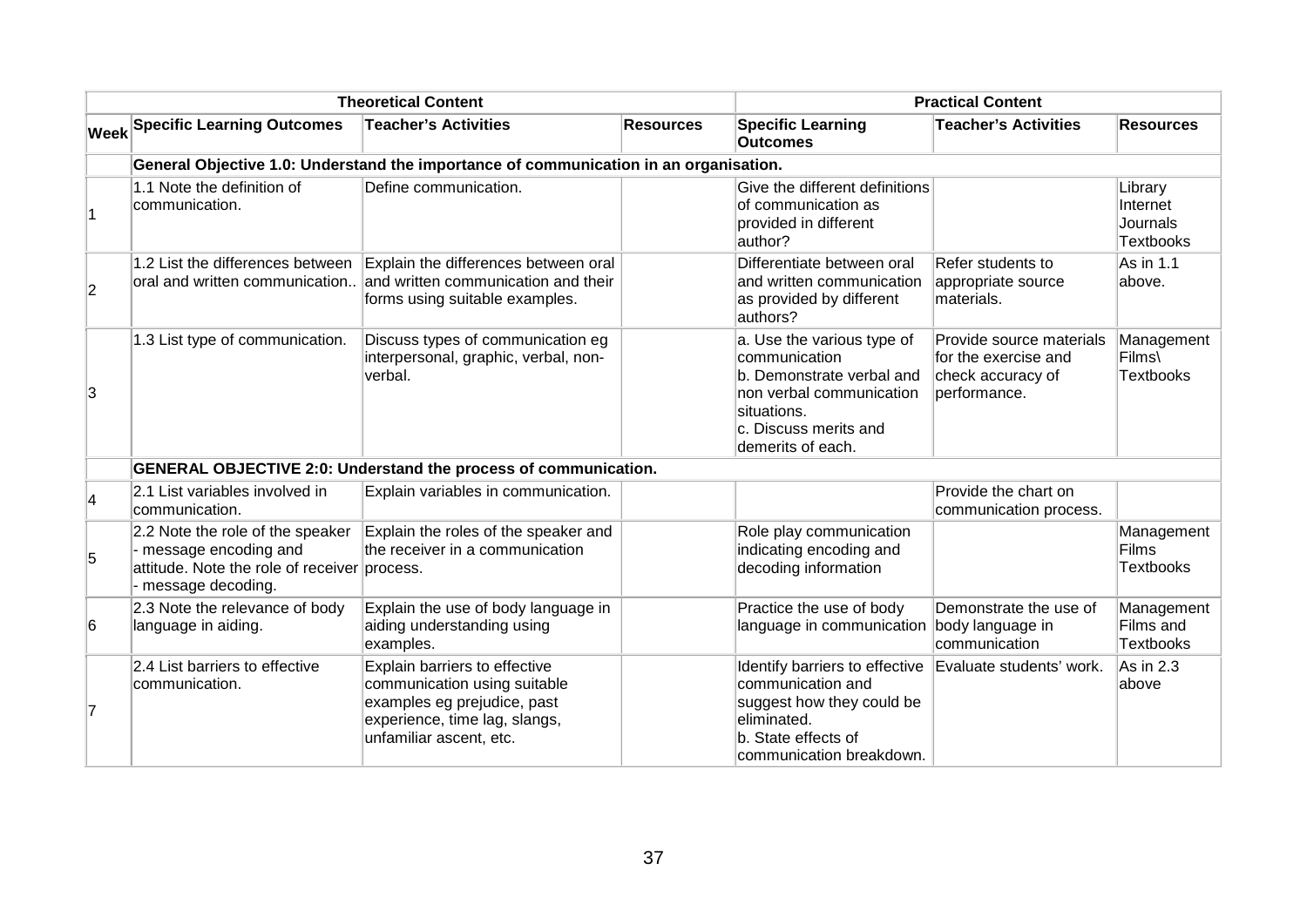| <b>Theoretical Content</b> |                                                                                                                               |                                                                                                                                                          |                  | <b>Practical Content</b>                                                                                                                                          |                                                                                       |                                                     |  |  |  |  |  |  |
|----------------------------|-------------------------------------------------------------------------------------------------------------------------------|----------------------------------------------------------------------------------------------------------------------------------------------------------|------------------|-------------------------------------------------------------------------------------------------------------------------------------------------------------------|---------------------------------------------------------------------------------------|-----------------------------------------------------|--|--|--|--|--|--|
|                            | <b>Week Specific Learning Outcomes</b>                                                                                        | <b>Teacher's Activities</b>                                                                                                                              | <b>Resources</b> | <b>Specific Learning</b><br><b>Outcomes</b>                                                                                                                       | <b>Teacher's Activities</b>                                                           | <b>Resources</b>                                    |  |  |  |  |  |  |
|                            | General Objective 1.0: Understand the importance of communication in an organisation.                                         |                                                                                                                                                          |                  |                                                                                                                                                                   |                                                                                       |                                                     |  |  |  |  |  |  |
|                            | 1.1 Note the definition of<br>communication.                                                                                  | Define communication.                                                                                                                                    |                  | Give the different definitions<br>lof communication as<br>provided in different<br>author?                                                                        |                                                                                       | Library<br>Internet<br>Journals<br><b>Textbooks</b> |  |  |  |  |  |  |
| $\overline{2}$             | 1.2 List the differences between<br>oral and written communication                                                            | Explain the differences between oral<br>and written communication and their<br>forms using suitable examples.                                            |                  | Differentiate between oral<br>and written communication<br>as provided by different<br>authors?                                                                   | Refer students to<br>appropriate source<br>materials.                                 | As in 1.1<br>above.                                 |  |  |  |  |  |  |
| 3                          | 1.3 List type of communication.                                                                                               | Discuss types of communication eg<br>interpersonal, graphic, verbal, non-<br>verbal.                                                                     |                  | a. Use the various type of<br>communication<br>b. Demonstrate verbal and<br>non verbal communication<br>situations.<br>c. Discuss merits and<br>demerits of each. | Provide source materials<br>for the exercise and<br>check accuracy of<br>performance. | Management<br>Films\<br><b>Textbooks</b>            |  |  |  |  |  |  |
|                            |                                                                                                                               | <b>GENERAL OBJECTIVE 2:0: Understand the process of communication.</b>                                                                                   |                  |                                                                                                                                                                   |                                                                                       |                                                     |  |  |  |  |  |  |
| $\overline{4}$             | 2.1 List variables involved in<br>communication.                                                                              | Explain variables in communication.                                                                                                                      |                  |                                                                                                                                                                   | Provide the chart on<br>communication process.                                        |                                                     |  |  |  |  |  |  |
| 5                          | 2.2 Note the role of the speaker<br>message encoding and<br>attitude. Note the role of receiver process.<br>message decoding. | Explain the roles of the speaker and<br>the receiver in a communication                                                                                  |                  | Role play communication<br>indicating encoding and<br>decoding information                                                                                        |                                                                                       | Management<br><b>Films</b><br><b>Textbooks</b>      |  |  |  |  |  |  |
| 6                          | 2.3 Note the relevance of body<br>language in aiding.                                                                         | Explain the use of body language in<br>aiding understanding using<br>examples.                                                                           |                  | Practice the use of body<br>language in communication body language in                                                                                            | Demonstrate the use of<br>communication                                               | Management<br>Films and<br><b>Textbooks</b>         |  |  |  |  |  |  |
| 17                         | 2.4 List barriers to effective<br>communication.                                                                              | Explain barriers to effective<br>communication using suitable<br>examples eg prejudice, past<br>experience, time lag, slangs,<br>unfamiliar ascent, etc. |                  | Identify barriers to effective<br>communication and<br>suggest how they could be<br>eliminated.<br>b. State effects of<br>communication breakdown.                | Evaluate students' work.                                                              | $As$ in 2.3<br>above                                |  |  |  |  |  |  |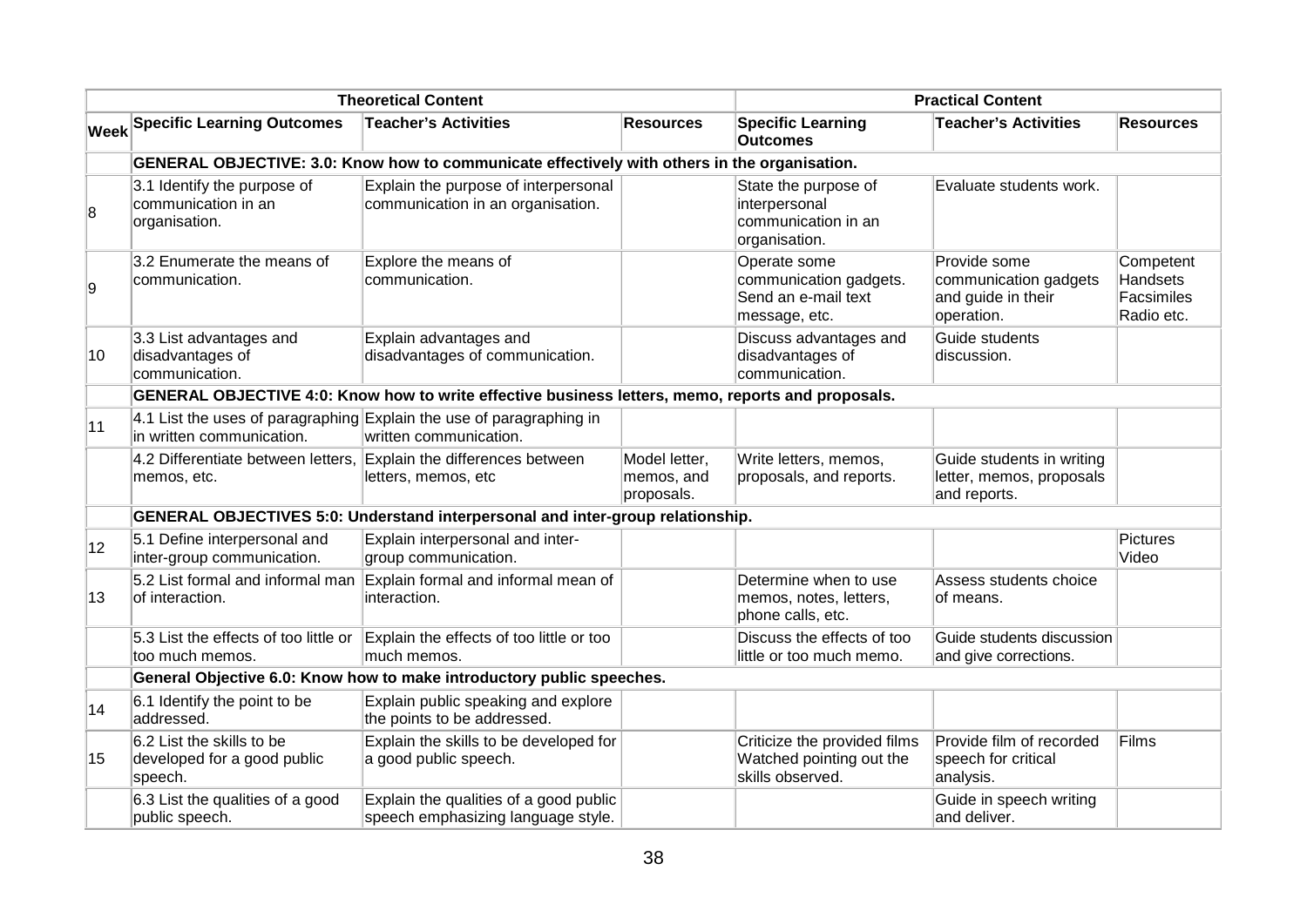| <b>Theoretical Content</b> |                                                                                              |                                                                                                   |                                           | <b>Practical Content</b>                                                       |                                                                           |                                                          |  |  |  |
|----------------------------|----------------------------------------------------------------------------------------------|---------------------------------------------------------------------------------------------------|-------------------------------------------|--------------------------------------------------------------------------------|---------------------------------------------------------------------------|----------------------------------------------------------|--|--|--|
|                            | <b>Week Specific Learning Outcomes</b>                                                       | <b>Teacher's Activities</b>                                                                       | <b>Resources</b>                          | <b>Specific Learning</b><br><b>Outcomes</b>                                    | <b>Teacher's Activities</b>                                               | <b>Resources</b>                                         |  |  |  |
|                            | GENERAL OBJECTIVE: 3.0: Know how to communicate effectively with others in the organisation. |                                                                                                   |                                           |                                                                                |                                                                           |                                                          |  |  |  |
| 8                          | 3.1 Identify the purpose of<br>communication in an<br>organisation.                          | Explain the purpose of interpersonal<br>communication in an organisation.                         |                                           | State the purpose of<br>interpersonal<br>communication in an<br>organisation.  | Evaluate students work.                                                   |                                                          |  |  |  |
| g,                         | 3.2 Enumerate the means of<br>communication.                                                 | Explore the means of<br>communication.                                                            |                                           | Operate some<br>communication gadgets.<br>Send an e-mail text<br>message, etc. | Provide some<br>communication gadgets<br>and guide in their<br>operation. | Competent<br><b>Handsets</b><br>Facsimiles<br>Radio etc. |  |  |  |
| 10                         | 3.3 List advantages and<br>disadvantages of<br>communication.                                | Explain advantages and<br>disadvantages of communication.                                         |                                           | Discuss advantages and<br>disadvantages of<br>communication.                   | Guide students<br>discussion.                                             |                                                          |  |  |  |
|                            |                                                                                              | GENERAL OBJECTIVE 4:0: Know how to write effective business letters, memo, reports and proposals. |                                           |                                                                                |                                                                           |                                                          |  |  |  |
| 11                         | in written communication.                                                                    | 4.1 List the uses of paragraphing Explain the use of paragraphing in<br>written communication.    |                                           |                                                                                |                                                                           |                                                          |  |  |  |
|                            | memos, etc.                                                                                  | 4.2 Differentiate between letters, Explain the differences between<br>letters, memos, etc         | Model letter,<br>memos, and<br>proposals. | Write letters, memos,<br>proposals, and reports.                               | Guide students in writing<br>letter, memos, proposals<br>and reports.     |                                                          |  |  |  |
|                            |                                                                                              | <b>GENERAL OBJECTIVES 5:0: Understand interpersonal and inter-group relationship.</b>             |                                           |                                                                                |                                                                           |                                                          |  |  |  |
| $ 12\rangle$               | 5.1 Define interpersonal and<br>inter-group communication.                                   | Explain interpersonal and inter-<br>group communication.                                          |                                           |                                                                                |                                                                           | <b>Pictures</b><br>Video                                 |  |  |  |
| 13                         | 5.2 List formal and informal man<br>of interaction.                                          | Explain formal and informal mean of<br>interaction.                                               |                                           | Determine when to use<br>memos, notes, letters,<br>phone calls, etc.           | Assess students choice<br>of means.                                       |                                                          |  |  |  |
|                            | 5.3 List the effects of too little or<br>too much memos.                                     | Explain the effects of too little or too<br>much memos.                                           |                                           | Discuss the effects of too<br>little or too much memo.                         | Guide students discussion<br>and give corrections.                        |                                                          |  |  |  |
|                            |                                                                                              | General Objective 6.0: Know how to make introductory public speeches.                             |                                           |                                                                                |                                                                           |                                                          |  |  |  |
| 14                         | 6.1 Identify the point to be<br>addressed.                                                   | Explain public speaking and explore<br>the points to be addressed.                                |                                           |                                                                                |                                                                           |                                                          |  |  |  |
| 15                         | 6.2 List the skills to be<br>developed for a good public<br>speech.                          | Explain the skills to be developed for<br>a good public speech.                                   |                                           | Criticize the provided films<br>Watched pointing out the<br>skills observed.   | Provide film of recorded<br>speech for critical<br>analysis.              | Films                                                    |  |  |  |
|                            | 6.3 List the qualities of a good<br>public speech.                                           | Explain the qualities of a good public<br>speech emphasizing language style.                      |                                           |                                                                                | Guide in speech writing<br>and deliver.                                   |                                                          |  |  |  |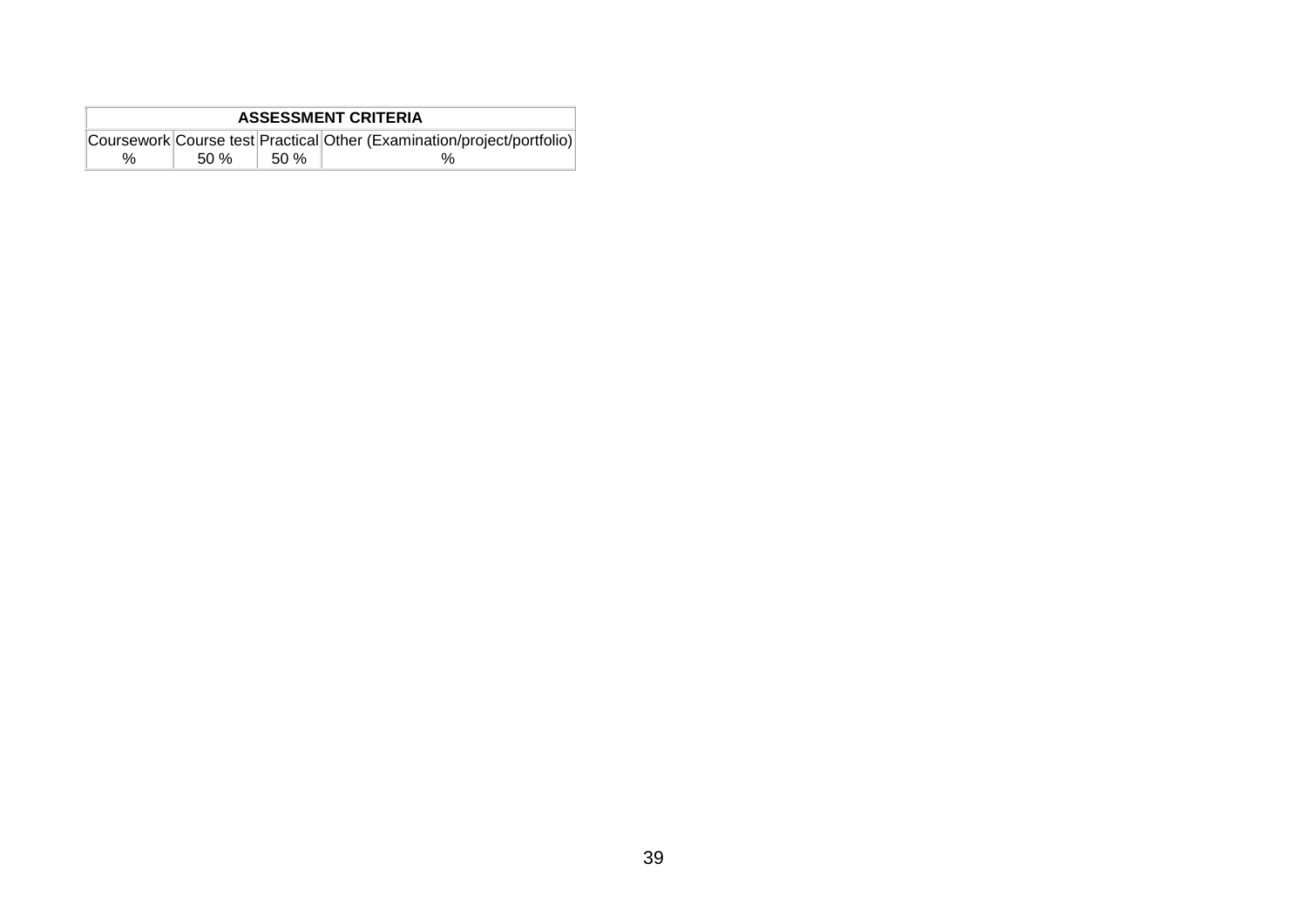| <b>ASSESSMENT CRITERIA</b> |     |       |                                                                        |  |  |  |  |  |  |
|----------------------------|-----|-------|------------------------------------------------------------------------|--|--|--|--|--|--|
|                            |     |       | Coursework Course test Practical Other (Examination/project/portfolio) |  |  |  |  |  |  |
| %                          | 50% | .50 % |                                                                        |  |  |  |  |  |  |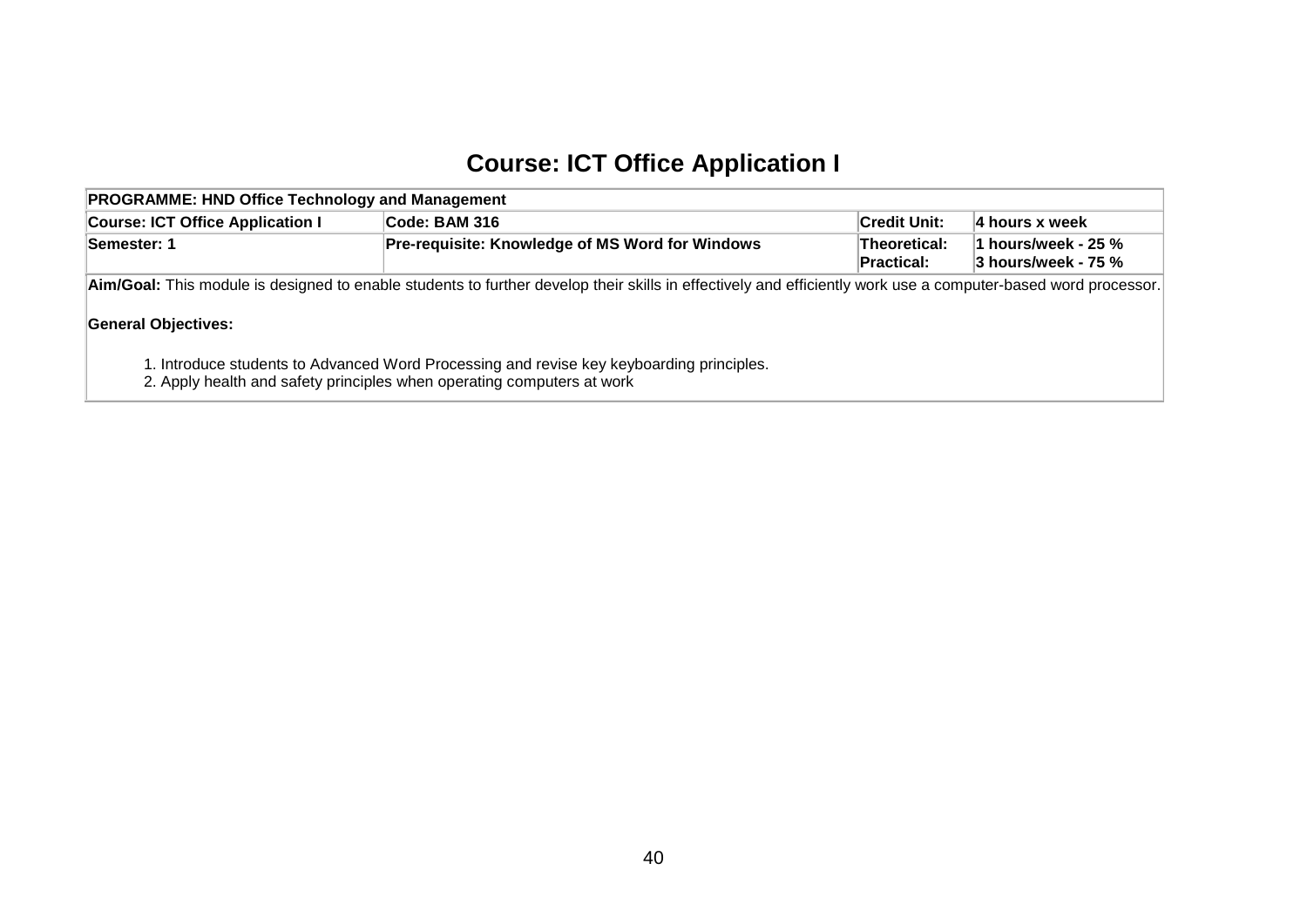## **Course: ICT Office Application I**

| <b>PROGRAMME: HND Office Technology and Management</b>                                                                                                             |                                                                                                                                                               |              |                   |  |  |  |  |  |  |
|--------------------------------------------------------------------------------------------------------------------------------------------------------------------|---------------------------------------------------------------------------------------------------------------------------------------------------------------|--------------|-------------------|--|--|--|--|--|--|
| <b>Course: ICT Office Application I</b>                                                                                                                            | Code: BAM 316                                                                                                                                                 | Credit Unit: | $ 4$ hours x week |  |  |  |  |  |  |
| <b>Pre-requisite: Knowledge of MS Word for Windows</b><br>Theoretical:<br>1 hours/week - 25 %<br>Semester: 1<br>$3$ hours/week - 75 $%$<br>Practical:              |                                                                                                                                                               |              |                   |  |  |  |  |  |  |
|                                                                                                                                                                    | Aim/Goal: This module is designed to enable students to further develop their skills in effectively and efficiently work use a computer-based word processor. |              |                   |  |  |  |  |  |  |
| <b>General Objectives:</b>                                                                                                                                         |                                                                                                                                                               |              |                   |  |  |  |  |  |  |
| 1. Introduce students to Advanced Word Processing and revise key keyboarding principles.<br>2. Apply health and safety principles when operating computers at work |                                                                                                                                                               |              |                   |  |  |  |  |  |  |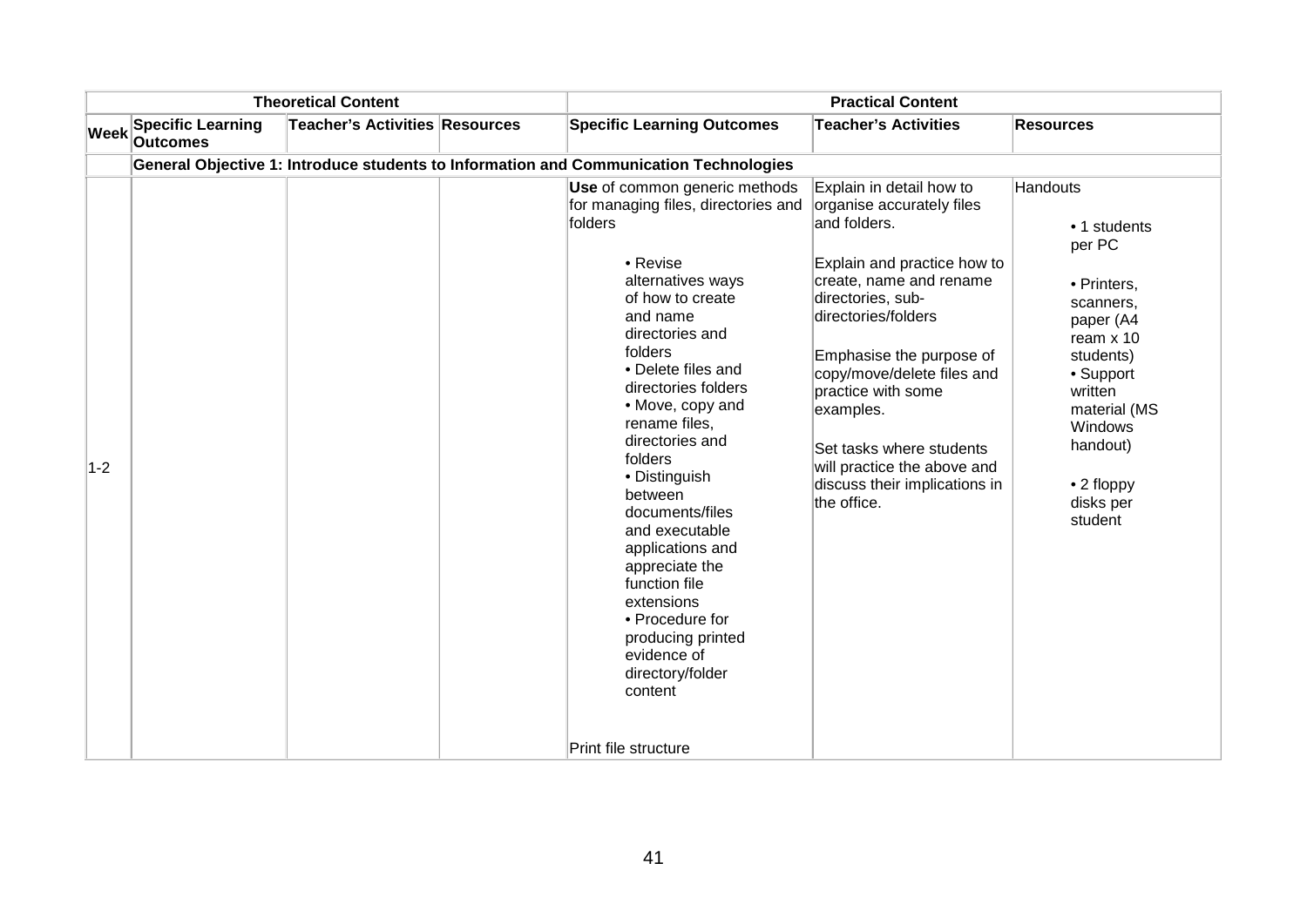| <b>Theoretical Content</b> |                                             |                                       | <b>Practical Content</b>                                                                                                                                                                                                                                                                                                                                                                                                                                                                                                                             |                                                                                                                                                                                                                                                                                                                                                        |                                                                                                                                                                                                                     |  |
|----------------------------|---------------------------------------------|---------------------------------------|------------------------------------------------------------------------------------------------------------------------------------------------------------------------------------------------------------------------------------------------------------------------------------------------------------------------------------------------------------------------------------------------------------------------------------------------------------------------------------------------------------------------------------------------------|--------------------------------------------------------------------------------------------------------------------------------------------------------------------------------------------------------------------------------------------------------------------------------------------------------------------------------------------------------|---------------------------------------------------------------------------------------------------------------------------------------------------------------------------------------------------------------------|--|
| <b>Week</b>                | <b>Specific Learning</b><br><b>Outcomes</b> | <b>Teacher's Activities Resources</b> | <b>Specific Learning Outcomes</b>                                                                                                                                                                                                                                                                                                                                                                                                                                                                                                                    | <b>Teacher's Activities</b>                                                                                                                                                                                                                                                                                                                            | <b>Resources</b>                                                                                                                                                                                                    |  |
|                            |                                             |                                       | General Objective 1: Introduce students to Information and Communication Technologies                                                                                                                                                                                                                                                                                                                                                                                                                                                                |                                                                                                                                                                                                                                                                                                                                                        |                                                                                                                                                                                                                     |  |
| $1-2$                      |                                             |                                       | Use of common generic methods<br>for managing files, directories and organise accurately files<br>folders<br>• Revise<br>alternatives ways<br>of how to create<br>and name<br>directories and<br>folders<br>• Delete files and<br>directories folders<br>• Move, copy and<br>rename files,<br>directories and<br>folders<br>• Distinguish<br>between<br>documents/files<br>and executable<br>applications and<br>appreciate the<br>function file<br>extensions<br>• Procedure for<br>producing printed<br>evidence of<br>directory/folder<br>content | Explain in detail how to<br>and folders.<br>Explain and practice how to<br>create, name and rename<br>directories, sub-<br>directories/folders<br>Emphasise the purpose of<br>copy/move/delete files and<br>practice with some<br>examples.<br>Set tasks where students<br>will practice the above and<br>discuss their implications in<br>the office. | <b>Handouts</b><br>• 1 students<br>per PC<br>• Printers,<br>scanners,<br>paper (A4<br>ream $x$ 10<br>students)<br>• Support<br>written<br>material (MS<br>Windows<br>handout)<br>• 2 floppy<br>disks per<br>student |  |
|                            |                                             |                                       | Print file structure                                                                                                                                                                                                                                                                                                                                                                                                                                                                                                                                 |                                                                                                                                                                                                                                                                                                                                                        |                                                                                                                                                                                                                     |  |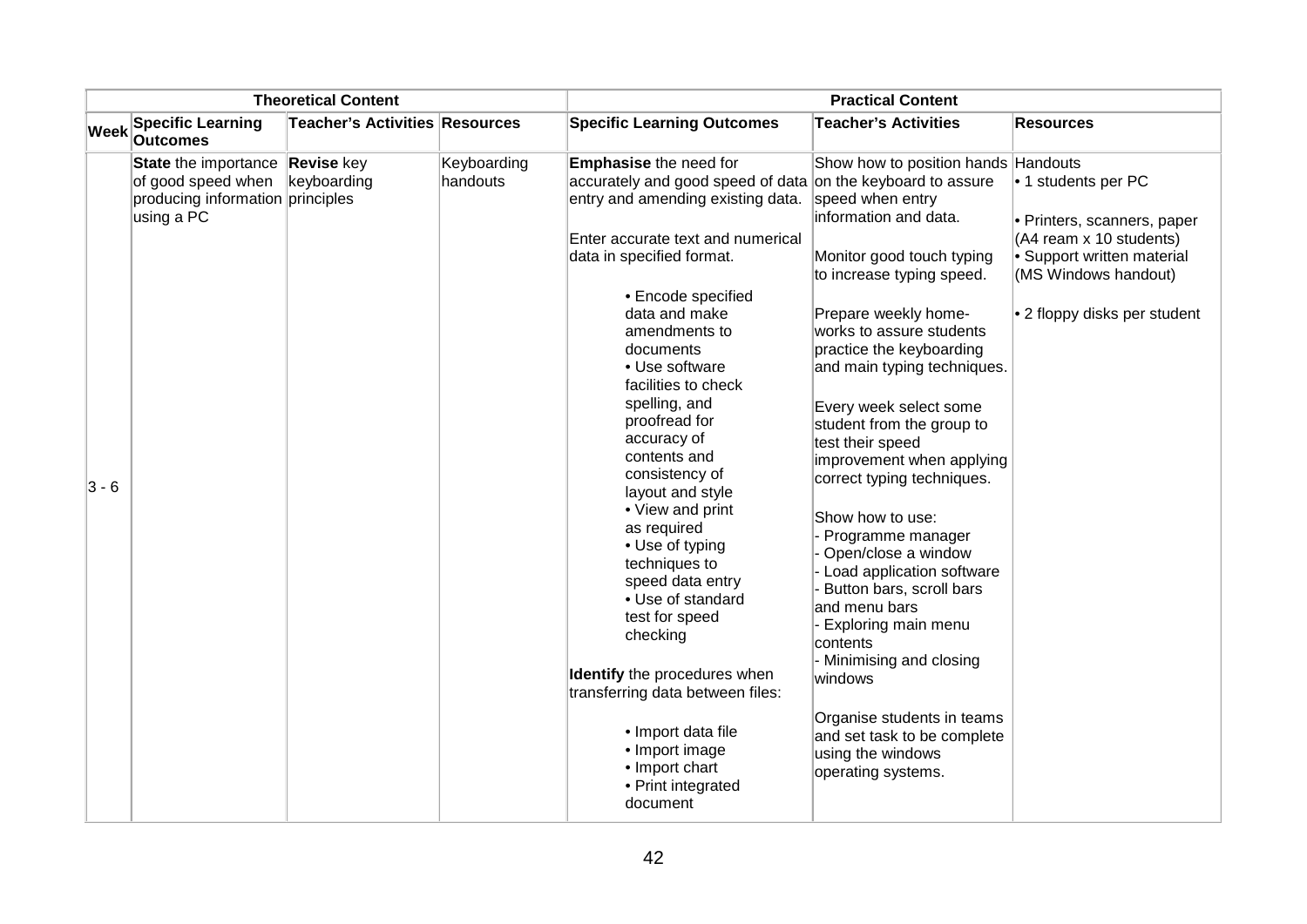| <b>Theoretical Content</b> |                                                                                              |                                       |                         | <b>Practical Content</b>                                                                                                                                                                                                                                                                                                                                                                                                                                                                                                                                                                                                                                                                                                               |                                                                                                                                                                                                                                                                                                                                                                                                                                                                                                                                                                                                                                                                                                                               |                                                                                                                                                                     |  |
|----------------------------|----------------------------------------------------------------------------------------------|---------------------------------------|-------------------------|----------------------------------------------------------------------------------------------------------------------------------------------------------------------------------------------------------------------------------------------------------------------------------------------------------------------------------------------------------------------------------------------------------------------------------------------------------------------------------------------------------------------------------------------------------------------------------------------------------------------------------------------------------------------------------------------------------------------------------------|-------------------------------------------------------------------------------------------------------------------------------------------------------------------------------------------------------------------------------------------------------------------------------------------------------------------------------------------------------------------------------------------------------------------------------------------------------------------------------------------------------------------------------------------------------------------------------------------------------------------------------------------------------------------------------------------------------------------------------|---------------------------------------------------------------------------------------------------------------------------------------------------------------------|--|
| <b>Week</b>                | <b>Specific Learning</b><br><b>Outcomes</b>                                                  | <b>Teacher's Activities Resources</b> |                         | <b>Specific Learning Outcomes</b>                                                                                                                                                                                                                                                                                                                                                                                                                                                                                                                                                                                                                                                                                                      | <b>Teacher's Activities</b>                                                                                                                                                                                                                                                                                                                                                                                                                                                                                                                                                                                                                                                                                                   | <b>Resources</b>                                                                                                                                                    |  |
| $3 - 6$                    | State the importance<br>of good speed when<br>producing information principles<br>using a PC | <b>Revise</b> key<br>keyboarding      | Keyboarding<br>handouts | <b>Emphasise</b> the need for<br>accurately and good speed of data on the keyboard to assure<br>entry and amending existing data.<br>Enter accurate text and numerical<br>data in specified format.<br>• Encode specified<br>data and make<br>amendments to<br>documents<br>• Use software<br>facilities to check<br>spelling, and<br>proofread for<br>accuracy of<br>contents and<br>consistency of<br>layout and style<br>• View and print<br>as required<br>• Use of typing<br>techniques to<br>speed data entry<br>• Use of standard<br>test for speed<br>checking<br>Identify the procedures when<br>transferring data between files:<br>• Import data file<br>• Import image<br>• Import chart<br>• Print integrated<br>document | Show how to position hands Handouts<br>speed when entry<br>information and data.<br>Monitor good touch typing<br>to increase typing speed.<br>Prepare weekly home-<br>works to assure students<br>practice the keyboarding<br>and main typing techniques.<br>Every week select some<br>student from the group to<br>test their speed<br>improvement when applying<br>correct typing techniques.<br>Show how to use:<br>- Programme manager<br>Open/close a window<br>Load application software<br>Button bars, scroll bars<br>and menu bars<br>- Exploring main menu<br>contents<br>Minimising and closing<br>windows<br>Organise students in teams<br>and set task to be complete<br>using the windows<br>operating systems. | • 1 students per PC<br>· Printers, scanners, paper<br>(A4 ream x 10 students)<br>• Support written material<br>(MS Windows handout)<br>• 2 floppy disks per student |  |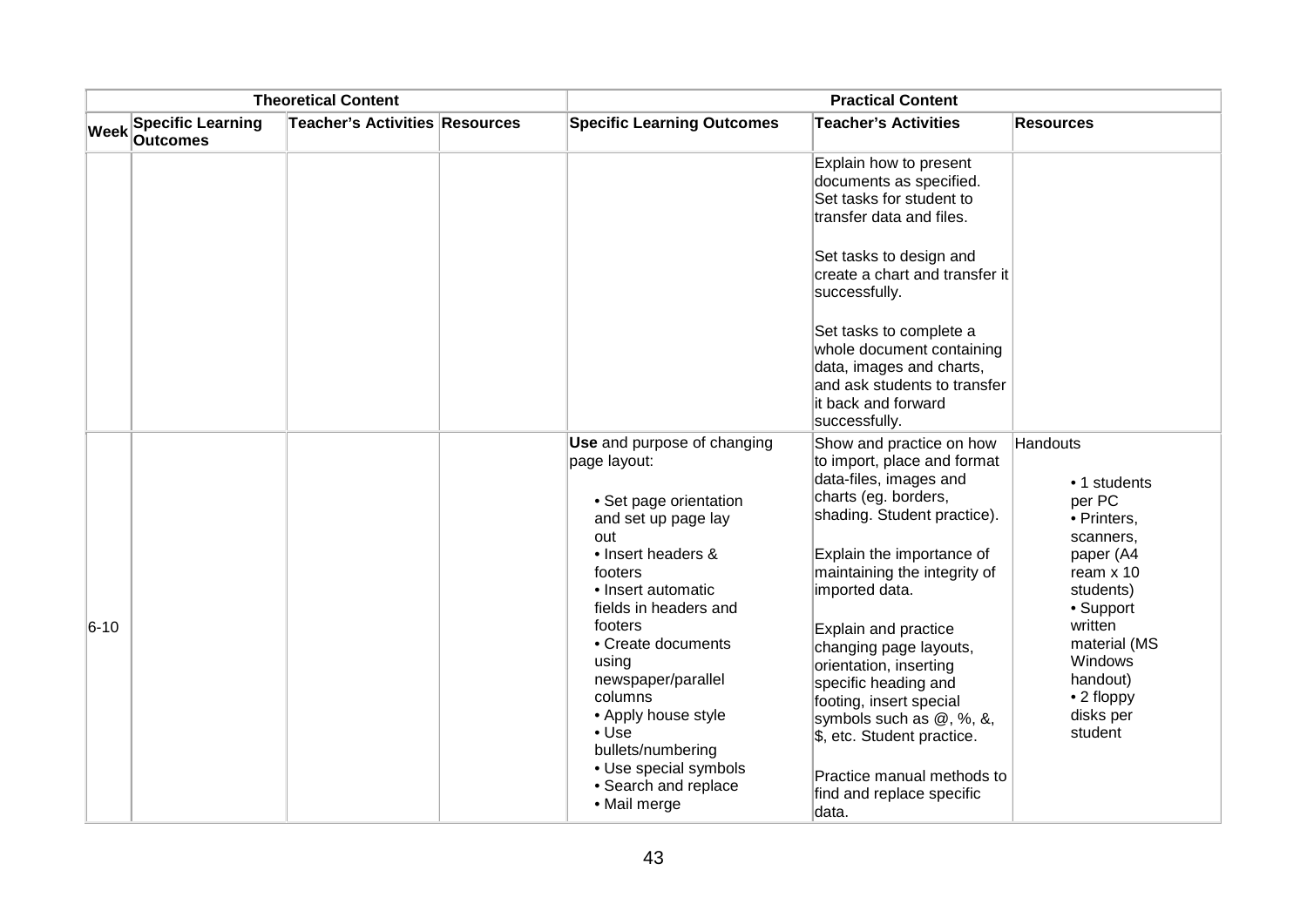| <b>Theoretical Content</b> |                                      |                                | <b>Practical Content</b>                                                                                                                                                                                                                                                                                                                                                                     |                                                                                                                                                                                                                                                                                                                                                                                                                                                                                      |                                                                                                                                                                                                            |  |
|----------------------------|--------------------------------------|--------------------------------|----------------------------------------------------------------------------------------------------------------------------------------------------------------------------------------------------------------------------------------------------------------------------------------------------------------------------------------------------------------------------------------------|--------------------------------------------------------------------------------------------------------------------------------------------------------------------------------------------------------------------------------------------------------------------------------------------------------------------------------------------------------------------------------------------------------------------------------------------------------------------------------------|------------------------------------------------------------------------------------------------------------------------------------------------------------------------------------------------------------|--|
| <b>Week</b>                | <b>Specific Learning</b><br>Outcomes | Teacher's Activities Resources | <b>Specific Learning Outcomes</b>                                                                                                                                                                                                                                                                                                                                                            | <b>Teacher's Activities</b>                                                                                                                                                                                                                                                                                                                                                                                                                                                          | <b>Resources</b>                                                                                                                                                                                           |  |
|                            |                                      |                                |                                                                                                                                                                                                                                                                                                                                                                                              | Explain how to present<br>documents as specified.<br>Set tasks for student to<br>transfer data and files.                                                                                                                                                                                                                                                                                                                                                                            |                                                                                                                                                                                                            |  |
|                            |                                      |                                |                                                                                                                                                                                                                                                                                                                                                                                              | Set tasks to design and<br>create a chart and transfer it<br>successfully.                                                                                                                                                                                                                                                                                                                                                                                                           |                                                                                                                                                                                                            |  |
|                            |                                      |                                |                                                                                                                                                                                                                                                                                                                                                                                              | Set tasks to complete a<br>whole document containing<br>data, images and charts,<br>and ask students to transfer<br>it back and forward<br>successfully.                                                                                                                                                                                                                                                                                                                             |                                                                                                                                                                                                            |  |
| $6 - 10$                   |                                      |                                | Use and purpose of changing<br>page layout:<br>• Set page orientation<br>and set up page lay<br>out<br>• Insert headers &<br>footers<br>• Insert automatic<br>fields in headers and<br>footers<br>• Create documents<br>using<br>newspaper/parallel<br>columns<br>• Apply house style<br>$\bullet$ Use<br>bullets/numbering<br>• Use special symbols<br>• Search and replace<br>• Mail merge | Show and practice on how<br>to import, place and format<br>data-files, images and<br>charts (eg. borders,<br>shading. Student practice).<br>Explain the importance of<br>maintaining the integrity of<br>imported data.<br>Explain and practice<br>changing page layouts,<br>orientation, inserting<br>specific heading and<br>footing, insert special<br>symbols such as @, %, &,<br>\$, etc. Student practice.<br>Practice manual methods to<br>find and replace specific<br>data. | Handouts<br>• 1 students<br>per PC<br>· Printers,<br>scanners,<br>paper (A4<br>ream x 10<br>students)<br>• Support<br>written<br>material (MS<br>Windows<br>handout)<br>• 2 floppy<br>disks per<br>student |  |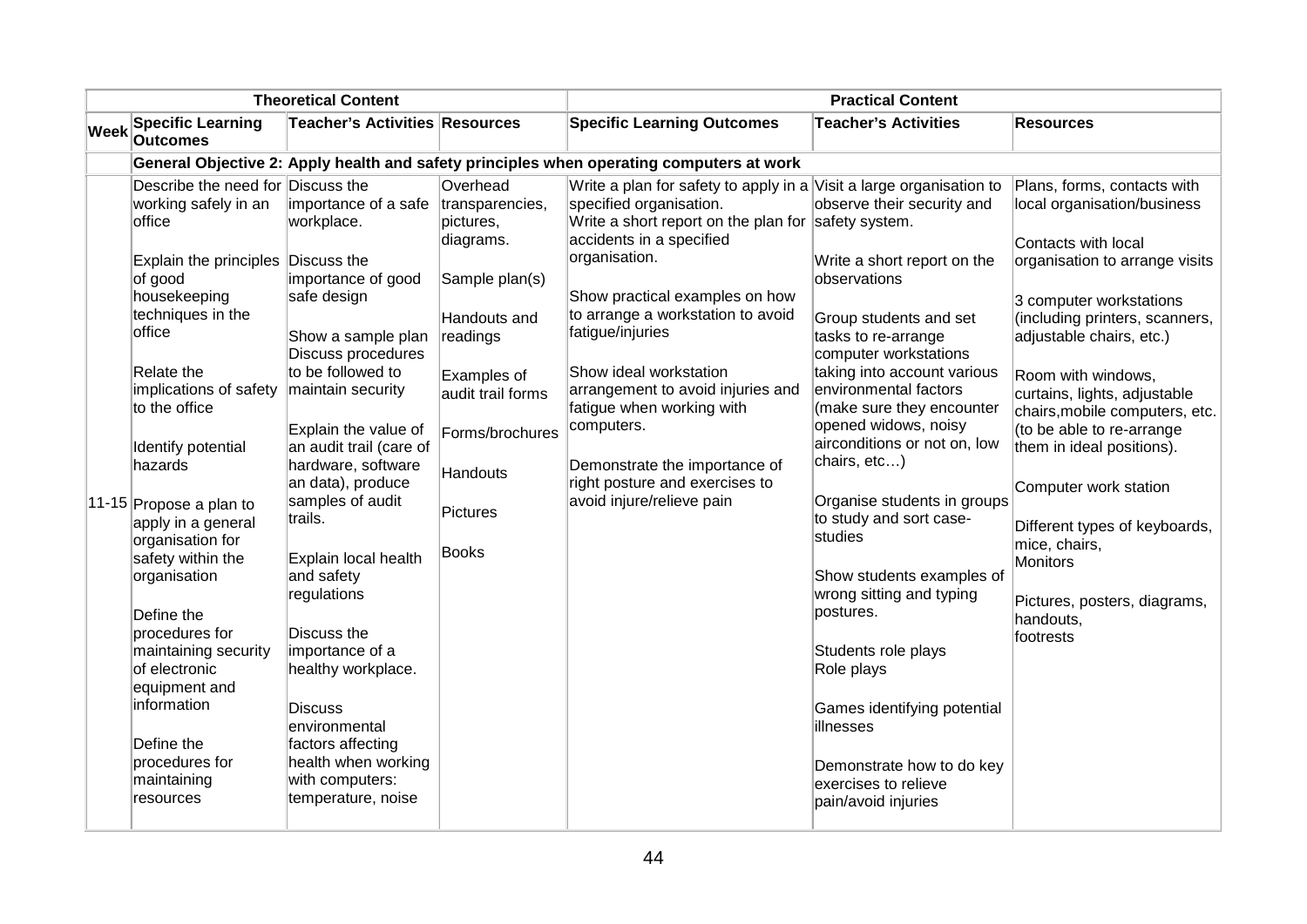| <b>Theoretical Content</b>                                                                                                                                                                                                                                                                                                                                                                                                                                                                                                                   |                           |                                                                                                                                                                                                                                                                                                                                                                                                                                                                                                    | <b>Practical Content</b>                                                                                                                                                                    |                                                                                                                                                                                                                                                                                                                                                                                                                                                                                                         |                                                                                                                                                                                                                                                                                                                                                                                                                                                                                                                                                                                                                          |                                                                                                                                                                                                                                                                                                                                                                                                                                                                                                                        |
|----------------------------------------------------------------------------------------------------------------------------------------------------------------------------------------------------------------------------------------------------------------------------------------------------------------------------------------------------------------------------------------------------------------------------------------------------------------------------------------------------------------------------------------------|---------------------------|----------------------------------------------------------------------------------------------------------------------------------------------------------------------------------------------------------------------------------------------------------------------------------------------------------------------------------------------------------------------------------------------------------------------------------------------------------------------------------------------------|---------------------------------------------------------------------------------------------------------------------------------------------------------------------------------------------|---------------------------------------------------------------------------------------------------------------------------------------------------------------------------------------------------------------------------------------------------------------------------------------------------------------------------------------------------------------------------------------------------------------------------------------------------------------------------------------------------------|--------------------------------------------------------------------------------------------------------------------------------------------------------------------------------------------------------------------------------------------------------------------------------------------------------------------------------------------------------------------------------------------------------------------------------------------------------------------------------------------------------------------------------------------------------------------------------------------------------------------------|------------------------------------------------------------------------------------------------------------------------------------------------------------------------------------------------------------------------------------------------------------------------------------------------------------------------------------------------------------------------------------------------------------------------------------------------------------------------------------------------------------------------|
| <b>Specific Learning</b><br><b>Week</b><br><b>Outcomes</b>                                                                                                                                                                                                                                                                                                                                                                                                                                                                                   |                           | <b>Teacher's Activities Resources</b>                                                                                                                                                                                                                                                                                                                                                                                                                                                              |                                                                                                                                                                                             | <b>Specific Learning Outcomes</b>                                                                                                                                                                                                                                                                                                                                                                                                                                                                       | <b>Teacher's Activities</b>                                                                                                                                                                                                                                                                                                                                                                                                                                                                                                                                                                                              | <b>Resources</b>                                                                                                                                                                                                                                                                                                                                                                                                                                                                                                       |
|                                                                                                                                                                                                                                                                                                                                                                                                                                                                                                                                              |                           |                                                                                                                                                                                                                                                                                                                                                                                                                                                                                                    |                                                                                                                                                                                             | General Objective 2: Apply health and safety principles when operating computers at work                                                                                                                                                                                                                                                                                                                                                                                                                |                                                                                                                                                                                                                                                                                                                                                                                                                                                                                                                                                                                                                          |                                                                                                                                                                                                                                                                                                                                                                                                                                                                                                                        |
| Describe the need for Discuss the<br>working safely in an<br>office<br>Explain the principles Discuss the<br>of good<br>housekeeping<br>techniques in the<br>office<br>Relate the<br>implications of safety<br>to the office<br>Identify potential<br>hazards<br>11-15 Propose a plan to<br>apply in a general<br>organisation for<br>safety within the<br>organisation<br>Define the<br>procedures for<br>maintaining security<br>of electronic<br>equipment and<br>information<br>Define the<br>procedures for<br>maintaining<br>resources | trails.<br><b>Discuss</b> | importance of a safe<br>workplace.<br>importance of good<br>safe design<br>Show a sample plan<br>Discuss procedures<br>to be followed to<br>maintain security<br>Explain the value of<br>an audit trail (care of<br>hardware, software<br>an data), produce<br>samples of audit<br>Explain local health<br>and safety<br>regulations<br>Discuss the<br>importance of a<br>healthy workplace.<br>environmental<br>factors affecting<br>health when working<br>with computers:<br>temperature, noise | Overhead<br>transparencies,<br>pictures,<br>diagrams.<br>Sample plan(s)<br>Handouts and<br>readings<br>Examples of<br>audit trail forms<br>Forms/brochures<br>Handouts<br>Pictures<br>Books | Write a plan for safety to apply in a Visit a large organisation to<br>specified organisation.<br>Write a short report on the plan for safety system.<br>accidents in a specified<br>organisation.<br>Show practical examples on how<br>to arrange a workstation to avoid<br>fatigue/injuries<br>Show ideal workstation<br>arrangement to avoid injuries and<br>fatigue when working with<br>computers.<br>Demonstrate the importance of<br>right posture and exercises to<br>avoid injure/relieve pain | observe their security and<br>Write a short report on the<br>observations<br>Group students and set<br>tasks to re-arrange<br>computer workstations<br>taking into account various<br>environmental factors<br>(make sure they encounter<br>opened widows, noisy<br>airconditions or not on, low<br>chairs, etc)<br>Organise students in groups<br>to study and sort case-<br>studies<br>Show students examples of<br>wrong sitting and typing<br>postures.<br>Students role plays<br>Role plays<br>Games identifying potential<br>illnesses<br>Demonstrate how to do key<br>exercises to relieve<br>pain/avoid injuries | Plans, forms, contacts with<br>local organisation/business<br>Contacts with local<br>organisation to arrange visits<br>3 computer workstations<br>(including printers, scanners,<br>adjustable chairs, etc.)<br>Room with windows,<br>curtains, lights, adjustable<br>chairs, mobile computers, etc.<br>(to be able to re-arrange<br>them in ideal positions).<br>Computer work station<br>Different types of keyboards,<br>mice, chairs,<br><b>Monitors</b><br>Pictures, posters, diagrams,<br>handouts,<br>footrests |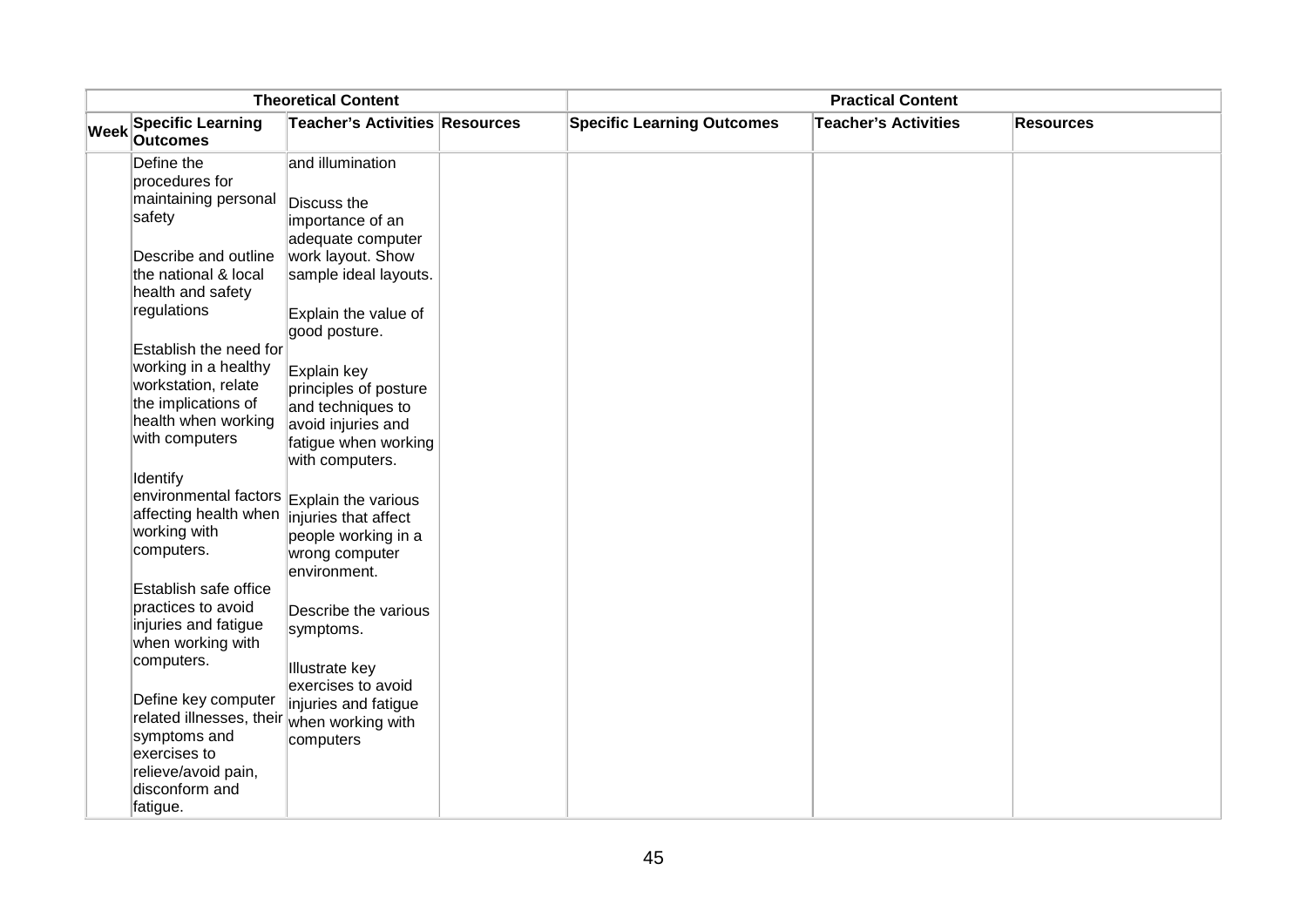| <b>Theoretical Content</b> |                                                                                                                                       |                                                                                                                         | <b>Practical Content</b>          |                             |                  |  |
|----------------------------|---------------------------------------------------------------------------------------------------------------------------------------|-------------------------------------------------------------------------------------------------------------------------|-----------------------------------|-----------------------------|------------------|--|
| <b>Week</b>                | <b>Specific Learning</b><br><b>Outcomes</b>                                                                                           | Teacher's Activities Resources                                                                                          | <b>Specific Learning Outcomes</b> | <b>Teacher's Activities</b> | <b>Resources</b> |  |
|                            | Define the<br>procedures for                                                                                                          | and illumination                                                                                                        |                                   |                             |                  |  |
|                            | maintaining personal<br>safety                                                                                                        | Discuss the<br>importance of an<br>adequate computer                                                                    |                                   |                             |                  |  |
|                            | Describe and outline<br>the national & local<br>health and safety                                                                     | work layout. Show<br>sample ideal layouts.                                                                              |                                   |                             |                  |  |
|                            | regulations                                                                                                                           | Explain the value of<br>good posture.                                                                                   |                                   |                             |                  |  |
|                            | Establish the need for<br>working in a healthy<br>workstation, relate<br>the implications of<br>health when working<br>with computers | Explain key<br>principles of posture<br>and techniques to<br>avoid injuries and<br>fatigue when working                 |                                   |                             |                  |  |
|                            | Identify<br>environmental factors<br>affecting health when<br>working with<br>computers.                                              | with computers.<br>Explain the various<br>injuries that affect<br>people working in a<br>wrong computer<br>environment. |                                   |                             |                  |  |
|                            | Establish safe office<br>practices to avoid<br>injuries and fatigue<br>when working with                                              | Describe the various<br>symptoms.                                                                                       |                                   |                             |                  |  |
|                            | computers.<br>Define key computer<br>related illnesses, their when working with<br>symptoms and<br>exercises to                       | <b>Illustrate key</b><br>exercises to avoid<br>injuries and fatigue<br>computers                                        |                                   |                             |                  |  |
|                            | relieve/avoid pain,<br>disconform and<br>fatigue.                                                                                     |                                                                                                                         |                                   |                             |                  |  |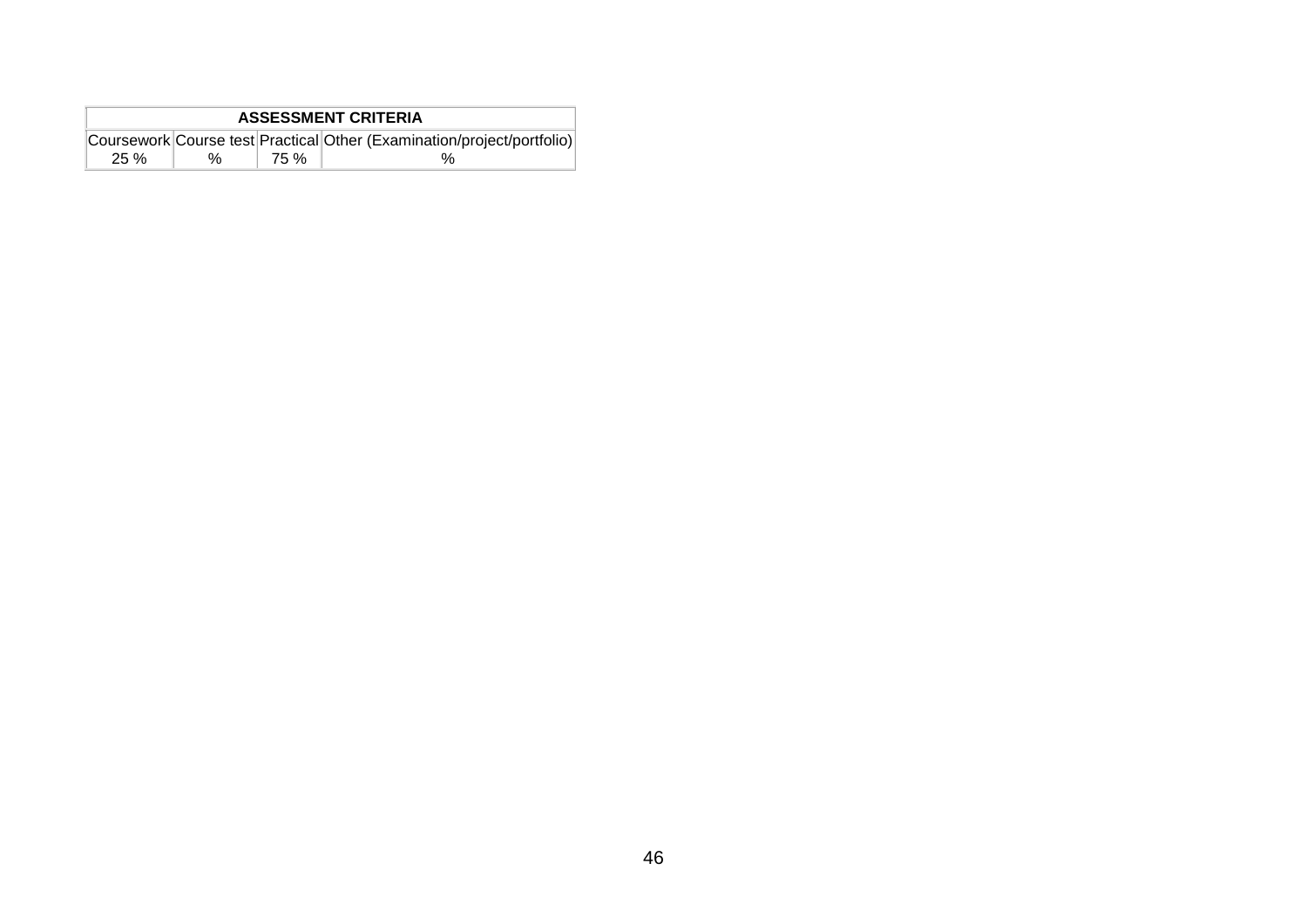| <b>ASSESSMENT CRITERIA</b> |   |      |                                                                        |  |  |  |
|----------------------------|---|------|------------------------------------------------------------------------|--|--|--|
|                            |   |      | Coursework Course test Practical Other (Examination/project/portfolio) |  |  |  |
| 25 %                       | ℅ | 75 % |                                                                        |  |  |  |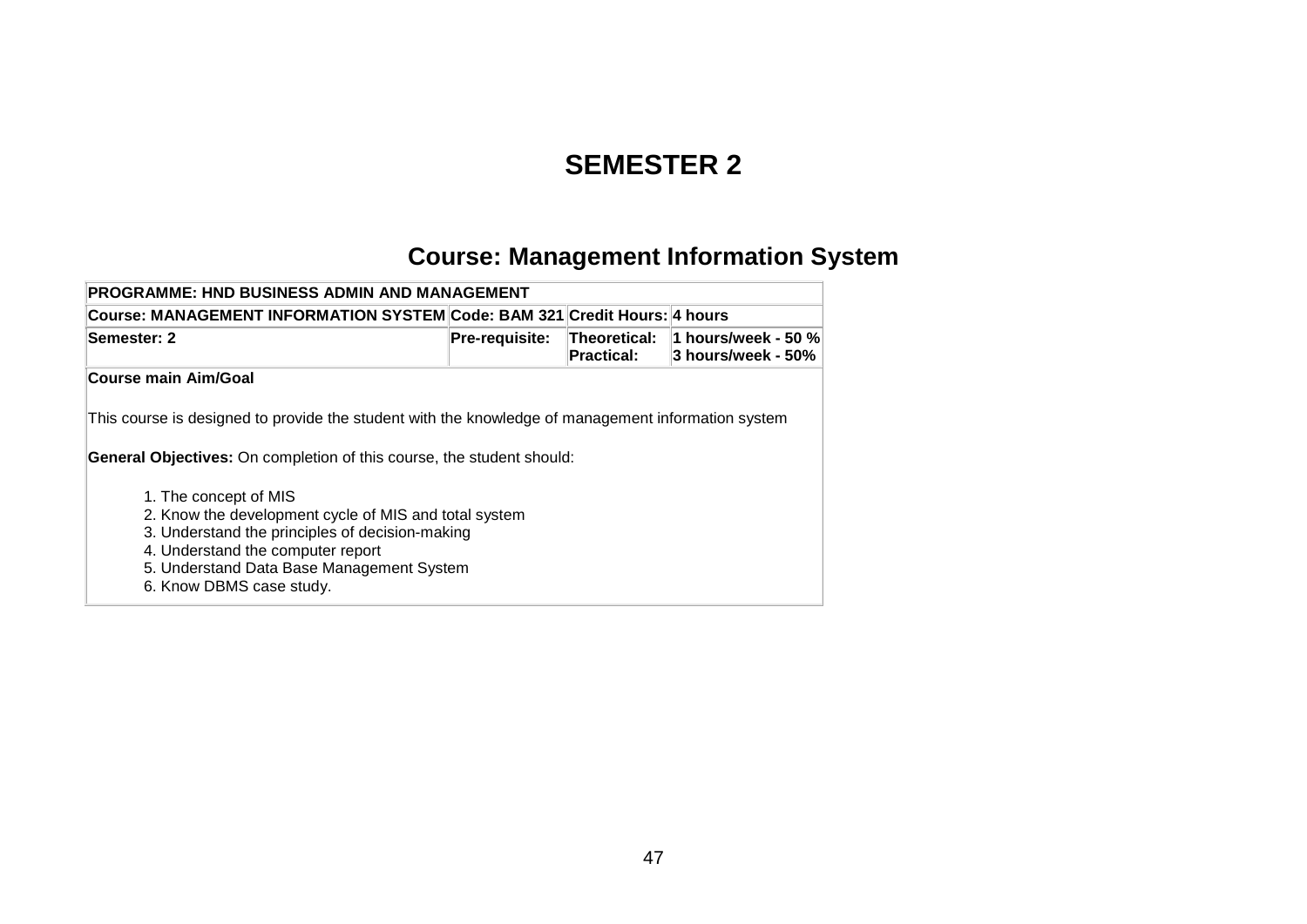#### **SEMESTER 2**

## **Course: Management Information System**

| <b>PROGRAMME: HND BUSINESS ADMIN AND MANAGEMENT</b>                                                                                                                                                                                                                                                                                                                                                                                   |                       |                                          |                                           |  |  |  |  |
|---------------------------------------------------------------------------------------------------------------------------------------------------------------------------------------------------------------------------------------------------------------------------------------------------------------------------------------------------------------------------------------------------------------------------------------|-----------------------|------------------------------------------|-------------------------------------------|--|--|--|--|
| Course: MANAGEMENT INFORMATION SYSTEM Code: BAM 321 Credit Hours: 4 hours                                                                                                                                                                                                                                                                                                                                                             |                       |                                          |                                           |  |  |  |  |
| Semester: 2                                                                                                                                                                                                                                                                                                                                                                                                                           | <b>Pre-requisite:</b> | <b>Theoretical:</b><br><b>Practical:</b> | 1 hours/week - 50 %<br>3 hours/week - 50% |  |  |  |  |
| <b>Course main Aim/Goal</b>                                                                                                                                                                                                                                                                                                                                                                                                           |                       |                                          |                                           |  |  |  |  |
| This course is designed to provide the student with the knowledge of management information system<br><b>General Objectives:</b> On completion of this course, the student should:<br>1. The concept of MIS<br>2. Know the development cycle of MIS and total system<br>3. Understand the principles of decision-making<br>4. Understand the computer report<br>5. Understand Data Base Management System<br>6. Know DBMS case study. |                       |                                          |                                           |  |  |  |  |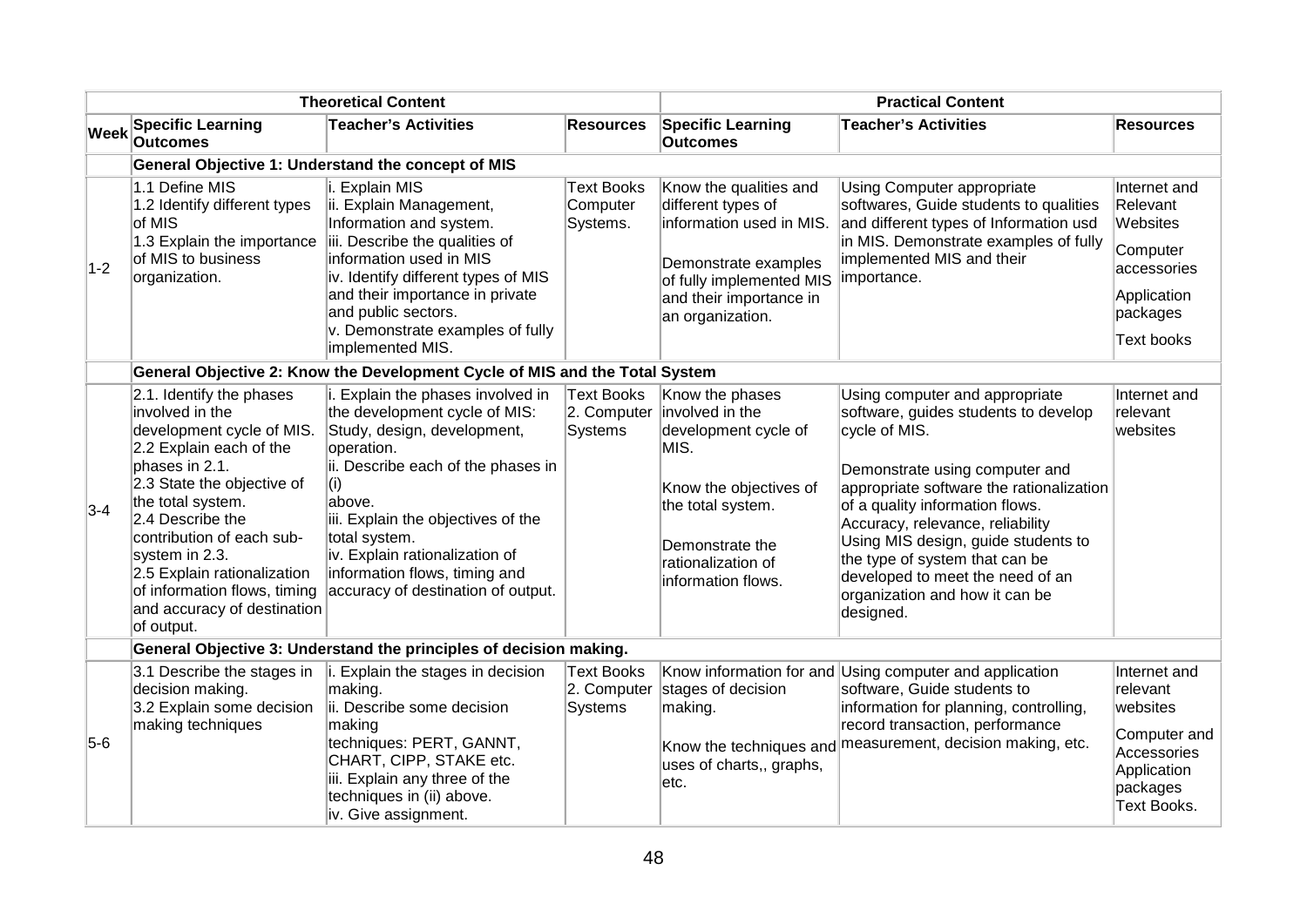| <b>Theoretical Content</b> |                                                                                                                                                                                                                                                                                                                                                         |                                                                                                                                                                                                                                                                                                                                        | <b>Practical Content</b>                           |                                                                                                                                                                                  |                                                                                                                                                                                                                                                                                                                                                                                                          |                                                                                                                 |  |  |
|----------------------------|---------------------------------------------------------------------------------------------------------------------------------------------------------------------------------------------------------------------------------------------------------------------------------------------------------------------------------------------------------|----------------------------------------------------------------------------------------------------------------------------------------------------------------------------------------------------------------------------------------------------------------------------------------------------------------------------------------|----------------------------------------------------|----------------------------------------------------------------------------------------------------------------------------------------------------------------------------------|----------------------------------------------------------------------------------------------------------------------------------------------------------------------------------------------------------------------------------------------------------------------------------------------------------------------------------------------------------------------------------------------------------|-----------------------------------------------------------------------------------------------------------------|--|--|
| <b>Week</b>                | <b>Specific Learning</b><br><b>Outcomes</b>                                                                                                                                                                                                                                                                                                             | <b>Teacher's Activities</b>                                                                                                                                                                                                                                                                                                            | <b>Resources</b>                                   | <b>Specific Learning</b><br><b>Outcomes</b>                                                                                                                                      | <b>Teacher's Activities</b>                                                                                                                                                                                                                                                                                                                                                                              | <b>Resources</b>                                                                                                |  |  |
|                            |                                                                                                                                                                                                                                                                                                                                                         | General Objective 1: Understand the concept of MIS                                                                                                                                                                                                                                                                                     |                                                    |                                                                                                                                                                                  |                                                                                                                                                                                                                                                                                                                                                                                                          |                                                                                                                 |  |  |
| $1-2$                      | 1.1 Define MIS<br>1.2 Identify different types<br>of MIS<br>1.3 Explain the importance<br>of MIS to business<br>organization.                                                                                                                                                                                                                           | i. Explain MIS<br>ii. Explain Management,<br>Information and system.<br>iii. Describe the qualities of<br>information used in MIS<br>iv. Identify different types of MIS<br>and their importance in private<br>and public sectors.<br>v. Demonstrate examples of fully<br>implemented MIS.                                             | <b>Text Books</b><br>Computer<br>Systems.          | Know the qualities and<br>different types of<br>information used in MIS.<br>Demonstrate examples<br>of fully implemented MIS<br>and their importance in<br>an organization.      | <b>Using Computer appropriate</b><br>softwares, Guide students to qualities<br>and different types of Information usd<br>in MIS. Demonstrate examples of fully<br>implemented MIS and their<br>importance.                                                                                                                                                                                               | Internet and<br>Relevant<br>Websites<br>Computer<br>accessories<br>Application<br>packages<br><b>Text books</b> |  |  |
|                            | General Objective 2: Know the Development Cycle of MIS and the Total System                                                                                                                                                                                                                                                                             |                                                                                                                                                                                                                                                                                                                                        |                                                    |                                                                                                                                                                                  |                                                                                                                                                                                                                                                                                                                                                                                                          |                                                                                                                 |  |  |
| $3-4$                      | 2.1. Identify the phases<br>involved in the<br>development cycle of MIS.<br>2.2 Explain each of the<br>phases in 2.1.<br>2.3 State the objective of<br>the total system.<br>2.4 Describe the<br>contribution of each sub-<br>system in 2.3.<br>2.5 Explain rationalization<br>of information flows, timing<br>and accuracy of destination<br>of output. | i. Explain the phases involved in<br>the development cycle of MIS:<br>Study, design, development,<br>operation.<br>ii. Describe each of the phases in<br>(i)<br>above.<br>iii. Explain the objectives of the<br>total system.<br>iv. Explain rationalization of<br>information flows, timing and<br>accuracy of destination of output. | Text Books<br>2. Computer<br><b>Systems</b>        | Know the phases<br>involved in the<br>development cycle of<br>MIS.<br>Know the objectives of<br>the total system.<br>Demonstrate the<br>rationalization of<br>information flows. | Using computer and appropriate<br>software, guides students to develop<br>cycle of MIS.<br>Demonstrate using computer and<br>appropriate software the rationalization<br>of a quality information flows.<br>Accuracy, relevance, reliability<br>Using MIS design, guide students to<br>the type of system that can be<br>developed to meet the need of an<br>organization and how it can be<br>designed. | Internet and<br>relevant<br>websites                                                                            |  |  |
|                            |                                                                                                                                                                                                                                                                                                                                                         | General Objective 3: Understand the principles of decision making.                                                                                                                                                                                                                                                                     |                                                    |                                                                                                                                                                                  |                                                                                                                                                                                                                                                                                                                                                                                                          |                                                                                                                 |  |  |
| $5-6$                      | 3.1 Describe the stages in<br>decision making.<br>3.2 Explain some decision<br>making techniques                                                                                                                                                                                                                                                        | Explain the stages in decision<br>making.<br>ii. Describe some decision<br>making<br>techniques: PERT, GANNT,<br>CHART, CIPP, STAKE etc.<br>iii. Explain any three of the<br>techniques in (ii) above.<br>iv. Give assignment.                                                                                                         | <b>Text Books</b><br>2. Computer<br><b>Systems</b> | stages of decision<br>making.<br>Know the techniques and<br>uses of charts,, graphs,<br>etc.                                                                                     | Know information for and Using computer and application<br>software, Guide students to<br>information for planning, controlling,<br>record transaction, performance<br>measurement, decision making, etc.                                                                                                                                                                                                | Internet and<br>relevant<br>websites<br>Computer and<br>Accessories<br>Application<br>packages<br>Text Books.   |  |  |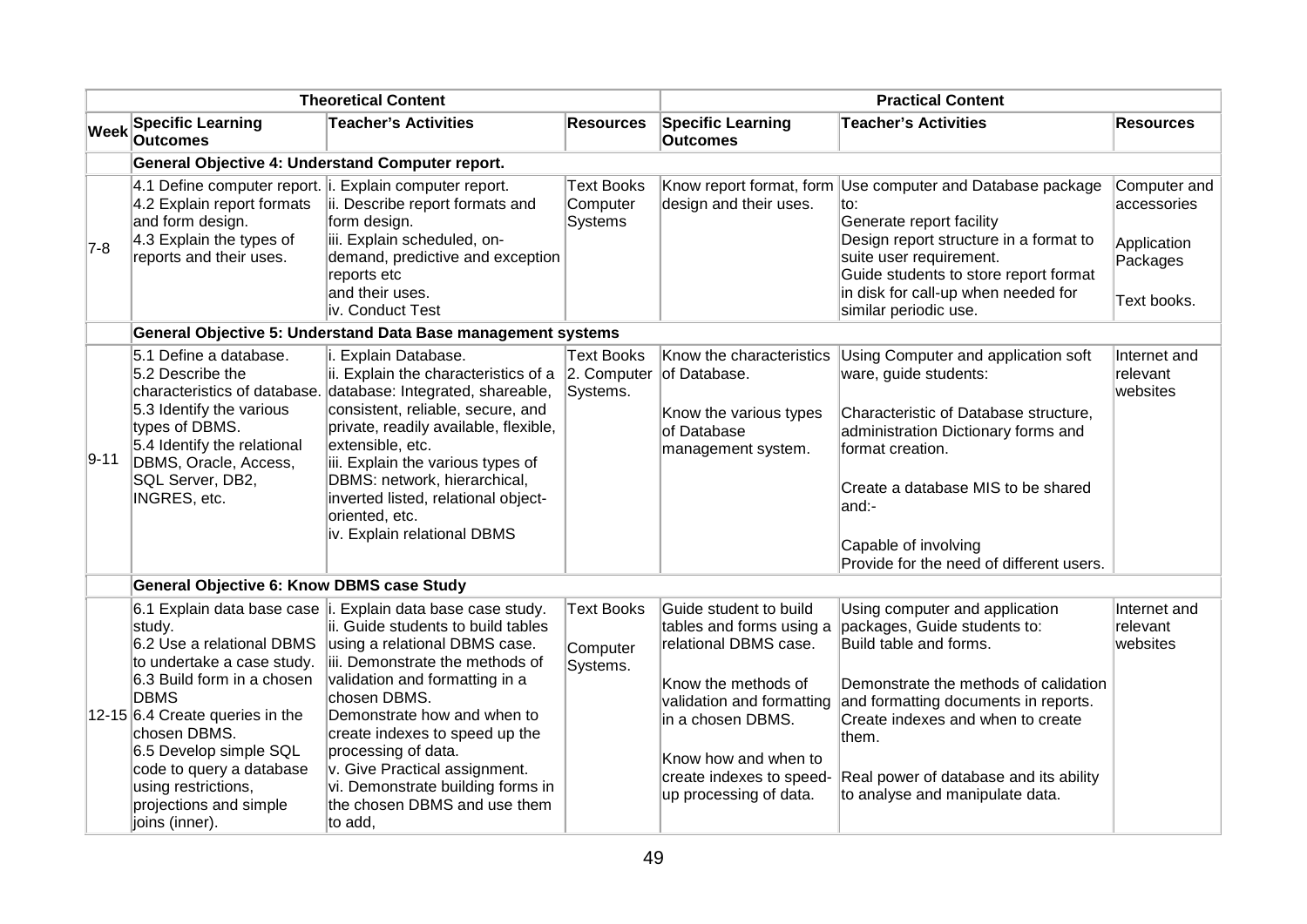| <b>Theoretical Content</b> |                                                                                                                                                                                                                                                                                                                             |                                                                                                                                                                                                                                                                                                                                                                                                                               | <b>Practical Content</b>                        |                                                                                                                                                                                                                                     |                                                                                                                                                                                                                                                                                                      |                                                                       |  |  |
|----------------------------|-----------------------------------------------------------------------------------------------------------------------------------------------------------------------------------------------------------------------------------------------------------------------------------------------------------------------------|-------------------------------------------------------------------------------------------------------------------------------------------------------------------------------------------------------------------------------------------------------------------------------------------------------------------------------------------------------------------------------------------------------------------------------|-------------------------------------------------|-------------------------------------------------------------------------------------------------------------------------------------------------------------------------------------------------------------------------------------|------------------------------------------------------------------------------------------------------------------------------------------------------------------------------------------------------------------------------------------------------------------------------------------------------|-----------------------------------------------------------------------|--|--|
| Week                       | <b>Specific Learning</b><br><b>Outcomes</b>                                                                                                                                                                                                                                                                                 | <b>Teacher's Activities</b>                                                                                                                                                                                                                                                                                                                                                                                                   | <b>Resources</b>                                | <b>Specific Learning</b><br><b>Outcomes</b>                                                                                                                                                                                         | <b>Teacher's Activities</b>                                                                                                                                                                                                                                                                          | <b>Resources</b>                                                      |  |  |
|                            | General Objective 4: Understand Computer report.                                                                                                                                                                                                                                                                            |                                                                                                                                                                                                                                                                                                                                                                                                                               |                                                 |                                                                                                                                                                                                                                     |                                                                                                                                                                                                                                                                                                      |                                                                       |  |  |
| $7-8$                      | 4.1 Define computer report. i. Explain computer report.<br>4.2 Explain report formats<br>and form design.<br>4.3 Explain the types of<br>reports and their uses.                                                                                                                                                            | ii. Describe report formats and<br>form design.<br>iii. Explain scheduled, on-<br>demand, predictive and exception<br>reports etc<br>and their uses.<br>liv. Conduct Test                                                                                                                                                                                                                                                     | <b>Text Books</b><br>Computer<br><b>Systems</b> | design and their uses.                                                                                                                                                                                                              | Know report format, form Use computer and Database package<br>to:<br>Generate report facility<br>Design report structure in a format to<br>suite user requirement.<br>Guide students to store report format<br>in disk for call-up when needed for<br>similar periodic use.                          | Computer and<br>accessories<br>Application<br>Packages<br>Text books. |  |  |
|                            | General Objective 5: Understand Data Base management systems                                                                                                                                                                                                                                                                |                                                                                                                                                                                                                                                                                                                                                                                                                               |                                                 |                                                                                                                                                                                                                                     |                                                                                                                                                                                                                                                                                                      |                                                                       |  |  |
| 9-11                       | 5.1 Define a database.<br>5.2 Describe the<br>5.3 Identify the various<br>types of DBMS.<br>5.4 Identify the relational<br>DBMS, Oracle, Access,<br>SQL Server, DB2,<br>INGRES, etc.                                                                                                                                        | i. Explain Database.<br>ii. Explain the characteristics of a $\vert$ 2. Computer of Database.<br>characteristics of database. database: Integrated, shareable,<br>consistent, reliable, secure, and<br>private, readily available, flexible,<br>extensible, etc.<br>iii. Explain the various types of<br>DBMS: network, hierarchical,<br>inverted listed, relational object-<br>oriented, etc.<br>iv. Explain relational DBMS | Text Books<br>Systems.                          | Know the characteristics<br>Know the various types<br>of Database<br>management system.                                                                                                                                             | Using Computer and application soft<br>ware, guide students:<br>Characteristic of Database structure,<br>administration Dictionary forms and<br>format creation.<br>Create a database MIS to be shared<br>and:-<br>Capable of involving<br>Provide for the need of different users.                  | Internet and<br>relevant<br>websites                                  |  |  |
|                            | <b>General Objective 6: Know DBMS case Study</b>                                                                                                                                                                                                                                                                            |                                                                                                                                                                                                                                                                                                                                                                                                                               |                                                 |                                                                                                                                                                                                                                     |                                                                                                                                                                                                                                                                                                      |                                                                       |  |  |
|                            | 6.1 Explain data base case i.<br>study.<br>6.2 Use a relational DBMS<br>to undertake a case study.<br>6.3 Build form in a chosen<br><b>DBMS</b><br>12-15 6.4 Create queries in the<br>chosen DBMS.<br>6.5 Develop simple SQL<br>code to query a database<br>using restrictions,<br>projections and simple<br>joins (inner). | Explain data base case study.<br>ii. Guide students to build tables<br>using a relational DBMS case.<br>iii. Demonstrate the methods of<br>validation and formatting in a<br>chosen DBMS.<br>Demonstrate how and when to<br>create indexes to speed up the<br>processing of data.<br>v. Give Practical assignment.<br>vi. Demonstrate building forms in<br>the chosen DBMS and use them<br>to add,                            | <b>Text Books</b><br>Computer<br>Systems.       | Guide student to build<br>tables and forms using a<br>relational DBMS case.<br>Know the methods of<br>validation and formatting<br>lin a chosen DBMS.<br>Know how and when to<br>create indexes to speed-<br>up processing of data. | Using computer and application<br>packages, Guide students to:<br>Build table and forms.<br>Demonstrate the methods of calidation<br>and formatting documents in reports.<br>Create indexes and when to create<br>them.<br>Real power of database and its ability<br>to analyse and manipulate data. | Internet and<br>relevant<br>websites                                  |  |  |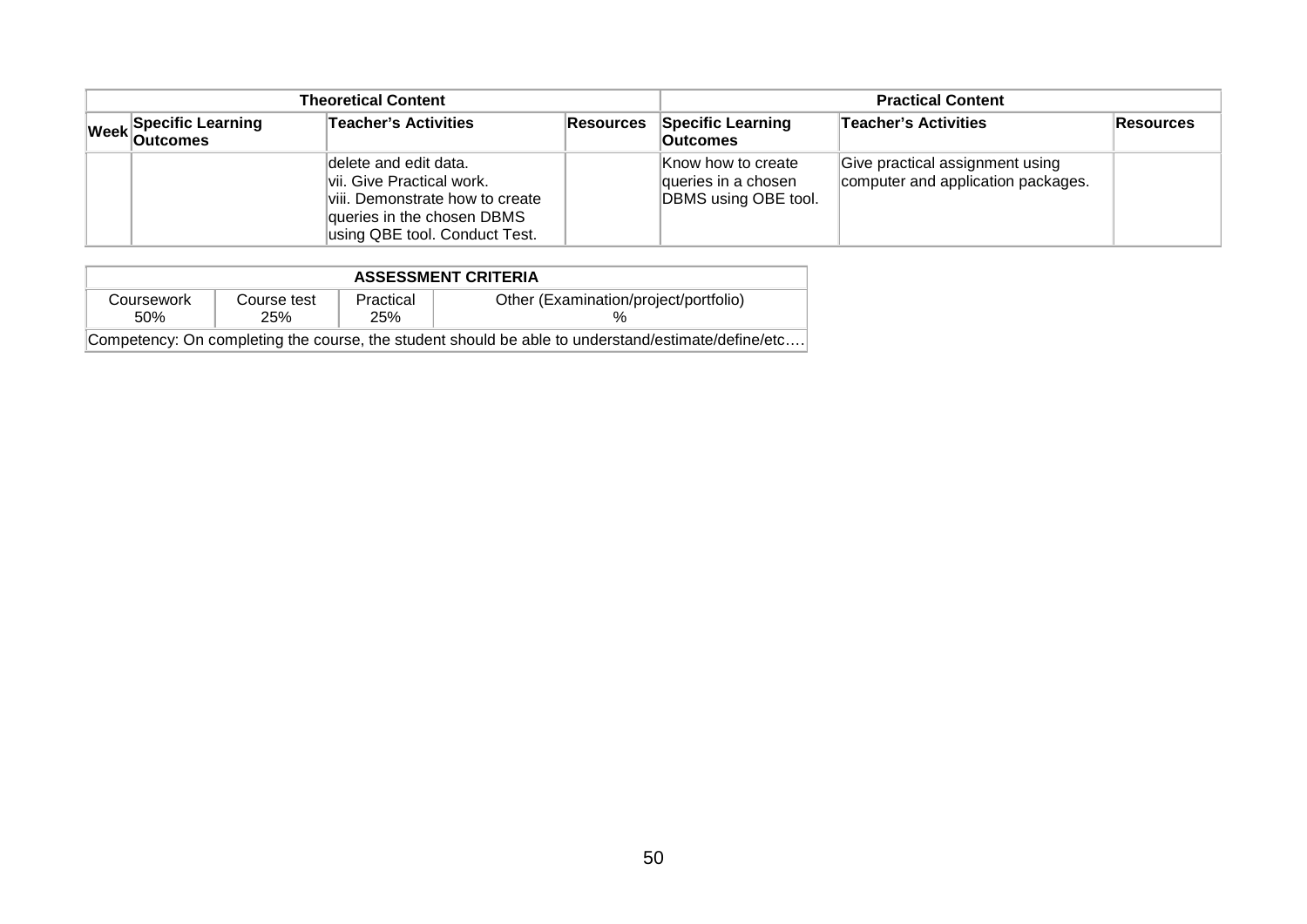| Theoretical Content                                   |  |                                                                                                                                                       |                                             | <b>Practical Content</b>                                          |                                                                       |  |  |
|-------------------------------------------------------|--|-------------------------------------------------------------------------------------------------------------------------------------------------------|---------------------------------------------|-------------------------------------------------------------------|-----------------------------------------------------------------------|--|--|
| <b>Teacher's Activities</b><br>Week Specific Learning |  | Resources                                                                                                                                             | <b>Specific Learning</b><br><b>Outcomes</b> | Teacher's Activities                                              | Resources                                                             |  |  |
|                                                       |  | delete and edit data.<br>lvii. Give Practical work.<br>viii. Demonstrate how to create<br>queries in the chosen DBMS<br>using QBE tool. Conduct Test. |                                             | Know how to create<br>queries in a chosen<br>DBMS using OBE tool. | Give practical assignment using<br>computer and application packages. |  |  |

| <b>ASSESSMENT CRITERIA</b>                                                                         |                    |                  |                                       |  |  |  |
|----------------------------------------------------------------------------------------------------|--------------------|------------------|---------------------------------------|--|--|--|
| Coursework<br>50%                                                                                  | Course test<br>25% | Practical<br>25% | Other (Examination/project/portfolio) |  |  |  |
| Competency: On completing the course, the student should be able to understand/estimate/define/etc |                    |                  |                                       |  |  |  |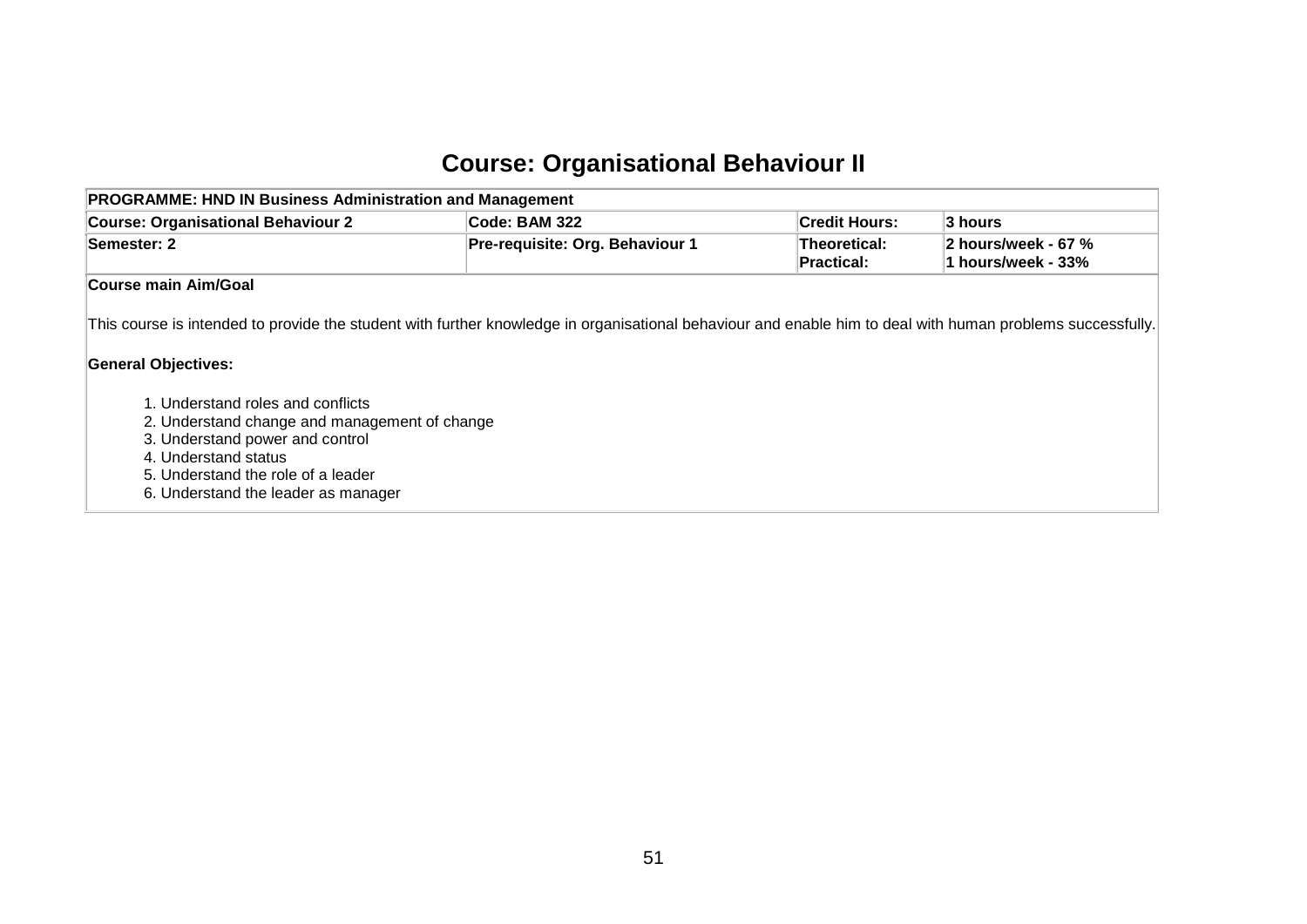### **Course: Organisational Behaviour II**

| <b>PROGRAMME: HND IN Business Administration and Management</b>                                                                               |                                                                                                                                                            |                            |                                           |  |  |  |  |
|-----------------------------------------------------------------------------------------------------------------------------------------------|------------------------------------------------------------------------------------------------------------------------------------------------------------|----------------------------|-------------------------------------------|--|--|--|--|
| <b>Course: Organisational Behaviour 2</b>                                                                                                     | Code: BAM 322                                                                                                                                              | <b>Credit Hours:</b>       | $\vert$ 3 hours                           |  |  |  |  |
| Semester: 2                                                                                                                                   | Pre-requisite: Org. Behaviour 1                                                                                                                            | Theoretical:<br>Practical: | 2 hours/week - 67 %<br>1 hours/week - 33% |  |  |  |  |
| Course main Aim/Goal                                                                                                                          |                                                                                                                                                            |                            |                                           |  |  |  |  |
| <b>General Objectives:</b>                                                                                                                    | This course is intended to provide the student with further knowledge in organisational behaviour and enable him to deal with human problems successfully. |                            |                                           |  |  |  |  |
| 1. Understand roles and conflicts<br>2. Understand change and management of change<br>3. Understand power and control<br>4. Understand status |                                                                                                                                                            |                            |                                           |  |  |  |  |

5. Understand the role of a leader

6. Understand the leader as manager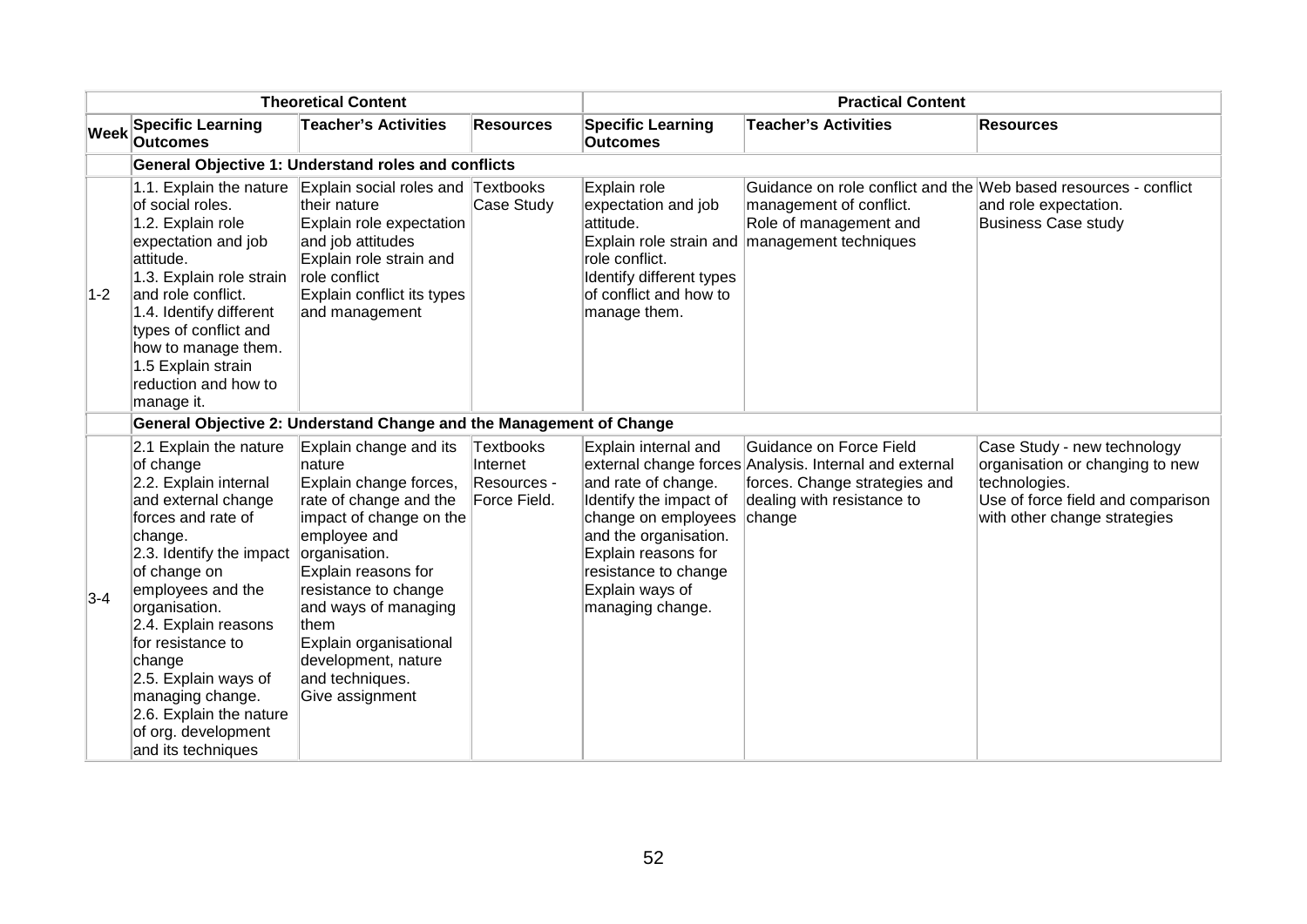|             |                                                                                                                                                                                                                                                                                                                                                                                   | <b>Theoretical Content</b>                                                                                                                                                                                                                                                                                             |                                                             | <b>Practical Content</b>                                                                                                                                                                                    |                                                                                                                                                                        |                                                                                                                                                      |  |
|-------------|-----------------------------------------------------------------------------------------------------------------------------------------------------------------------------------------------------------------------------------------------------------------------------------------------------------------------------------------------------------------------------------|------------------------------------------------------------------------------------------------------------------------------------------------------------------------------------------------------------------------------------------------------------------------------------------------------------------------|-------------------------------------------------------------|-------------------------------------------------------------------------------------------------------------------------------------------------------------------------------------------------------------|------------------------------------------------------------------------------------------------------------------------------------------------------------------------|------------------------------------------------------------------------------------------------------------------------------------------------------|--|
| <b>Week</b> | <b>Specific Learning</b><br><b>Outcomes</b>                                                                                                                                                                                                                                                                                                                                       | <b>Teacher's Activities</b>                                                                                                                                                                                                                                                                                            | <b>Resources</b>                                            | <b>Specific Learning</b><br><b>Outcomes</b>                                                                                                                                                                 | <b>Teacher's Activities</b>                                                                                                                                            | <b>Resources</b>                                                                                                                                     |  |
|             |                                                                                                                                                                                                                                                                                                                                                                                   | General Objective 1: Understand roles and conflicts                                                                                                                                                                                                                                                                    |                                                             |                                                                                                                                                                                                             |                                                                                                                                                                        |                                                                                                                                                      |  |
| $1-2$       | 1.1. Explain the nature<br>of social roles.<br>1.2. Explain role<br>expectation and job<br>attitude.<br>1.3. Explain role strain<br>and role conflict.<br>1.4. Identify different<br>types of conflict and<br>how to manage them.<br>1.5 Explain strain<br>reduction and how to<br>manage it.                                                                                     | Explain social roles and Textbooks<br>their nature<br>Explain role expectation<br>and job attitudes<br>Explain role strain and<br>role conflict<br>Explain conflict its types<br>and management                                                                                                                        | Case Study                                                  | Explain role<br>expectation and job<br>attitude.<br>role conflict.<br>Identify different types<br>of conflict and how to<br>manage them.                                                                    | Guidance on role conflict and the Web based resources - conflict<br>management of conflict.<br>Role of management and<br>Explain role strain and management techniques | and role expectation.<br><b>Business Case study</b>                                                                                                  |  |
|             |                                                                                                                                                                                                                                                                                                                                                                                   | General Objective 2: Understand Change and the Management of Change                                                                                                                                                                                                                                                    |                                                             |                                                                                                                                                                                                             |                                                                                                                                                                        |                                                                                                                                                      |  |
| $3-4$       | 2.1 Explain the nature<br>of change<br>2.2. Explain internal<br>and external change<br>forces and rate of<br>change.<br>2.3. Identify the impact<br>of change on<br>employees and the<br>organisation.<br>2.4. Explain reasons<br>for resistance to<br>change<br>2.5. Explain ways of<br>managing change.<br>2.6. Explain the nature<br>of org. development<br>and its techniques | Explain change and its<br>nature<br>Explain change forces,<br>rate of change and the<br>impact of change on the<br>employee and<br>organisation.<br>Explain reasons for<br>resistance to change<br>and ways of managing<br>them<br>Explain organisational<br>development, nature<br>and techniques.<br>Give assignment | <b>Textbooks</b><br>Internet<br>Resources -<br>Force Field. | Explain internal and<br>and rate of change.<br>Identify the impact of<br>change on employees<br>and the organisation.<br>Explain reasons for<br>resistance to change<br>Explain ways of<br>managing change. | Guidance on Force Field<br>external change forces Analysis. Internal and external<br>forces. Change strategies and<br>dealing with resistance to<br>change             | Case Study - new technology<br>organisation or changing to new<br>technologies.<br>Use of force field and comparison<br>with other change strategies |  |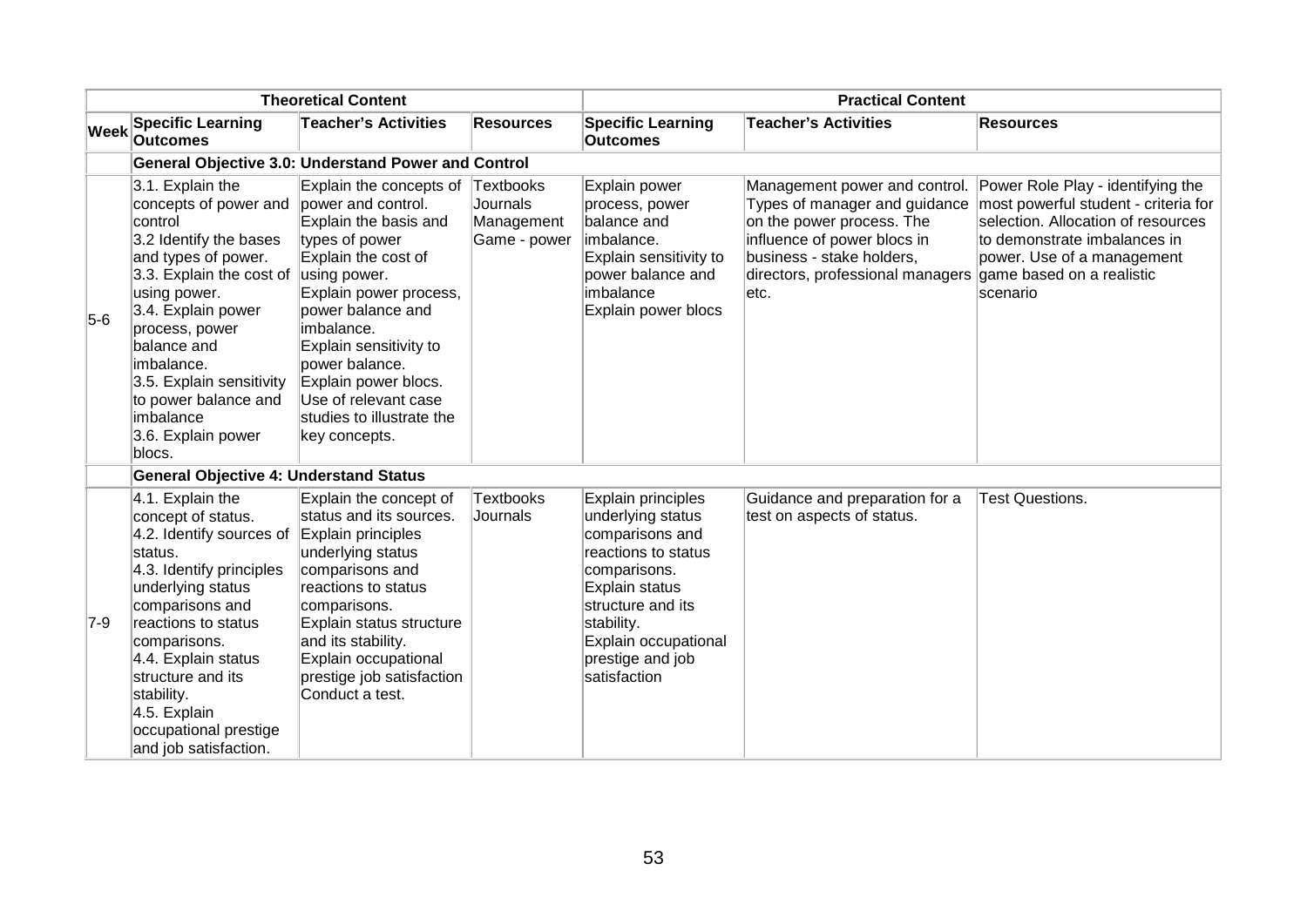| <b>Theoretical Content</b> |                                                                                                                                                                                                                                                                                                                         | <b>Practical Content</b>                                                                                                                                                                                                                                                                                                                         |                                        |                                                                                                                                                                                                                    |                                                                                                                                                                                              |                                                                                                                                                                                                                         |
|----------------------------|-------------------------------------------------------------------------------------------------------------------------------------------------------------------------------------------------------------------------------------------------------------------------------------------------------------------------|--------------------------------------------------------------------------------------------------------------------------------------------------------------------------------------------------------------------------------------------------------------------------------------------------------------------------------------------------|----------------------------------------|--------------------------------------------------------------------------------------------------------------------------------------------------------------------------------------------------------------------|----------------------------------------------------------------------------------------------------------------------------------------------------------------------------------------------|-------------------------------------------------------------------------------------------------------------------------------------------------------------------------------------------------------------------------|
| <b>Week</b>                | <b>Specific Learning</b><br><b>Outcomes</b>                                                                                                                                                                                                                                                                             | <b>Teacher's Activities</b>                                                                                                                                                                                                                                                                                                                      | <b>Resources</b>                       | <b>Specific Learning</b><br><b>Outcomes</b>                                                                                                                                                                        | <b>Teacher's Activities</b>                                                                                                                                                                  | <b>Resources</b>                                                                                                                                                                                                        |
|                            |                                                                                                                                                                                                                                                                                                                         | <b>General Objective 3.0: Understand Power and Control</b>                                                                                                                                                                                                                                                                                       |                                        |                                                                                                                                                                                                                    |                                                                                                                                                                                              |                                                                                                                                                                                                                         |
| $5-6$                      | 3.1. Explain the<br>concepts of power and<br>control<br>3.2 Identify the bases<br>and types of power.<br>3.3. Explain the cost of<br>using power.<br>3.4. Explain power<br>process, power<br>balance and<br>imbalance.<br>3.5. Explain sensitivity<br>to power balance and<br>imbalance<br>3.6. Explain power<br>blocs. | Explain the concepts of Textbooks<br>power and control.<br>Explain the basis and<br>types of power<br>Explain the cost of<br>using power.<br>Explain power process,<br>power balance and<br>imbalance.<br>Explain sensitivity to<br>power balance.<br>Explain power blocs.<br>Use of relevant case<br>studies to illustrate the<br>key concepts. | Journals<br>Management<br>Game - power | Explain power<br>process, power<br>balance and<br>imbalance.<br>Explain sensitivity to<br>power balance and<br>imbalance<br>Explain power blocs                                                                    | Types of manager and guidance<br>on the power process. The<br>influence of power blocs in<br>business - stake holders,<br>directors, professional managers game based on a realistic<br>etc. | Management power and control. Power Role Play - identifying the<br>most powerful student - criteria for<br>selection. Allocation of resources<br>to demonstrate imbalances in<br>power. Use of a management<br>scenario |
|                            | <b>General Objective 4: Understand Status</b>                                                                                                                                                                                                                                                                           |                                                                                                                                                                                                                                                                                                                                                  |                                        |                                                                                                                                                                                                                    |                                                                                                                                                                                              |                                                                                                                                                                                                                         |
| $7-9$                      | 4.1. Explain the<br>concept of status.<br>4.2. Identify sources of<br>status.<br>4.3. Identify principles<br>underlying status<br>comparisons and<br>reactions to status<br>comparisons.<br>4.4. Explain status<br>structure and its<br>stability.<br>4.5. Explain<br>occupational prestige<br>and job satisfaction.    | Explain the concept of<br>status and its sources.<br>Explain principles<br>underlying status<br>comparisons and<br>reactions to status<br>comparisons.<br>Explain status structure<br>and its stability.<br>Explain occupational<br>prestige job satisfaction<br>Conduct a test.                                                                 | <b>Textbooks</b><br>Journals           | Explain principles<br>underlying status<br>comparisons and<br>reactions to status<br>comparisons.<br>Explain status<br>structure and its<br>stability.<br>Explain occupational<br>prestige and job<br>satisfaction | Guidance and preparation for a<br>test on aspects of status.                                                                                                                                 | <b>Test Questions.</b>                                                                                                                                                                                                  |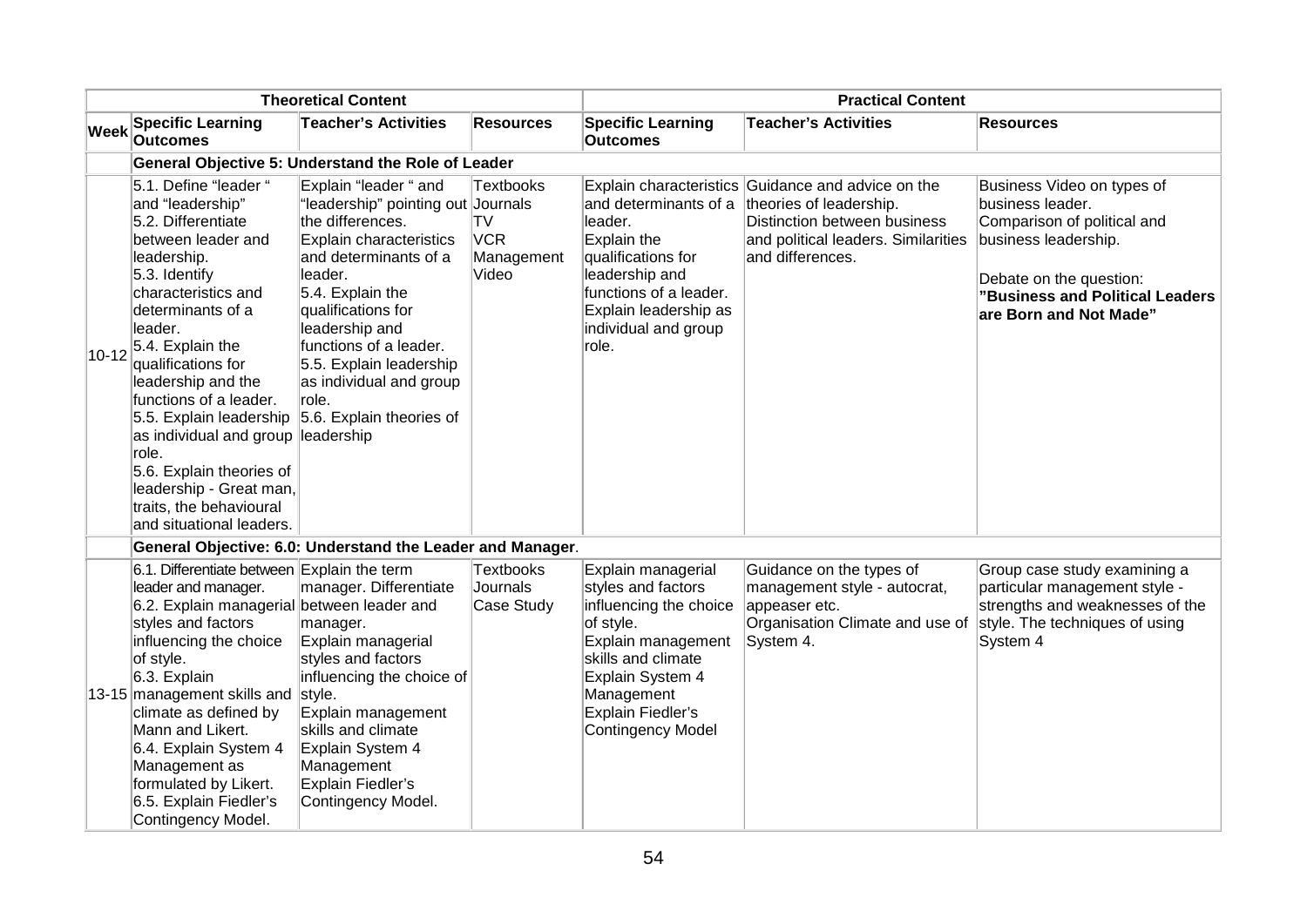| <b>Theoretical Content</b> |                                                                                                                                                                                                                                                                                                                                                                                                                                                                    | <b>Practical Content</b>                                                                                                                                                                                                                                                                                                          |                                                                    |                                                                                                                                                                                                                       |                                                                                                                                                                          |                                                                                                                                                                                               |
|----------------------------|--------------------------------------------------------------------------------------------------------------------------------------------------------------------------------------------------------------------------------------------------------------------------------------------------------------------------------------------------------------------------------------------------------------------------------------------------------------------|-----------------------------------------------------------------------------------------------------------------------------------------------------------------------------------------------------------------------------------------------------------------------------------------------------------------------------------|--------------------------------------------------------------------|-----------------------------------------------------------------------------------------------------------------------------------------------------------------------------------------------------------------------|--------------------------------------------------------------------------------------------------------------------------------------------------------------------------|-----------------------------------------------------------------------------------------------------------------------------------------------------------------------------------------------|
| <b>Week</b>                | <b>Specific Learning</b><br><b>Outcomes</b>                                                                                                                                                                                                                                                                                                                                                                                                                        | <b>Teacher's Activities</b>                                                                                                                                                                                                                                                                                                       | <b>Resources</b>                                                   | <b>Specific Learning</b><br><b>Outcomes</b>                                                                                                                                                                           | <b>Teacher's Activities</b>                                                                                                                                              | <b>Resources</b>                                                                                                                                                                              |
|                            |                                                                                                                                                                                                                                                                                                                                                                                                                                                                    | General Objective 5: Understand the Role of Leader                                                                                                                                                                                                                                                                                |                                                                    |                                                                                                                                                                                                                       |                                                                                                                                                                          |                                                                                                                                                                                               |
| $10 - 12$                  | 5.1. Define "leader "<br>and "leadership"<br>5.2. Differentiate<br>between leader and<br>leadership.<br>$5.3.$ Identify<br>characteristics and<br>determinants of a<br>leader.<br>$5.4.$ Explain the<br>qualifications for<br>leadership and the<br>functions of a leader.<br>5.5. Explain leadership<br>as individual and group leadership<br>role.<br>5.6. Explain theories of<br>leadership - Great man,<br>traits, the behavioural<br>and situational leaders. | Explain "leader " and<br>'leadership" pointing out Journals<br>the differences.<br>Explain characteristics<br>and determinants of a<br>leader.<br>$5.4.$ Explain the<br>qualifications for<br>leadership and<br>functions of a leader.<br>5.5. Explain leadership<br>as individual and group<br>role.<br>5.6. Explain theories of | <b>Textbooks</b><br><b>TV</b><br><b>VCR</b><br>Management<br>Video | and determinants of a<br>leader.<br>Explain the<br>qualifications for<br>leadership and<br>functions of a leader.<br>Explain leadership as<br>individual and group<br>role.                                           | Explain characteristics Guidance and advice on the<br>theories of leadership.<br>Distinction between business<br>and political leaders. Similarities<br>and differences. | Business Video on types of<br>business leader.<br>Comparison of political and<br>business leadership.<br>Debate on the question:<br>"Business and Political Leaders<br>are Born and Not Made" |
|                            |                                                                                                                                                                                                                                                                                                                                                                                                                                                                    | General Objective: 6.0: Understand the Leader and Manager.                                                                                                                                                                                                                                                                        |                                                                    |                                                                                                                                                                                                                       |                                                                                                                                                                          |                                                                                                                                                                                               |
|                            | 6.1. Differentiate between Explain the term<br>leader and manager.<br>6.2. Explain managerial between leader and<br>styles and factors<br>influencing the choice<br>of style.<br>$6.3.$ Explain<br>13-15 management skills and style.<br>climate as defined by<br>Mann and Likert.<br>6.4. Explain System 4<br>Management as<br>formulated by Likert.<br>6.5. Explain Fiedler's<br>Contingency Model.                                                              | manager. Differentiate<br>manager.<br>Explain managerial<br>styles and factors<br>influencing the choice of<br>Explain management<br>skills and climate<br>Explain System 4<br>Management<br>Explain Fiedler's<br>Contingency Model.                                                                                              | <b>Textbooks</b><br>Journals<br>Case Study                         | Explain managerial<br>styles and factors<br>influencing the choice<br>of style.<br>Explain management<br>skills and climate<br>Explain System 4<br>Management<br><b>Explain Fiedler's</b><br><b>Contingency Model</b> | Guidance on the types of<br>management style - autocrat,<br>appeaser etc.<br>Organisation Climate and use of<br>System 4.                                                | Group case study examining a<br>particular management style -<br>strengths and weaknesses of the<br>style. The techniques of using<br>System 4                                                |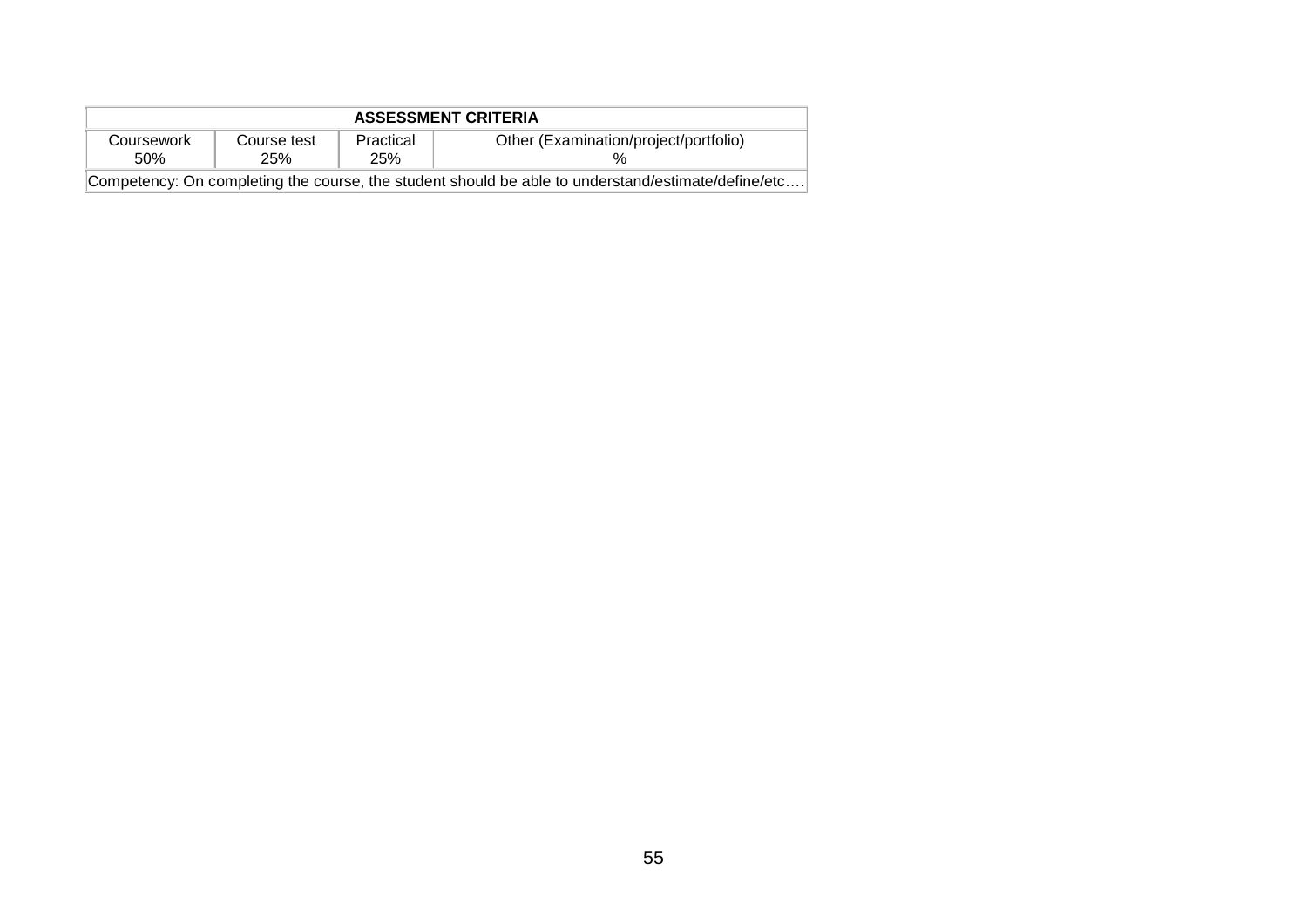| <b>ASSESSMENT CRITERIA</b>                                                                         |                    |                  |                                       |  |  |
|----------------------------------------------------------------------------------------------------|--------------------|------------------|---------------------------------------|--|--|
| Coursework<br>.50%                                                                                 | Course test<br>25% | Practical<br>25% | Other (Examination/project/portfolio) |  |  |
| Competency: On completing the course, the student should be able to understand/estimate/define/etc |                    |                  |                                       |  |  |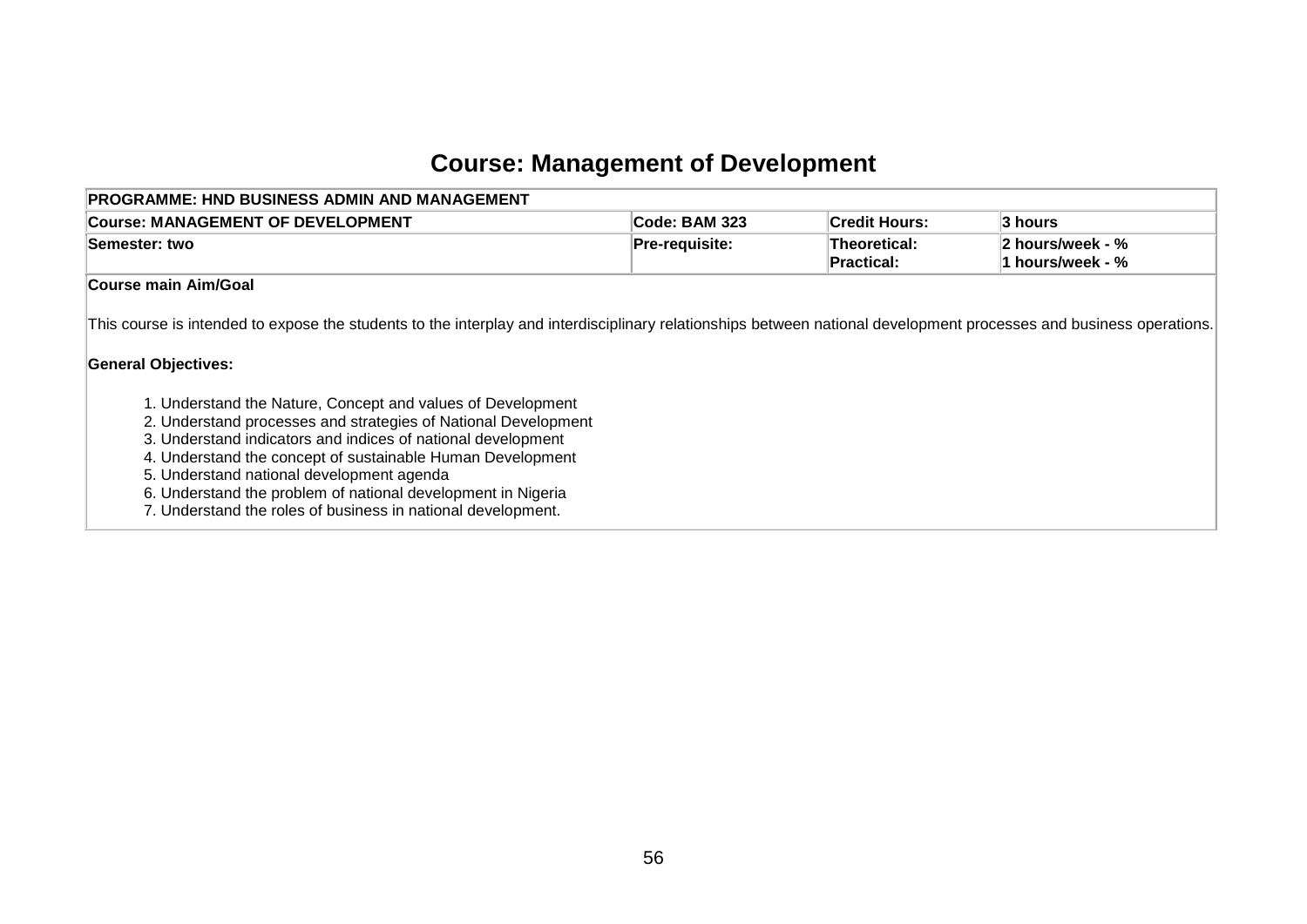# **Course: Management of Development**

| <b>PROGRAMME: HND BUSINESS ADMIN AND MANAGEMENT</b>                                                                                                                                                                                                                                                                                                                                                                                                                                                                                                                                                                                           |                       |                                   |                                      |  |
|-----------------------------------------------------------------------------------------------------------------------------------------------------------------------------------------------------------------------------------------------------------------------------------------------------------------------------------------------------------------------------------------------------------------------------------------------------------------------------------------------------------------------------------------------------------------------------------------------------------------------------------------------|-----------------------|-----------------------------------|--------------------------------------|--|
| <b>Course: MANAGEMENT OF DEVELOPMENT</b>                                                                                                                                                                                                                                                                                                                                                                                                                                                                                                                                                                                                      | Code: BAM 323         | <b>Credit Hours:</b>              | 3 hours                              |  |
| Semester: two                                                                                                                                                                                                                                                                                                                                                                                                                                                                                                                                                                                                                                 | <b>Pre-requisite:</b> | Theoretical:<br><b>Practical:</b> | 2 hours/week - %<br>1 hours/week - % |  |
| <b>Course main Aim/Goal</b>                                                                                                                                                                                                                                                                                                                                                                                                                                                                                                                                                                                                                   |                       |                                   |                                      |  |
| This course is intended to expose the students to the interplay and interdisciplinary relationships between national development processes and business operations.<br><b>General Objectives:</b><br>1. Understand the Nature, Concept and values of Development<br>2. Understand processes and strategies of National Development<br>3. Understand indicators and indices of national development<br>4. Understand the concept of sustainable Human Development<br>5. Understand national development agenda<br>6. Understand the problem of national development in Nigeria<br>7. Understand the roles of business in national development. |                       |                                   |                                      |  |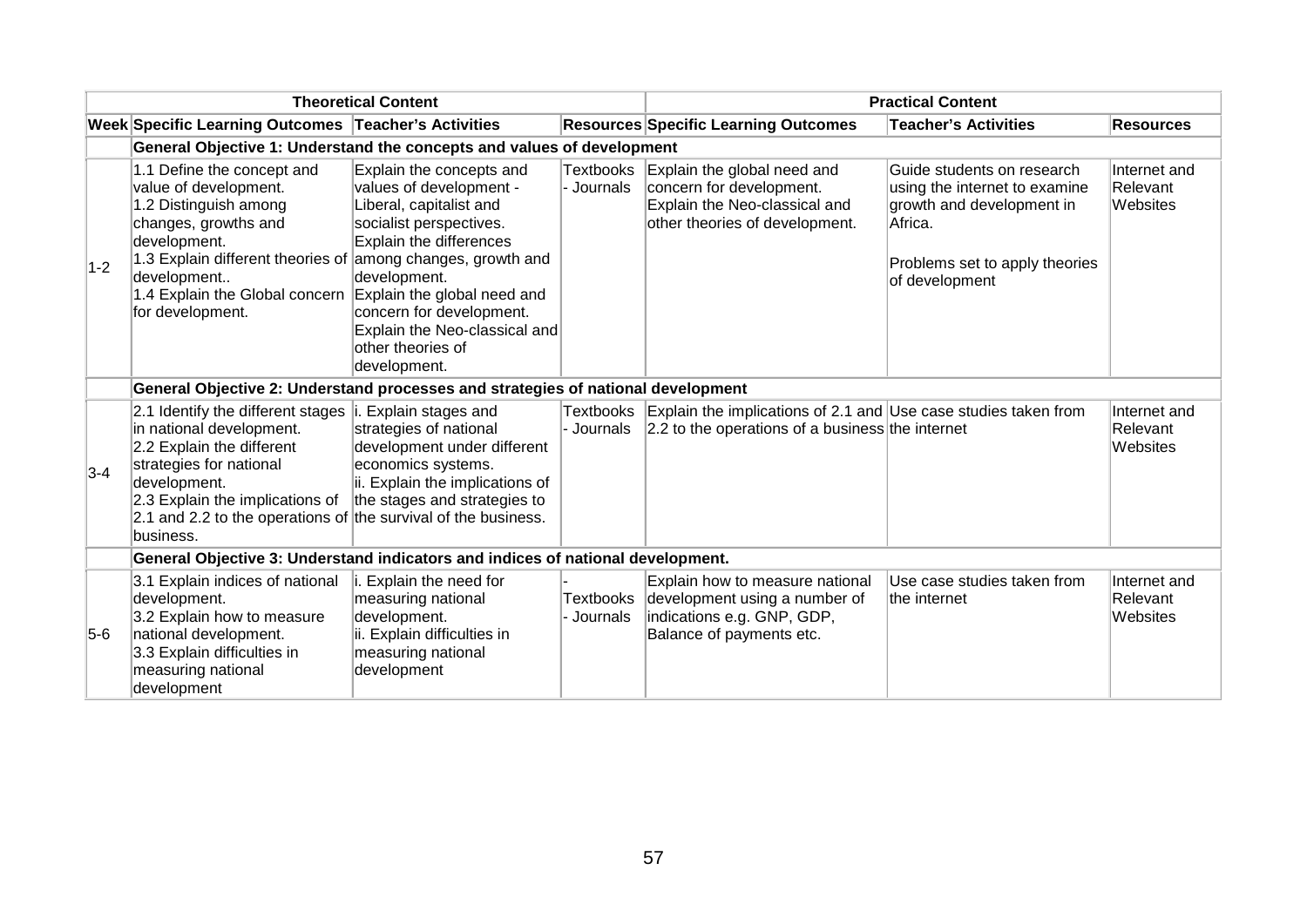| <b>Theoretical Content</b> |                                                                                                                                                                                                                                                                                      |                                                                                                                                                                                                                                                        | <b>Practical Content</b>       |                                                                                                                                      |                                                                                                                                                         |                                      |
|----------------------------|--------------------------------------------------------------------------------------------------------------------------------------------------------------------------------------------------------------------------------------------------------------------------------------|--------------------------------------------------------------------------------------------------------------------------------------------------------------------------------------------------------------------------------------------------------|--------------------------------|--------------------------------------------------------------------------------------------------------------------------------------|---------------------------------------------------------------------------------------------------------------------------------------------------------|--------------------------------------|
|                            | Week Specific Learning Outcomes Teacher's Activities                                                                                                                                                                                                                                 |                                                                                                                                                                                                                                                        |                                | <b>Resources Specific Learning Outcomes</b>                                                                                          | <b>Teacher's Activities</b>                                                                                                                             | <b>Resources</b>                     |
|                            | General Objective 1: Understand the concepts and values of development                                                                                                                                                                                                               |                                                                                                                                                                                                                                                        |                                |                                                                                                                                      |                                                                                                                                                         |                                      |
| $1-2$                      | 1.1 Define the concept and<br>value of development.<br>1.2 Distinguish among<br>changes, growths and<br>development.<br>1.3 Explain different theories of among changes, growth and<br>development<br>1.4 Explain the Global concern Explain the global need and<br>for development. | Explain the concepts and<br>values of development -<br>Liberal, capitalist and<br>socialist perspectives.<br>Explain the differences<br>development.<br>concern for development.<br>Explain the Neo-classical and<br>other theories of<br>development. | <b>Textbooks</b><br>- Journals | Explain the global need and<br>concern for development.<br>Explain the Neo-classical and<br>other theories of development.           | Guide students on research<br>using the internet to examine<br>growth and development in<br>Africa.<br>Problems set to apply theories<br>of development | Internet and<br>Relevant<br>Websites |
|                            | General Objective 2: Understand processes and strategies of national development                                                                                                                                                                                                     |                                                                                                                                                                                                                                                        |                                |                                                                                                                                      |                                                                                                                                                         |                                      |
| $3-4$                      | 2.1 Identify the different stages $ i$ . Explain stages and<br>in national development.<br>2.2 Explain the different<br>strategies for national<br>development.<br>2.3 Explain the implications of<br>2.1 and 2.2 to the operations of the survival of the business.<br>business.    | strategies of national<br>development under different<br>economics systems.<br>ii. Explain the implications of<br>the stages and strategies to                                                                                                         | - Journals                     | Textbooks Explain the implications of 2.1 and Use case studies taken from<br>$ 2.2$ to the operations of a business the internet     |                                                                                                                                                         | Internet and<br>Relevant<br>Websites |
|                            | General Objective 3: Understand indicators and indices of national development.                                                                                                                                                                                                      |                                                                                                                                                                                                                                                        |                                |                                                                                                                                      |                                                                                                                                                         |                                      |
| $5-6$                      | 3.1 Explain indices of national<br>development.<br>3.2 Explain how to measure<br>national development.<br>3.3 Explain difficulties in<br>measuring national<br>development                                                                                                           | i. Explain the need for<br>measuring national<br>development.<br>ii. Explain difficulties in<br>measuring national<br>development                                                                                                                      | - Journals                     | Explain how to measure national<br>Textbooks development using a number of<br>indications e.g. GNP, GDP,<br>Balance of payments etc. | Use case studies taken from<br>the internet                                                                                                             | Internet and<br>Relevant<br>Websites |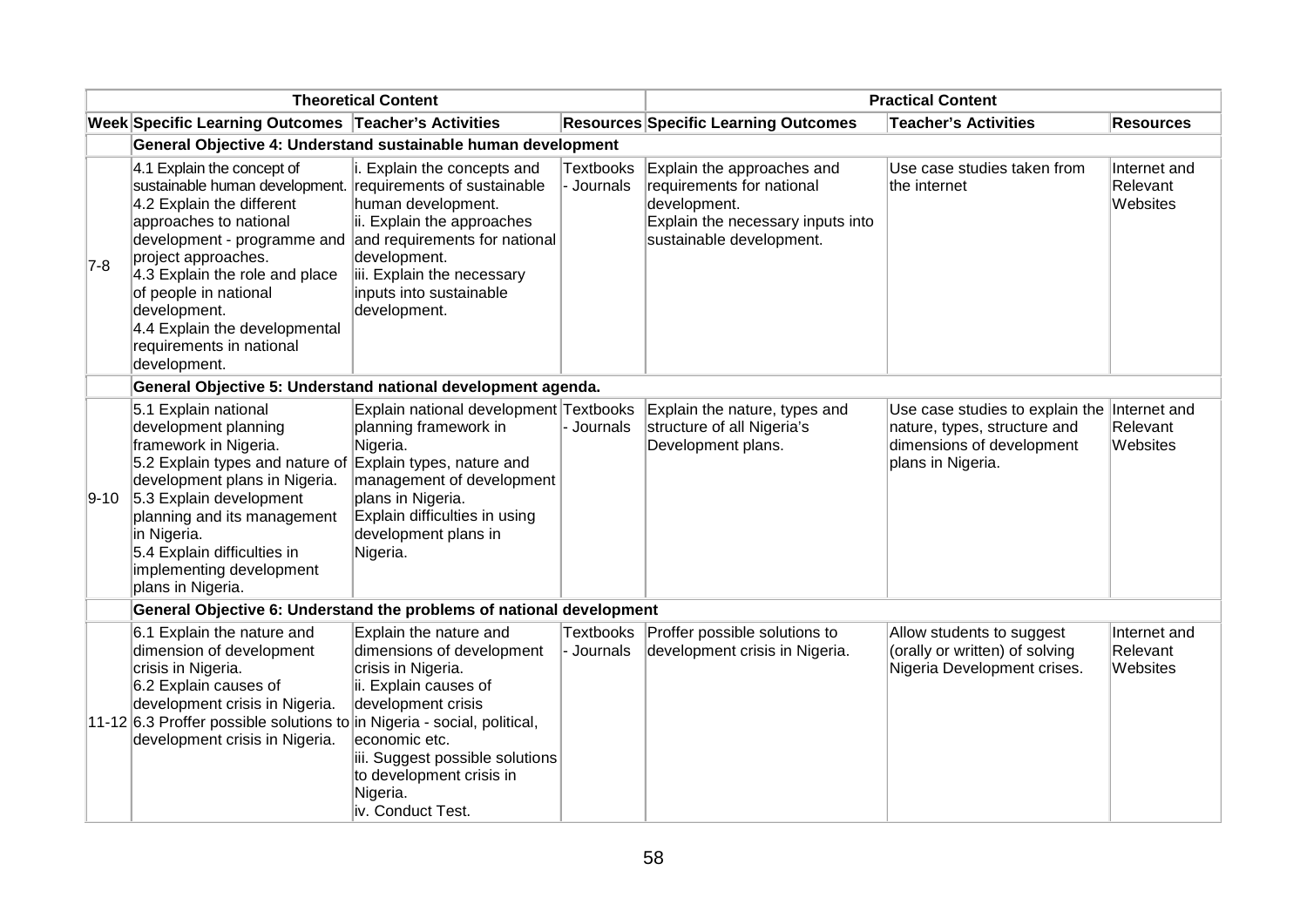|       | <b>Theoretical Content</b>                                                                                                                                                                                                                                                                                                                                                                  |                                                                                                                                                                                                                                           |                                | <b>Practical Content</b>                                                                                                                 |                                                                                                                                |                                      |  |
|-------|---------------------------------------------------------------------------------------------------------------------------------------------------------------------------------------------------------------------------------------------------------------------------------------------------------------------------------------------------------------------------------------------|-------------------------------------------------------------------------------------------------------------------------------------------------------------------------------------------------------------------------------------------|--------------------------------|------------------------------------------------------------------------------------------------------------------------------------------|--------------------------------------------------------------------------------------------------------------------------------|--------------------------------------|--|
|       | Week Specific Learning Outcomes Teacher's Activities                                                                                                                                                                                                                                                                                                                                        |                                                                                                                                                                                                                                           |                                | <b>Resources Specific Learning Outcomes</b>                                                                                              | <b>Teacher's Activities</b>                                                                                                    | <b>Resources</b>                     |  |
|       | General Objective 4: Understand sustainable human development                                                                                                                                                                                                                                                                                                                               |                                                                                                                                                                                                                                           |                                |                                                                                                                                          |                                                                                                                                |                                      |  |
| $7-8$ | 4.1 Explain the concept of<br>sustainable human development. requirements of sustainable<br>4.2 Explain the different<br>approaches to national<br>development - programme and and requirements for national<br>project approaches.<br>4.3 Explain the role and place<br>of people in national<br>development.<br>4.4 Explain the developmental<br>requirements in national<br>development. | i. Explain the concepts and<br>human development.<br>ii. Explain the approaches<br>development.<br>iii. Explain the necessary<br>inputs into sustainable<br>development.                                                                  | <b>Textbooks</b><br>- Journals | Explain the approaches and<br>requirements for national<br>development.<br>Explain the necessary inputs into<br>sustainable development. | Use case studies taken from<br>the internet                                                                                    | Internet and<br>Relevant<br>Websites |  |
|       | General Objective 5: Understand national development agenda.                                                                                                                                                                                                                                                                                                                                |                                                                                                                                                                                                                                           |                                |                                                                                                                                          |                                                                                                                                |                                      |  |
|       | 5.1 Explain national<br>development planning<br>framework in Nigeria.<br>5.2 Explain types and nature of Explain types, nature and<br>development plans in Nigeria.<br>$ 9-10 $ 5.3 Explain development<br>planning and its management<br>in Nigeria.<br>5.4 Explain difficulties in<br>implementing development<br>plans in Nigeria.                                                       | Explain national development Textbooks<br>planning framework in<br>Nigeria.<br>management of development<br>plans in Nigeria.<br>Explain difficulties in using<br>development plans in<br>Nigeria.                                        | - Journals                     | Explain the nature, types and<br>structure of all Nigeria's<br>Development plans.                                                        | Use case studies to explain the Internet and<br>nature, types, structure and<br>dimensions of development<br>plans in Nigeria. | Relevant<br>Websites                 |  |
|       | General Objective 6: Understand the problems of national development                                                                                                                                                                                                                                                                                                                        |                                                                                                                                                                                                                                           |                                |                                                                                                                                          |                                                                                                                                |                                      |  |
|       | 6.1 Explain the nature and<br>dimension of development<br>crisis in Nigeria.<br>6.2 Explain causes of<br>development crisis in Nigeria.<br>11-12 6.3 Proffer possible solutions to in Nigeria - social, political,<br>development crisis in Nigeria.                                                                                                                                        | Explain the nature and<br>dimensions of development<br>crisis in Nigeria.<br>ii. Explain causes of<br>development crisis<br>economic etc.<br>iii. Suggest possible solutions<br>to development crisis in<br>Nigeria.<br>iv. Conduct Test. | <b>Textbooks</b><br>- Journals | Proffer possible solutions to<br>development crisis in Nigeria.                                                                          | Allow students to suggest<br>(orally or written) of solving<br>Nigeria Development crises.                                     | Internet and<br>Relevant<br>Websites |  |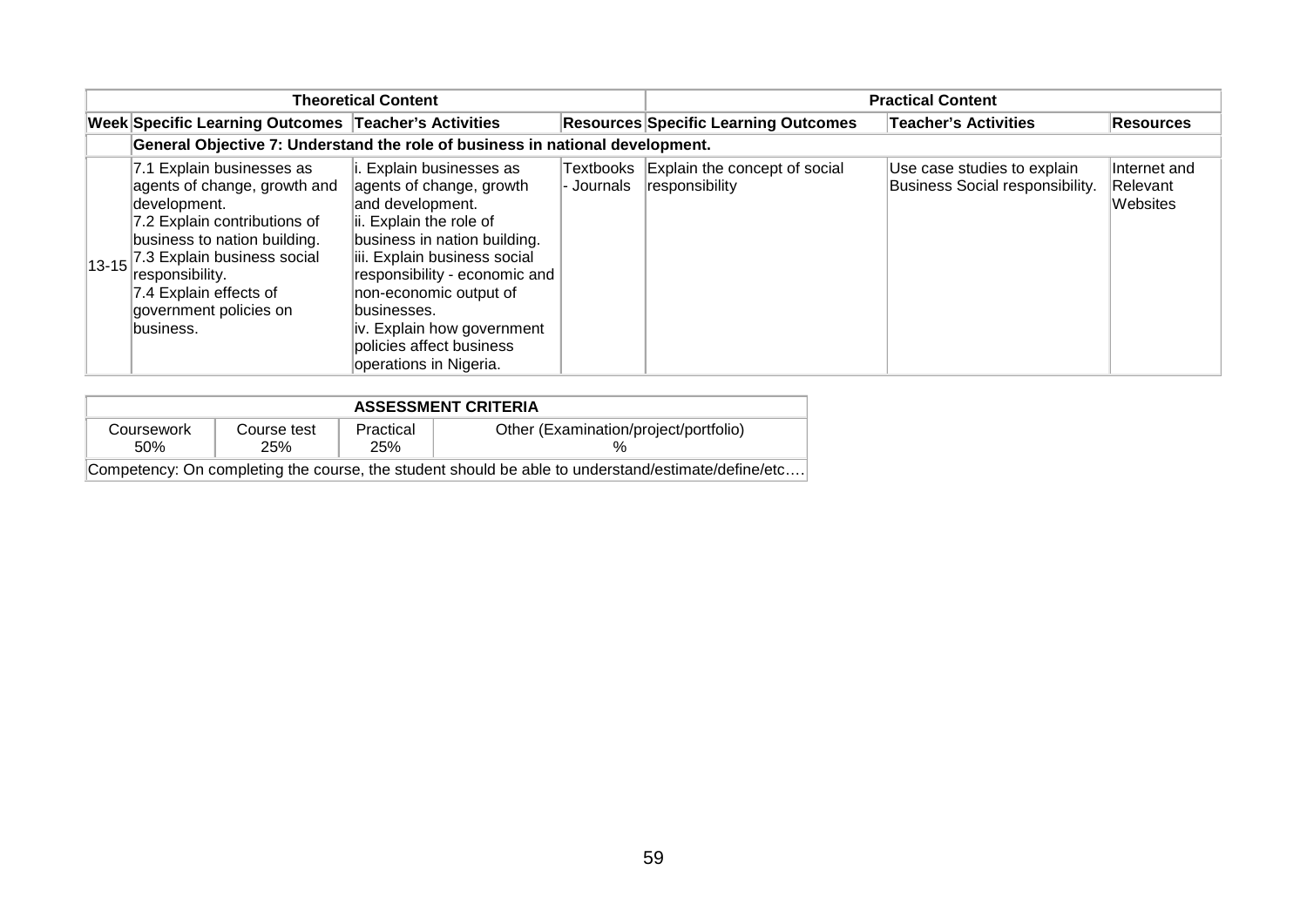| <b>Theoretical Content</b> |                                                                                                                                                                                                                                                                                     |                                                                                                                                                                                                                                                                                                                                    |             | <b>Practical Content</b>                                  |                                                                |                                      |  |  |  |
|----------------------------|-------------------------------------------------------------------------------------------------------------------------------------------------------------------------------------------------------------------------------------------------------------------------------------|------------------------------------------------------------------------------------------------------------------------------------------------------------------------------------------------------------------------------------------------------------------------------------------------------------------------------------|-------------|-----------------------------------------------------------|----------------------------------------------------------------|--------------------------------------|--|--|--|
|                            | Week Specific Learning Outcomes Teacher's Activities                                                                                                                                                                                                                                |                                                                                                                                                                                                                                                                                                                                    |             | <b>Resources Specific Learning Outcomes</b>               | <b>Teacher's Activities</b>                                    | <b>Resources</b>                     |  |  |  |
|                            | General Objective 7: Understand the role of business in national development.                                                                                                                                                                                                       |                                                                                                                                                                                                                                                                                                                                    |             |                                                           |                                                                |                                      |  |  |  |
|                            | 7.1 Explain businesses as<br>agents of change, growth and<br>development.<br>7.2 Explain contributions of<br>business to nation building.<br>$\vert$ 13-15 $\vert$ 7.3 Explain business social<br>responsibility.<br>7.4 Explain effects of<br>government policies on<br>lbusiness. | i. Explain businesses as<br>agents of change, growth<br>and development.<br>ii. Explain the role of<br>business in nation building.<br>iii. Explain business social<br>responsibility - economic and<br>non-economic output of<br>lbusinesses.<br>iv. Explain how government<br>policies affect business<br>operations in Nigeria. | l- Journals | Textbooks Explain the concept of social<br>responsibility | Use case studies to explain<br>Business Social responsibility. | Internet and<br>Relevant<br>Websites |  |  |  |

| <b>ASSESSMENT CRITERIA</b>                                                                         |                    |                  |                                       |  |  |  |  |  |
|----------------------------------------------------------------------------------------------------|--------------------|------------------|---------------------------------------|--|--|--|--|--|
| Coursework<br>.50%                                                                                 | Course test<br>25% | Practical<br>25% | Other (Examination/project/portfolio) |  |  |  |  |  |
| Competency: On completing the course, the student should be able to understand/estimate/define/etc |                    |                  |                                       |  |  |  |  |  |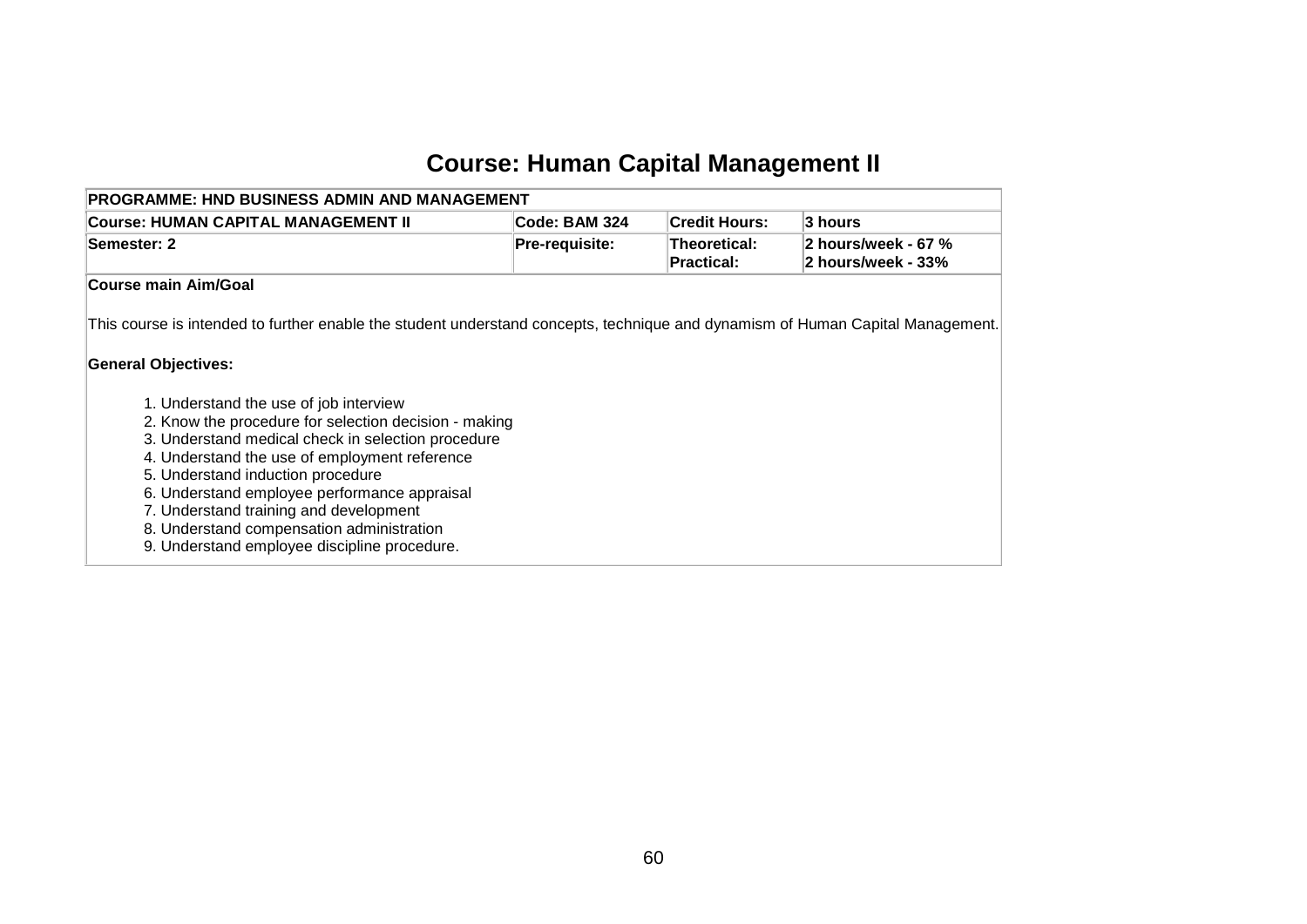## **Course: Human Capital Management II**

| <b>PROGRAMME: HND BUSINESS ADMIN AND MANAGEMENT</b>                                                                                                                                                                                                                                                                                                                                                                                                                                                                                                                                                |                |                                          |                                           |  |  |  |  |  |
|----------------------------------------------------------------------------------------------------------------------------------------------------------------------------------------------------------------------------------------------------------------------------------------------------------------------------------------------------------------------------------------------------------------------------------------------------------------------------------------------------------------------------------------------------------------------------------------------------|----------------|------------------------------------------|-------------------------------------------|--|--|--|--|--|
| <b>Course: HUMAN CAPITAL MANAGEMENT II</b>                                                                                                                                                                                                                                                                                                                                                                                                                                                                                                                                                         | Code: BAM 324  | <b>Credit Hours:</b>                     | 3 hours                                   |  |  |  |  |  |
| Semester: 2                                                                                                                                                                                                                                                                                                                                                                                                                                                                                                                                                                                        | Pre-requisite: | <b>Theoretical:</b><br><b>Practical:</b> | 2 hours/week - 67 %<br>2 hours/week - 33% |  |  |  |  |  |
| <b>Course main Aim/Goal</b>                                                                                                                                                                                                                                                                                                                                                                                                                                                                                                                                                                        |                |                                          |                                           |  |  |  |  |  |
| This course is intended to further enable the student understand concepts, technique and dynamism of Human Capital Management.<br><b>General Objectives:</b><br>1. Understand the use of job interview<br>2. Know the procedure for selection decision - making<br>3. Understand medical check in selection procedure<br>4. Understand the use of employment reference<br>5. Understand induction procedure<br>6. Understand employee performance appraisal<br>7. Understand training and development<br>8. Understand compensation administration<br>9. Understand employee discipline procedure. |                |                                          |                                           |  |  |  |  |  |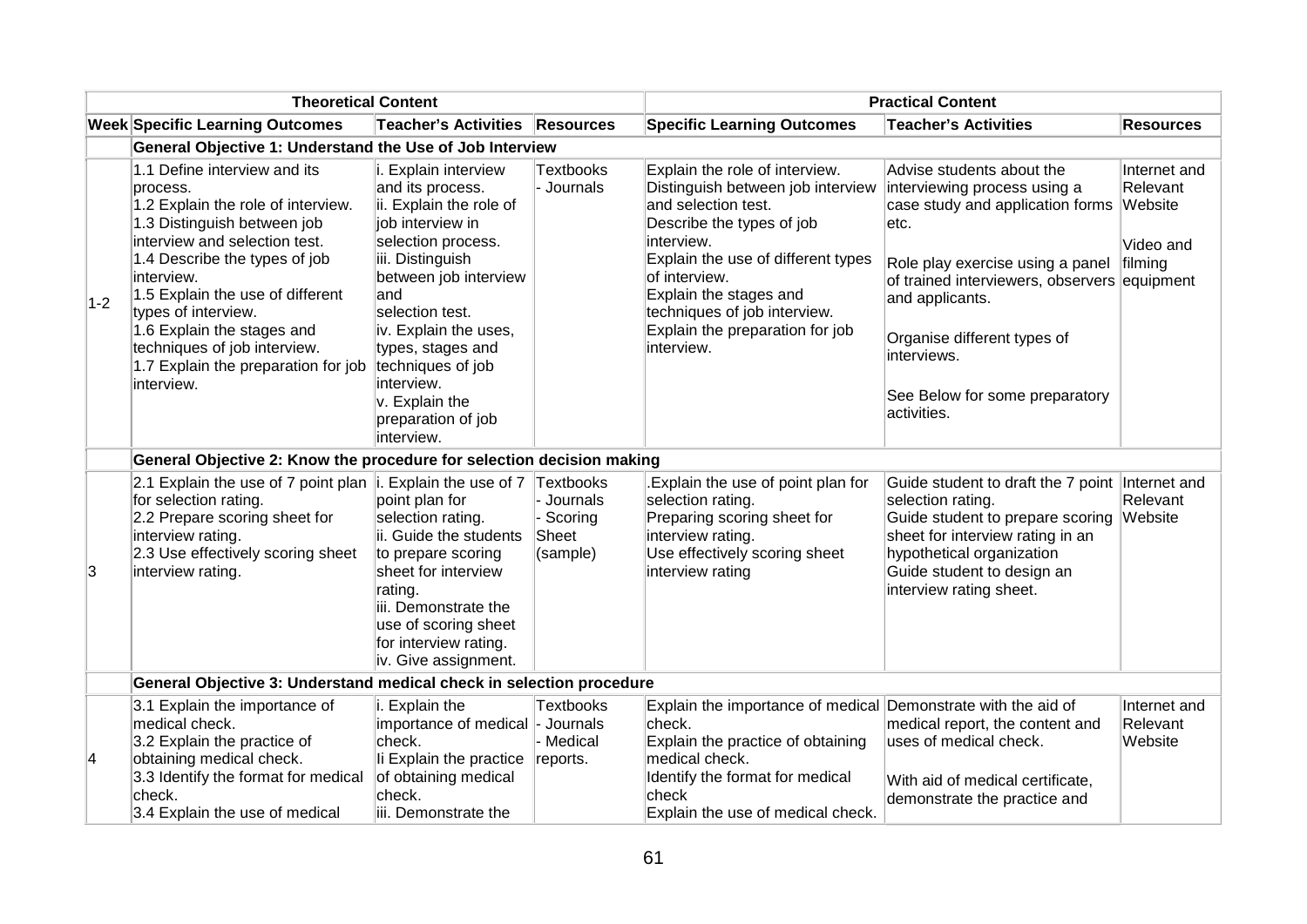|       | <b>Theoretical Content</b>                                                                                                                                                                                                                                                                                                                                                  |                                                                                                                                                                                                                                                                                                                             |                                            | <b>Practical Content</b>                                                                                                                                                                                                                                                                                |                                                                                                                                                                                                                                                                                                              |                                                             |  |
|-------|-----------------------------------------------------------------------------------------------------------------------------------------------------------------------------------------------------------------------------------------------------------------------------------------------------------------------------------------------------------------------------|-----------------------------------------------------------------------------------------------------------------------------------------------------------------------------------------------------------------------------------------------------------------------------------------------------------------------------|--------------------------------------------|---------------------------------------------------------------------------------------------------------------------------------------------------------------------------------------------------------------------------------------------------------------------------------------------------------|--------------------------------------------------------------------------------------------------------------------------------------------------------------------------------------------------------------------------------------------------------------------------------------------------------------|-------------------------------------------------------------|--|
|       | <b>Week Specific Learning Outcomes</b>                                                                                                                                                                                                                                                                                                                                      | <b>Teacher's Activities</b>                                                                                                                                                                                                                                                                                                 | Resources                                  | <b>Specific Learning Outcomes</b>                                                                                                                                                                                                                                                                       | <b>Teacher's Activities</b>                                                                                                                                                                                                                                                                                  | <b>Resources</b>                                            |  |
|       | General Objective 1: Understand the Use of Job Interview                                                                                                                                                                                                                                                                                                                    |                                                                                                                                                                                                                                                                                                                             |                                            |                                                                                                                                                                                                                                                                                                         |                                                                                                                                                                                                                                                                                                              |                                                             |  |
| $1-2$ | 1.1 Define interview and its<br>process.<br>1.2 Explain the role of interview.<br>1.3 Distinguish between job<br>interview and selection test.<br>1.4 Describe the types of job<br>interview.<br>1.5 Explain the use of different<br>types of interview.<br>1.6 Explain the stages and<br>techniques of job interview.<br>1.7 Explain the preparation for job<br>interview. | i. Explain interview<br>and its process.<br>ii. Explain the role of<br>job interview in<br>selection process.<br>iii. Distinguish<br>between job interview<br>and<br>selection test.<br>iv. Explain the uses,<br>types, stages and<br>techniques of job<br>interview.<br>v. Explain the<br>preparation of job<br>interview. | <b>Textbooks</b><br>Journals               | Explain the role of interview.<br>Distinguish between job interview<br>and selection test.<br>Describe the types of job<br>interview.<br>Explain the use of different types<br>of interview.<br>Explain the stages and<br>techniques of job interview.<br>Explain the preparation for job<br>interview. | Advise students about the<br>interviewing process using a<br>case study and application forms<br>letc.<br>Role play exercise using a panel<br>of trained interviewers, observers equipment<br>and applicants.<br>Organise different types of<br>interviews.<br>See Below for some preparatory<br>activities. | Internet and<br>Relevant<br>Website<br>Video and<br>filming |  |
|       | General Objective 2: Know the procedure for selection decision making                                                                                                                                                                                                                                                                                                       |                                                                                                                                                                                                                                                                                                                             |                                            |                                                                                                                                                                                                                                                                                                         |                                                                                                                                                                                                                                                                                                              |                                                             |  |
| 3     | 2.1 Explain the use of 7 point plan $ i$ . Explain the use of 7 Textbooks<br>for selection rating.<br>2.2 Prepare scoring sheet for<br>interview rating.<br>2.3 Use effectively scoring sheet<br>interview rating.                                                                                                                                                          | point plan for<br>selection rating.<br>ii. Guide the students<br>to prepare scoring<br>sheet for interview<br>rating.<br>iii. Demonstrate the<br>use of scoring sheet<br>for interview rating.<br>iv. Give assignment.                                                                                                      | - Journals<br>Scoring<br>Sheet<br>(sample) | Explain the use of point plan for<br>selection rating.<br>Preparing scoring sheet for<br>interview rating.<br>Use effectively scoring sheet<br>interview rating                                                                                                                                         | Guide student to draft the 7 point Internet and<br>selection rating.<br>Guide student to prepare scoring<br>sheet for interview rating in an<br>hypothetical organization<br>Guide student to design an<br>interview rating sheet.                                                                           | Relevant<br>Website                                         |  |
|       | General Objective 3: Understand medical check in selection procedure                                                                                                                                                                                                                                                                                                        |                                                                                                                                                                                                                                                                                                                             |                                            |                                                                                                                                                                                                                                                                                                         |                                                                                                                                                                                                                                                                                                              |                                                             |  |
| 4     | 3.1 Explain the importance of<br>medical check.<br>3.2 Explain the practice of<br>obtaining medical check.<br>3.3 Identify the format for medical<br>check.<br>3.4 Explain the use of medical                                                                                                                                                                               | i. Explain the<br>importance of medical - Journals<br>check.<br>li Explain the practice<br>of obtaining medical<br>check.<br>iii. Demonstrate the                                                                                                                                                                           | <b>Textbooks</b><br>Medical<br>reports.    | Explain the importance of medical Demonstrate with the aid of<br>check.<br>Explain the practice of obtaining<br>medical check.<br>Identify the format for medical<br>check<br>Explain the use of medical check.                                                                                         | medical report, the content and<br>uses of medical check.<br>With aid of medical certificate,<br>demonstrate the practice and                                                                                                                                                                                | Internet and<br>Relevant<br>Website                         |  |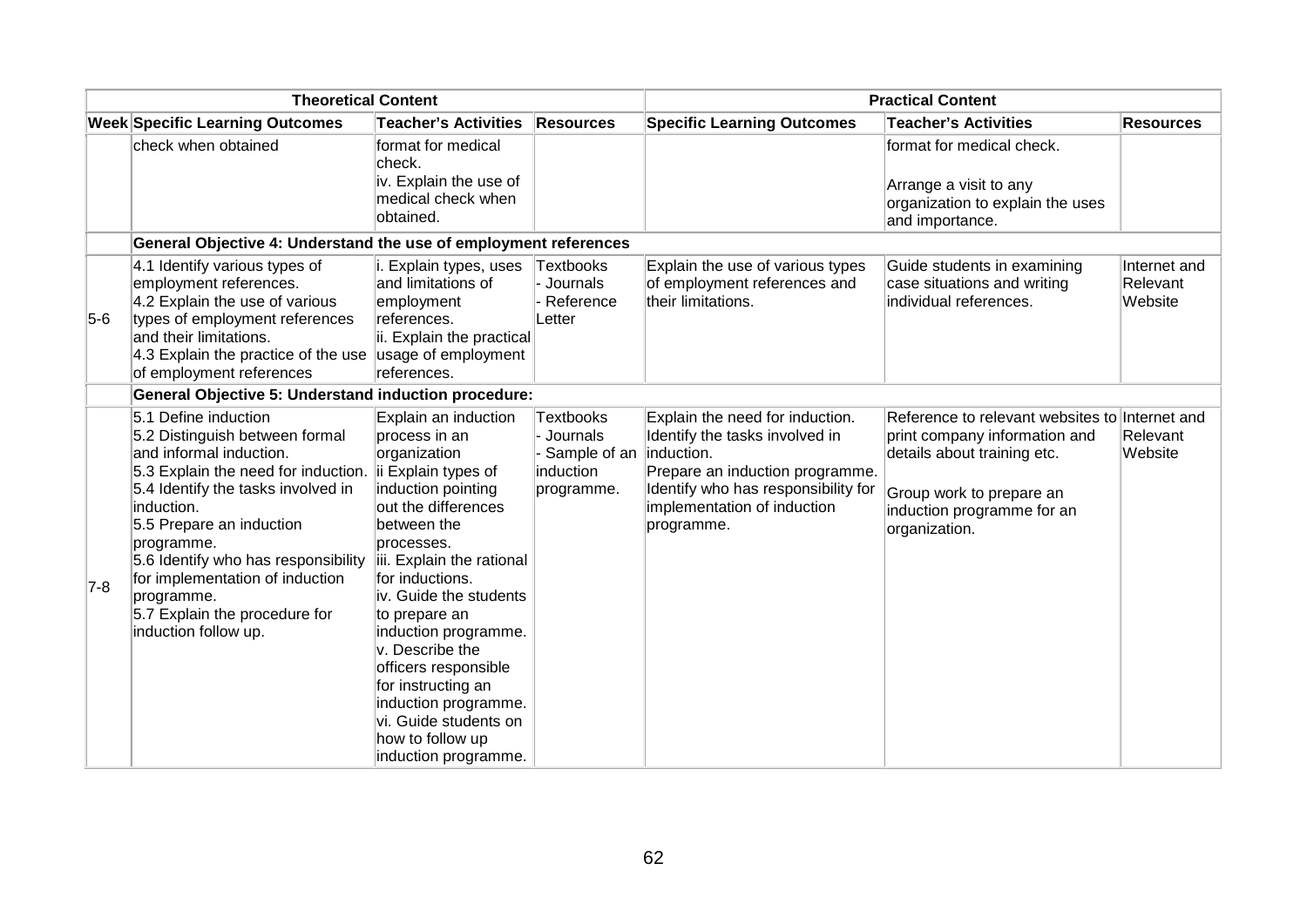| <b>Theoretical Content</b> |                                                                                                                                                                                                                                                                                                                                                                         |                                                                                                                                                                                                                                                                                                                                                                                                                                         | <b>Practical Content</b>                                                            |                                                                                                                                                                                          |                                                                                                                                                                                           |                                     |
|----------------------------|-------------------------------------------------------------------------------------------------------------------------------------------------------------------------------------------------------------------------------------------------------------------------------------------------------------------------------------------------------------------------|-----------------------------------------------------------------------------------------------------------------------------------------------------------------------------------------------------------------------------------------------------------------------------------------------------------------------------------------------------------------------------------------------------------------------------------------|-------------------------------------------------------------------------------------|------------------------------------------------------------------------------------------------------------------------------------------------------------------------------------------|-------------------------------------------------------------------------------------------------------------------------------------------------------------------------------------------|-------------------------------------|
|                            | <b>Week Specific Learning Outcomes</b>                                                                                                                                                                                                                                                                                                                                  | <b>Teacher's Activities</b>                                                                                                                                                                                                                                                                                                                                                                                                             | <b>Resources</b>                                                                    | <b>Specific Learning Outcomes</b>                                                                                                                                                        | <b>Teacher's Activities</b>                                                                                                                                                               | <b>Resources</b>                    |
|                            | check when obtained                                                                                                                                                                                                                                                                                                                                                     | format for medical<br>check.<br>iv. Explain the use of<br>medical check when<br>obtained.                                                                                                                                                                                                                                                                                                                                               |                                                                                     |                                                                                                                                                                                          | format for medical check.<br>Arrange a visit to any<br>organization to explain the uses<br>and importance.                                                                                |                                     |
|                            | General Objective 4: Understand the use of employment references                                                                                                                                                                                                                                                                                                        |                                                                                                                                                                                                                                                                                                                                                                                                                                         |                                                                                     |                                                                                                                                                                                          |                                                                                                                                                                                           |                                     |
| $5-6$                      | 4.1 Identify various types of<br>employment references.<br>4.2 Explain the use of various<br>types of employment references<br>and their limitations.<br>4.3 Explain the practice of the use usage of employment<br>of employment references                                                                                                                            | i. Explain types, uses<br>and limitations of<br>employment<br>references.<br>ii. Explain the practical<br>references.                                                                                                                                                                                                                                                                                                                   | Textbooks<br>- Journals<br>- Reference<br>Letter                                    | Explain the use of various types<br>of employment references and<br>their limitations.                                                                                                   | Guide students in examining<br>case situations and writing<br>individual references.                                                                                                      | Internet and<br>Relevant<br>Website |
|                            | <b>General Objective 5: Understand induction procedure:</b>                                                                                                                                                                                                                                                                                                             |                                                                                                                                                                                                                                                                                                                                                                                                                                         |                                                                                     |                                                                                                                                                                                          |                                                                                                                                                                                           |                                     |
| $7-8$                      | 5.1 Define induction<br>5.2 Distinguish between formal<br>and informal induction.<br>5.3 Explain the need for induction.<br>5.4 Identify the tasks involved in<br>induction.<br>5.5 Prepare an induction<br>programme.<br>5.6 Identify who has responsibility<br>for implementation of induction<br>programme.<br>5.7 Explain the procedure for<br>induction follow up. | Explain an induction<br>process in an<br>organization<br>ii Explain types of<br>induction pointing<br>out the differences<br>between the<br>processes.<br>iii. Explain the rational<br>for inductions.<br>iv. Guide the students<br>to prepare an<br>induction programme.<br>v. Describe the<br>officers responsible<br>for instructing an<br>induction programme.<br>vi. Guide students on<br>how to follow up<br>induction programme. | <b>Textbooks</b><br>Journals<br>Sample of an  induction.<br>induction<br>programme. | Explain the need for induction.<br>Identify the tasks involved in<br>Prepare an induction programme.<br>Identify who has responsibility for<br>implementation of induction<br>programme. | Reference to relevant websites to Internet and<br>print company information and<br>details about training etc.<br>Group work to prepare an<br>induction programme for an<br>organization. | Relevant<br>Website                 |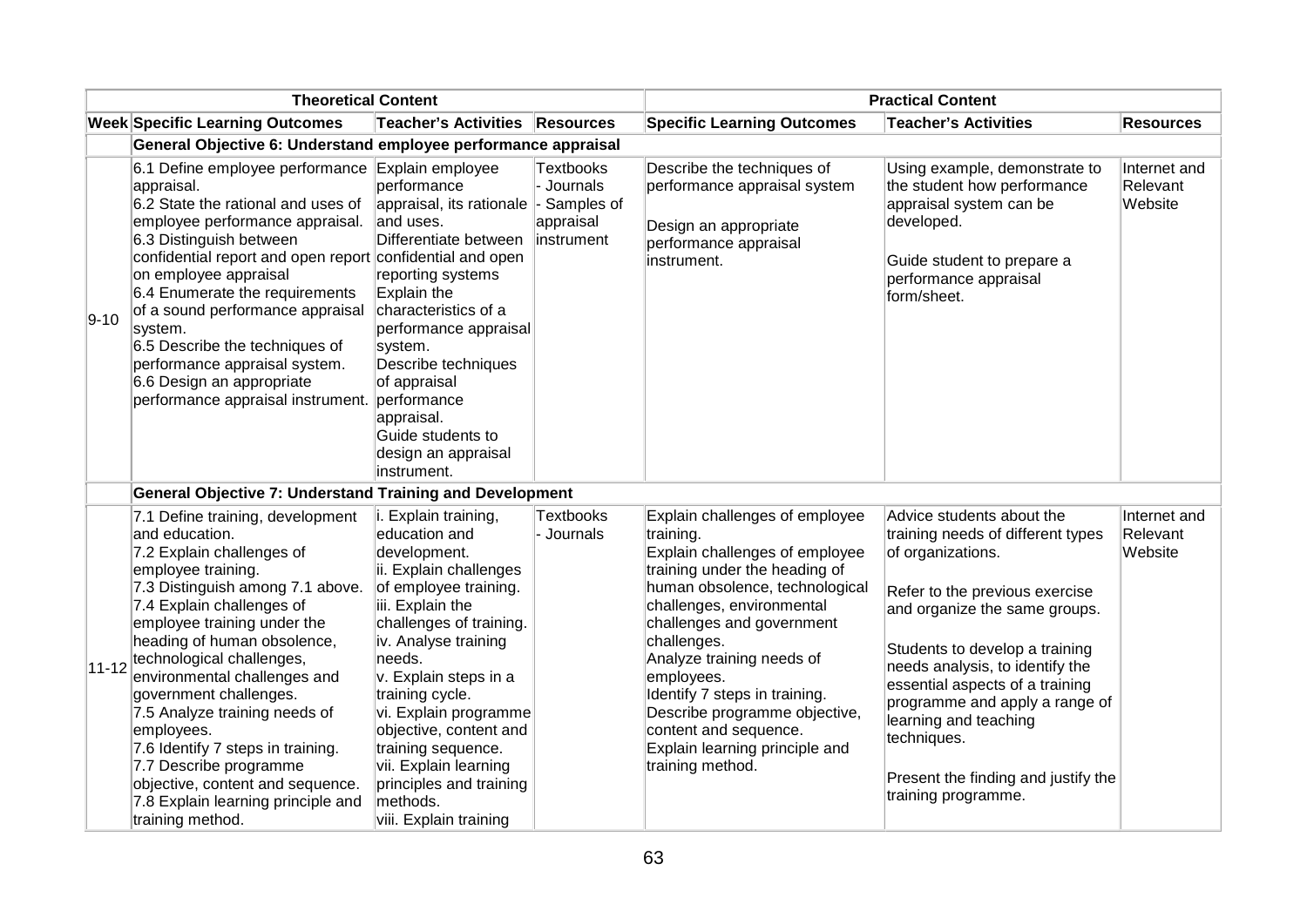| <b>Theoretical Content</b> |                                                                                                                                                                                                                                                                                                                                                                                                                                                                                                                                         | <b>Practical Content</b>                                                                                                                                                                                                                                                                                                                                                                                 |                                                            |                                                                                                                                                                                                                                                                                                                                                                                                                       |                                                                                                                                                                                                                                                                                                                                                                                                        |                                     |
|----------------------------|-----------------------------------------------------------------------------------------------------------------------------------------------------------------------------------------------------------------------------------------------------------------------------------------------------------------------------------------------------------------------------------------------------------------------------------------------------------------------------------------------------------------------------------------|----------------------------------------------------------------------------------------------------------------------------------------------------------------------------------------------------------------------------------------------------------------------------------------------------------------------------------------------------------------------------------------------------------|------------------------------------------------------------|-----------------------------------------------------------------------------------------------------------------------------------------------------------------------------------------------------------------------------------------------------------------------------------------------------------------------------------------------------------------------------------------------------------------------|--------------------------------------------------------------------------------------------------------------------------------------------------------------------------------------------------------------------------------------------------------------------------------------------------------------------------------------------------------------------------------------------------------|-------------------------------------|
|                            | <b>Week Specific Learning Outcomes</b>                                                                                                                                                                                                                                                                                                                                                                                                                                                                                                  | Teacher's Activities Resources                                                                                                                                                                                                                                                                                                                                                                           |                                                            | <b>Specific Learning Outcomes</b>                                                                                                                                                                                                                                                                                                                                                                                     | <b>Teacher's Activities</b>                                                                                                                                                                                                                                                                                                                                                                            | <b>Resources</b>                    |
|                            | General Objective 6: Understand employee performance appraisal                                                                                                                                                                                                                                                                                                                                                                                                                                                                          |                                                                                                                                                                                                                                                                                                                                                                                                          |                                                            |                                                                                                                                                                                                                                                                                                                                                                                                                       |                                                                                                                                                                                                                                                                                                                                                                                                        |                                     |
| $9 - 10$                   | 6.1 Define employee performance Explain employee<br>appraisal.<br>6.2 State the rational and uses of<br>employee performance appraisal.<br>6.3 Distinguish between<br>confidential report and open report confidential and open<br>on employee appraisal<br>6.4 Enumerate the requirements<br>of a sound performance appraisal<br>system.<br>6.5 Describe the techniques of<br>performance appraisal system.<br>6.6 Design an appropriate<br>performance appraisal instrument.                                                          | performance<br>appraisal, its rationale  - Samples of<br>and uses.<br>Differentiate between<br>reporting systems<br>Explain the<br>characteristics of a<br>performance appraisal<br>system.<br>Describe techniques<br>of appraisal<br>performance<br>appraisal.<br>Guide students to<br>design an appraisal<br>instrument.                                                                               | <b>Textbooks</b><br>- Journals<br>appraisal<br>linstrument | Describe the techniques of<br>performance appraisal system<br>Design an appropriate<br>performance appraisal<br>instrument.                                                                                                                                                                                                                                                                                           | Using example, demonstrate to<br>the student how performance<br>appraisal system can be<br>developed.<br>Guide student to prepare a<br>performance appraisal<br>form/sheet.                                                                                                                                                                                                                            | Internet and<br>Relevant<br>Website |
|                            | <b>General Objective 7: Understand Training and Development</b>                                                                                                                                                                                                                                                                                                                                                                                                                                                                         |                                                                                                                                                                                                                                                                                                                                                                                                          |                                                            |                                                                                                                                                                                                                                                                                                                                                                                                                       |                                                                                                                                                                                                                                                                                                                                                                                                        |                                     |
| $11 - 12$                  | 7.1 Define training, development<br>and education.<br>7.2 Explain challenges of<br>employee training.<br>7.3 Distinguish among 7.1 above.<br>7.4 Explain challenges of<br>employee training under the<br>heading of human obsolence,<br>technological challenges,<br>environmental challenges and<br>government challenges.<br>7.5 Analyze training needs of<br>employees.<br>7.6 Identify 7 steps in training.<br>7.7 Describe programme<br>objective, content and sequence.<br>7.8 Explain learning principle and<br>training method. | i. Explain training,<br>education and<br>development.<br>ii. Explain challenges<br>of employee training.<br>iii. Explain the<br>challenges of training.<br>iv. Analyse training<br>needs.<br>v. Explain steps in a<br>training cycle.<br>vi. Explain programme<br>objective, content and<br>training sequence.<br>vii. Explain learning<br>principles and training<br>methods.<br>viii. Explain training | <b>Textbooks</b><br>- Journals                             | Explain challenges of employee<br>training.<br>Explain challenges of employee<br>training under the heading of<br>human obsolence, technological<br>challenges, environmental<br>challenges and government<br>challenges.<br>Analyze training needs of<br>employees.<br>Identify 7 steps in training.<br>Describe programme objective,<br>content and sequence.<br>Explain learning principle and<br>training method. | Advice students about the<br>training needs of different types<br>of organizations.<br>Refer to the previous exercise<br>and organize the same groups.<br>Students to develop a training<br>needs analysis, to identify the<br>essential aspects of a training<br>programme and apply a range of<br>learning and teaching<br>techniques.<br>Present the finding and justify the<br>training programme. | Internet and<br>Relevant<br>Website |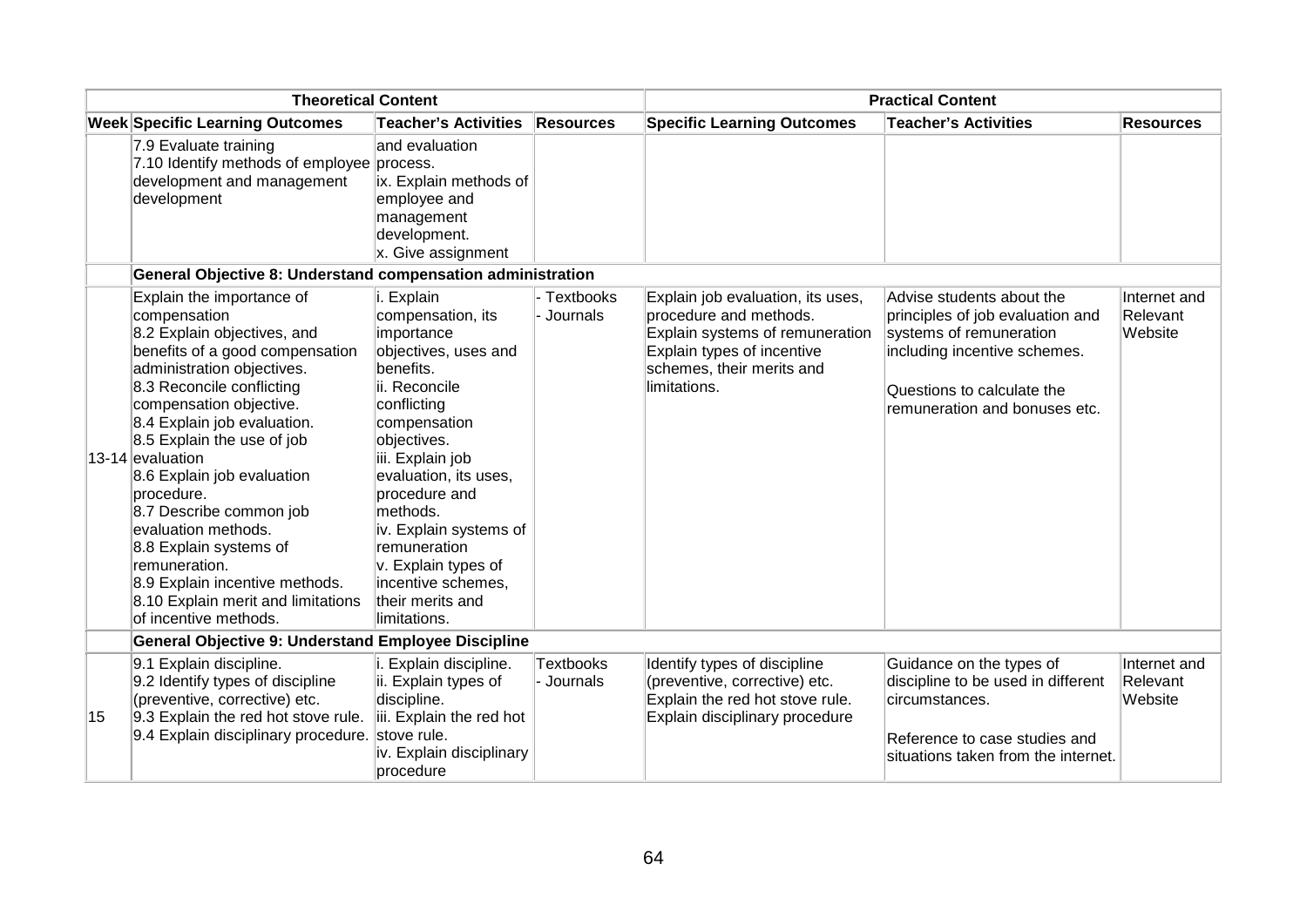| <b>Theoretical Content</b> |                                                                                                                                                                                                                                                                                                                                                                                                                                                                                                                               |                                                                                                                                                                                                                                                                                                                                                         |                              | <b>Practical Content</b>                                                                                                                                                  |                                                                                                                                                                                         |                                     |  |
|----------------------------|-------------------------------------------------------------------------------------------------------------------------------------------------------------------------------------------------------------------------------------------------------------------------------------------------------------------------------------------------------------------------------------------------------------------------------------------------------------------------------------------------------------------------------|---------------------------------------------------------------------------------------------------------------------------------------------------------------------------------------------------------------------------------------------------------------------------------------------------------------------------------------------------------|------------------------------|---------------------------------------------------------------------------------------------------------------------------------------------------------------------------|-----------------------------------------------------------------------------------------------------------------------------------------------------------------------------------------|-------------------------------------|--|
|                            | <b>Week Specific Learning Outcomes</b>                                                                                                                                                                                                                                                                                                                                                                                                                                                                                        | <b>Teacher's Activities</b>                                                                                                                                                                                                                                                                                                                             | <b>Resources</b>             | <b>Specific Learning Outcomes</b>                                                                                                                                         | <b>Teacher's Activities</b>                                                                                                                                                             | <b>Resources</b>                    |  |
|                            | 7.9 Evaluate training<br>7.10 Identify methods of employee process.<br>development and management<br>development                                                                                                                                                                                                                                                                                                                                                                                                              | and evaluation<br>ix. Explain methods of<br>employee and<br>management<br>development.<br>x. Give assignment                                                                                                                                                                                                                                            |                              |                                                                                                                                                                           |                                                                                                                                                                                         |                                     |  |
|                            | General Objective 8: Understand compensation administration                                                                                                                                                                                                                                                                                                                                                                                                                                                                   |                                                                                                                                                                                                                                                                                                                                                         |                              |                                                                                                                                                                           |                                                                                                                                                                                         |                                     |  |
|                            | Explain the importance of<br>compensation<br>8.2 Explain objectives, and<br>benefits of a good compensation<br>administration objectives.<br>8.3 Reconcile conflicting<br>compensation objective.<br>8.4 Explain job evaluation.<br>8.5 Explain the use of job<br>13-14 evaluation<br>8.6 Explain job evaluation<br>procedure.<br>8.7 Describe common job<br>evaluation methods.<br>8.8 Explain systems of<br>remuneration.<br>8.9 Explain incentive methods.<br>8.10 Explain merit and limitations<br>lof incentive methods. | i. Explain<br>compensation, its<br>importance<br>objectives, uses and<br>benefits.<br>lii. Reconcile<br>conflicting<br>compensation<br>objectives.<br>iii. Explain job<br>evaluation, its uses,<br>procedure and<br>methods.<br>iv. Explain systems of<br>remuneration<br>v. Explain types of<br>incentive schemes,<br>their merits and<br>limitations. | - Textbooks<br>Journals      | Explain job evaluation, its uses,<br>procedure and methods.<br>Explain systems of remuneration<br>Explain types of incentive<br>schemes, their merits and<br>limitations. | Advise students about the<br>principles of job evaluation and<br>systems of remuneration<br>including incentive schemes.<br>Questions to calculate the<br>remuneration and bonuses etc. | Internet and<br>Relevant<br>Website |  |
|                            | <b>General Objective 9: Understand Employee Discipline</b>                                                                                                                                                                                                                                                                                                                                                                                                                                                                    |                                                                                                                                                                                                                                                                                                                                                         |                              |                                                                                                                                                                           |                                                                                                                                                                                         |                                     |  |
| 15                         | 9.1 Explain discipline.<br>9.2 Identify types of discipline<br>(preventive, corrective) etc.<br>9.3 Explain the red hot stove rule.<br>9.4 Explain disciplinary procedure. stove rule.                                                                                                                                                                                                                                                                                                                                        | i. Explain discipline.<br>ii. Explain types of<br>discipline.<br>iii. Explain the red hot<br>iv. Explain disciplinary<br>procedure                                                                                                                                                                                                                      | <b>Textbooks</b><br>Journals | Identify types of discipline<br>(preventive, corrective) etc.<br>Explain the red hot stove rule.<br>Explain disciplinary procedure                                        | Guidance on the types of<br>discipline to be used in different<br>circumstances.<br>Reference to case studies and<br>situations taken from the internet.                                | Internet and<br>Relevant<br>Website |  |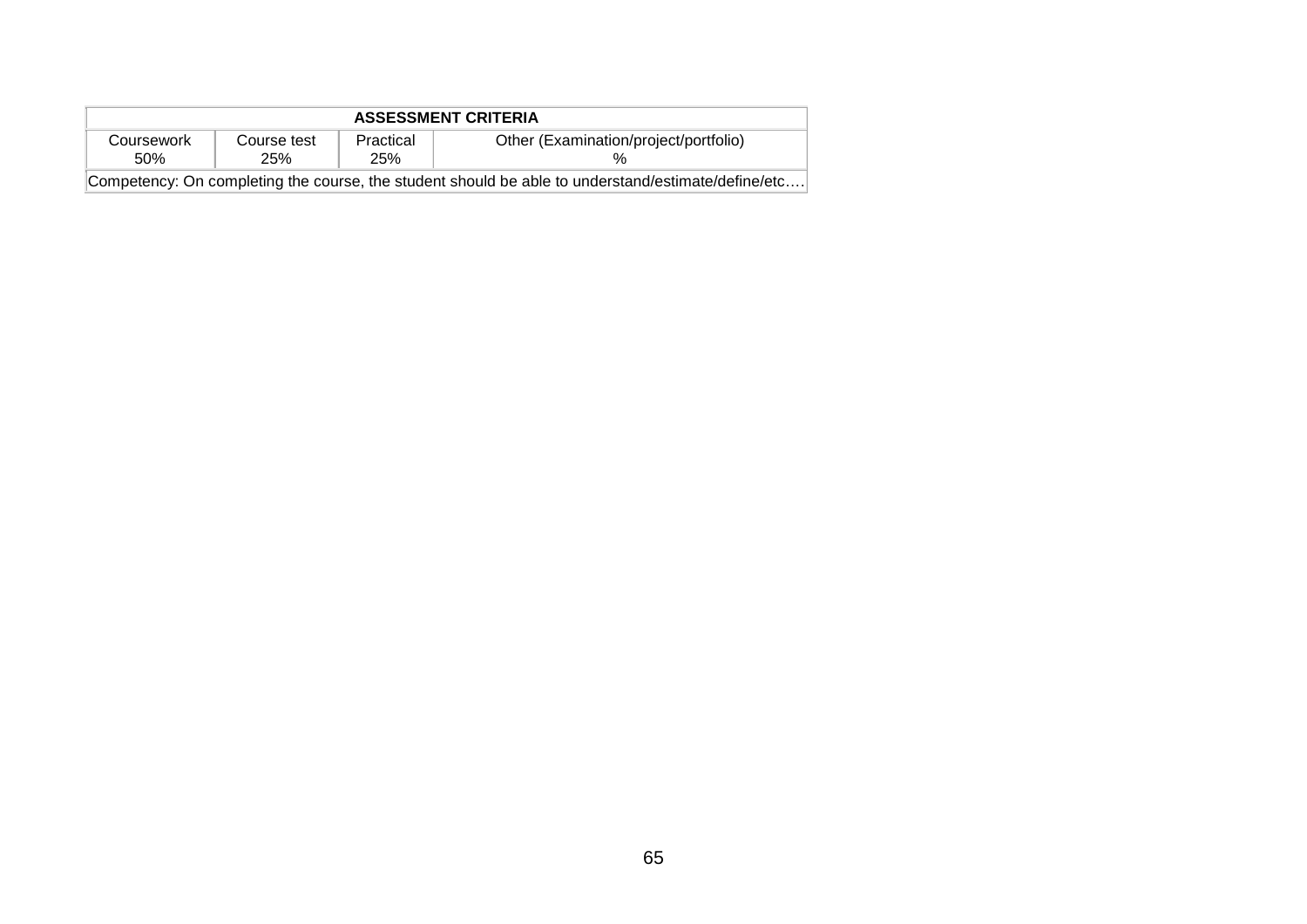| <b>ASSESSMENT CRITERIA</b>                                                                         |                    |                  |                                       |  |  |  |  |  |
|----------------------------------------------------------------------------------------------------|--------------------|------------------|---------------------------------------|--|--|--|--|--|
| Coursework<br>50%                                                                                  | Course test<br>25% | Practical<br>25% | Other (Examination/project/portfolio) |  |  |  |  |  |
| Competency: On completing the course, the student should be able to understand/estimate/define/etc |                    |                  |                                       |  |  |  |  |  |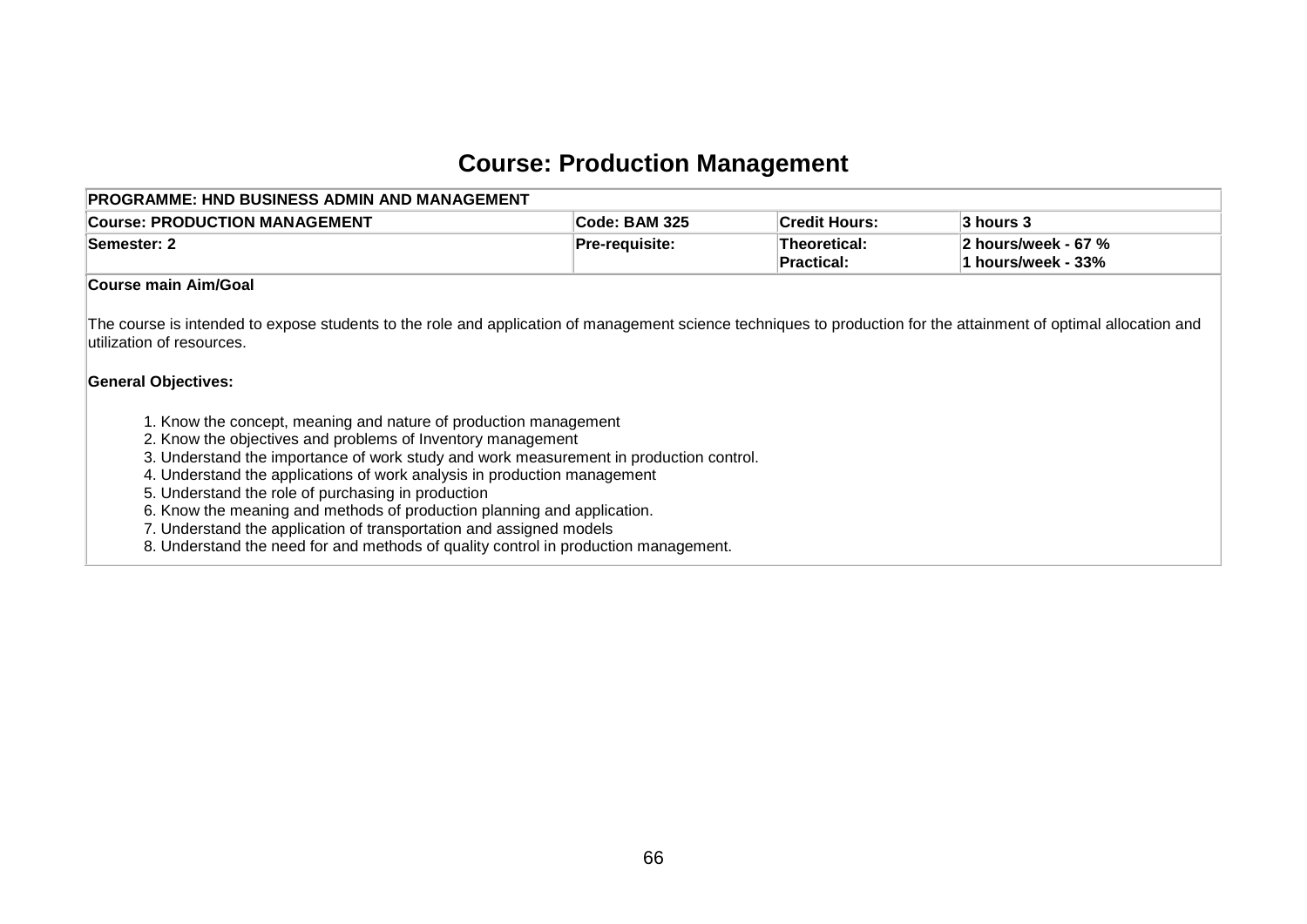## **Course: Production Management**

| PROGRAMME: HND BUSINESS ADMIN AND MANAGEMENT                                                                                                                                                                                                                                                                                                                                                                                                                                                                                                                                                                                                                                                                                                                                                                                         |                |                            |                                           |  |  |  |  |  |  |
|--------------------------------------------------------------------------------------------------------------------------------------------------------------------------------------------------------------------------------------------------------------------------------------------------------------------------------------------------------------------------------------------------------------------------------------------------------------------------------------------------------------------------------------------------------------------------------------------------------------------------------------------------------------------------------------------------------------------------------------------------------------------------------------------------------------------------------------|----------------|----------------------------|-------------------------------------------|--|--|--|--|--|--|
| <b>Course: PRODUCTION MANAGEMENT</b>                                                                                                                                                                                                                                                                                                                                                                                                                                                                                                                                                                                                                                                                                                                                                                                                 | Code: BAM 325  | <b>Credit Hours:</b>       | 3 hours 3                                 |  |  |  |  |  |  |
| Semester: 2                                                                                                                                                                                                                                                                                                                                                                                                                                                                                                                                                                                                                                                                                                                                                                                                                          | Pre-requisite: | Theoretical:<br>Practical: | 2 hours/week - 67 %<br>1 hours/week - 33% |  |  |  |  |  |  |
| <b>Course main Aim/Goal</b>                                                                                                                                                                                                                                                                                                                                                                                                                                                                                                                                                                                                                                                                                                                                                                                                          |                |                            |                                           |  |  |  |  |  |  |
| The course is intended to expose students to the role and application of management science techniques to production for the attainment of optimal allocation and<br>utilization of resources.<br><b>General Objectives:</b><br>1. Know the concept, meaning and nature of production management<br>2. Know the objectives and problems of Inventory management<br>3. Understand the importance of work study and work measurement in production control.<br>4. Understand the applications of work analysis in production management<br>5. Understand the role of purchasing in production<br>6. Know the meaning and methods of production planning and application.<br>7. Understand the application of transportation and assigned models<br>8. Understand the need for and methods of quality control in production management. |                |                            |                                           |  |  |  |  |  |  |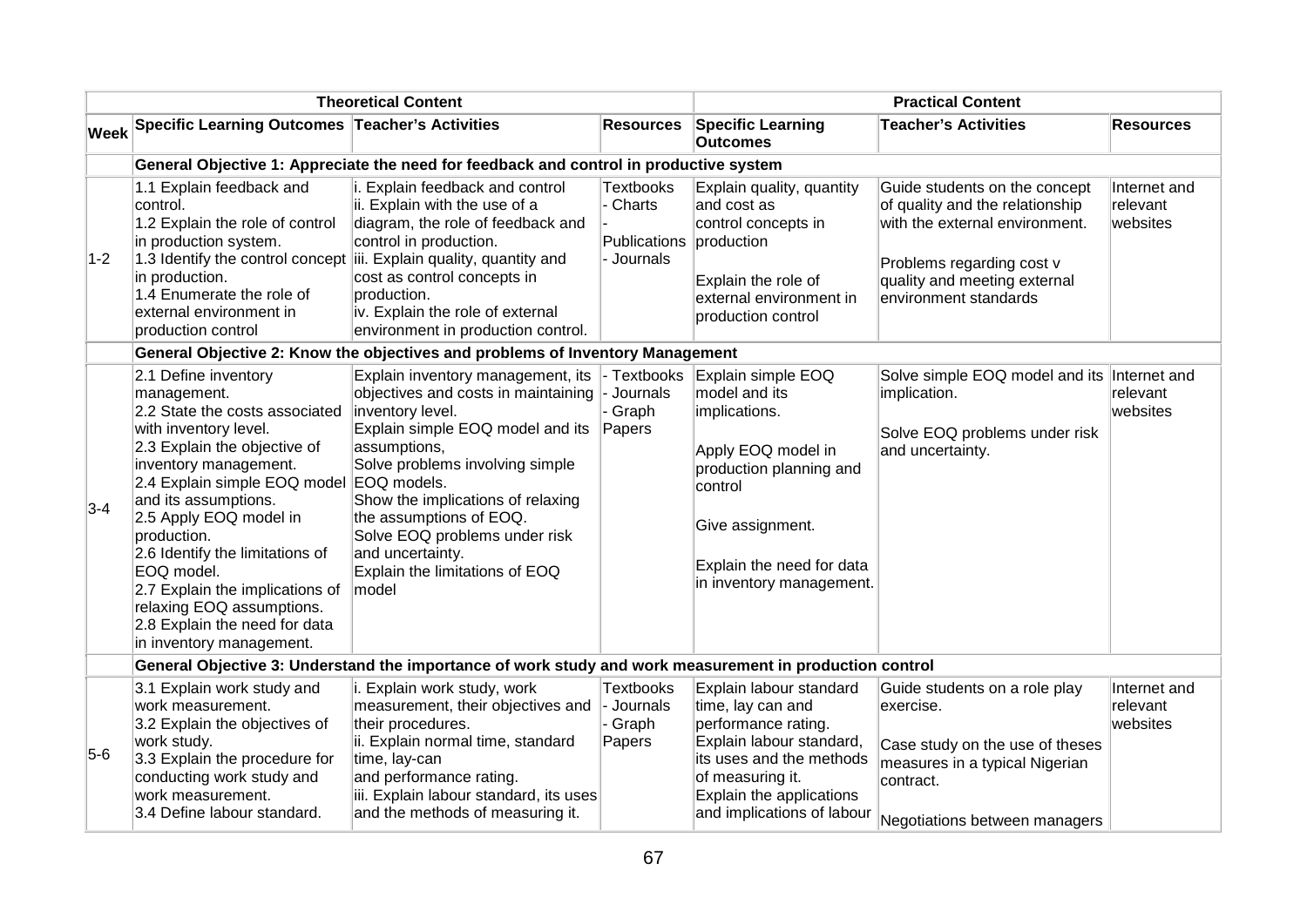| <b>Theoretical Content</b> |                                                                                                                                                                                                                                                                                                                                                                                                                                                    |                                                                                                                                                                                                                                                                                                                                                     | <b>Practical Content</b>                                 |                                                                                                                                                                                                           |                                                                                                                                                                                          |                                      |  |  |  |  |
|----------------------------|----------------------------------------------------------------------------------------------------------------------------------------------------------------------------------------------------------------------------------------------------------------------------------------------------------------------------------------------------------------------------------------------------------------------------------------------------|-----------------------------------------------------------------------------------------------------------------------------------------------------------------------------------------------------------------------------------------------------------------------------------------------------------------------------------------------------|----------------------------------------------------------|-----------------------------------------------------------------------------------------------------------------------------------------------------------------------------------------------------------|------------------------------------------------------------------------------------------------------------------------------------------------------------------------------------------|--------------------------------------|--|--|--|--|
| <b>Week</b>                | Specific Learning Outcomes Teacher's Activities                                                                                                                                                                                                                                                                                                                                                                                                    |                                                                                                                                                                                                                                                                                                                                                     | <b>Resources</b>                                         | <b>Specific Learning</b><br><b>Outcomes</b>                                                                                                                                                               | <b>Teacher's Activities</b>                                                                                                                                                              | <b>Resources</b>                     |  |  |  |  |
|                            | General Objective 1: Appreciate the need for feedback and control in productive system                                                                                                                                                                                                                                                                                                                                                             |                                                                                                                                                                                                                                                                                                                                                     |                                                          |                                                                                                                                                                                                           |                                                                                                                                                                                          |                                      |  |  |  |  |
| $1-2$                      | 1.1 Explain feedback and<br>control.<br>1.2 Explain the role of control<br>in production system.<br>in production.<br>1.4 Enumerate the role of<br>external environment in<br>production control                                                                                                                                                                                                                                                   | i. Explain feedback and control<br>ii. Explain with the use of a<br>diagram, the role of feedback and<br>control in production.<br>1.3 Identify the control concept $\left\vert \right\vert$ Explain quality, quantity and<br>cost as control concepts in<br>production.<br>iv. Explain the role of external<br>environment in production control.  | <b>Textbooks</b><br>Charts<br>Publications<br>- Journals | Explain quality, quantity<br>and cost as<br>control concepts in<br>production<br>Explain the role of<br>external environment in<br>production control                                                     | Guide students on the concept<br>of quality and the relationship<br>with the external environment.<br>Problems regarding cost v<br>quality and meeting external<br>environment standards | Internet and<br>relevant<br>websites |  |  |  |  |
|                            |                                                                                                                                                                                                                                                                                                                                                                                                                                                    | General Objective 2: Know the objectives and problems of Inventory Management                                                                                                                                                                                                                                                                       |                                                          |                                                                                                                                                                                                           |                                                                                                                                                                                          |                                      |  |  |  |  |
| $3-4$                      | 2.1 Define inventory<br>management.<br>2.2 State the costs associated<br>with inventory level.<br>2.3 Explain the objective of<br>inventory management.<br>2.4 Explain simple EOQ model EOQ models.<br>and its assumptions.<br>2.5 Apply EOQ model in<br>production.<br>2.6 Identify the limitations of<br>EOQ model.<br>2.7 Explain the implications of<br>relaxing EOQ assumptions.<br>2.8 Explain the need for data<br>in inventory management. | Explain inventory management, its<br>objectives and costs in maintaining<br>inventory level.<br>Explain simple EOQ model and its<br>assumptions,<br>Solve problems involving simple<br>Show the implications of relaxing<br>the assumptions of EOQ.<br>Solve EOQ problems under risk<br>and uncertainty.<br>Explain the limitations of EOQ<br>model | - Textbooks<br>- Journals<br>Graph<br>Papers             | Explain simple EOQ<br>model and its<br>implications.<br>Apply EOQ model in<br>production planning and<br>control<br>Give assignment.<br>Explain the need for data<br>in inventory management.             | Solve simple EOQ model and its Internet and<br>implication.<br>Solve EOQ problems under risk<br>and uncertainty.                                                                         | relevant<br>websites                 |  |  |  |  |
|                            |                                                                                                                                                                                                                                                                                                                                                                                                                                                    | General Objective 3: Understand the importance of work study and work measurement in production control                                                                                                                                                                                                                                             |                                                          |                                                                                                                                                                                                           |                                                                                                                                                                                          |                                      |  |  |  |  |
| $5-6$                      | 3.1 Explain work study and<br>work measurement.<br>3.2 Explain the objectives of<br>work study.<br>3.3 Explain the procedure for<br>conducting work study and<br>work measurement.<br>3.4 Define labour standard.                                                                                                                                                                                                                                  | i. Explain work study, work<br>measurement, their objectives and<br>their procedures.<br>ii. Explain normal time, standard<br>time, lay-can<br>and performance rating.<br>iii. Explain labour standard, its uses<br>and the methods of measuring it.                                                                                                | <b>Textbooks</b><br>- Journals<br>Graph<br>Papers        | Explain labour standard<br>time, lay can and<br>performance rating.<br>Explain labour standard,<br>its uses and the methods<br>of measuring it.<br>Explain the applications<br>and implications of labour | Guide students on a role play<br>exercise.<br>Case study on the use of theses<br>measures in a typical Nigerian<br>contract.<br>Negotiations between managers                            | Internet and<br>relevant<br>websites |  |  |  |  |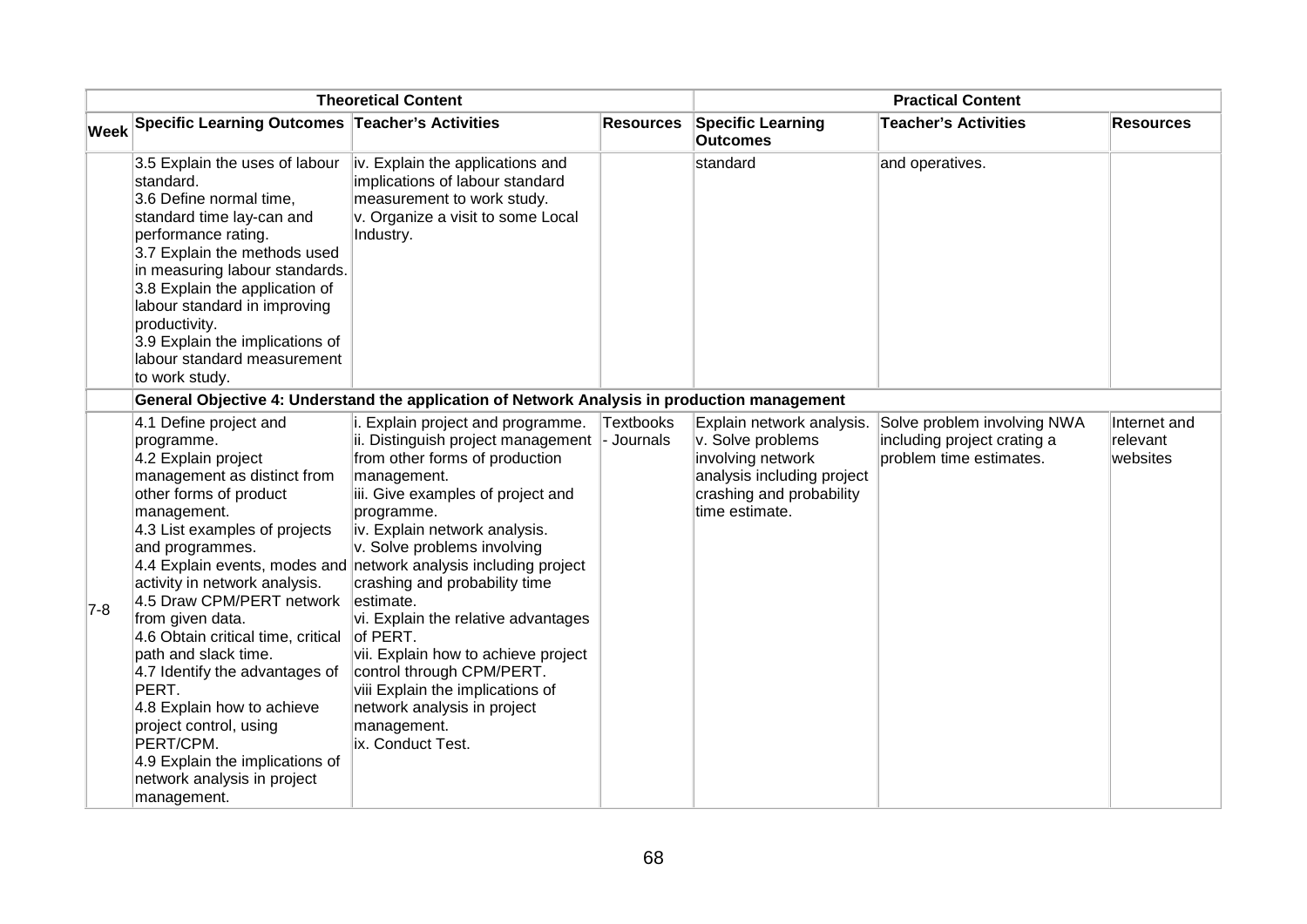|     |                                                                                                                                                                                                                                                                                                                                                                                                                                                                                                                                                                                                                                                                                                                                                                                                                                                                                                                                                                                                                                                                                                                                         | <b>Theoretical Content</b> | <b>Practical Content</b>       |                                                                                                                                                 |                                                                                       |                                      |
|-----|-----------------------------------------------------------------------------------------------------------------------------------------------------------------------------------------------------------------------------------------------------------------------------------------------------------------------------------------------------------------------------------------------------------------------------------------------------------------------------------------------------------------------------------------------------------------------------------------------------------------------------------------------------------------------------------------------------------------------------------------------------------------------------------------------------------------------------------------------------------------------------------------------------------------------------------------------------------------------------------------------------------------------------------------------------------------------------------------------------------------------------------------|----------------------------|--------------------------------|-------------------------------------------------------------------------------------------------------------------------------------------------|---------------------------------------------------------------------------------------|--------------------------------------|
|     | Week Specific Learning Outcomes Teacher's Activities                                                                                                                                                                                                                                                                                                                                                                                                                                                                                                                                                                                                                                                                                                                                                                                                                                                                                                                                                                                                                                                                                    |                            | <b>Resources</b>               | <b>Specific Learning</b><br><b>Outcomes</b>                                                                                                     | <b>Teacher's Activities</b>                                                           | <b>Resources</b>                     |
|     | 3.5 Explain the uses of labour<br>iv. Explain the applications and<br>implications of labour standard<br>standard.<br>3.6 Define normal time,<br>measurement to work study.<br>v. Organize a visit to some Local<br>standard time lay-can and<br>performance rating.<br>Industry.<br>3.7 Explain the methods used<br>in measuring labour standards.<br>3.8 Explain the application of<br>labour standard in improving<br>productivity.<br>3.9 Explain the implications of<br>labour standard measurement<br>to work study.                                                                                                                                                                                                                                                                                                                                                                                                                                                                                                                                                                                                              |                            |                                | standard                                                                                                                                        | and operatives.                                                                       |                                      |
|     | General Objective 4: Understand the application of Network Analysis in production management                                                                                                                                                                                                                                                                                                                                                                                                                                                                                                                                                                                                                                                                                                                                                                                                                                                                                                                                                                                                                                            |                            |                                |                                                                                                                                                 |                                                                                       |                                      |
| 7-8 | 4.1 Define project and<br>i. Explain project and programme.<br>ii. Distinguish project management<br>programme.<br>4.2 Explain project<br>from other forms of production<br>management as distinct from<br>management.<br>iii. Give examples of project and<br>other forms of product<br>management.<br>programme.<br>4.3 List examples of projects<br>iv. Explain network analysis.<br>v. Solve problems involving<br>and programmes.<br>4.4 Explain events, modes and network analysis including project<br>crashing and probability time<br>activity in network analysis.<br>4.5 Draw CPM/PERT network<br>estimate.<br>from given data.<br>vi. Explain the relative advantages<br>of PERT.<br>4.6 Obtain critical time, critical<br>vii. Explain how to achieve project<br>path and slack time.<br>control through CPM/PERT.<br>4.7 Identify the advantages of<br>PERT.<br>viii Explain the implications of<br>network analysis in project<br>4.8 Explain how to achieve<br>project control, using<br>management.<br>PERT/CPM.<br>ix. Conduct Test.<br>4.9 Explain the implications of<br>network analysis in project<br>management. |                            | <b>Textbooks</b><br>- Journals | Explain network analysis.<br>v. Solve problems<br>involving network<br>analysis including project<br>crashing and probability<br>time estimate. | Solve problem involving NWA<br>including project crating a<br>problem time estimates. | Internet and<br>relevant<br>websites |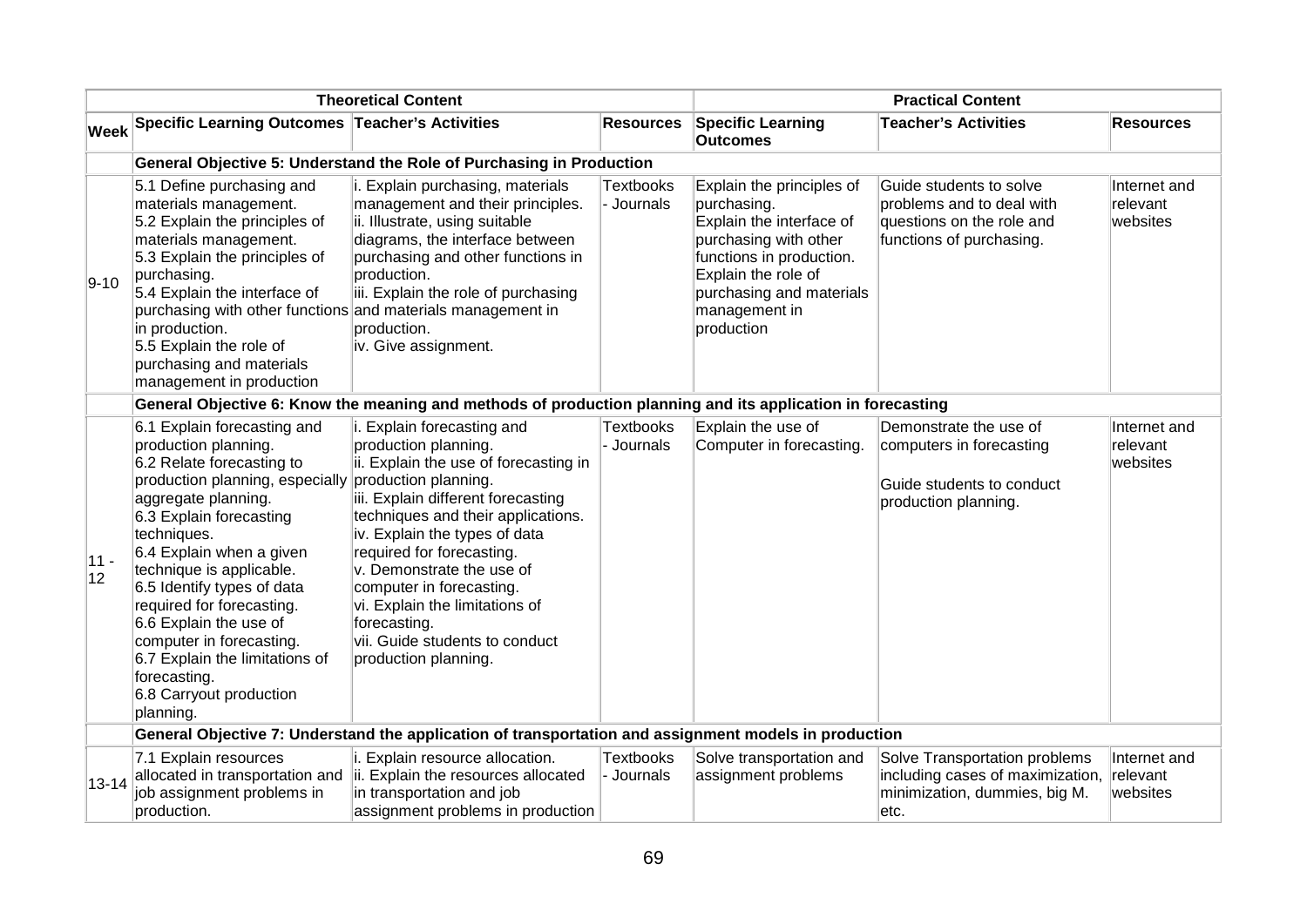|             |                                                                                                                                                                                                                                                                                                                                                                                                                                                         | <b>Theoretical Content</b>                                                                                                                                                                                                                                                                                                                                                                                                         | <b>Practical Content</b>       |                                                                                                                                                                                                             |                                                                                                               |                                      |  |  |
|-------------|---------------------------------------------------------------------------------------------------------------------------------------------------------------------------------------------------------------------------------------------------------------------------------------------------------------------------------------------------------------------------------------------------------------------------------------------------------|------------------------------------------------------------------------------------------------------------------------------------------------------------------------------------------------------------------------------------------------------------------------------------------------------------------------------------------------------------------------------------------------------------------------------------|--------------------------------|-------------------------------------------------------------------------------------------------------------------------------------------------------------------------------------------------------------|---------------------------------------------------------------------------------------------------------------|--------------------------------------|--|--|
|             | Week Specific Learning Outcomes Teacher's Activities                                                                                                                                                                                                                                                                                                                                                                                                    |                                                                                                                                                                                                                                                                                                                                                                                                                                    | <b>Resources</b>               | <b>Specific Learning</b><br><b>Outcomes</b>                                                                                                                                                                 | <b>Teacher's Activities</b>                                                                                   | <b>Resources</b>                     |  |  |
|             | General Objective 5: Understand the Role of Purchasing in Production                                                                                                                                                                                                                                                                                                                                                                                    |                                                                                                                                                                                                                                                                                                                                                                                                                                    |                                |                                                                                                                                                                                                             |                                                                                                               |                                      |  |  |
| $9 - 10$    | 5.1 Define purchasing and<br>materials management.<br>5.2 Explain the principles of<br>materials management.<br>5.3 Explain the principles of<br>purchasing.<br>5.4 Explain the interface of<br>purchasing with other functions and materials management in<br>in production.<br>5.5 Explain the role of<br>purchasing and materials<br>management in production                                                                                        | i. Explain purchasing, materials<br>management and their principles.<br>ii. Illustrate, using suitable<br>diagrams, the interface between<br>purchasing and other functions in<br>production.<br>iii. Explain the role of purchasing<br>production.<br>iv. Give assignment.                                                                                                                                                        | Textbooks<br>- Journals        | Explain the principles of<br>purchasing.<br>Explain the interface of<br>purchasing with other<br>functions in production.<br>Explain the role of<br>purchasing and materials<br>management in<br>production | Guide students to solve<br>problems and to deal with<br>questions on the role and<br>functions of purchasing. | Internet and<br>relevant<br>websites |  |  |
|             |                                                                                                                                                                                                                                                                                                                                                                                                                                                         | General Objective 6: Know the meaning and methods of production planning and its application in forecasting                                                                                                                                                                                                                                                                                                                        |                                |                                                                                                                                                                                                             |                                                                                                               |                                      |  |  |
| 11 -<br> 12 | 6.1 Explain forecasting and<br>production planning.<br>6.2 Relate forecasting to<br>production planning, especially<br>aggregate planning.<br>6.3 Explain forecasting<br>techniques.<br>6.4 Explain when a given<br>technique is applicable.<br>6.5 Identify types of data<br>required for forecasting.<br>6.6 Explain the use of<br>computer in forecasting.<br>6.7 Explain the limitations of<br>forecasting.<br>6.8 Carryout production<br>planning. | i. Explain forecasting and<br>production planning.<br>ii. Explain the use of forecasting in<br>production planning.<br>iii. Explain different forecasting<br>techniques and their applications.<br>iv. Explain the types of data<br>required for forecasting.<br>v. Demonstrate the use of<br>computer in forecasting.<br>vi. Explain the limitations of<br>forecasting.<br>vii. Guide students to conduct<br>production planning. | <b>Textbooks</b><br>Journals   | Explain the use of<br>Computer in forecasting.                                                                                                                                                              | Demonstrate the use of<br>computers in forecasting<br>Guide students to conduct<br>production planning.       | Internet and<br>relevant<br>websites |  |  |
|             |                                                                                                                                                                                                                                                                                                                                                                                                                                                         | General Objective 7: Understand the application of transportation and assignment models in production                                                                                                                                                                                                                                                                                                                              |                                |                                                                                                                                                                                                             |                                                                                                               |                                      |  |  |
| $13 - 14$   | 7.1 Explain resources<br>allocated in transportation and<br>job assignment problems in<br>production.                                                                                                                                                                                                                                                                                                                                                   | i. Explain resource allocation.<br>ii. Explain the resources allocated<br>in transportation and job<br>assignment problems in production                                                                                                                                                                                                                                                                                           | <b>Textbooks</b><br>- Journals | Solve transportation and<br>assignment problems                                                                                                                                                             | Solve Transportation problems<br>including cases of maximization,<br>minimization, dummies, big M.<br>etc.    | Internet and<br>relevant<br>websites |  |  |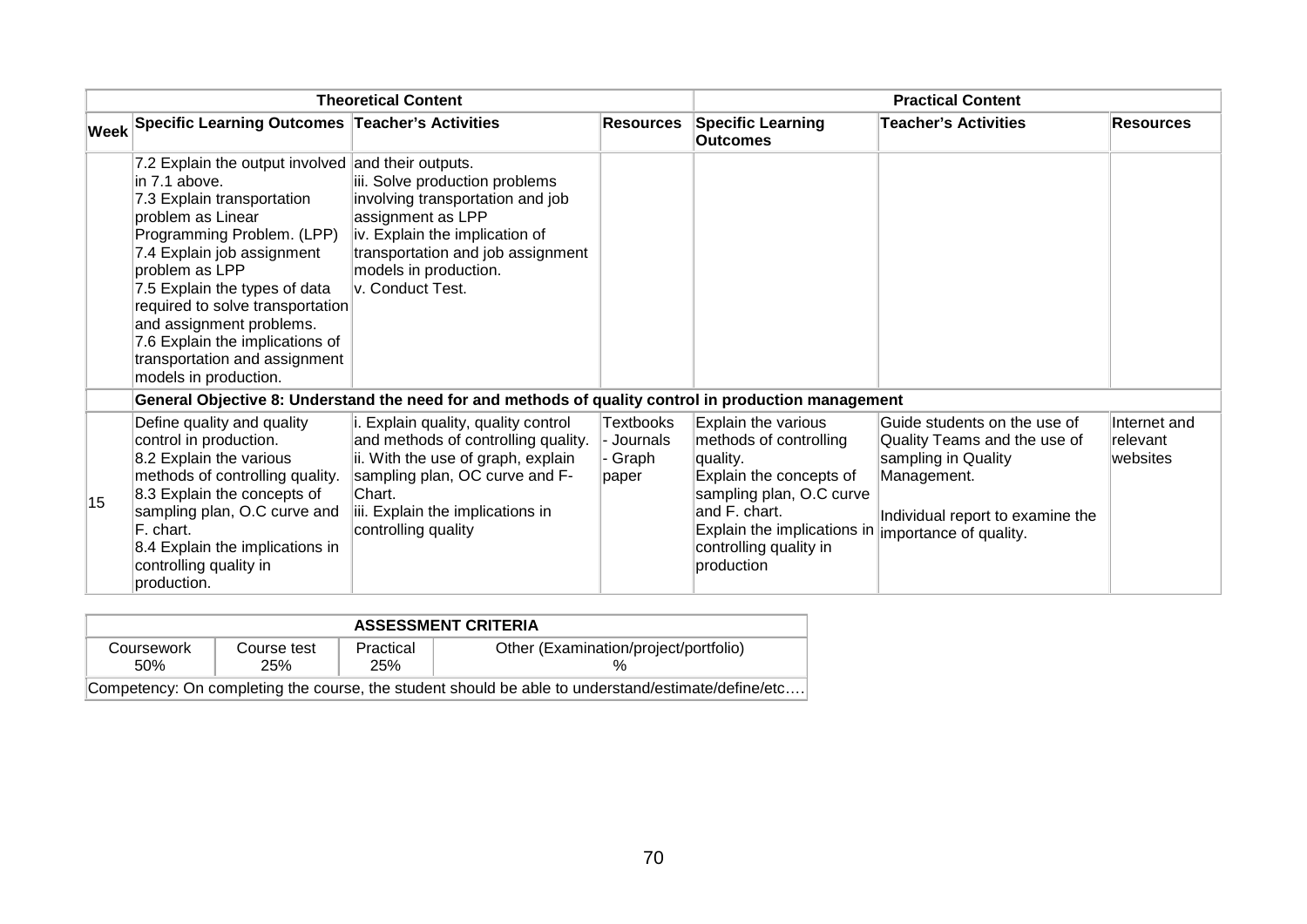| <b>Theoretical Content</b> |                                                                                                                                                                                                                                                                                                                                                                                                                                                                                                                                                                                                                    |                                                                                                                                                                                                                          |                                             | <b>Practical Content</b>                                                                                                                                                                                 |                                                                                                                                                                  |                                      |
|----------------------------|--------------------------------------------------------------------------------------------------------------------------------------------------------------------------------------------------------------------------------------------------------------------------------------------------------------------------------------------------------------------------------------------------------------------------------------------------------------------------------------------------------------------------------------------------------------------------------------------------------------------|--------------------------------------------------------------------------------------------------------------------------------------------------------------------------------------------------------------------------|---------------------------------------------|----------------------------------------------------------------------------------------------------------------------------------------------------------------------------------------------------------|------------------------------------------------------------------------------------------------------------------------------------------------------------------|--------------------------------------|
|                            | Week Specific Learning Outcomes Teacher's Activities                                                                                                                                                                                                                                                                                                                                                                                                                                                                                                                                                               |                                                                                                                                                                                                                          | <b>Resources</b>                            | <b>Specific Learning</b><br><b>Outcomes</b>                                                                                                                                                              | <b>Teacher's Activities</b>                                                                                                                                      | <b>Resources</b>                     |
|                            | 7.2 Explain the output involved and their outputs.<br>iii. Solve production problems<br>lin 7.1 above.<br>7.3 Explain transportation<br>involving transportation and job<br>assignment as LPP<br>problem as Linear<br>Programming Problem. (LPP)<br>iv. Explain the implication of<br>transportation and job assignment<br>7.4 Explain job assignment<br>problem as LPP<br>models in production.<br>v. Conduct Test.<br>7.5 Explain the types of data<br>required to solve transportation<br>and assignment problems.<br>7.6 Explain the implications of<br>transportation and assignment<br>models in production. |                                                                                                                                                                                                                          |                                             |                                                                                                                                                                                                          |                                                                                                                                                                  |                                      |
|                            | General Objective 8: Understand the need for and methods of quality control in production management                                                                                                                                                                                                                                                                                                                                                                                                                                                                                                               |                                                                                                                                                                                                                          |                                             |                                                                                                                                                                                                          |                                                                                                                                                                  |                                      |
| 15                         | Define quality and quality<br>control in production.<br>8.2 Explain the various<br>methods of controlling quality.<br>8.3 Explain the concepts of<br>sampling plan, O.C curve and<br>F. chart.<br>8.4 Explain the implications in<br>controlling quality in<br>production.                                                                                                                                                                                                                                                                                                                                         | i. Explain quality, quality control<br>and methods of controlling quality.<br>ii. With the use of graph, explain<br>sampling plan, OC curve and F-<br>lChart.<br>iii. Explain the implications in<br>controlling quality | Textbooks<br>- Journals<br>· Graph<br>paper | Explain the various<br>methods of controlling<br>quality.<br>Explain the concepts of<br>sampling plan, O.C curve<br>and F. chart.<br>Explain the implications in<br>controlling quality in<br>production | Guide students on the use of<br>Quality Teams and the use of<br>sampling in Quality<br>Management.<br>Individual report to examine the<br>importance of quality. | Internet and<br>relevant<br>websites |

| <b>ASSESSMENT CRITERIA</b> |                    |                  |                                                                                                    |  |  |
|----------------------------|--------------------|------------------|----------------------------------------------------------------------------------------------------|--|--|
| Coursework<br>.50%         | Course test<br>25% | Practical<br>25% | Other (Examination/project/portfolio)                                                              |  |  |
|                            |                    |                  | Competency: On completing the course, the student should be able to understand/estimate/define/etc |  |  |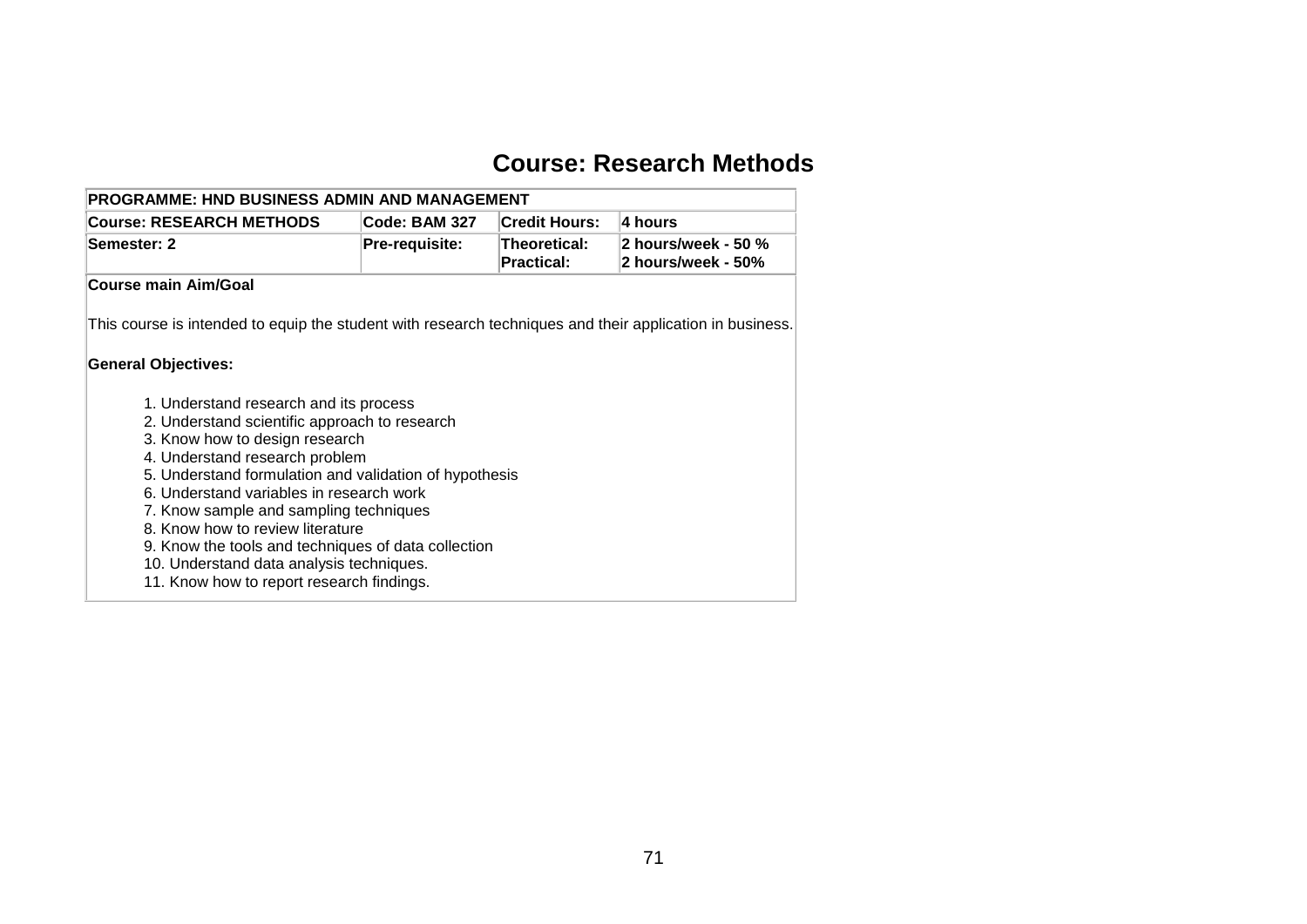### **Course: Research Methods**

| <b>PROGRAMME: HND BUSINESS ADMIN AND MANAGEMENT</b><br><b>Course: RESEARCH METHODS</b><br>Code: BAM 327<br><b>Credit Hours:</b><br>l4 hours |                                                     |                                   |                                           |  |  |  |  |  |  |
|---------------------------------------------------------------------------------------------------------------------------------------------|-----------------------------------------------------|-----------------------------------|-------------------------------------------|--|--|--|--|--|--|
|                                                                                                                                             |                                                     |                                   |                                           |  |  |  |  |  |  |
| Semester: 2                                                                                                                                 | Pre-requisite:                                      | Theoretical:<br><b>Practical:</b> | 2 hours/week - 50 %<br>2 hours/week - 50% |  |  |  |  |  |  |
| Course main Aim/Goal                                                                                                                        |                                                     |                                   |                                           |  |  |  |  |  |  |
|                                                                                                                                             |                                                     |                                   |                                           |  |  |  |  |  |  |
| This course is intended to equip the student with research techniques and their application in business.                                    |                                                     |                                   |                                           |  |  |  |  |  |  |
| <b>General Objectives:</b>                                                                                                                  |                                                     |                                   |                                           |  |  |  |  |  |  |
|                                                                                                                                             |                                                     |                                   |                                           |  |  |  |  |  |  |
| 1. Understand research and its process                                                                                                      |                                                     |                                   |                                           |  |  |  |  |  |  |
| 2. Understand scientific approach to research                                                                                               |                                                     |                                   |                                           |  |  |  |  |  |  |
| 3. Know how to design research                                                                                                              |                                                     |                                   |                                           |  |  |  |  |  |  |
| 4. Understand research problem                                                                                                              |                                                     |                                   |                                           |  |  |  |  |  |  |
| 5. Understand formulation and validation of hypothesis                                                                                      |                                                     |                                   |                                           |  |  |  |  |  |  |
| 6. Understand variables in research work                                                                                                    |                                                     |                                   |                                           |  |  |  |  |  |  |
| 7. Know sample and sampling techniques                                                                                                      |                                                     |                                   |                                           |  |  |  |  |  |  |
| 8. Know how to review literature                                                                                                            |                                                     |                                   |                                           |  |  |  |  |  |  |
|                                                                                                                                             | 9. Know the tools and techniques of data collection |                                   |                                           |  |  |  |  |  |  |
|                                                                                                                                             |                                                     |                                   |                                           |  |  |  |  |  |  |
| 10. Understand data analysis techniques.                                                                                                    |                                                     |                                   |                                           |  |  |  |  |  |  |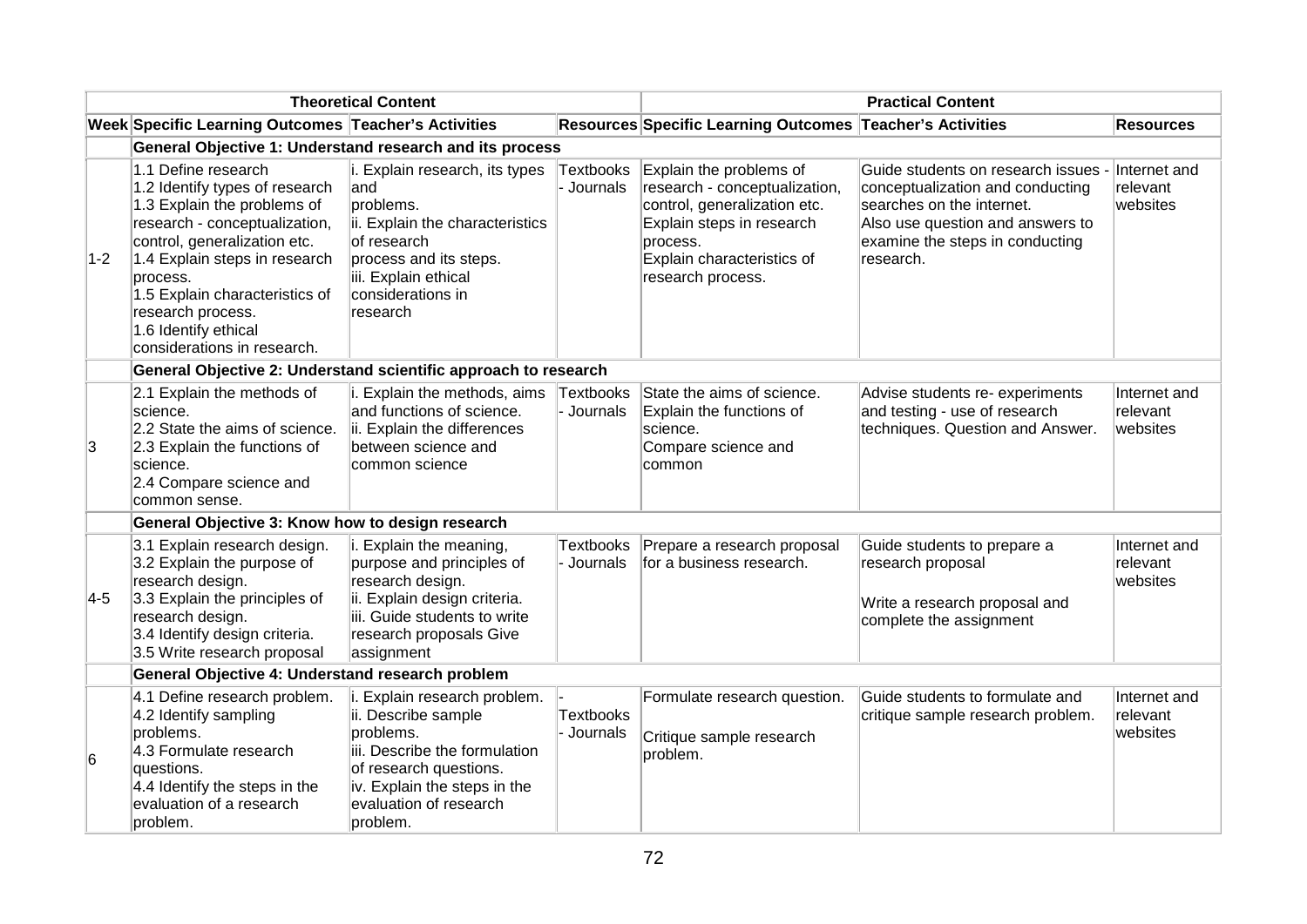| <b>Theoretical Content</b> |                                                                                                                                                                                                                                                                                                                  | <b>Practical Content</b>                                                                                                                                                                          |                                |                                                                                                                                                                                      |                                                                                                                                                                                          |                                      |  |  |  |
|----------------------------|------------------------------------------------------------------------------------------------------------------------------------------------------------------------------------------------------------------------------------------------------------------------------------------------------------------|---------------------------------------------------------------------------------------------------------------------------------------------------------------------------------------------------|--------------------------------|--------------------------------------------------------------------------------------------------------------------------------------------------------------------------------------|------------------------------------------------------------------------------------------------------------------------------------------------------------------------------------------|--------------------------------------|--|--|--|
|                            | Week Specific Learning Outcomes Teacher's Activities                                                                                                                                                                                                                                                             |                                                                                                                                                                                                   |                                | Resources Specific Learning Outcomes Teacher's Activities                                                                                                                            |                                                                                                                                                                                          | <b>Resources</b>                     |  |  |  |
|                            | General Objective 1: Understand research and its process                                                                                                                                                                                                                                                         |                                                                                                                                                                                                   |                                |                                                                                                                                                                                      |                                                                                                                                                                                          |                                      |  |  |  |
| $ 1-2 $                    | 1.1 Define research<br>1.2 Identify types of research<br>1.3 Explain the problems of<br>research - conceptualization,<br>control, generalization etc.<br>1.4 Explain steps in research<br>process.<br>1.5 Explain characteristics of<br>research process.<br>1.6 Identify ethical<br>considerations in research. | i. Explain research, its types<br>and<br>problems.<br>ii. Explain the characteristics<br>of research<br>process and its steps.<br>iii. Explain ethical<br>considerations in<br>research           | Textbooks<br>Journals          | Explain the problems of<br>research - conceptualization,<br>control, generalization etc.<br>Explain steps in research<br>process.<br>Explain characteristics of<br>research process. | Guide students on research issues -<br>conceptualization and conducting<br>searches on the internet.<br>Also use question and answers to<br>examine the steps in conducting<br>research. | Internet and<br>relevant<br>websites |  |  |  |
|                            | General Objective 2: Understand scientific approach to research                                                                                                                                                                                                                                                  |                                                                                                                                                                                                   |                                |                                                                                                                                                                                      |                                                                                                                                                                                          |                                      |  |  |  |
| 3                          | 2.1 Explain the methods of<br>science.<br>2.2 State the aims of science.<br>2.3 Explain the functions of<br>science.<br>2.4 Compare science and<br>common sense.                                                                                                                                                 | i. Explain the methods, aims<br>and functions of science.<br>ii. Explain the differences<br>between science and<br>common science                                                                 | Textbooks<br>- Journals        | State the aims of science.<br>Explain the functions of<br>science.<br>Compare science and<br>common                                                                                  | Advise students re- experiments<br>and testing - use of research<br>techniques. Question and Answer.                                                                                     | Internet and<br>relevant<br>websites |  |  |  |
|                            | General Objective 3: Know how to design research                                                                                                                                                                                                                                                                 |                                                                                                                                                                                                   |                                |                                                                                                                                                                                      |                                                                                                                                                                                          |                                      |  |  |  |
| $ 4-5 $                    | 3.1 Explain research design.<br>3.2 Explain the purpose of<br>research design.<br>3.3 Explain the principles of<br>research design.<br>3.4 Identify design criteria.<br>3.5 Write research proposal                                                                                                              | i. Explain the meaning,<br>purpose and principles of<br>research design.<br>ii. Explain design criteria.<br>iii. Guide students to write<br>research proposals Give<br>assignment                 | <b>Textbooks</b><br>- Journals | Prepare a research proposal<br>for a business research.                                                                                                                              | Guide students to prepare a<br>research proposal<br>Write a research proposal and<br>complete the assignment                                                                             | Internet and<br>relevant<br>websites |  |  |  |
|                            | General Objective 4: Understand research problem                                                                                                                                                                                                                                                                 |                                                                                                                                                                                                   |                                |                                                                                                                                                                                      |                                                                                                                                                                                          |                                      |  |  |  |
| 6                          | 4.1 Define research problem.<br>4.2 Identify sampling<br>problems.<br>4.3 Formulate research<br>questions.<br>4.4 Identify the steps in the<br>evaluation of a research<br>problem.                                                                                                                              | i. Explain research problem.<br>ii. Describe sample<br>problems.<br>iii. Describe the formulation<br>of research questions.<br>iv. Explain the steps in the<br>evaluation of research<br>problem. | <b>Textbooks</b><br>- Journals | Formulate research question.<br>Critique sample research<br>problem.                                                                                                                 | Guide students to formulate and<br>critique sample research problem.                                                                                                                     | Internet and<br>relevant<br>websites |  |  |  |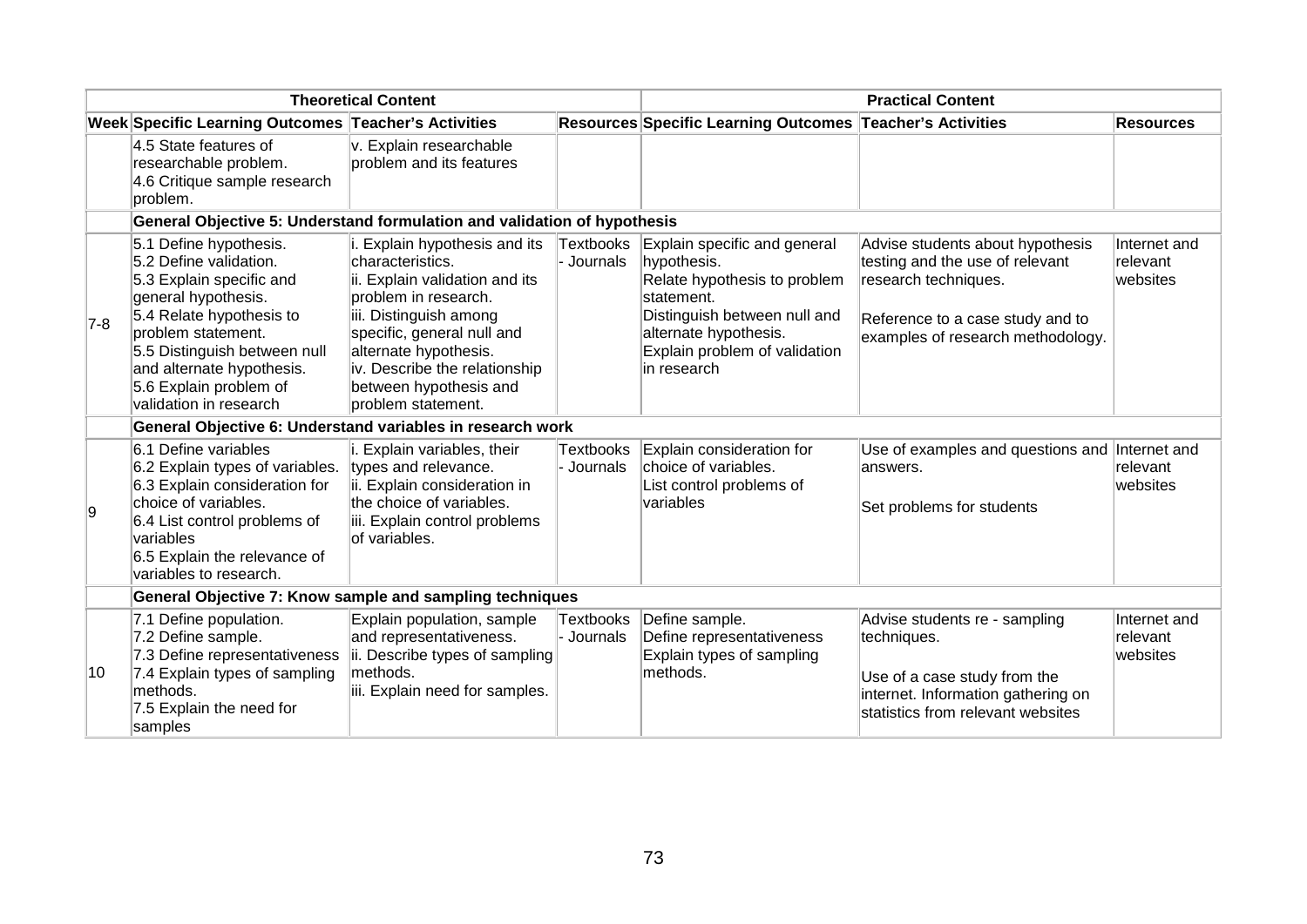| <b>Theoretical Content</b> |                                                                                                                                                                                                                                                                        |                                                                                                                                                                                                                                                                               | <b>Practical Content</b>       |                                                                                                                                                                                                     |                                                                                                                                                                      |                                      |
|----------------------------|------------------------------------------------------------------------------------------------------------------------------------------------------------------------------------------------------------------------------------------------------------------------|-------------------------------------------------------------------------------------------------------------------------------------------------------------------------------------------------------------------------------------------------------------------------------|--------------------------------|-----------------------------------------------------------------------------------------------------------------------------------------------------------------------------------------------------|----------------------------------------------------------------------------------------------------------------------------------------------------------------------|--------------------------------------|
|                            | Week Specific Learning Outcomes Teacher's Activities                                                                                                                                                                                                                   |                                                                                                                                                                                                                                                                               |                                | Resources Specific Learning Outcomes Teacher's Activities                                                                                                                                           |                                                                                                                                                                      | <b>Resources</b>                     |
|                            | 4.5 State features of<br>researchable problem.<br>4.6 Critique sample research<br>problem.                                                                                                                                                                             | v. Explain researchable<br>problem and its features                                                                                                                                                                                                                           |                                |                                                                                                                                                                                                     |                                                                                                                                                                      |                                      |
|                            | General Objective 5: Understand formulation and validation of hypothesis                                                                                                                                                                                               |                                                                                                                                                                                                                                                                               |                                |                                                                                                                                                                                                     |                                                                                                                                                                      |                                      |
| $ 7-8 $                    | 5.1 Define hypothesis.<br>5.2 Define validation.<br>5.3 Explain specific and<br>general hypothesis.<br>5.4 Relate hypothesis to<br>problem statement.<br>5.5 Distinguish between null<br>and alternate hypothesis.<br>5.6 Explain problem of<br>validation in research | i. Explain hypothesis and its<br>characteristics.<br>ii. Explain validation and its<br>problem in research.<br>iii. Distinguish among<br>specific, general null and<br>alternate hypothesis.<br>iv. Describe the relationship<br>between hypothesis and<br>problem statement. | <b>Textbooks</b><br>- Journals | Explain specific and general<br>hypothesis.<br>Relate hypothesis to problem<br>statement.<br>Distinguish between null and<br>alternate hypothesis.<br>Explain problem of validation<br>lin research | Advise students about hypothesis<br>testing and the use of relevant<br>research techniques.<br>Reference to a case study and to<br>examples of research methodology. | Internet and<br>relevant<br>websites |
|                            | General Objective 6: Understand variables in research work                                                                                                                                                                                                             |                                                                                                                                                                                                                                                                               |                                |                                                                                                                                                                                                     |                                                                                                                                                                      |                                      |
| 9                          | 6.1 Define variables<br>6.2 Explain types of variables.<br>6.3 Explain consideration for<br>choice of variables.<br>6.4 List control problems of<br><b>variables</b><br>6.5 Explain the relevance of<br>variables to research.                                         | i. Explain variables, their<br>types and relevance.<br>ii. Explain consideration in<br>the choice of variables.<br>iii. Explain control problems<br>of variables.                                                                                                             | <b>Textbooks</b><br>- Journals | Explain consideration for<br>choice of variables.<br>List control problems of<br>variables                                                                                                          | Use of examples and questions and Internet and<br>answers.<br>Set problems for students                                                                              | relevant<br>websites                 |
|                            | General Objective 7: Know sample and sampling techniques                                                                                                                                                                                                               |                                                                                                                                                                                                                                                                               |                                |                                                                                                                                                                                                     |                                                                                                                                                                      |                                      |
| 10                         | 7.1 Define population.<br>7.2 Define sample.<br>7.3 Define representativeness<br>7.4 Explain types of sampling<br>methods.<br>7.5 Explain the need for<br>samples                                                                                                      | Explain population, sample<br>and representativeness.<br>ii. Describe types of sampling<br>methods.<br>iii. Explain need for samples.                                                                                                                                         | <b>Textbooks</b><br>- Journals | Define sample.<br>Define representativeness<br>Explain types of sampling<br>methods.                                                                                                                | Advise students re - sampling<br>techniques.<br>Use of a case study from the<br>internet. Information gathering on<br>statistics from relevant websites              | Internet and<br>relevant<br>websites |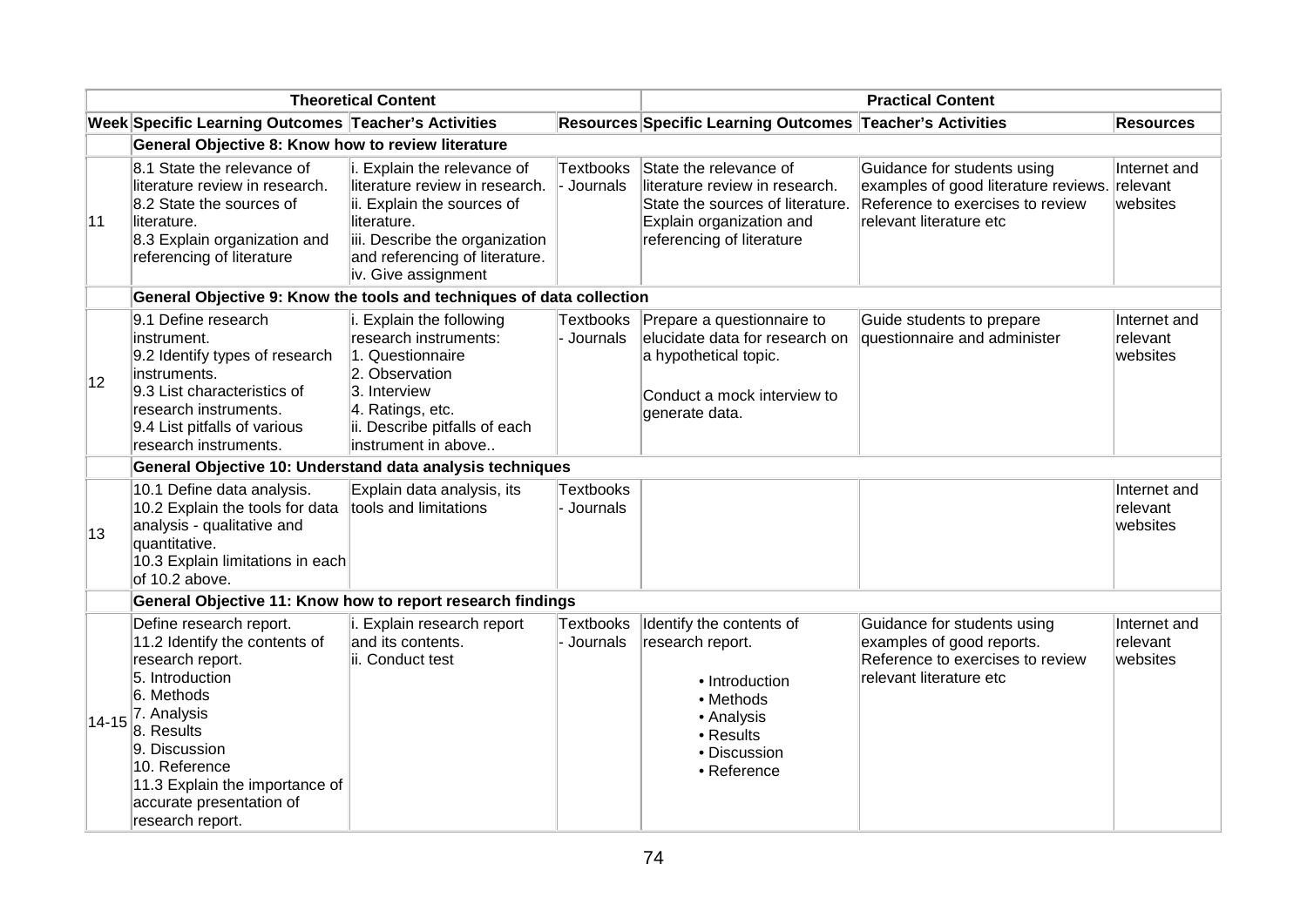| <b>Theoretical Content</b> |                                                                                                                                                                                                                                                                | <b>Practical Content</b>                                                                                                                                                                              |                                |                                                                                                                                                       |                                                                                                                                    |                                      |
|----------------------------|----------------------------------------------------------------------------------------------------------------------------------------------------------------------------------------------------------------------------------------------------------------|-------------------------------------------------------------------------------------------------------------------------------------------------------------------------------------------------------|--------------------------------|-------------------------------------------------------------------------------------------------------------------------------------------------------|------------------------------------------------------------------------------------------------------------------------------------|--------------------------------------|
|                            | Week Specific Learning Outcomes Teacher's Activities                                                                                                                                                                                                           |                                                                                                                                                                                                       |                                | Resources Specific Learning Outcomes Teacher's Activities                                                                                             |                                                                                                                                    | <b>Resources</b>                     |
|                            | General Objective 8: Know how to review literature                                                                                                                                                                                                             |                                                                                                                                                                                                       |                                |                                                                                                                                                       |                                                                                                                                    |                                      |
| 11                         | 8.1 State the relevance of<br>literature review in research.<br>8.2 State the sources of<br>literature.<br>8.3 Explain organization and<br>referencing of literature                                                                                           | i. Explain the relevance of<br>literature review in research.<br>ii. Explain the sources of<br>literature.<br>iii. Describe the organization<br>and referencing of literature.<br>iv. Give assignment | <b>Textbooks</b><br>- Journals | State the relevance of<br>literature review in research.<br>State the sources of literature.<br>Explain organization and<br>referencing of literature | Guidance for students using<br>examples of good literature reviews.<br>Reference to exercises to review<br>relevant literature etc | Internet and<br>relevant<br>websites |
|                            | General Objective 9: Know the tools and techniques of data collection                                                                                                                                                                                          |                                                                                                                                                                                                       |                                |                                                                                                                                                       |                                                                                                                                    |                                      |
| 12                         | 9.1 Define research<br>instrument.<br>9.2 Identify types of research<br>instruments.<br>9.3 List characteristics of<br>research instruments.<br>9.4 List pitfalls of various<br>research instruments.                                                          | i. Explain the following<br>research instruments:<br>1. Questionnaire<br>2. Observation<br>3. Interview<br>4. Ratings, etc.<br>ii. Describe pitfalls of each<br>instrument in above                   | <b>Textbooks</b><br>- Journals | Prepare a questionnaire to<br>elucidate data for research on<br>a hypothetical topic.<br>Conduct a mock interview to<br>generate data.                | Guide students to prepare<br>questionnaire and administer                                                                          | Internet and<br>relevant<br>websites |
|                            | General Objective 10: Understand data analysis techniques                                                                                                                                                                                                      |                                                                                                                                                                                                       |                                |                                                                                                                                                       |                                                                                                                                    |                                      |
| 13                         | 10.1 Define data analysis.<br>10.2 Explain the tools for data<br>analysis - qualitative and<br>quantitative.<br>10.3 Explain limitations in each<br>of 10.2 above.                                                                                             | Explain data analysis, its<br>tools and limitations                                                                                                                                                   | <b>Textbooks</b><br>- Journals |                                                                                                                                                       |                                                                                                                                    | Internet and<br>relevant<br>websites |
|                            | General Objective 11: Know how to report research findings                                                                                                                                                                                                     |                                                                                                                                                                                                       |                                |                                                                                                                                                       |                                                                                                                                    |                                      |
| $14 - 15$                  | Define research report.<br>11.2 Identify the contents of<br>research report.<br>5. Introduction<br>6. Methods<br>7. Analysis<br>8. Results<br>9. Discussion<br>10. Reference<br>11.3 Explain the importance of<br>accurate presentation of<br>research report. | i. Explain research report<br>and its contents.<br>ii. Conduct test                                                                                                                                   | <b>Textbooks</b><br>- Journals | Identify the contents of<br>research report.<br>• Introduction<br>• Methods<br>• Analysis<br>• Results<br>• Discussion<br>• Reference                 | Guidance for students using<br>examples of good reports.<br>Reference to exercises to review<br>relevant literature etc            | Internet and<br>relevant<br>websites |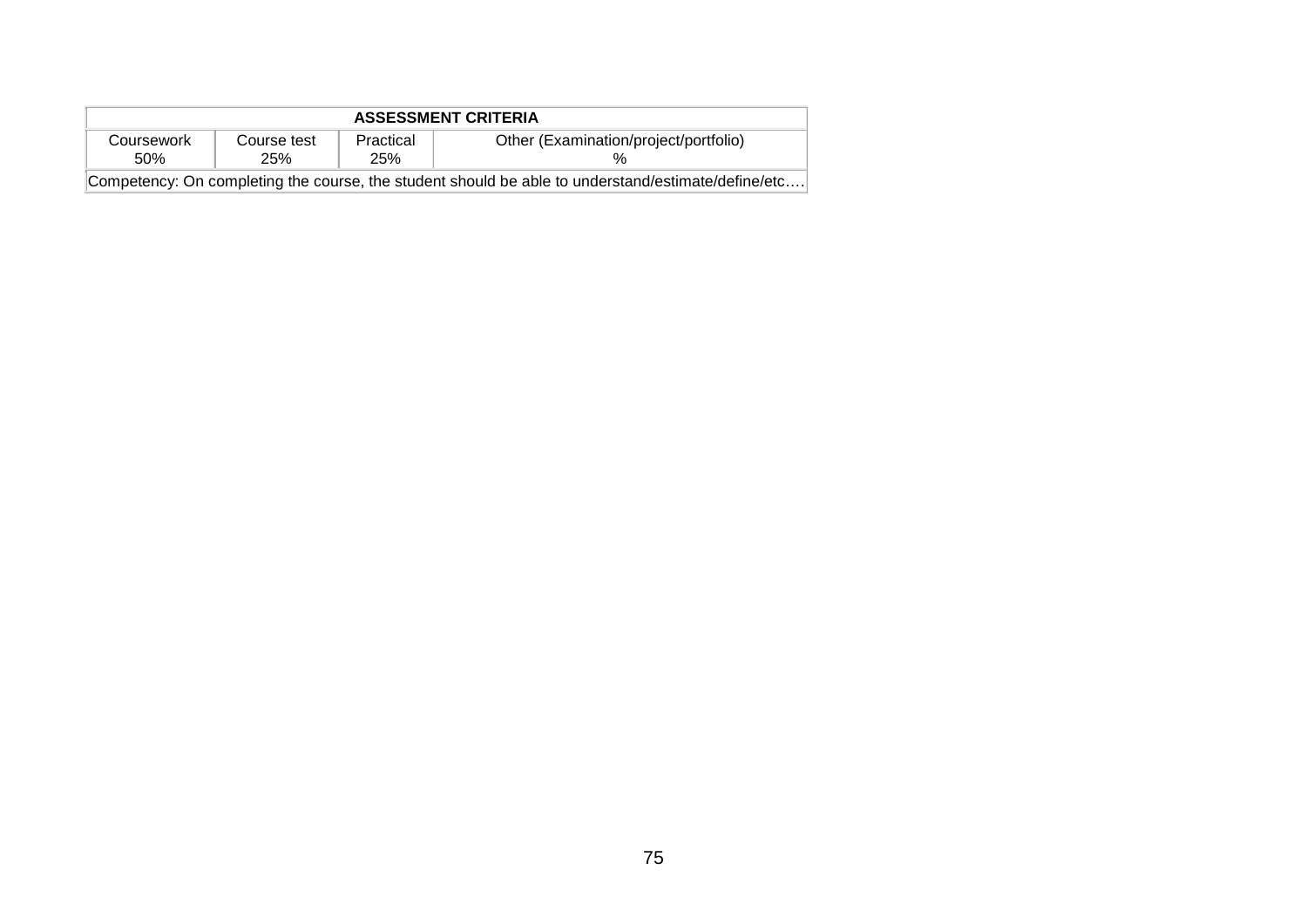| <b>ASSESSMENT CRITERIA</b>                                                                         |                    |                  |                                       |  |  |  |
|----------------------------------------------------------------------------------------------------|--------------------|------------------|---------------------------------------|--|--|--|
| Coursework<br>50%                                                                                  | Course test<br>25% | Practical<br>25% | Other (Examination/project/portfolio) |  |  |  |
| Competency: On completing the course, the student should be able to understand/estimate/define/etc |                    |                  |                                       |  |  |  |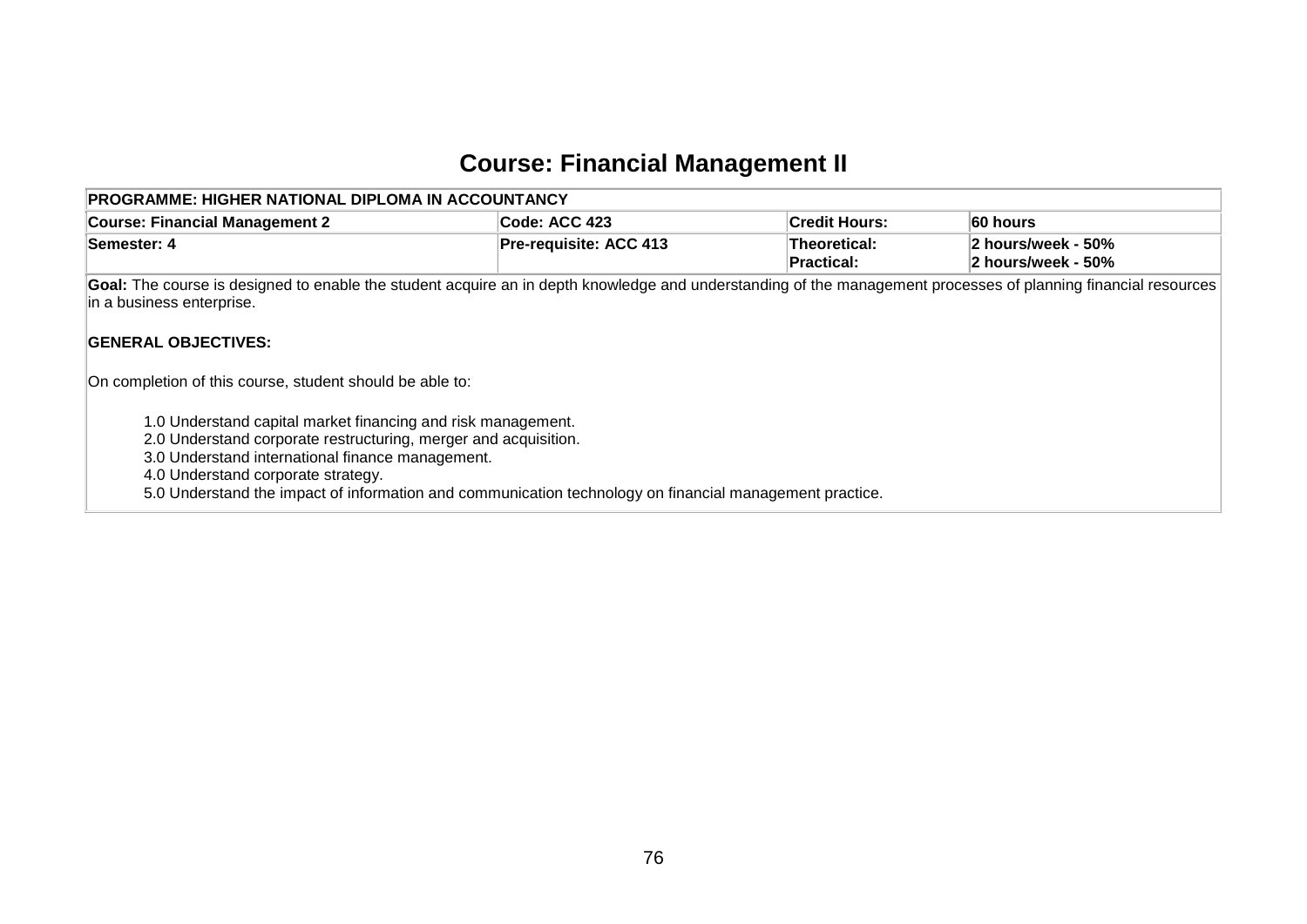## **Course: Financial Management II**

| PROGRAMME: HIGHER NATIONAL DIPLOMA IN ACCOUNTANCY                                                                                                                                                                         |                                                                                                                                                                |                            |                                          |  |  |  |  |  |  |
|---------------------------------------------------------------------------------------------------------------------------------------------------------------------------------------------------------------------------|----------------------------------------------------------------------------------------------------------------------------------------------------------------|----------------------------|------------------------------------------|--|--|--|--|--|--|
| <b>Course: Financial Management 2</b>                                                                                                                                                                                     | Code: ACC 423                                                                                                                                                  | <b>Credit Hours:</b>       | 60 hours                                 |  |  |  |  |  |  |
| Semester: 4                                                                                                                                                                                                               | <b>Pre-requisite: ACC 413</b>                                                                                                                                  | Theoretical:<br>Practical: | 2 hours/week - 50%<br>2 hours/week - 50% |  |  |  |  |  |  |
| in a business enterprise.                                                                                                                                                                                                 | Goal: The course is designed to enable the student acquire an in depth knowledge and understanding of the management processes of planning financial resources |                            |                                          |  |  |  |  |  |  |
| <b>GENERAL OBJECTIVES:</b>                                                                                                                                                                                                |                                                                                                                                                                |                            |                                          |  |  |  |  |  |  |
| On completion of this course, student should be able to:                                                                                                                                                                  |                                                                                                                                                                |                            |                                          |  |  |  |  |  |  |
| 1.0 Understand capital market financing and risk management.<br>2.0 Understand corporate restructuring, merger and acquisition.<br>3.0 Understand international finance management.<br>4.0 Understand corporate strategy. |                                                                                                                                                                |                            |                                          |  |  |  |  |  |  |

5.0 Understand the impact of information and communication technology on financial management practice.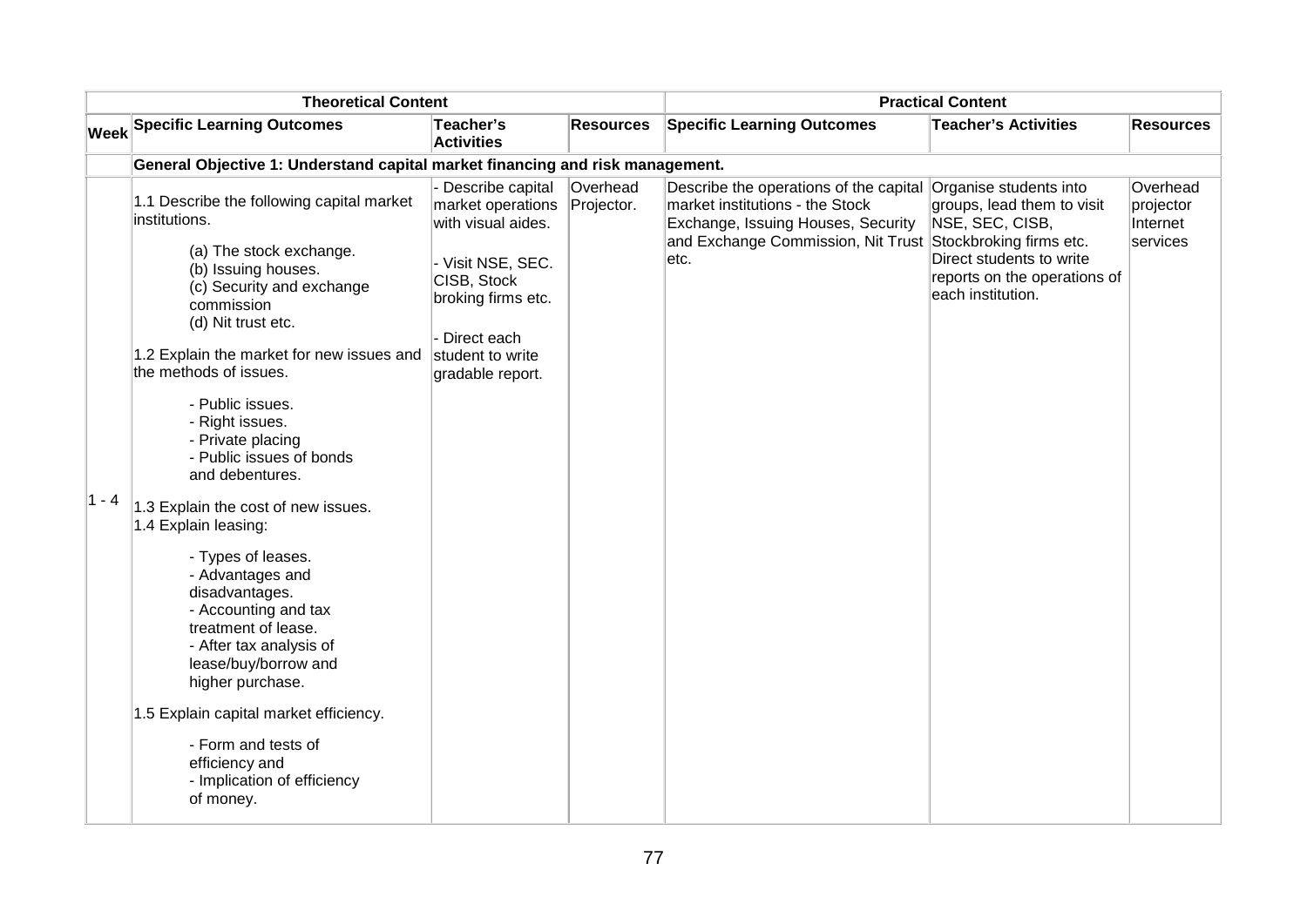| <b>Theoretical Content</b> |                                                                                                                                                                                | <b>Practical Content</b>                                      |                        |                                                                                                                                                       |                                                                                                    |                                               |
|----------------------------|--------------------------------------------------------------------------------------------------------------------------------------------------------------------------------|---------------------------------------------------------------|------------------------|-------------------------------------------------------------------------------------------------------------------------------------------------------|----------------------------------------------------------------------------------------------------|-----------------------------------------------|
|                            | <b>Week Specific Learning Outcomes</b>                                                                                                                                         | Teacher's<br><b>Activities</b>                                | <b>Resources</b>       | <b>Specific Learning Outcomes</b>                                                                                                                     | <b>Teacher's Activities</b>                                                                        | <b>Resources</b>                              |
|                            | General Objective 1: Understand capital market financing and risk management.                                                                                                  |                                                               |                        |                                                                                                                                                       |                                                                                                    |                                               |
|                            | 1.1 Describe the following capital market<br>institutions.                                                                                                                     | - Describe capital<br>market operations<br>with visual aides. | Overhead<br>Projector. | Describe the operations of the capital<br>market institutions - the Stock<br>Exchange, Issuing Houses, Security<br>and Exchange Commission, Nit Trust | Organise students into<br>groups, lead them to visit<br>NSE, SEC, CISB,<br>Stockbroking firms etc. | Overhead<br>projector<br>Internet<br>services |
|                            | (a) The stock exchange.<br>(b) Issuing houses.<br>(c) Security and exchange<br>commission<br>(d) Nit trust etc.                                                                | - Visit NSE, SEC.<br>CISB, Stock<br>broking firms etc.        |                        | etc.                                                                                                                                                  | Direct students to write<br>reports on the operations of<br>each institution.                      |                                               |
|                            | 1.2 Explain the market for new issues and<br>the methods of issues.                                                                                                            | Direct each<br>student to write<br>gradable report.           |                        |                                                                                                                                                       |                                                                                                    |                                               |
|                            | - Public issues.<br>- Right issues.<br>- Private placing<br>- Public issues of bonds<br>and debentures.                                                                        |                                                               |                        |                                                                                                                                                       |                                                                                                    |                                               |
| 1 - 4                      | 1.3 Explain the cost of new issues.<br>1.4 Explain leasing:                                                                                                                    |                                                               |                        |                                                                                                                                                       |                                                                                                    |                                               |
|                            | - Types of leases.<br>- Advantages and<br>disadvantages.<br>- Accounting and tax<br>treatment of lease.<br>- After tax analysis of<br>lease/buy/borrow and<br>higher purchase. |                                                               |                        |                                                                                                                                                       |                                                                                                    |                                               |
|                            | 1.5 Explain capital market efficiency.<br>- Form and tests of<br>efficiency and<br>- Implication of efficiency<br>of money.                                                    |                                                               |                        |                                                                                                                                                       |                                                                                                    |                                               |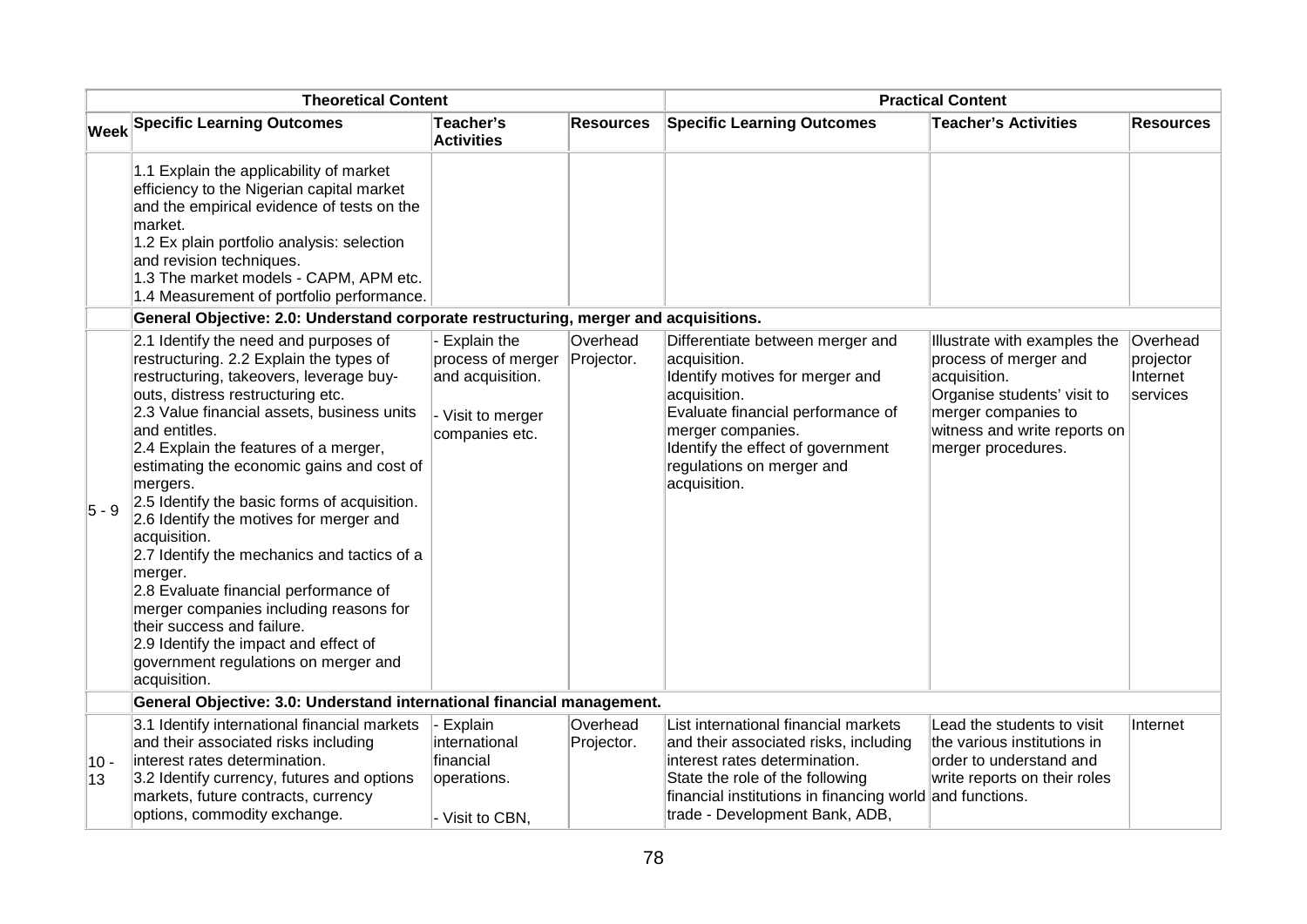| <b>Theoretical Content</b> |                                                                                                                                                                                                                                                                                                                                                                                                                                                                                                                                                                                                                                                                                                                          | <b>Practical Content</b>                                                                    |                        |                                                                                                                                                                                                                                                 |                                                                                                                                                                                   |                                               |
|----------------------------|--------------------------------------------------------------------------------------------------------------------------------------------------------------------------------------------------------------------------------------------------------------------------------------------------------------------------------------------------------------------------------------------------------------------------------------------------------------------------------------------------------------------------------------------------------------------------------------------------------------------------------------------------------------------------------------------------------------------------|---------------------------------------------------------------------------------------------|------------------------|-------------------------------------------------------------------------------------------------------------------------------------------------------------------------------------------------------------------------------------------------|-----------------------------------------------------------------------------------------------------------------------------------------------------------------------------------|-----------------------------------------------|
|                            | <b>Week Specific Learning Outcomes</b>                                                                                                                                                                                                                                                                                                                                                                                                                                                                                                                                                                                                                                                                                   | Teacher's<br><b>Activities</b>                                                              | <b>Resources</b>       | <b>Specific Learning Outcomes</b>                                                                                                                                                                                                               | <b>Teacher's Activities</b>                                                                                                                                                       | <b>Resources</b>                              |
|                            | 1.1 Explain the applicability of market<br>efficiency to the Nigerian capital market<br>and the empirical evidence of tests on the<br>market.<br>1.2 Ex plain portfolio analysis: selection<br>and revision techniques.<br>1.3 The market models - CAPM, APM etc.<br>1.4 Measurement of portfolio performance.                                                                                                                                                                                                                                                                                                                                                                                                           |                                                                                             |                        |                                                                                                                                                                                                                                                 |                                                                                                                                                                                   |                                               |
|                            | General Objective: 2.0: Understand corporate restructuring, merger and acquisitions.                                                                                                                                                                                                                                                                                                                                                                                                                                                                                                                                                                                                                                     |                                                                                             |                        |                                                                                                                                                                                                                                                 |                                                                                                                                                                                   |                                               |
| $5 - 9$                    | 2.1 Identify the need and purposes of<br>restructuring. 2.2 Explain the types of<br>restructuring, takeovers, leverage buy-<br>outs, distress restructuring etc.<br>2.3 Value financial assets, business units<br>and entitles.<br>2.4 Explain the features of a merger,<br>estimating the economic gains and cost of<br>mergers.<br>2.5 Identify the basic forms of acquisition.<br>2.6 Identify the motives for merger and<br>acquisition.<br>2.7 Identify the mechanics and tactics of a<br>merger.<br>2.8 Evaluate financial performance of<br>merger companies including reasons for<br>their success and failure.<br>2.9 Identify the impact and effect of<br>government regulations on merger and<br>acquisition. | Explain the<br>process of merger<br>and acquisition.<br>- Visit to merger<br>companies etc. | Overhead<br>Projector. | Differentiate between merger and<br>acquisition.<br>Identify motives for merger and<br>acquisition.<br>Evaluate financial performance of<br>merger companies.<br>Identify the effect of government<br>regulations on merger and<br>acquisition. | Illustrate with examples the<br>process of merger and<br>acquisition.<br>Organise students' visit to<br>merger companies to<br>witness and write reports on<br>merger procedures. | Overhead<br>projector<br>Internet<br>services |
|                            | General Objective: 3.0: Understand international financial management.                                                                                                                                                                                                                                                                                                                                                                                                                                                                                                                                                                                                                                                   |                                                                                             |                        |                                                                                                                                                                                                                                                 |                                                                                                                                                                                   |                                               |
| $10 -$<br>13               | 3.1 Identify international financial markets<br>and their associated risks including<br>interest rates determination.<br>3.2 Identify currency, futures and options<br>markets, future contracts, currency<br>options, commodity exchange.                                                                                                                                                                                                                                                                                                                                                                                                                                                                               | Explain<br>international<br>financial<br>operations.<br>- Visit to CBN,                     | Overhead<br>Projector. | List international financial markets<br>and their associated risks, including<br>interest rates determination.<br>State the role of the following<br>financial institutions in financing world and functions.<br>trade - Development Bank, ADB, | Lead the students to visit<br>the various institutions in<br>order to understand and<br>write reports on their roles                                                              | Internet                                      |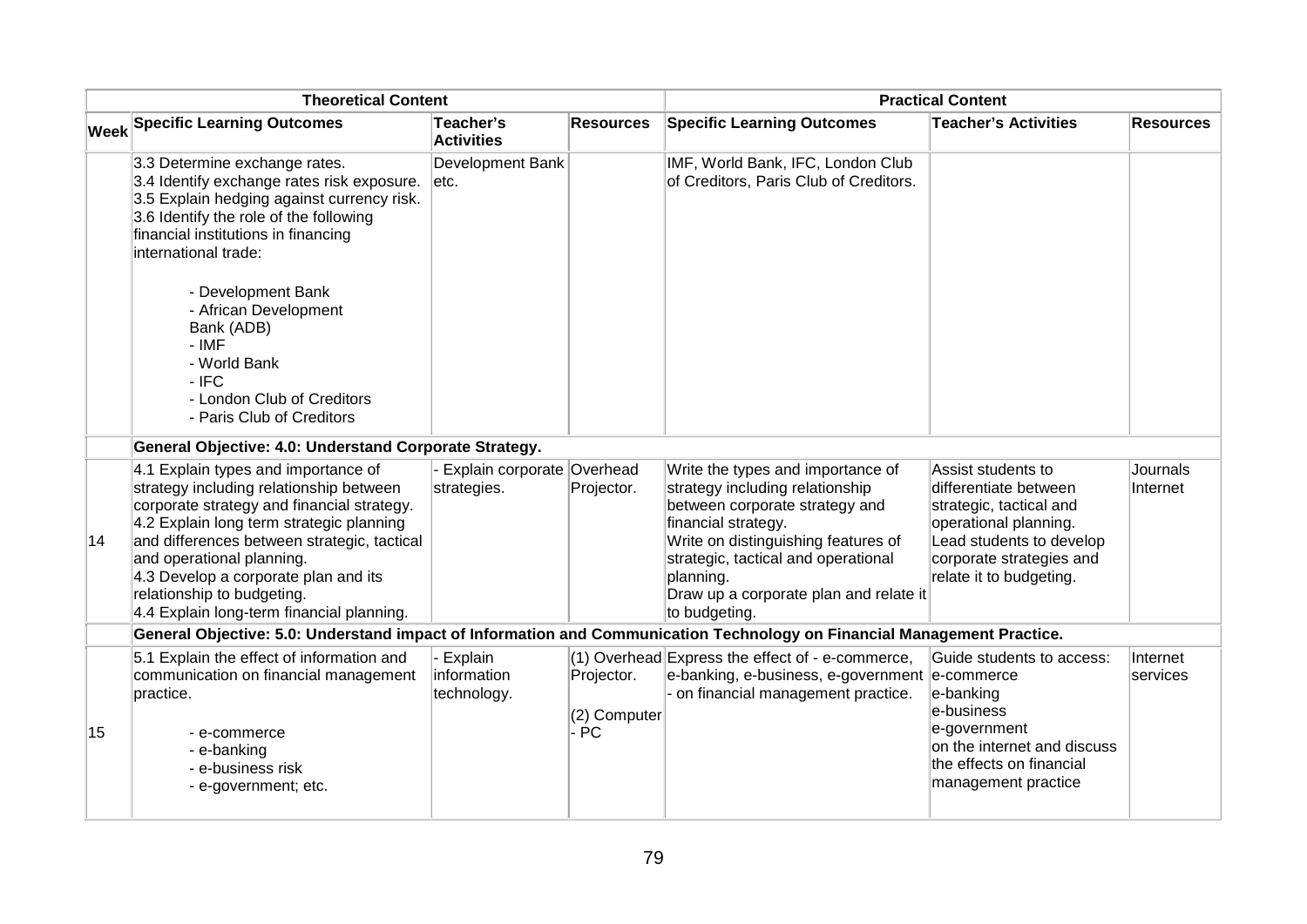| <b>Theoretical Content</b> |                                                                                                                                                                                                                                                                                                                                                                         | <b>Practical Content</b>                     |                                     |                                                                                                                                                                                                                                                                                     |                                                                                                                                                                                    |                      |
|----------------------------|-------------------------------------------------------------------------------------------------------------------------------------------------------------------------------------------------------------------------------------------------------------------------------------------------------------------------------------------------------------------------|----------------------------------------------|-------------------------------------|-------------------------------------------------------------------------------------------------------------------------------------------------------------------------------------------------------------------------------------------------------------------------------------|------------------------------------------------------------------------------------------------------------------------------------------------------------------------------------|----------------------|
|                            | Week Specific Learning Outcomes                                                                                                                                                                                                                                                                                                                                         | Teacher's<br><b>Activities</b>               | <b>Resources</b>                    | <b>Specific Learning Outcomes</b>                                                                                                                                                                                                                                                   | <b>Teacher's Activities</b>                                                                                                                                                        | <b>Resources</b>     |
|                            | 3.3 Determine exchange rates.<br>3.4 Identify exchange rates risk exposure.<br>3.5 Explain hedging against currency risk.<br>3.6 Identify the role of the following<br>financial institutions in financing<br>international trade:                                                                                                                                      | Development Bank<br>letc.                    |                                     | IMF, World Bank, IFC, London Club<br>of Creditors, Paris Club of Creditors.                                                                                                                                                                                                         |                                                                                                                                                                                    |                      |
|                            | - Development Bank<br>- African Development<br>Bank (ADB)<br>$-IMF$<br>- World Bank<br>$-$ IFC<br>- London Club of Creditors<br>- Paris Club of Creditors                                                                                                                                                                                                               |                                              |                                     |                                                                                                                                                                                                                                                                                     |                                                                                                                                                                                    |                      |
|                            | General Objective: 4.0: Understand Corporate Strategy.                                                                                                                                                                                                                                                                                                                  |                                              |                                     |                                                                                                                                                                                                                                                                                     |                                                                                                                                                                                    |                      |
| $ 14\rangle$               | 4.1 Explain types and importance of<br>strategy including relationship between<br>corporate strategy and financial strategy.<br>4.2 Explain long term strategic planning<br>and differences between strategic, tactical<br>and operational planning.<br>4.3 Develop a corporate plan and its<br>relationship to budgeting.<br>4.4 Explain long-term financial planning. | Explain corporate Overhead<br>strategies.    | Projector.                          | Write the types and importance of<br>strategy including relationship<br>between corporate strategy and<br>financial strategy.<br>Write on distinguishing features of<br>strategic, tactical and operational<br>planning.<br>Draw up a corporate plan and relate it<br>to budgeting. | Assist students to<br>differentiate between<br>strategic, tactical and<br>operational planning.<br>Lead students to develop<br>corporate strategies and<br>relate it to budgeting. | Journals<br>Internet |
|                            | General Objective: 5.0: Understand impact of Information and Communication Technology on Financial Management Practice.                                                                                                                                                                                                                                                 |                                              |                                     |                                                                                                                                                                                                                                                                                     |                                                                                                                                                                                    |                      |
| 15                         | 5.1 Explain the effect of information and<br>communication on financial management<br>practice.<br>- e-commerce                                                                                                                                                                                                                                                         | <b>Explain</b><br>information<br>technology. | Projector.<br>(2) Computer<br>$-PC$ | (1) Overhead Express the effect of - e-commerce,<br>e-banking, e-business, e-government<br>- on financial management practice.                                                                                                                                                      | Guide students to access:<br>e-commerce<br>e-banking<br>e-business<br>e-government                                                                                                 | Internet<br>services |
|                            | - e-banking<br>- e-business risk<br>- e-government; etc.                                                                                                                                                                                                                                                                                                                |                                              |                                     |                                                                                                                                                                                                                                                                                     | on the internet and discuss<br>the effects on financial<br>management practice                                                                                                     |                      |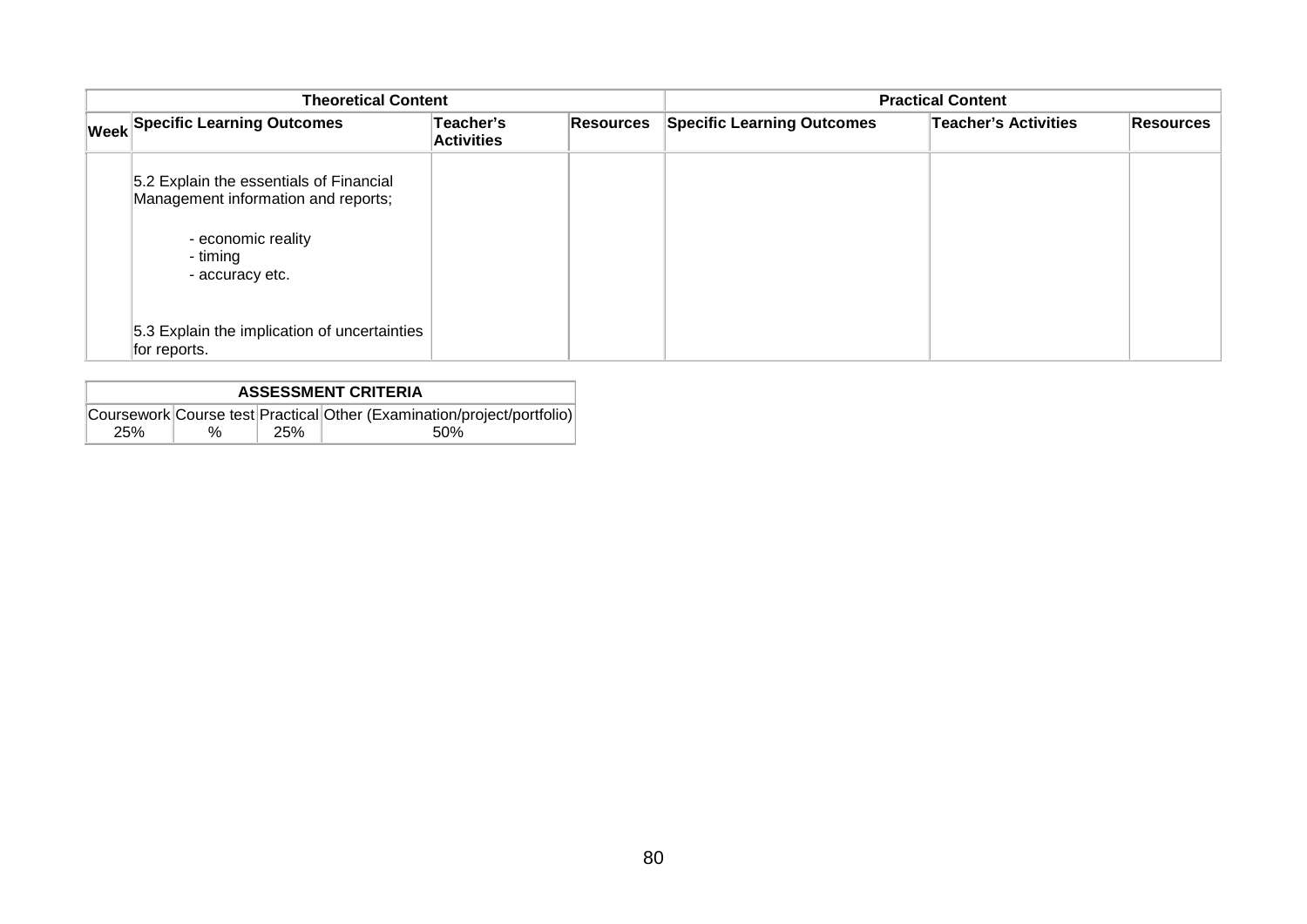| <b>Theoretical Content</b> |                                                                                |                                | <b>Practical Content</b> |                                   |                             |                  |
|----------------------------|--------------------------------------------------------------------------------|--------------------------------|--------------------------|-----------------------------------|-----------------------------|------------------|
|                            | <b>Week Specific Learning Outcomes</b>                                         | Teacher's<br><b>Activities</b> | Resources                | <b>Specific Learning Outcomes</b> | <b>Teacher's Activities</b> | <b>Resources</b> |
|                            | 5.2 Explain the essentials of Financial<br>Management information and reports; |                                |                          |                                   |                             |                  |
|                            | - economic reality<br>- timing<br>- accuracy etc.                              |                                |                          |                                   |                             |                  |
|                            | 5.3 Explain the implication of uncertainties<br>for reports.                   |                                |                          |                                   |                             |                  |

| <b>ASSESSMENT CRITERIA</b> |      |     |                                                                        |  |  |  |  |
|----------------------------|------|-----|------------------------------------------------------------------------|--|--|--|--|
|                            |      |     | Coursework Course test Practical Other (Examination/project/portfolio) |  |  |  |  |
| 25%                        | $\%$ | 25% | .50%                                                                   |  |  |  |  |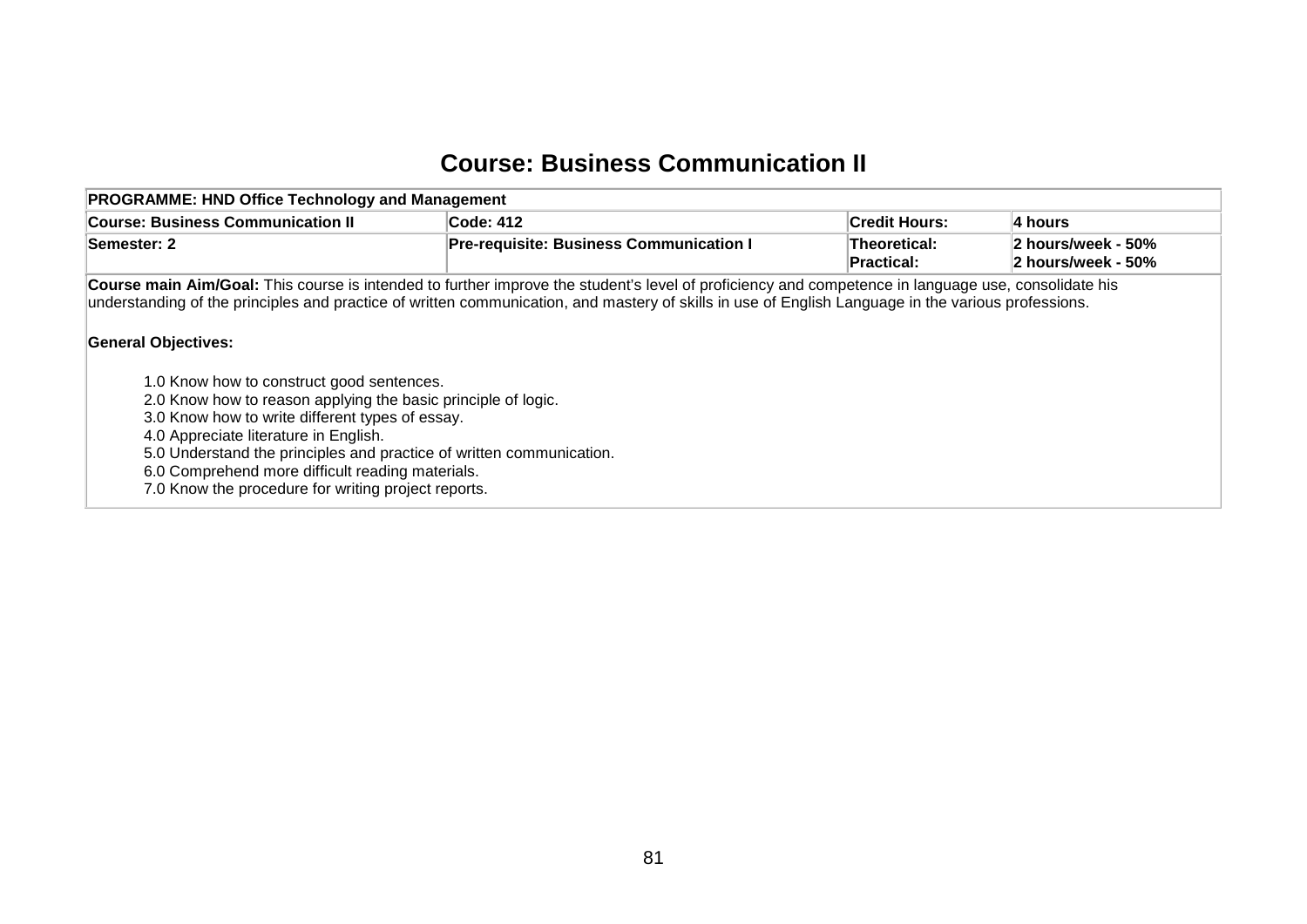## **Course: Business Communication II**

| <b>PROGRAMME: HND Office Technology and Management</b>                                                                                                                                                                                                                                                                                                                                                                                                                                                                                                                                                                     |                                                |                            |                                          |
|----------------------------------------------------------------------------------------------------------------------------------------------------------------------------------------------------------------------------------------------------------------------------------------------------------------------------------------------------------------------------------------------------------------------------------------------------------------------------------------------------------------------------------------------------------------------------------------------------------------------------|------------------------------------------------|----------------------------|------------------------------------------|
| <b>Course: Business Communication II</b>                                                                                                                                                                                                                                                                                                                                                                                                                                                                                                                                                                                   | Code: 412                                      | Credit Hours:              | ∣4 hours                                 |
| <b>Semester: 2</b>                                                                                                                                                                                                                                                                                                                                                                                                                                                                                                                                                                                                         | <b>Pre-requisite: Business Communication I</b> | Theoretical:<br>Practical: | 2 hours/week - 50%<br>2 hours/week - 50% |
| Course main Aim/Goal: This course is intended to further improve the student's level of proficiency and competence in language use, consolidate his<br>understanding of the principles and practice of written communication, and mastery of skills in use of English Language in the various professions.<br><b>General Objectives:</b><br>1.0 Know how to construct good sentences.<br>2.0 Know how to reason applying the basic principle of logic.<br>3.0 Know how to write different types of essay.<br>4.0 Appreciate literature in English.<br>5.0 Understand the principles and practice of written communication. |                                                |                            |                                          |
| 6.0 Comprehend more difficult reading materials.<br>7.0 Know the procedure for writing project reports.                                                                                                                                                                                                                                                                                                                                                                                                                                                                                                                    |                                                |                            |                                          |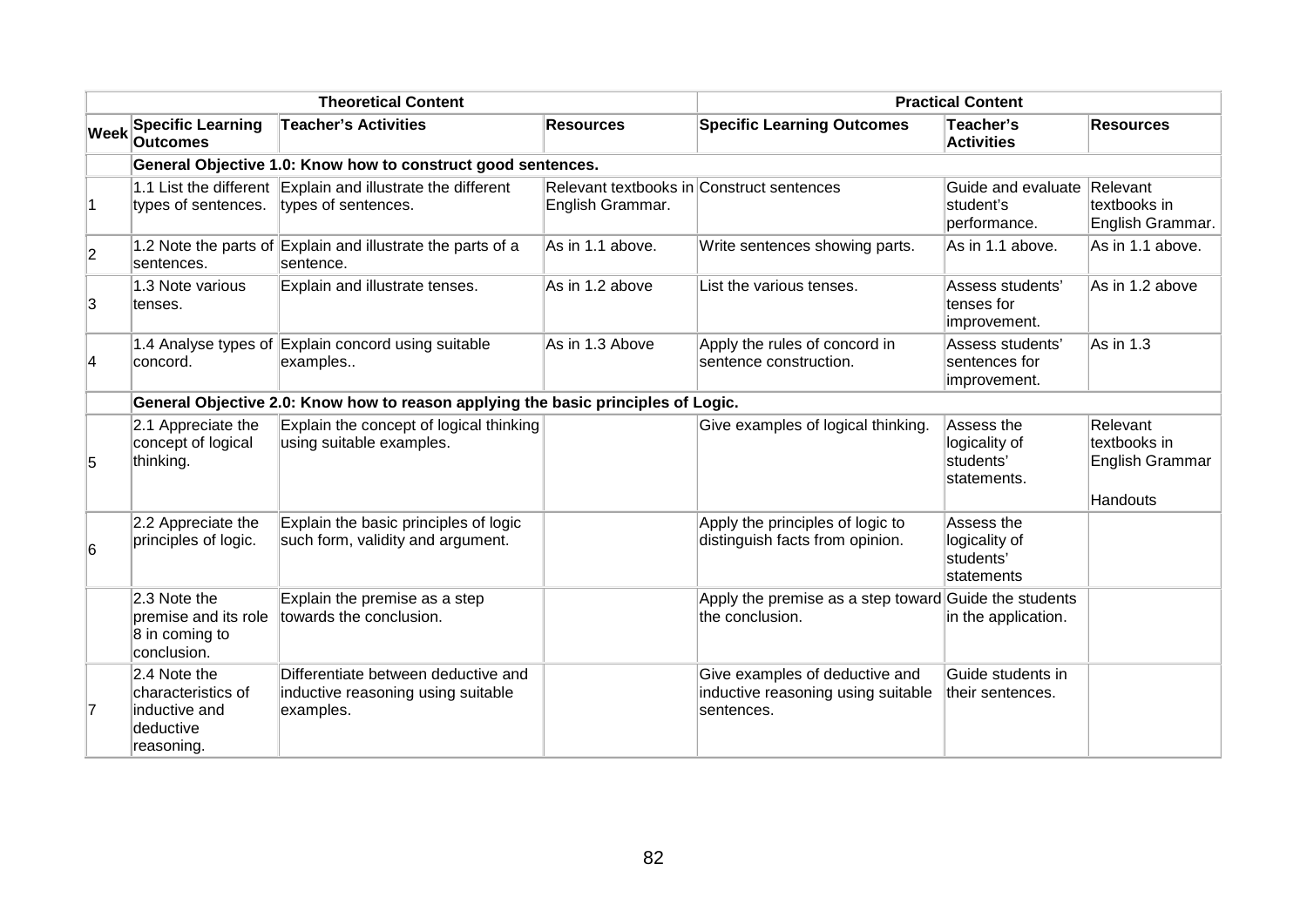|                |                                                                                | <b>Theoretical Content</b>                                                             | <b>Practical Content</b>                                      |                                                                                    |                                                               |                                                                |
|----------------|--------------------------------------------------------------------------------|----------------------------------------------------------------------------------------|---------------------------------------------------------------|------------------------------------------------------------------------------------|---------------------------------------------------------------|----------------------------------------------------------------|
| <b>Week</b>    | <b>Specific Learning</b><br><b>Outcomes</b>                                    | <b>Teacher's Activities</b>                                                            | <b>Resources</b>                                              | <b>Specific Learning Outcomes</b>                                                  | Teacher's<br><b>Activities</b>                                | <b>Resources</b>                                               |
|                |                                                                                | General Objective 1.0: Know how to construct good sentences.                           |                                                               |                                                                                    |                                                               |                                                                |
| $\blacksquare$ | types of sentences.                                                            | 1.1 List the different Explain and illustrate the different<br>types of sentences.     | Relevant textbooks in Construct sentences<br>English Grammar. |                                                                                    | Guide and evaluate Relevant<br>student's<br>performance.      | textbooks in<br>English Grammar.                               |
| $\overline{2}$ | sentences.                                                                     | 1.2 Note the parts of Explain and illustrate the parts of a<br>sentence.               | As in 1.1 above.                                              | Write sentences showing parts.                                                     | As in 1.1 above.                                              | As in 1.1 above.                                               |
| 3              | 1.3 Note various<br>tenses.                                                    | Explain and illustrate tenses.                                                         | As in 1.2 above                                               | List the various tenses.                                                           | Assess students'<br>tenses for<br>improvement.                | As in 1.2 above                                                |
| 4              | concord.                                                                       | 1.4 Analyse types of Explain concord using suitable<br>examples                        | As in 1.3 Above                                               | Apply the rules of concord in<br>sentence construction.                            | Assess students'<br>sentences for<br>improvement.             | $As$ in 1.3                                                    |
|                |                                                                                | General Objective 2.0: Know how to reason applying the basic principles of Logic.      |                                                               |                                                                                    |                                                               |                                                                |
| 5              | 2.1 Appreciate the<br>concept of logical<br>thinking.                          | Explain the concept of logical thinking<br>using suitable examples.                    |                                                               | Give examples of logical thinking.                                                 | Assess the<br>logicality of<br>students'<br>statements.       | Relevant<br>textbooks in<br>English Grammar<br><b>Handouts</b> |
| 6              | 2.2 Appreciate the<br>principles of logic.                                     | Explain the basic principles of logic<br>such form, validity and argument.             |                                                               | Apply the principles of logic to<br>distinguish facts from opinion.                | Assess the<br>logicality of<br>students'<br><b>statements</b> |                                                                |
|                | 2.3 Note the<br>premise and its role<br>8 in coming to<br>conclusion.          | Explain the premise as a step<br>towards the conclusion.                               |                                                               | Apply the premise as a step toward Guide the students<br>the conclusion.           | in the application.                                           |                                                                |
| 7              | 2.4 Note the<br>characteristics of<br>inductive and<br>deductive<br>reasoning. | Differentiate between deductive and<br>inductive reasoning using suitable<br>examples. |                                                               | Give examples of deductive and<br>inductive reasoning using suitable<br>sentences. | Guide students in<br>their sentences.                         |                                                                |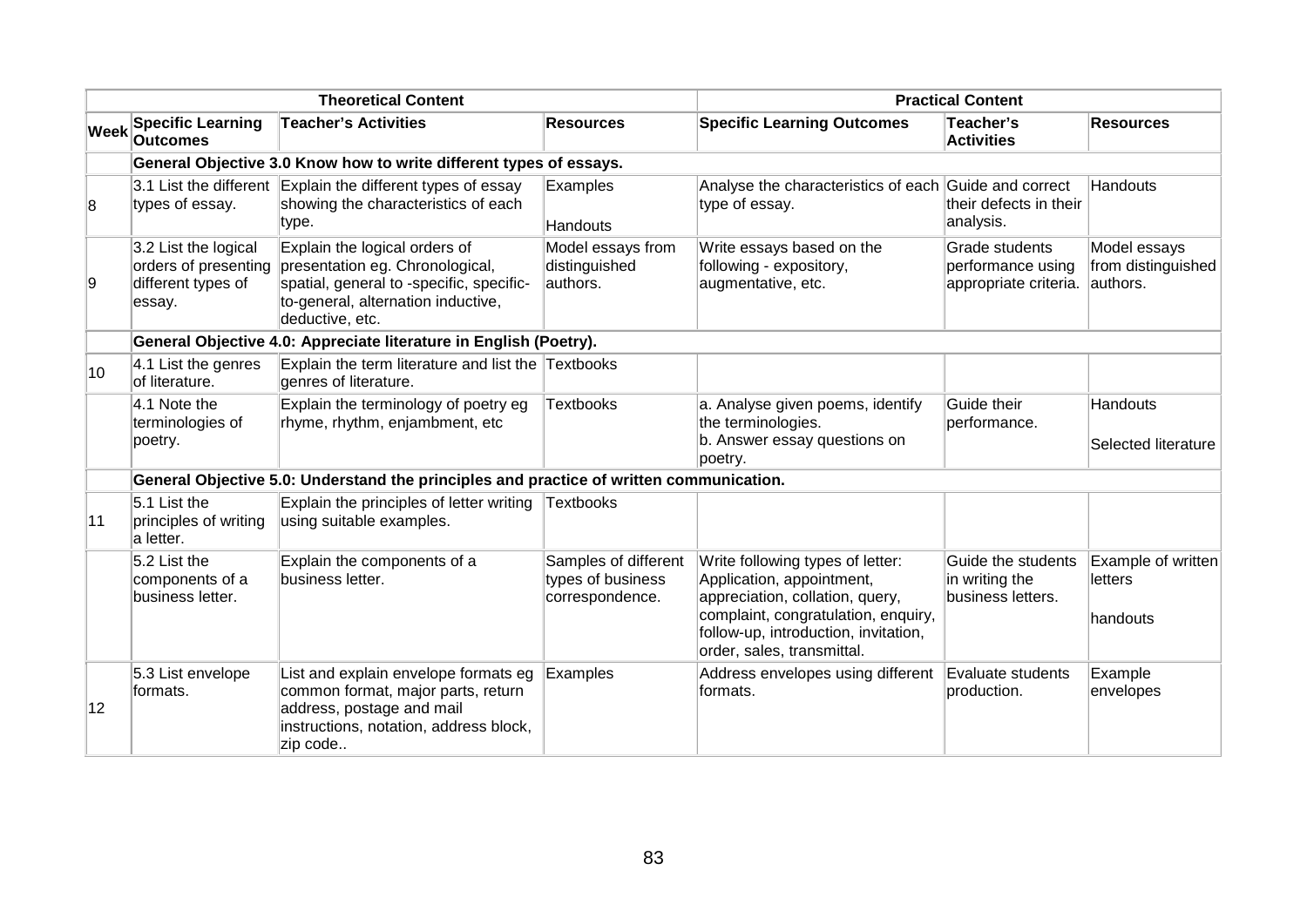|             |                                                                              | <b>Theoretical Content</b>                                                                                                                                            |                                                              |                                                                                                                                                                                                               | <b>Practical Content</b>                                     |                                                |
|-------------|------------------------------------------------------------------------------|-----------------------------------------------------------------------------------------------------------------------------------------------------------------------|--------------------------------------------------------------|---------------------------------------------------------------------------------------------------------------------------------------------------------------------------------------------------------------|--------------------------------------------------------------|------------------------------------------------|
| <b>Week</b> | <b>Specific Learning</b><br><b>Outcomes</b>                                  | <b>Teacher's Activities</b>                                                                                                                                           | <b>Resources</b>                                             | <b>Specific Learning Outcomes</b>                                                                                                                                                                             | Teacher's<br><b>Activities</b>                               | <b>Resources</b>                               |
|             |                                                                              | General Objective 3.0 Know how to write different types of essays.                                                                                                    |                                                              |                                                                                                                                                                                                               |                                                              |                                                |
| 8           | types of essay.                                                              | 3.1 List the different Explain the different types of essay<br>showing the characteristics of each<br>type.                                                           | Examples<br>Handouts                                         | Analyse the characteristics of each<br>type of essay.                                                                                                                                                         | Guide and correct<br>their defects in their<br>analysis.     | Handouts                                       |
| 9           | 3.2 List the logical<br>orders of presenting<br>different types of<br>essay. | Explain the logical orders of<br>presentation eg. Chronological,<br>spatial, general to -specific, specific-<br>to-general, alternation inductive,<br>deductive, etc. | Model essays from<br>distinguished<br>authors.               | Write essays based on the<br>following - expository,<br>augmentative, etc.                                                                                                                                    | Grade students<br>performance using<br>appropriate criteria. | Model essays<br>from distinguished<br>authors. |
|             |                                                                              | General Objective 4.0: Appreciate literature in English (Poetry).                                                                                                     |                                                              |                                                                                                                                                                                                               |                                                              |                                                |
| 10          | 4.1 List the genres<br>of literature.                                        | Explain the term literature and list the Textbooks<br>genres of literature.                                                                                           |                                                              |                                                                                                                                                                                                               |                                                              |                                                |
|             | 4.1 Note the<br>terminologies of<br>poetry.                                  | Explain the terminology of poetry eg<br>rhyme, rhythm, enjambment, etc                                                                                                | <b>Textbooks</b>                                             | a. Analyse given poems, identify<br>the terminologies.<br>b. Answer essay questions on<br>poetry.                                                                                                             | Guide their<br>performance.                                  | Handouts<br><b>Selected literature</b>         |
|             |                                                                              | General Objective 5.0: Understand the principles and practice of written communication.                                                                               |                                                              |                                                                                                                                                                                                               |                                                              |                                                |
| 11          | $5.1$ List the<br>principles of writing<br>a letter.                         | Explain the principles of letter writing<br>using suitable examples.                                                                                                  | Textbooks                                                    |                                                                                                                                                                                                               |                                                              |                                                |
|             | 5.2 List the<br>components of a<br>business letter.                          | Explain the components of a<br>business letter.                                                                                                                       | Samples of different<br>types of business<br>correspondence. | Write following types of letter:<br>Application, appointment,<br>appreciation, collation, query,<br>complaint, congratulation, enquiry,<br>follow-up, introduction, invitation,<br>order, sales, transmittal. | Guide the students<br>in writing the<br>business letters.    | Example of written<br>letters<br>handouts      |
| 12          | 5.3 List envelope<br>formats.                                                | List and explain envelope formats eg<br>common format, major parts, return<br>address, postage and mail<br>instructions, notation, address block,<br>zip code         | Examples                                                     | Address envelopes using different<br>formats.                                                                                                                                                                 | Evaluate students<br>production.                             | Example<br>envelopes                           |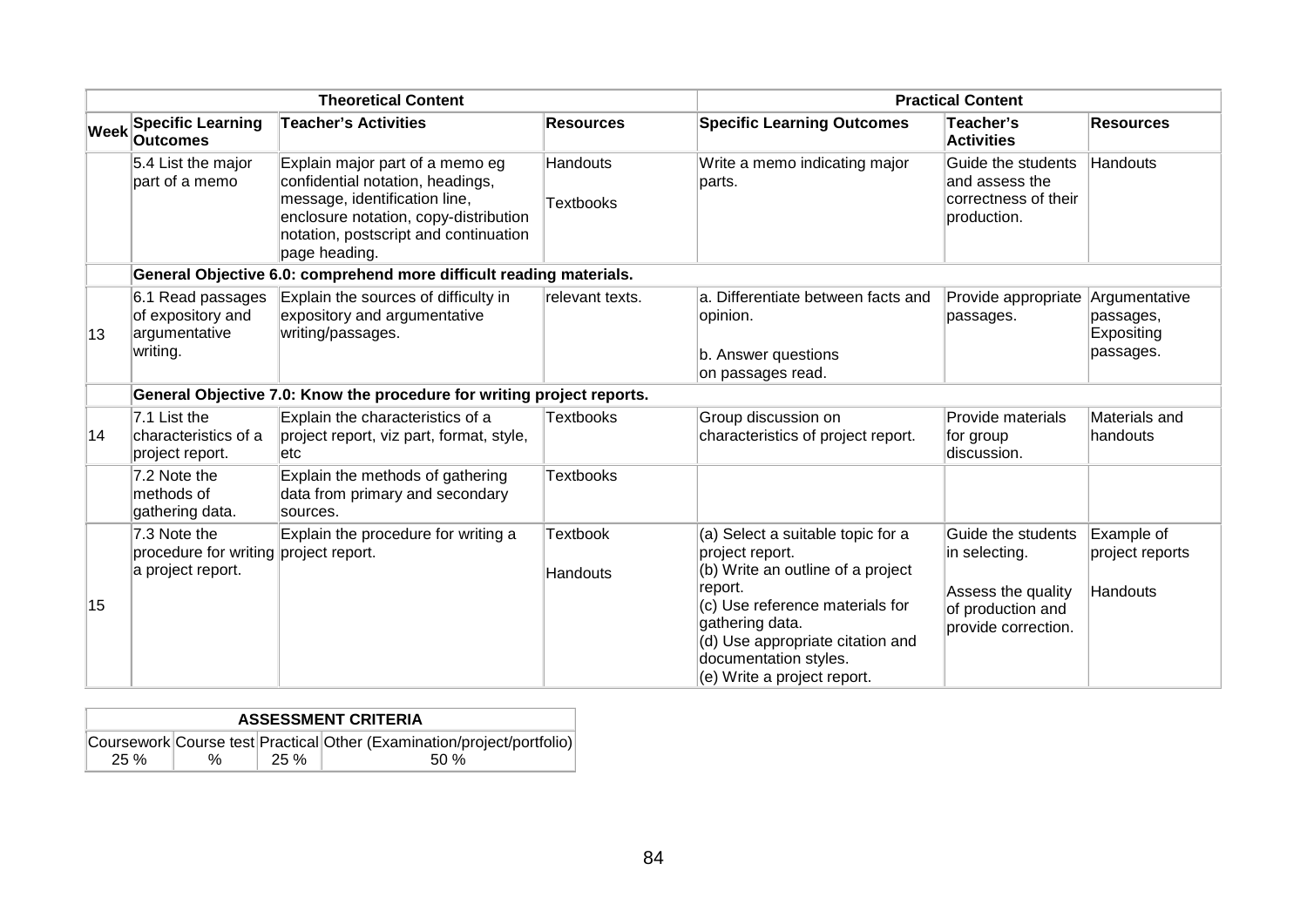|      |                                                                            | <b>Theoretical Content</b>                                                                                                                                                                              |                              |                                                                                                                                                                                                                                                        | <b>Practical Content</b>                                                                              |                                                       |
|------|----------------------------------------------------------------------------|---------------------------------------------------------------------------------------------------------------------------------------------------------------------------------------------------------|------------------------------|--------------------------------------------------------------------------------------------------------------------------------------------------------------------------------------------------------------------------------------------------------|-------------------------------------------------------------------------------------------------------|-------------------------------------------------------|
| Week | <b>Specific Learning</b><br><b>Outcomes</b>                                | <b>Teacher's Activities</b>                                                                                                                                                                             | Resources                    | <b>Specific Learning Outcomes</b>                                                                                                                                                                                                                      | Teacher's<br><b>Activities</b>                                                                        | <b>Resources</b>                                      |
|      | 5.4 List the major<br>part of a memo                                       | Explain major part of a memo eg<br>confidential notation, headings,<br>message, identification line,<br>enclosure notation, copy-distribution<br>notation, postscript and continuation<br>page heading. | Handouts<br><b>Textbooks</b> | Write a memo indicating major<br>parts.                                                                                                                                                                                                                | Guide the students<br>and assess the<br>correctness of their<br>production.                           | Handouts                                              |
|      |                                                                            | General Objective 6.0: comprehend more difficult reading materials.                                                                                                                                     |                              |                                                                                                                                                                                                                                                        |                                                                                                       |                                                       |
| 13   | 6.1 Read passages<br>of expository and<br>argumentative<br>writing.        | Explain the sources of difficulty in<br>expository and argumentative<br>writing/passages.                                                                                                               | relevant texts.              | a. Differentiate between facts and<br>opinion.<br>b. Answer questions<br>on passages read.                                                                                                                                                             | Provide appropriate<br>passages.                                                                      | Argumentative<br>passages,<br>Expositing<br>passages. |
|      |                                                                            | General Objective 7.0: Know the procedure for writing project reports.                                                                                                                                  |                              |                                                                                                                                                                                                                                                        |                                                                                                       |                                                       |
| 14   | 7.1 List the<br>characteristics of a<br>project report.                    | Explain the characteristics of a<br>project report, viz part, format, style,<br>etc                                                                                                                     | <b>Textbooks</b>             | Group discussion on<br>characteristics of project report.                                                                                                                                                                                              | Provide materials<br>for group<br>discussion.                                                         | Materials and<br>lhandouts                            |
|      | 7.2 Note the<br>methods of<br>gathering data.                              | Explain the methods of gathering<br>data from primary and secondary<br>sources.                                                                                                                         | <b>Textbooks</b>             |                                                                                                                                                                                                                                                        |                                                                                                       |                                                       |
| 15   | 7.3 Note the<br>procedure for writing project report.<br>a project report. | Explain the procedure for writing a                                                                                                                                                                     | <b>Textbook</b><br>Handouts  | (a) Select a suitable topic for a<br>project report.<br>(b) Write an outline of a project<br>report.<br>(c) Use reference materials for<br>gathering data.<br>(d) Use appropriate citation and<br>documentation styles.<br>(e) Write a project report. | Guide the students<br>in selecting.<br>Assess the quality<br>of production and<br>provide correction. | Example of<br>project reports<br>Handouts             |

| <b>ASSESSMENT CRITERIA</b> |   |      |                                                                        |  |  |  |  |  |
|----------------------------|---|------|------------------------------------------------------------------------|--|--|--|--|--|
|                            |   |      | Coursework Course test Practical Other (Examination/project/portfolio) |  |  |  |  |  |
| 25 %                       | % | 25 % | .50 %                                                                  |  |  |  |  |  |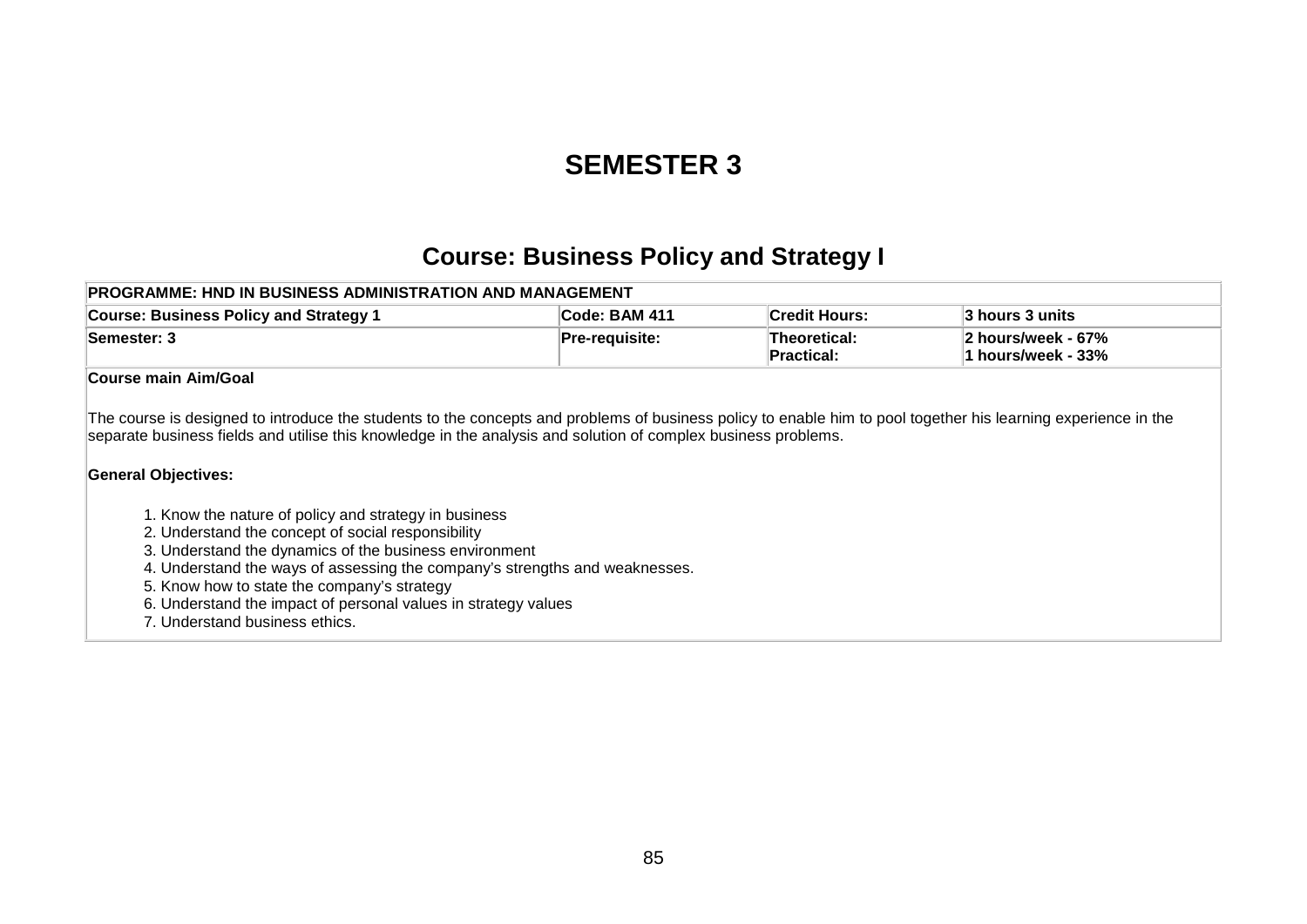## **SEMESTER 3**

### **Course: Business Policy and Strategy I**

| <b>PROGRAMME: HND IN BUSINESS ADMINISTRATION AND MANAGEMENT</b> |                  |                            |                                                  |  |  |  |
|-----------------------------------------------------------------|------------------|----------------------------|--------------------------------------------------|--|--|--|
| <b>Course: Business Policy and Strategy 1</b>                   | Code: BAM 411    | <b>Credit Hours:</b>       | ∣3 hours 3 units∶                                |  |  |  |
| <b>Semester: 3</b>                                              | $Pre-requisite:$ | Theoretical:<br>Practical: | $\vert$ 2 hours/week - 67%<br>1 hours/week - 33% |  |  |  |

#### **Course main Aim/Goal**

The course is designed to introduce the students to the concepts and problems of business policy to enable him to pool together his learning experience in the separate business fields and utilise this knowledge in the analysis and solution of complex business problems.

#### **General Objectives:**

- 1. Know the nature of policy and strategy in business
- 2. Understand the concept of social responsibility
- 3. Understand the dynamics of the business environment
- 4. Understand the ways of assessing the company's strengths and weaknesses.
- 5. Know how to state the company's strategy
- 6. Understand the impact of personal values in strategy values
- 7. Understand business ethics.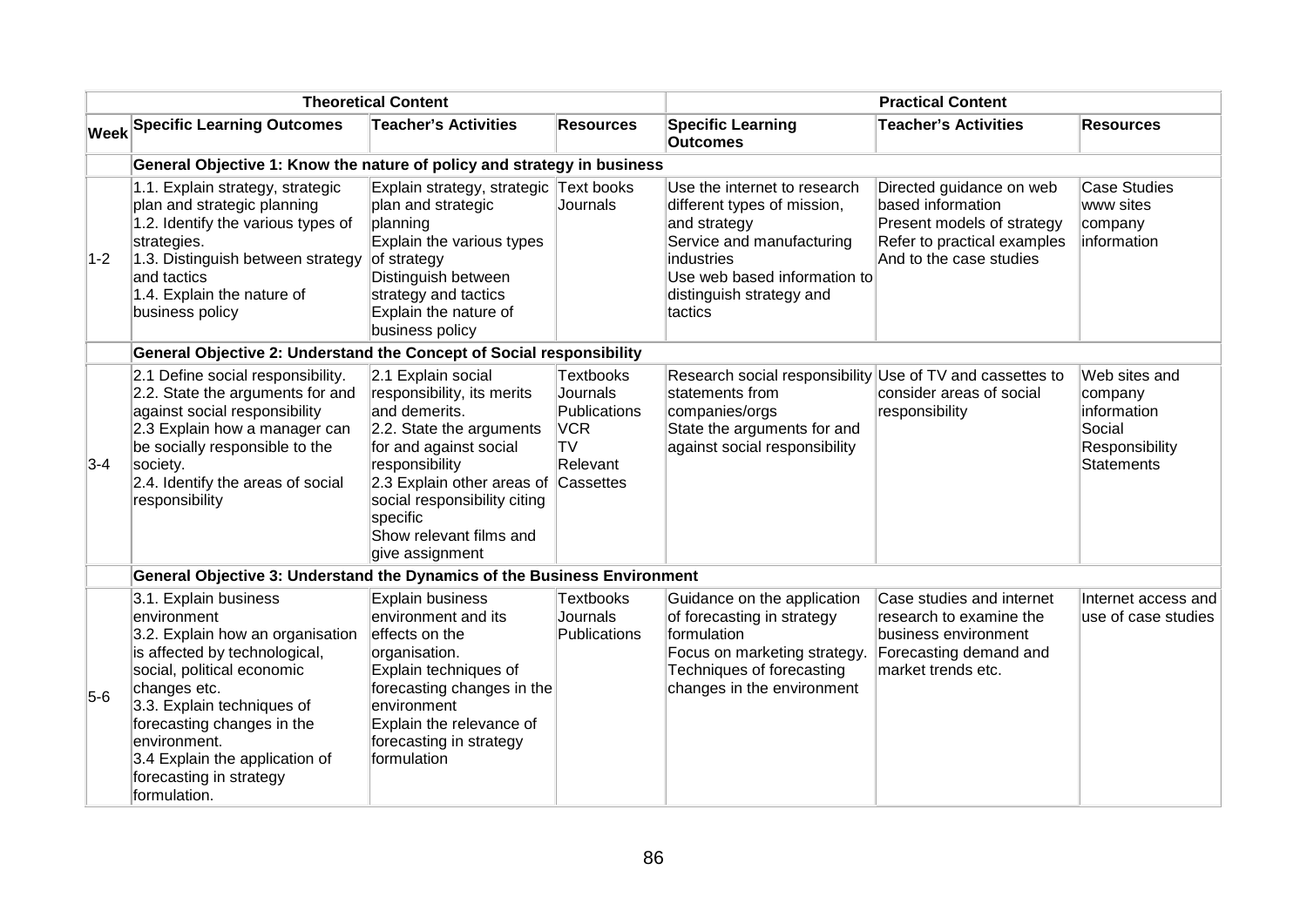|       |                                                                                                                                                                                                                                                                                                                  | <b>Theoretical Content</b>                                                                                                                                                                                                                                                  |                                                                       | <b>Practical Content</b>                                                                                                                                                                      |                                                                                                                                       |                                                                                   |
|-------|------------------------------------------------------------------------------------------------------------------------------------------------------------------------------------------------------------------------------------------------------------------------------------------------------------------|-----------------------------------------------------------------------------------------------------------------------------------------------------------------------------------------------------------------------------------------------------------------------------|-----------------------------------------------------------------------|-----------------------------------------------------------------------------------------------------------------------------------------------------------------------------------------------|---------------------------------------------------------------------------------------------------------------------------------------|-----------------------------------------------------------------------------------|
|       | <b>Week Specific Learning Outcomes</b>                                                                                                                                                                                                                                                                           | <b>Teacher's Activities</b>                                                                                                                                                                                                                                                 | <b>Resources</b>                                                      | <b>Specific Learning</b><br><b>Outcomes</b>                                                                                                                                                   | <b>Teacher's Activities</b>                                                                                                           | <b>Resources</b>                                                                  |
|       | General Objective 1: Know the nature of policy and strategy in business                                                                                                                                                                                                                                          |                                                                                                                                                                                                                                                                             |                                                                       |                                                                                                                                                                                               |                                                                                                                                       |                                                                                   |
| $1-2$ | 1.1. Explain strategy, strategic<br>plan and strategic planning<br>1.2. Identify the various types of<br>strategies.<br>1.3. Distinguish between strategy<br>and tactics<br>1.4. Explain the nature of<br>business policy                                                                                        | Explain strategy, strategic Text books<br>plan and strategic<br>planning<br>Explain the various types<br>of strategy<br>Distinguish between<br>strategy and tactics<br>Explain the nature of<br>business policy                                                             | Journals                                                              | Use the internet to research<br>different types of mission,<br>and strategy<br>Service and manufacturing<br>industries<br>Use web based information to<br>distinguish strategy and<br>tactics | Directed guidance on web<br>based information<br>Present models of strategy<br>Refer to practical examples<br>And to the case studies | <b>Case Studies</b><br>www sites<br>company<br>information                        |
|       | General Objective 2: Understand the Concept of Social responsibility                                                                                                                                                                                                                                             |                                                                                                                                                                                                                                                                             |                                                                       |                                                                                                                                                                                               |                                                                                                                                       |                                                                                   |
| $3-4$ | 2.1 Define social responsibility.<br>2.2. State the arguments for and<br>against social responsibility<br>2.3 Explain how a manager can<br>be socially responsible to the<br>society.<br>2.4. Identify the areas of social<br>responsibility                                                                     | 2.1 Explain social<br>responsibility, its merits<br>and demerits.<br>2.2. State the arguments<br>for and against social<br>responsibility<br>2.3 Explain other areas of Cassettes<br>social responsibility citing<br>specific<br>Show relevant films and<br>give assignment | <b>Textbooks</b><br>Journals<br>Publications<br>VCR<br>TV<br>Relevant | Research social responsibility Use of TV and cassettes to<br>statements from<br>companies/orgs<br>State the arguments for and<br>against social responsibility                                | consider areas of social<br>responsibility                                                                                            | Web sites and<br>company<br>information<br>Social<br>Responsibility<br>Statements |
|       | General Objective 3: Understand the Dynamics of the Business Environment                                                                                                                                                                                                                                         |                                                                                                                                                                                                                                                                             |                                                                       |                                                                                                                                                                                               |                                                                                                                                       |                                                                                   |
| $5-6$ | 3.1. Explain business<br>environment<br>3.2. Explain how an organisation<br>is affected by technological,<br>social, political economic<br>changes etc.<br>3.3. Explain techniques of<br>forecasting changes in the<br>environment.<br>3.4 Explain the application of<br>forecasting in strategy<br>formulation. | Explain business<br>environment and its<br>effects on the<br>organisation.<br>Explain techniques of<br>forecasting changes in the<br>environment<br>Explain the relevance of<br>forecasting in strategy<br>formulation                                                      | <b>Textbooks</b><br>Journals<br>Publications                          | Guidance on the application<br>of forecasting in strategy<br>formulation<br>Focus on marketing strategy.<br>Techniques of forecasting<br>changes in the environment                           | Case studies and internet<br>research to examine the<br>business environment<br>Forecasting demand and<br>market trends etc.          | Internet access and<br>use of case studies                                        |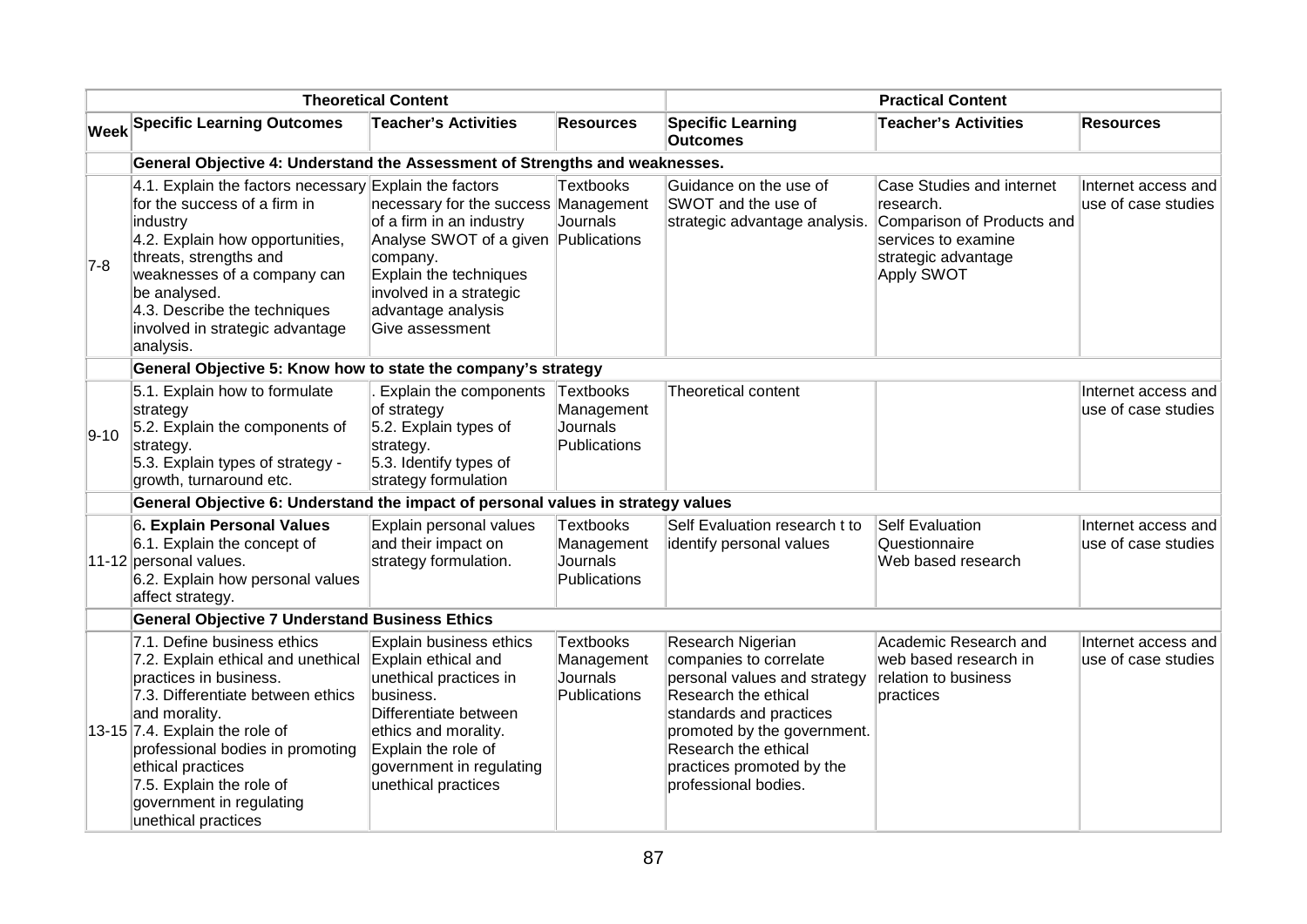|          | <b>Theoretical Content</b>                                                                                                                                                                                                                                                                                                      |                                                                                                                                                                                                                    |                                                            | <b>Practical Content</b>                                                                                                                                                                                                                   |                                                                                                                                  |                                            |
|----------|---------------------------------------------------------------------------------------------------------------------------------------------------------------------------------------------------------------------------------------------------------------------------------------------------------------------------------|--------------------------------------------------------------------------------------------------------------------------------------------------------------------------------------------------------------------|------------------------------------------------------------|--------------------------------------------------------------------------------------------------------------------------------------------------------------------------------------------------------------------------------------------|----------------------------------------------------------------------------------------------------------------------------------|--------------------------------------------|
|          | <b>Week Specific Learning Outcomes</b>                                                                                                                                                                                                                                                                                          | <b>Teacher's Activities</b>                                                                                                                                                                                        | <b>Resources</b>                                           | <b>Specific Learning</b><br><b>Outcomes</b>                                                                                                                                                                                                | <b>Teacher's Activities</b>                                                                                                      | <b>Resources</b>                           |
|          | General Objective 4: Understand the Assessment of Strengths and weaknesses.                                                                                                                                                                                                                                                     |                                                                                                                                                                                                                    |                                                            |                                                                                                                                                                                                                                            |                                                                                                                                  |                                            |
| $7-8$    | 4.1. Explain the factors necessary Explain the factors<br>for the success of a firm in<br>industry<br>4.2. Explain how opportunities,<br>threats, strengths and<br>weaknesses of a company can<br>be analysed.<br>4.3. Describe the techniques<br>involved in strategic advantage<br>analysis.                                  | necessary for the success Management<br>of a firm in an industry<br>Analyse SWOT of a given Publications<br>company.<br>Explain the techniques<br>involved in a strategic<br>advantage analysis<br>Give assessment | Textbooks<br>Journals                                      | Guidance on the use of<br>SWOT and the use of<br>strategic advantage analysis.                                                                                                                                                             | Case Studies and internet<br>research.<br>Comparison of Products and<br>services to examine<br>strategic advantage<br>Apply SWOT | Internet access and<br>use of case studies |
|          | General Objective 5: Know how to state the company's strategy                                                                                                                                                                                                                                                                   |                                                                                                                                                                                                                    |                                                            |                                                                                                                                                                                                                                            |                                                                                                                                  |                                            |
| $ 9-10 $ | 5.1. Explain how to formulate<br>strategy<br>5.2. Explain the components of<br>strategy.<br>5.3. Explain types of strategy -<br>growth, turnaround etc.                                                                                                                                                                         | Explain the components<br>of strategy<br>5.2. Explain types of<br>strategy.<br>5.3. Identify types of<br>strategy formulation                                                                                      | Textbooks<br>Management<br>Journals<br>Publications        | Theoretical content                                                                                                                                                                                                                        |                                                                                                                                  | Internet access and<br>use of case studies |
|          | General Objective 6: Understand the impact of personal values in strategy values                                                                                                                                                                                                                                                |                                                                                                                                                                                                                    |                                                            |                                                                                                                                                                                                                                            |                                                                                                                                  |                                            |
|          | 6. Explain Personal Values<br>6.1. Explain the concept of<br>11-12 personal values.<br>6.2. Explain how personal values<br>affect strategy.                                                                                                                                                                                     | Explain personal values<br>and their impact on<br>strategy formulation.                                                                                                                                            | <b>Textbooks</b><br>Management<br>Journals<br>Publications | Self Evaluation research t to<br>identify personal values                                                                                                                                                                                  | Self Evaluation<br>Questionnaire<br>Web based research                                                                           | Internet access and<br>use of case studies |
|          | <b>General Objective 7 Understand Business Ethics</b>                                                                                                                                                                                                                                                                           |                                                                                                                                                                                                                    |                                                            |                                                                                                                                                                                                                                            |                                                                                                                                  |                                            |
|          | 7.1. Define business ethics<br>7.2. Explain ethical and unethical<br>practices in business.<br>7.3. Differentiate between ethics<br>and morality.<br>13-15 $ 7.4$ . Explain the role of<br>professional bodies in promoting<br>ethical practices<br>7.5. Explain the role of<br>government in regulating<br>unethical practices | Explain business ethics<br>Explain ethical and<br>unethical practices in<br>business.<br>Differentiate between<br>ethics and morality.<br>Explain the role of<br>government in regulating<br>unethical practices   | Textbooks<br>Management<br>Journals<br>Publications        | Research Nigerian<br>companies to correlate<br>personal values and strategy<br>Research the ethical<br>standards and practices<br>promoted by the government.<br>Research the ethical<br>practices promoted by the<br>professional bodies. | Academic Research and<br>web based research in<br>relation to business<br>practices                                              | Internet access and<br>use of case studies |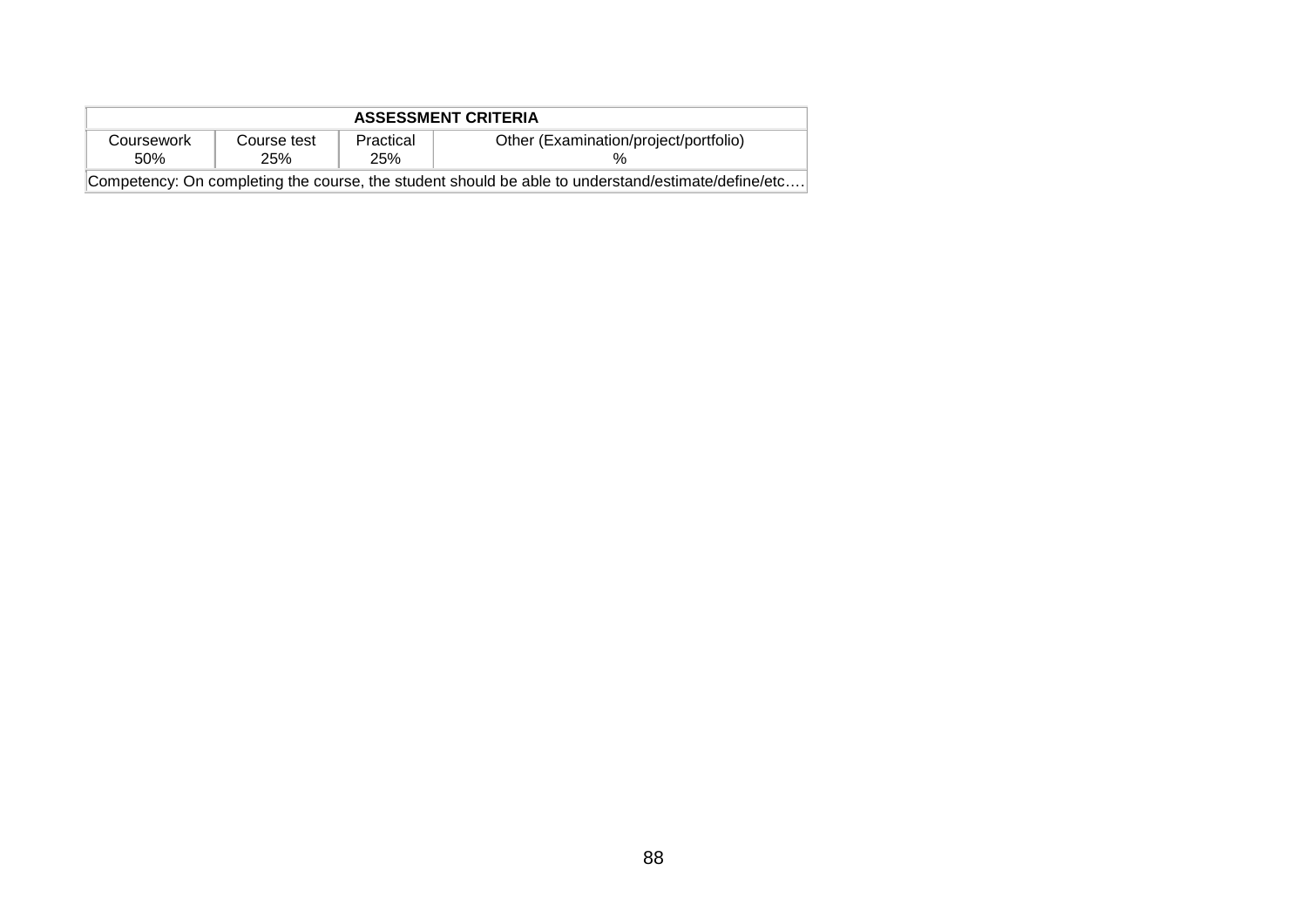| <b>ASSESSMENT CRITERIA</b>                                                                         |                           |                  |                                       |  |  |  |  |
|----------------------------------------------------------------------------------------------------|---------------------------|------------------|---------------------------------------|--|--|--|--|
| Coursework<br>50%                                                                                  | Course test<br><b>25%</b> | Practical<br>25% | Other (Examination/project/portfolio) |  |  |  |  |
| Competency: On completing the course, the student should be able to understand/estimate/define/etc |                           |                  |                                       |  |  |  |  |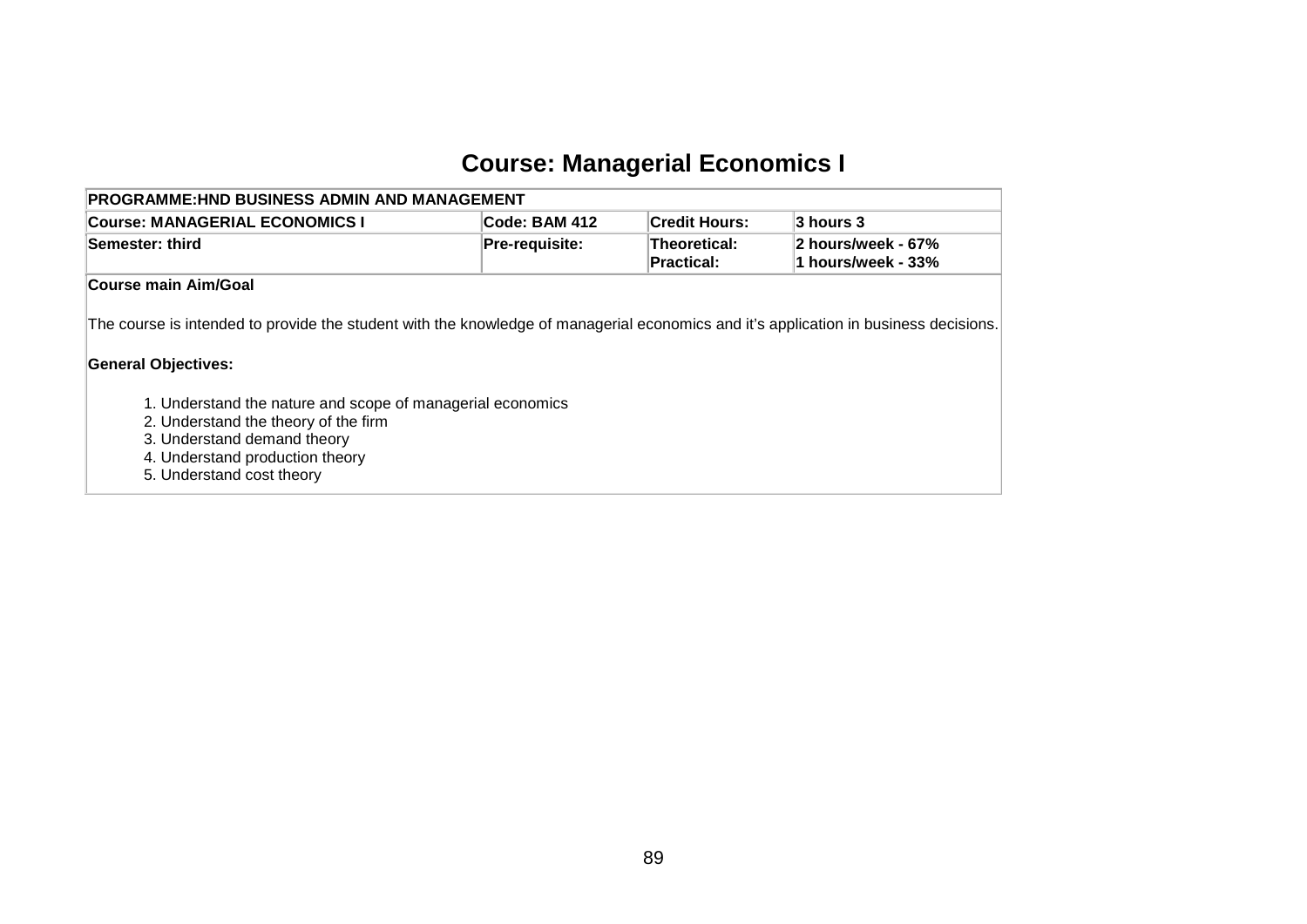# **Course: Managerial Economics I**

| <b>PROGRAMME:HND BUSINESS ADMIN AND MANAGEMENT</b>                                                                                                                                                |                |                                   |                                          |  |  |  |  |  |
|---------------------------------------------------------------------------------------------------------------------------------------------------------------------------------------------------|----------------|-----------------------------------|------------------------------------------|--|--|--|--|--|
| <b>Course: MANAGERIAL ECONOMICS I</b>                                                                                                                                                             | Code: BAM 412  | <b>Credit Hours:</b>              | $3$ hours $3$                            |  |  |  |  |  |
| <b>Semester: third</b>                                                                                                                                                                            | Pre-requisite: | Theoretical:<br><b>Practical:</b> | 2 hours/week - 67%<br>1 hours/week - 33% |  |  |  |  |  |
| Course main Aim/Goal                                                                                                                                                                              |                |                                   |                                          |  |  |  |  |  |
| The course is intended to provide the student with the knowledge of managerial economics and it's application in business decisions.<br><b>General Objectives:</b>                                |                |                                   |                                          |  |  |  |  |  |
| 1. Understand the nature and scope of managerial economics<br>2. Understand the theory of the firm<br>3. Understand demand theory<br>4. Understand production theory<br>5. Understand cost theory |                |                                   |                                          |  |  |  |  |  |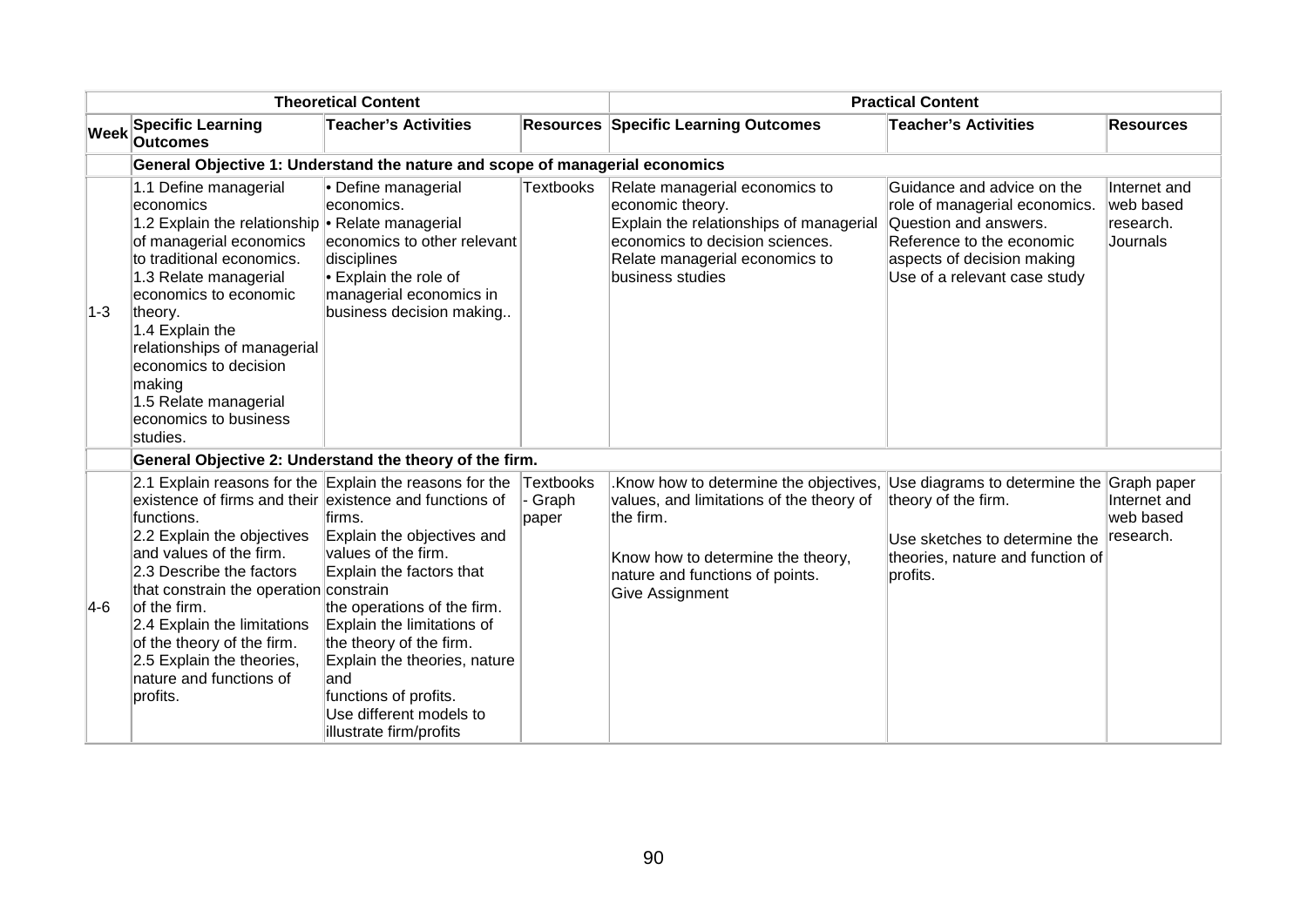| <b>Theoretical Content</b> |                                                                                                                                                                                                                                                                                                                                                                |                                                                                                                                                                                                                                                                                                                                                                    |                             | <b>Practical Content</b>                                                                                                                                                                                                |                                                                                                                                                                                 |                                                       |  |
|----------------------------|----------------------------------------------------------------------------------------------------------------------------------------------------------------------------------------------------------------------------------------------------------------------------------------------------------------------------------------------------------------|--------------------------------------------------------------------------------------------------------------------------------------------------------------------------------------------------------------------------------------------------------------------------------------------------------------------------------------------------------------------|-----------------------------|-------------------------------------------------------------------------------------------------------------------------------------------------------------------------------------------------------------------------|---------------------------------------------------------------------------------------------------------------------------------------------------------------------------------|-------------------------------------------------------|--|
| <b>Week</b>                | <b>Specific Learning</b><br><b>Outcomes</b>                                                                                                                                                                                                                                                                                                                    | <b>Teacher's Activities</b>                                                                                                                                                                                                                                                                                                                                        |                             | <b>Resources Specific Learning Outcomes</b>                                                                                                                                                                             | <b>Teacher's Activities</b>                                                                                                                                                     | <b>Resources</b>                                      |  |
|                            |                                                                                                                                                                                                                                                                                                                                                                | General Objective 1: Understand the nature and scope of managerial economics                                                                                                                                                                                                                                                                                       |                             |                                                                                                                                                                                                                         |                                                                                                                                                                                 |                                                       |  |
| $1-3$                      | 1.1 Define managerial<br>economics<br>1.2 Explain the relationship • Relate managerial<br>of managerial economics<br>to traditional economics.<br>1.3 Relate managerial<br>economics to economic<br>theory.<br>1.4 Explain the<br>relationships of managerial<br>economics to decision<br>making<br>1.5 Relate managerial<br>economics to business<br>studies. | • Define managerial<br>leconomics.<br>economics to other relevant<br>disciplines<br>Explain the role of<br>managerial economics in<br>business decision making                                                                                                                                                                                                     | <b>Textbooks</b>            | Relate managerial economics to<br>economic theory.<br>Explain the relationships of managerial<br>economics to decision sciences.<br>Relate managerial economics to<br>business studies                                  | Guidance and advice on the<br>role of managerial economics.<br>Question and answers.<br>Reference to the economic<br>aspects of decision making<br>Use of a relevant case study | Internet and<br>web based<br>research.<br>Journals    |  |
|                            |                                                                                                                                                                                                                                                                                                                                                                | General Objective 2: Understand the theory of the firm.                                                                                                                                                                                                                                                                                                            |                             |                                                                                                                                                                                                                         |                                                                                                                                                                                 |                                                       |  |
| $ 4-6 $                    | existence of firms and their existence and functions of<br>functions.<br>2.2 Explain the objectives<br>and values of the firm.<br>2.3 Describe the factors<br>that constrain the operation constrain<br>of the firm.<br>2.4 Explain the limitations<br>of the theory of the firm.<br>2.5 Explain the theories,<br>nature and functions of<br>profits.          | 2.1 Explain reasons for the Explain the reasons for the<br>lfirms.<br>Explain the objectives and<br>values of the firm.<br>Explain the factors that<br>the operations of the firm.<br>Explain the limitations of<br>the theory of the firm.<br>Explain the theories, nature<br>land<br>functions of profits.<br>Use different models to<br>illustrate firm/profits | Textbooks<br>Graph<br>paper | Know how to determine the objectives, Use diagrams to determine the<br>values, and limitations of the theory of<br>the firm.<br>Know how to determine the theory,<br>nature and functions of points.<br>Give Assignment | theory of the firm.<br>Use sketches to determine the<br>theories, nature and function of<br>profits.                                                                            | Graph paper<br>Internet and<br>web based<br>research. |  |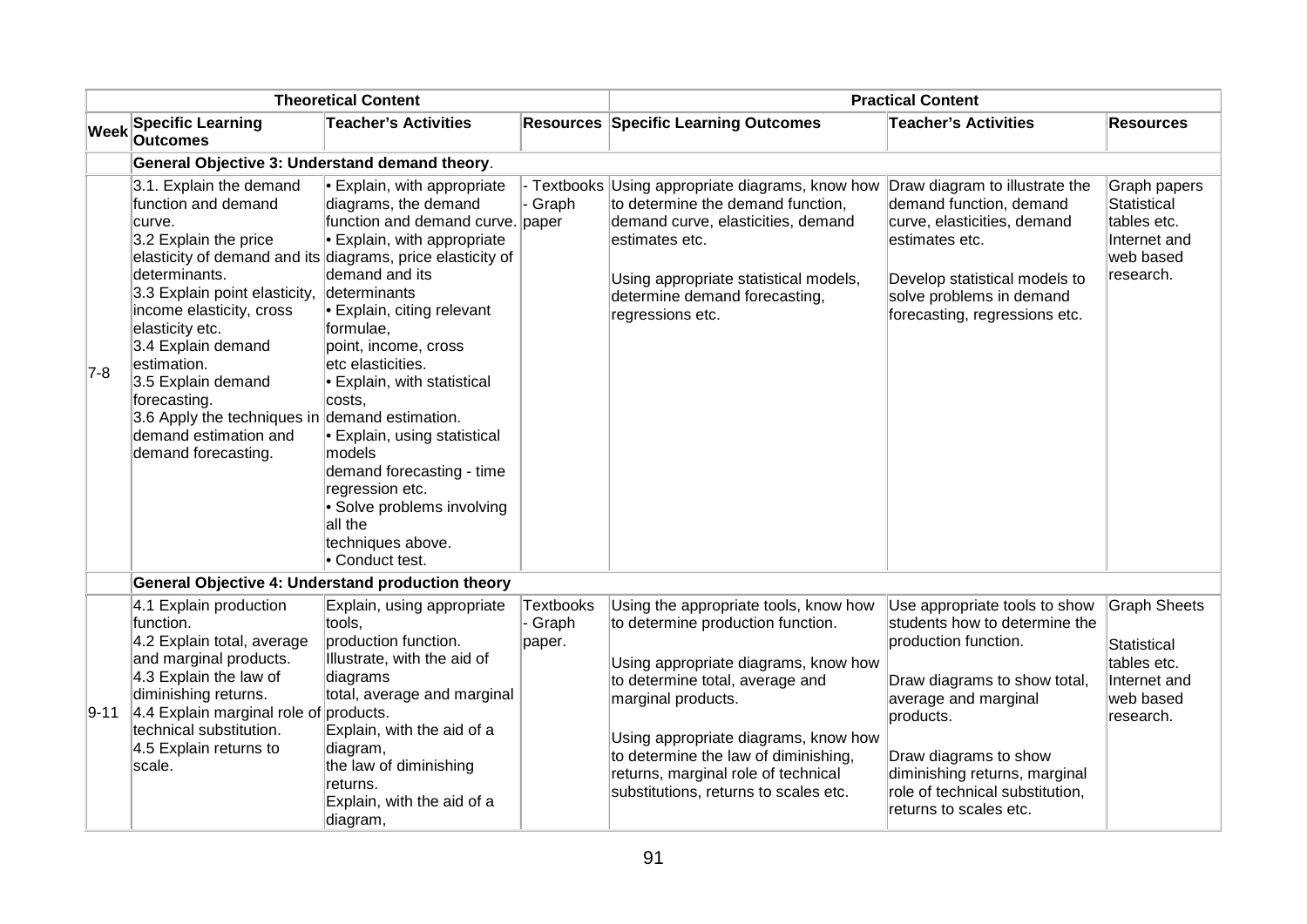| <b>Theoretical Content</b> |                                                                                                                                                                                                                                                                                                                                                                 | <b>Practical Content</b>                                                                                                                                                                                                                                                                                                                                                                                                                                                                                                           |                                |                                                                                                                                                                                                                                                                                                                                             |                                                                                                                                                                                                                                                                                    |                                                                                             |
|----------------------------|-----------------------------------------------------------------------------------------------------------------------------------------------------------------------------------------------------------------------------------------------------------------------------------------------------------------------------------------------------------------|------------------------------------------------------------------------------------------------------------------------------------------------------------------------------------------------------------------------------------------------------------------------------------------------------------------------------------------------------------------------------------------------------------------------------------------------------------------------------------------------------------------------------------|--------------------------------|---------------------------------------------------------------------------------------------------------------------------------------------------------------------------------------------------------------------------------------------------------------------------------------------------------------------------------------------|------------------------------------------------------------------------------------------------------------------------------------------------------------------------------------------------------------------------------------------------------------------------------------|---------------------------------------------------------------------------------------------|
| <b>Week</b>                | <b>Specific Learning</b><br><b>Outcomes</b>                                                                                                                                                                                                                                                                                                                     | <b>Teacher's Activities</b>                                                                                                                                                                                                                                                                                                                                                                                                                                                                                                        |                                | <b>Resources Specific Learning Outcomes</b>                                                                                                                                                                                                                                                                                                 | <b>Teacher's Activities</b>                                                                                                                                                                                                                                                        | <b>Resources</b>                                                                            |
|                            | General Objective 3: Understand demand theory.                                                                                                                                                                                                                                                                                                                  |                                                                                                                                                                                                                                                                                                                                                                                                                                                                                                                                    |                                |                                                                                                                                                                                                                                                                                                                                             |                                                                                                                                                                                                                                                                                    |                                                                                             |
| $7-8$                      | 3.1. Explain the demand<br>function and demand<br>curve.<br>3.2 Explain the price<br>determinants.<br>3.3 Explain point elasticity,<br>income elasticity, cross<br>elasticity etc.<br>3.4 Explain demand<br>estimation.<br>3.5 Explain demand<br>forecasting.<br>3.6 Apply the techniques in demand estimation.<br>demand estimation and<br>demand forecasting. | • Explain, with appropriate<br>diagrams, the demand<br>function and demand curve. paper<br>• Explain, with appropriate<br>elasticity of demand and its diagrams, price elasticity of<br>demand and its<br>determinants<br>• Explain, citing relevant<br>formulae,<br>point, income, cross<br>etc elasticities.<br>• Explain, with statistical<br>costs,<br>• Explain, using statistical<br>models<br>demand forecasting - time<br>regression etc.<br>• Solve problems involving<br>all the<br>techniques above.<br>• Conduct test. | - Textbooks<br>- Graph         | Using appropriate diagrams, know how<br>to determine the demand function,<br>demand curve, elasticities, demand<br>estimates etc.<br>Using appropriate statistical models,<br>determine demand forecasting,<br>regressions etc.                                                                                                             | Draw diagram to illustrate the<br>demand function, demand<br>curve, elasticities, demand<br>estimates etc.<br>Develop statistical models to<br>solve problems in demand<br>forecasting, regressions etc.                                                                           | Graph papers<br>Statistical<br>tables etc.<br>Internet and<br>web based<br>research.        |
|                            |                                                                                                                                                                                                                                                                                                                                                                 | General Objective 4: Understand production theory                                                                                                                                                                                                                                                                                                                                                                                                                                                                                  |                                |                                                                                                                                                                                                                                                                                                                                             |                                                                                                                                                                                                                                                                                    |                                                                                             |
| 9-11                       | 4.1 Explain production<br>function.<br>4.2 Explain total, average<br>and marginal products.<br>4.3 Explain the law of<br>diminishing returns.<br>4.4 Explain marginal role of<br>technical substitution.<br>4.5 Explain returns to<br>scale.                                                                                                                    | Explain, using appropriate<br>tools,<br>production function.<br>Illustrate, with the aid of<br>diagrams<br>total, average and marginal<br>products.<br>Explain, with the aid of a<br>diagram,<br>the law of diminishing<br>returns.<br>Explain, with the aid of a<br>diagram,                                                                                                                                                                                                                                                      | Textbooks<br>- Graph<br>paper. | Using the appropriate tools, know how<br>to determine production function.<br>Using appropriate diagrams, know how<br>to determine total, average and<br>marginal products.<br>Using appropriate diagrams, know how<br>to determine the law of diminishing,<br>returns, marginal role of technical<br>substitutions, returns to scales etc. | Use appropriate tools to show<br>students how to determine the<br>production function.<br>Draw diagrams to show total,<br>average and marginal<br>products.<br>Draw diagrams to show<br>diminishing returns, marginal<br>role of technical substitution,<br>returns to scales etc. | <b>Graph Sheets</b><br>Statistical<br>tables etc.<br>Internet and<br>web based<br>research. |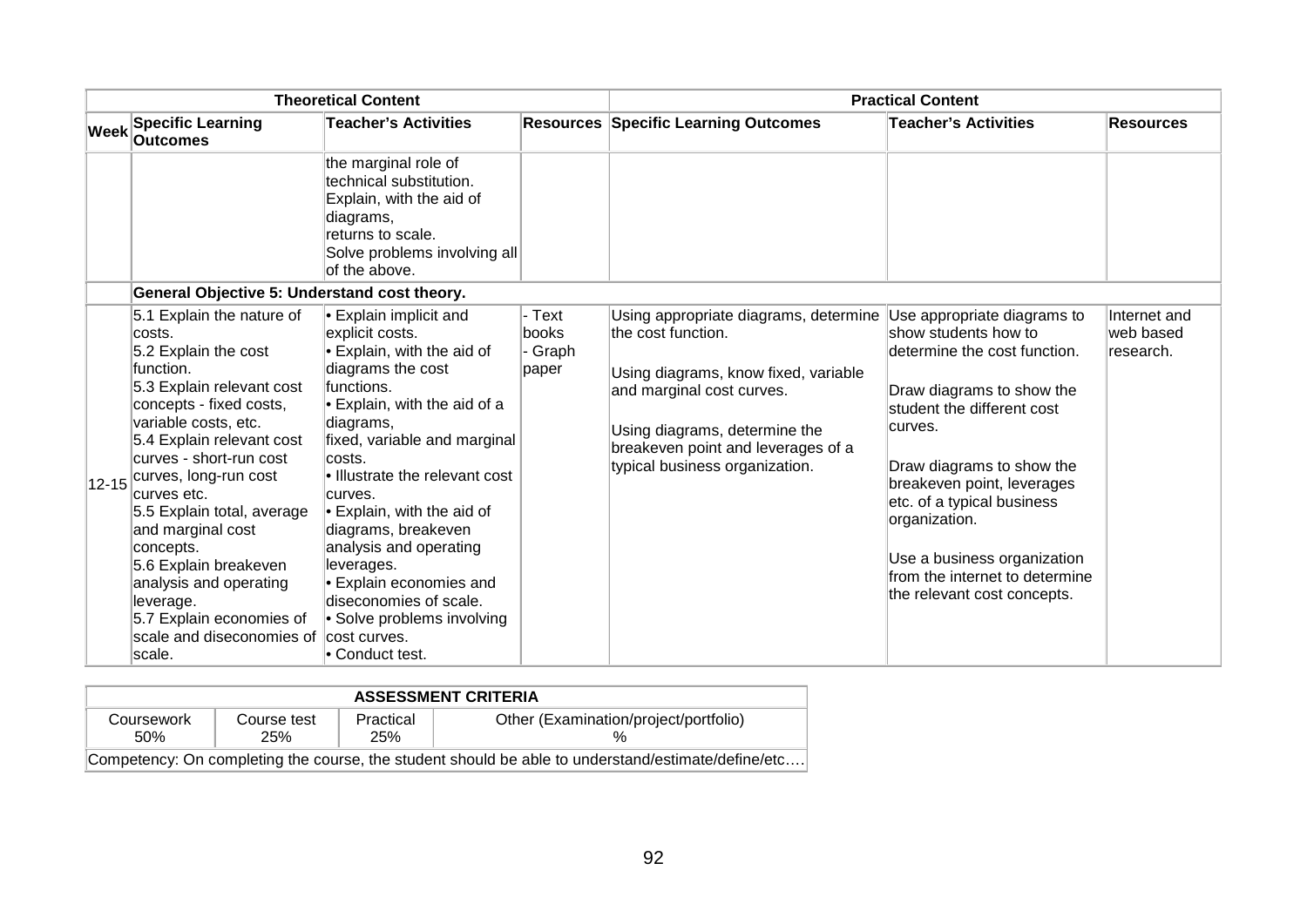|             |                                                                                                                                                                                                                                                                                                                                                                                                                                                         | <b>Theoretical Content</b>                                                                                                                                                                                                                                                                                                                                                                                                                                                                                           |                                     | <b>Practical Content</b>                                                                                                                                                                                                                  |                                                                                                                                                                                                                                                                                                                                                                     |                                        |  |
|-------------|---------------------------------------------------------------------------------------------------------------------------------------------------------------------------------------------------------------------------------------------------------------------------------------------------------------------------------------------------------------------------------------------------------------------------------------------------------|----------------------------------------------------------------------------------------------------------------------------------------------------------------------------------------------------------------------------------------------------------------------------------------------------------------------------------------------------------------------------------------------------------------------------------------------------------------------------------------------------------------------|-------------------------------------|-------------------------------------------------------------------------------------------------------------------------------------------------------------------------------------------------------------------------------------------|---------------------------------------------------------------------------------------------------------------------------------------------------------------------------------------------------------------------------------------------------------------------------------------------------------------------------------------------------------------------|----------------------------------------|--|
| <b>Week</b> | <b>Specific Learning</b><br><b>Outcomes</b>                                                                                                                                                                                                                                                                                                                                                                                                             | <b>Teacher's Activities</b>                                                                                                                                                                                                                                                                                                                                                                                                                                                                                          |                                     | <b>Resources Specific Learning Outcomes</b>                                                                                                                                                                                               | <b>Teacher's Activities</b>                                                                                                                                                                                                                                                                                                                                         | <b>Resources</b>                       |  |
|             |                                                                                                                                                                                                                                                                                                                                                                                                                                                         | the marginal role of<br>ltechnical substitution.<br>Explain, with the aid of<br>diagrams,<br>returns to scale.<br>Solve problems involving all<br>of the above.                                                                                                                                                                                                                                                                                                                                                      |                                     |                                                                                                                                                                                                                                           |                                                                                                                                                                                                                                                                                                                                                                     |                                        |  |
|             | General Objective 5: Understand cost theory.                                                                                                                                                                                                                                                                                                                                                                                                            |                                                                                                                                                                                                                                                                                                                                                                                                                                                                                                                      |                                     |                                                                                                                                                                                                                                           |                                                                                                                                                                                                                                                                                                                                                                     |                                        |  |
|             | 5.1 Explain the nature of<br>costs.<br>5.2 Explain the cost<br>function.<br>5.3 Explain relevant cost<br>concepts - fixed costs,<br>variable costs, etc.<br>5.4 Explain relevant cost<br>curves - short-run cost<br>12-15 curves, long-run cost<br>curves etc.<br>5.5 Explain total, average<br>and marginal cost<br>concepts.<br>5.6 Explain breakeven<br>analysis and operating<br>leverage.<br>5.7 Explain economies of<br>scale and diseconomies of | $\cdot$ Explain implicit and<br>explicit costs.<br>$\cdot$ Explain, with the aid of<br>diagrams the cost<br>functions.<br>$\blacktriangleright$ Explain, with the aid of a<br>diagrams,<br>fixed, variable and marginal<br>costs.<br>le Illustrate the relevant cost<br>curves.<br>$\blacktriangleright$ Explain, with the aid of<br>diagrams, breakeven<br>analysis and operating<br>leverages.<br>Explain economies and<br>diseconomies of scale.<br>• Solve problems involving<br>cost curves.<br>• Conduct test. | - Text<br>books<br>- Graph<br>paper | Using appropriate diagrams, determine<br>the cost function.<br>Using diagrams, know fixed, variable<br>and marginal cost curves.<br>Using diagrams, determine the<br>breakeven point and leverages of a<br>typical business organization. | Use appropriate diagrams to<br>show students how to<br>determine the cost function.<br>Draw diagrams to show the<br>student the different cost<br>curves.<br>Draw diagrams to show the<br>breakeven point, leverages<br>etc. of a typical business<br>organization.<br>Use a business organization<br>from the internet to determine<br>the relevant cost concepts. | Internet and<br>web based<br>research. |  |

| <b>ASSESSMENT CRITERIA</b> |                                                                                                    |                  |                                       |  |  |  |  |
|----------------------------|----------------------------------------------------------------------------------------------------|------------------|---------------------------------------|--|--|--|--|
| Coursework<br>50%          | Course test<br>25%                                                                                 | Practical<br>25% | Other (Examination/project/portfolio) |  |  |  |  |
|                            | Competency: On completing the course, the student should be able to understand/estimate/define/etc |                  |                                       |  |  |  |  |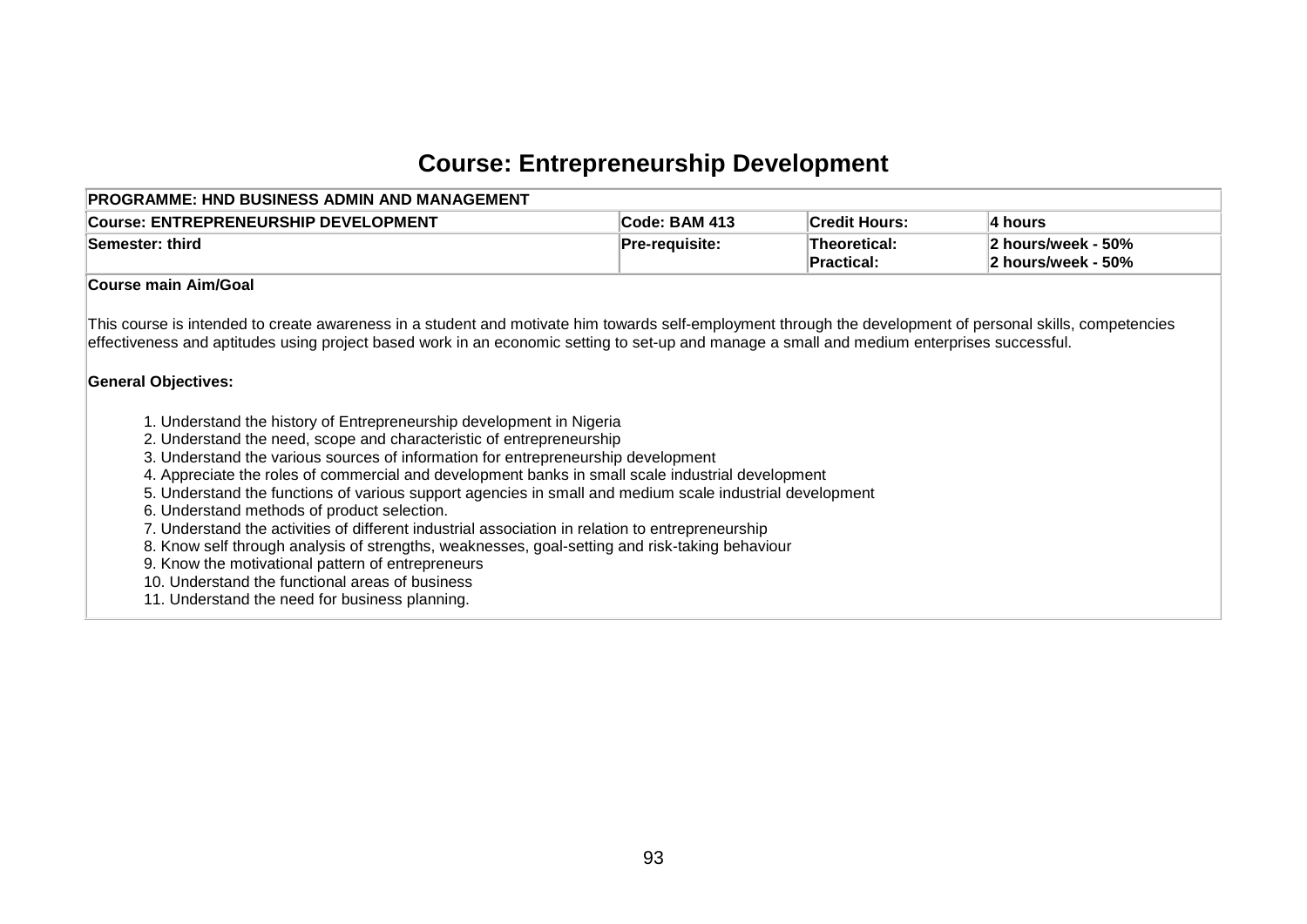# **Course: Entrepreneurship Development**

| <b>Course: ENTREPRENEURSHIP DEVELOPMENT</b>                                                                                                                                                                                                                                                                                                                                                                                                                                                                                                                                                                                                                                                                                                                                                                                                                                                                                                                                                                                                                                                             | Code: BAM 413  | <b>Credit Hours:</b>              | 4 hours                                  |
|---------------------------------------------------------------------------------------------------------------------------------------------------------------------------------------------------------------------------------------------------------------------------------------------------------------------------------------------------------------------------------------------------------------------------------------------------------------------------------------------------------------------------------------------------------------------------------------------------------------------------------------------------------------------------------------------------------------------------------------------------------------------------------------------------------------------------------------------------------------------------------------------------------------------------------------------------------------------------------------------------------------------------------------------------------------------------------------------------------|----------------|-----------------------------------|------------------------------------------|
| Semester: third                                                                                                                                                                                                                                                                                                                                                                                                                                                                                                                                                                                                                                                                                                                                                                                                                                                                                                                                                                                                                                                                                         | Pre-requisite: | Theoretical:<br><b>Practical:</b> | 2 hours/week - 50%<br>2 hours/week - 50% |
| Course main Aim/Goal                                                                                                                                                                                                                                                                                                                                                                                                                                                                                                                                                                                                                                                                                                                                                                                                                                                                                                                                                                                                                                                                                    |                |                                   |                                          |
| This course is intended to create awareness in a student and motivate him towards self-employment through the development of personal skills, competencies<br>effectiveness and aptitudes using project based work in an economic setting to set-up and manage a small and medium enterprises successful.<br><b>General Objectives:</b><br>1. Understand the history of Entrepreneurship development in Nigeria<br>2. Understand the need, scope and characteristic of entrepreneurship<br>3. Understand the various sources of information for entrepreneurship development<br>4. Appreciate the roles of commercial and development banks in small scale industrial development<br>5. Understand the functions of various support agencies in small and medium scale industrial development<br>6. Understand methods of product selection.<br>7. Understand the activities of different industrial association in relation to entrepreneurship<br>8. Know self through analysis of strengths, weaknesses, goal-setting and risk-taking behaviour<br>9. Know the motivational pattern of entrepreneurs |                |                                   |                                          |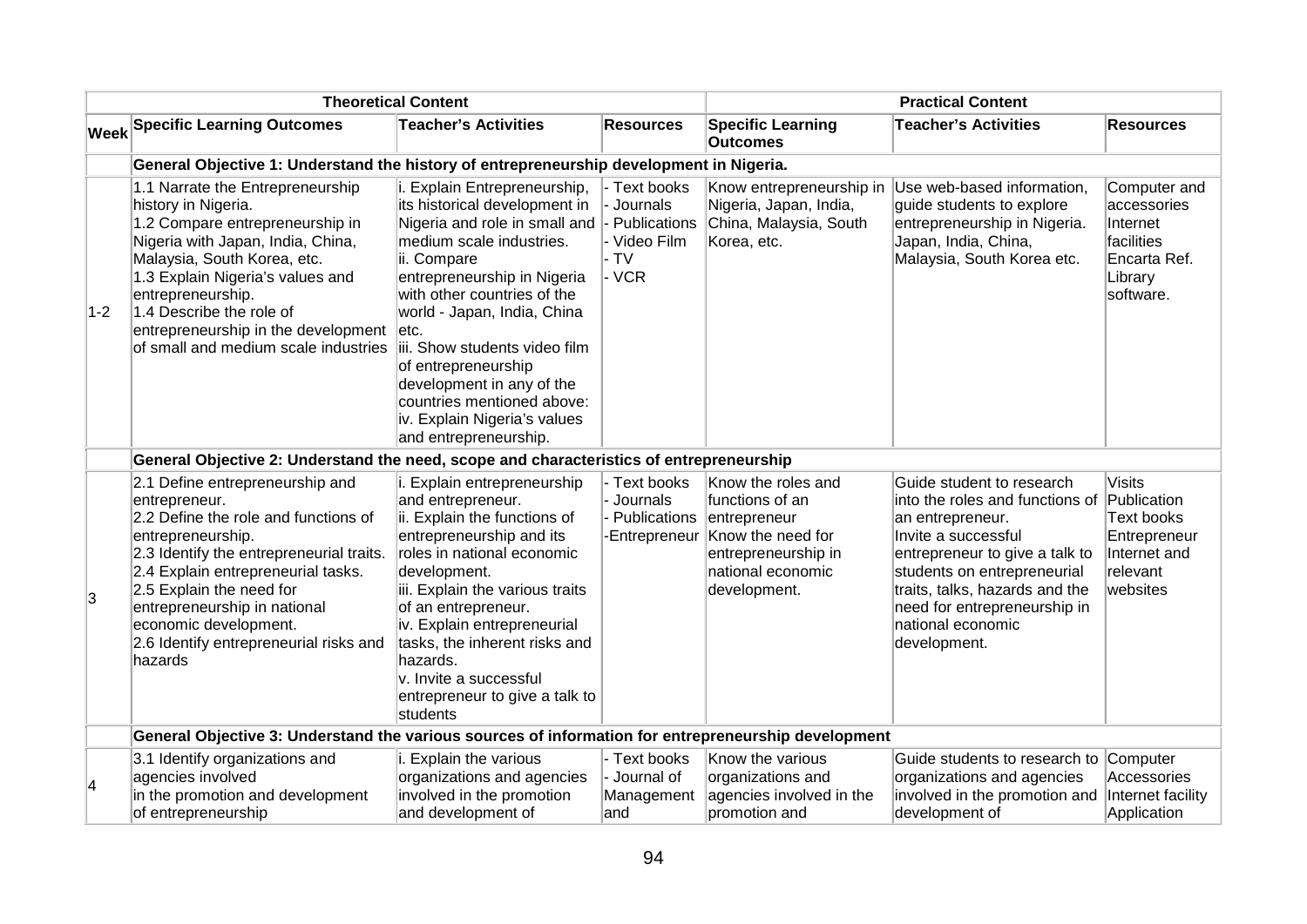|       |                                                                                                                                                                                                                                                                                                                                           | <b>Theoretical Content</b>                                                                                                                                                                                                                                                                                                                                                                                                                  |                                                               |                                                                                                                                        | <b>Practical Content</b>                                                                                                                                                                                                                                                                    |                                                                                               |
|-------|-------------------------------------------------------------------------------------------------------------------------------------------------------------------------------------------------------------------------------------------------------------------------------------------------------------------------------------------|---------------------------------------------------------------------------------------------------------------------------------------------------------------------------------------------------------------------------------------------------------------------------------------------------------------------------------------------------------------------------------------------------------------------------------------------|---------------------------------------------------------------|----------------------------------------------------------------------------------------------------------------------------------------|---------------------------------------------------------------------------------------------------------------------------------------------------------------------------------------------------------------------------------------------------------------------------------------------|-----------------------------------------------------------------------------------------------|
|       | <b>Week Specific Learning Outcomes</b>                                                                                                                                                                                                                                                                                                    | <b>Teacher's Activities</b>                                                                                                                                                                                                                                                                                                                                                                                                                 | <b>Resources</b>                                              | <b>Specific Learning</b><br><b>Outcomes</b>                                                                                            | <b>Teacher's Activities</b>                                                                                                                                                                                                                                                                 | <b>Resources</b>                                                                              |
|       | General Objective 1: Understand the history of entrepreneurship development in Nigeria.                                                                                                                                                                                                                                                   |                                                                                                                                                                                                                                                                                                                                                                                                                                             |                                                               |                                                                                                                                        |                                                                                                                                                                                                                                                                                             |                                                                                               |
| $1-2$ | 1.1 Narrate the Entrepreneurship<br>history in Nigeria.<br>1.2 Compare entrepreneurship in<br>Nigeria with Japan, India, China,<br>Malaysia, South Korea, etc.<br>1.3 Explain Nigeria's values and<br>entrepreneurship.<br>1.4 Describe the role of<br>entrepreneurship in the development<br>of small and medium scale industries        | i. Explain Entrepreneurship,<br>its historical development in<br>Nigeria and role in small and  - Publications<br>medium scale industries.<br>ii. Compare<br>entrepreneurship in Nigeria<br>with other countries of the<br>world - Japan, India, China<br>letc.<br>iii. Show students video film<br>of entrepreneurship<br>development in any of the<br>countries mentioned above:<br>iv. Explain Nigeria's values<br>and entrepreneurship. | - Text books<br>- Journals<br>- Video Film<br>- TV<br>- VCR   | Know entrepreneurship in<br>Nigeria, Japan, India,<br>China, Malaysia, South<br>Korea, etc.                                            | Use web-based information,<br>guide students to explore<br>entrepreneurship in Nigeria.<br>Japan, India, China,<br>Malaysia, South Korea etc.                                                                                                                                               | Computer and<br>accessories<br>Internet<br>facilities<br>Encarta Ref.<br>Library<br>software. |
|       | General Objective 2: Understand the need, scope and characteristics of entrepreneurship                                                                                                                                                                                                                                                   |                                                                                                                                                                                                                                                                                                                                                                                                                                             |                                                               |                                                                                                                                        |                                                                                                                                                                                                                                                                                             |                                                                                               |
| ΙЗ.   | 2.1 Define entrepreneurship and<br>entrepreneur.<br>2.2 Define the role and functions of<br>entrepreneurship.<br>2.3 Identify the entrepreneurial traits.<br>2.4 Explain entrepreneurial tasks.<br>2.5 Explain the need for<br>entrepreneurship in national<br>economic development.<br>2.6 Identify entrepreneurial risks and<br>hazards | i. Explain entrepreneurship<br>and entrepreneur.<br>ii. Explain the functions of<br>entrepreneurship and its<br>roles in national economic<br>development.<br>iii. Explain the various traits<br>of an entrepreneur.<br>iv. Explain entrepreneurial<br>tasks, the inherent risks and<br>hazards.<br>v. Invite a successful<br>entrepreneur to give a talk to<br>students                                                                    | - Text books<br>- Journals<br>- Publications<br>-Entrepreneur | Know the roles and<br>functions of an<br>entrepreneur<br>Know the need for<br>entrepreneurship in<br>national economic<br>development. | Guide student to research<br>into the roles and functions of Publication<br>an entrepreneur.<br>Invite a successful<br>entrepreneur to give a talk to<br>students on entrepreneurial<br>traits, talks, hazards and the<br>need for entrepreneurship in<br>national economic<br>development. | <b>Visits</b><br><b>Text books</b><br>Entrepreneur<br>Internet and<br>relevant<br>websites    |
|       | General Objective 3: Understand the various sources of information for entrepreneurship development                                                                                                                                                                                                                                       |                                                                                                                                                                                                                                                                                                                                                                                                                                             |                                                               |                                                                                                                                        |                                                                                                                                                                                                                                                                                             |                                                                                               |
| 4     | 3.1 Identify organizations and<br>agencies involved<br>in the promotion and development<br>of entrepreneurship                                                                                                                                                                                                                            | i. Explain the various<br>organizations and agencies<br>involved in the promotion<br>and development of                                                                                                                                                                                                                                                                                                                                     | - Text books<br>- Journal of<br>Management<br>∣and            | Know the various<br>organizations and<br>agencies involved in the<br>promotion and                                                     | Guide students to research to<br>organizations and agencies<br>involved in the promotion and<br>development of                                                                                                                                                                              | Computer<br>Accessories<br>Internet facility<br>Application                                   |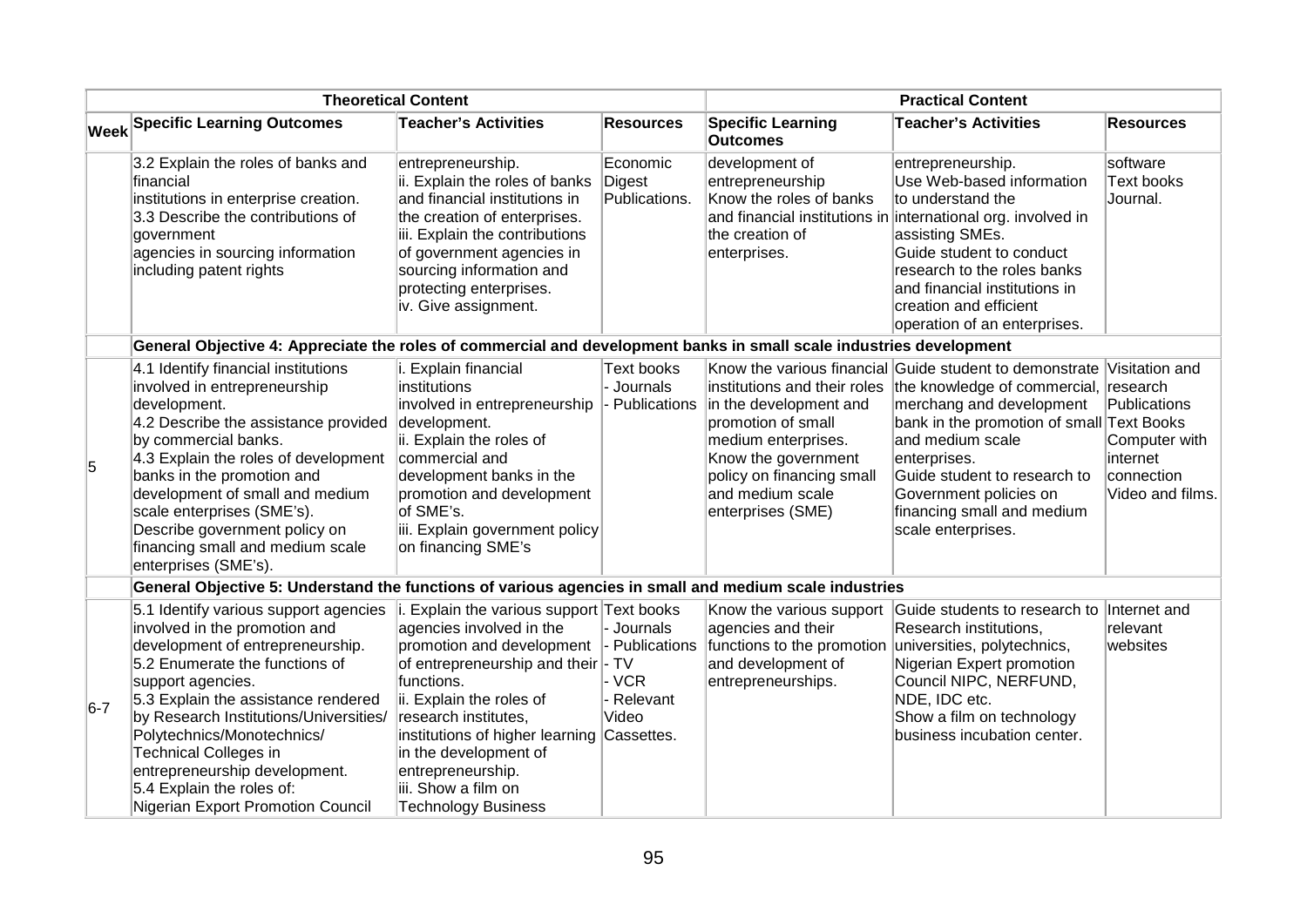|       |                                                                                                                                                                                                                                                                                                                                                                                                                     | <b>Theoretical Content</b>                                                                                                                                                                                                                                                                                                                                          |                                                               |                                                                                                                                                                                                  | <b>Practical Content</b>                                                                                                                                                                                                                                                                                                                   |                                                                             |
|-------|---------------------------------------------------------------------------------------------------------------------------------------------------------------------------------------------------------------------------------------------------------------------------------------------------------------------------------------------------------------------------------------------------------------------|---------------------------------------------------------------------------------------------------------------------------------------------------------------------------------------------------------------------------------------------------------------------------------------------------------------------------------------------------------------------|---------------------------------------------------------------|--------------------------------------------------------------------------------------------------------------------------------------------------------------------------------------------------|--------------------------------------------------------------------------------------------------------------------------------------------------------------------------------------------------------------------------------------------------------------------------------------------------------------------------------------------|-----------------------------------------------------------------------------|
|       | Week Specific Learning Outcomes                                                                                                                                                                                                                                                                                                                                                                                     | Teacher's Activities                                                                                                                                                                                                                                                                                                                                                | <b>Resources</b>                                              | <b>Specific Learning</b><br><b>Outcomes</b>                                                                                                                                                      | <b>Teacher's Activities</b>                                                                                                                                                                                                                                                                                                                | <b>Resources</b>                                                            |
|       | 3.2 Explain the roles of banks and<br>financial<br>institutions in enterprise creation.<br>3.3 Describe the contributions of<br>government<br>agencies in sourcing information<br>including patent rights                                                                                                                                                                                                           | entrepreneurship.<br>ii. Explain the roles of banks<br>and financial institutions in<br>the creation of enterprises.<br>iii. Explain the contributions<br>of government agencies in<br>sourcing information and<br>protecting enterprises.<br>iv. Give assignment.                                                                                                  | Economic<br>Digest<br>Publications.                           | development of<br>entrepreneurship<br>Know the roles of banks<br>the creation of<br>enterprises.                                                                                                 | entrepreneurship.<br>Use Web-based information<br>to understand the<br>and financial institutions in international org. involved in<br>assisting SMEs.<br>Guide student to conduct<br>research to the roles banks<br>and financial institutions in<br>creation and efficient<br>operation of an enterprises.                               | software<br>Text books<br>Journal.                                          |
|       | General Objective 4: Appreciate the roles of commercial and development banks in small scale industries development                                                                                                                                                                                                                                                                                                 |                                                                                                                                                                                                                                                                                                                                                                     |                                                               |                                                                                                                                                                                                  |                                                                                                                                                                                                                                                                                                                                            |                                                                             |
| 5     | 4.1 Identify financial institutions<br>involved in entrepreneurship<br>development.<br>4.2 Describe the assistance provided<br>by commercial banks.<br>4.3 Explain the roles of development<br>banks in the promotion and<br>development of small and medium<br>scale enterprises (SME's).<br>Describe government policy on<br>financing small and medium scale<br>enterprises (SME's).                             | i. Explain financial<br>institutions<br>involved in entrepreneurship<br>development.<br>ii. Explain the roles of<br>commercial and<br>development banks in the<br>promotion and development<br>of SME's.<br>iii. Explain government policy<br>on financing SME's                                                                                                    | Text books<br>- Journals<br>- Publications                    | institutions and their roles<br>in the development and<br>promotion of small<br>medium enterprises.<br>Know the government<br>policy on financing small<br>and medium scale<br>enterprises (SME) | Know the various financial Guide student to demonstrate Visitation and<br>the knowledge of commercial, research<br>merchang and development<br>bank in the promotion of small Text Books<br>and medium scale<br>enterprises.<br>Guide student to research to<br>Government policies on<br>financing small and medium<br>scale enterprises. | Publications<br>Computer with<br>internet<br>connection<br>Video and films. |
|       | General Objective 5: Understand the functions of various agencies in small and medium scale industries                                                                                                                                                                                                                                                                                                              |                                                                                                                                                                                                                                                                                                                                                                     |                                                               |                                                                                                                                                                                                  |                                                                                                                                                                                                                                                                                                                                            |                                                                             |
| $6-7$ | 5.1 Identify various support agencies<br>involved in the promotion and<br>development of entrepreneurship.<br>5.2 Enumerate the functions of<br>support agencies.<br>5.3 Explain the assistance rendered<br>by Research Institutions/Universities/<br>Polytechnics/Monotechnics/<br><b>Technical Colleges in</b><br>entrepreneurship development.<br>5.4 Explain the roles of:<br>Nigerian Export Promotion Council | $\vert$ i. Explain the various support Text books<br>agencies involved in the<br>promotion and development<br>of entrepreneurship and their - TV<br>functions.<br>ii. Explain the roles of<br>research institutes,<br>institutions of higher learning Cassettes.<br>in the development of<br>entrepreneurship.<br>iii. Show a film on<br><b>Technology Business</b> | - Journals<br>- Publications<br>∣- VCR<br>- Relevant<br>Video | agencies and their<br>functions to the promotion<br>and development of<br>entrepreneurships.                                                                                                     | Know the various support Guide students to research to Internet and<br>Research institutions,<br>universities, polytechnics,<br>Nigerian Expert promotion<br>Council NIPC, NERFUND,<br>NDE, IDC etc.<br>Show a film on technology<br>business incubation center.                                                                           | relevant<br>websites                                                        |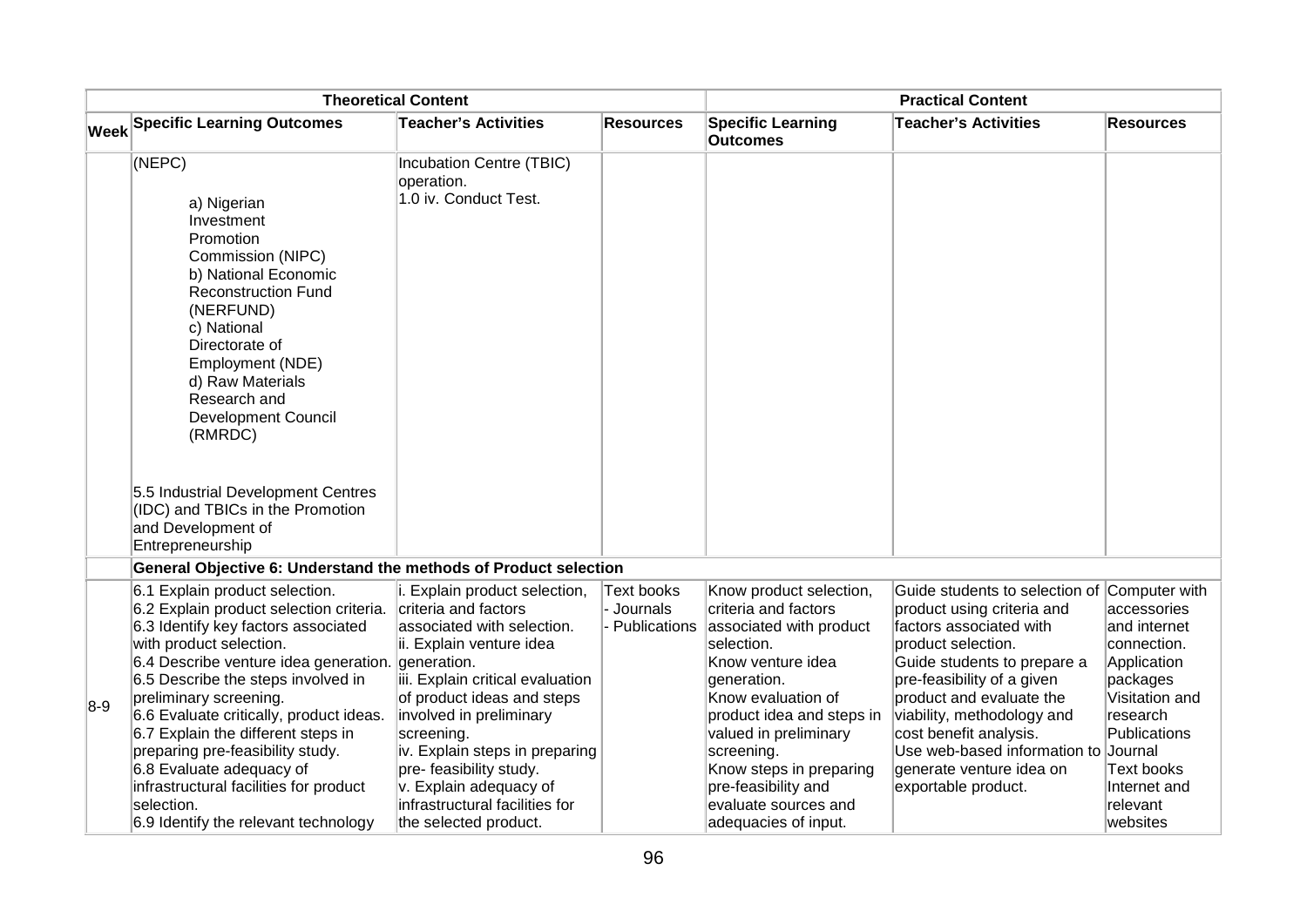|       |                                                                                                                                                                                                                                                                                                                                                                                                                                                                                                       | <b>Theoretical Content</b>                                                                                                                                                                                                                                                                                                                                                                 |                                          |                                                                                                                                                                                                                                                                                                                          | <b>Practical Content</b>                                                                                                                                                                                                                                                                                                                                                |                                                                                                                                                                           |
|-------|-------------------------------------------------------------------------------------------------------------------------------------------------------------------------------------------------------------------------------------------------------------------------------------------------------------------------------------------------------------------------------------------------------------------------------------------------------------------------------------------------------|--------------------------------------------------------------------------------------------------------------------------------------------------------------------------------------------------------------------------------------------------------------------------------------------------------------------------------------------------------------------------------------------|------------------------------------------|--------------------------------------------------------------------------------------------------------------------------------------------------------------------------------------------------------------------------------------------------------------------------------------------------------------------------|-------------------------------------------------------------------------------------------------------------------------------------------------------------------------------------------------------------------------------------------------------------------------------------------------------------------------------------------------------------------------|---------------------------------------------------------------------------------------------------------------------------------------------------------------------------|
|       | Week Specific Learning Outcomes                                                                                                                                                                                                                                                                                                                                                                                                                                                                       | <b>Teacher's Activities</b>                                                                                                                                                                                                                                                                                                                                                                | <b>Resources</b>                         | <b>Specific Learning</b><br><b>Outcomes</b>                                                                                                                                                                                                                                                                              | <b>Teacher's Activities</b>                                                                                                                                                                                                                                                                                                                                             | <b>Resources</b>                                                                                                                                                          |
|       | (NEPC)<br>a) Nigerian<br>Investment<br>Promotion<br>Commission (NIPC)<br>b) National Economic<br><b>Reconstruction Fund</b><br>(NERFUND)<br>c) National<br>Directorate of<br>Employment (NDE)<br>d) Raw Materials<br>Research and<br><b>Development Council</b><br>(RMRDC)<br>5.5 Industrial Development Centres<br>(IDC) and TBICs in the Promotion<br>and Development of<br>Entrepreneurship                                                                                                        | Incubation Centre (TBIC)<br>operation.<br>1.0 iv. Conduct Test.                                                                                                                                                                                                                                                                                                                            |                                          |                                                                                                                                                                                                                                                                                                                          |                                                                                                                                                                                                                                                                                                                                                                         |                                                                                                                                                                           |
|       | General Objective 6: Understand the methods of Product selection                                                                                                                                                                                                                                                                                                                                                                                                                                      |                                                                                                                                                                                                                                                                                                                                                                                            |                                          |                                                                                                                                                                                                                                                                                                                          |                                                                                                                                                                                                                                                                                                                                                                         |                                                                                                                                                                           |
| $8-9$ | 6.1 Explain product selection.<br>6.2 Explain product selection criteria.<br>6.3 Identify key factors associated<br>with product selection.<br>6.4 Describe venture idea generation.<br>6.5 Describe the steps involved in<br>preliminary screening.<br>6.6 Evaluate critically, product ideas.<br>6.7 Explain the different steps in<br>preparing pre-feasibility study.<br>6.8 Evaluate adequacy of<br>infrastructural facilities for product<br>selection.<br>6.9 Identify the relevant technology | i. Explain product selection,<br>criteria and factors<br>associated with selection.<br>ii. Explain venture idea<br>generation.<br>iii. Explain critical evaluation<br>of product ideas and steps<br>involved in preliminary<br>screening.<br>iv. Explain steps in preparing<br>pre-feasibility study.<br>v. Explain adequacy of<br>infrastructural facilities for<br>the selected product. | Text books<br>- Journals<br>Publications | Know product selection,<br>criteria and factors<br>associated with product<br>selection.<br>Know venture idea<br>generation.<br>Know evaluation of<br>product idea and steps in<br>valued in preliminary<br>screening.<br>Know steps in preparing<br>pre-feasibility and<br>evaluate sources and<br>adequacies of input. | Guide students to selection of Computer with<br>product using criteria and<br>factors associated with<br>product selection.<br>Guide students to prepare a<br>pre-feasibility of a given<br>product and evaluate the<br>viability, methodology and<br>cost benefit analysis.<br>Use web-based information to Journal<br>generate venture idea on<br>exportable product. | accessories<br>and internet<br>connection.<br>Application<br>packages<br>Visitation and<br>research<br>Publications<br>Text books<br>Internet and<br>relevant<br>websites |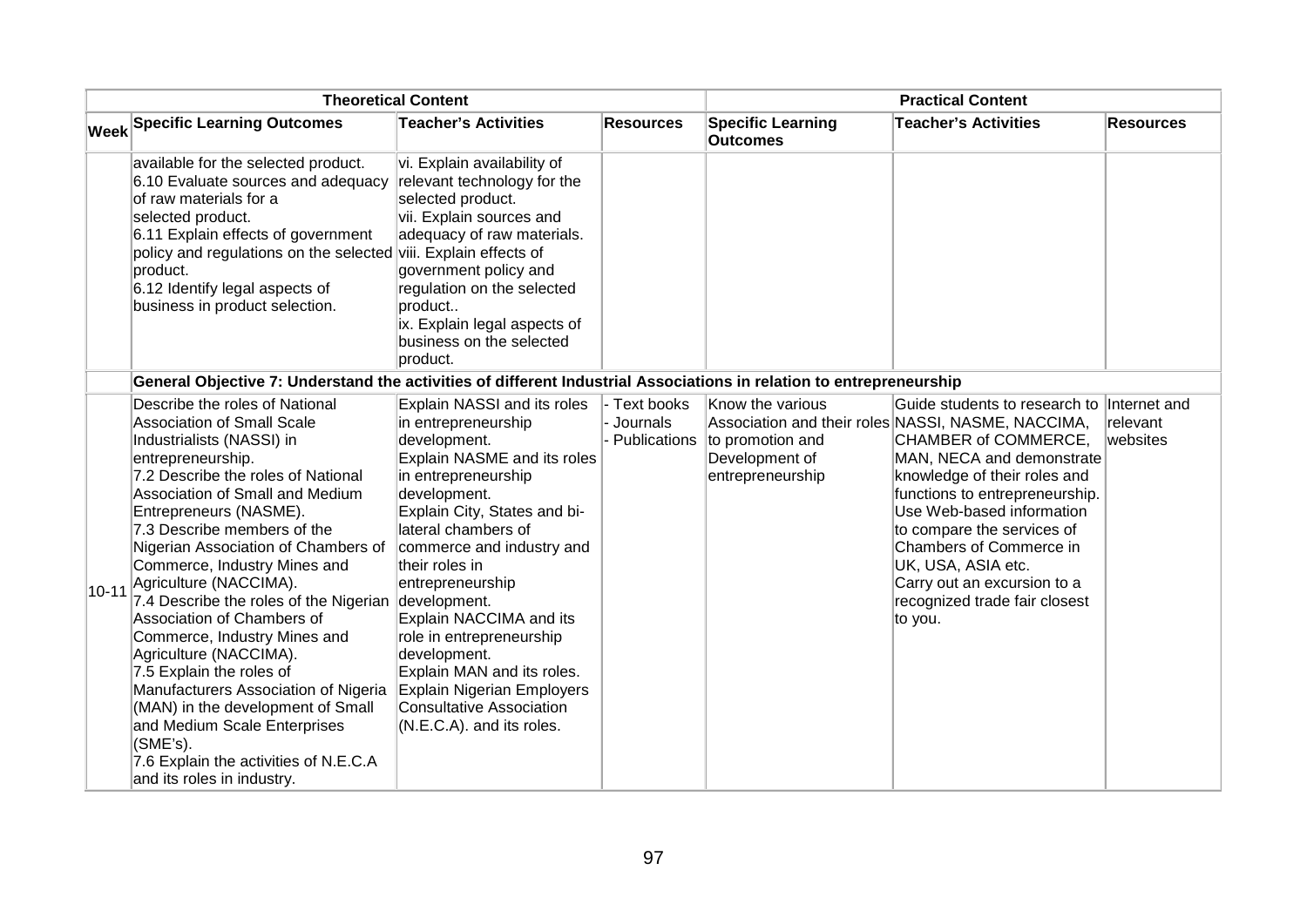| <b>Theoretical Content</b> |                                                                                                                                                                                                                                                                                                                                                                                                                                                                                                                                                                                                                                                                                                                        |                                                                                                                                                                                                                                                                                                                                                                                                                                                                                              | <b>Practical Content</b> |                                                                                         |                                                                                                                                                                                                                                                                                                                                                                                                                |                      |
|----------------------------|------------------------------------------------------------------------------------------------------------------------------------------------------------------------------------------------------------------------------------------------------------------------------------------------------------------------------------------------------------------------------------------------------------------------------------------------------------------------------------------------------------------------------------------------------------------------------------------------------------------------------------------------------------------------------------------------------------------------|----------------------------------------------------------------------------------------------------------------------------------------------------------------------------------------------------------------------------------------------------------------------------------------------------------------------------------------------------------------------------------------------------------------------------------------------------------------------------------------------|--------------------------|-----------------------------------------------------------------------------------------|----------------------------------------------------------------------------------------------------------------------------------------------------------------------------------------------------------------------------------------------------------------------------------------------------------------------------------------------------------------------------------------------------------------|----------------------|
|                            | <b>Week Specific Learning Outcomes</b>                                                                                                                                                                                                                                                                                                                                                                                                                                                                                                                                                                                                                                                                                 | <b>Teacher's Activities</b>                                                                                                                                                                                                                                                                                                                                                                                                                                                                  | <b>Resources</b>         | <b>Specific Learning</b><br><b>Outcomes</b>                                             | <b>Teacher's Activities</b>                                                                                                                                                                                                                                                                                                                                                                                    | <b>Resources</b>     |
|                            | available for the selected product.<br>6.10 Evaluate sources and adequacy<br>of raw materials for a<br>selected product.<br>6.11 Explain effects of government<br>policy and regulations on the selected viii. Explain effects of<br>product.<br>6.12 Identify legal aspects of<br>business in product selection.                                                                                                                                                                                                                                                                                                                                                                                                      | vi. Explain availability of<br>relevant technology for the<br>selected product.<br>vii. Explain sources and<br>adequacy of raw materials.<br>government policy and<br>regulation on the selected<br>product<br>ix. Explain legal aspects of<br>business on the selected<br>product.                                                                                                                                                                                                          |                          |                                                                                         |                                                                                                                                                                                                                                                                                                                                                                                                                |                      |
|                            | General Objective 7: Understand the activities of different Industrial Associations in relation to entrepreneurship                                                                                                                                                                                                                                                                                                                                                                                                                                                                                                                                                                                                    |                                                                                                                                                                                                                                                                                                                                                                                                                                                                                              |                          |                                                                                         |                                                                                                                                                                                                                                                                                                                                                                                                                |                      |
| $10 - 11$                  | Describe the roles of National<br><b>Association of Small Scale</b><br>Industrialists (NASSI) in<br>entrepreneurship.<br>7.2 Describe the roles of National<br>Association of Small and Medium<br>Entrepreneurs (NASME).<br>7.3 Describe members of the<br>Nigerian Association of Chambers of<br>Commerce, Industry Mines and<br>Agriculture (NACCIMA).<br>7.4 Describe the roles of the Nigerian<br>Association of Chambers of<br>Commerce, Industry Mines and<br>Agriculture (NACCIMA).<br>7.5 Explain the roles of<br>Manufacturers Association of Nigeria<br>(MAN) in the development of Small<br>and Medium Scale Enterprises<br>(SME's).<br>7.6 Explain the activities of N.E.C.A<br>and its roles in industry. | Explain NASSI and its roles<br>in entrepreneurship<br>development.<br>Explain NASME and its roles<br>in entrepreneurship<br>development.<br>Explain City, States and bi-<br>lateral chambers of<br>commerce and industry and<br>their roles in<br>entrepreneurship<br>development.<br>Explain NACCIMA and its<br>role in entrepreneurship<br>development.<br>Explain MAN and its roles.<br><b>Explain Nigerian Employers</b><br><b>Consultative Association</b><br>(N.E.C.A). and its roles. | - Text books<br>Journals | Know the various<br>Publications to promotion and<br>Development of<br>entrepreneurship | Guide students to research to Internet and<br>Association and their roles NASSI, NASME, NACCIMA,<br>CHAMBER of COMMERCE,<br>MAN, NECA and demonstrate<br>knowledge of their roles and<br>functions to entrepreneurship.<br>Use Web-based information<br>to compare the services of<br>Chambers of Commerce in<br>UK, USA, ASIA etc.<br>Carry out an excursion to a<br>recognized trade fair closest<br>to you. | relevant<br>websites |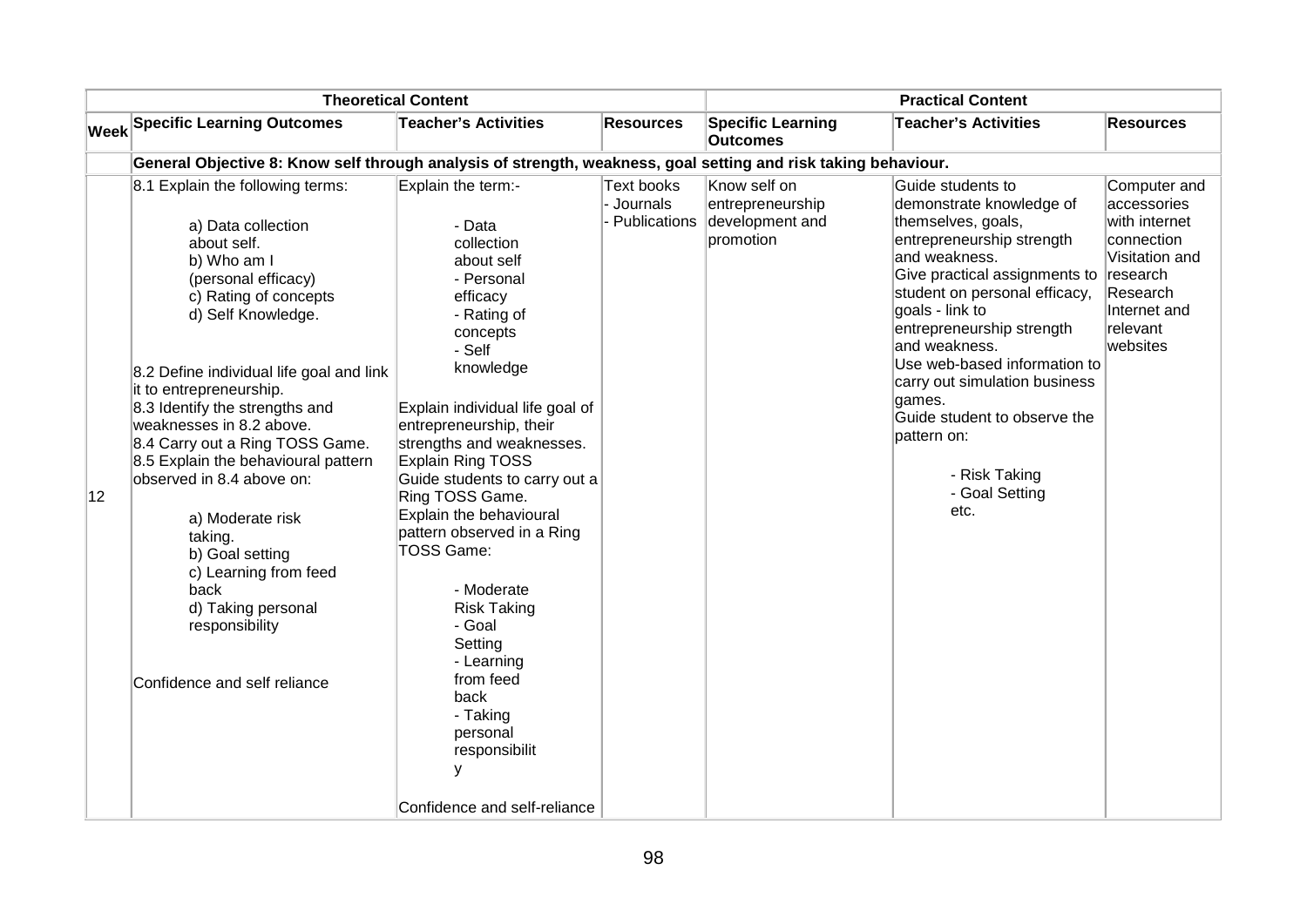|    |                                                                                                                                                                                                                                                                                                                                                                                                                                                                                                                                                                   | <b>Theoretical Content</b>                                                                                                                                                                                                                                                                                                                                                                                                                                                                                                                                       |                                        |                                                                  | <b>Practical Content</b>                                                                                                                                                                                                                                                                                                                                                                                                  |                                                                                                                                              |
|----|-------------------------------------------------------------------------------------------------------------------------------------------------------------------------------------------------------------------------------------------------------------------------------------------------------------------------------------------------------------------------------------------------------------------------------------------------------------------------------------------------------------------------------------------------------------------|------------------------------------------------------------------------------------------------------------------------------------------------------------------------------------------------------------------------------------------------------------------------------------------------------------------------------------------------------------------------------------------------------------------------------------------------------------------------------------------------------------------------------------------------------------------|----------------------------------------|------------------------------------------------------------------|---------------------------------------------------------------------------------------------------------------------------------------------------------------------------------------------------------------------------------------------------------------------------------------------------------------------------------------------------------------------------------------------------------------------------|----------------------------------------------------------------------------------------------------------------------------------------------|
|    | <b>Week Specific Learning Outcomes</b>                                                                                                                                                                                                                                                                                                                                                                                                                                                                                                                            | <b>Teacher's Activities</b>                                                                                                                                                                                                                                                                                                                                                                                                                                                                                                                                      | Resources                              | <b>Specific Learning</b><br><b>Outcomes</b>                      | <b>Teacher's Activities</b>                                                                                                                                                                                                                                                                                                                                                                                               | <b>Resources</b>                                                                                                                             |
|    | General Objective 8: Know self through analysis of strength, weakness, goal setting and risk taking behaviour.                                                                                                                                                                                                                                                                                                                                                                                                                                                    |                                                                                                                                                                                                                                                                                                                                                                                                                                                                                                                                                                  |                                        |                                                                  |                                                                                                                                                                                                                                                                                                                                                                                                                           |                                                                                                                                              |
| 12 | 8.1 Explain the following terms:<br>a) Data collection<br>about self.<br>b) Who am I<br>(personal efficacy)<br>c) Rating of concepts<br>d) Self Knowledge.<br>8.2 Define individual life goal and link<br>it to entrepreneurship.<br>8.3 Identify the strengths and<br>weaknesses in 8.2 above.<br>8.4 Carry out a Ring TOSS Game.<br>8.5 Explain the behavioural pattern<br>observed in 8.4 above on:<br>a) Moderate risk<br>taking.<br>b) Goal setting<br>c) Learning from feed<br>back<br>d) Taking personal<br>responsibility<br>Confidence and self reliance | Explain the term:-<br>- Data<br>collection<br>about self<br>- Personal<br>efficacy<br>- Rating of<br>concepts<br>- Self<br>knowledge<br>Explain individual life goal of<br>entrepreneurship, their<br>strengths and weaknesses.<br><b>Explain Ring TOSS</b><br>Guide students to carry out a<br>Ring TOSS Game.<br>Explain the behavioural<br>pattern observed in a Ring<br>TOSS Game:<br>- Moderate<br><b>Risk Taking</b><br>- Goal<br>Setting<br>- Learning<br>from feed<br>back<br>- Taking<br>personal<br>responsibilit<br>у<br>Confidence and self-reliance | Text books<br>Journals<br>Publications | Know self on<br>entrepreneurship<br>development and<br>promotion | Guide students to<br>demonstrate knowledge of<br>themselves, goals,<br>entrepreneurship strength<br>and weakness.<br>Give practical assignments to<br>student on personal efficacy,<br>goals - link to<br>entrepreneurship strength<br>and weakness.<br>Use web-based information to<br>carry out simulation business<br>games.<br>Guide student to observe the<br>pattern on:<br>- Risk Taking<br>- Goal Setting<br>etc. | Computer and<br>accessories<br>with internet<br>connection<br>Visitation and<br>research<br>Research<br>Internet and<br>relevant<br>websites |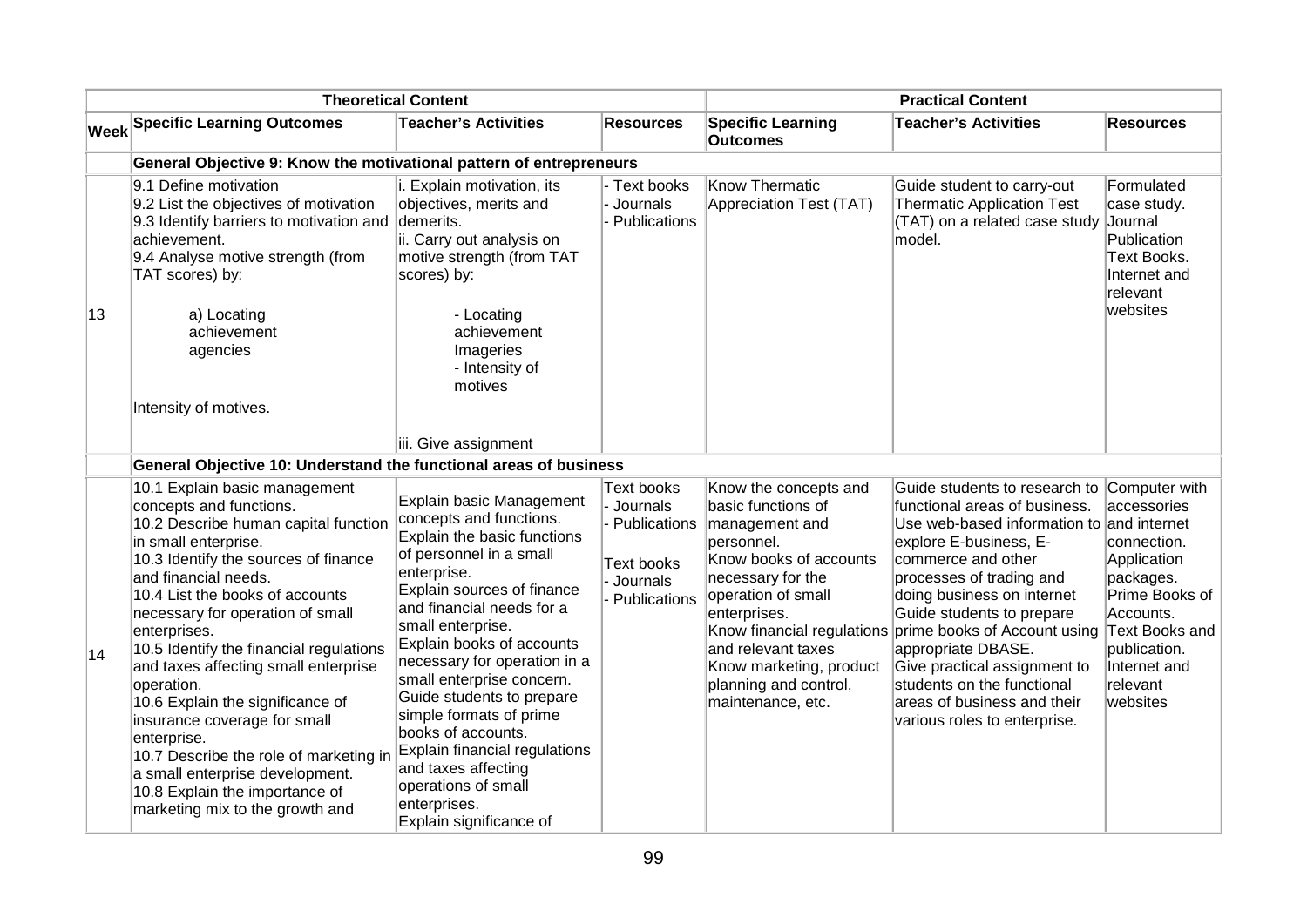| <b>Theoretical Content</b> |                                                                                                                                                                                                                                                                                                                                                                                                                                                                                                                                                                                                                       |                                                                                                                                                                                                                                                                                                                                                                                                                                                                                                                | <b>Practical Content</b>                                                                         |                                                                                                                                                                                                                                                                 |                                                                                                                                                                                                                                                                                                                                                                                                                                                                  |                                                                                                                                                                                  |
|----------------------------|-----------------------------------------------------------------------------------------------------------------------------------------------------------------------------------------------------------------------------------------------------------------------------------------------------------------------------------------------------------------------------------------------------------------------------------------------------------------------------------------------------------------------------------------------------------------------------------------------------------------------|----------------------------------------------------------------------------------------------------------------------------------------------------------------------------------------------------------------------------------------------------------------------------------------------------------------------------------------------------------------------------------------------------------------------------------------------------------------------------------------------------------------|--------------------------------------------------------------------------------------------------|-----------------------------------------------------------------------------------------------------------------------------------------------------------------------------------------------------------------------------------------------------------------|------------------------------------------------------------------------------------------------------------------------------------------------------------------------------------------------------------------------------------------------------------------------------------------------------------------------------------------------------------------------------------------------------------------------------------------------------------------|----------------------------------------------------------------------------------------------------------------------------------------------------------------------------------|
|                            | <b>Week Specific Learning Outcomes</b>                                                                                                                                                                                                                                                                                                                                                                                                                                                                                                                                                                                | <b>Teacher's Activities</b>                                                                                                                                                                                                                                                                                                                                                                                                                                                                                    | <b>Resources</b>                                                                                 | <b>Specific Learning</b><br><b>Outcomes</b>                                                                                                                                                                                                                     | <b>Teacher's Activities</b>                                                                                                                                                                                                                                                                                                                                                                                                                                      | <b>Resources</b>                                                                                                                                                                 |
|                            | General Objective 9: Know the motivational pattern of entrepreneurs                                                                                                                                                                                                                                                                                                                                                                                                                                                                                                                                                   |                                                                                                                                                                                                                                                                                                                                                                                                                                                                                                                |                                                                                                  |                                                                                                                                                                                                                                                                 |                                                                                                                                                                                                                                                                                                                                                                                                                                                                  |                                                                                                                                                                                  |
|                            | 9.1 Define motivation<br>9.2 List the objectives of motivation<br>9.3 Identify barriers to motivation and<br>achievement.<br>9.4 Analyse motive strength (from<br>TAT scores) by:                                                                                                                                                                                                                                                                                                                                                                                                                                     | i. Explain motivation, its<br>objectives, merits and<br>demerits.<br>ii. Carry out analysis on<br>motive strength (from TAT<br>scores) by:                                                                                                                                                                                                                                                                                                                                                                     | - Text books<br>Journals<br>- Publications                                                       | Know Thermatic<br>Appreciation Test (TAT)                                                                                                                                                                                                                       | Guide student to carry-out<br><b>Thermatic Application Test</b><br>(TAT) on a related case study<br>model.                                                                                                                                                                                                                                                                                                                                                       | Formulated<br>case study.<br>Journal<br>Publication<br><b>Text Books.</b><br>Internet and<br>relevant                                                                            |
| 13                         | a) Locating<br>achievement<br>agencies<br>Intensity of motives.                                                                                                                                                                                                                                                                                                                                                                                                                                                                                                                                                       | - Locating<br>achievement<br>Imageries<br>- Intensity of<br>motives<br>iii. Give assignment                                                                                                                                                                                                                                                                                                                                                                                                                    |                                                                                                  |                                                                                                                                                                                                                                                                 |                                                                                                                                                                                                                                                                                                                                                                                                                                                                  | websites                                                                                                                                                                         |
|                            | General Objective 10: Understand the functional areas of business                                                                                                                                                                                                                                                                                                                                                                                                                                                                                                                                                     |                                                                                                                                                                                                                                                                                                                                                                                                                                                                                                                |                                                                                                  |                                                                                                                                                                                                                                                                 |                                                                                                                                                                                                                                                                                                                                                                                                                                                                  |                                                                                                                                                                                  |
| 14                         | 10.1 Explain basic management<br>concepts and functions.<br>10.2 Describe human capital function<br>in small enterprise.<br>10.3 Identify the sources of finance<br>and financial needs.<br>10.4 List the books of accounts<br>necessary for operation of small<br>enterprises.<br>10.5 Identify the financial regulations<br>and taxes affecting small enterprise<br>operation.<br>10.6 Explain the significance of<br>insurance coverage for small<br>enterprise.<br>10.7 Describe the role of marketing in<br>a small enterprise development.<br>10.8 Explain the importance of<br>marketing mix to the growth and | Explain basic Management<br>concepts and functions.<br>Explain the basic functions<br>of personnel in a small<br>enterprise.<br>Explain sources of finance<br>and financial needs for a<br>small enterprise.<br>Explain books of accounts<br>necessary for operation in a<br>small enterprise concern.<br>Guide students to prepare<br>simple formats of prime<br>books of accounts.<br>Explain financial regulations<br>and taxes affecting<br>operations of small<br>enterprises.<br>Explain significance of | <b>Text books</b><br>Journals<br>- Publications<br><b>Text books</b><br>Journals<br>Publications | Know the concepts and<br>basic functions of<br>management and<br>personnel.<br>Know books of accounts<br>necessary for the<br>operation of small<br>enterprises.<br>and relevant taxes<br>Know marketing, product<br>planning and control,<br>maintenance, etc. | Guide students to research to<br>functional areas of business.<br>Use web-based information to and internet<br>explore E-business, E-<br>commerce and other<br>processes of trading and<br>doing business on internet<br>Guide students to prepare<br>Know financial regulations prime books of Account using<br>appropriate DBASE.<br>Give practical assignment to<br>students on the functional<br>areas of business and their<br>various roles to enterprise. | Computer with<br>accessories<br>connection.<br>Application<br>packages.<br>Prime Books of<br>Accounts.<br>Text Books and<br>publication.<br>Internet and<br>relevant<br>websites |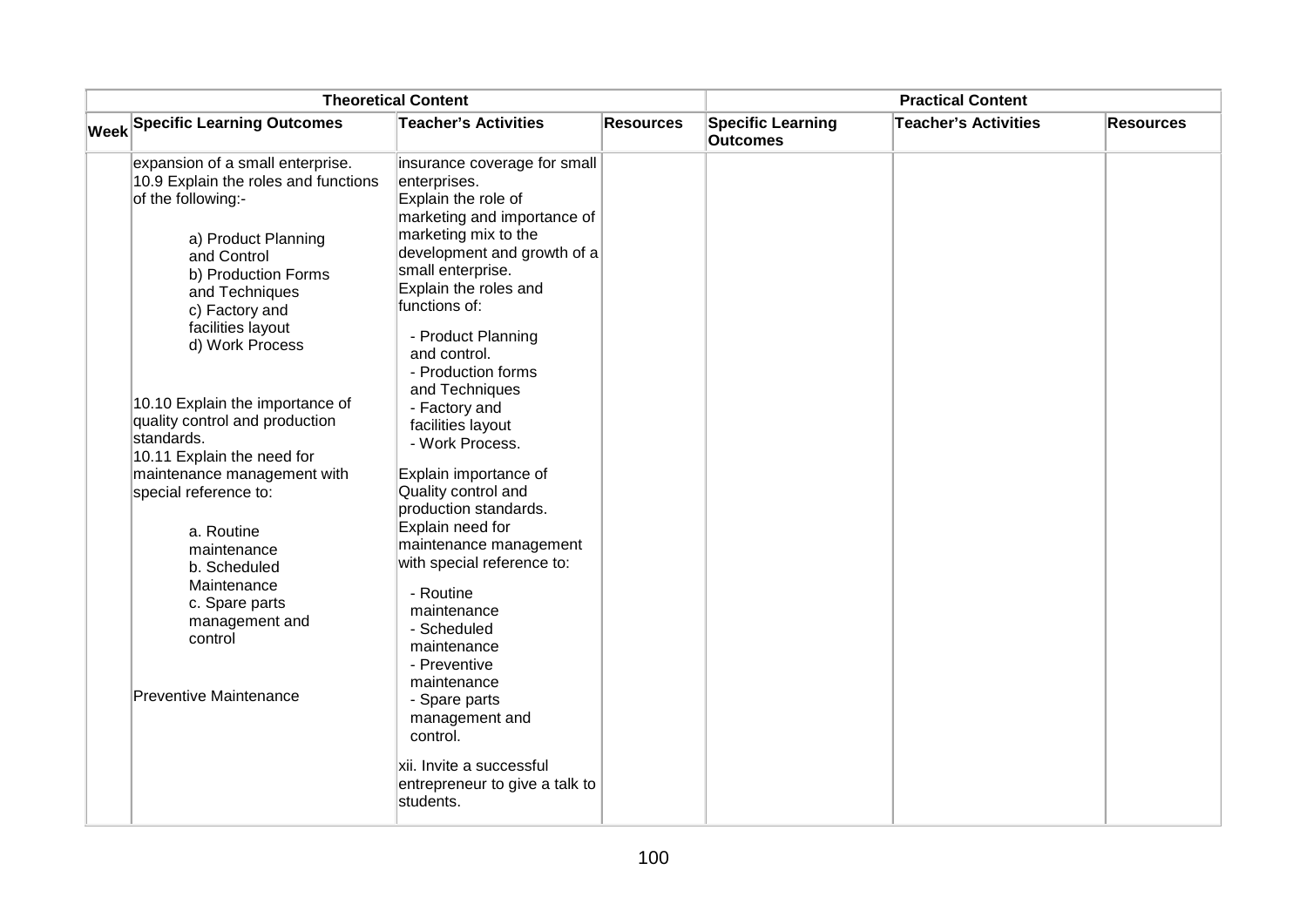| <b>Theoretical Content</b> |                                                                                                                                       |                                                                                                                                                          | <b>Practical Content</b> |                                             |                             |                  |
|----------------------------|---------------------------------------------------------------------------------------------------------------------------------------|----------------------------------------------------------------------------------------------------------------------------------------------------------|--------------------------|---------------------------------------------|-----------------------------|------------------|
|                            | <b>Week Specific Learning Outcomes</b>                                                                                                | <b>Teacher's Activities</b>                                                                                                                              | <b>Resources</b>         | <b>Specific Learning</b><br><b>Outcomes</b> | <b>Teacher's Activities</b> | <b>Resources</b> |
|                            | expansion of a small enterprise.<br>10.9 Explain the roles and functions<br>of the following:-                                        | insurance coverage for small<br>enterprises.<br>Explain the role of<br>marketing and importance of                                                       |                          |                                             |                             |                  |
|                            | a) Product Planning<br>and Control<br>b) Production Forms<br>and Techniques<br>c) Factory and<br>facilities layout<br>d) Work Process | marketing mix to the<br>development and growth of a<br>small enterprise.<br>Explain the roles and<br>functions of:<br>- Product Planning<br>and control. |                          |                                             |                             |                  |
|                            | 10.10 Explain the importance of<br>quality control and production<br>standards.<br>10.11 Explain the need for                         | - Production forms<br>and Techniques<br>- Factory and<br>facilities layout<br>- Work Process.                                                            |                          |                                             |                             |                  |
|                            | maintenance management with<br>special reference to:                                                                                  | Explain importance of<br>Quality control and<br>production standards.                                                                                    |                          |                                             |                             |                  |
|                            | a. Routine<br>maintenance<br>b. Scheduled                                                                                             | Explain need for<br>maintenance management<br>with special reference to:                                                                                 |                          |                                             |                             |                  |
|                            | Maintenance<br>c. Spare parts<br>management and<br>control                                                                            | - Routine<br>maintenance<br>- Scheduled<br>maintenance<br>- Preventive                                                                                   |                          |                                             |                             |                  |
|                            | <b>Preventive Maintenance</b>                                                                                                         | maintenance<br>- Spare parts<br>management and<br>control.                                                                                               |                          |                                             |                             |                  |
|                            |                                                                                                                                       | xii. Invite a successful<br>entrepreneur to give a talk to<br>students.                                                                                  |                          |                                             |                             |                  |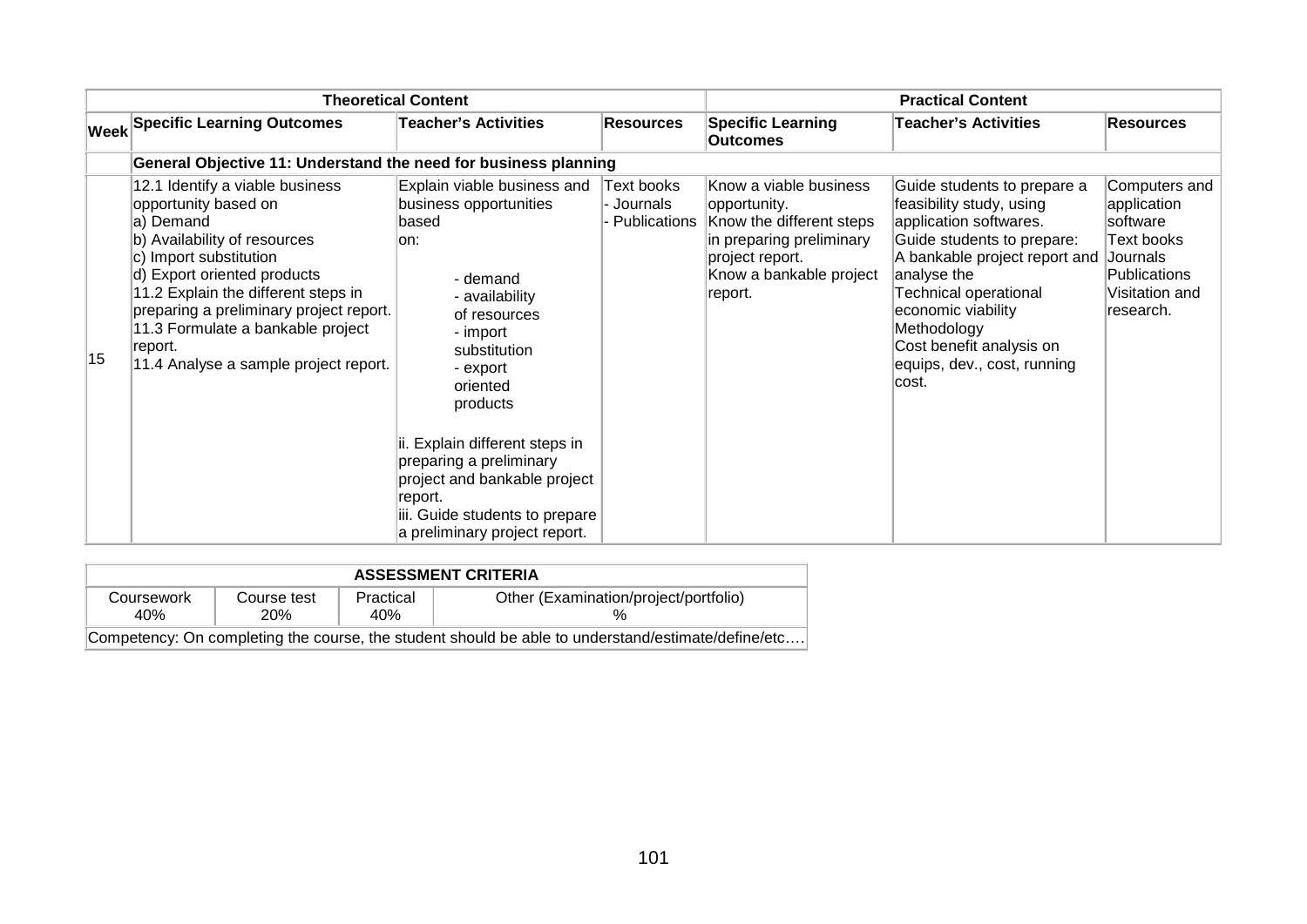|    |                                                                                                                                                                                                                                                                                                                                          | <b>Theoretical Content</b>                                                                                                                                                                                                                                                                                                                                       |                                          |                                                                                                                                                         | <b>Practical Content</b>                                                                                                                                                                                                                                                                                 |                                                                                                                   |
|----|------------------------------------------------------------------------------------------------------------------------------------------------------------------------------------------------------------------------------------------------------------------------------------------------------------------------------------------|------------------------------------------------------------------------------------------------------------------------------------------------------------------------------------------------------------------------------------------------------------------------------------------------------------------------------------------------------------------|------------------------------------------|---------------------------------------------------------------------------------------------------------------------------------------------------------|----------------------------------------------------------------------------------------------------------------------------------------------------------------------------------------------------------------------------------------------------------------------------------------------------------|-------------------------------------------------------------------------------------------------------------------|
|    | <b>Week Specific Learning Outcomes</b>                                                                                                                                                                                                                                                                                                   | <b>Teacher's Activities</b>                                                                                                                                                                                                                                                                                                                                      | <b>Resources</b>                         | <b>Specific Learning</b><br><b>Outcomes</b>                                                                                                             | <b>Teacher's Activities</b>                                                                                                                                                                                                                                                                              | <b>Resources</b>                                                                                                  |
|    | General Objective 11: Understand the need for business planning                                                                                                                                                                                                                                                                          |                                                                                                                                                                                                                                                                                                                                                                  |                                          |                                                                                                                                                         |                                                                                                                                                                                                                                                                                                          |                                                                                                                   |
| 15 | 12.1 Identify a viable business<br>opportunity based on<br>a) Demand<br>b) Availability of resources<br>c) Import substitution<br>d) Export oriented products<br>11.2 Explain the different steps in<br>preparing a preliminary project report.<br>11.3 Formulate a bankable project<br>report.<br>11.4 Analyse a sample project report. | Explain viable business and<br>business opportunities<br>lbased<br>lon:<br>- demand<br>- availability<br>of resources<br>- import<br>substitution<br>- export<br>oriented<br>products<br>ii. Explain different steps in<br>preparing a preliminary<br>project and bankable project<br>report.<br>iii. Guide students to prepare<br>a preliminary project report. | Text books<br>- Journals<br>Publications | Know a viable business<br>opportunity.<br>Know the different steps<br>in preparing preliminary<br>project report.<br>Know a bankable project<br>report. | Guide students to prepare a<br>feasibility study, using<br>application softwares.<br>Guide students to prepare:<br>A bankable project report and<br>analyse the<br><b>Technical operational</b><br>economic viability<br>Methodology<br>Cost benefit analysis on<br>equips, dev., cost, running<br>cost. | Computers and<br>application<br>software<br>Text books<br>Journals<br>Publications<br>Visitation and<br>research. |

| <b>ASSESSMENT CRITERIA</b> |                                                                                                    |                  |                                       |  |  |  |  |  |
|----------------------------|----------------------------------------------------------------------------------------------------|------------------|---------------------------------------|--|--|--|--|--|
| Coursework<br>40%          | Course test<br><b>20%</b>                                                                          | Practical<br>40% | Other (Examination/project/portfolio) |  |  |  |  |  |
|                            | Competency: On completing the course, the student should be able to understand/estimate/define/etc |                  |                                       |  |  |  |  |  |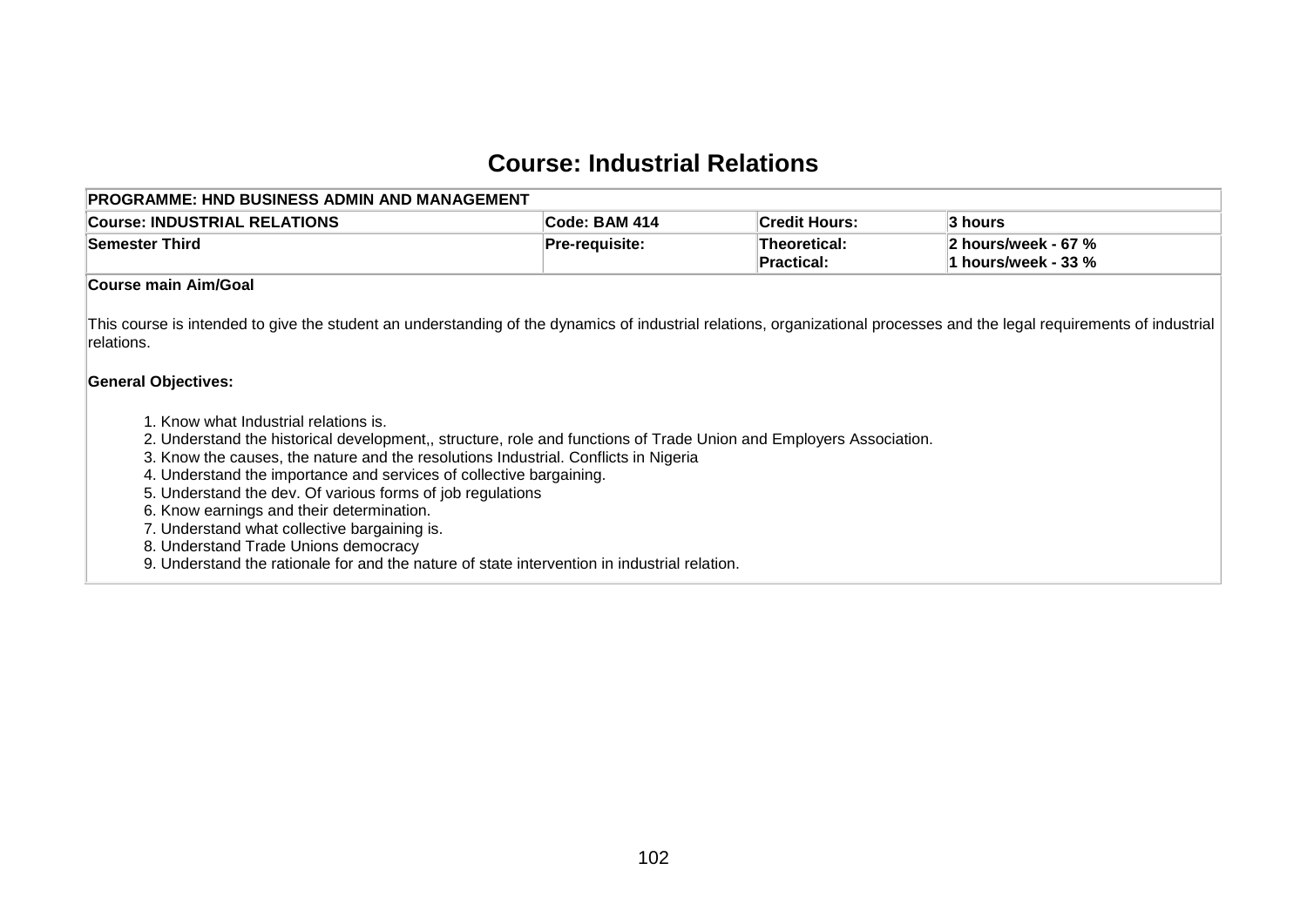## **Course: Industrial Relations**

| PROGRAMME: HND BUSINESS ADMIN AND MANAGEMENT                                                                                                                                                                                                                                                                                                                                                                                                                                                                                                                                                                                 |                       |                                   |                                              |
|------------------------------------------------------------------------------------------------------------------------------------------------------------------------------------------------------------------------------------------------------------------------------------------------------------------------------------------------------------------------------------------------------------------------------------------------------------------------------------------------------------------------------------------------------------------------------------------------------------------------------|-----------------------|-----------------------------------|----------------------------------------------|
| <b>Course: INDUSTRIAL RELATIONS</b>                                                                                                                                                                                                                                                                                                                                                                                                                                                                                                                                                                                          | Code: BAM 414         | <b>Credit Hours:</b>              | 3 hours                                      |
| <b>Semester Third</b>                                                                                                                                                                                                                                                                                                                                                                                                                                                                                                                                                                                                        | <b>Pre-requisite:</b> | <b>Theoretical:</b><br>Practical: | 2 hours/week - 67 %<br>1 hours/week - $33\%$ |
| Course main Aim/Goal                                                                                                                                                                                                                                                                                                                                                                                                                                                                                                                                                                                                         |                       |                                   |                                              |
| This course is intended to give the student an understanding of the dynamics of industrial relations, organizational processes and the legal requirements of industrial<br>relations.<br><b>General Objectives:</b>                                                                                                                                                                                                                                                                                                                                                                                                          |                       |                                   |                                              |
| 1. Know what Industrial relations is.<br>2. Understand the historical development,, structure, role and functions of Trade Union and Employers Association.<br>3. Know the causes, the nature and the resolutions Industrial. Conflicts in Nigeria<br>4. Understand the importance and services of collective bargaining.<br>5. Understand the dev. Of various forms of job regulations<br>6. Know earnings and their determination.<br>7. Understand what collective bargaining is.<br>8. Understand Trade Unions democracy<br>9. Understand the rationale for and the nature of state intervention in industrial relation. |                       |                                   |                                              |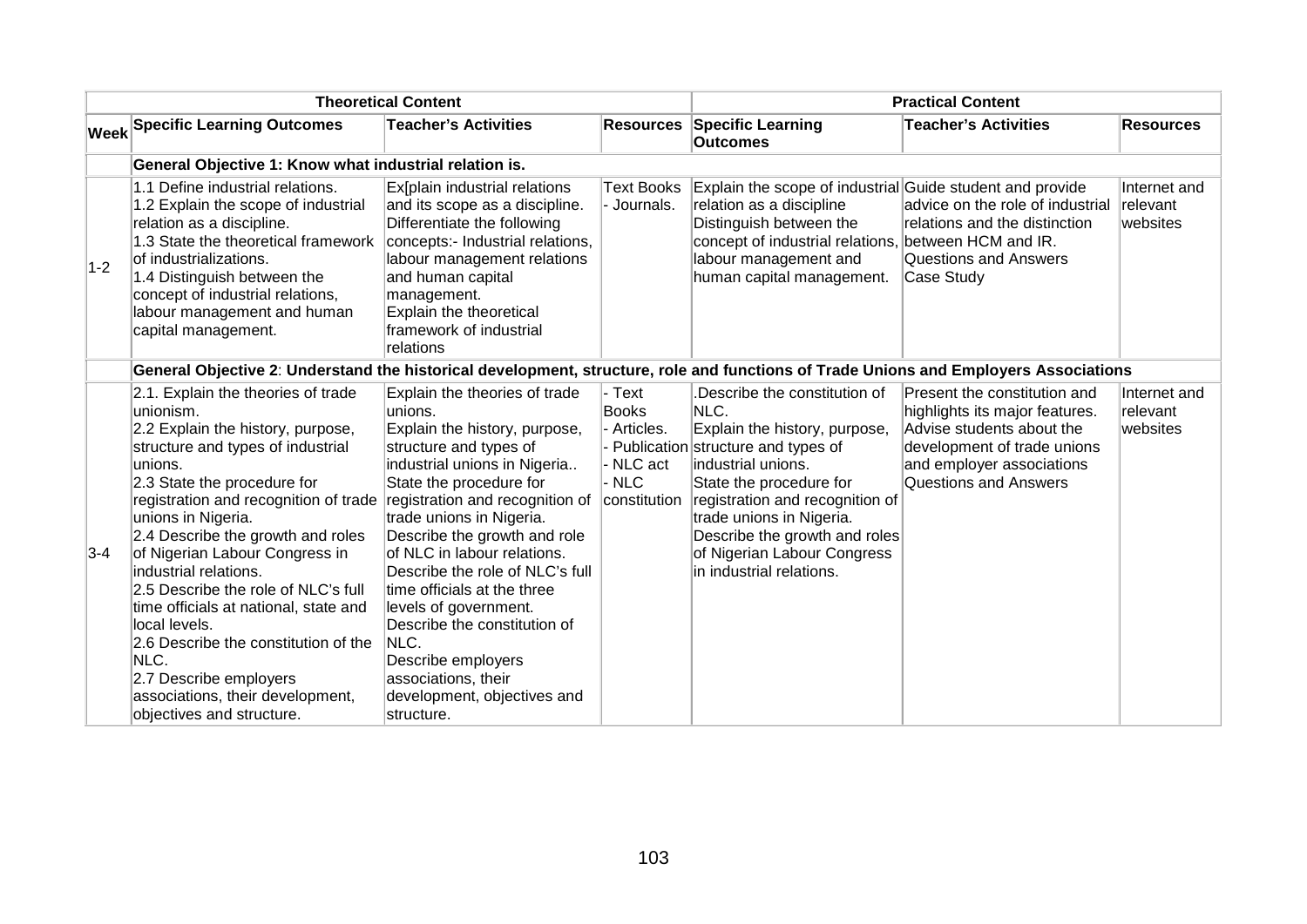| <b>Theoretical Content</b> |                                                                                                                                                                                                                                                                                                                                                                                                                                                                                                                                                                                   |                                                                                                                                                                                                                                                                                                                                                                                                                                                                                                                           |                                                                           | <b>Practical Content</b>                                                                                                                                                                                                                                                                                                |                                                                                                                                                                                         |                                      |
|----------------------------|-----------------------------------------------------------------------------------------------------------------------------------------------------------------------------------------------------------------------------------------------------------------------------------------------------------------------------------------------------------------------------------------------------------------------------------------------------------------------------------------------------------------------------------------------------------------------------------|---------------------------------------------------------------------------------------------------------------------------------------------------------------------------------------------------------------------------------------------------------------------------------------------------------------------------------------------------------------------------------------------------------------------------------------------------------------------------------------------------------------------------|---------------------------------------------------------------------------|-------------------------------------------------------------------------------------------------------------------------------------------------------------------------------------------------------------------------------------------------------------------------------------------------------------------------|-----------------------------------------------------------------------------------------------------------------------------------------------------------------------------------------|--------------------------------------|
|                            | <b>Week Specific Learning Outcomes</b>                                                                                                                                                                                                                                                                                                                                                                                                                                                                                                                                            | <b>Teacher's Activities</b>                                                                                                                                                                                                                                                                                                                                                                                                                                                                                               |                                                                           | <b>Resources Specific Learning</b><br><b>Outcomes</b>                                                                                                                                                                                                                                                                   | <b>Teacher's Activities</b>                                                                                                                                                             | <b>Resources</b>                     |
|                            | General Objective 1: Know what industrial relation is.                                                                                                                                                                                                                                                                                                                                                                                                                                                                                                                            |                                                                                                                                                                                                                                                                                                                                                                                                                                                                                                                           |                                                                           |                                                                                                                                                                                                                                                                                                                         |                                                                                                                                                                                         |                                      |
| $1-2$                      | 1.1 Define industrial relations.<br>1.2 Explain the scope of industrial<br>relation as a discipline.<br>1.3 State the theoretical framework<br>of industrializations.<br>1.4 Distinguish between the<br>concept of industrial relations,<br>labour management and human<br>capital management.                                                                                                                                                                                                                                                                                    | Ex[plain industrial relations<br>and its scope as a discipline.<br>Differentiate the following<br>concepts:- Industrial relations,<br>labour management relations<br>and human capital<br>management.<br>Explain the theoretical<br>framework of industrial<br>relations                                                                                                                                                                                                                                                  | <b>Text Books</b><br>- Journals.                                          | Explain the scope of industrial Guide student and provide<br>relation as a discipline<br>Distinguish between the<br>concept of industrial relations,<br>labour management and<br>human capital management.                                                                                                              | advice on the role of industrial<br>relations and the distinction<br>between HCM and IR.<br><b>Questions and Answers</b><br>Case Study                                                  | Internet and<br>relevant<br>websites |
|                            | General Objective 2: Understand the historical development, structure, role and functions of Trade Unions and Employers Associations                                                                                                                                                                                                                                                                                                                                                                                                                                              |                                                                                                                                                                                                                                                                                                                                                                                                                                                                                                                           |                                                                           |                                                                                                                                                                                                                                                                                                                         |                                                                                                                                                                                         |                                      |
| $3 - 4$                    | 2.1. Explain the theories of trade<br>lunionism.<br>2.2 Explain the history, purpose,<br>structure and types of industrial<br>lunions.<br>2.3 State the procedure for<br>registration and recognition of trade<br>unions in Nigeria.<br>2.4 Describe the growth and roles<br>of Nigerian Labour Congress in<br>industrial relations.<br>2.5 Describe the role of NLC's full<br>time officials at national, state and<br>llocal levels.<br>2.6 Describe the constitution of the<br>NLC.<br>2.7 Describe employers<br>associations, their development,<br>objectives and structure. | Explain the theories of trade<br>unions.<br>Explain the history, purpose,<br>structure and types of<br>industrial unions in Nigeria<br>State the procedure for<br>registration and recognition of<br>trade unions in Nigeria.<br>Describe the growth and role<br>of NLC in labour relations.<br>Describe the role of NLC's full<br>time officials at the three<br>levels of government.<br>Describe the constitution of<br>NLC.<br>Describe employers<br>associations, their<br>development, objectives and<br>structure. | - Text<br><b>Books</b><br>Articles.<br>- NLC act<br>- NLC<br>constitution | Describe the constitution of<br>NLC.<br>Explain the history, purpose,<br>Publication structure and types of<br>industrial unions.<br>State the procedure for<br>registration and recognition of<br>trade unions in Nigeria.<br>Describe the growth and roles<br>of Nigerian Labour Congress<br>in industrial relations. | Present the constitution and<br>highlights its major features.<br>Advise students about the<br>development of trade unions<br>and employer associations<br><b>Questions and Answers</b> | Internet and<br>relevant<br>websites |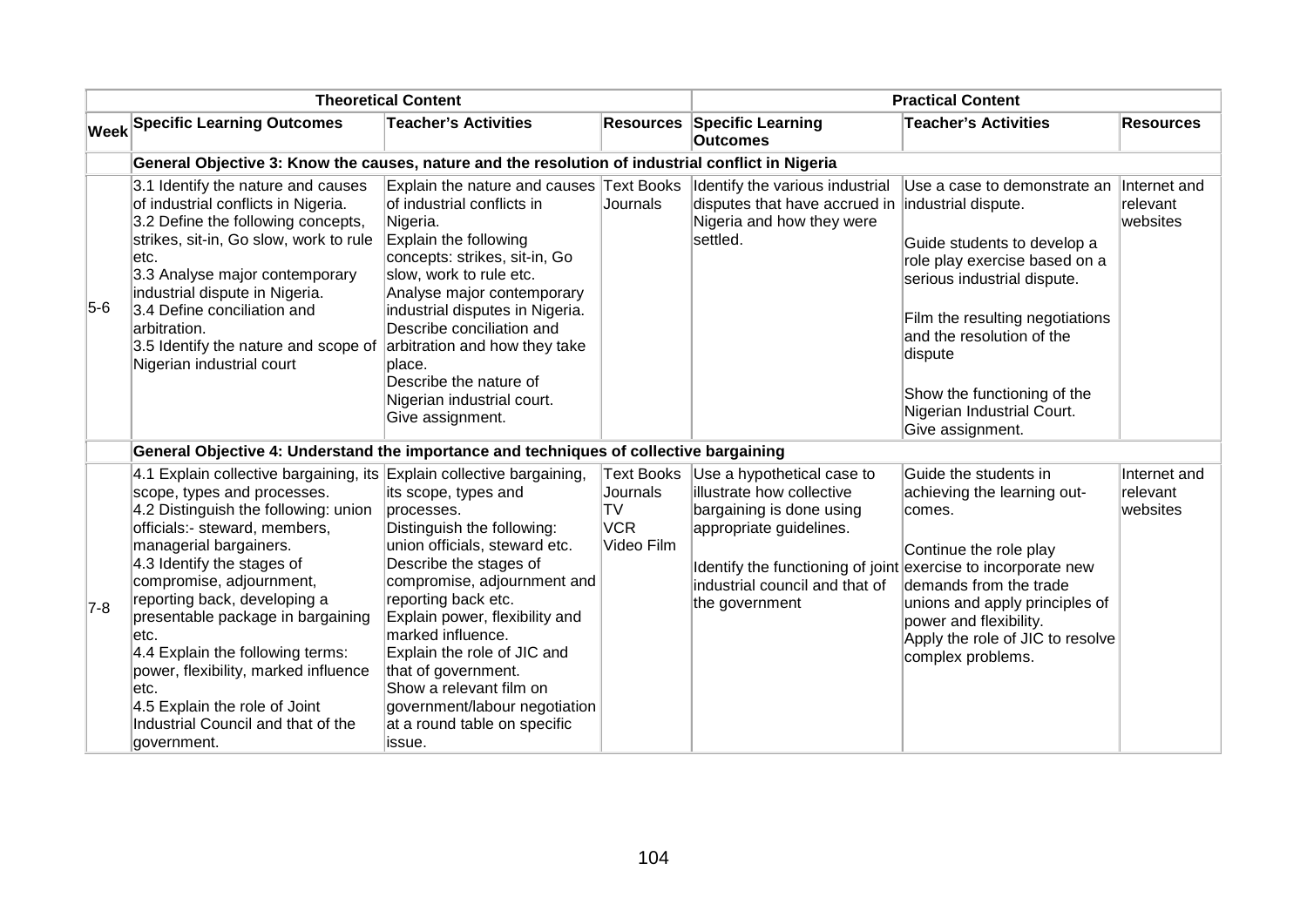| <b>Theoretical Content</b> |                                                                                                                                                                                                                                                                                                                                                                                                                                                                                                                          |                                                                                                                                                                                                                                                                                                                                                                                                      |                                                                        | <b>Practical Content</b>                                                                                                                                                                                                            |                                                                                                                                                                                                                                                                                                                |                                      |  |  |  |
|----------------------------|--------------------------------------------------------------------------------------------------------------------------------------------------------------------------------------------------------------------------------------------------------------------------------------------------------------------------------------------------------------------------------------------------------------------------------------------------------------------------------------------------------------------------|------------------------------------------------------------------------------------------------------------------------------------------------------------------------------------------------------------------------------------------------------------------------------------------------------------------------------------------------------------------------------------------------------|------------------------------------------------------------------------|-------------------------------------------------------------------------------------------------------------------------------------------------------------------------------------------------------------------------------------|----------------------------------------------------------------------------------------------------------------------------------------------------------------------------------------------------------------------------------------------------------------------------------------------------------------|--------------------------------------|--|--|--|
|                            | <b>Week Specific Learning Outcomes</b>                                                                                                                                                                                                                                                                                                                                                                                                                                                                                   | <b>Teacher's Activities</b>                                                                                                                                                                                                                                                                                                                                                                          |                                                                        | <b>Resources Specific Learning</b><br><b>Outcomes</b>                                                                                                                                                                               | <b>Teacher's Activities</b>                                                                                                                                                                                                                                                                                    | <b>Resources</b>                     |  |  |  |
|                            |                                                                                                                                                                                                                                                                                                                                                                                                                                                                                                                          | General Objective 3: Know the causes, nature and the resolution of industrial conflict in Nigeria                                                                                                                                                                                                                                                                                                    |                                                                        |                                                                                                                                                                                                                                     |                                                                                                                                                                                                                                                                                                                |                                      |  |  |  |
| $5-6$                      | 3.1 Identify the nature and causes<br>of industrial conflicts in Nigeria.<br>3.2 Define the following concepts,<br>strikes, sit-in, Go slow, work to rule<br>letc.<br>3.3 Analyse major contemporary<br>industrial dispute in Nigeria.<br>3.4 Define conciliation and<br>arbitration.<br>3.5 Identify the nature and scope of<br>Nigerian industrial court                                                                                                                                                               | Explain the nature and causes Text Books<br>of industrial conflicts in<br>Nigeria.<br>Explain the following<br>concepts: strikes, sit-in, Go<br>slow, work to rule etc.<br>Analyse major contemporary<br>industrial disputes in Nigeria.<br>Describe conciliation and<br>arbitration and how they take<br>place.<br>Describe the nature of<br>Nigerian industrial court.<br>Give assignment.         | Journals                                                               | Identify the various industrial<br>disputes that have accrued in<br>Nigeria and how they were<br>settled.                                                                                                                           | Use a case to demonstrate an<br>industrial dispute.<br>Guide students to develop a<br>role play exercise based on a<br>serious industrial dispute.<br>Film the resulting negotiations<br>and the resolution of the<br>dispute<br>Show the functioning of the<br>Nigerian Industrial Court.<br>Give assignment. | Internet and<br>relevant<br>websites |  |  |  |
|                            |                                                                                                                                                                                                                                                                                                                                                                                                                                                                                                                          | General Objective 4: Understand the importance and techniques of collective bargaining                                                                                                                                                                                                                                                                                                               |                                                                        |                                                                                                                                                                                                                                     |                                                                                                                                                                                                                                                                                                                |                                      |  |  |  |
| $7-8$                      | 4.1 Explain collective bargaining, its Explain collective bargaining,<br>scope, types and processes.<br>4.2 Distinguish the following: union<br>officials:- steward, members,<br>managerial bargainers.<br>4.3 Identify the stages of<br>compromise, adjournment,<br>reporting back, developing a<br>presentable package in bargaining<br>etc.<br>4.4 Explain the following terms:<br>power, flexibility, marked influence<br>etc.<br>4.5 Explain the role of Joint<br>Industrial Council and that of the<br>government. | its scope, types and<br>processes.<br>Distinguish the following:<br>union officials, steward etc.<br>Describe the stages of<br>compromise, adjournment and<br>reporting back etc.<br>Explain power, flexibility and<br>marked influence.<br>Explain the role of JIC and<br>that of government.<br>Show a relevant film on<br>government/labour negotiation<br>at a round table on specific<br>issue. | <b>Text Books</b><br>Journals<br><b>TV</b><br><b>VCR</b><br>Video Film | Use a hypothetical case to<br>illustrate how collective<br>bargaining is done using<br>appropriate guidelines.<br>Identify the functioning of joint exercise to incorporate new<br>industrial council and that of<br>the government | Guide the students in<br>achieving the learning out-<br>comes.<br>Continue the role play<br>demands from the trade<br>unions and apply principles of<br>power and flexibility.<br>Apply the role of JIC to resolve<br>complex problems.                                                                        | Internet and<br>relevant<br>websites |  |  |  |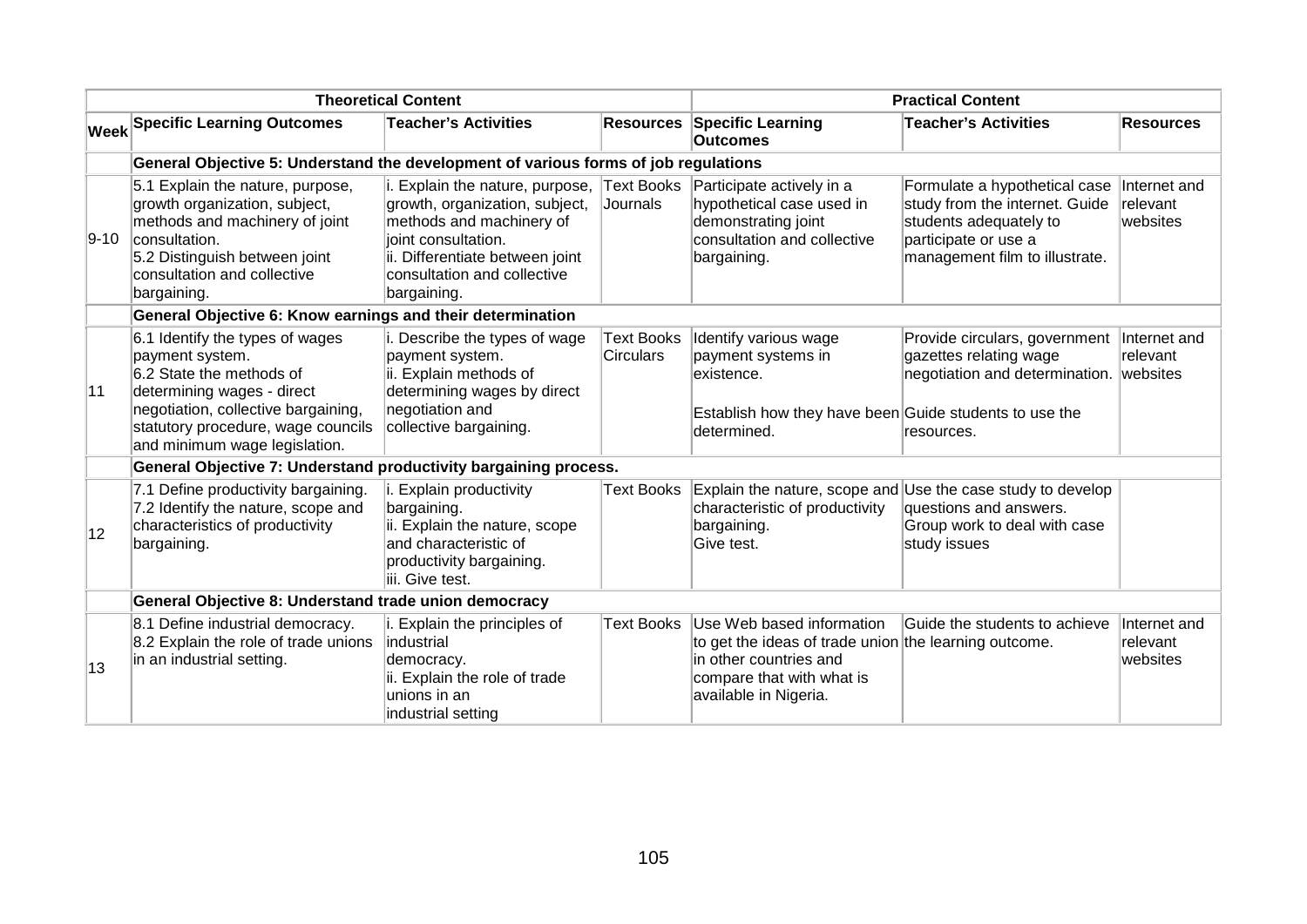| <b>Theoretical Content</b>                                       |                                                                                                                                                                                                                            |                                                                                                                                                                                                                   |                                       | <b>Practical Content</b>                                                                                                                                           |                                                                                                                                                     |                                      |  |
|------------------------------------------------------------------|----------------------------------------------------------------------------------------------------------------------------------------------------------------------------------------------------------------------------|-------------------------------------------------------------------------------------------------------------------------------------------------------------------------------------------------------------------|---------------------------------------|--------------------------------------------------------------------------------------------------------------------------------------------------------------------|-----------------------------------------------------------------------------------------------------------------------------------------------------|--------------------------------------|--|
|                                                                  | <b>Week Specific Learning Outcomes</b>                                                                                                                                                                                     | <b>Teacher's Activities</b>                                                                                                                                                                                       |                                       | <b>Resources Specific Learning</b><br><b>Outcomes</b>                                                                                                              | <b>Teacher's Activities</b>                                                                                                                         | <b>Resources</b>                     |  |
|                                                                  | General Objective 5: Understand the development of various forms of job regulations                                                                                                                                        |                                                                                                                                                                                                                   |                                       |                                                                                                                                                                    |                                                                                                                                                     |                                      |  |
| $9-10$                                                           | 5.1 Explain the nature, purpose,<br>growth organization, subject,<br>methods and machinery of joint<br>consultation.<br>5.2 Distinguish between joint<br>consultation and collective<br>bargaining.                        | i. Explain the nature, purpose, Text Books<br>growth, organization, subject,<br>methods and machinery of<br>lioint consultation.<br>ii. Differentiate between joint<br>consultation and collective<br>bargaining. | Journals                              | Participate actively in a<br>hypothetical case used in<br>demonstrating joint<br>consultation and collective<br>bargaining.                                        | Formulate a hypothetical case<br>study from the internet. Guide<br>students adequately to<br>participate or use a<br>management film to illustrate. | Internet and<br>relevant<br>websites |  |
|                                                                  | General Objective 6: Know earnings and their determination                                                                                                                                                                 |                                                                                                                                                                                                                   |                                       |                                                                                                                                                                    |                                                                                                                                                     |                                      |  |
| 11                                                               | 6.1 Identify the types of wages<br>payment system.<br>6.2 State the methods of<br>determining wages - direct<br>negotiation, collective bargaining,<br>statutory procedure, wage councils<br>and minimum wage legislation. | i. Describe the types of wage<br>payment system.<br>ii. Explain methods of<br>determining wages by direct<br>negotiation and<br>collective bargaining.                                                            | <b>Text Books</b><br><b>Circulars</b> | Identify various wage<br>payment systems in<br>existence.<br>Establish how they have been Guide students to use the<br>determined.                                 | Provide circulars, government<br>gazettes relating wage<br>negotiation and determination.  websites<br>resources.                                   | Internet and<br>relevant             |  |
| General Objective 7: Understand productivity bargaining process. |                                                                                                                                                                                                                            |                                                                                                                                                                                                                   |                                       |                                                                                                                                                                    |                                                                                                                                                     |                                      |  |
| 12                                                               | 7.1 Define productivity bargaining.<br>7.2 Identify the nature, scope and<br>characteristics of productivity<br>bargaining.                                                                                                | Explain productivity<br>bargaining.<br>ii. Explain the nature, scope<br>and characteristic of<br>productivity bargaining.<br>iii. Give test.                                                                      | <b>Text Books</b>                     | characteristic of productivity<br>bargaining.<br>Give test.                                                                                                        | Explain the nature, scope and Use the case study to develop<br>questions and answers.<br>Group work to deal with case<br>study issues               |                                      |  |
|                                                                  | General Objective 8: Understand trade union democracy                                                                                                                                                                      |                                                                                                                                                                                                                   |                                       |                                                                                                                                                                    |                                                                                                                                                     |                                      |  |
| 13                                                               | 8.1 Define industrial democracy.<br>8.2 Explain the role of trade unions<br>in an industrial setting.                                                                                                                      | i. Explain the principles of<br>lindustrial<br>democracy.<br>ii. Explain the role of trade<br>lunions in an<br>industrial setting                                                                                 | <b>Text Books</b>                     | Use Web based information<br>to get the ideas of trade union the learning outcome.<br>in other countries and<br>compare that with what is<br>available in Nigeria. | Guide the students to achieve                                                                                                                       | Internet and<br>relevant<br>websites |  |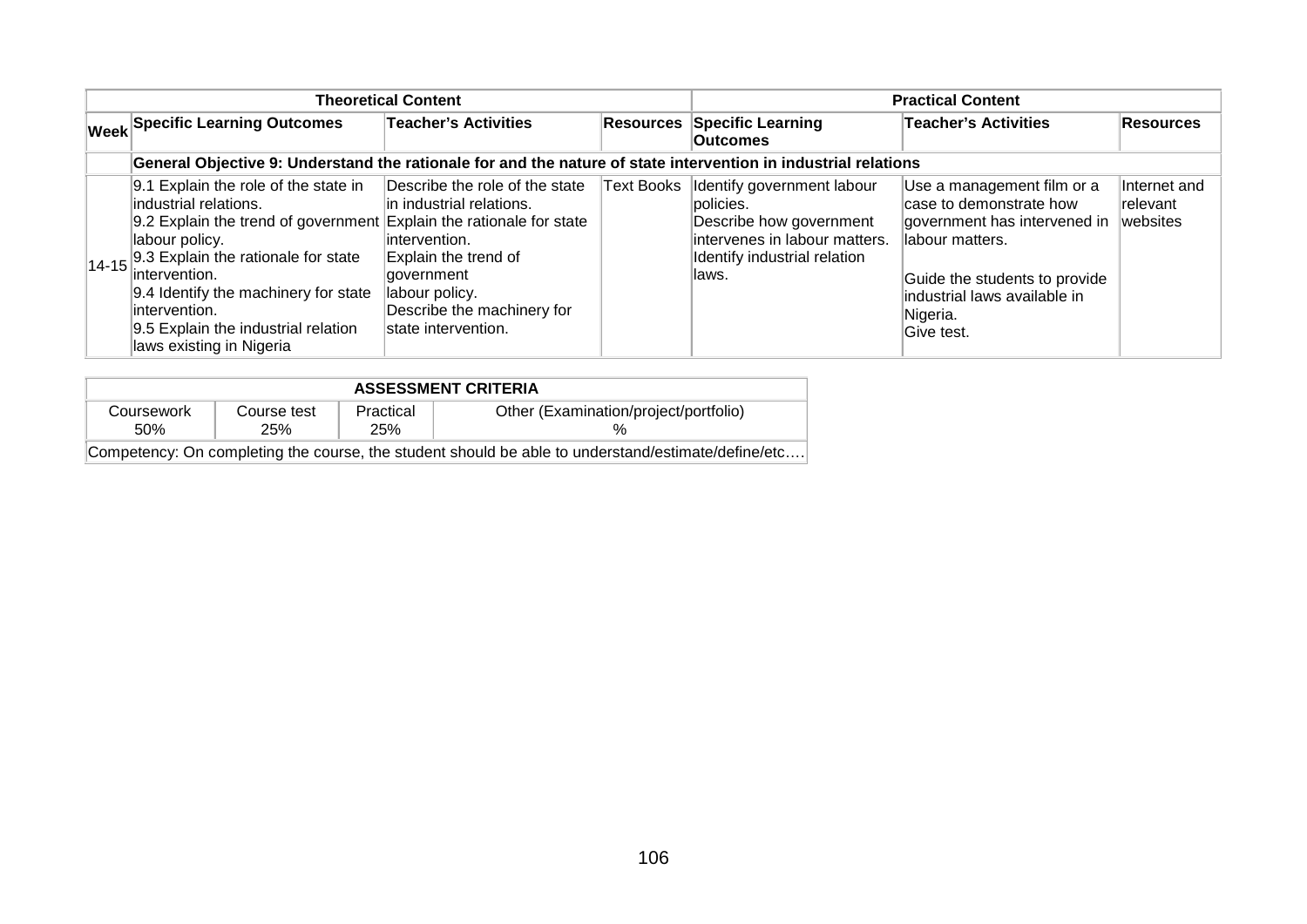| <b>Theoretical Content</b> |                                                                                                                                                                                                                                                                                                                                                    |                                                                                                                                                                                           |  | <b>Practical Content</b>                                                                                                                                   |                                                                                                                                                                                                      |                                       |
|----------------------------|----------------------------------------------------------------------------------------------------------------------------------------------------------------------------------------------------------------------------------------------------------------------------------------------------------------------------------------------------|-------------------------------------------------------------------------------------------------------------------------------------------------------------------------------------------|--|------------------------------------------------------------------------------------------------------------------------------------------------------------|------------------------------------------------------------------------------------------------------------------------------------------------------------------------------------------------------|---------------------------------------|
|                            | <b>Week Specific Learning Outcomes</b>                                                                                                                                                                                                                                                                                                             | <b>Teacher's Activities</b>                                                                                                                                                               |  | <b>Resources Specific Learning</b><br><b>Outcomes</b>                                                                                                      | <b>Teacher's Activities</b>                                                                                                                                                                          | Resources                             |
|                            | General Objective 9: Understand the rationale for and the nature of state intervention in industrial relations                                                                                                                                                                                                                                     |                                                                                                                                                                                           |  |                                                                                                                                                            |                                                                                                                                                                                                      |                                       |
|                            | 9.1 Explain the role of the state in<br>industrial relations.<br>9.2 Explain the trend of government Explain the rationale for state<br>labour policy.<br>14-15 9.3 Explain the rationale for state<br>lintervention.<br>9.4 Identify the machinery for state<br>lintervention.<br>9.5 Explain the industrial relation<br>laws existing in Nigeria | Describe the role of the state<br>in industrial relations.<br>lintervention.<br>Explain the trend of<br>government<br>labour policy.<br>Describe the machinery for<br>state intervention. |  | Text Books  Identify government labour<br>policies.<br>Describe how government<br>lintervenes in labour matters.<br>Identify industrial relation<br>llaws. | Use a management film or a<br>case to demonstrate how<br>government has intervened in<br>llabour matters.<br>Guide the students to provide<br>industrial laws available in<br>Nigeria.<br>Give test. | Internet and<br>Irelevant<br>websites |

| <b>ASSESSMENT CRITERIA</b>                                                                         |                    |                  |                                       |  |  |
|----------------------------------------------------------------------------------------------------|--------------------|------------------|---------------------------------------|--|--|
| Coursework<br>.50%                                                                                 | Course test<br>25% | Practical<br>25% | Other (Examination/project/portfolio) |  |  |
| Competency: On completing the course, the student should be able to understand/estimate/define/etc |                    |                  |                                       |  |  |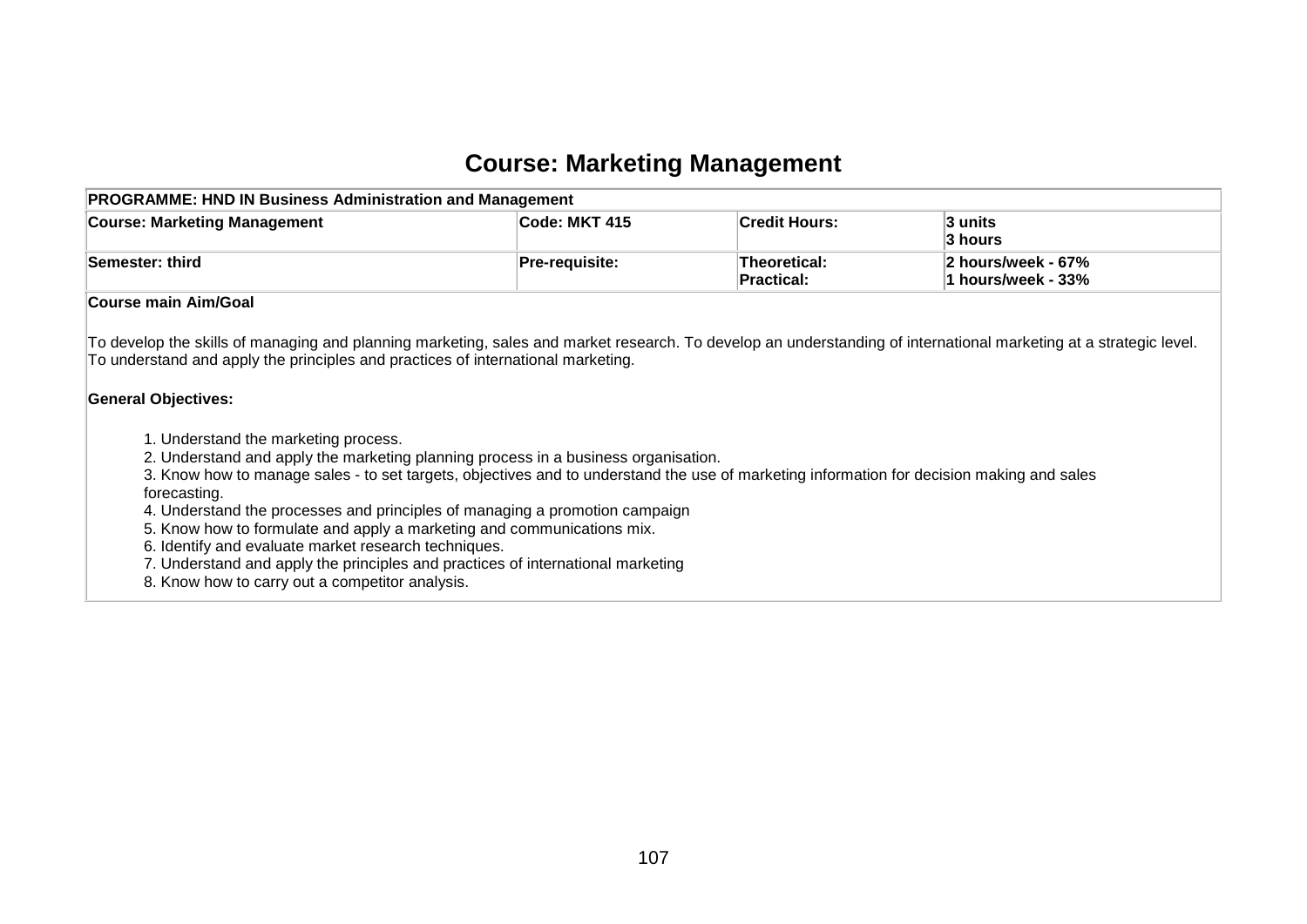#### **Course: Marketing Management**

| <b>PROGRAMME: HND IN Business Administration and Management</b> |                       |                                   |                                                      |  |  |  |  |  |
|-----------------------------------------------------------------|-----------------------|-----------------------------------|------------------------------------------------------|--|--|--|--|--|
| <b>Course: Marketing Management</b>                             | <b>Code: MKT 415</b>  | <b>Credit Hours:</b>              | 3 units<br>3 hours                                   |  |  |  |  |  |
| Semester: third                                                 | <b>Pre-requisite:</b> | <b>Theoretical:</b><br>Practical: | $ 2 \text{ hours/week} - 67\%$<br>1 hours/week - 33% |  |  |  |  |  |
| <b>Course main Aim/Goal</b>                                     |                       |                                   |                                                      |  |  |  |  |  |

To develop the skills of managing and planning marketing, sales and market research. To develop an understanding of international marketing at a strategic level. To understand and apply the principles and practices of international marketing.

#### **General Objectives:**

- 1. Understand the marketing process.
- 2. Understand and apply the marketing planning process in a business organisation.
- 3. Know how to manage sales to set targets, objectives and to understand the use of marketing information for decision making and sales forecasting.
- 4. Understand the processes and principles of managing a promotion campaign
- 5. Know how to formulate and apply a marketing and communications mix.
- 6. Identify and evaluate market research techniques.
- 7. Understand and apply the principles and practices of international marketing
- 8. Know how to carry out a competitor analysis.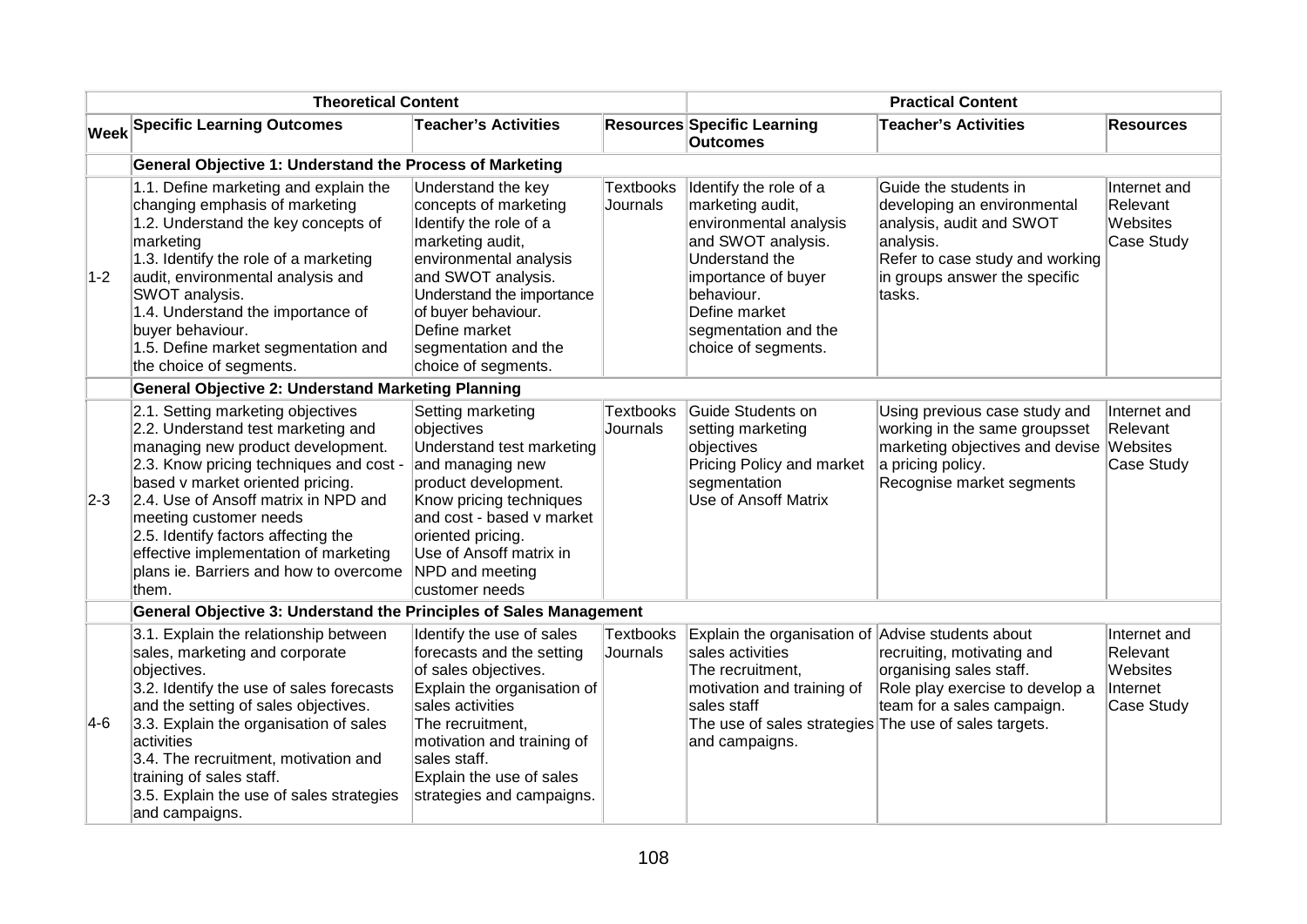|             | <b>Theoretical Content</b>                                                                                                                                                                                                                                                                                                                                                                       |                                                                                                                                                                                                                                                                                               |                              | <b>Practical Content</b>                                                                                                                                                                                          |                                                                                                                                                                             |                                                                |  |
|-------------|--------------------------------------------------------------------------------------------------------------------------------------------------------------------------------------------------------------------------------------------------------------------------------------------------------------------------------------------------------------------------------------------------|-----------------------------------------------------------------------------------------------------------------------------------------------------------------------------------------------------------------------------------------------------------------------------------------------|------------------------------|-------------------------------------------------------------------------------------------------------------------------------------------------------------------------------------------------------------------|-----------------------------------------------------------------------------------------------------------------------------------------------------------------------------|----------------------------------------------------------------|--|
| <b>Week</b> | <b>Specific Learning Outcomes</b>                                                                                                                                                                                                                                                                                                                                                                | <b>Teacher's Activities</b>                                                                                                                                                                                                                                                                   |                              | <b>Resources Specific Learning</b><br><b>Outcomes</b>                                                                                                                                                             | <b>Teacher's Activities</b>                                                                                                                                                 | <b>Resources</b>                                               |  |
|             | General Objective 1: Understand the Process of Marketing                                                                                                                                                                                                                                                                                                                                         |                                                                                                                                                                                                                                                                                               |                              |                                                                                                                                                                                                                   |                                                                                                                                                                             |                                                                |  |
| $1-2$       | 1.1. Define marketing and explain the<br>changing emphasis of marketing<br>1.2. Understand the key concepts of<br>marketing<br>1.3. Identify the role of a marketing<br>audit, environmental analysis and<br>SWOT analysis.<br>1.4. Understand the importance of<br>buyer behaviour.<br>1.5. Define market segmentation and<br>the choice of segments.                                           | Understand the key<br><b>Textbooks</b><br>concepts of marketing<br>Journals<br>Identify the role of a<br>marketing audit,<br>environmental analysis<br>and SWOT analysis.<br>Understand the importance<br>of buyer behaviour.<br>Define market<br>segmentation and the<br>choice of segments. |                              | Identify the role of a<br>marketing audit,<br>environmental analysis<br>and SWOT analysis.<br>Understand the<br>importance of buyer<br>behaviour.<br>Define market<br>segmentation and the<br>choice of segments. | Guide the students in<br>developing an environmental<br>analysis, audit and SWOT<br>analysis.<br>Refer to case study and working<br>in groups answer the specific<br>tasks. | Internet and<br>Relevant<br>Websites<br>Case Study             |  |
|             | <b>General Objective 2: Understand Marketing Planning</b>                                                                                                                                                                                                                                                                                                                                        |                                                                                                                                                                                                                                                                                               |                              |                                                                                                                                                                                                                   |                                                                                                                                                                             |                                                                |  |
| $2-3$       | 2.1. Setting marketing objectives<br>2.2. Understand test marketing and<br>managing new product development.<br>2.3. Know pricing techniques and cost -<br>based v market oriented pricing.<br>2.4. Use of Ansoff matrix in NPD and<br>meeting customer needs<br>2.5. Identify factors affecting the<br>effective implementation of marketing<br>plans ie. Barriers and how to overcome<br>them. | Setting marketing<br>objectives<br>Understand test marketing<br>and managing new<br>product development.<br>Know pricing techniques<br>and cost - based v market<br>oriented pricing.<br>Use of Ansoff matrix in<br>NPD and meeting<br>customer needs                                         | <b>Textbooks</b><br>Journals | Guide Students on<br>setting marketing<br>objectives<br>Pricing Policy and market<br>segmentation<br><b>Use of Ansoff Matrix</b>                                                                                  | Using previous case study and<br>working in the same groupsset<br>marketing objectives and devise<br>a pricing policy.<br>Recognise market segments                         | Internet and<br>Relevant<br>Websites<br>Case Study             |  |
|             | General Objective 3: Understand the Principles of Sales Management                                                                                                                                                                                                                                                                                                                               |                                                                                                                                                                                                                                                                                               |                              |                                                                                                                                                                                                                   |                                                                                                                                                                             |                                                                |  |
| $ 4-6 $     | 3.1. Explain the relationship between<br>sales, marketing and corporate<br>objectives.<br>3.2. Identify the use of sales forecasts<br>and the setting of sales objectives.<br>3.3. Explain the organisation of sales<br>activities<br>3.4. The recruitment, motivation and<br>training of sales staff.<br>3.5. Explain the use of sales strategies<br>and campaigns.                             | Identify the use of sales<br>forecasts and the setting<br>of sales objectives.<br>Explain the organisation of<br>sales activities<br>The recruitment,<br>motivation and training of<br>sales staff.<br>Explain the use of sales<br>strategies and campaigns.                                  | <b>Textbooks</b><br>Journals | Explain the organisation of Advise students about<br>sales activities<br>The recruitment,<br>motivation and training of<br>sales staff<br>The use of sales strategies The use of sales targets.<br>and campaigns. | recruiting, motivating and<br>organising sales staff.<br>Role play exercise to develop a<br>team for a sales campaign.                                                      | Internet and<br>Relevant<br>Websites<br>Internet<br>Case Study |  |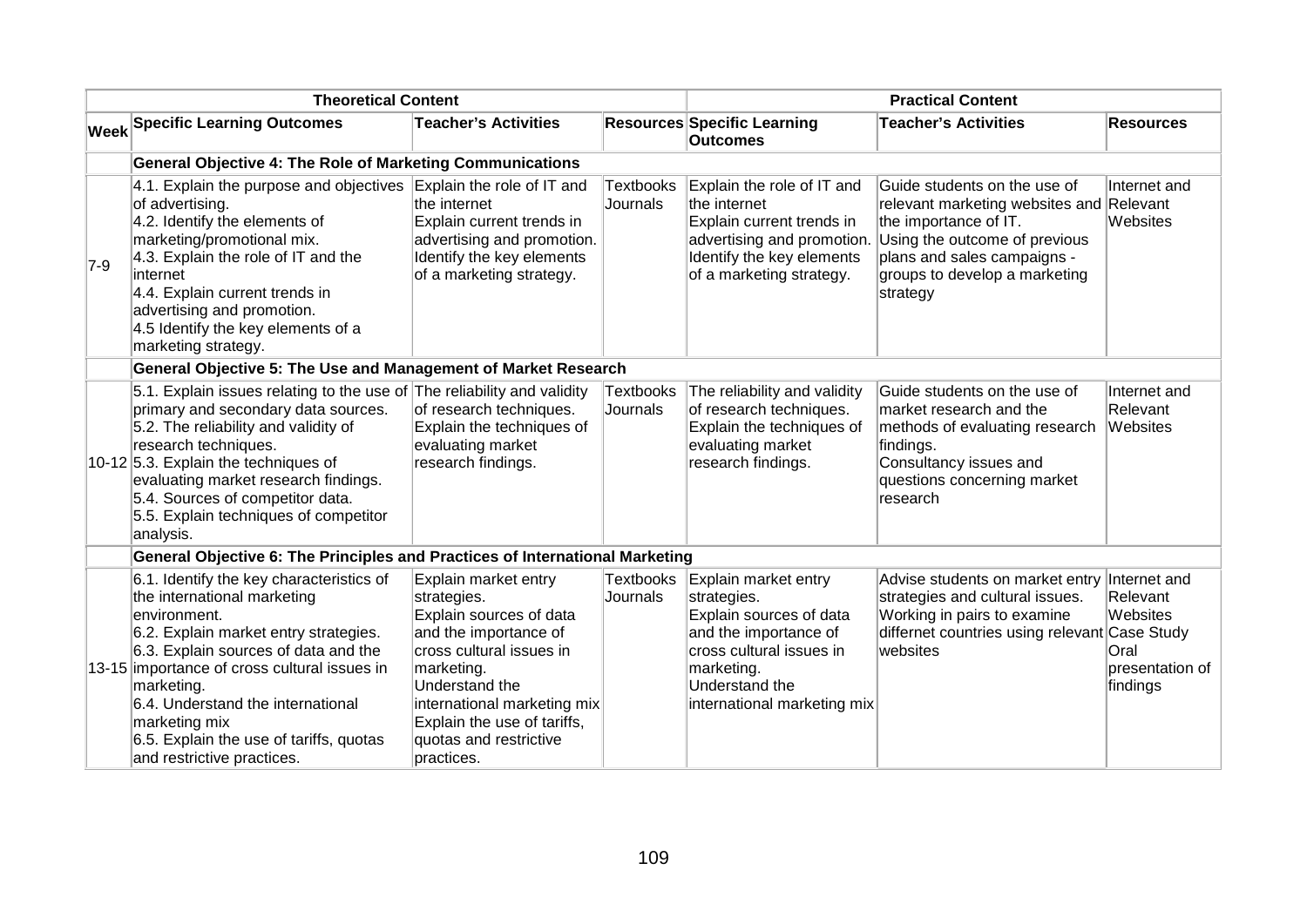|       | <b>Theoretical Content</b>                                                                                                                                                                                                                                                                                                                                            |                                                                                                                                                                                                                                                           |                              | <b>Practical Content</b>                                                                                                                                                           |                                                                                                                                                                                                                |                                                                             |
|-------|-----------------------------------------------------------------------------------------------------------------------------------------------------------------------------------------------------------------------------------------------------------------------------------------------------------------------------------------------------------------------|-----------------------------------------------------------------------------------------------------------------------------------------------------------------------------------------------------------------------------------------------------------|------------------------------|------------------------------------------------------------------------------------------------------------------------------------------------------------------------------------|----------------------------------------------------------------------------------------------------------------------------------------------------------------------------------------------------------------|-----------------------------------------------------------------------------|
|       | <b>Week Specific Learning Outcomes</b>                                                                                                                                                                                                                                                                                                                                | <b>Teacher's Activities</b>                                                                                                                                                                                                                               |                              | <b>Resources Specific Learning</b><br><b>Outcomes</b>                                                                                                                              | <b>Teacher's Activities</b>                                                                                                                                                                                    | <b>Resources</b>                                                            |
|       | <b>General Objective 4: The Role of Marketing Communications</b>                                                                                                                                                                                                                                                                                                      |                                                                                                                                                                                                                                                           |                              |                                                                                                                                                                                    |                                                                                                                                                                                                                |                                                                             |
| $7-9$ | 4.1. Explain the purpose and objectives<br>of advertising.<br>4.2. Identify the elements of<br>marketing/promotional mix.<br>4.3. Explain the role of IT and the<br>internet<br>4.4. Explain current trends in<br>advertising and promotion.<br>4.5 Identify the key elements of a<br>marketing strategy.                                                             | Explain the role of IT and<br>the internet<br>Explain current trends in<br>advertising and promotion.<br>Identify the key elements<br>of a marketing strategy.                                                                                            | <b>Textbooks</b><br>Journals | Explain the role of IT and<br>the internet<br>Explain current trends in<br>advertising and promotion.<br>Identify the key elements<br>of a marketing strategy.                     | Guide students on the use of<br>relevant marketing websites and Relevant<br>the importance of IT.<br>Using the outcome of previous<br>plans and sales campaigns -<br>groups to develop a marketing<br>strategy | Internet and<br>Websites                                                    |
|       | General Objective 5: The Use and Management of Market Research                                                                                                                                                                                                                                                                                                        |                                                                                                                                                                                                                                                           |                              |                                                                                                                                                                                    |                                                                                                                                                                                                                |                                                                             |
|       | 5.1. Explain issues relating to the use of The reliability and validity<br>primary and secondary data sources.<br>5.2. The reliability and validity of<br>research techniques.<br>10-12 5.3. Explain the techniques of<br>evaluating market research findings.<br>5.4. Sources of competitor data.<br>5.5. Explain techniques of competitor<br>analysis.              | of research techniques.<br>Explain the techniques of<br>evaluating market<br>research findings.                                                                                                                                                           | <b>Textbooks</b><br>Journals | The reliability and validity<br>of research techniques.<br>Explain the techniques of<br>evaluating market<br>research findings.                                                    | Guide students on the use of<br>market research and the<br>methods of evaluating research<br>findings.<br>Consultancy issues and<br>questions concerning market<br>research                                    | Internet and<br>Relevant<br>Websites                                        |
|       | General Objective 6: The Principles and Practices of International Marketing                                                                                                                                                                                                                                                                                          |                                                                                                                                                                                                                                                           |                              |                                                                                                                                                                                    |                                                                                                                                                                                                                |                                                                             |
|       | 6.1. Identify the key characteristics of<br>the international marketing<br>environment.<br>6.2. Explain market entry strategies.<br>6.3. Explain sources of data and the<br>13-15 importance of cross cultural issues in<br>marketing.<br>6.4. Understand the international<br>marketing mix<br>6.5. Explain the use of tariffs, quotas<br>and restrictive practices. | Explain market entry<br>strategies.<br>Explain sources of data<br>and the importance of<br>cross cultural issues in<br>marketing.<br>Understand the<br>international marketing mix<br>Explain the use of tariffs,<br>quotas and restrictive<br>practices. | <b>Textbooks</b><br>Journals | Explain market entry<br>strategies.<br>Explain sources of data<br>and the importance of<br>cross cultural issues in<br>marketing.<br>Understand the<br>international marketing mix | Advise students on market entry<br>strategies and cultural issues.<br>Working in pairs to examine<br>differnet countries using relevant Case Study<br>websites                                                 | Internet and<br>Relevant<br>Websites<br>Oral<br>presentation of<br>findings |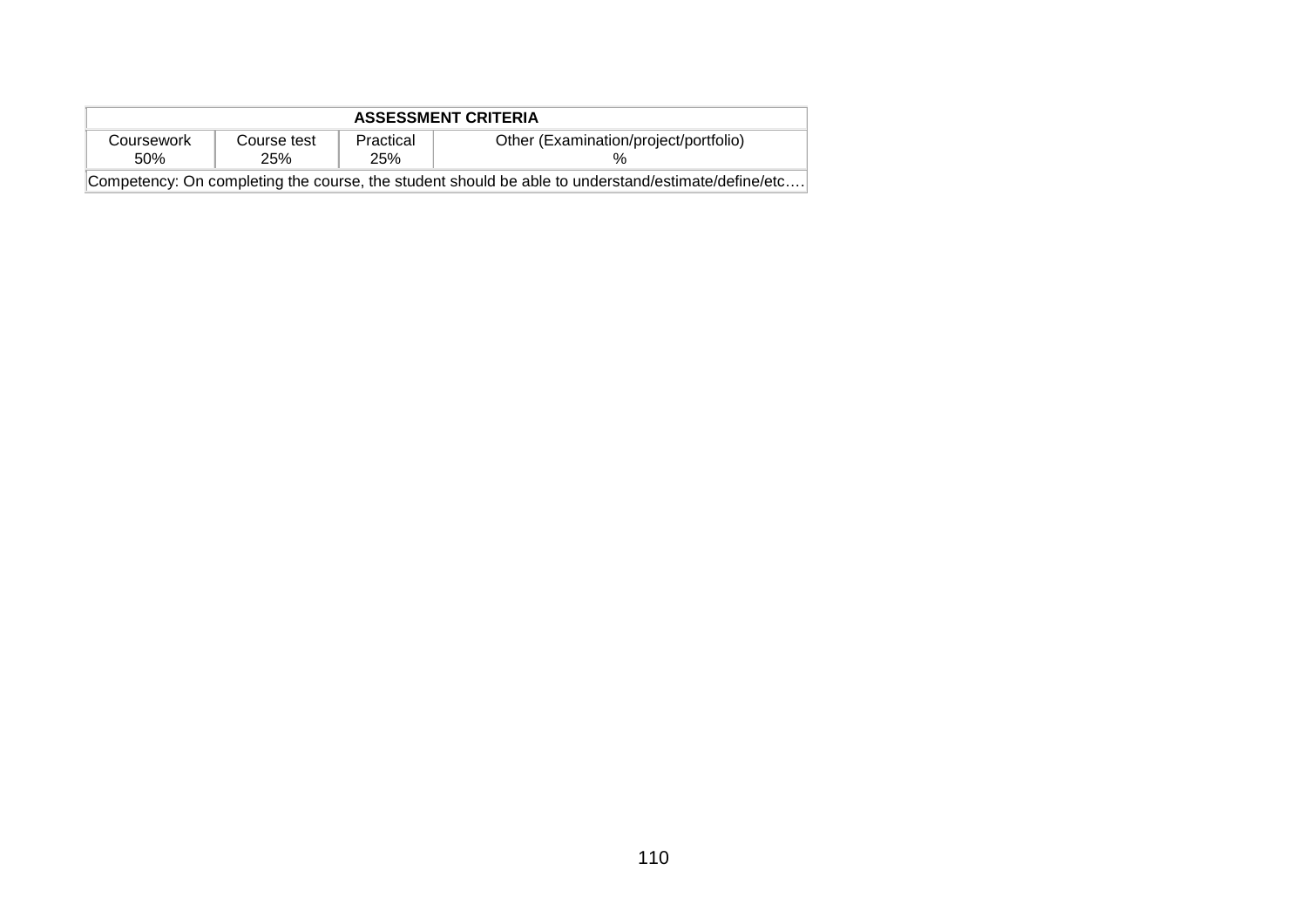| <b>ASSESSMENT CRITERIA</b> |                                                                                                    |                  |                                       |  |  |  |  |
|----------------------------|----------------------------------------------------------------------------------------------------|------------------|---------------------------------------|--|--|--|--|
| Coursework<br>.50%         | Course test<br>25%                                                                                 | Practical<br>25% | Other (Examination/project/portfolio) |  |  |  |  |
|                            | Competency: On completing the course, the student should be able to understand/estimate/define/etc |                  |                                       |  |  |  |  |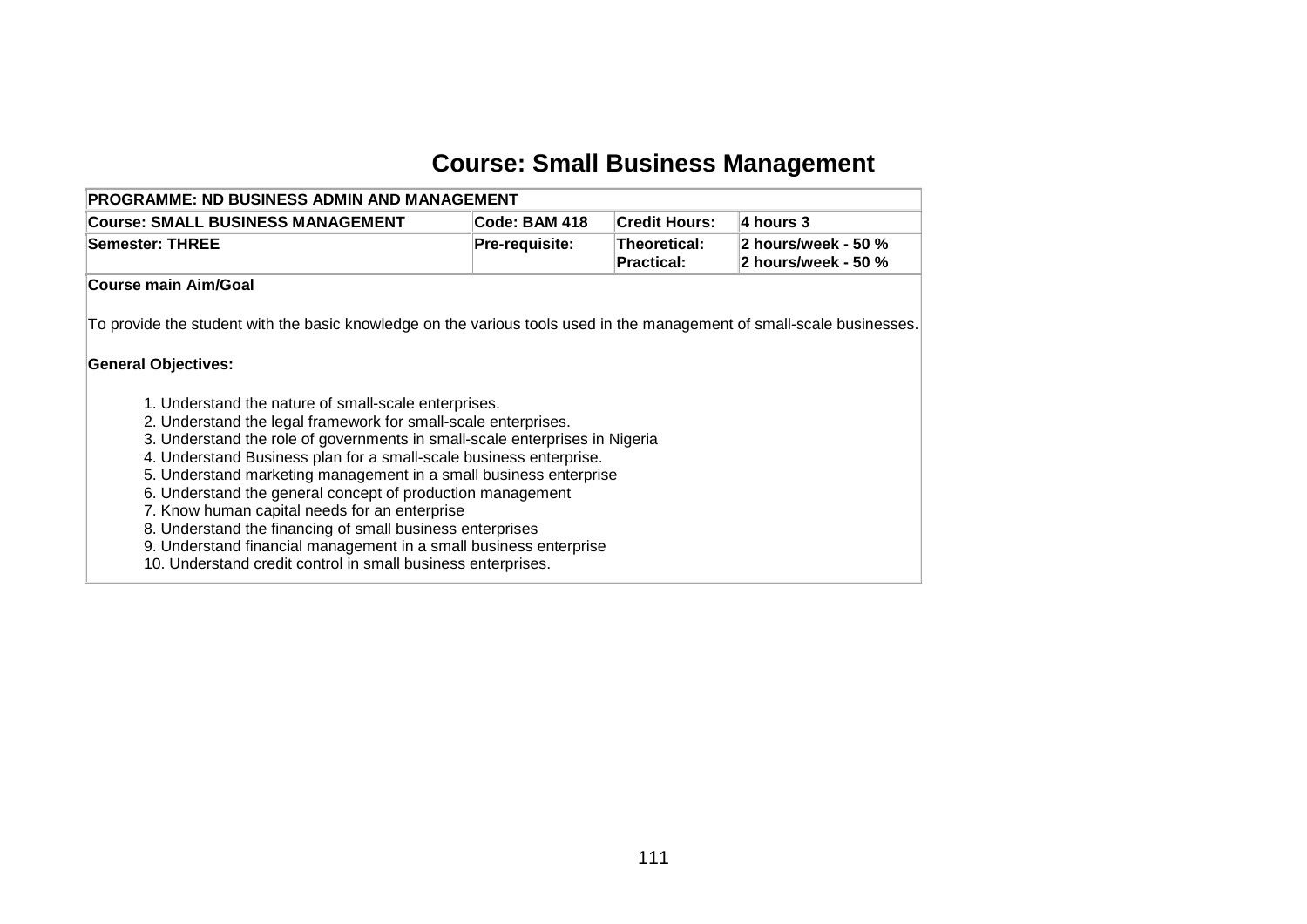# **Course: Small Business Management**

| <b>Course: SMALL BUSINESS MANAGEMENT</b>                                                                                                                                                                                                                                                                                                                                                                                                                                                                                                                                                                                                                          | Code: BAM 418  | <b>Credit Hours:</b>              | 4 hours 3                                  |
|-------------------------------------------------------------------------------------------------------------------------------------------------------------------------------------------------------------------------------------------------------------------------------------------------------------------------------------------------------------------------------------------------------------------------------------------------------------------------------------------------------------------------------------------------------------------------------------------------------------------------------------------------------------------|----------------|-----------------------------------|--------------------------------------------|
| <b>Semester: THREE</b>                                                                                                                                                                                                                                                                                                                                                                                                                                                                                                                                                                                                                                            | Pre-requisite: | Theoretical:<br><b>Practical:</b> | 2 hours/week - 50 %<br>2 hours/week - 50 % |
| Course main Aim/Goal                                                                                                                                                                                                                                                                                                                                                                                                                                                                                                                                                                                                                                              |                |                                   |                                            |
| To provide the student with the basic knowledge on the various tools used in the management of small-scale businesses.                                                                                                                                                                                                                                                                                                                                                                                                                                                                                                                                            |                |                                   |                                            |
| <b>General Objectives:</b>                                                                                                                                                                                                                                                                                                                                                                                                                                                                                                                                                                                                                                        |                |                                   |                                            |
| 1. Understand the nature of small-scale enterprises.<br>2. Understand the legal framework for small-scale enterprises.<br>3. Understand the role of governments in small-scale enterprises in Nigeria<br>4. Understand Business plan for a small-scale business enterprise.<br>5. Understand marketing management in a small business enterprise<br>6. Understand the general concept of production management<br>7. Know human capital needs for an enterprise<br>8. Understand the financing of small business enterprises<br>9. Understand financial management in a small business enterprise<br>10. Understand credit control in small business enterprises. |                |                                   |                                            |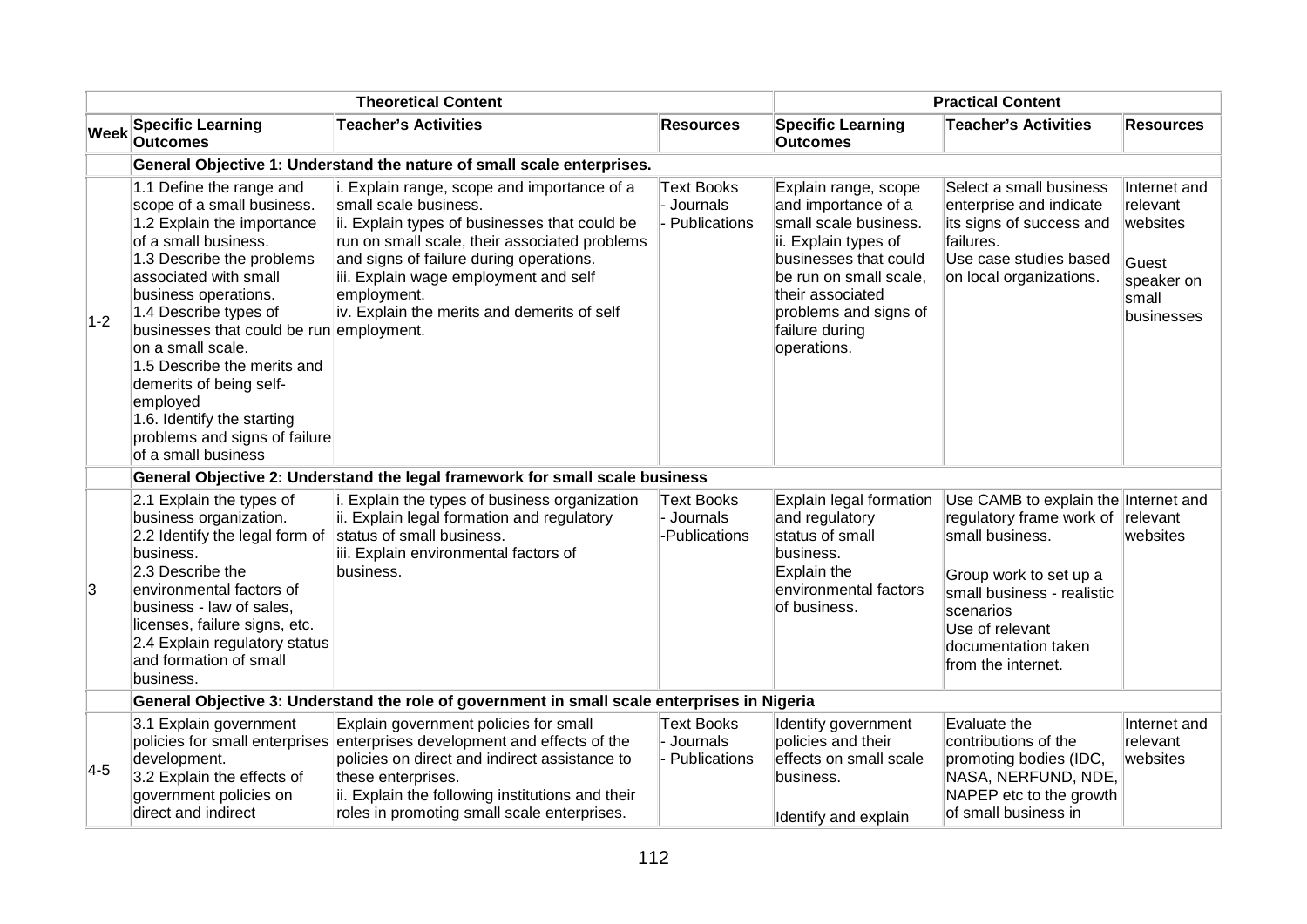|             |                                                                                                                                                                                                                                                                                                                                                                                                                                                   | <b>Theoretical Content</b>                                                                                                                                                                                                                                                                                               |                                                  |                                                                                                                                                                                                                               | <b>Practical Content</b>                                                                                                                                                                                                          |                                                                                    |
|-------------|---------------------------------------------------------------------------------------------------------------------------------------------------------------------------------------------------------------------------------------------------------------------------------------------------------------------------------------------------------------------------------------------------------------------------------------------------|--------------------------------------------------------------------------------------------------------------------------------------------------------------------------------------------------------------------------------------------------------------------------------------------------------------------------|--------------------------------------------------|-------------------------------------------------------------------------------------------------------------------------------------------------------------------------------------------------------------------------------|-----------------------------------------------------------------------------------------------------------------------------------------------------------------------------------------------------------------------------------|------------------------------------------------------------------------------------|
| <b>Week</b> | <b>Specific Learning</b><br><b>Outcomes</b>                                                                                                                                                                                                                                                                                                                                                                                                       | <b>Teacher's Activities</b>                                                                                                                                                                                                                                                                                              | <b>Resources</b>                                 | <b>Specific Learning</b><br><b>Outcomes</b>                                                                                                                                                                                   | <b>Teacher's Activities</b>                                                                                                                                                                                                       | <b>Resources</b>                                                                   |
|             |                                                                                                                                                                                                                                                                                                                                                                                                                                                   | General Objective 1: Understand the nature of small scale enterprises.                                                                                                                                                                                                                                                   |                                                  |                                                                                                                                                                                                                               |                                                                                                                                                                                                                                   |                                                                                    |
| $1-2$       | 1.1 Define the range and<br>scope of a small business.<br>1.2 Explain the importance<br>of a small business.<br>1.3 Describe the problems<br>associated with small<br>business operations.<br>1.4 Describe types of<br>businesses that could be run employment.<br>lon a small scale.<br>1.5 Describe the merits and<br>demerits of being self-<br>employed<br>1.6. Identify the starting<br>problems and signs of failure<br>of a small business | i. Explain range, scope and importance of a<br>small scale business.<br>ii. Explain types of businesses that could be<br>run on small scale, their associated problems<br>and signs of failure during operations.<br>iii. Explain wage employment and self<br>employment.<br>iv. Explain the merits and demerits of self | <b>Text Books</b><br>- Journals<br>Publications  | Explain range, scope<br>and importance of a<br>small scale business.<br>ii. Explain types of<br>businesses that could<br>be run on small scale,<br>their associated<br>problems and signs of<br>failure during<br>operations. | Select a small business<br>enterprise and indicate<br>its signs of success and<br>failures.<br>Use case studies based<br>on local organizations.                                                                                  | Internet and<br>relevant<br>websites<br>Guest<br>speaker on<br>small<br>businesses |
|             |                                                                                                                                                                                                                                                                                                                                                                                                                                                   | General Objective 2: Understand the legal framework for small scale business                                                                                                                                                                                                                                             |                                                  |                                                                                                                                                                                                                               |                                                                                                                                                                                                                                   |                                                                                    |
| 3           | 2.1 Explain the types of<br>business organization.<br>2.2 Identify the legal form of<br>business.<br>2.3 Describe the<br>environmental factors of<br>business - law of sales,<br>licenses, failure signs, etc.<br>2.4 Explain regulatory status<br>and formation of small<br>business.                                                                                                                                                            | i. Explain the types of business organization<br>ii. Explain legal formation and regulatory<br>status of small business.<br>iii. Explain environmental factors of<br>business.                                                                                                                                           | <b>Text Books</b><br>- Journals<br>-Publications | Explain legal formation<br>and regulatory<br>status of small<br>business.<br>Explain the<br>environmental factors<br>of business.                                                                                             | Use CAMB to explain the Internet and<br>regulatory frame work of relevant<br>small business.<br>Group work to set up a<br>small business - realistic<br>scenarios<br>Use of relevant<br>documentation taken<br>from the internet. | websites                                                                           |
|             |                                                                                                                                                                                                                                                                                                                                                                                                                                                   | General Objective 3: Understand the role of government in small scale enterprises in Nigeria                                                                                                                                                                                                                             |                                                  |                                                                                                                                                                                                                               |                                                                                                                                                                                                                                   |                                                                                    |
| $4-5$       | 3.1 Explain government<br>development.<br>3.2 Explain the effects of<br>government policies on<br>direct and indirect                                                                                                                                                                                                                                                                                                                             | Explain government policies for small<br>policies for small enterprises enterprises development and effects of the<br>policies on direct and indirect assistance to<br>these enterprises.<br>ii. Explain the following institutions and their<br>roles in promoting small scale enterprises.                             | <b>Text Books</b><br>Journals<br>- Publications  | Identify government<br>policies and their<br>effects on small scale<br>business.<br>Identify and explain                                                                                                                      | Evaluate the<br>contributions of the<br>promoting bodies (IDC,<br>NASA, NERFUND, NDE,<br>NAPEP etc to the growth<br>of small business in                                                                                          | Internet and<br>relevant<br>websites                                               |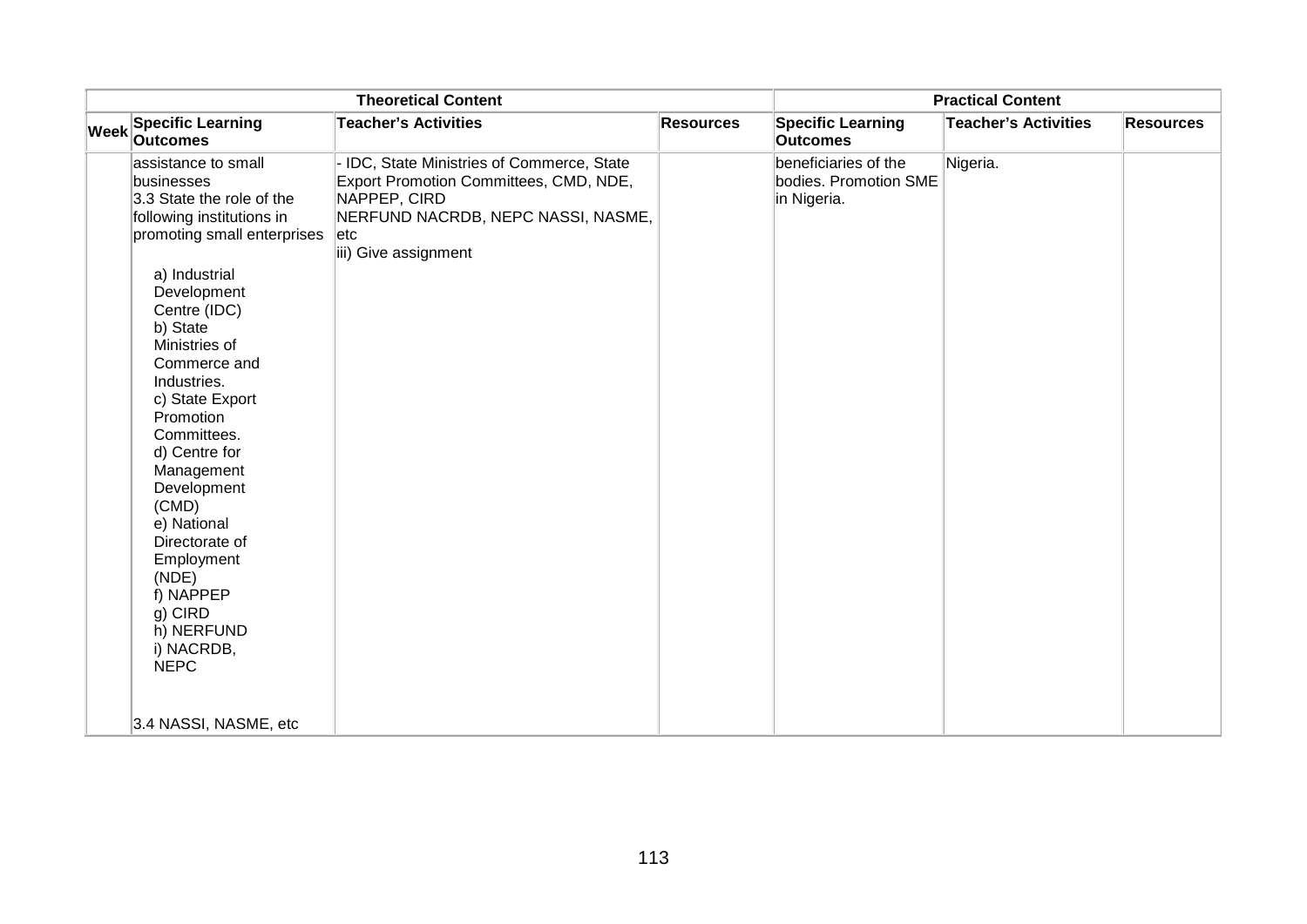|             |                                                                                                                                                                                                                                                                                                                                                                                                                              | <b>Theoretical Content</b>                                                                                                                                              |                  |                                                              | <b>Practical Content</b>    |                  |
|-------------|------------------------------------------------------------------------------------------------------------------------------------------------------------------------------------------------------------------------------------------------------------------------------------------------------------------------------------------------------------------------------------------------------------------------------|-------------------------------------------------------------------------------------------------------------------------------------------------------------------------|------------------|--------------------------------------------------------------|-----------------------------|------------------|
| <b>Week</b> | <b>Specific Learning</b><br><b>Outcomes</b>                                                                                                                                                                                                                                                                                                                                                                                  | <b>Teacher's Activities</b>                                                                                                                                             | <b>Resources</b> | <b>Specific Learning</b><br><b>Outcomes</b>                  | <b>Teacher's Activities</b> | <b>Resources</b> |
|             | assistance to small<br>businesses<br>3.3 State the role of the<br>following institutions in<br>promoting small enterprises<br>a) Industrial<br>Development<br>Centre (IDC)<br>b) State<br>Ministries of<br>Commerce and<br>Industries.<br>c) State Export<br>Promotion<br>Committees.<br>d) Centre for<br>Management<br>Development<br>(CMD)<br>e) National<br>Directorate of<br>Employment<br>(NDE)<br>f) NAPPEP<br>g) CIRD | IDC, State Ministries of Commerce, State<br>Export Promotion Committees, CMD, NDE,<br>NAPPEP, CIRD<br>NERFUND NACRDB, NEPC NASSI, NASME,<br>etc<br>iii) Give assignment |                  | beneficiaries of the<br>bodies. Promotion SME<br>in Nigeria. | Nigeria.                    |                  |
|             | h) NERFUND<br>i) NACRDB,<br><b>NEPC</b>                                                                                                                                                                                                                                                                                                                                                                                      |                                                                                                                                                                         |                  |                                                              |                             |                  |
|             | 3.4 NASSI, NASME, etc                                                                                                                                                                                                                                                                                                                                                                                                        |                                                                                                                                                                         |                  |                                                              |                             |                  |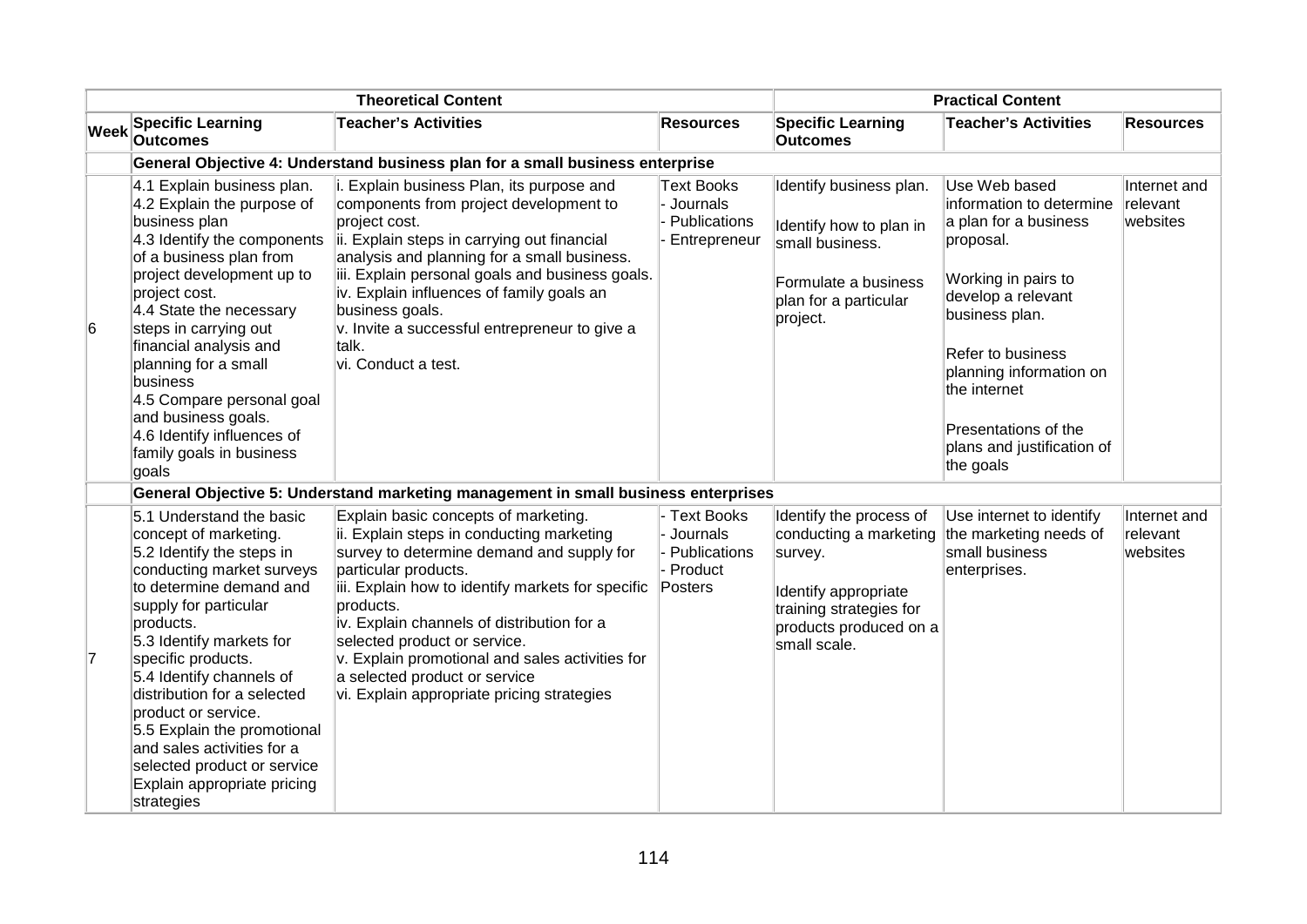|    |                                                                                                                                                                                                                                                                                                                                                                                                                                                           | <b>Theoretical Content</b>                                                                                                                                                                                                                                                                                                                                                                                                               |                                                                  |                                                                                                                                                           | <b>Practical Content</b>                                                                                                                                                                                                                                                          |                                      |
|----|-----------------------------------------------------------------------------------------------------------------------------------------------------------------------------------------------------------------------------------------------------------------------------------------------------------------------------------------------------------------------------------------------------------------------------------------------------------|------------------------------------------------------------------------------------------------------------------------------------------------------------------------------------------------------------------------------------------------------------------------------------------------------------------------------------------------------------------------------------------------------------------------------------------|------------------------------------------------------------------|-----------------------------------------------------------------------------------------------------------------------------------------------------------|-----------------------------------------------------------------------------------------------------------------------------------------------------------------------------------------------------------------------------------------------------------------------------------|--------------------------------------|
|    | Week Specific Learning<br><b>Outcomes</b>                                                                                                                                                                                                                                                                                                                                                                                                                 | <b>Teacher's Activities</b>                                                                                                                                                                                                                                                                                                                                                                                                              | <b>Resources</b>                                                 | <b>Specific Learning</b><br>Outcomes                                                                                                                      | <b>Teacher's Activities</b>                                                                                                                                                                                                                                                       | <b>Resources</b>                     |
|    |                                                                                                                                                                                                                                                                                                                                                                                                                                                           | General Objective 4: Understand business plan for a small business enterprise                                                                                                                                                                                                                                                                                                                                                            |                                                                  |                                                                                                                                                           |                                                                                                                                                                                                                                                                                   |                                      |
| 6  | 4.1 Explain business plan.<br>4.2 Explain the purpose of<br>business plan<br>4.3 Identify the components<br>of a business plan from<br>project development up to<br>project cost.<br>4.4 State the necessary<br>steps in carrying out<br>financial analysis and<br>planning for a small<br>business<br>4.5 Compare personal goal<br>and business goals.<br>4.6 Identify influences of<br>family goals in business<br>goals                                | i. Explain business Plan, its purpose and<br>components from project development to<br>project cost.<br>ii. Explain steps in carrying out financial<br>analysis and planning for a small business.<br>iii. Explain personal goals and business goals.<br>iv. Explain influences of family goals an<br>business goals.<br>v. Invite a successful entrepreneur to give a<br>talk.<br>vi. Conduct a test.                                   | Text Books<br>Journals<br>Publications<br>Entrepreneur           | Identify business plan.<br>Identify how to plan in<br>small business.<br>Formulate a business<br>plan for a particular<br>project.                        | Use Web based<br>information to determine<br>a plan for a business<br>proposal.<br>Working in pairs to<br>develop a relevant<br>business plan.<br>Refer to business<br>planning information on<br>the internet<br>Presentations of the<br>plans and justification of<br>the goals | Internet and<br>relevant<br>websites |
|    |                                                                                                                                                                                                                                                                                                                                                                                                                                                           | General Objective 5: Understand marketing management in small business enterprises                                                                                                                                                                                                                                                                                                                                                       |                                                                  |                                                                                                                                                           |                                                                                                                                                                                                                                                                                   |                                      |
| 17 | 5.1 Understand the basic<br>concept of marketing.<br>5.2 Identify the steps in<br>conducting market surveys<br>to determine demand and<br>supply for particular<br>products.<br>5.3 Identify markets for<br>specific products.<br>5.4 Identify channels of<br>distribution for a selected<br>product or service.<br>5.5 Explain the promotional<br>and sales activities for a<br>selected product or service<br>Explain appropriate pricing<br>strategies | Explain basic concepts of marketing.<br>ii. Explain steps in conducting marketing<br>survey to determine demand and supply for<br>particular products.<br>iii. Explain how to identify markets for specific<br>products.<br>iv. Explain channels of distribution for a<br>selected product or service.<br>v. Explain promotional and sales activities for<br>a selected product or service<br>vi. Explain appropriate pricing strategies | - Text Books<br>- Journals<br>Publications<br>Product<br>Posters | Identify the process of<br>conducting a marketing<br>survey.<br>Identify appropriate<br>training strategies for<br>products produced on a<br>small scale. | Use internet to identify<br>the marketing needs of<br>small business<br>enterprises.                                                                                                                                                                                              | Internet and<br>relevant<br>websites |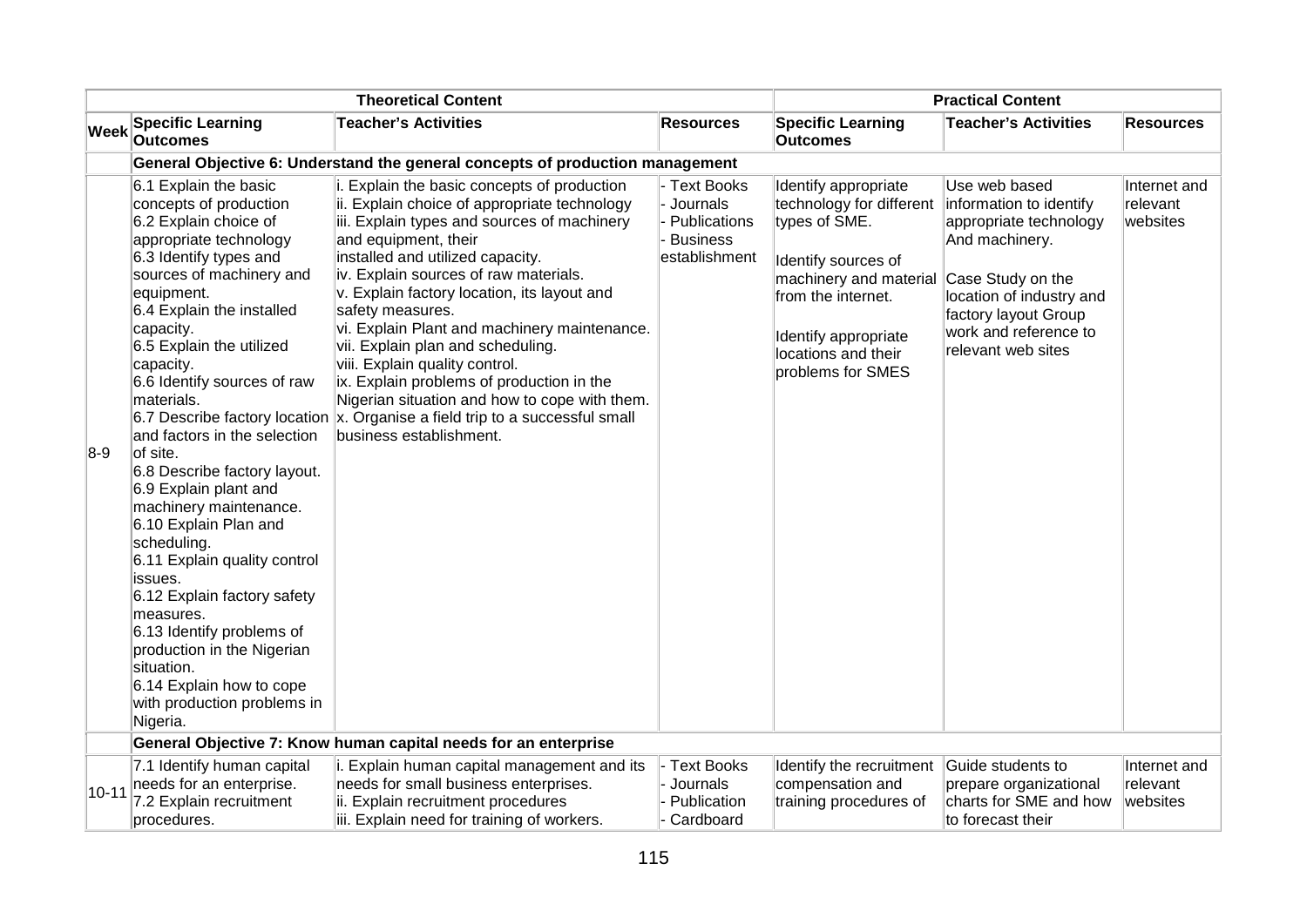|           |                                                                                                                                                                                                                                                                                                                                                                                                                                                                                                                                                                                                                                                                                                                      | <b>Theoretical Content</b>                                                                                                                                                                                                                                                                                                                                                                                                                                                                                                                                                                                                                                    |                                                                                   |                                                                                                                                                                                                              | <b>Practical Content</b>                                                                                                                                                                                     |                                      |
|-----------|----------------------------------------------------------------------------------------------------------------------------------------------------------------------------------------------------------------------------------------------------------------------------------------------------------------------------------------------------------------------------------------------------------------------------------------------------------------------------------------------------------------------------------------------------------------------------------------------------------------------------------------------------------------------------------------------------------------------|---------------------------------------------------------------------------------------------------------------------------------------------------------------------------------------------------------------------------------------------------------------------------------------------------------------------------------------------------------------------------------------------------------------------------------------------------------------------------------------------------------------------------------------------------------------------------------------------------------------------------------------------------------------|-----------------------------------------------------------------------------------|--------------------------------------------------------------------------------------------------------------------------------------------------------------------------------------------------------------|--------------------------------------------------------------------------------------------------------------------------------------------------------------------------------------------------------------|--------------------------------------|
| Week      | <b>Specific Learning</b><br><b>Outcomes</b>                                                                                                                                                                                                                                                                                                                                                                                                                                                                                                                                                                                                                                                                          | <b>Teacher's Activities</b>                                                                                                                                                                                                                                                                                                                                                                                                                                                                                                                                                                                                                                   | Resources                                                                         | <b>Specific Learning</b><br><b>Outcomes</b>                                                                                                                                                                  | <b>Teacher's Activities</b>                                                                                                                                                                                  | <b>Resources</b>                     |
|           |                                                                                                                                                                                                                                                                                                                                                                                                                                                                                                                                                                                                                                                                                                                      | General Objective 6: Understand the general concepts of production management                                                                                                                                                                                                                                                                                                                                                                                                                                                                                                                                                                                 |                                                                                   |                                                                                                                                                                                                              |                                                                                                                                                                                                              |                                      |
| $8-9$     | 6.1 Explain the basic<br>concepts of production<br>6.2 Explain choice of<br>appropriate technology<br>6.3 Identify types and<br>sources of machinery and<br>equipment.<br>6.4 Explain the installed<br>capacity.<br>6.5 Explain the utilized<br>capacity.<br>6.6 Identify sources of raw<br>materials.<br>and factors in the selection<br>of site.<br>6.8 Describe factory layout.<br>6.9 Explain plant and<br>machinery maintenance.<br>6.10 Explain Plan and<br>scheduling.<br>6.11 Explain quality control<br>issues.<br>6.12 Explain factory safety<br>measures.<br>6.13 Identify problems of<br>production in the Nigerian<br>situation.<br>6.14 Explain how to cope<br>with production problems in<br>Nigeria. | i. Explain the basic concepts of production<br>ii. Explain choice of appropriate technology<br>iii. Explain types and sources of machinery<br>and equipment, their<br>installed and utilized capacity.<br>iv. Explain sources of raw materials.<br>v. Explain factory location, its layout and<br>safety measures.<br>vi. Explain Plant and machinery maintenance.<br>vii. Explain plan and scheduling.<br>viii. Explain quality control.<br>ix. Explain problems of production in the<br>Nigerian situation and how to cope with them.<br>6.7 Describe factory location $\mathbf x$ . Organise a field trip to a successful small<br>business establishment. | <b>Text Books</b><br>Journals<br>Publications<br><b>Business</b><br>establishment | Identify appropriate<br>technology for different<br>types of SME.<br>Identify sources of<br>machinery and material<br>from the internet.<br>Identify appropriate<br>locations and their<br>problems for SMES | Use web based<br>information to identify<br>appropriate technology<br>And machinery.<br>Case Study on the<br>location of industry and<br>factory layout Group<br>work and reference to<br>relevant web sites | Internet and<br>relevant<br>websites |
|           |                                                                                                                                                                                                                                                                                                                                                                                                                                                                                                                                                                                                                                                                                                                      | General Objective 7: Know human capital needs for an enterprise                                                                                                                                                                                                                                                                                                                                                                                                                                                                                                                                                                                               |                                                                                   |                                                                                                                                                                                                              |                                                                                                                                                                                                              |                                      |
| $10 - 11$ | 7.1 Identify human capital<br>needs for an enterprise.<br>7.2 Explain recruitment<br>procedures.                                                                                                                                                                                                                                                                                                                                                                                                                                                                                                                                                                                                                     | i. Explain human capital management and its<br>needs for small business enterprises.<br>ii. Explain recruitment procedures<br>iii. Explain need for training of workers.                                                                                                                                                                                                                                                                                                                                                                                                                                                                                      | <b>Text Books</b><br>Journals<br>Publication<br>Cardboard                         | Identify the recruitment<br>compensation and<br>training procedures of                                                                                                                                       | Guide students to<br>prepare organizational<br>charts for SME and how<br>to forecast their                                                                                                                   | Internet and<br>relevant<br>websites |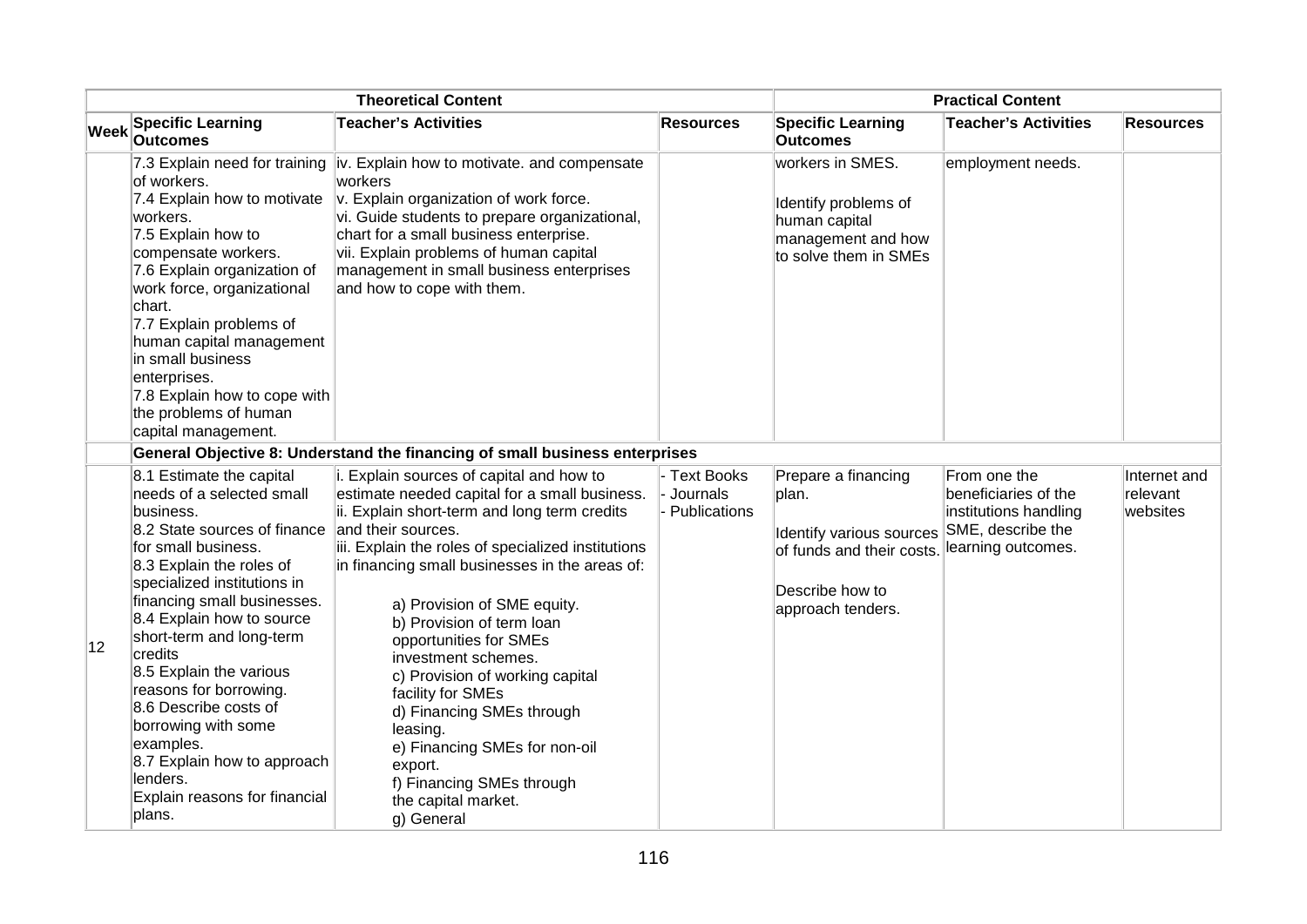|             | <b>Theoretical Content</b>                                                                                                                                                                                                                                                                                                                                                                |                                                                                                                                                                                                                                                                                                                                                                                                                                  |                                          | <b>Practical Content</b>                                                                                 |                                                                                    |                                      |
|-------------|-------------------------------------------------------------------------------------------------------------------------------------------------------------------------------------------------------------------------------------------------------------------------------------------------------------------------------------------------------------------------------------------|----------------------------------------------------------------------------------------------------------------------------------------------------------------------------------------------------------------------------------------------------------------------------------------------------------------------------------------------------------------------------------------------------------------------------------|------------------------------------------|----------------------------------------------------------------------------------------------------------|------------------------------------------------------------------------------------|--------------------------------------|
| <b>Week</b> | <b>Specific Learning</b><br><b>Outcomes</b>                                                                                                                                                                                                                                                                                                                                               | <b>Teacher's Activities</b>                                                                                                                                                                                                                                                                                                                                                                                                      | <b>Resources</b>                         | <b>Specific Learning</b><br><b>Outcomes</b>                                                              | <b>Teacher's Activities</b>                                                        | <b>Resources</b>                     |
|             | 7.3 Explain need for training<br>of workers.<br>7.4 Explain how to motivate<br>workers.<br>7.5 Explain how to<br>compensate workers.<br>7.6 Explain organization of<br>work force, organizational<br>chart.<br>7.7 Explain problems of<br>human capital management<br>in small business<br>enterprises.<br>7.8 Explain how to cope with<br>the problems of human<br>capital management.   | liv. Explain how to motivate. and compensate<br>workers<br>v. Explain organization of work force.<br>vi. Guide students to prepare organizational,<br>chart for a small business enterprise.<br>vii. Explain problems of human capital<br>management in small business enterprises<br>and how to cope with them.                                                                                                                 |                                          | workers in SMES.<br>Identify problems of<br>human capital<br>management and how<br>to solve them in SMEs | employment needs.                                                                  |                                      |
|             | 8.1 Estimate the capital<br>needs of a selected small<br>business.<br>8.2 State sources of finance                                                                                                                                                                                                                                                                                        | General Objective 8: Understand the financing of small business enterprises<br>i. Explain sources of capital and how to<br>estimate needed capital for a small business.<br>ii. Explain short-term and long term credits<br>and their sources.                                                                                                                                                                                   | - Text Books<br>Journals<br>Publications | Prepare a financing<br>plan.                                                                             | From one the<br>beneficiaries of the<br>institutions handling<br>SME, describe the | Internet and<br>relevant<br>websites |
| 12          | for small business.<br>8.3 Explain the roles of<br>specialized institutions in<br>financing small businesses.<br>8.4 Explain how to source<br>short-term and long-term<br>credits<br>8.5 Explain the various<br>reasons for borrowing.<br>8.6 Describe costs of<br>borrowing with some<br>examples.<br>8.7 Explain how to approach<br>lenders.<br>Explain reasons for financial<br>plans. | iii. Explain the roles of specialized institutions<br>in financing small businesses in the areas of:<br>a) Provision of SME equity.<br>b) Provision of term loan<br>opportunities for SMEs<br>investment schemes.<br>c) Provision of working capital<br>facility for SMEs<br>d) Financing SMEs through<br>leasing.<br>e) Financing SMEs for non-oil<br>export.<br>f) Financing SMEs through<br>the capital market.<br>g) General |                                          | Identify various sources<br>of funds and their costs.<br>Describe how to<br>approach tenders.            | learning outcomes.                                                                 |                                      |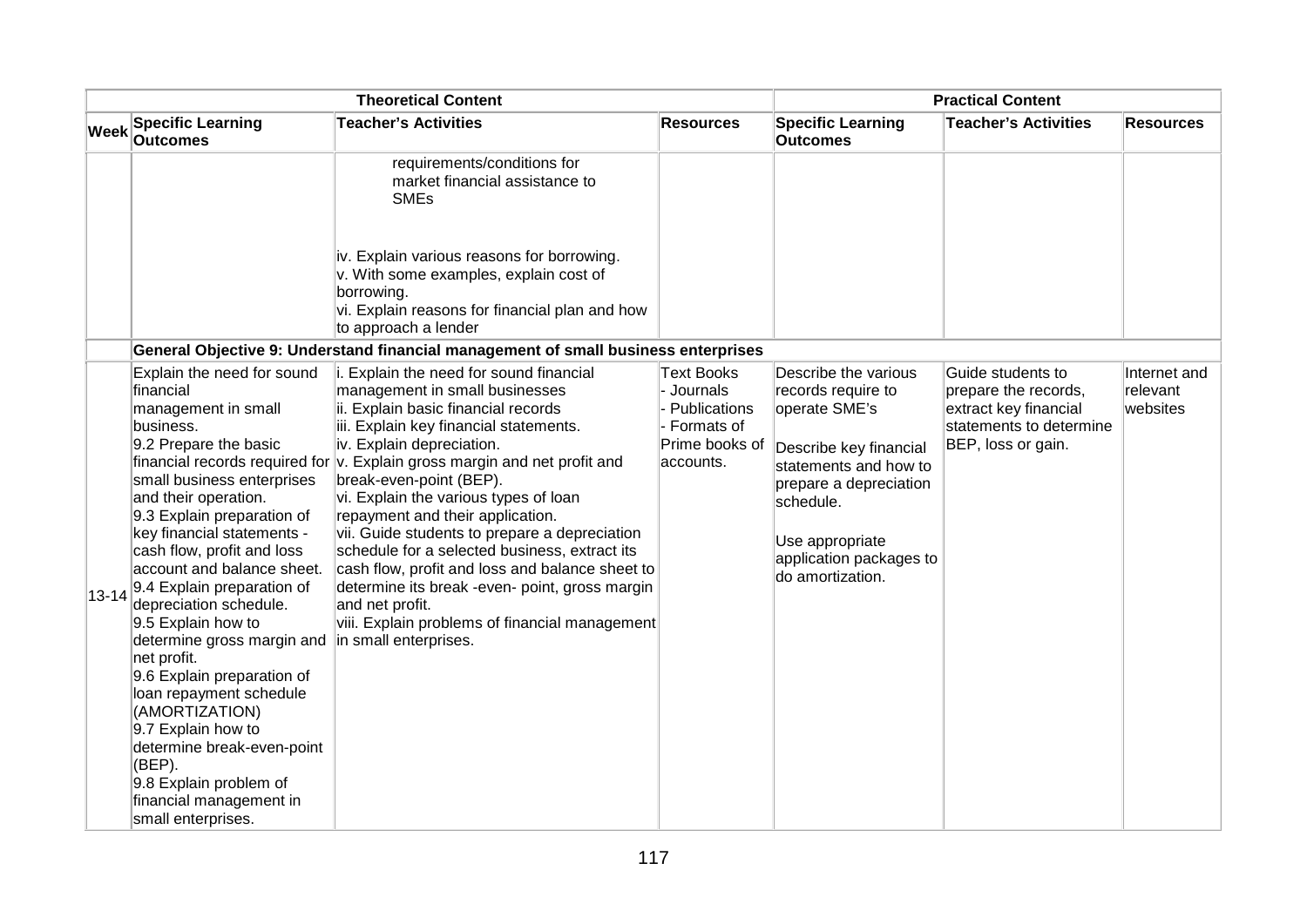| <b>Theoretical Content</b> |                                                                                                                                                                                                                                                                                                                                                                                                                                                                                                                                                                                                             |                                                                                                                                                                                                                                                                                                                                                                                                                                                                                                                                                                                                                                                                                            | <b>Practical Content</b>                                                                         |                                                                                                                                                                                                                         |                                                                                                                     |                                      |
|----------------------------|-------------------------------------------------------------------------------------------------------------------------------------------------------------------------------------------------------------------------------------------------------------------------------------------------------------------------------------------------------------------------------------------------------------------------------------------------------------------------------------------------------------------------------------------------------------------------------------------------------------|--------------------------------------------------------------------------------------------------------------------------------------------------------------------------------------------------------------------------------------------------------------------------------------------------------------------------------------------------------------------------------------------------------------------------------------------------------------------------------------------------------------------------------------------------------------------------------------------------------------------------------------------------------------------------------------------|--------------------------------------------------------------------------------------------------|-------------------------------------------------------------------------------------------------------------------------------------------------------------------------------------------------------------------------|---------------------------------------------------------------------------------------------------------------------|--------------------------------------|
| Week                       | <b>Specific Learning</b><br><b>Outcomes</b>                                                                                                                                                                                                                                                                                                                                                                                                                                                                                                                                                                 | <b>Teacher's Activities</b>                                                                                                                                                                                                                                                                                                                                                                                                                                                                                                                                                                                                                                                                | <b>Resources</b>                                                                                 | <b>Specific Learning</b><br><b>Outcomes</b>                                                                                                                                                                             | <b>Teacher's Activities</b>                                                                                         | <b>Resources</b>                     |
|                            |                                                                                                                                                                                                                                                                                                                                                                                                                                                                                                                                                                                                             | requirements/conditions for<br>market financial assistance to<br><b>SMEs</b>                                                                                                                                                                                                                                                                                                                                                                                                                                                                                                                                                                                                               |                                                                                                  |                                                                                                                                                                                                                         |                                                                                                                     |                                      |
|                            |                                                                                                                                                                                                                                                                                                                                                                                                                                                                                                                                                                                                             | iv. Explain various reasons for borrowing.<br>v. With some examples, explain cost of<br>borrowing.<br>vi. Explain reasons for financial plan and how<br>to approach a lender                                                                                                                                                                                                                                                                                                                                                                                                                                                                                                               |                                                                                                  |                                                                                                                                                                                                                         |                                                                                                                     |                                      |
|                            |                                                                                                                                                                                                                                                                                                                                                                                                                                                                                                                                                                                                             | General Objective 9: Understand financial management of small business enterprises                                                                                                                                                                                                                                                                                                                                                                                                                                                                                                                                                                                                         |                                                                                                  |                                                                                                                                                                                                                         |                                                                                                                     |                                      |
| $ 13 - 14 $                | Explain the need for sound<br>financial<br>management in small<br>business.<br>9.2 Prepare the basic<br>small business enterprises<br>and their operation.<br>9.3 Explain preparation of<br>key financial statements -<br>cash flow, profit and loss<br>account and balance sheet.<br>9.4 Explain preparation of<br>depreciation schedule.<br>9.5 Explain how to<br>determine gross margin and<br>net profit.<br>9.6 Explain preparation of<br>loan repayment schedule<br>(AMORTIZATION)<br>9.7 Explain how to<br>determine break-even-point<br>(BEP).<br>9.8 Explain problem of<br>financial management in | i. Explain the need for sound financial<br>management in small businesses<br>ii. Explain basic financial records<br>iii. Explain key financial statements.<br>iv. Explain depreciation.<br>financial records required for $\vert v$ . Explain gross margin and net profit and<br>break-even-point (BEP).<br>vi. Explain the various types of loan<br>repayment and their application.<br>vii. Guide students to prepare a depreciation<br>schedule for a selected business, extract its<br>cash flow, profit and loss and balance sheet to<br>determine its break -even- point, gross margin<br>and net profit.<br>viii. Explain problems of financial management<br>in small enterprises. | <b>Text Books</b><br>- Journals<br>- Publications<br>- Formats of<br>Prime books of<br>accounts. | Describe the various<br>records require to<br>operate SME's<br>Describe key financial<br>statements and how to<br>prepare a depreciation<br>schedule.<br>Use appropriate<br>application packages to<br>do amortization. | Guide students to<br>prepare the records,<br>extract key financial<br>statements to determine<br>BEP, loss or gain. | Internet and<br>relevant<br>websites |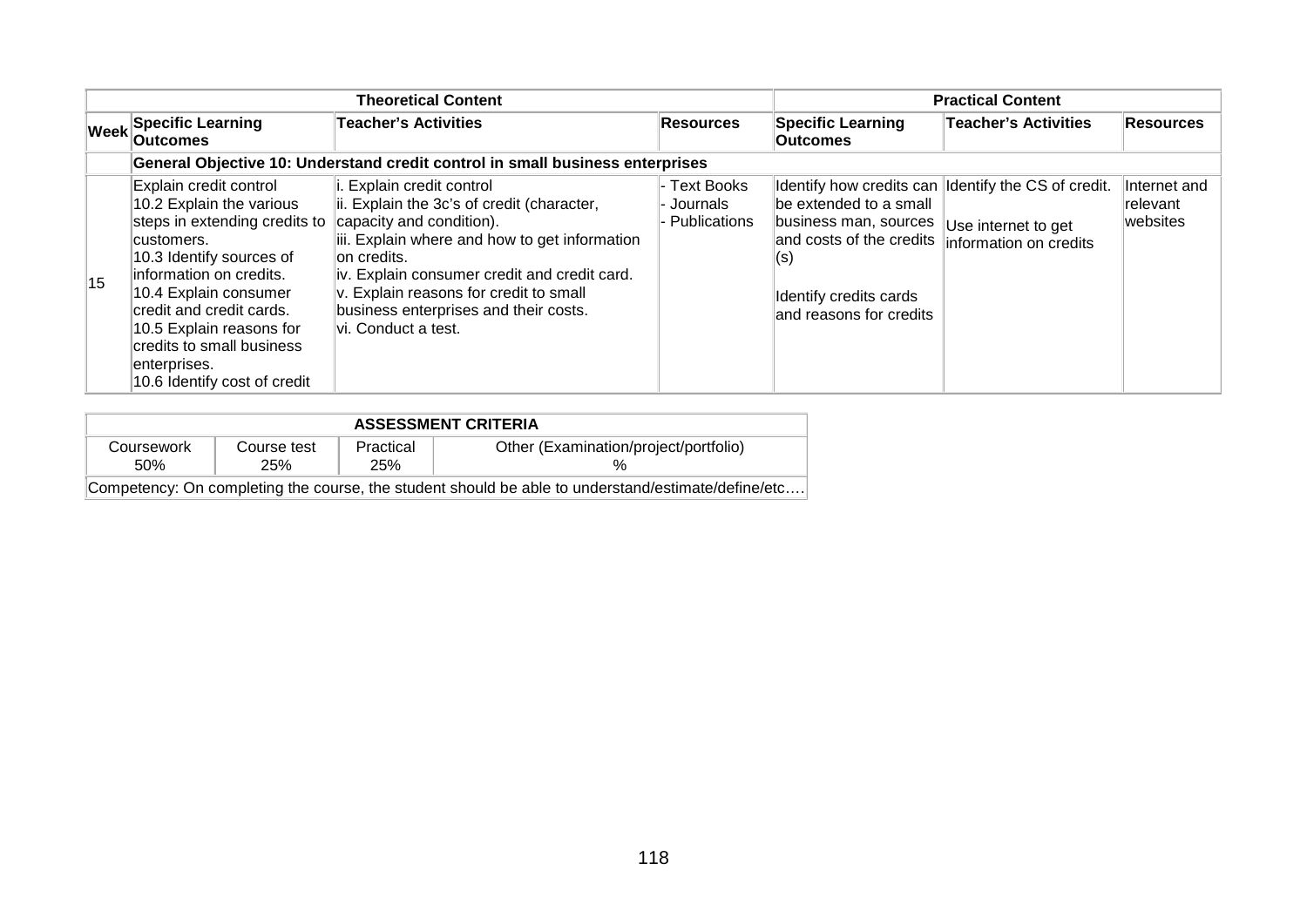|    |                                                                                                                                                                                                                                                                                                                        | <b>Practical Content</b>                                                                                                                                                                                                                                                                                                    |                                            |                                                                                                                                                                     |                                                                             |                                             |
|----|------------------------------------------------------------------------------------------------------------------------------------------------------------------------------------------------------------------------------------------------------------------------------------------------------------------------|-----------------------------------------------------------------------------------------------------------------------------------------------------------------------------------------------------------------------------------------------------------------------------------------------------------------------------|--------------------------------------------|---------------------------------------------------------------------------------------------------------------------------------------------------------------------|-----------------------------------------------------------------------------|---------------------------------------------|
|    | <b>Week Specific Learning</b><br><b>Outcomes</b>                                                                                                                                                                                                                                                                       | <b>Teacher's Activities</b>                                                                                                                                                                                                                                                                                                 | <b>Resources</b>                           | <b>Specific Learning</b><br><b>Outcomes</b>                                                                                                                         | <b>Teacher's Activities</b>                                                 | Resources                                   |
|    |                                                                                                                                                                                                                                                                                                                        | General Objective 10: Understand credit control in small business enterprises                                                                                                                                                                                                                                               |                                            |                                                                                                                                                                     |                                                                             |                                             |
| 15 | Explain credit control<br>10.2 Explain the various<br>steps in extending credits to<br>customers.<br>10.3 Identify sources of<br>information on credits.<br>10.4 Explain consumer<br>credit and credit cards.<br>10.5 Explain reasons for<br>credits to small business<br>enterprises.<br>10.6 Identify cost of credit | Explain credit control<br>ii. Explain the 3c's of credit (character,<br>capacity and condition).<br>iii. Explain where and how to get information<br>∣on credits.<br>iv. Explain consumer credit and credit card.<br>v. Explain reasons for credit to small<br>business enterprises and their costs.<br>vi. Conduct a test. | - Text Books<br>Journals<br>- Publications | Identify how credits can<br>be extended to a small<br>business man, sources<br>and costs of the credits<br>(S)<br>Identify credits cards<br>and reasons for credits | Identify the CS of credit.<br>Use internet to get<br>information on credits | Internet and<br><b>relevant</b><br>websites |

| <b>ASSESSMENT CRITERIA</b>                                                                         |     |            |  |  |  |
|----------------------------------------------------------------------------------------------------|-----|------------|--|--|--|
| Other (Examination/project/portfolio)<br>Practical<br>Course test<br>Coursework                    |     |            |  |  |  |
| .50%                                                                                               | 25% | <b>25%</b> |  |  |  |
| Competency: On completing the course, the student should be able to understand/estimate/define/etc |     |            |  |  |  |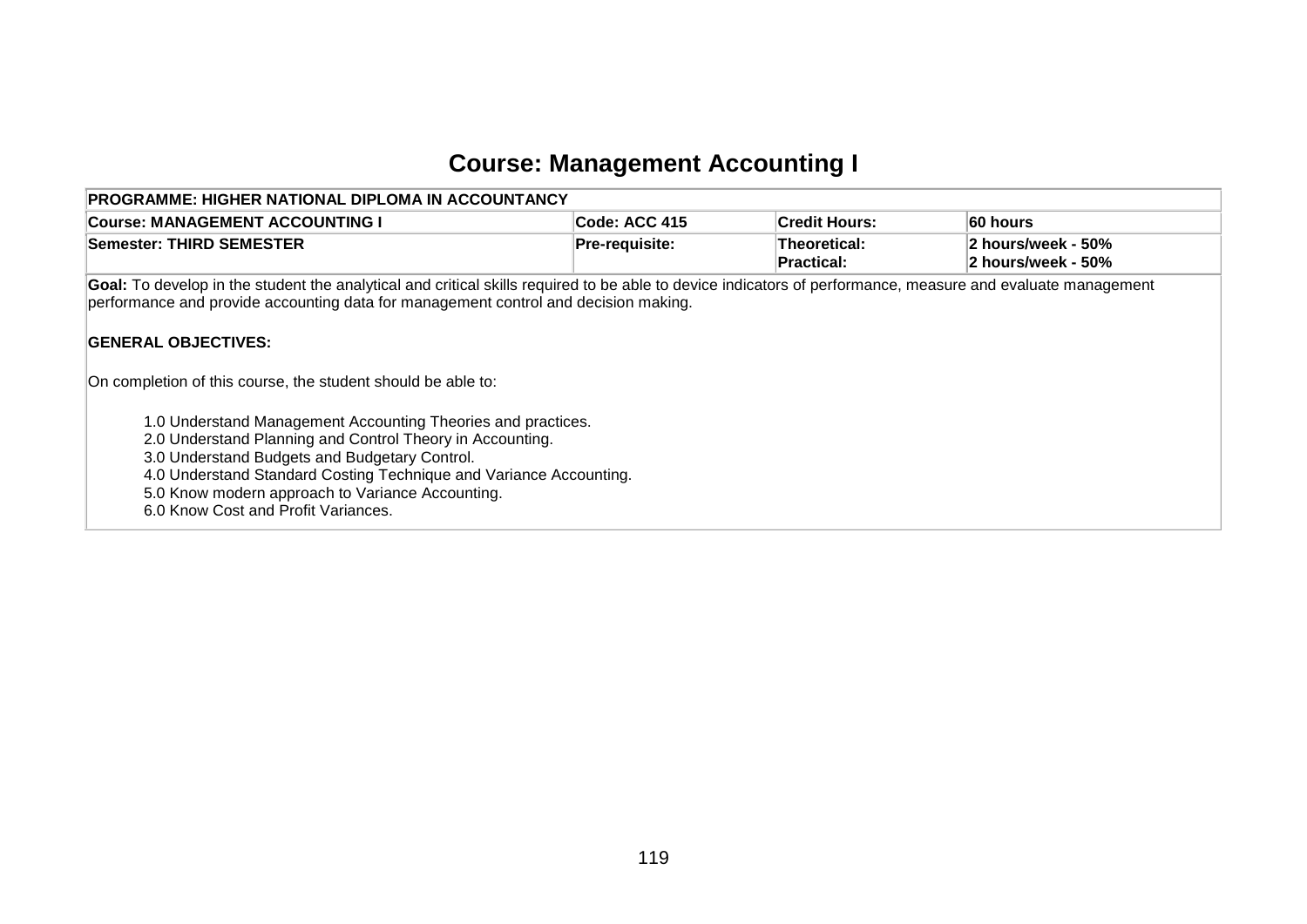# **Course: Management Accounting I**

| <b>PROGRAMME: HIGHER NATIONAL DIPLOMA IN ACCOUNTANCY</b>                                                                                                                                                                                                                                                                                    |                |                                   |                                          |
|---------------------------------------------------------------------------------------------------------------------------------------------------------------------------------------------------------------------------------------------------------------------------------------------------------------------------------------------|----------------|-----------------------------------|------------------------------------------|
| <b>Course: MANAGEMENT ACCOUNTING I</b>                                                                                                                                                                                                                                                                                                      | ∣Code: ACC 415 | <b>Credit Hours:</b>              | ∣60 hours                                |
| Semester: THIRD SEMESTER_                                                                                                                                                                                                                                                                                                                   | Pre-requisite: | Theoretical:<br><b>Practical:</b> | 2 hours/week - 50%<br>2 hours/week - 50% |
| Goal: To develop in the student the analytical and critical skills required to be able to device indicators of performance, measure and evaluate management<br>performance and provide accounting data for management control and decision making.<br><b>GENERAL OBJECTIVES:</b>                                                            |                |                                   |                                          |
| On completion of this course, the student should be able to:                                                                                                                                                                                                                                                                                |                |                                   |                                          |
| 1.0 Understand Management Accounting Theories and practices.<br>2.0 Understand Planning and Control Theory in Accounting.<br>3.0 Understand Budgets and Budgetary Control.<br>4.0 Understand Standard Costing Technique and Variance Accounting.<br>5.0 Know modern approach to Variance Accounting.<br>6.0 Know Cost and Profit Variances. |                |                                   |                                          |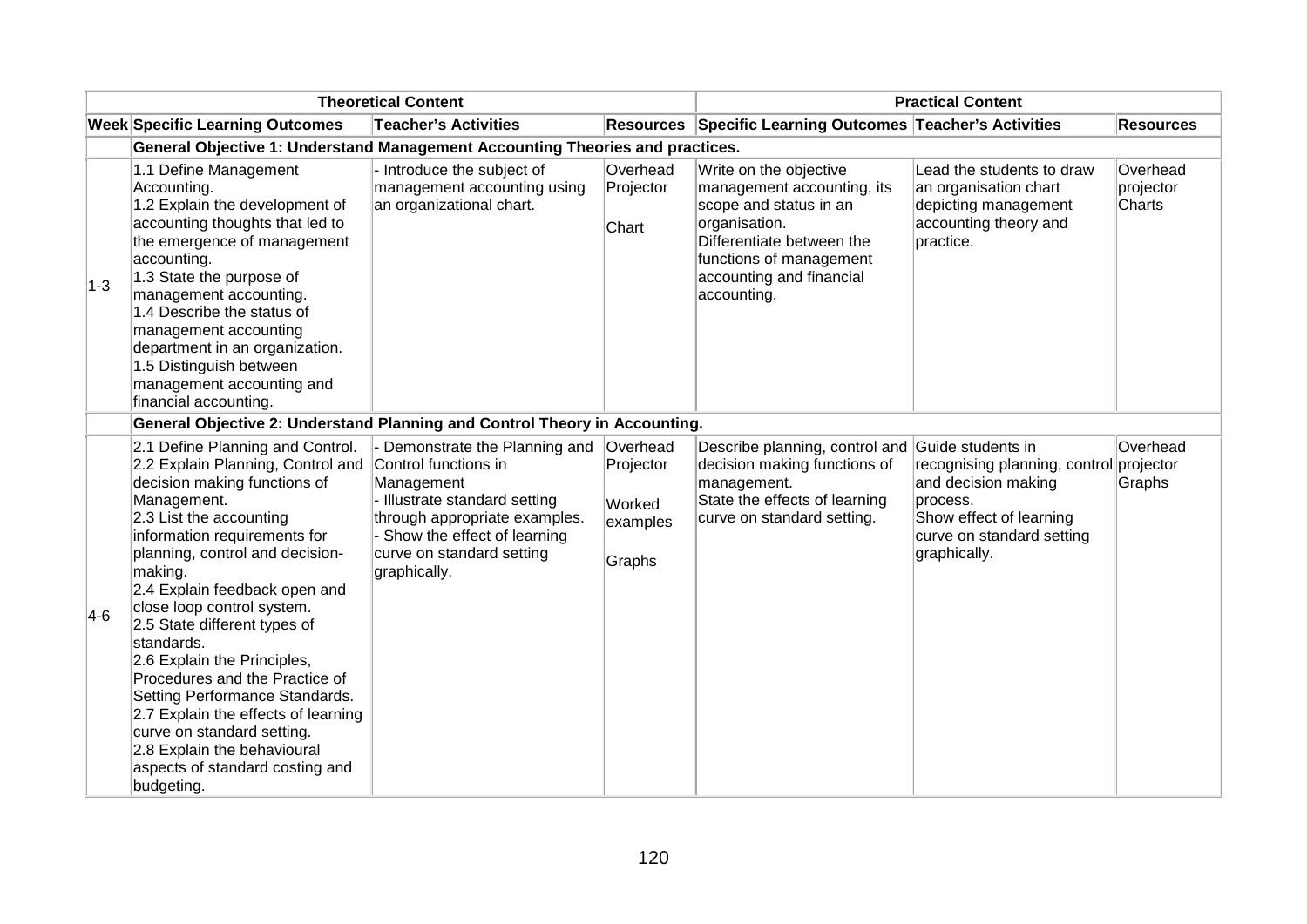| <b>Theoretical Content</b> |                                                                                                                                                                                                                                                                                                                                                                                                                                                                                                                                                                                                                           |                                                                                                                                                                                              |                                                       | <b>Practical Content</b>                                                                                                                                                                           |                                                                                                                                                               |                                 |  |
|----------------------------|---------------------------------------------------------------------------------------------------------------------------------------------------------------------------------------------------------------------------------------------------------------------------------------------------------------------------------------------------------------------------------------------------------------------------------------------------------------------------------------------------------------------------------------------------------------------------------------------------------------------------|----------------------------------------------------------------------------------------------------------------------------------------------------------------------------------------------|-------------------------------------------------------|----------------------------------------------------------------------------------------------------------------------------------------------------------------------------------------------------|---------------------------------------------------------------------------------------------------------------------------------------------------------------|---------------------------------|--|
|                            | <b>Week Specific Learning Outcomes</b>                                                                                                                                                                                                                                                                                                                                                                                                                                                                                                                                                                                    | <b>Teacher's Activities</b>                                                                                                                                                                  | <b>Resources</b>                                      | Specific Learning Outcomes Teacher's Activities                                                                                                                                                    |                                                                                                                                                               | <b>Resources</b>                |  |
|                            | <b>General Objective 1: Understand Management Accounting Theories and practices.</b>                                                                                                                                                                                                                                                                                                                                                                                                                                                                                                                                      |                                                                                                                                                                                              |                                                       |                                                                                                                                                                                                    |                                                                                                                                                               |                                 |  |
| $1-3$                      | 1.1 Define Management<br>Accounting.<br>1.2 Explain the development of<br>accounting thoughts that led to<br>the emergence of management<br>accounting.<br>1.3 State the purpose of<br>management accounting.<br>1.4 Describe the status of<br>management accounting<br>department in an organization.<br>1.5 Distinguish between<br>management accounting and<br>financial accounting.                                                                                                                                                                                                                                   | - Introduce the subject of<br>management accounting using<br>an organizational chart.                                                                                                        | Overhead<br>Projector<br>Chart                        | Write on the objective<br>management accounting, its<br>scope and status in an<br>organisation.<br>Differentiate between the<br>functions of management<br>accounting and financial<br>accounting. | Lead the students to draw<br>an organisation chart<br>depicting management<br>accounting theory and<br>practice.                                              | Overhead<br>projector<br>Charts |  |
|                            | General Objective 2: Understand Planning and Control Theory in Accounting.                                                                                                                                                                                                                                                                                                                                                                                                                                                                                                                                                |                                                                                                                                                                                              |                                                       |                                                                                                                                                                                                    |                                                                                                                                                               |                                 |  |
| $4-6$                      | 2.1 Define Planning and Control.<br>2.2 Explain Planning, Control and Control functions in<br>decision making functions of<br>Management.<br>$2.3$ List the accounting<br>information requirements for<br>planning, control and decision-<br>making.<br>2.4 Explain feedback open and<br>close loop control system.<br>2.5 State different types of<br>standards.<br>2.6 Explain the Principles,<br>Procedures and the Practice of<br>Setting Performance Standards.<br>2.7 Explain the effects of learning<br>curve on standard setting.<br>2.8 Explain the behavioural<br>aspects of standard costing and<br>budgeting. | - Demonstrate the Planning and<br>Management<br>- Illustrate standard setting<br>through appropriate examples.<br>- Show the effect of learning<br>curve on standard setting<br>graphically. | Overhead<br>Projector<br>Worked<br>examples<br>Graphs | Describe planning, control and<br>decision making functions of<br>management.<br>State the effects of learning<br>curve on standard setting.                                                       | Guide students in<br>recognising planning, control<br>and decision making<br>process.<br>Show effect of learning<br>curve on standard setting<br>graphically. | Overhead<br>projector<br>Graphs |  |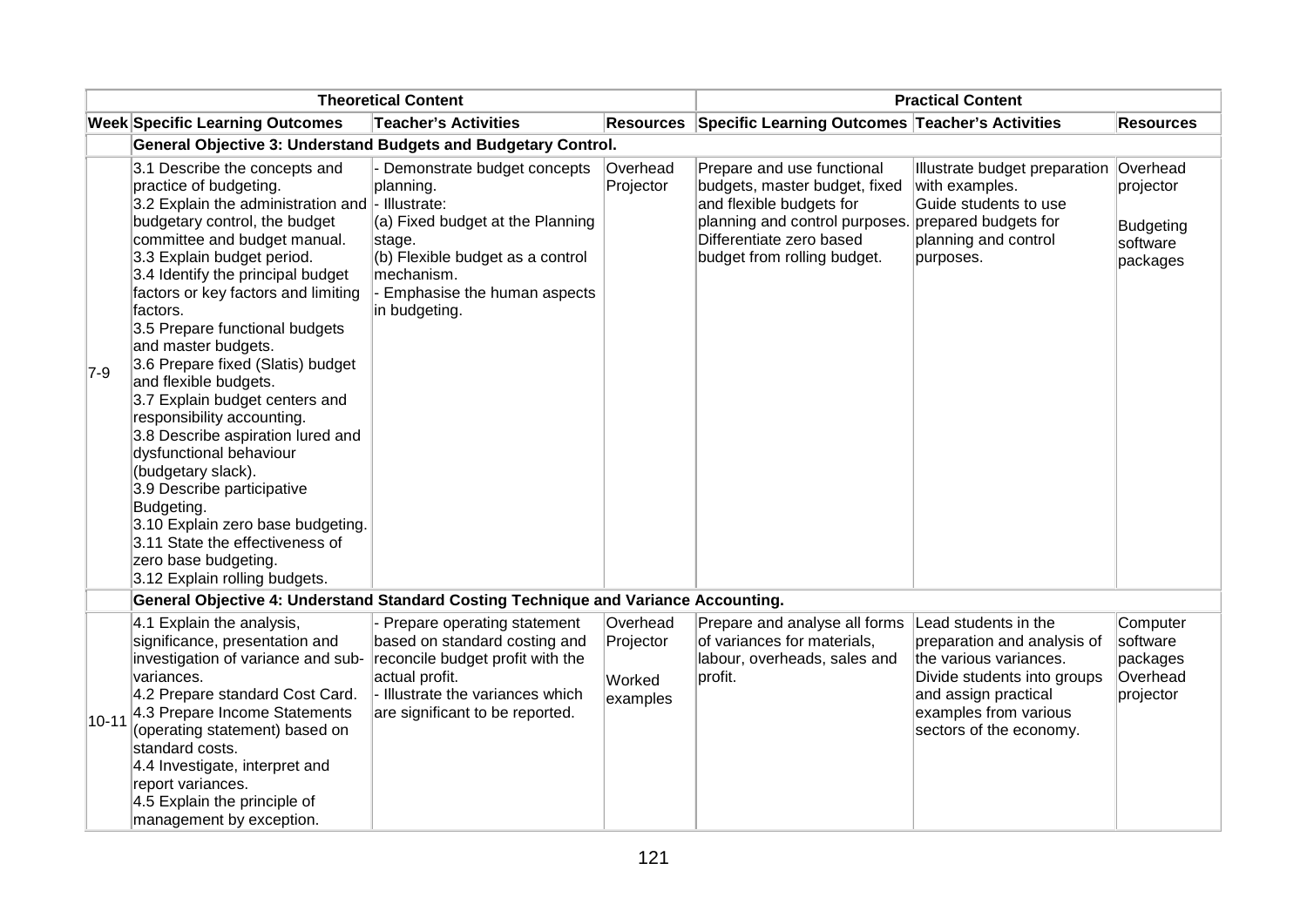|           | <b>Theoretical Content</b>                                                                                                                                                                                                                                                                                                                                                                                                                                                                                                                                                                                                                                                                                                                                    |                                                                                                                                                                                            |                                             | <b>Practical Content</b>                                                                                                                                                             |                                                                                                                                                                                          |                                                                   |
|-----------|---------------------------------------------------------------------------------------------------------------------------------------------------------------------------------------------------------------------------------------------------------------------------------------------------------------------------------------------------------------------------------------------------------------------------------------------------------------------------------------------------------------------------------------------------------------------------------------------------------------------------------------------------------------------------------------------------------------------------------------------------------------|--------------------------------------------------------------------------------------------------------------------------------------------------------------------------------------------|---------------------------------------------|--------------------------------------------------------------------------------------------------------------------------------------------------------------------------------------|------------------------------------------------------------------------------------------------------------------------------------------------------------------------------------------|-------------------------------------------------------------------|
|           | <b>Week Specific Learning Outcomes</b>                                                                                                                                                                                                                                                                                                                                                                                                                                                                                                                                                                                                                                                                                                                        | <b>Teacher's Activities</b>                                                                                                                                                                | <b>Resources</b>                            | Specific Learning Outcomes Teacher's Activities                                                                                                                                      |                                                                                                                                                                                          | <b>Resources</b>                                                  |
|           | General Objective 3: Understand Budgets and Budgetary Control.                                                                                                                                                                                                                                                                                                                                                                                                                                                                                                                                                                                                                                                                                                |                                                                                                                                                                                            |                                             |                                                                                                                                                                                      |                                                                                                                                                                                          |                                                                   |
| $7-9$     | 3.1 Describe the concepts and<br>practice of budgeting.<br>3.2 Explain the administration and  - Illustrate:<br>budgetary control, the budget<br>committee and budget manual.<br>3.3 Explain budget period.<br>3.4 Identify the principal budget<br>factors or key factors and limiting<br>factors.<br>3.5 Prepare functional budgets<br>and master budgets.<br>3.6 Prepare fixed (Slatis) budget<br>and flexible budgets.<br>3.7 Explain budget centers and<br>responsibility accounting.<br>3.8 Describe aspiration lured and<br>dysfunctional behaviour<br>(budgetary slack).<br>3.9 Describe participative<br>Budgeting.<br>3.10 Explain zero base budgeting.<br>3.11 State the effectiveness of<br>zero base budgeting.<br>3.12 Explain rolling budgets. | Demonstrate budget concepts<br>planning.<br>(a) Fixed budget at the Planning<br>stage.<br>(b) Flexible budget as a control<br>mechanism.<br>- Emphasise the human aspects<br>in budgeting. | Overhead<br>Projector                       | Prepare and use functional<br>budgets, master budget, fixed<br>and flexible budgets for<br>planning and control purposes.<br>Differentiate zero based<br>budget from rolling budget. | Illustrate budget preparation<br>with examples.<br>Guide students to use<br>prepared budgets for<br>planning and control<br>purposes.                                                    | Overhead<br>projector<br><b>Budgeting</b><br>software<br>packages |
|           | General Objective 4: Understand Standard Costing Technique and Variance Accounting.                                                                                                                                                                                                                                                                                                                                                                                                                                                                                                                                                                                                                                                                           |                                                                                                                                                                                            |                                             |                                                                                                                                                                                      |                                                                                                                                                                                          |                                                                   |
| $10 - 11$ | 4.1 Explain the analysis,<br>significance, presentation and<br>investigation of variance and sub-<br>variances.<br>4.2 Prepare standard Cost Card.<br>4.3 Prepare Income Statements<br>(operating statement) based on<br>standard costs.<br>4.4 Investigate, interpret and<br>report variances.<br>4.5 Explain the principle of<br>management by exception.                                                                                                                                                                                                                                                                                                                                                                                                   | Prepare operating statement<br>based on standard costing and<br>reconcile budget profit with the<br>actual profit.<br>- Illustrate the variances which<br>are significant to be reported.  | Overhead<br>Projector<br>Worked<br>examples | Prepare and analyse all forms<br>of variances for materials,<br>labour, overheads, sales and<br>profit.                                                                              | Lead students in the<br>preparation and analysis of<br>the various variances.<br>Divide students into groups<br>and assign practical<br>examples from various<br>sectors of the economy. | Computer<br>software<br>packages<br>Overhead<br>projector         |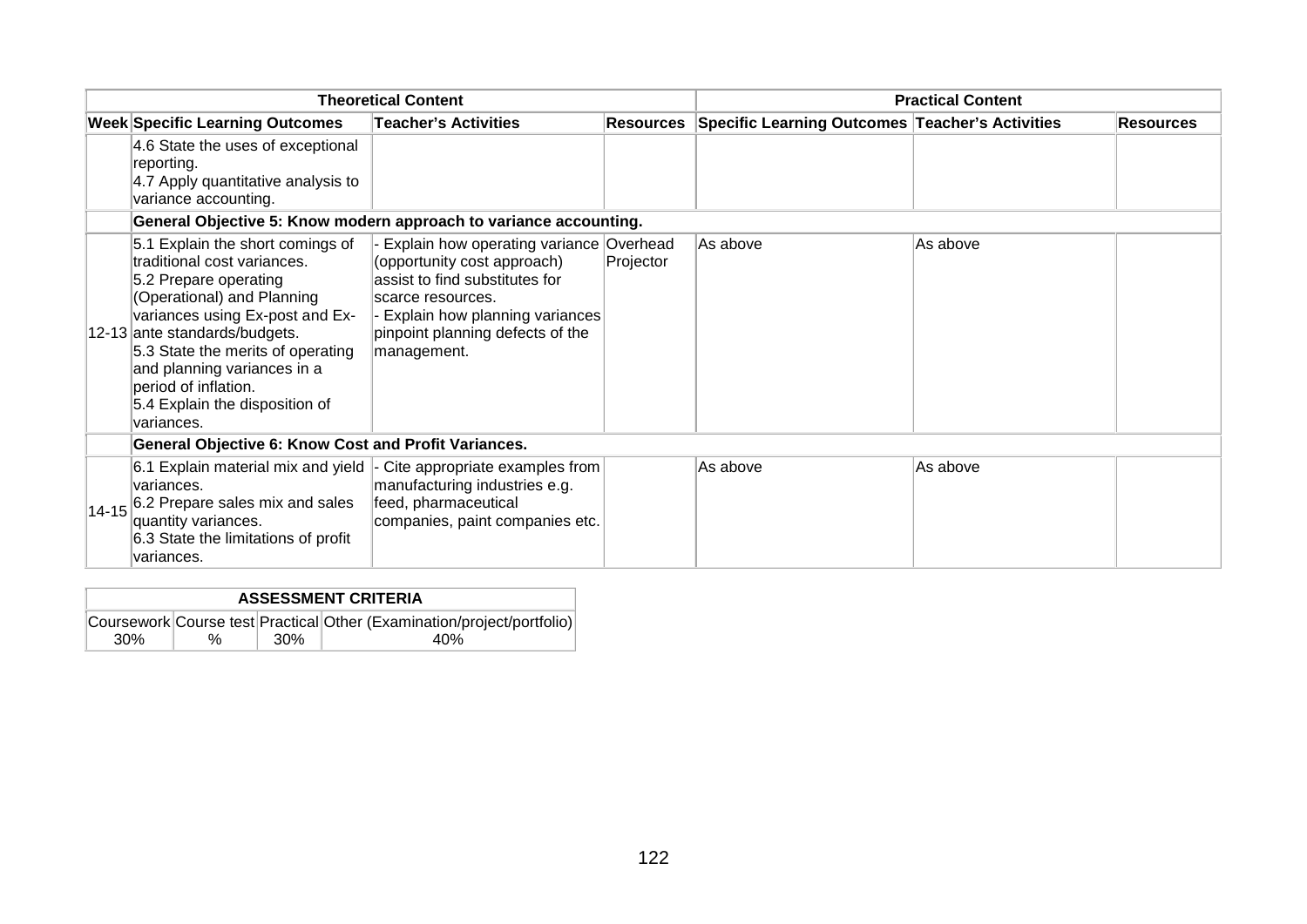| <b>Theoretical Content</b> |                                                                                                                                                                                                                                                                                                                                        |                                                                                                                                                                                                                    | <b>Practical Content</b> |                                                           |          |                  |
|----------------------------|----------------------------------------------------------------------------------------------------------------------------------------------------------------------------------------------------------------------------------------------------------------------------------------------------------------------------------------|--------------------------------------------------------------------------------------------------------------------------------------------------------------------------------------------------------------------|--------------------------|-----------------------------------------------------------|----------|------------------|
|                            | <b>Week Specific Learning Outcomes</b>                                                                                                                                                                                                                                                                                                 | <b>Teacher's Activities</b>                                                                                                                                                                                        |                          | Resources Specific Learning Outcomes Teacher's Activities |          | <b>Resources</b> |
|                            | 4.6 State the uses of exceptional<br>reporting.<br>4.7 Apply quantitative analysis to<br>variance accounting.                                                                                                                                                                                                                          |                                                                                                                                                                                                                    |                          |                                                           |          |                  |
|                            | General Objective 5: Know modern approach to variance accounting.                                                                                                                                                                                                                                                                      |                                                                                                                                                                                                                    |                          |                                                           |          |                  |
|                            | 5.1 Explain the short comings of<br>traditional cost variances.<br>5.2 Prepare operating<br>(Operational) and Planning<br>variances using Ex-post and Ex-<br>12-13 ante standards/budgets.<br>5.3 State the merits of operating<br>and planning variances in a<br>period of inflation.<br>5.4 Explain the disposition of<br>variances. | Explain how operating variance Overhead<br>(opportunity cost approach)<br>assist to find substitutes for<br>scarce resources.<br>Explain how planning variances<br>pinpoint planning defects of the<br>management. | Projector                | As above                                                  | As above |                  |
|                            | General Objective 6: Know Cost and Profit Variances.                                                                                                                                                                                                                                                                                   |                                                                                                                                                                                                                    |                          |                                                           |          |                  |
| $14 - 15$                  | 6.1 Explain material mix and yield  -<br>variances.<br>6.2 Prepare sales mix and sales<br>quantity variances.<br>6.3 State the limitations of profit<br>variances.                                                                                                                                                                     | Cite appropriate examples from<br>manufacturing industries e.g.<br>feed, pharmaceutical<br>companies, paint companies etc.                                                                                         |                          | As above                                                  | As above |                  |

| <b>ASSESSMENT CRITERIA</b> |   |      |                                                                        |  |  |  |
|----------------------------|---|------|------------------------------------------------------------------------|--|--|--|
|                            |   |      | Coursework Course test Practical Other (Examination/project/portfolio) |  |  |  |
| 30%                        | % | .30% | 40%                                                                    |  |  |  |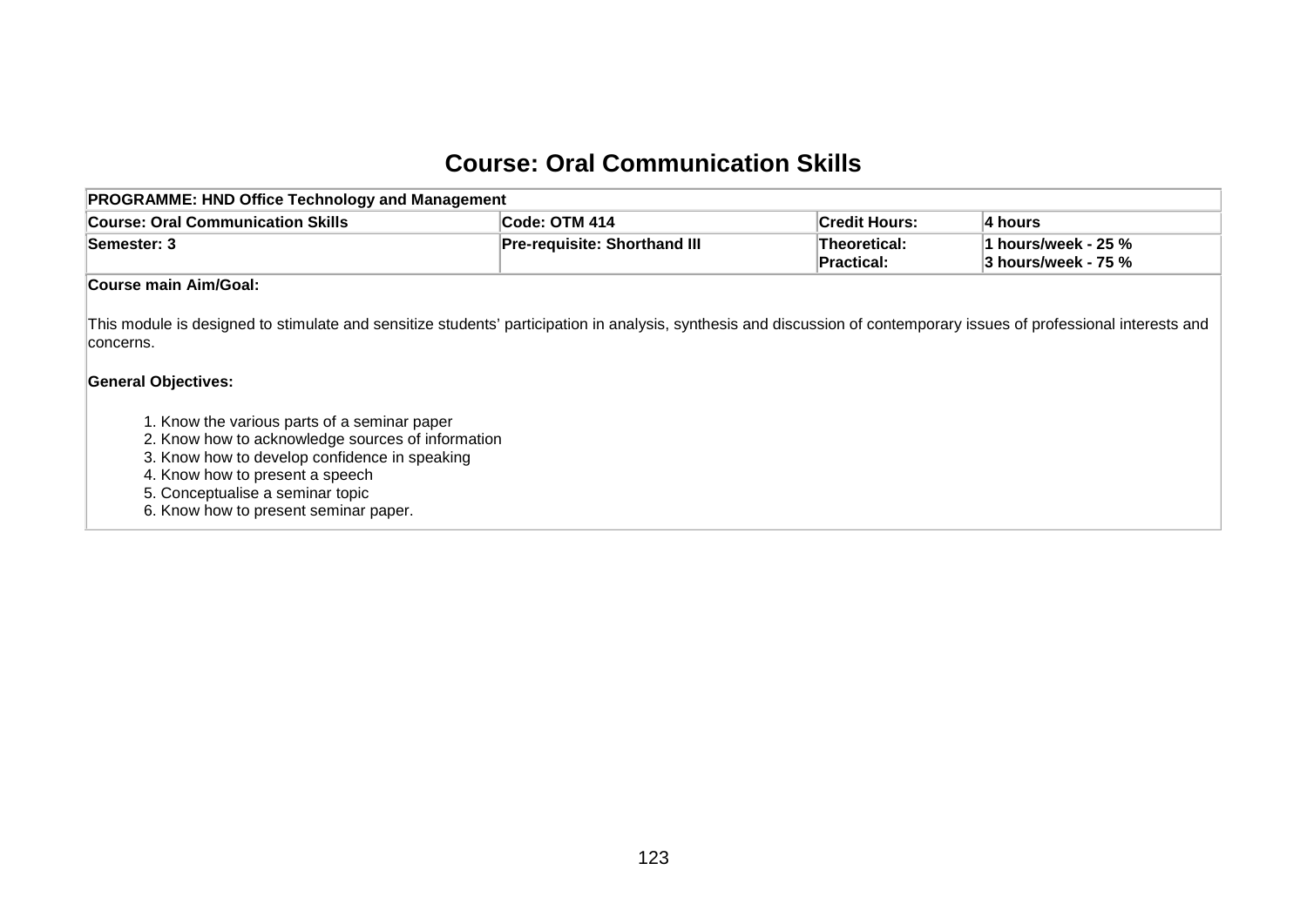## **Course: Oral Communication Skills**

| <b>PROGRAMME: HND Office Technology and Management</b>                                                                                                                                                                                                             |                              |                                   |                                            |  |  |  |  |  |
|--------------------------------------------------------------------------------------------------------------------------------------------------------------------------------------------------------------------------------------------------------------------|------------------------------|-----------------------------------|--------------------------------------------|--|--|--|--|--|
| <b>Course: Oral Communication Skills</b>                                                                                                                                                                                                                           | Code: OTM 414                | ∣Credit Hours:                    | 4 hours                                    |  |  |  |  |  |
| Semester: 3                                                                                                                                                                                                                                                        | Pre-requisite: Shorthand III | Theoretical:<br><b>Practical:</b> | 1 hours/week - 25 %<br>3 hours/week - 75 % |  |  |  |  |  |
| <b>Course main Aim/Goal:</b>                                                                                                                                                                                                                                       |                              |                                   |                                            |  |  |  |  |  |
| This module is designed to stimulate and sensitize students' participation in analysis, synthesis and discussion of contemporary issues of professional interests and<br>concerns.<br><b>General Objectives:</b>                                                   |                              |                                   |                                            |  |  |  |  |  |
| 1. Know the various parts of a seminar paper<br>2. Know how to acknowledge sources of information<br>3. Know how to develop confidence in speaking<br>4. Know how to present a speech<br>5. Conceptualise a seminar topic<br>6. Know how to present seminar paper. |                              |                                   |                                            |  |  |  |  |  |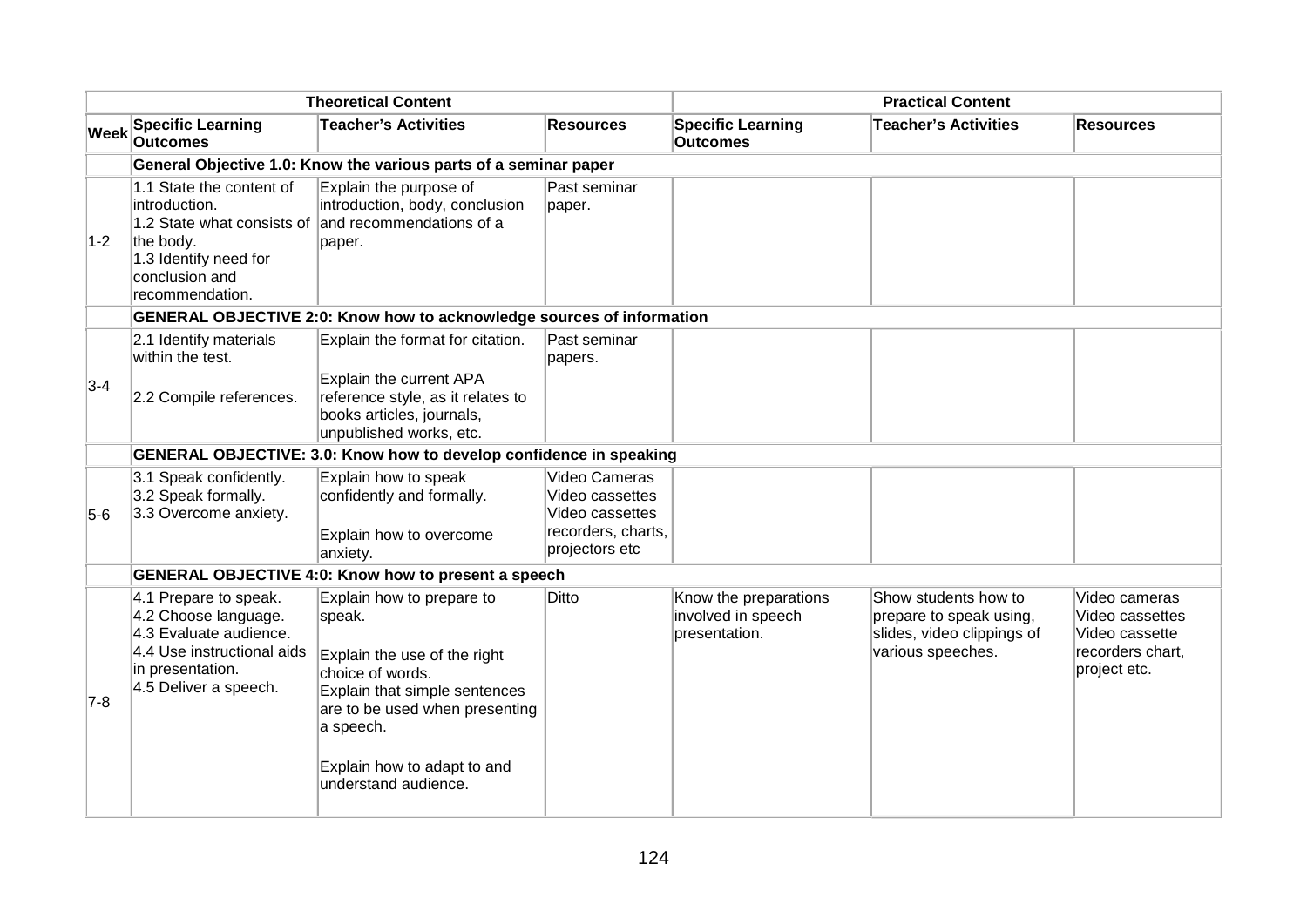|             | <b>Theoretical Content</b>                                                                                                                         |                                                                                                                                                                                                                                |                                                                                             | <b>Practical Content</b>                                     |                                                                                                    |                                                                                        |  |
|-------------|----------------------------------------------------------------------------------------------------------------------------------------------------|--------------------------------------------------------------------------------------------------------------------------------------------------------------------------------------------------------------------------------|---------------------------------------------------------------------------------------------|--------------------------------------------------------------|----------------------------------------------------------------------------------------------------|----------------------------------------------------------------------------------------|--|
| <b>Week</b> | <b>Specific Learning</b><br><b>Outcomes</b>                                                                                                        | <b>Teacher's Activities</b>                                                                                                                                                                                                    | <b>Resources</b>                                                                            | <b>Specific Learning</b><br><b>Outcomes</b>                  | <b>Teacher's Activities</b>                                                                        | <b>Resources</b>                                                                       |  |
|             |                                                                                                                                                    | General Objective 1.0: Know the various parts of a seminar paper                                                                                                                                                               |                                                                                             |                                                              |                                                                                                    |                                                                                        |  |
| $1-2$       | 1.1 State the content of<br>introduction.<br>the body.<br>1.3 Identify need for<br>conclusion and<br>recommendation.                               | Explain the purpose of<br>introduction, body, conclusion<br>1.2 State what consists of and recommendations of a<br>paper.                                                                                                      | Past seminar<br>paper.                                                                      |                                                              |                                                                                                    |                                                                                        |  |
|             |                                                                                                                                                    | <b>GENERAL OBJECTIVE 2:0: Know how to acknowledge sources of information</b>                                                                                                                                                   |                                                                                             |                                                              |                                                                                                    |                                                                                        |  |
| $3-4$       | 2.1 Identify materials<br>within the test.<br>2.2 Compile references.                                                                              | Explain the format for citation.<br>Explain the current APA<br>reference style, as it relates to<br>books articles, journals,<br>unpublished works, etc.                                                                       | Past seminar<br>papers.                                                                     |                                                              |                                                                                                    |                                                                                        |  |
|             |                                                                                                                                                    | GENERAL OBJECTIVE: 3.0: Know how to develop confidence in speaking                                                                                                                                                             |                                                                                             |                                                              |                                                                                                    |                                                                                        |  |
| $5-6$       | 3.1 Speak confidently.<br>3.2 Speak formally.<br>3.3 Overcome anxiety.                                                                             | Explain how to speak<br>confidently and formally.<br>Explain how to overcome<br>anxiety.                                                                                                                                       | Video Cameras<br>Video cassettes<br>Video cassettes<br>recorders, charts,<br>projectors etc |                                                              |                                                                                                    |                                                                                        |  |
|             |                                                                                                                                                    | <b>GENERAL OBJECTIVE 4:0: Know how to present a speech</b>                                                                                                                                                                     |                                                                                             |                                                              |                                                                                                    |                                                                                        |  |
| $7-8$       | 4.1 Prepare to speak.<br>4.2 Choose language.<br>4.3 Evaluate audience.<br>4.4 Use instructional aids<br>in presentation.<br>4.5 Deliver a speech. | Explain how to prepare to<br>speak.<br>Explain the use of the right<br>choice of words.<br>Explain that simple sentences<br>are to be used when presenting<br>a speech.<br>Explain how to adapt to and<br>understand audience. | Ditto                                                                                       | Know the preparations<br>involved in speech<br>presentation. | Show students how to<br>prepare to speak using,<br>slides, video clippings of<br>various speeches. | Video cameras<br>Video cassettes<br>Video cassette<br>recorders chart,<br>project etc. |  |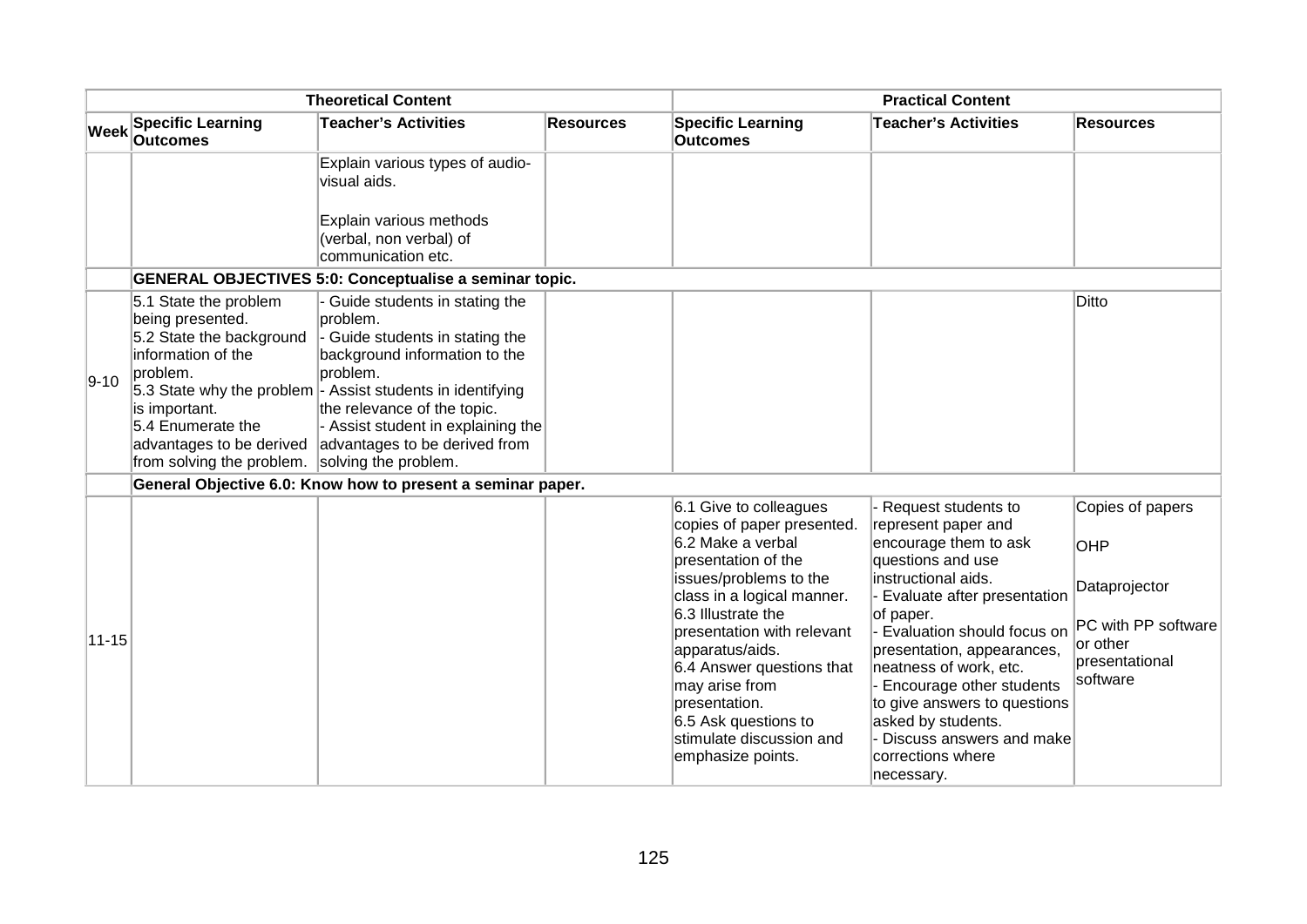| <b>Theoretical Content</b> |                                                                                                                                                                                                        |                                                                                                                                                                                                                                                                                                                               |                  | <b>Practical Content</b>                                                                                                                                                                                                                                                                                         |                                                                                                                                                                                                                                                                                                                                                      |                                                                                              |  |
|----------------------------|--------------------------------------------------------------------------------------------------------------------------------------------------------------------------------------------------------|-------------------------------------------------------------------------------------------------------------------------------------------------------------------------------------------------------------------------------------------------------------------------------------------------------------------------------|------------------|------------------------------------------------------------------------------------------------------------------------------------------------------------------------------------------------------------------------------------------------------------------------------------------------------------------|------------------------------------------------------------------------------------------------------------------------------------------------------------------------------------------------------------------------------------------------------------------------------------------------------------------------------------------------------|----------------------------------------------------------------------------------------------|--|
| <b>Week</b>                | <b>Specific Learning</b><br><b>Outcomes</b>                                                                                                                                                            | <b>Teacher's Activities</b>                                                                                                                                                                                                                                                                                                   | <b>Resources</b> | <b>Specific Learning</b><br><b>Outcomes</b>                                                                                                                                                                                                                                                                      | <b>Teacher's Activities</b>                                                                                                                                                                                                                                                                                                                          | <b>Resources</b>                                                                             |  |
|                            |                                                                                                                                                                                                        | Explain various types of audio-<br>visual aids.                                                                                                                                                                                                                                                                               |                  |                                                                                                                                                                                                                                                                                                                  |                                                                                                                                                                                                                                                                                                                                                      |                                                                                              |  |
|                            |                                                                                                                                                                                                        | Explain various methods<br>(verbal, non verbal) of<br>communication etc.                                                                                                                                                                                                                                                      |                  |                                                                                                                                                                                                                                                                                                                  |                                                                                                                                                                                                                                                                                                                                                      |                                                                                              |  |
|                            |                                                                                                                                                                                                        | <b>GENERAL OBJECTIVES 5:0: Conceptualise a seminar topic.</b>                                                                                                                                                                                                                                                                 |                  |                                                                                                                                                                                                                                                                                                                  |                                                                                                                                                                                                                                                                                                                                                      |                                                                                              |  |
| $9 - 10$                   | 5.1 State the problem<br>being presented.<br>5.2 State the background<br>information of the<br>problem.<br>is important.<br>5.4 Enumerate the<br>advantages to be derived<br>from solving the problem. | Guide students in stating the<br>problem.<br>- Guide students in stating the<br>background information to the<br>problem.<br>5.3 State why the problem $\vert$ - Assist students in identifying<br>the relevance of the topic.<br>- Assist student in explaining the<br>advantages to be derived from<br>solving the problem. |                  |                                                                                                                                                                                                                                                                                                                  |                                                                                                                                                                                                                                                                                                                                                      | <b>Ditto</b>                                                                                 |  |
|                            |                                                                                                                                                                                                        | General Objective 6.0: Know how to present a seminar paper.                                                                                                                                                                                                                                                                   |                  |                                                                                                                                                                                                                                                                                                                  |                                                                                                                                                                                                                                                                                                                                                      |                                                                                              |  |
|                            |                                                                                                                                                                                                        |                                                                                                                                                                                                                                                                                                                               |                  | 6.1 Give to colleagues<br>copies of paper presented.                                                                                                                                                                                                                                                             | - Request students to<br>represent paper and                                                                                                                                                                                                                                                                                                         | Copies of papers                                                                             |  |
| $11 - 15$                  |                                                                                                                                                                                                        |                                                                                                                                                                                                                                                                                                                               |                  | 6.2 Make a verbal<br>presentation of the<br>issues/problems to the<br>class in a logical manner.<br>6.3 Illustrate the<br>presentation with relevant<br>apparatus/aids.<br>6.4 Answer questions that<br>may arise from<br>presentation.<br>6.5 Ask questions to<br>stimulate discussion and<br>emphasize points. | encourage them to ask<br>questions and use<br>instructional aids.<br>Evaluate after presentation<br>of paper.<br>Evaluation should focus on<br>presentation, appearances,<br>neatness of work, etc.<br>Encourage other students<br>to give answers to questions<br>asked by students.<br>Discuss answers and make<br>corrections where<br>necessary. | <b>OHP</b><br>Dataprojector<br>PC with PP software<br>or other<br>presentational<br>software |  |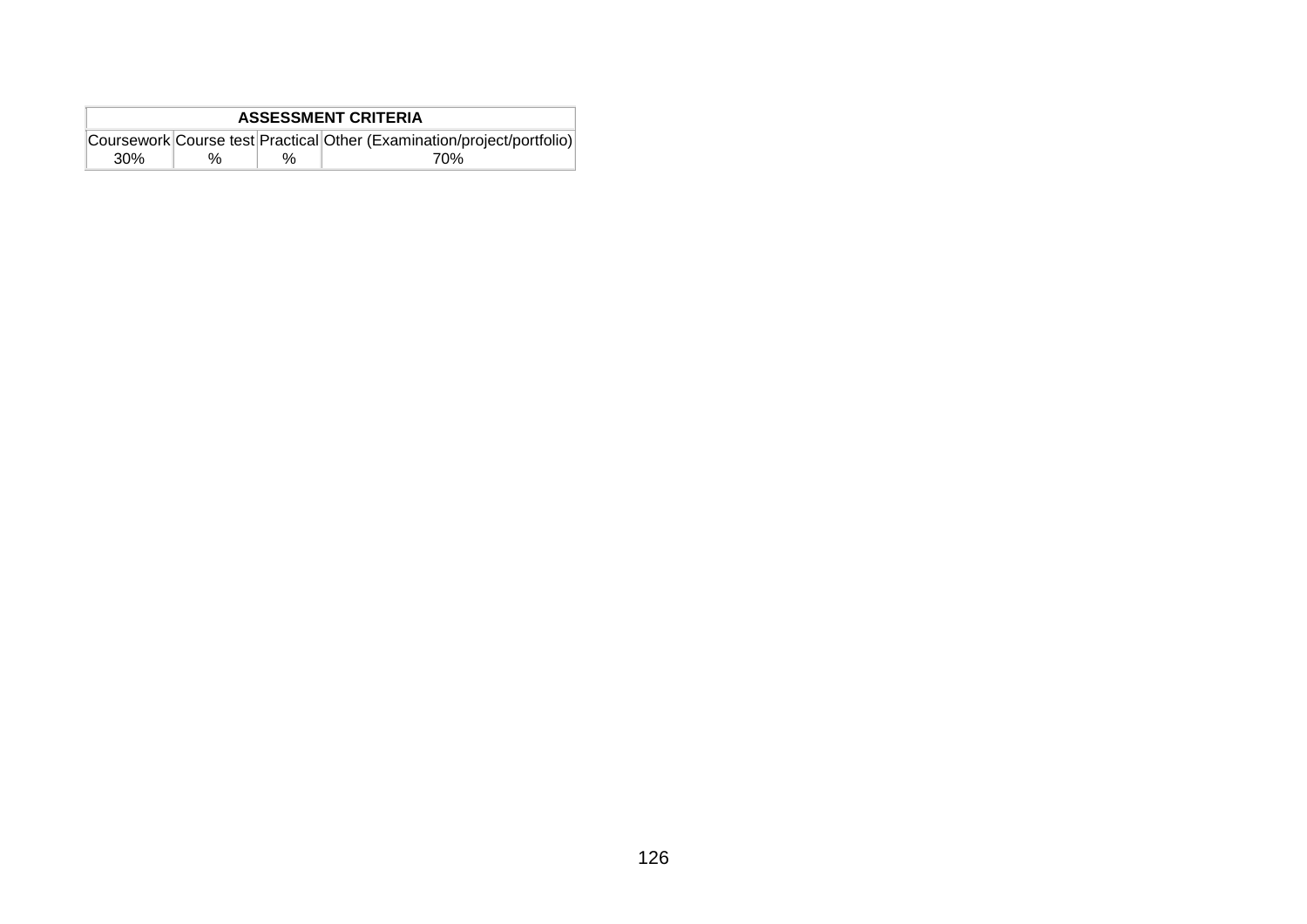| <b>ASSESSMENT CRITERIA</b> |   |   |                                                                        |  |  |
|----------------------------|---|---|------------------------------------------------------------------------|--|--|
|                            |   |   | Coursework Course test Practical Other (Examination/project/portfolio) |  |  |
| 30 <sup>%</sup>            | % | % | 70%                                                                    |  |  |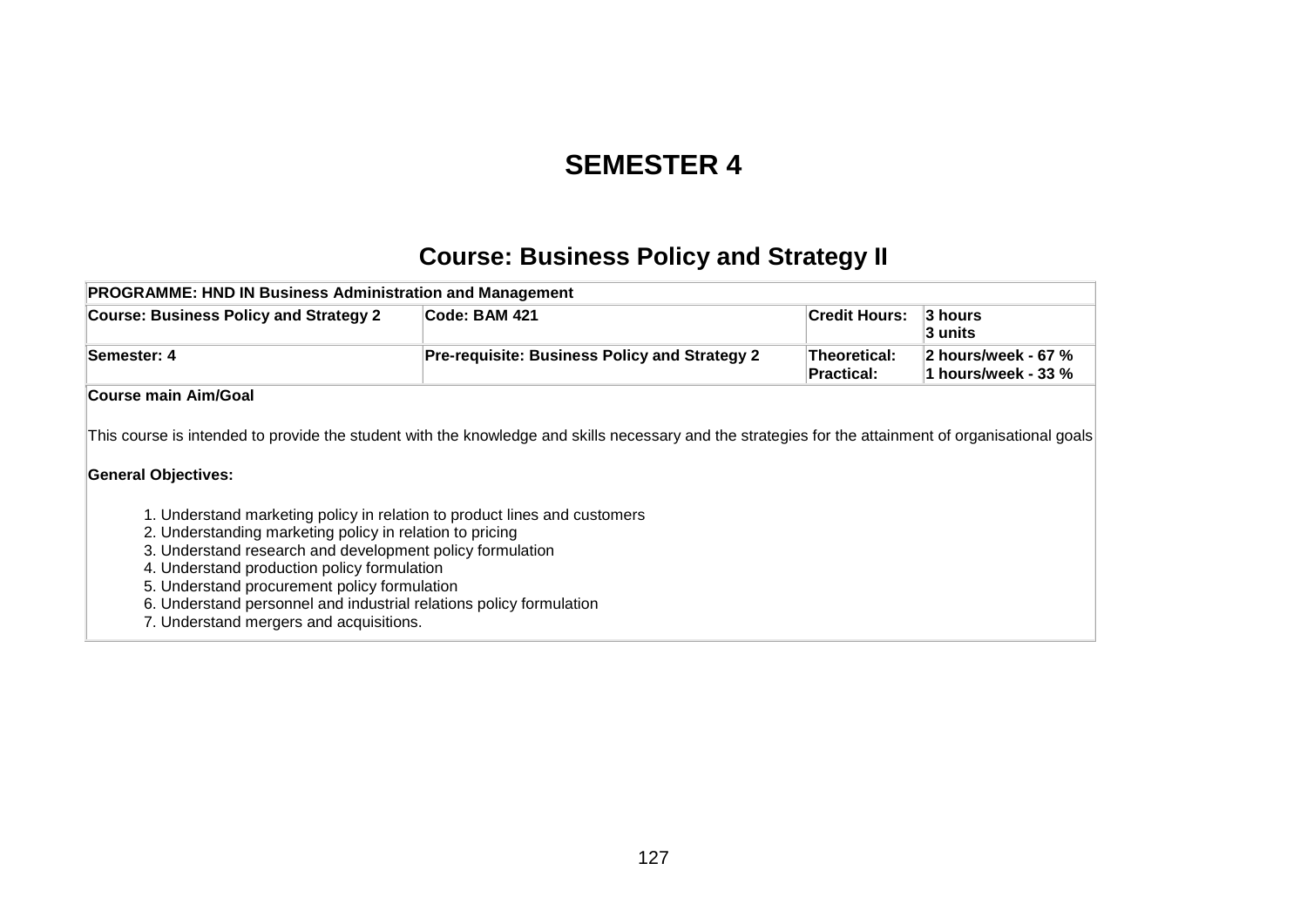## **SEMESTER 4**

## **Course: Business Policy and Strategy II**

| <b>PROGRAMME: HND IN Business Administration and Management</b>                                                                                                                                                                                                                                                                                                                                                                                   |                                                                                                                                                      |                                   |                                            |
|---------------------------------------------------------------------------------------------------------------------------------------------------------------------------------------------------------------------------------------------------------------------------------------------------------------------------------------------------------------------------------------------------------------------------------------------------|------------------------------------------------------------------------------------------------------------------------------------------------------|-----------------------------------|--------------------------------------------|
| <b>Course: Business Policy and Strategy 2</b>                                                                                                                                                                                                                                                                                                                                                                                                     | Code: BAM 421                                                                                                                                        | <b>Credit Hours:</b>              | 3 hours<br>3 units                         |
| Semester: 4                                                                                                                                                                                                                                                                                                                                                                                                                                       | Pre-requisite: Business Policy and Strategy 2                                                                                                        | Theoretical:<br><b>Practical:</b> | 2 hours/week - 67 %<br>1 hours/week - 33 % |
| <b>Course main Aim/Goal</b>                                                                                                                                                                                                                                                                                                                                                                                                                       |                                                                                                                                                      |                                   |                                            |
| <b>General Objectives:</b><br>1. Understand marketing policy in relation to product lines and customers<br>2. Understanding marketing policy in relation to pricing<br>3. Understand research and development policy formulation<br>4. Understand production policy formulation<br>5. Understand procurement policy formulation<br>6. Understand personnel and industrial relations policy formulation<br>7. Understand mergers and acquisitions. | This course is intended to provide the student with the knowledge and skills necessary and the strategies for the attainment of organisational goals |                                   |                                            |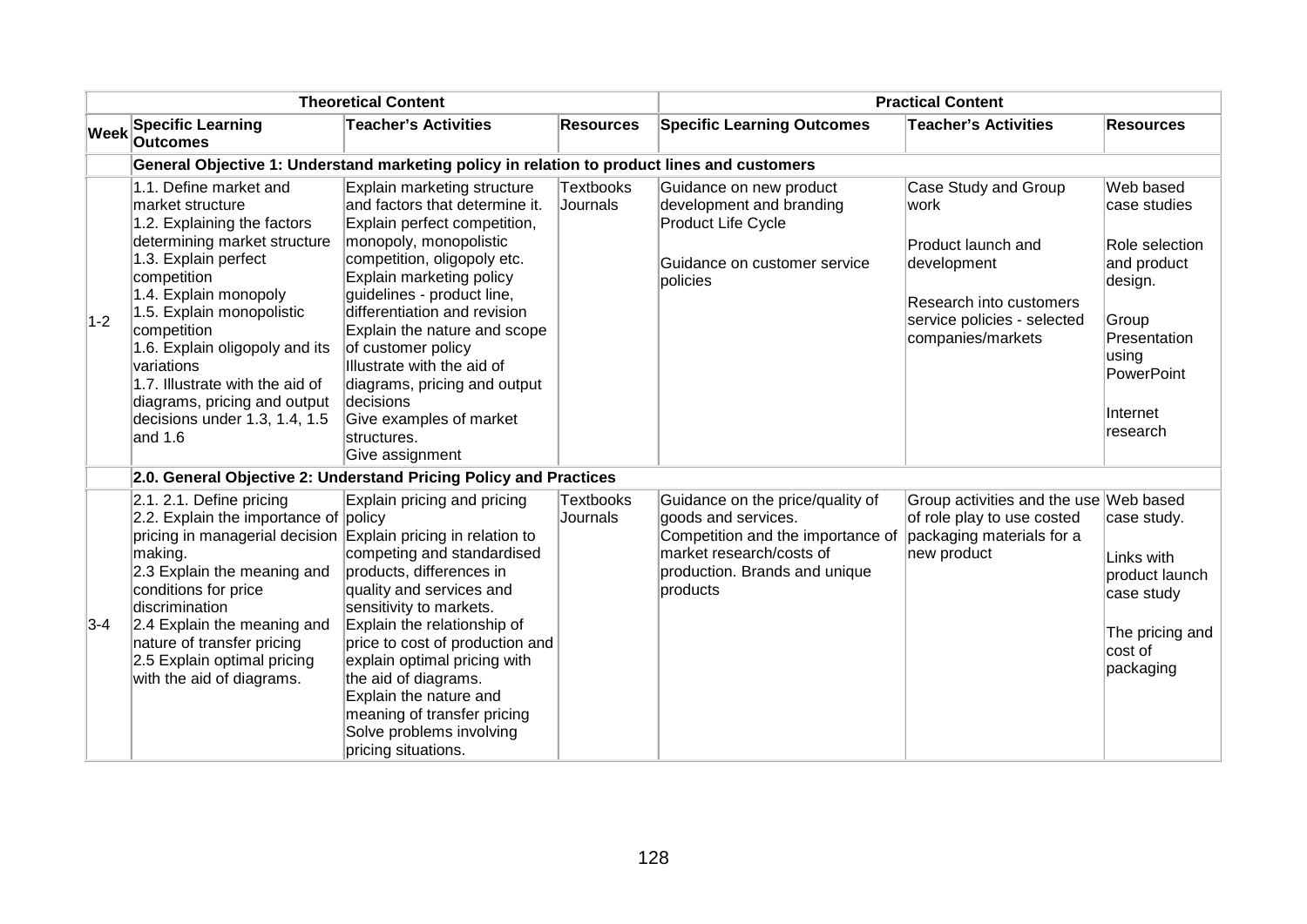| <b>Theoretical Content</b> |                                                                                                                                                                                                                                                                                                                                                                                      |                                                                                                                                                                                                                                                                                                                                                                                                                                                |                              | <b>Practical Content</b>                                                                                                                                                                        |                                                                                                                                                  |                                                                                                                                                      |  |
|----------------------------|--------------------------------------------------------------------------------------------------------------------------------------------------------------------------------------------------------------------------------------------------------------------------------------------------------------------------------------------------------------------------------------|------------------------------------------------------------------------------------------------------------------------------------------------------------------------------------------------------------------------------------------------------------------------------------------------------------------------------------------------------------------------------------------------------------------------------------------------|------------------------------|-------------------------------------------------------------------------------------------------------------------------------------------------------------------------------------------------|--------------------------------------------------------------------------------------------------------------------------------------------------|------------------------------------------------------------------------------------------------------------------------------------------------------|--|
| Week                       | <b>Specific Learning</b><br><b>Outcomes</b>                                                                                                                                                                                                                                                                                                                                          | <b>Teacher's Activities</b>                                                                                                                                                                                                                                                                                                                                                                                                                    | <b>Resources</b>             | <b>Specific Learning Outcomes</b>                                                                                                                                                               | <b>Teacher's Activities</b>                                                                                                                      | <b>Resources</b>                                                                                                                                     |  |
|                            |                                                                                                                                                                                                                                                                                                                                                                                      | General Objective 1: Understand marketing policy in relation to product lines and customers                                                                                                                                                                                                                                                                                                                                                    |                              |                                                                                                                                                                                                 |                                                                                                                                                  |                                                                                                                                                      |  |
| $1-2$                      | 1.1. Define market and<br>market structure<br>1.2. Explaining the factors<br>determining market structure<br>1.3. Explain perfect<br>competition<br>1.4. Explain monopoly<br>1.5. Explain monopolistic<br>competition<br>1.6. Explain oligopoly and its<br>variations<br>1.7. Illustrate with the aid of<br>diagrams, pricing and output<br>decisions under 1.3, 1.4, 1.5<br>and 1.6 | Explain marketing structure<br>and factors that determine it.<br>Explain perfect competition,<br>monopoly, monopolistic<br>competition, oligopoly etc.<br>Explain marketing policy<br>quidelines - product line,<br>differentiation and revision<br>Explain the nature and scope<br>of customer policy<br>Illustrate with the aid of<br>diagrams, pricing and output<br>decisions<br>Give examples of market<br>structures.<br>Give assignment | <b>Textbooks</b><br>Journals | Guidance on new product<br>development and branding<br>Product Life Cycle<br>Guidance on customer service<br>policies                                                                           | Case Study and Group<br>work<br>Product launch and<br>development<br>Research into customers<br>service policies - selected<br>companies/markets | Web based<br>case studies<br>Role selection<br>and product<br>design.<br>Group<br>Presentation<br>using<br><b>PowerPoint</b><br>Internet<br>research |  |
|                            |                                                                                                                                                                                                                                                                                                                                                                                      | 2.0. General Objective 2: Understand Pricing Policy and Practices                                                                                                                                                                                                                                                                                                                                                                              |                              |                                                                                                                                                                                                 |                                                                                                                                                  |                                                                                                                                                      |  |
| $3-4$                      | 2.1. 2.1. Define pricing<br>2.2. Explain the importance of policy<br>pricing in managerial decision Explain pricing in relation to<br>making.<br>2.3 Explain the meaning and<br>conditions for price<br>discrimination<br>2.4 Explain the meaning and<br>nature of transfer pricing<br>2.5 Explain optimal pricing<br>with the aid of diagrams.                                      | Explain pricing and pricing<br>competing and standardised<br>products, differences in<br>quality and services and<br>sensitivity to markets.<br>Explain the relationship of<br>price to cost of production and<br>explain optimal pricing with<br>the aid of diagrams.<br>Explain the nature and<br>meaning of transfer pricing<br>Solve problems involving<br>pricing situations.                                                             | <b>Textbooks</b><br>Journals | Guidance on the price/quality of<br>goods and services.<br>Competition and the importance of packaging materials for a<br>market research/costs of<br>production. Brands and unique<br>products | Group activities and the use Web based<br>of role play to use costed<br>new product                                                              | case study.<br>Links with<br>product launch<br>case study<br>The pricing and<br>cost of<br>packaging                                                 |  |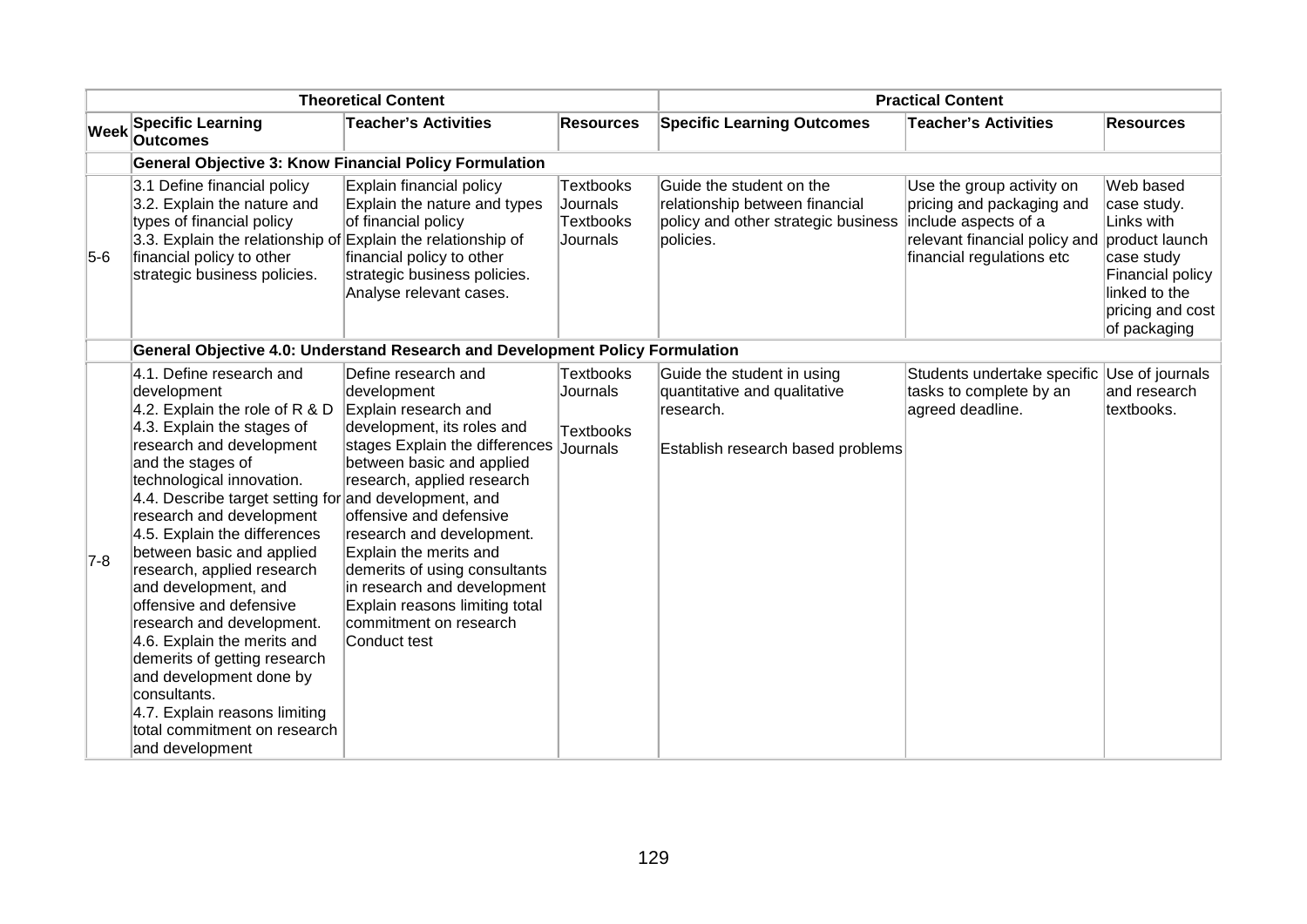| <b>Theoretical Content</b> |                                                                                                                                                                                                                                                                                                                                                                                                                                                                                                                                                                                                                                                       |                                                                                                                                                                                                                                                                                                                                                                                                                     |                                                              | <b>Practical Content</b>                                                                                       |                                                                                                                                                             |                                                                                                                               |
|----------------------------|-------------------------------------------------------------------------------------------------------------------------------------------------------------------------------------------------------------------------------------------------------------------------------------------------------------------------------------------------------------------------------------------------------------------------------------------------------------------------------------------------------------------------------------------------------------------------------------------------------------------------------------------------------|---------------------------------------------------------------------------------------------------------------------------------------------------------------------------------------------------------------------------------------------------------------------------------------------------------------------------------------------------------------------------------------------------------------------|--------------------------------------------------------------|----------------------------------------------------------------------------------------------------------------|-------------------------------------------------------------------------------------------------------------------------------------------------------------|-------------------------------------------------------------------------------------------------------------------------------|
| Week                       | <b>Specific Learning</b><br><b>Outcomes</b>                                                                                                                                                                                                                                                                                                                                                                                                                                                                                                                                                                                                           | <b>Teacher's Activities</b>                                                                                                                                                                                                                                                                                                                                                                                         | <b>Resources</b>                                             | <b>Specific Learning Outcomes</b>                                                                              | <b>Teacher's Activities</b>                                                                                                                                 | <b>Resources</b>                                                                                                              |
|                            | <b>General Objective 3: Know Financial Policy Formulation</b>                                                                                                                                                                                                                                                                                                                                                                                                                                                                                                                                                                                         |                                                                                                                                                                                                                                                                                                                                                                                                                     |                                                              |                                                                                                                |                                                                                                                                                             |                                                                                                                               |
| $5-6$                      | 3.1 Define financial policy<br>3.2. Explain the nature and<br>types of financial policy<br>3.3. Explain the relationship of Explain the relationship of<br>financial policy to other<br>strategic business policies.                                                                                                                                                                                                                                                                                                                                                                                                                                  | Explain financial policy<br>Explain the nature and types<br>of financial policy<br>financial policy to other<br>strategic business policies.<br>Analyse relevant cases.                                                                                                                                                                                                                                             | <b>Textbooks</b><br>Journals<br><b>Textbooks</b><br>Journals | Guide the student on the<br>relationship between financial<br>policy and other strategic business<br>policies. | Use the group activity on<br>pricing and packaging and<br>include aspects of a<br>relevant financial policy and product launch<br>financial regulations etc | Web based<br>case study.<br>Links with<br>case study<br>Financial policy<br>linked to the<br>pricing and cost<br>of packaging |
|                            |                                                                                                                                                                                                                                                                                                                                                                                                                                                                                                                                                                                                                                                       | <b>General Objective 4.0: Understand Research and Development Policy Formulation</b>                                                                                                                                                                                                                                                                                                                                |                                                              |                                                                                                                |                                                                                                                                                             |                                                                                                                               |
| $7-8$                      | 4.1. Define research and<br>development<br>4.2. Explain the role of R & D<br>$4.3.$ Explain the stages of<br>research and development<br>and the stages of<br>technological innovation.<br>4.4. Describe target setting for and development, and<br>research and development<br>4.5. Explain the differences<br>between basic and applied<br>research, applied research<br>and development, and<br>offensive and defensive<br>research and development.<br>4.6. Explain the merits and<br>demerits of getting research<br>and development done by<br>consultants.<br>4.7. Explain reasons limiting<br>total commitment on research<br>and development | Define research and<br>development<br>Explain research and<br>development, its roles and<br>stages Explain the differences<br>between basic and applied<br>research, applied research<br>offensive and defensive<br>research and development.<br>Explain the merits and<br>demerits of using consultants<br>in research and development<br>Explain reasons limiting total<br>commitment on research<br>Conduct test | <b>Textbooks</b><br>Journals<br><b>Textbooks</b><br>Journals | Guide the student in using<br>quantitative and qualitative<br>research.<br>Establish research based problems   | Students undertake specific Use of journals<br>tasks to complete by an<br>agreed deadline.                                                                  | and research<br>textbooks.                                                                                                    |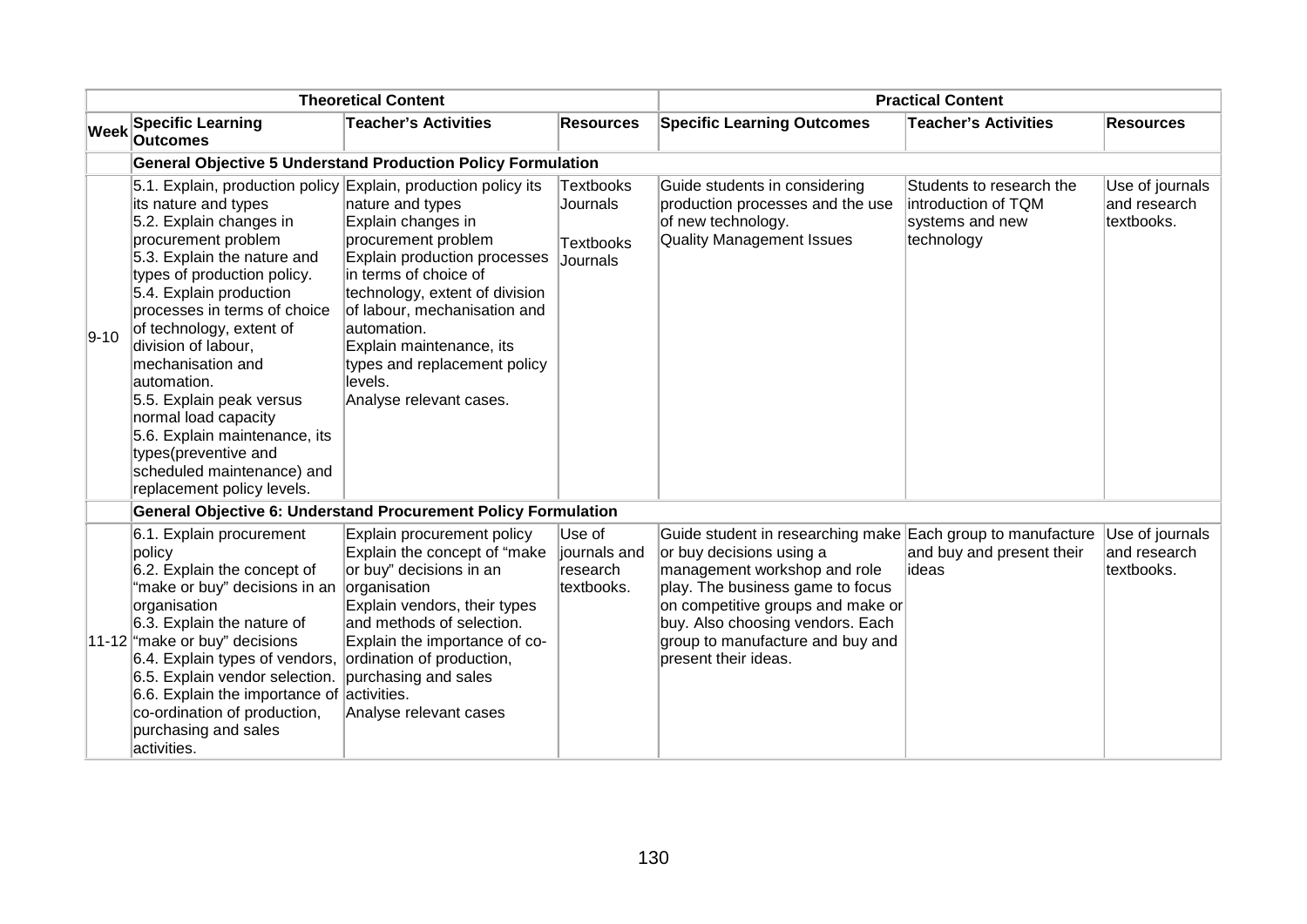| <b>Theoretical Content</b> |                                                                                                                                                                                                                                                                                                                                                                                                                                                                                                                                   |                                                                                                                                                                                                                                                                                                           |                                                       |                                                                                                                                                                                                                                                                                                  | <b>Practical Content</b>                                                         |                                               |
|----------------------------|-----------------------------------------------------------------------------------------------------------------------------------------------------------------------------------------------------------------------------------------------------------------------------------------------------------------------------------------------------------------------------------------------------------------------------------------------------------------------------------------------------------------------------------|-----------------------------------------------------------------------------------------------------------------------------------------------------------------------------------------------------------------------------------------------------------------------------------------------------------|-------------------------------------------------------|--------------------------------------------------------------------------------------------------------------------------------------------------------------------------------------------------------------------------------------------------------------------------------------------------|----------------------------------------------------------------------------------|-----------------------------------------------|
| <b>Week</b>                | <b>Specific Learning</b><br><b>Outcomes</b>                                                                                                                                                                                                                                                                                                                                                                                                                                                                                       | <b>Teacher's Activities</b>                                                                                                                                                                                                                                                                               | <b>Resources</b>                                      | <b>Specific Learning Outcomes</b>                                                                                                                                                                                                                                                                | <b>Teacher's Activities</b>                                                      | <b>Resources</b>                              |
|                            |                                                                                                                                                                                                                                                                                                                                                                                                                                                                                                                                   | <b>General Objective 5 Understand Production Policy Formulation</b>                                                                                                                                                                                                                                       |                                                       |                                                                                                                                                                                                                                                                                                  |                                                                                  |                                               |
| $9 - 10$                   | 5.1. Explain, production policy Explain, production policy its<br>its nature and types<br>5.2. Explain changes in<br>procurement problem<br>5.3. Explain the nature and<br>types of production policy.<br>5.4. Explain production<br>processes in terms of choice<br>of technology, extent of<br>division of labour,<br>mechanisation and<br>automation.<br>5.5. Explain peak versus<br>normal load capacity<br>5.6. Explain maintenance, its<br>types(preventive and<br>scheduled maintenance) and<br>replacement policy levels. | nature and types<br>Explain changes in<br>procurement problem<br>Explain production processes<br>in terms of choice of<br>technology, extent of division<br>of labour, mechanisation and<br>automation.<br>Explain maintenance, its<br>types and replacement policy<br>levels.<br>Analyse relevant cases. | Textbooks<br>Journals<br><b>Textbooks</b><br>Journals | Guide students in considering<br>production processes and the use<br>of new technology.<br><b>Quality Management Issues</b>                                                                                                                                                                      | Students to research the<br>introduction of TQM<br>systems and new<br>technology | Use of journals<br>and research<br>textbooks. |
|                            |                                                                                                                                                                                                                                                                                                                                                                                                                                                                                                                                   | <b>General Objective 6: Understand Procurement Policy Formulation</b>                                                                                                                                                                                                                                     |                                                       |                                                                                                                                                                                                                                                                                                  |                                                                                  |                                               |
|                            | 6.1. Explain procurement<br>policy<br>6.2. Explain the concept of<br>"make or buy" decisions in an organisation<br>organisation<br>6.3. Explain the nature of<br>11-12 make or buy" decisions<br>6.4. Explain types of vendors, ordination of production,<br>6.5. Explain vendor selection. purchasing and sales<br>6.6. Explain the importance of activities.<br>co-ordination of production,<br>purchasing and sales<br>activities.                                                                                             | Explain procurement policy<br>Explain the concept of "make<br>or buy" decisions in an<br>Explain vendors, their types<br>and methods of selection.<br>Explain the importance of co-<br>Analyse relevant cases                                                                                             | Use of<br>journals and<br>research<br>textbooks.      | Guide student in researching make Each group to manufacture<br>or buy decisions using a<br>management workshop and role<br>play. The business game to focus<br>on competitive groups and make or<br>buy. Also choosing vendors. Each<br>group to manufacture and buy and<br>present their ideas. | and buy and present their<br>lideas                                              | Use of journals<br>and research<br>textbooks. |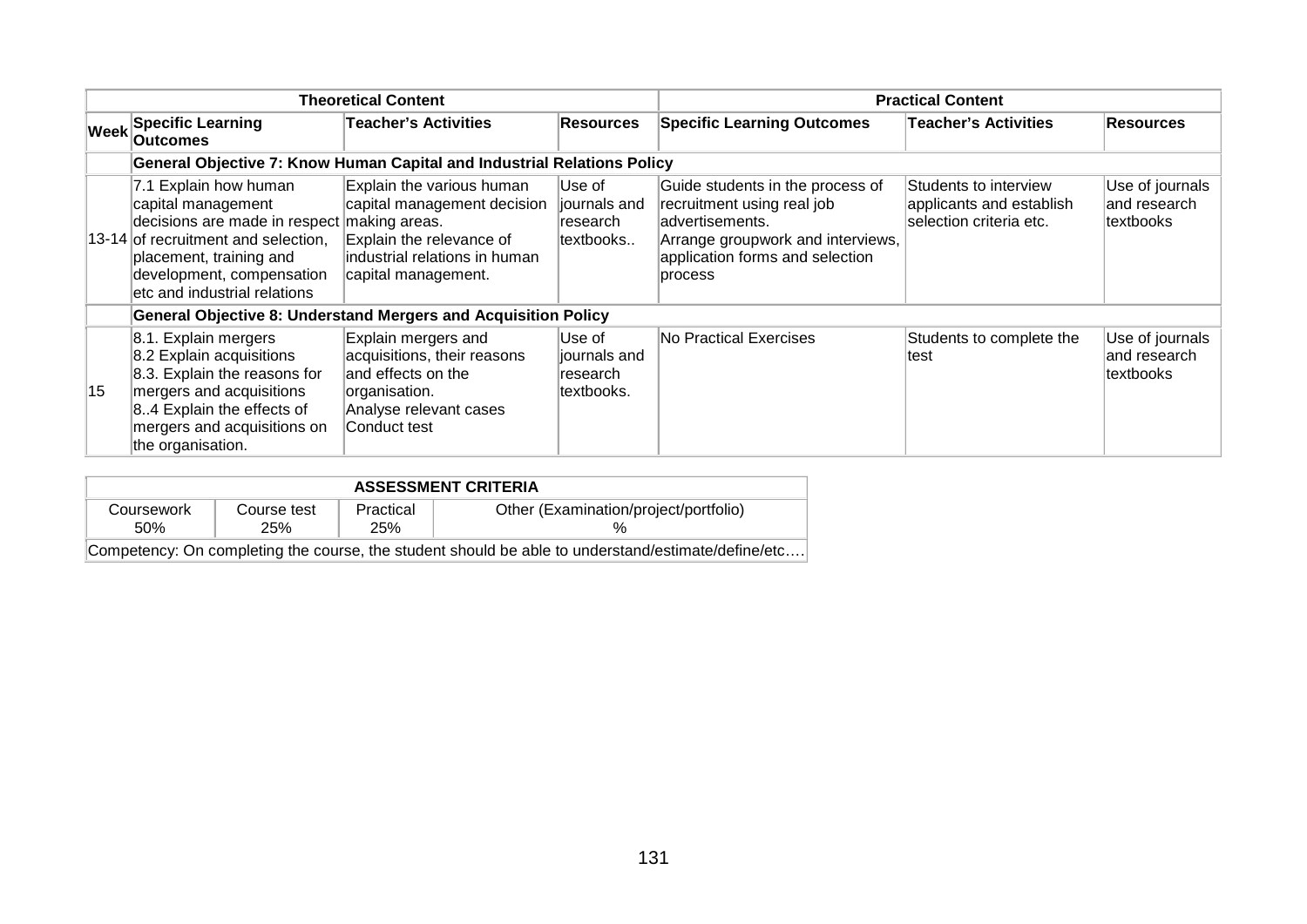|    |                                                                                                                                                                                                                           | <b>Theoretical Content</b>                                                                                                                   |                                                   |                                                                                                                                                                      | <b>Practical Content</b>                                                     |                                              |
|----|---------------------------------------------------------------------------------------------------------------------------------------------------------------------------------------------------------------------------|----------------------------------------------------------------------------------------------------------------------------------------------|---------------------------------------------------|----------------------------------------------------------------------------------------------------------------------------------------------------------------------|------------------------------------------------------------------------------|----------------------------------------------|
|    | Week Specific Learning<br><b>Outcomes</b>                                                                                                                                                                                 | <b>Teacher's Activities</b>                                                                                                                  | <b>Resources</b>                                  | <b>Specific Learning Outcomes</b>                                                                                                                                    | <b>Teacher's Activities</b>                                                  | <b>Resources</b>                             |
|    |                                                                                                                                                                                                                           | <b>General Objective 7: Know Human Capital and Industrial Relations Policy</b>                                                               |                                                   |                                                                                                                                                                      |                                                                              |                                              |
|    | 7.1 Explain how human<br>capital management<br>decisions are made in respect making areas.<br>13-14 of recruitment and selection,<br>placement, training and<br>development, compensation<br>etc and industrial relations | Explain the various human<br>capital management decision<br>Explain the relevance of<br>industrial relations in human<br>capital management. | Use of<br>journals and<br>∣research<br>textbooks  | Guide students in the process of<br>recruitment using real job<br>advertisements.<br>Arrange groupwork and interviews,<br>application forms and selection<br>process | Students to interview<br>applicants and establish<br>selection criteria etc. | Use of journals<br>and research<br>textbooks |
|    |                                                                                                                                                                                                                           | <b>General Objective 8: Understand Mergers and Acquisition Policy</b>                                                                        |                                                   |                                                                                                                                                                      |                                                                              |                                              |
| 15 | 8.1. Explain mergers<br>8.2 Explain acquisitions<br>8.3. Explain the reasons for<br>mergers and acquisitions<br>$ 84$ Explain the effects of<br>mergers and acquisitions on<br>the organisation.                          | Explain mergers and<br>acquisitions, their reasons<br>and effects on the<br>organisation.<br>Analyse relevant cases<br>Conduct test          | ∣Use of<br>journals and<br>research<br>textbooks. | No Practical Exercises                                                                                                                                               | Students to complete the<br>test                                             | Use of journals<br>and research<br>textbooks |

| <b>ASSESSMENT CRITERIA</b> |                                                                                                    |                  |                                       |  |  |  |  |  |
|----------------------------|----------------------------------------------------------------------------------------------------|------------------|---------------------------------------|--|--|--|--|--|
| Coursework<br>50%          | Course test<br>25%                                                                                 | Practical<br>25% | Other (Examination/project/portfolio) |  |  |  |  |  |
|                            | Competency: On completing the course, the student should be able to understand/estimate/define/etc |                  |                                       |  |  |  |  |  |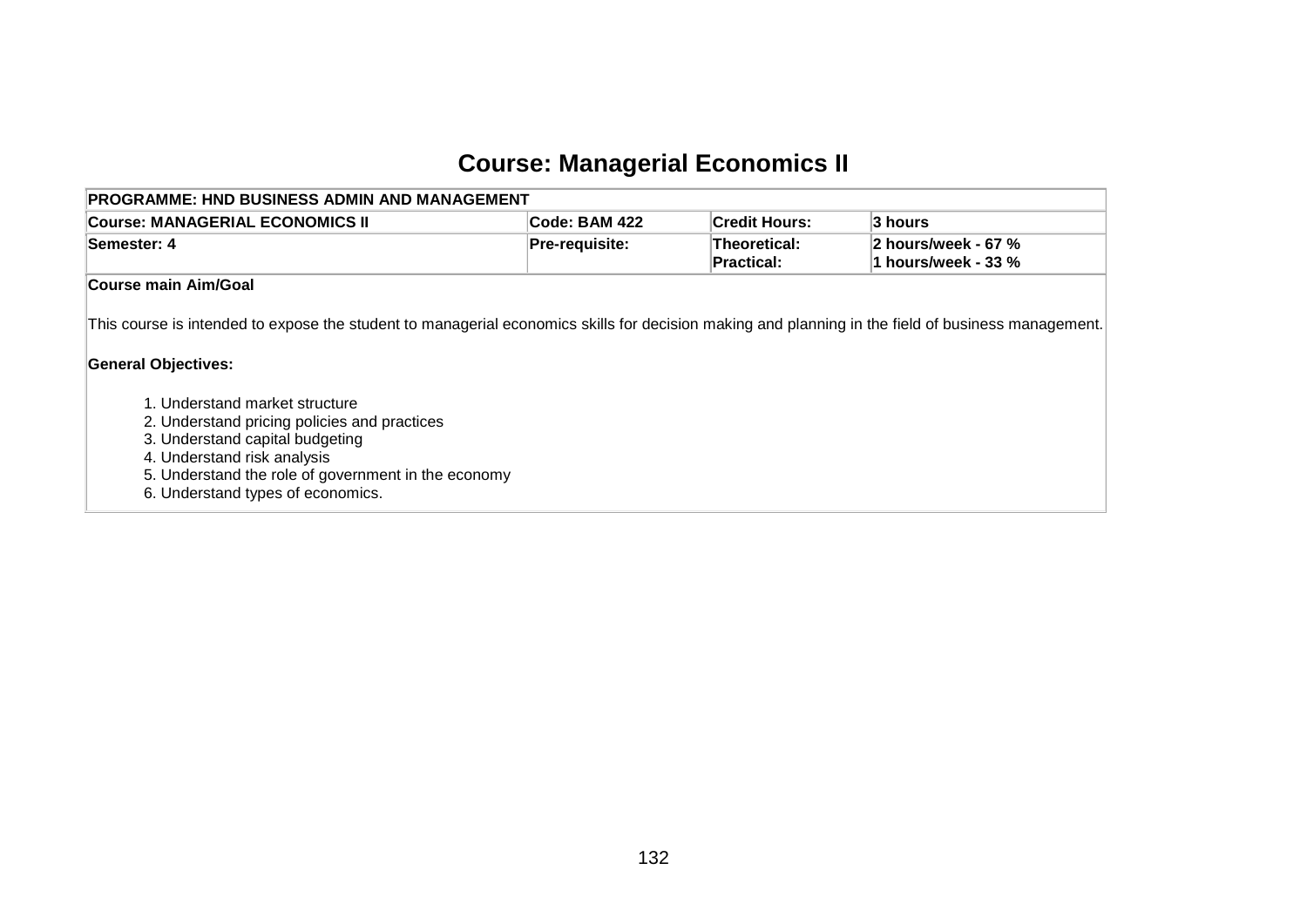# **Course: Managerial Economics II**

| PROGRAMME: HND BUSINESS ADMIN AND MANAGEMENT                                                                                                                                                            |                       |                            |                                            |
|---------------------------------------------------------------------------------------------------------------------------------------------------------------------------------------------------------|-----------------------|----------------------------|--------------------------------------------|
| Course: MANAGERIAL ECONOMICS II                                                                                                                                                                         | Code: BAM 422         | <b>Credit Hours:</b>       | 3 hours                                    |
| Semester: 4                                                                                                                                                                                             | <b>Pre-requisite:</b> | Theoretical:<br>Practical: | 2 hours/week - 67 %<br>1 hours/week - 33 % |
| Course main Aim/Goal                                                                                                                                                                                    |                       |                            |                                            |
| This course is intended to expose the student to managerial economics skills for decision making and planning in the field of business management.<br><b>General Objectives:</b>                        |                       |                            |                                            |
| 1. Understand market structure<br>2. Understand pricing policies and practices<br>3. Understand capital budgeting<br>4. Understand risk analysis<br>5. Understand the role of government in the economy |                       |                            |                                            |

6. Understand types of economics.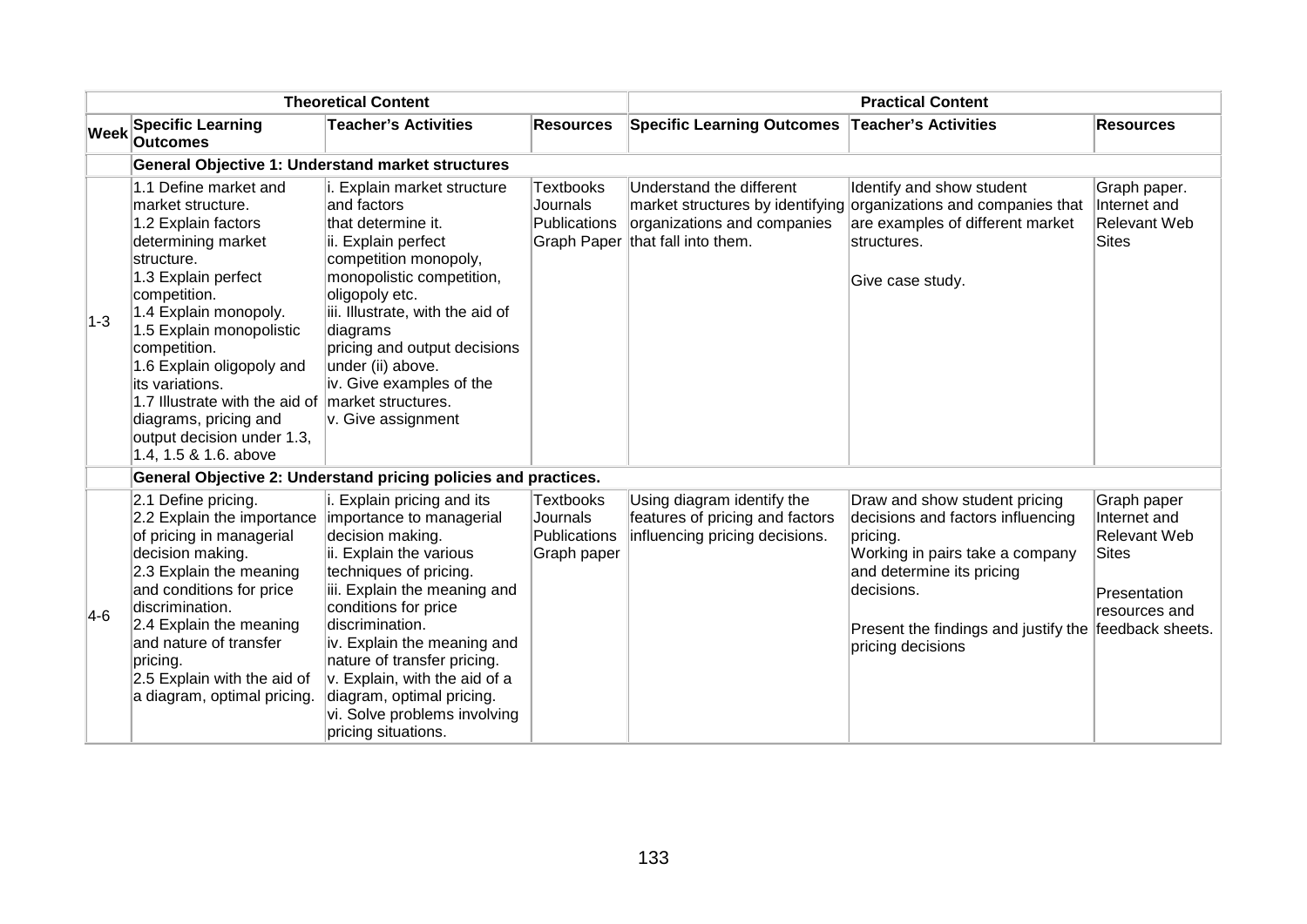| <b>Theoretical Content</b> |                                                                                                                                                                                                                                                                                                                                                                                                        |                                                                                                                                                                                                                                                                                                                                                                                               | <b>Practical Content</b>                             |                                                                                                 |                                                                                                                                                                                                                           |                                                                                                                         |
|----------------------------|--------------------------------------------------------------------------------------------------------------------------------------------------------------------------------------------------------------------------------------------------------------------------------------------------------------------------------------------------------------------------------------------------------|-----------------------------------------------------------------------------------------------------------------------------------------------------------------------------------------------------------------------------------------------------------------------------------------------------------------------------------------------------------------------------------------------|------------------------------------------------------|-------------------------------------------------------------------------------------------------|---------------------------------------------------------------------------------------------------------------------------------------------------------------------------------------------------------------------------|-------------------------------------------------------------------------------------------------------------------------|
| <b>Week</b>                | <b>Specific Learning</b><br><b>Outcomes</b>                                                                                                                                                                                                                                                                                                                                                            | <b>Teacher's Activities</b>                                                                                                                                                                                                                                                                                                                                                                   | <b>Resources</b>                                     | <b>Specific Learning Outcomes</b>                                                               | <b>Teacher's Activities</b>                                                                                                                                                                                               | <b>Resources</b>                                                                                                        |
|                            |                                                                                                                                                                                                                                                                                                                                                                                                        | <b>General Objective 1: Understand market structures</b>                                                                                                                                                                                                                                                                                                                                      |                                                      |                                                                                                 |                                                                                                                                                                                                                           |                                                                                                                         |
| $ 1-3 $                    | 1.1 Define market and<br>market structure.<br>1.2 Explain factors<br>determining market<br>structure.<br>1.3 Explain perfect<br>competition.<br>1.4 Explain monopoly.<br>1.5 Explain monopolistic<br>competition.<br>1.6 Explain oligopoly and<br>its variations.<br>1.7 Illustrate with the aid of market structures.<br>diagrams, pricing and<br>output decision under 1.3,<br>1.4, 1.5 & 1.6. above | i. Explain market structure<br>and factors<br>that determine it.<br>ii. Explain perfect<br>competition monopoly,<br>monopolistic competition,<br>oligopoly etc.<br>iii. Illustrate, with the aid of<br>diagrams<br>pricing and output decisions<br>under (ii) above.<br>iv. Give examples of the<br>v. Give assignment                                                                        | <b>Textbooks</b><br>Journals<br>Publications         | Understand the different<br>organizations and companies<br>Graph Paper that fall into them.     | Identify and show student<br>market structures by identifying organizations and companies that<br>are examples of different market<br>structures.<br>Give case study.                                                     | Graph paper.<br>Internet and<br><b>Relevant Web</b><br><b>Sites</b>                                                     |
|                            |                                                                                                                                                                                                                                                                                                                                                                                                        | General Objective 2: Understand pricing policies and practices.                                                                                                                                                                                                                                                                                                                               |                                                      |                                                                                                 |                                                                                                                                                                                                                           |                                                                                                                         |
| $4-6$                      | 2.1 Define pricing.<br>2.2 Explain the importance<br>of pricing in managerial<br>decision making.<br>2.3 Explain the meaning<br>and conditions for price<br>discrimination.<br>2.4 Explain the meaning<br>and nature of transfer<br>pricing.<br>2.5 Explain with the aid of<br>a diagram, optimal pricing.                                                                                             | i. Explain pricing and its<br>importance to managerial<br>decision making.<br>ii. Explain the various<br>techniques of pricing.<br>iii. Explain the meaning and<br>conditions for price<br>discrimination.<br>iv. Explain the meaning and<br>nature of transfer pricing.<br>v. Explain, with the aid of a<br>diagram, optimal pricing.<br>vi. Solve problems involving<br>pricing situations. | Textbooks<br>Journals<br>Publications<br>Graph paper | Using diagram identify the<br>features of pricing and factors<br>influencing pricing decisions. | Draw and show student pricing<br>decisions and factors influencing<br>pricing.<br>Working in pairs take a company<br>and determine its pricing<br>decisions.<br>Present the findings and justify the<br>pricing decisions | Graph paper<br>Internet and<br><b>Relevant Web</b><br><b>Sites</b><br>Presentation<br>resources and<br>feedback sheets. |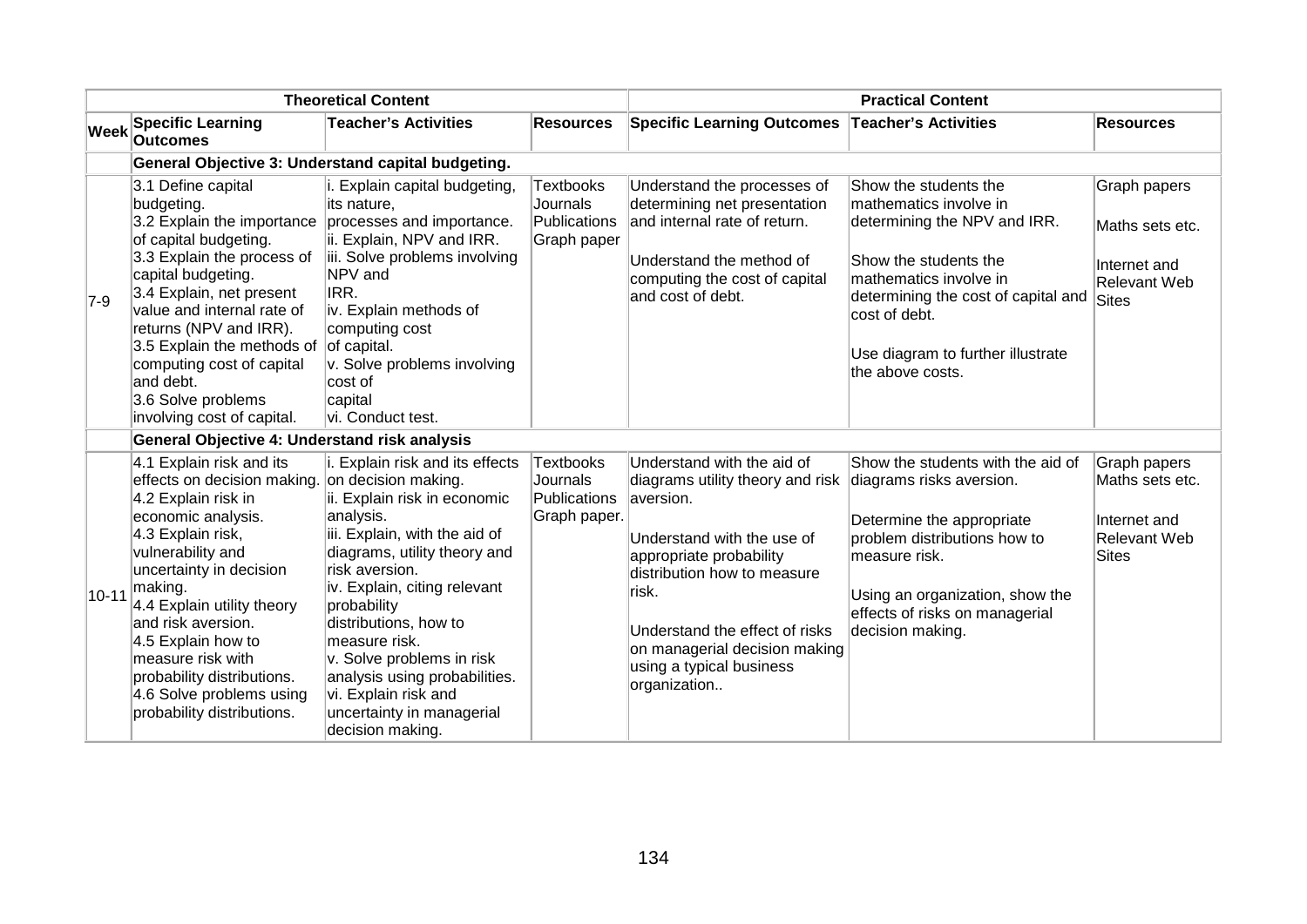| <b>Theoretical Content</b> |                                                                                                                                                                                                                                                                                                                                                                                                 |                                                                                                                                                                                                                                                                                                                                                                                                 | <b>Practical Content</b>                                     |                                                                                                                                                                                                                                                                                              |                                                                                                                                                                                                                                                     |                                                                                 |
|----------------------------|-------------------------------------------------------------------------------------------------------------------------------------------------------------------------------------------------------------------------------------------------------------------------------------------------------------------------------------------------------------------------------------------------|-------------------------------------------------------------------------------------------------------------------------------------------------------------------------------------------------------------------------------------------------------------------------------------------------------------------------------------------------------------------------------------------------|--------------------------------------------------------------|----------------------------------------------------------------------------------------------------------------------------------------------------------------------------------------------------------------------------------------------------------------------------------------------|-----------------------------------------------------------------------------------------------------------------------------------------------------------------------------------------------------------------------------------------------------|---------------------------------------------------------------------------------|
| <b>Week</b>                | <b>Specific Learning</b><br><b>Outcomes</b>                                                                                                                                                                                                                                                                                                                                                     | <b>Teacher's Activities</b>                                                                                                                                                                                                                                                                                                                                                                     | <b>Resources</b>                                             | <b>Specific Learning Outcomes</b>                                                                                                                                                                                                                                                            | <b>Teacher's Activities</b>                                                                                                                                                                                                                         | <b>Resources</b>                                                                |
|                            | General Objective 3: Understand capital budgeting.                                                                                                                                                                                                                                                                                                                                              |                                                                                                                                                                                                                                                                                                                                                                                                 |                                                              |                                                                                                                                                                                                                                                                                              |                                                                                                                                                                                                                                                     |                                                                                 |
| $ 7-9 $                    | 3.1 Define capital<br>budgeting.<br>3.2 Explain the importance<br>of capital budgeting.<br>3.3 Explain the process of<br>capital budgeting.<br>3.4 Explain, net present<br>value and internal rate of<br>returns (NPV and IRR).<br>3.5 Explain the methods of<br>computing cost of capital<br>and debt.<br>3.6 Solve problems<br>involving cost of capital.                                     | i. Explain capital budgeting,<br>its nature.<br>processes and importance.<br>ii. Explain, NPV and IRR.<br>iii. Solve problems involving<br>NPV and<br>IRR.<br>iv. Explain methods of<br>computing cost<br>of capital.<br>v. Solve problems involving<br>cost of<br>capital<br>vi. Conduct test.                                                                                                 | <b>Textbooks</b><br>Journals<br>Publications<br>Graph paper  | Understand the processes of<br>determining net presentation<br>and internal rate of return.<br>Understand the method of<br>computing the cost of capital<br>and cost of debt.                                                                                                                | Show the students the<br>mathematics involve in<br>determining the NPV and IRR.<br>Show the students the<br>mathematics involve in<br>determining the cost of capital and<br>cost of debt.<br>Use diagram to further illustrate<br>the above costs. | Graph papers<br>Maths sets etc.<br>Internet and<br><b>Relevant Web</b><br>Sites |
|                            | General Objective 4: Understand risk analysis                                                                                                                                                                                                                                                                                                                                                   |                                                                                                                                                                                                                                                                                                                                                                                                 |                                                              |                                                                                                                                                                                                                                                                                              |                                                                                                                                                                                                                                                     |                                                                                 |
| $10 - 11$                  | 4.1 Explain risk and its<br>effects on decision making. on decision making.<br>4.2 Explain risk in<br>economic analysis.<br>4.3 Explain risk,<br>vulnerability and<br>uncertainty in decision<br>making.<br>4.4 Explain utility theory<br>and risk aversion.<br>4.5 Explain how to<br>measure risk with<br>probability distributions.<br>4.6 Solve problems using<br>probability distributions. | i. Explain risk and its effects<br>ii. Explain risk in economic<br>analysis.<br>iii. Explain, with the aid of<br>diagrams, utility theory and<br>risk aversion.<br>iv. Explain, citing relevant<br>probability<br>distributions, how to<br>measure risk.<br>v. Solve problems in risk<br>analysis using probabilities.<br>vi. Explain risk and<br>uncertainty in managerial<br>decision making. | <b>Textbooks</b><br>Journals<br>Publications<br>Graph paper. | Understand with the aid of<br>diagrams utility theory and risk<br>aversion.<br>Understand with the use of<br>appropriate probability<br>distribution how to measure<br>∣risk.<br>Understand the effect of risks<br>on managerial decision making<br>using a typical business<br>organization | Show the students with the aid of<br>diagrams risks aversion.<br>Determine the appropriate<br>problem distributions how to<br>measure risk.<br>Using an organization, show the<br>effects of risks on managerial<br>decision making.                | Graph papers<br>Maths sets etc.<br>Internet and<br><b>Relevant Web</b><br>Sites |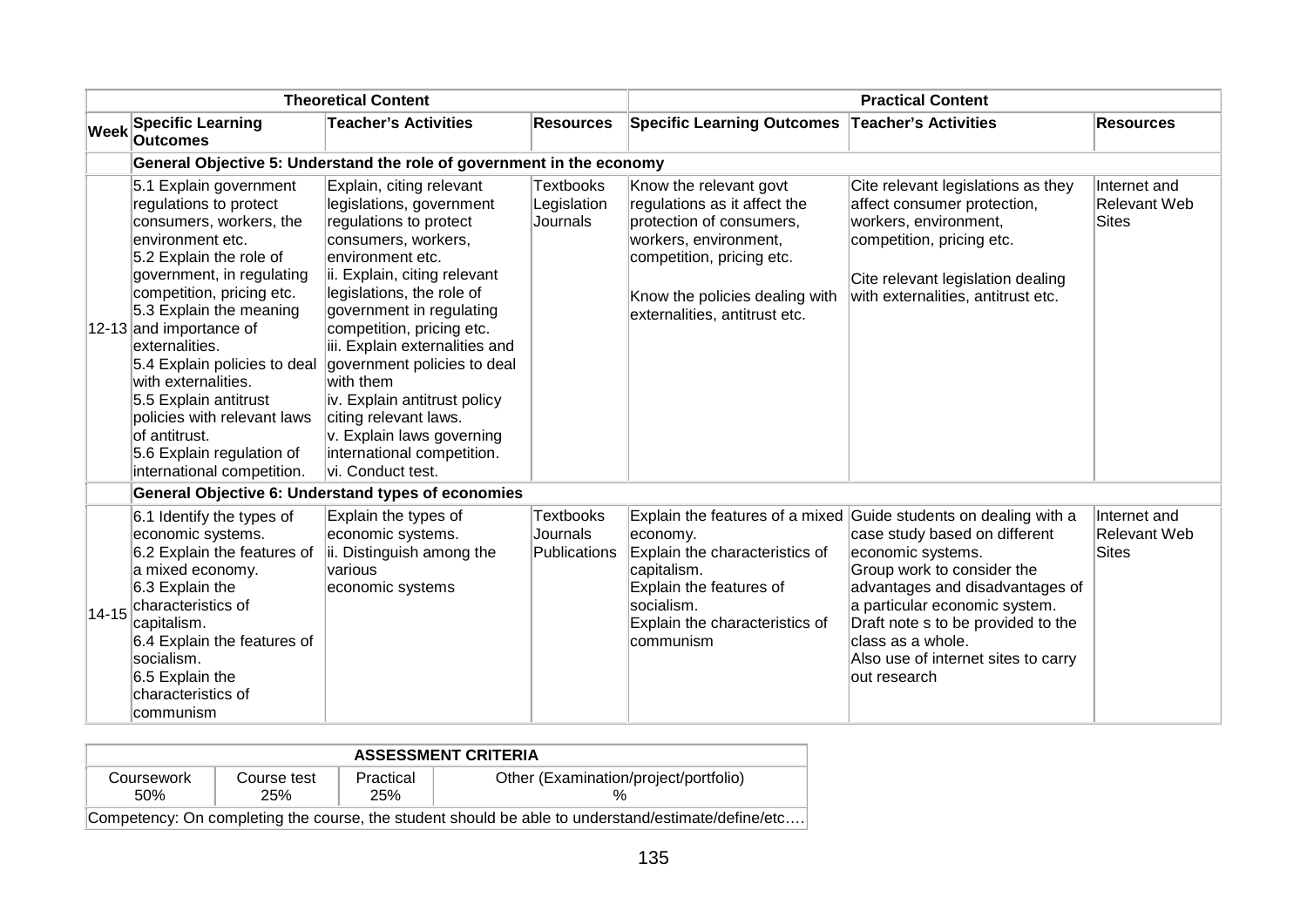| <b>Theoretical Content</b> |                                                                                                                                                                                                                                                                                                                                                                                                                                                         | <b>Practical Content</b>                                                                                                                                                                                                                                                                                                                                                                                                                                               |                                       |                                                                                                                                                                                                             |                                                                                                                                                                                                                                                                                                                                            |                                              |  |  |  |  |
|----------------------------|---------------------------------------------------------------------------------------------------------------------------------------------------------------------------------------------------------------------------------------------------------------------------------------------------------------------------------------------------------------------------------------------------------------------------------------------------------|------------------------------------------------------------------------------------------------------------------------------------------------------------------------------------------------------------------------------------------------------------------------------------------------------------------------------------------------------------------------------------------------------------------------------------------------------------------------|---------------------------------------|-------------------------------------------------------------------------------------------------------------------------------------------------------------------------------------------------------------|--------------------------------------------------------------------------------------------------------------------------------------------------------------------------------------------------------------------------------------------------------------------------------------------------------------------------------------------|----------------------------------------------|--|--|--|--|
|                            | <b>Week Specific Learning</b><br><b>Outcomes</b>                                                                                                                                                                                                                                                                                                                                                                                                        | <b>Teacher's Activities</b>                                                                                                                                                                                                                                                                                                                                                                                                                                            | <b>Resources</b>                      | <b>Specific Learning Outcomes</b>                                                                                                                                                                           | <b>Teacher's Activities</b>                                                                                                                                                                                                                                                                                                                | <b>Resources</b>                             |  |  |  |  |
|                            | General Objective 5: Understand the role of government in the economy                                                                                                                                                                                                                                                                                                                                                                                   |                                                                                                                                                                                                                                                                                                                                                                                                                                                                        |                                       |                                                                                                                                                                                                             |                                                                                                                                                                                                                                                                                                                                            |                                              |  |  |  |  |
|                            | 5.1 Explain government<br>regulations to protect<br>consumers, workers, the<br>environment etc.<br>5.2 Explain the role of<br>government, in regulating<br>competition, pricing etc.<br>5.3 Explain the meaning<br>12-13 and importance of<br>externalities.<br>5.4 Explain policies to deal<br>with externalities.<br>5.5 Explain antitrust<br>policies with relevant laws<br>of antitrust.<br>5.6 Explain regulation of<br>international competition. | Explain, citing relevant<br>legislations, government<br>regulations to protect<br>consumers, workers,<br>environment etc.<br>ii. Explain, citing relevant<br>legislations, the role of<br>government in regulating<br>competition, pricing etc.<br>iii. Explain externalities and<br>government policies to deal<br>with them<br>iv. Explain antitrust policy<br>citing relevant laws.<br>v. Explain laws governing<br>international competition.<br>vi. Conduct test. | Textbooks<br>Legislation<br>Journals  | Know the relevant govt<br>regulations as it affect the<br>protection of consumers,<br>workers, environment,<br>competition, pricing etc.<br>Know the policies dealing with<br>externalities, antitrust etc. | Cite relevant legislations as they<br>affect consumer protection,<br>workers, environment,<br>competition, pricing etc.<br>Cite relevant legislation dealing<br>with externalities, antitrust etc.                                                                                                                                         | Internet and<br><b>Relevant Web</b><br>Sites |  |  |  |  |
|                            |                                                                                                                                                                                                                                                                                                                                                                                                                                                         | <b>General Objective 6: Understand types of economies</b>                                                                                                                                                                                                                                                                                                                                                                                                              |                                       |                                                                                                                                                                                                             |                                                                                                                                                                                                                                                                                                                                            |                                              |  |  |  |  |
| $14 - 15$                  | 6.1 Identify the types of<br>economic systems.<br>6.2 Explain the features of<br>a mixed economy.<br>6.3 Explain the<br>characteristics of<br>capitalism.<br>6.4 Explain the features of<br>socialism.<br>6.5 Explain the<br>characteristics of<br>communism                                                                                                                                                                                            | Explain the types of<br>economic systems.<br>ii. Distinguish among the<br>various<br>economic systems                                                                                                                                                                                                                                                                                                                                                                  | Textbooks<br>Journals<br>Publications | economy.<br>Explain the characteristics of<br>capitalism.<br>Explain the features of<br>socialism.<br>Explain the characteristics of<br>communism                                                           | Explain the features of a mixed Guide students on dealing with a<br>case study based on different<br>economic systems.<br>Group work to consider the<br>advantages and disadvantages of<br>a particular economic system.<br>Draft note s to be provided to the<br>class as a whole.<br>Also use of internet sites to carry<br>out research | Internet and<br><b>Relevant Web</b><br>Sites |  |  |  |  |

| <b>ASSESSMENT CRITERIA</b> |                    |                  |                                                                                                    |  |  |  |  |
|----------------------------|--------------------|------------------|----------------------------------------------------------------------------------------------------|--|--|--|--|
| Coursework<br>.50%         | Course test<br>25% | Practical<br>25% | Other (Examination/project/portfolio)                                                              |  |  |  |  |
|                            |                    |                  | Competency: On completing the course, the student should be able to understand/estimate/define/etc |  |  |  |  |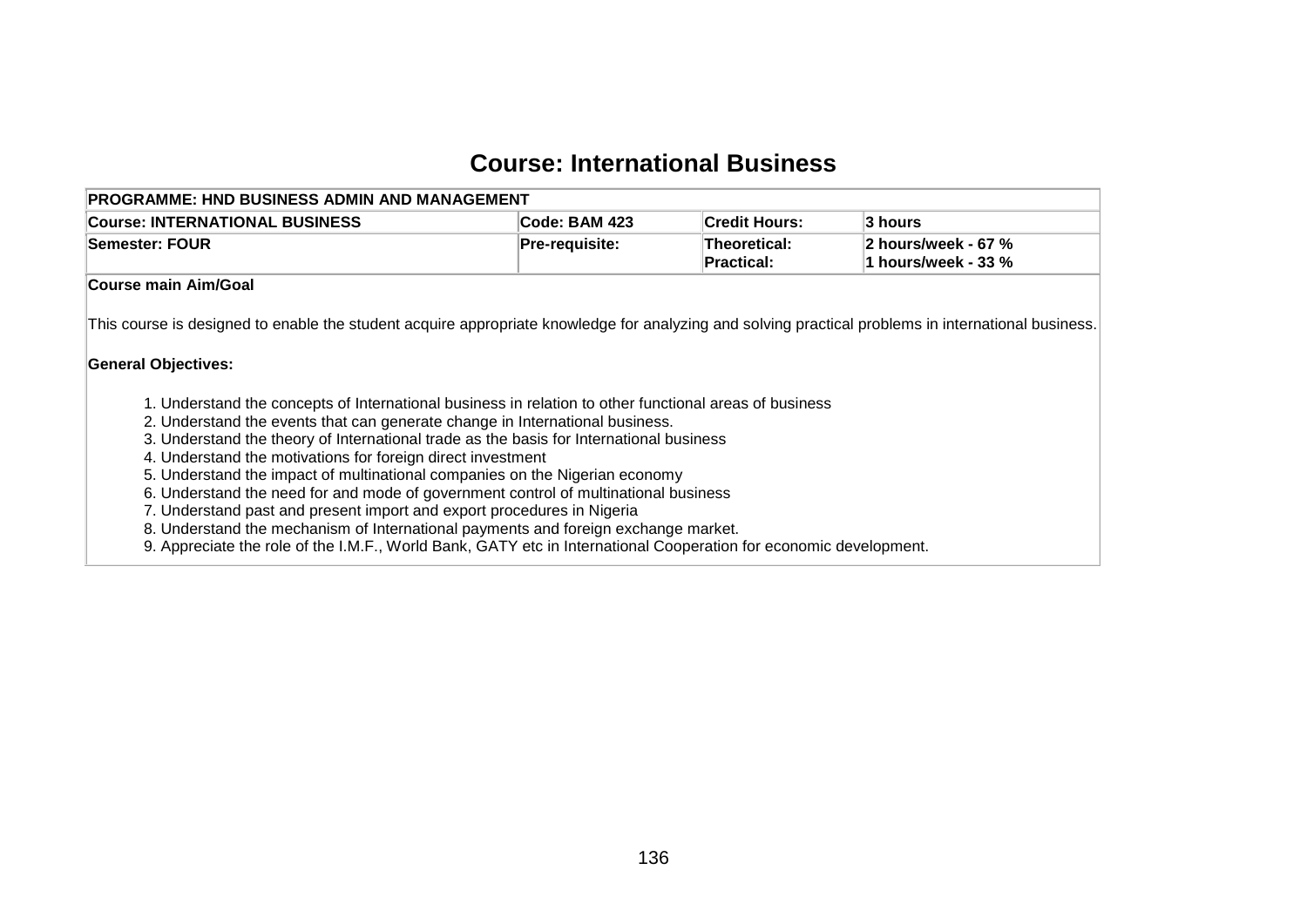## **Course: International Business**

| <b>PROGRAMME: HND BUSINESS ADMIN AND MANAGEMENT</b>                                                                                                                               |                       |                            |                                            |
|-----------------------------------------------------------------------------------------------------------------------------------------------------------------------------------|-----------------------|----------------------------|--------------------------------------------|
| <b>Course: INTERNATIONAL BUSINESS</b>                                                                                                                                             | Code: BAM 423         | <b>Credit Hours:</b>       | 3 hours                                    |
| <b>Semester: FOUR</b>                                                                                                                                                             | <b>Pre-requisite:</b> | Theoretical:<br>Practical: | 2 hours/week - 67 %<br>1 hours/week - 33 % |
| <b>Course main Aim/Goal</b>                                                                                                                                                       |                       |                            |                                            |
| This course is designed to enable the student acquire appropriate knowledge for analyzing and solving practical problems in international business.<br><b>General Objectives:</b> |                       |                            |                                            |
| 1. Understand the concepts of International business in relation to other functional areas of business                                                                            |                       |                            |                                            |
| 2. Understand the events that can generate change in International business.<br>3. Understand the theory of International trade as the basis for International business           |                       |                            |                                            |
| 4. Understand the motivations for foreign direct investment                                                                                                                       |                       |                            |                                            |
| 5. Understand the impact of multinational companies on the Nigerian economy                                                                                                       |                       |                            |                                            |
| 6. Understand the need for and mode of government control of multinational business                                                                                               |                       |                            |                                            |
| 7. Understand past and present import and export procedures in Nigeria                                                                                                            |                       |                            |                                            |
| 8. Understand the mechanism of International payments and foreign exchange market.                                                                                                |                       |                            |                                            |
| 9. Appreciate the role of the I.M.F., World Bank, GATY etc in International Cooperation for economic development.                                                                 |                       |                            |                                            |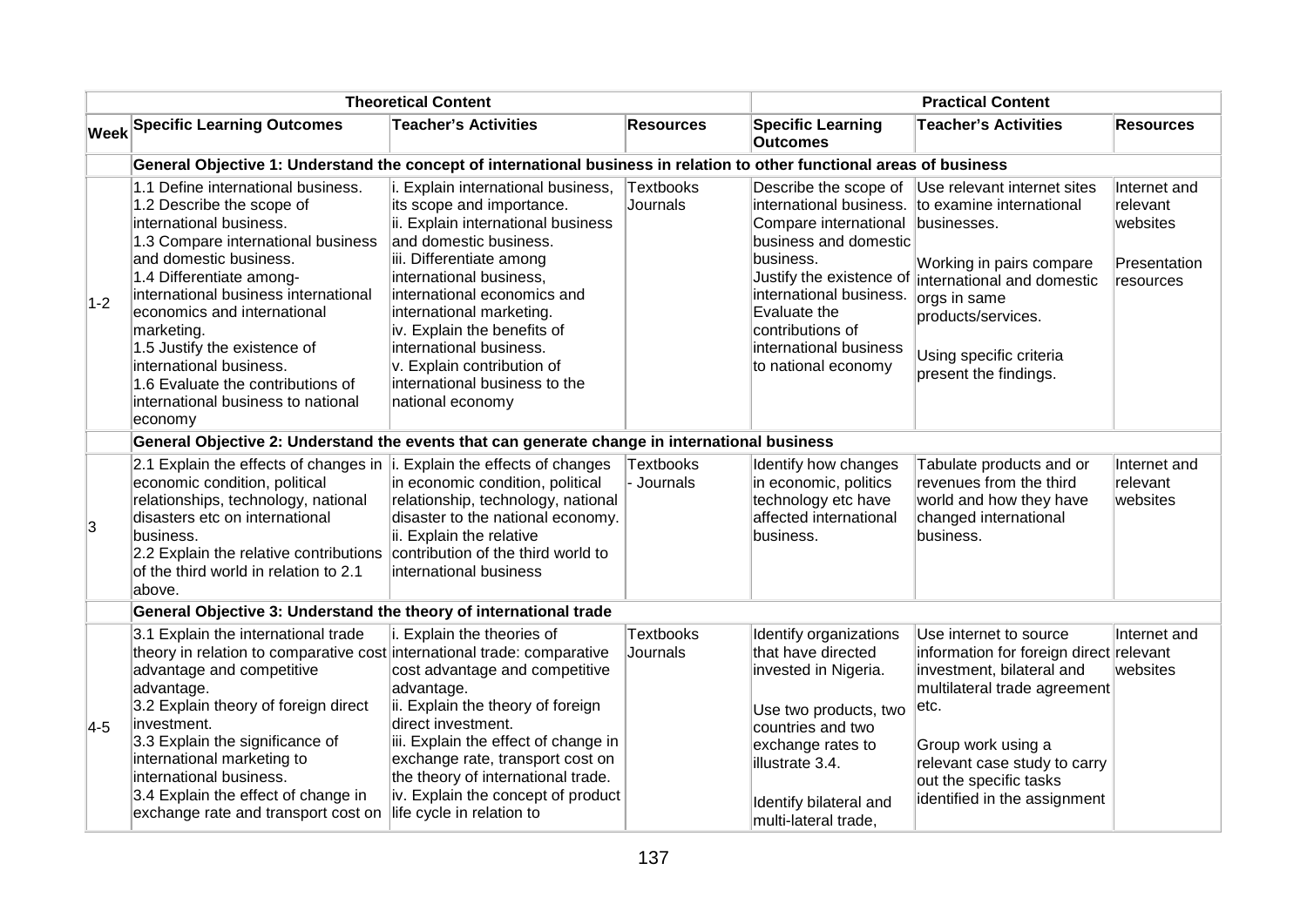| <b>Theoretical Content</b> |                                                                                                                                                                                                                                                                                                                                                                                                                              |                                                                                                                                                                                                                                                                                                                                                                                                | <b>Practical Content</b>     |                                                                                                                                                                                                                                                             |                                                                                                                                                                                                                                                        |                                                                   |
|----------------------------|------------------------------------------------------------------------------------------------------------------------------------------------------------------------------------------------------------------------------------------------------------------------------------------------------------------------------------------------------------------------------------------------------------------------------|------------------------------------------------------------------------------------------------------------------------------------------------------------------------------------------------------------------------------------------------------------------------------------------------------------------------------------------------------------------------------------------------|------------------------------|-------------------------------------------------------------------------------------------------------------------------------------------------------------------------------------------------------------------------------------------------------------|--------------------------------------------------------------------------------------------------------------------------------------------------------------------------------------------------------------------------------------------------------|-------------------------------------------------------------------|
|                            | <b>Week Specific Learning Outcomes</b>                                                                                                                                                                                                                                                                                                                                                                                       | <b>Teacher's Activities</b>                                                                                                                                                                                                                                                                                                                                                                    | <b>Resources</b>             | <b>Specific Learning</b><br><b>Outcomes</b>                                                                                                                                                                                                                 | <b>Teacher's Activities</b>                                                                                                                                                                                                                            | <b>Resources</b>                                                  |
|                            | General Objective 1: Understand the concept of international business in relation to other functional areas of business                                                                                                                                                                                                                                                                                                      |                                                                                                                                                                                                                                                                                                                                                                                                |                              |                                                                                                                                                                                                                                                             |                                                                                                                                                                                                                                                        |                                                                   |
| $1-2$                      | 1.1 Define international business.<br>1.2 Describe the scope of<br>international business.<br>1.3 Compare international business<br>and domestic business.<br>1.4 Differentiate among-<br>international business international<br>economics and international<br>marketing.<br>1.5 Justify the existence of<br>international business.<br>1.6 Evaluate the contributions of<br>international business to national<br>economy | i. Explain international business,<br>its scope and importance.<br>ii. Explain international business<br>and domestic business.<br>iii. Differentiate among<br>international business,<br>international economics and<br>international marketing.<br>iv. Explain the benefits of<br>international business.<br>v. Explain contribution of<br>international business to the<br>national economy | Textbooks<br>Journals        | Describe the scope of<br>international business.<br>Compare international<br>business and domestic<br>business.<br>Justify the existence of<br>international business.<br>Evaluate the<br>contributions of<br>international business<br>to national economy | Use relevant internet sites<br>to examine international<br>businesses.<br>Working in pairs compare<br>international and domestic<br>orgs in same<br>products/services.<br>Using specific criteria<br>present the findings.                             | Internet and<br>relevant<br>websites<br>Presentation<br>resources |
|                            | General Objective 2: Understand the events that can generate change in international business                                                                                                                                                                                                                                                                                                                                |                                                                                                                                                                                                                                                                                                                                                                                                |                              |                                                                                                                                                                                                                                                             |                                                                                                                                                                                                                                                        |                                                                   |
| 3                          | 2.1 Explain the effects of changes in $\ $ . Explain the effects of changes<br>economic condition, political<br>relationships, technology, national<br>disasters etc on international<br>business.<br>2.2 Explain the relative contributions contribution of the third world to<br>of the third world in relation to 2.1<br>above.                                                                                           | in economic condition, political<br>relationship, technology, national<br>disaster to the national economy.<br>ii. Explain the relative<br>international business                                                                                                                                                                                                                              | Textbooks<br>- Journals      | Identify how changes<br>in economic, politics<br>technology etc have<br>affected international<br>business.                                                                                                                                                 | Tabulate products and or<br>revenues from the third<br>world and how they have<br>changed international<br>business.                                                                                                                                   | Internet and<br>relevant<br>websites                              |
|                            | General Objective 3: Understand the theory of international trade                                                                                                                                                                                                                                                                                                                                                            |                                                                                                                                                                                                                                                                                                                                                                                                |                              |                                                                                                                                                                                                                                                             |                                                                                                                                                                                                                                                        |                                                                   |
| $ 4-5 $                    | 3.1 Explain the international trade<br>theory in relation to comparative cost international trade: comparative<br>advantage and competitive<br>advantage.<br>3.2 Explain theory of foreign direct<br>investment.<br>3.3 Explain the significance of<br>international marketing to<br>international business.<br>3.4 Explain the effect of change in<br>exchange rate and transport cost on                                   | i. Explain the theories of<br>cost advantage and competitive<br>advantage.<br>ii. Explain the theory of foreign<br>direct investment.<br>iii. Explain the effect of change in<br>exchange rate, transport cost on<br>the theory of international trade.<br>iv. Explain the concept of product<br>life cycle in relation to                                                                     | <b>Textbooks</b><br>Journals | Identify organizations<br>that have directed<br>invested in Nigeria.<br>Use two products, two<br>countries and two<br>exchange rates to<br>illustrate 3.4.<br>Identify bilateral and<br>multi-lateral trade.                                                | Use internet to source<br>information for foreign direct relevant<br>investment, bilateral and<br>multilateral trade agreement<br>etc.<br>Group work using a<br>relevant case study to carry<br>out the specific tasks<br>identified in the assignment | Internet and<br>websites                                          |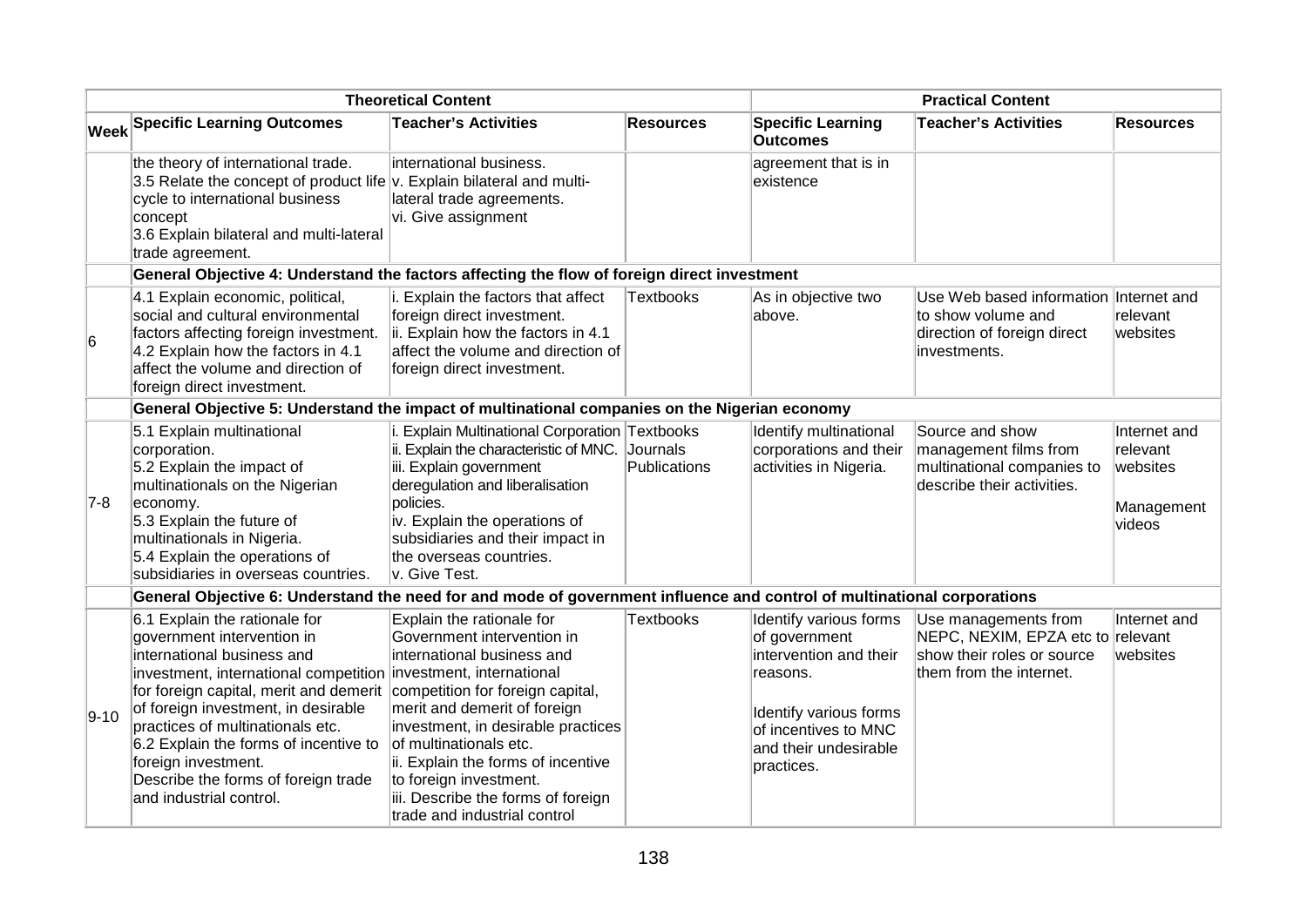| <b>Theoretical Content</b> |                                                                                                                                                                                                                                                                                                                                                                                                                     |                                                                                                                                                                                                                                                                                                                                                                 | <b>Practical Content</b> |                                                                                                                                                                        |                                                                                                                    |                                                              |
|----------------------------|---------------------------------------------------------------------------------------------------------------------------------------------------------------------------------------------------------------------------------------------------------------------------------------------------------------------------------------------------------------------------------------------------------------------|-----------------------------------------------------------------------------------------------------------------------------------------------------------------------------------------------------------------------------------------------------------------------------------------------------------------------------------------------------------------|--------------------------|------------------------------------------------------------------------------------------------------------------------------------------------------------------------|--------------------------------------------------------------------------------------------------------------------|--------------------------------------------------------------|
|                            | <b>Week Specific Learning Outcomes</b>                                                                                                                                                                                                                                                                                                                                                                              | <b>Teacher's Activities</b>                                                                                                                                                                                                                                                                                                                                     | <b>Resources</b>         | <b>Specific Learning</b><br><b>Outcomes</b>                                                                                                                            | <b>Teacher's Activities</b>                                                                                        | <b>Resources</b>                                             |
|                            | the theory of international trade.<br>3.5 Relate the concept of product life v. Explain bilateral and multi-<br>cycle to international business<br>concept<br>3.6 Explain bilateral and multi-lateral<br>trade agreement.                                                                                                                                                                                           | international business.<br>lateral trade agreements.<br>vi. Give assignment                                                                                                                                                                                                                                                                                     |                          | agreement that is in<br>existence                                                                                                                                      |                                                                                                                    |                                                              |
|                            | General Objective 4: Understand the factors affecting the flow of foreign direct investment                                                                                                                                                                                                                                                                                                                         |                                                                                                                                                                                                                                                                                                                                                                 |                          |                                                                                                                                                                        |                                                                                                                    |                                                              |
| 6                          | 4.1 Explain economic, political,<br>social and cultural environmental<br>factors affecting foreign investment.<br>4.2 Explain how the factors in 4.1<br>affect the volume and direction of<br>foreign direct investment.                                                                                                                                                                                            | i. Explain the factors that affect<br>foreign direct investment.<br>ii. Explain how the factors in 4.1<br>affect the volume and direction of<br>foreign direct investment.                                                                                                                                                                                      | <b>Textbooks</b>         | As in objective two<br>above.                                                                                                                                          | Use Web based information Internet and<br>to show volume and<br>direction of foreign direct<br>investments.        | relevant<br>websites                                         |
|                            | General Objective 5: Understand the impact of multinational companies on the Nigerian economy                                                                                                                                                                                                                                                                                                                       |                                                                                                                                                                                                                                                                                                                                                                 |                          |                                                                                                                                                                        |                                                                                                                    |                                                              |
| $7-8$                      | 5.1 Explain multinational<br>corporation.<br>5.2 Explain the impact of<br>multinationals on the Nigerian<br>economy.<br>5.3 Explain the future of<br>multinationals in Nigeria.<br>5.4 Explain the operations of<br>subsidiaries in overseas countries.                                                                                                                                                             | i. Explain Multinational Corporation Textbooks<br>ii. Explain the characteristic of MNC. Journals<br>iii. Explain government<br>deregulation and liberalisation<br>policies.<br>iv. Explain the operations of<br>subsidiaries and their impact in<br>the overseas countries.<br>v. Give Test.                                                                   | Publications             | Identify multinational<br>corporations and their<br>activities in Nigeria.                                                                                             | Source and show<br>management films from<br>multinational companies to<br>describe their activities.               | Internet and<br>relevant<br>websites<br>Management<br>videos |
|                            | General Objective 6: Understand the need for and mode of government influence and control of multinational corporations                                                                                                                                                                                                                                                                                             |                                                                                                                                                                                                                                                                                                                                                                 |                          |                                                                                                                                                                        |                                                                                                                    |                                                              |
| $9 - 10$                   | 6.1 Explain the rationale for<br>government intervention in<br>international business and<br>investment, international competition investment, international<br>for foreign capital, merit and demerit<br>of foreign investment, in desirable<br>practices of multinationals etc.<br>6.2 Explain the forms of incentive to<br>foreign investment.<br>Describe the forms of foreign trade<br>and industrial control. | Explain the rationale for<br>Government intervention in<br>international business and<br>competition for foreign capital,<br>merit and demerit of foreign<br>investment, in desirable practices<br>of multinationals etc.<br>ii. Explain the forms of incentive<br>to foreign investment.<br>iii. Describe the forms of foreign<br>trade and industrial control | <b>Textbooks</b>         | Identify various forms<br>of government<br>intervention and their<br>reasons.<br>Identify various forms<br>of incentives to MNC<br>and their undesirable<br>practices. | Use managements from<br>NEPC, NEXIM, EPZA etc to relevant<br>show their roles or source<br>them from the internet. | Internet and<br>websites                                     |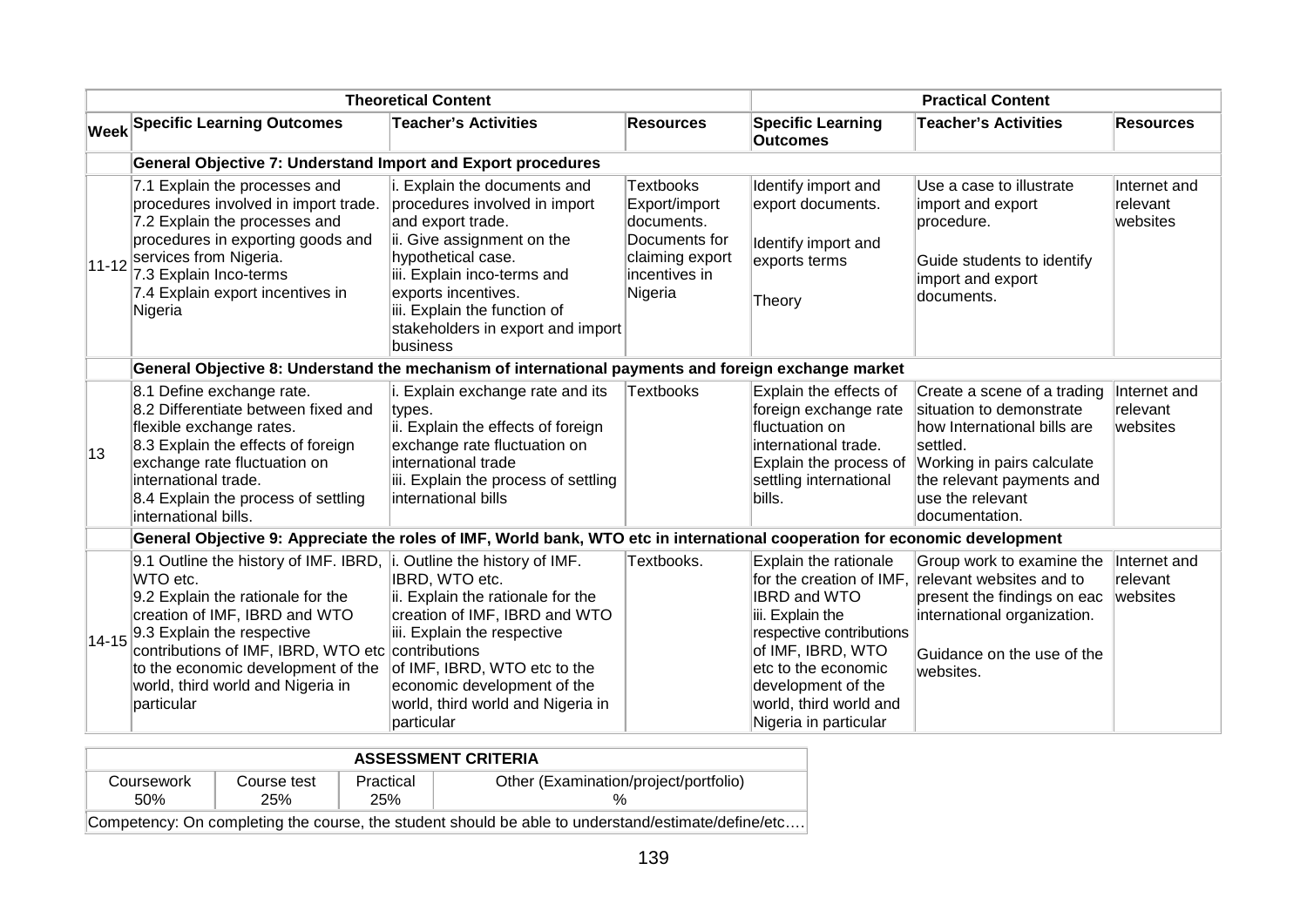| <b>Theoretical Content</b> |                                                                                                                                                                                                                                                                                                                        |                                                                                                                                                                                                                                                                               |                                                                                                                 | <b>Practical Content</b>                                                                                                                                                                                                                             |                                                                                                                                                                                                     |                                      |  |
|----------------------------|------------------------------------------------------------------------------------------------------------------------------------------------------------------------------------------------------------------------------------------------------------------------------------------------------------------------|-------------------------------------------------------------------------------------------------------------------------------------------------------------------------------------------------------------------------------------------------------------------------------|-----------------------------------------------------------------------------------------------------------------|------------------------------------------------------------------------------------------------------------------------------------------------------------------------------------------------------------------------------------------------------|-----------------------------------------------------------------------------------------------------------------------------------------------------------------------------------------------------|--------------------------------------|--|
|                            | <b>Week Specific Learning Outcomes</b>                                                                                                                                                                                                                                                                                 | <b>Teacher's Activities</b>                                                                                                                                                                                                                                                   | <b>Resources</b>                                                                                                | <b>Specific Learning</b><br><b>Outcomes</b>                                                                                                                                                                                                          | <b>Teacher's Activities</b>                                                                                                                                                                         | <b>Resources</b>                     |  |
|                            | <b>General Objective 7: Understand Import and Export procedures</b>                                                                                                                                                                                                                                                    |                                                                                                                                                                                                                                                                               |                                                                                                                 |                                                                                                                                                                                                                                                      |                                                                                                                                                                                                     |                                      |  |
|                            | 7.1 Explain the processes and<br>procedures involved in import trade.<br>7.2 Explain the processes and<br>procedures in exporting goods and<br>$ 11-12 $ services from Nigeria.<br>7.3 Explain Inco-terms<br>7.4 Explain export incentives in<br>Nigeria                                                               | i. Explain the documents and<br>procedures involved in import<br>and export trade.<br>ii. Give assignment on the<br>hypothetical case.<br>iii. Explain inco-terms and<br>exports incentives.<br>iii. Explain the function of<br>stakeholders in export and import<br>business | <b>Textbooks</b><br>Export/import<br>documents.<br>Documents for<br>claiming export<br>incentives in<br>Nigeria | Identify import and<br>export documents.<br>Identify import and<br>exports terms<br>Theory                                                                                                                                                           | Use a case to illustrate<br>import and export<br>procedure.<br>Guide students to identify<br>import and export<br>documents.                                                                        | Internet and<br>relevant<br>websites |  |
|                            | General Objective 8: Understand the mechanism of international payments and foreign exchange market                                                                                                                                                                                                                    |                                                                                                                                                                                                                                                                               |                                                                                                                 |                                                                                                                                                                                                                                                      |                                                                                                                                                                                                     |                                      |  |
| 13                         | 8.1 Define exchange rate.<br>8.2 Differentiate between fixed and<br>flexible exchange rates.<br>8.3 Explain the effects of foreign<br>exchange rate fluctuation on<br>international trade.<br>8.4 Explain the process of settling<br>international bills.                                                              | i. Explain exchange rate and its<br>types.<br>ii. Explain the effects of foreign<br>exchange rate fluctuation on<br>international trade<br>iii. Explain the process of settling<br>international bills                                                                        | <b>Textbooks</b>                                                                                                | Explain the effects of<br>foreign exchange rate<br>fluctuation on<br>international trade.<br>Explain the process of<br>settling international<br>bills.                                                                                              | Create a scene of a trading<br>situation to demonstrate<br>how International bills are<br>settled.<br>Working in pairs calculate<br>the relevant payments and<br>use the relevant<br>documentation. | Internet and<br>relevant<br>websites |  |
|                            | General Objective 9: Appreciate the roles of IMF, World bank, WTO etc in international cooperation for economic development                                                                                                                                                                                            |                                                                                                                                                                                                                                                                               |                                                                                                                 |                                                                                                                                                                                                                                                      |                                                                                                                                                                                                     |                                      |  |
|                            | 9.1 Outline the history of IMF. IBRD,<br>WTO etc.<br>9.2 Explain the rationale for the<br>creation of IMF, IBRD and WTO<br>$14-15$ <sup>9.3</sup> Explain the respective<br>contributions of IMF, IBRD, WTO etc contributions<br>to the economic development of the<br>world, third world and Nigeria in<br>particular | i. Outline the history of IMF.<br>IBRD, WTO etc.<br>ii. Explain the rationale for the<br>creation of IMF, IBRD and WTO<br>iii. Explain the respective<br>of IMF, IBRD, WTO etc to the<br>economic development of the<br>world, third world and Nigeria in<br>particular       | Textbooks.                                                                                                      | <b>Explain the rationale</b><br>for the creation of IMF.<br><b>IBRD and WTO</b><br>iii. Explain the<br>respective contributions<br>of IMF, IBRD, WTO<br>etc to the economic<br>development of the<br>world, third world and<br>Nigeria in particular | Group work to examine the<br>relevant websites and to<br>present the findings on eac<br>international organization.<br>Guidance on the use of the<br>websites.                                      | Internet and<br>relevant<br>websites |  |

| <b>ASSESSMENT CRITERIA</b>                                                                         |                    |                  |                                       |  |  |
|----------------------------------------------------------------------------------------------------|--------------------|------------------|---------------------------------------|--|--|
| Coursework<br>.50%                                                                                 | Course test<br>25% | Practical<br>25% | Other (Examination/project/portfolio) |  |  |
| Competency: On completing the course, the student should be able to understand/estimate/define/etc |                    |                  |                                       |  |  |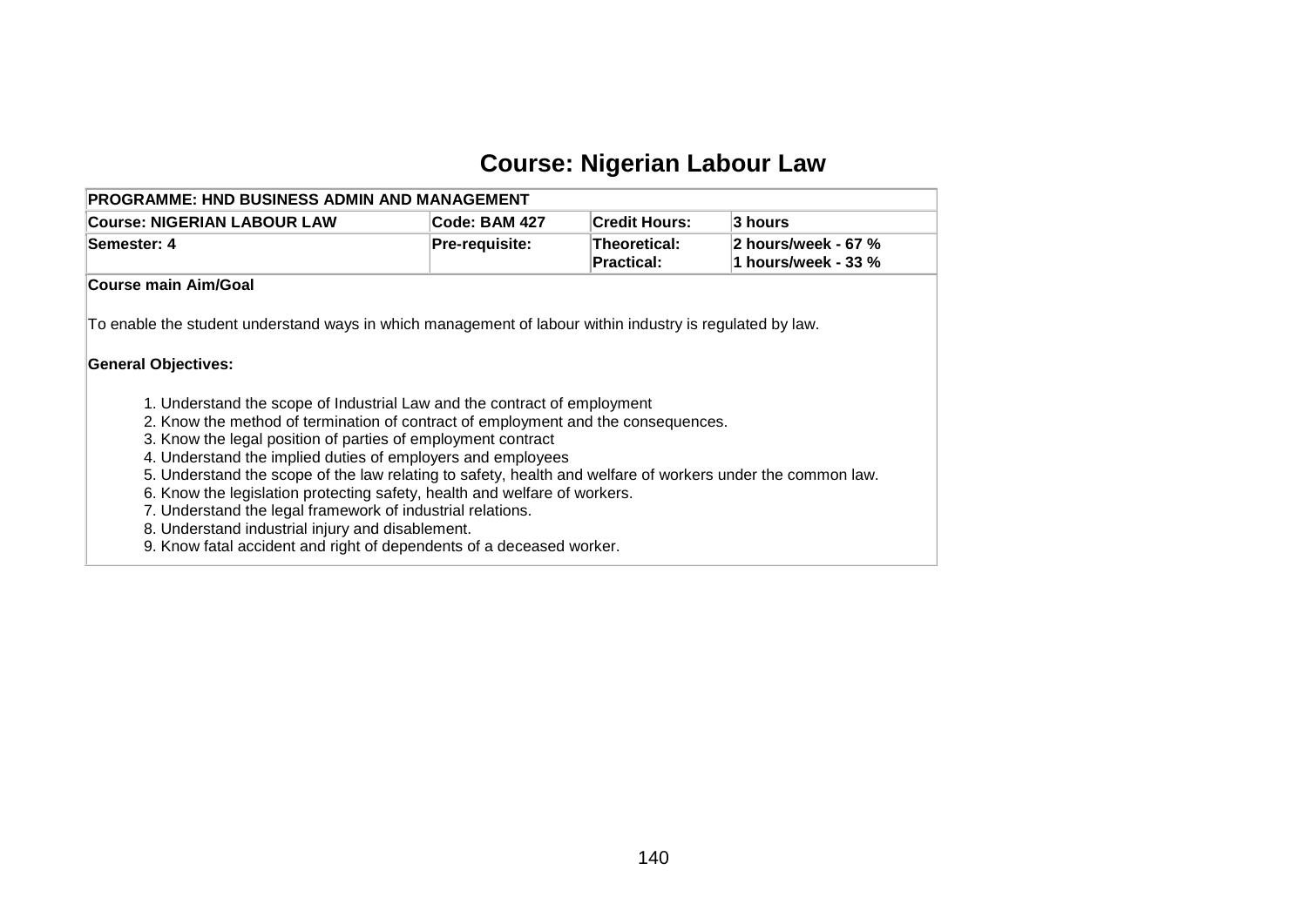## **Course: Nigerian Labour Law**

| <b>PROGRAMME: HND BUSINESS ADMIN AND MANAGEMENT</b><br><b>Course: NIGERIAN LABOUR LAW</b>                                                                     | Code: BAM 427  | <b>Credit Hours:</b>              | 3 hours                                      |
|---------------------------------------------------------------------------------------------------------------------------------------------------------------|----------------|-----------------------------------|----------------------------------------------|
| Semester: 4                                                                                                                                                   | Pre-requisite: | Theoretical:<br><b>Practical:</b> | 2 hours/week - 67 %<br>1 hours/week - 33 $%$ |
| Course main Aim/Goal                                                                                                                                          |                |                                   |                                              |
| To enable the student understand ways in which management of labour within industry is regulated by law.<br><b>General Objectives:</b>                        |                |                                   |                                              |
|                                                                                                                                                               |                |                                   |                                              |
| 1. Understand the scope of Industrial Law and the contract of employment<br>2. Know the method of termination of contract of employment and the consequences. |                |                                   |                                              |
| 3. Know the legal position of parties of employment contract                                                                                                  |                |                                   |                                              |
| 4. Understand the implied duties of employers and employees                                                                                                   |                |                                   |                                              |
| 5. Understand the scope of the law relating to safety, health and welfare of workers under the common law.                                                    |                |                                   |                                              |
| 6. Know the legislation protecting safety, health and welfare of workers.                                                                                     |                |                                   |                                              |
| 7. Understand the legal framework of industrial relations.                                                                                                    |                |                                   |                                              |
| 8. Understand industrial injury and disablement.                                                                                                              |                |                                   |                                              |

9. Know fatal accident and right of dependents of a deceased worker.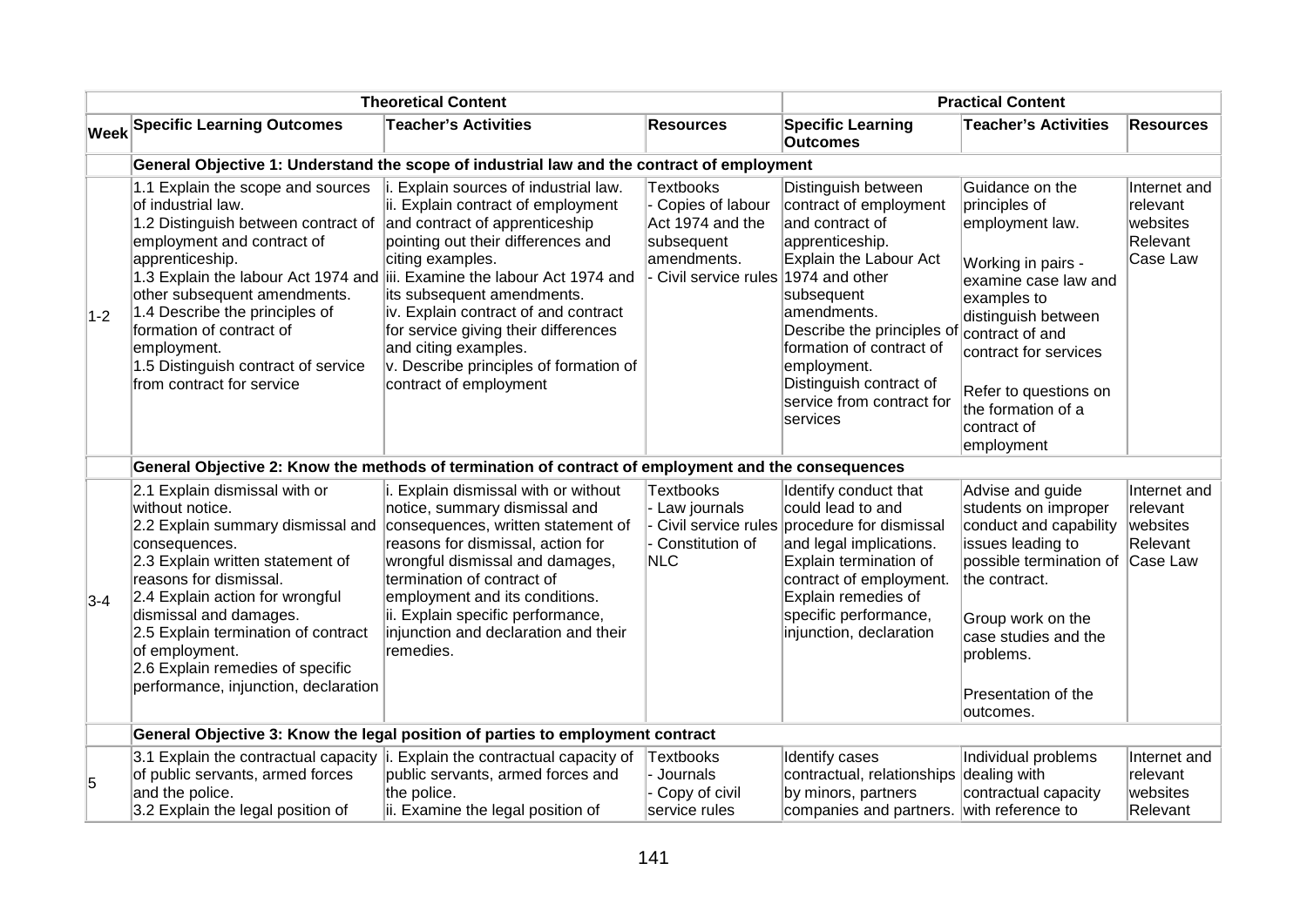| <b>Theoretical Content</b> |                                                                                                                                                                                                                                                                                                                                                                         |                                                                                                                                                                                                                                                                                                                                                                                                                           |                                                                                                                                 | <b>Practical Content</b>                                                                                                                                                                                                                                                                       |                                                                                                                                                                                                                                                                 |                                                              |  |  |
|----------------------------|-------------------------------------------------------------------------------------------------------------------------------------------------------------------------------------------------------------------------------------------------------------------------------------------------------------------------------------------------------------------------|---------------------------------------------------------------------------------------------------------------------------------------------------------------------------------------------------------------------------------------------------------------------------------------------------------------------------------------------------------------------------------------------------------------------------|---------------------------------------------------------------------------------------------------------------------------------|------------------------------------------------------------------------------------------------------------------------------------------------------------------------------------------------------------------------------------------------------------------------------------------------|-----------------------------------------------------------------------------------------------------------------------------------------------------------------------------------------------------------------------------------------------------------------|--------------------------------------------------------------|--|--|
|                            | <b>Week Specific Learning Outcomes</b>                                                                                                                                                                                                                                                                                                                                  | <b>Teacher's Activities</b>                                                                                                                                                                                                                                                                                                                                                                                               | <b>Resources</b>                                                                                                                | <b>Specific Learning</b><br><b>Outcomes</b>                                                                                                                                                                                                                                                    | <b>Teacher's Activities</b>                                                                                                                                                                                                                                     | <b>Resources</b>                                             |  |  |
|                            | General Objective 1: Understand the scope of industrial law and the contract of employment                                                                                                                                                                                                                                                                              |                                                                                                                                                                                                                                                                                                                                                                                                                           |                                                                                                                                 |                                                                                                                                                                                                                                                                                                |                                                                                                                                                                                                                                                                 |                                                              |  |  |
| $1-2$                      | 1.1 Explain the scope and sources<br>of industrial law.<br>1.2 Distinguish between contract of<br>employment and contract of<br>apprenticeship.<br>1.3 Explain the labour Act 1974 and<br>other subsequent amendments.<br>1.4 Describe the principles of<br>formation of contract of<br>employment.<br>1.5 Distinguish contract of service<br>from contract for service | i. Explain sources of industrial law.<br>ii. Explain contract of employment<br>and contract of apprenticeship<br>pointing out their differences and<br>citing examples.<br>iii. Examine the labour Act 1974 and<br>its subsequent amendments.<br>iv. Explain contract of and contract<br>for service giving their differences<br>and citing examples.<br>v. Describe principles of formation of<br>contract of employment | <b>Textbooks</b><br>- Copies of labour<br>Act 1974 and the<br>subsequent<br>amendments.<br>- Civil service rules 1974 and other | Distinguish between<br>contract of employment<br>and contract of<br>apprenticeship.<br><b>Explain the Labour Act</b><br>subsequent<br>amendments.<br>Describe the principles of<br>formation of contract of<br>employment.<br>Distinguish contract of<br>service from contract for<br>services | Guidance on the<br>principles of<br>employment law.<br>Working in pairs -<br>examine case law and<br>examples to<br>distinguish between<br>contract of and<br>contract for services<br>Refer to questions on<br>the formation of a<br>contract of<br>employment | Internet and<br>relevant<br>websites<br>Relevant<br>Case Law |  |  |
|                            | General Objective 2: Know the methods of termination of contract of employment and the consequences                                                                                                                                                                                                                                                                     |                                                                                                                                                                                                                                                                                                                                                                                                                           |                                                                                                                                 |                                                                                                                                                                                                                                                                                                |                                                                                                                                                                                                                                                                 |                                                              |  |  |
| $3-4$                      | 2.1 Explain dismissal with or<br>without notice.<br>2.2 Explain summary dismissal and<br>consequences.<br>2.3 Explain written statement of<br>reasons for dismissal.<br>2.4 Explain action for wrongful<br>dismissal and damages.<br>2.5 Explain termination of contract<br>of employment.<br>2.6 Explain remedies of specific<br>performance, injunction, declaration  | i. Explain dismissal with or without<br>notice, summary dismissal and<br>consequences, written statement of<br>reasons for dismissal, action for<br>wrongful dismissal and damages,<br>termination of contract of<br>employment and its conditions.<br>ii. Explain specific performance,<br>injunction and declaration and their<br>remedies.                                                                             | <b>Textbooks</b><br>- Law journals<br>Civil service rules<br>Constitution of<br>NLC                                             | Identify conduct that<br>could lead to and<br>procedure for dismissal<br>and legal implications.<br>Explain termination of<br>contract of employment.<br>Explain remedies of<br>specific performance,<br>injunction, declaration                                                               | Advise and guide<br>students on improper<br>conduct and capability<br>issues leading to<br>possible termination of<br>the contract.<br>Group work on the<br>case studies and the<br>problems.<br>Presentation of the<br>loutcomes.                              | Internet and<br>relevant<br>websites<br>Relevant<br>Case Law |  |  |
|                            | General Objective 3: Know the legal position of parties to employment contract                                                                                                                                                                                                                                                                                          |                                                                                                                                                                                                                                                                                                                                                                                                                           |                                                                                                                                 |                                                                                                                                                                                                                                                                                                |                                                                                                                                                                                                                                                                 |                                                              |  |  |
| 5                          | of public servants, armed forces<br>and the police.<br>3.2 Explain the legal position of                                                                                                                                                                                                                                                                                | 3.1 Explain the contractual capacity $\vert$ i. Explain the contractual capacity of<br>public servants, armed forces and<br>the police.<br>ii. Examine the legal position of                                                                                                                                                                                                                                              | Textbooks<br>- Journals<br>- Copy of civil<br>service rules                                                                     | Identify cases<br>contractual, relationships dealing with<br>by minors, partners<br>companies and partners. with reference to                                                                                                                                                                  | Individual problems<br>contractual capacity                                                                                                                                                                                                                     | Internet and<br>relevant<br>websites<br>Relevant             |  |  |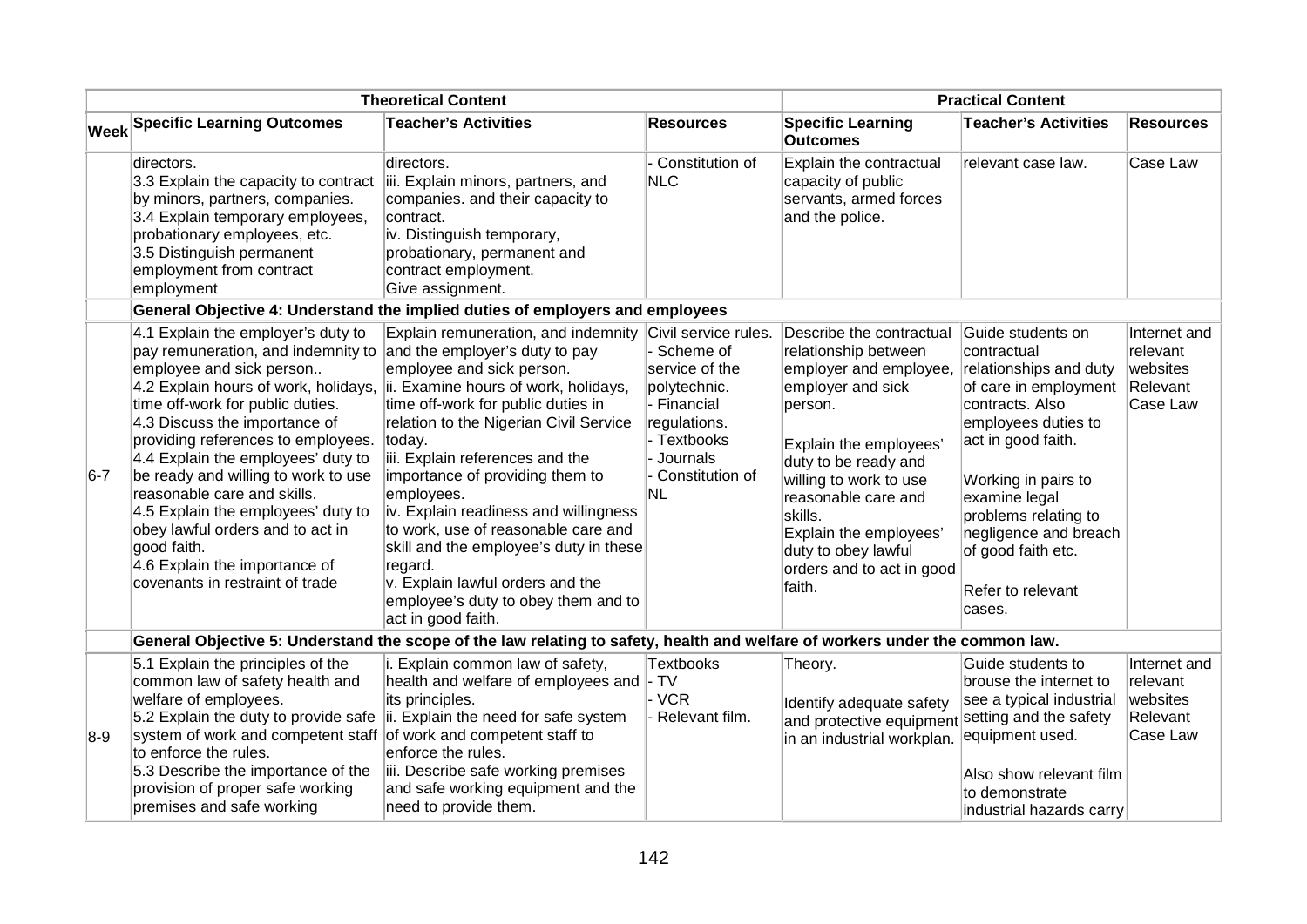| <b>Theoretical Content</b> |                                                                                                                                                                                                                                                                                                                                                                                                                                                                                                                                                                 |                                                                                                                                                                                                                                                                                                                                                                                                                                                                                                                              |                                                                                                                                                            | <b>Practical Content</b>                                                                                                                                                                                                                                                                                         |                                                                                                                                                                                                                                                                                                   |                                                              |  |
|----------------------------|-----------------------------------------------------------------------------------------------------------------------------------------------------------------------------------------------------------------------------------------------------------------------------------------------------------------------------------------------------------------------------------------------------------------------------------------------------------------------------------------------------------------------------------------------------------------|------------------------------------------------------------------------------------------------------------------------------------------------------------------------------------------------------------------------------------------------------------------------------------------------------------------------------------------------------------------------------------------------------------------------------------------------------------------------------------------------------------------------------|------------------------------------------------------------------------------------------------------------------------------------------------------------|------------------------------------------------------------------------------------------------------------------------------------------------------------------------------------------------------------------------------------------------------------------------------------------------------------------|---------------------------------------------------------------------------------------------------------------------------------------------------------------------------------------------------------------------------------------------------------------------------------------------------|--------------------------------------------------------------|--|
|                            | Week Specific Learning Outcomes                                                                                                                                                                                                                                                                                                                                                                                                                                                                                                                                 | <b>Teacher's Activities</b>                                                                                                                                                                                                                                                                                                                                                                                                                                                                                                  | <b>Resources</b>                                                                                                                                           | <b>Specific Learning</b><br><b>Outcomes</b>                                                                                                                                                                                                                                                                      | <b>Teacher's Activities</b>                                                                                                                                                                                                                                                                       | <b>Resources</b>                                             |  |
|                            | directors.<br>3.3 Explain the capacity to contract<br>by minors, partners, companies.<br>3.4 Explain temporary employees,<br>probationary employees, etc.<br>3.5 Distinguish permanent<br>employment from contract<br>employment                                                                                                                                                                                                                                                                                                                                | directors.<br>iii. Explain minors, partners, and<br>companies. and their capacity to<br>contract.<br>iv. Distinguish temporary,<br>probationary, permanent and<br>contract employment.<br>Give assignment.                                                                                                                                                                                                                                                                                                                   | Constitution of<br>NLC                                                                                                                                     | Explain the contractual<br>capacity of public<br>servants, armed forces<br>and the police.                                                                                                                                                                                                                       | relevant case law.                                                                                                                                                                                                                                                                                | Case Law                                                     |  |
|                            |                                                                                                                                                                                                                                                                                                                                                                                                                                                                                                                                                                 | General Objective 4: Understand the implied duties of employers and employees                                                                                                                                                                                                                                                                                                                                                                                                                                                |                                                                                                                                                            |                                                                                                                                                                                                                                                                                                                  |                                                                                                                                                                                                                                                                                                   |                                                              |  |
| $6-7$                      | 4.1 Explain the employer's duty to<br>pay remuneration, and indemnity to and the employer's duty to pay<br>employee and sick person<br>4.2 Explain hours of work, holidays,<br>time off-work for public duties.<br>4.3 Discuss the importance of<br>providing references to employees.<br>4.4 Explain the employees' duty to<br>be ready and willing to work to use<br>reasonable care and skills.<br>4.5 Explain the employees' duty to<br>obey lawful orders and to act in<br>good faith.<br>4.6 Explain the importance of<br>covenants in restraint of trade | Explain remuneration, and indemnity<br>employee and sick person.<br>ii. Examine hours of work, holidays,<br>time off-work for public duties in<br>relation to the Nigerian Civil Service<br>today.<br>iii. Explain references and the<br>importance of providing them to<br>employees.<br>iv. Explain readiness and willingness<br>to work, use of reasonable care and<br>skill and the employee's duty in these<br>regard.<br>v. Explain lawful orders and the<br>employee's duty to obey them and to<br>act in good faith. | Civil service rules.<br>- Scheme of<br>service of the<br>polytechnic.<br>- Financial<br>regulations.<br>- Textbooks<br>- Journals<br>Constitution of<br>NL | Describe the contractual<br>relationship between<br>employer and employee,<br>employer and sick<br>person.<br>Explain the employees'<br>duty to be ready and<br>willing to work to use<br>reasonable care and<br>skills.<br>Explain the employees'<br>duty to obey lawful<br>orders and to act in good<br>faith. | Guide students on<br>contractual<br>relationships and duty<br>of care in employment<br>contracts. Also<br>employees duties to<br>act in good faith.<br>Working in pairs to<br>examine legal<br>problems relating to<br>negligence and breach<br>of good faith etc.<br>Refer to relevant<br>cases. | Internet and<br>relevant<br>websites<br>Relevant<br>Case Law |  |
|                            | General Objective 5: Understand the scope of the law relating to safety, health and welfare of workers under the common law.                                                                                                                                                                                                                                                                                                                                                                                                                                    |                                                                                                                                                                                                                                                                                                                                                                                                                                                                                                                              |                                                                                                                                                            |                                                                                                                                                                                                                                                                                                                  |                                                                                                                                                                                                                                                                                                   |                                                              |  |
| $8-9$                      | 5.1 Explain the principles of the<br>common law of safety health and<br>welfare of employees.<br>5.2 Explain the duty to provide safe<br>system of work and competent staff of work and competent staff to<br>to enforce the rules.<br>5.3 Describe the importance of the<br>provision of proper safe working<br>premises and safe working                                                                                                                                                                                                                      | i. Explain common law of safety,<br>health and welfare of employees and - TV<br>its principles.<br>ii. Explain the need for safe system<br>enforce the rules.<br>iii. Describe safe working premises<br>and safe working equipment and the<br>need to provide them.                                                                                                                                                                                                                                                          | <b>Textbooks</b><br>- VCR<br>Relevant film.                                                                                                                | Theory.<br>Identify adequate safety<br>and protective equipment setting and the safety<br>in an industrial workplan.                                                                                                                                                                                             | Guide students to<br>brouse the internet to<br>see a typical industrial<br>equipment used.<br>Also show relevant film<br>to demonstrate<br>industrial hazards carry                                                                                                                               | Internet and<br>relevant<br>websites<br>Relevant<br>Case Law |  |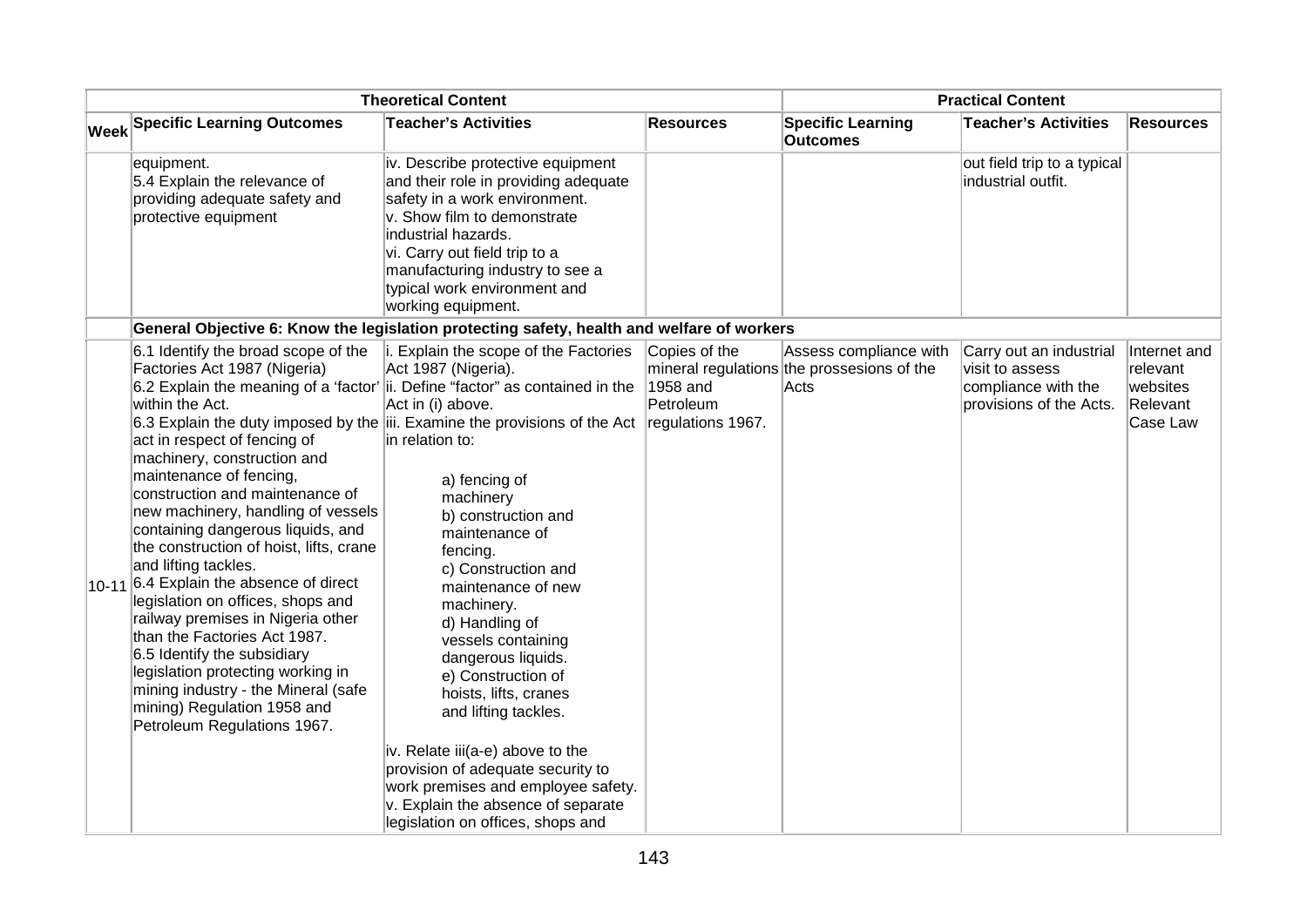| <b>Theoretical Content</b> |                                                                                                                                                                                                                                                                                                                                                                                                                                                                                                                                                                                                                                                                                                   |                                                                                                                                                                                                                                                                                                                                                                                                                                                                                                                                                                                                                                                                                                                                                                    |                                        | <b>Practical Content</b>                                                     |                                                                                              |                                                              |  |
|----------------------------|---------------------------------------------------------------------------------------------------------------------------------------------------------------------------------------------------------------------------------------------------------------------------------------------------------------------------------------------------------------------------------------------------------------------------------------------------------------------------------------------------------------------------------------------------------------------------------------------------------------------------------------------------------------------------------------------------|--------------------------------------------------------------------------------------------------------------------------------------------------------------------------------------------------------------------------------------------------------------------------------------------------------------------------------------------------------------------------------------------------------------------------------------------------------------------------------------------------------------------------------------------------------------------------------------------------------------------------------------------------------------------------------------------------------------------------------------------------------------------|----------------------------------------|------------------------------------------------------------------------------|----------------------------------------------------------------------------------------------|--------------------------------------------------------------|--|
|                            | <b>Week Specific Learning Outcomes</b><br><b>Teacher's Activities</b>                                                                                                                                                                                                                                                                                                                                                                                                                                                                                                                                                                                                                             |                                                                                                                                                                                                                                                                                                                                                                                                                                                                                                                                                                                                                                                                                                                                                                    | <b>Resources</b>                       | <b>Specific Learning</b><br><b>Outcomes</b>                                  | <b>Teacher's Activities</b>                                                                  | <b>Resources</b>                                             |  |
|                            | equipment.<br>5.4 Explain the relevance of<br>providing adequate safety and<br>protective equipment                                                                                                                                                                                                                                                                                                                                                                                                                                                                                                                                                                                               | iv. Describe protective equipment<br>and their role in providing adequate<br>safety in a work environment.<br>v. Show film to demonstrate<br>industrial hazards.<br>vi. Carry out field trip to a<br>manufacturing industry to see a<br>typical work environment and<br>working equipment.                                                                                                                                                                                                                                                                                                                                                                                                                                                                         |                                        |                                                                              | out field trip to a typical<br>industrial outfit.                                            |                                                              |  |
|                            |                                                                                                                                                                                                                                                                                                                                                                                                                                                                                                                                                                                                                                                                                                   | General Objective 6: Know the legislation protecting safety, health and welfare of workers                                                                                                                                                                                                                                                                                                                                                                                                                                                                                                                                                                                                                                                                         |                                        |                                                                              |                                                                                              |                                                              |  |
|                            | 6.1 Identify the broad scope of the<br>Factories Act 1987 (Nigeria)<br>within the Act.<br>act in respect of fencing of<br>machinery, construction and<br>maintenance of fencing,<br>construction and maintenance of<br>new machinery, handling of vessels<br>containing dangerous liquids, and<br>the construction of hoist, lifts, crane<br>and lifting tackles.<br>$10-11$ 6.4 Explain the absence of direct<br>legislation on offices, shops and<br>railway premises in Nigeria other<br>than the Factories Act 1987.<br>6.5 Identify the subsidiary<br>legislation protecting working in<br>mining industry - the Mineral (safe<br>mining) Regulation 1958 and<br>Petroleum Regulations 1967. | i. Explain the scope of the Factories<br>Act 1987 (Nigeria).<br>6.2 Explain the meaning of a 'factor' ii. Define "factor" as contained in the<br>Act in (i) above.<br>6.3 Explain the duty imposed by the iii. Examine the provisions of the Act regulations 1967.<br>in relation to:<br>a) fencing of<br>machinery<br>b) construction and<br>maintenance of<br>fencing.<br>c) Construction and<br>maintenance of new<br>machinery.<br>d) Handling of<br>vessels containing<br>dangerous liquids.<br>e) Construction of<br>hoists, lifts, cranes<br>and lifting tackles.<br>iv. Relate iii(a-e) above to the<br>provision of adequate security to<br>work premises and employee safety.<br>v. Explain the absence of separate<br>legislation on offices, shops and | Copies of the<br>1958 and<br>Petroleum | Assess compliance with<br>mineral regulations the prossesions of the<br>Acts | Carry out an industrial<br>visit to assess<br>compliance with the<br>provisions of the Acts. | Internet and<br>relevant<br>websites<br>Relevant<br>Case Law |  |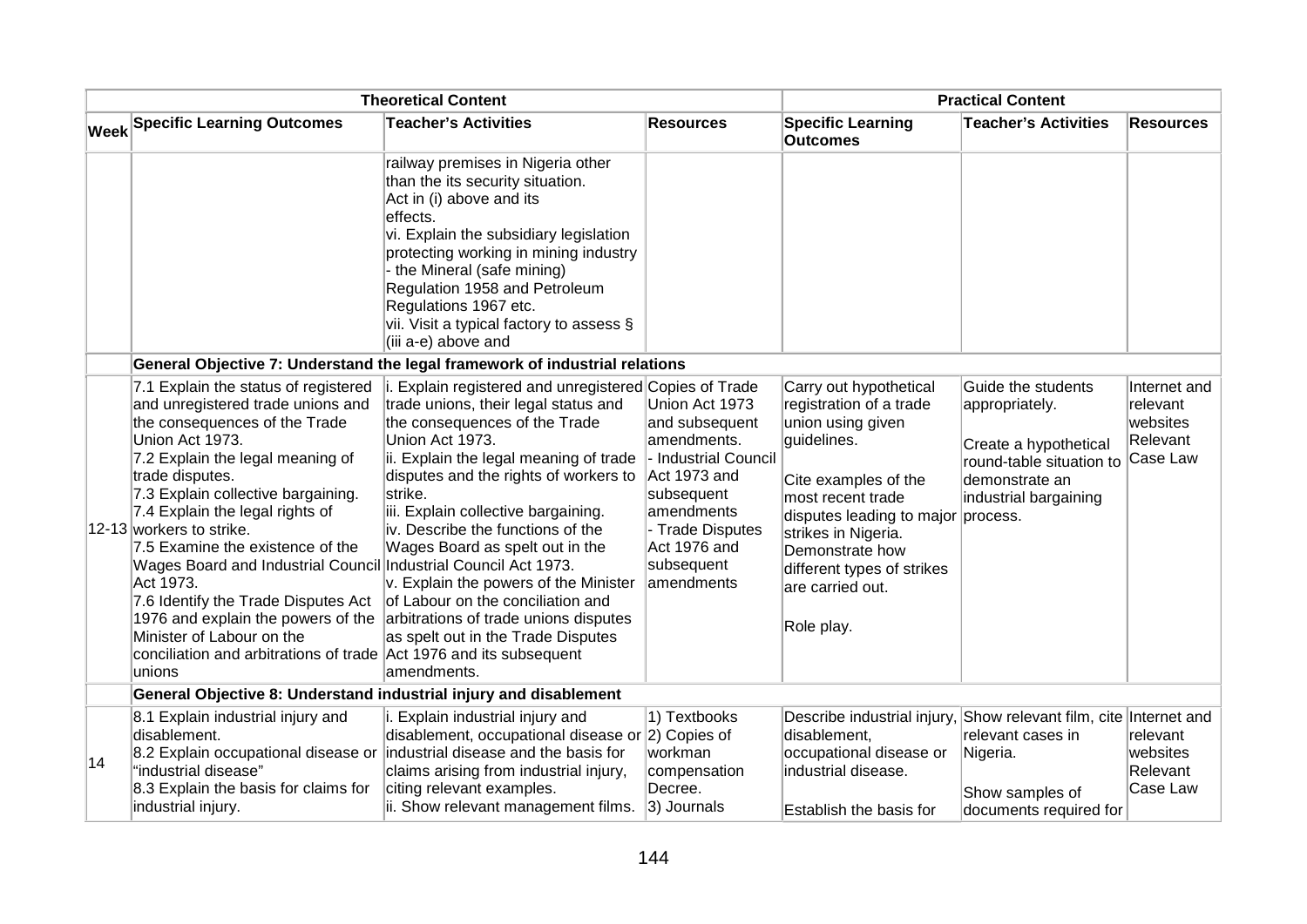| <b>Theoretical Content</b> |                                                                                                                                                                                                                                                                                                                                                                                                                                                                                                                                                                                                         |                                                                                                                                                                                                                                                                                                                                                                                                                                                                                                                                             |                                                                                                                                                                                     | <b>Practical Content</b>                                                                                                                                                                                                                                                           |                                                                                                                                      |                                                              |  |
|----------------------------|---------------------------------------------------------------------------------------------------------------------------------------------------------------------------------------------------------------------------------------------------------------------------------------------------------------------------------------------------------------------------------------------------------------------------------------------------------------------------------------------------------------------------------------------------------------------------------------------------------|---------------------------------------------------------------------------------------------------------------------------------------------------------------------------------------------------------------------------------------------------------------------------------------------------------------------------------------------------------------------------------------------------------------------------------------------------------------------------------------------------------------------------------------------|-------------------------------------------------------------------------------------------------------------------------------------------------------------------------------------|------------------------------------------------------------------------------------------------------------------------------------------------------------------------------------------------------------------------------------------------------------------------------------|--------------------------------------------------------------------------------------------------------------------------------------|--------------------------------------------------------------|--|
|                            | Week Specific Learning Outcomes                                                                                                                                                                                                                                                                                                                                                                                                                                                                                                                                                                         | <b>Resources</b>                                                                                                                                                                                                                                                                                                                                                                                                                                                                                                                            | <b>Specific Learning</b><br><b>Outcomes</b>                                                                                                                                         | <b>Teacher's Activities</b>                                                                                                                                                                                                                                                        | <b>Resources</b>                                                                                                                     |                                                              |  |
|                            |                                                                                                                                                                                                                                                                                                                                                                                                                                                                                                                                                                                                         | railway premises in Nigeria other<br>than the its security situation.<br>Act in (i) above and its<br>effects.<br>vi. Explain the subsidiary legislation<br>protecting working in mining industry<br>- the Mineral (safe mining)<br>Regulation 1958 and Petroleum<br>Regulations 1967 etc.<br>vii. Visit a typical factory to assess $\S$<br>(iii a-e) above and                                                                                                                                                                             |                                                                                                                                                                                     |                                                                                                                                                                                                                                                                                    |                                                                                                                                      |                                                              |  |
|                            |                                                                                                                                                                                                                                                                                                                                                                                                                                                                                                                                                                                                         | General Objective 7: Understand the legal framework of industrial relations                                                                                                                                                                                                                                                                                                                                                                                                                                                                 |                                                                                                                                                                                     |                                                                                                                                                                                                                                                                                    |                                                                                                                                      |                                                              |  |
|                            | 7.1 Explain the status of registered<br>and unregistered trade unions and<br>the consequences of the Trade<br>Union Act 1973.<br>7.2 Explain the legal meaning of<br>trade disputes.<br>7.3 Explain collective bargaining.<br>7.4 Explain the legal rights of<br>12-13 workers to strike.<br>7.5 Examine the existence of the<br>Wages Board and Industrial Council Industrial Council Act 1973.<br>Act 1973.<br>7.6 Identify the Trade Disputes Act<br>1976 and explain the powers of the<br>Minister of Labour on the<br>conciliation and arbitrations of trade Act 1976 and its subsequent<br>unions | i. Explain registered and unregistered Copies of Trade<br>trade unions, their legal status and<br>the consequences of the Trade<br>Union Act 1973.<br>ii. Explain the legal meaning of trade<br>disputes and the rights of workers to<br>strike.<br>iii. Explain collective bargaining.<br>iv. Describe the functions of the<br>Wages Board as spelt out in the<br>v. Explain the powers of the Minister<br>of Labour on the conciliation and<br>arbitrations of trade unions disputes<br>as spelt out in the Trade Disputes<br>amendments. | Union Act 1973<br>and subsequent<br>amendments.<br>- Industrial Council<br>Act 1973 and<br>subsequent<br>amendments<br>- Trade Disputes<br>Act 1976 and<br>subsequent<br>amendments | Carry out hypothetical<br>registration of a trade<br>union using given<br>guidelines.<br>Cite examples of the<br>most recent trade<br>disputes leading to major process.<br>strikes in Nigeria.<br>Demonstrate how<br>different types of strikes<br>are carried out.<br>Role play. | Guide the students<br>appropriately.<br>Create a hypothetical<br>round-table situation to<br>demonstrate an<br>industrial bargaining | Internet and<br>relevant<br>websites<br>Relevant<br>Case Law |  |
|                            | General Objective 8: Understand industrial injury and disablement                                                                                                                                                                                                                                                                                                                                                                                                                                                                                                                                       |                                                                                                                                                                                                                                                                                                                                                                                                                                                                                                                                             |                                                                                                                                                                                     |                                                                                                                                                                                                                                                                                    |                                                                                                                                      |                                                              |  |
| 14                         | 8.1 Explain industrial injury and<br>disablement.<br>8.2 Explain occupational disease or<br>"industrial disease"<br>8.3 Explain the basis for claims for<br>industrial injury.                                                                                                                                                                                                                                                                                                                                                                                                                          | i. Explain industrial injury and<br>disablement, occupational disease or 2) Copies of<br>industrial disease and the basis for<br>claims arising from industrial injury,<br>citing relevant examples.<br>ii. Show relevant management films.                                                                                                                                                                                                                                                                                                 | 1) Textbooks<br>workman<br>compensation<br>Decree.<br>3) Journals                                                                                                                   | Describe industrial injury, Show relevant film, cite Internet and<br>disablement,<br>occupational disease or<br>industrial disease.<br>Establish the basis for                                                                                                                     | relevant cases in<br>Nigeria.<br>Show samples of<br>documents required for                                                           | relevant<br>websites<br>Relevant<br>Case Law                 |  |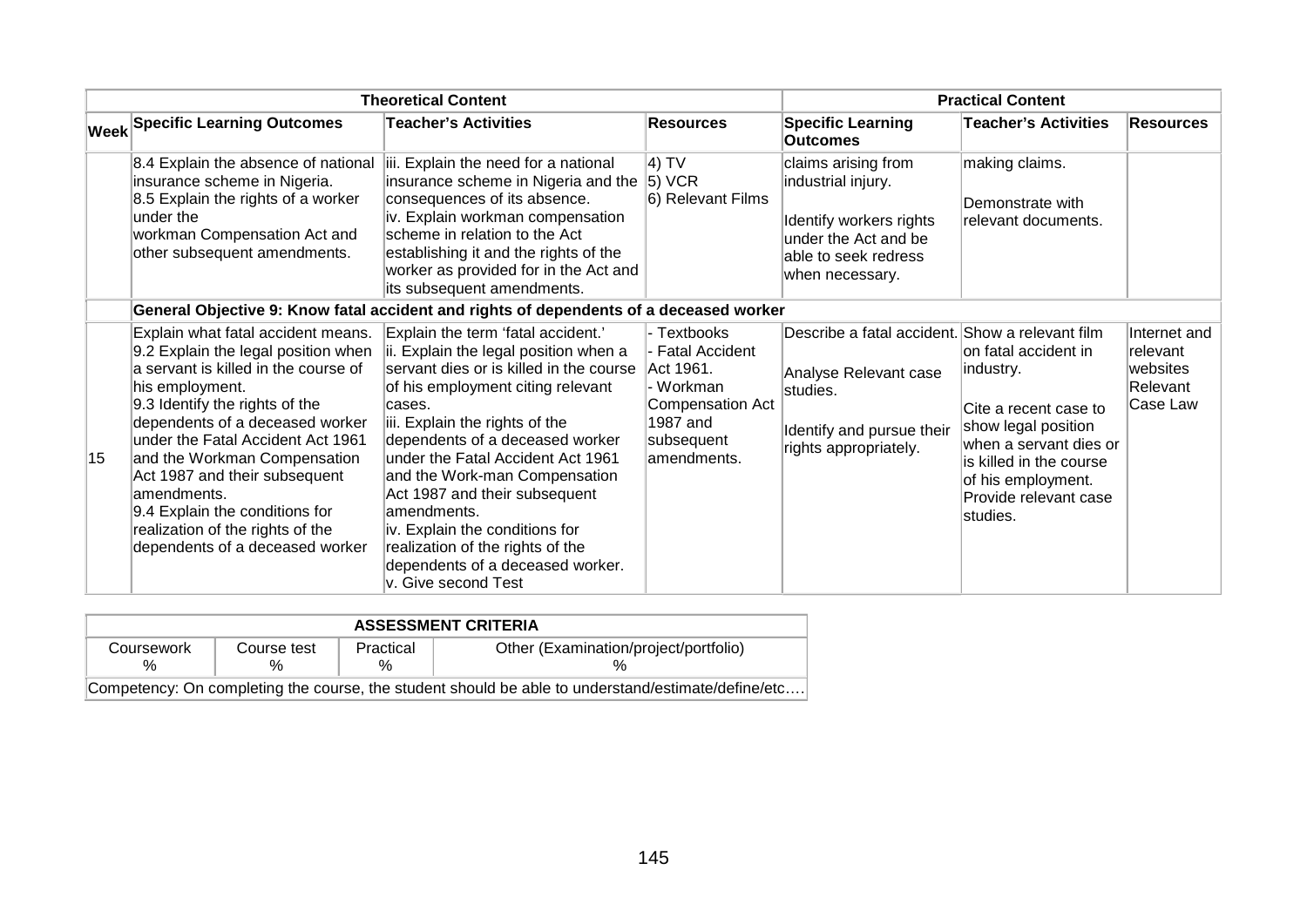|    |                                                                                                                                                                                                                                                                                                                                                                                                                                         | <b>Theoretical Content</b>                                                                                                                                                                                                                                                                                                                                                                                                                                                                        |                                                                                                                               | <b>Practical Content</b>                                                                                                                   |                                                                                                                                                                                                   |                                                              |  |
|----|-----------------------------------------------------------------------------------------------------------------------------------------------------------------------------------------------------------------------------------------------------------------------------------------------------------------------------------------------------------------------------------------------------------------------------------------|---------------------------------------------------------------------------------------------------------------------------------------------------------------------------------------------------------------------------------------------------------------------------------------------------------------------------------------------------------------------------------------------------------------------------------------------------------------------------------------------------|-------------------------------------------------------------------------------------------------------------------------------|--------------------------------------------------------------------------------------------------------------------------------------------|---------------------------------------------------------------------------------------------------------------------------------------------------------------------------------------------------|--------------------------------------------------------------|--|
|    | <b>Week Specific Learning Outcomes</b>                                                                                                                                                                                                                                                                                                                                                                                                  | <b>Teacher's Activities</b>                                                                                                                                                                                                                                                                                                                                                                                                                                                                       | <b>Resources</b>                                                                                                              | <b>Specific Learning</b><br><b>Outcomes</b>                                                                                                | <b>Teacher's Activities</b>                                                                                                                                                                       | <b>Resources</b>                                             |  |
|    | 8.4 Explain the absence of national<br>insurance scheme in Nigeria.<br>8.5 Explain the rights of a worker<br>under the<br>workman Compensation Act and<br>other subsequent amendments.                                                                                                                                                                                                                                                  | iii. Explain the need for a national<br>insurance scheme in Nigeria and the $ 5\rangle$ VCR<br>consequences of its absence.<br>iv. Explain workman compensation<br>scheme in relation to the Act<br>establishing it and the rights of the<br>worker as provided for in the Act and<br>its subsequent amendments.                                                                                                                                                                                  | $ 4)$ TV<br>6) Relevant Films                                                                                                 | claims arising from<br>industrial injury.<br>Identify workers rights<br>under the Act and be<br>able to seek redress<br>when necessary.    | making claims.<br>Demonstrate with<br>relevant documents.                                                                                                                                         |                                                              |  |
|    |                                                                                                                                                                                                                                                                                                                                                                                                                                         | General Objective 9: Know fatal accident and rights of dependents of a deceased worker                                                                                                                                                                                                                                                                                                                                                                                                            |                                                                                                                               |                                                                                                                                            |                                                                                                                                                                                                   |                                                              |  |
| 15 | Explain what fatal accident means.<br>9.2 Explain the legal position when<br>a servant is killed in the course of<br>his employment.<br>9.3 Identify the rights of the<br>dependents of a deceased worker<br>under the Fatal Accident Act 1961<br>and the Workman Compensation<br>Act 1987 and their subsequent<br>amendments.<br>9.4 Explain the conditions for<br>realization of the rights of the<br>dependents of a deceased worker | Explain the term 'fatal accident.'<br>ii. Explain the legal position when a<br>servant dies or is killed in the course<br>of his employment citing relevant<br>cases.<br>iii. Explain the rights of the<br>dependents of a deceased worker<br>under the Fatal Accident Act 1961<br>and the Work-man Compensation<br>Act 1987 and their subsequent<br>amendments.<br>iv. Explain the conditions for<br>realization of the rights of the<br>dependents of a deceased worker.<br>v. Give second Test | - Textbooks<br>- Fatal Accident<br>Act 1961.<br>· Workman<br><b>Compensation Act</b><br>1987 and<br>subsequent<br>amendments. | Describe a fatal accident. Show a relevant film<br>Analyse Relevant case<br>studies.<br>Identify and pursue their<br>rights appropriately. | on fatal accident in<br>industry.<br>Cite a recent case to<br>show legal position<br>when a servant dies or<br>is killed in the course<br>of his employment.<br>Provide relevant case<br>studies. | Internet and<br>relevant<br>websites<br>Relevant<br>Case Law |  |

| <b>ASSESSMENT CRITERIA</b>                                                                         |             |                |                                       |  |  |  |  |  |  |
|----------------------------------------------------------------------------------------------------|-------------|----------------|---------------------------------------|--|--|--|--|--|--|
| Coursework<br>%                                                                                    | Course test | Practical<br>% | Other (Examination/project/portfolio) |  |  |  |  |  |  |
| Competency: On completing the course, the student should be able to understand/estimate/define/etc |             |                |                                       |  |  |  |  |  |  |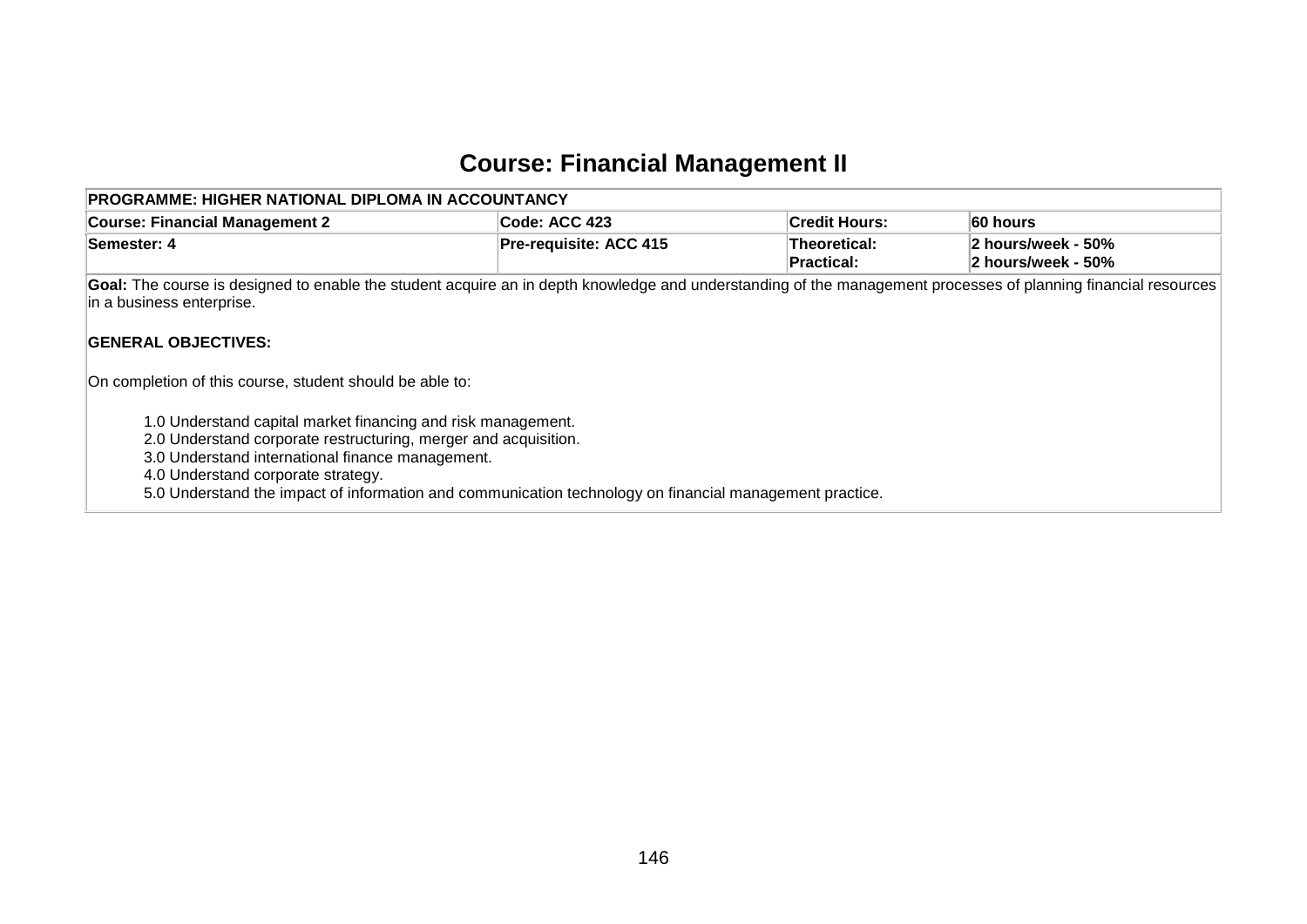### **Course: Financial Management II**

| PROGRAMME: HIGHER NATIONAL DIPLOMA IN ACCOUNTANCY                                                                                                                                                                                                                                                                                    |                        |                                   |                                          |  |  |  |  |  |  |  |
|--------------------------------------------------------------------------------------------------------------------------------------------------------------------------------------------------------------------------------------------------------------------------------------------------------------------------------------|------------------------|-----------------------------------|------------------------------------------|--|--|--|--|--|--|--|
| <b>Course: Financial Management 2</b>                                                                                                                                                                                                                                                                                                | Code: ACC 423          | <b>Credit Hours:</b>              | 60 hours                                 |  |  |  |  |  |  |  |
| Semester: 4                                                                                                                                                                                                                                                                                                                          | Pre-requisite: ACC 415 | Theoretical:<br><b>Practical:</b> | 2 hours/week - 50%<br>2 hours/week - 50% |  |  |  |  |  |  |  |
| Goal: The course is designed to enable the student acquire an in depth knowledge and understanding of the management processes of planning financial resources<br>in a business enterprise.                                                                                                                                          |                        |                                   |                                          |  |  |  |  |  |  |  |
| <b>GENERAL OBJECTIVES:</b>                                                                                                                                                                                                                                                                                                           |                        |                                   |                                          |  |  |  |  |  |  |  |
| On completion of this course, student should be able to:                                                                                                                                                                                                                                                                             |                        |                                   |                                          |  |  |  |  |  |  |  |
| 1.0 Understand capital market financing and risk management.<br>2.0 Understand corporate restructuring, merger and acquisition.<br>3.0 Understand international finance management.<br>4.0 Understand corporate strategy.<br>5.0 Understand the impact of information and communication technology on financial management practice. |                        |                                   |                                          |  |  |  |  |  |  |  |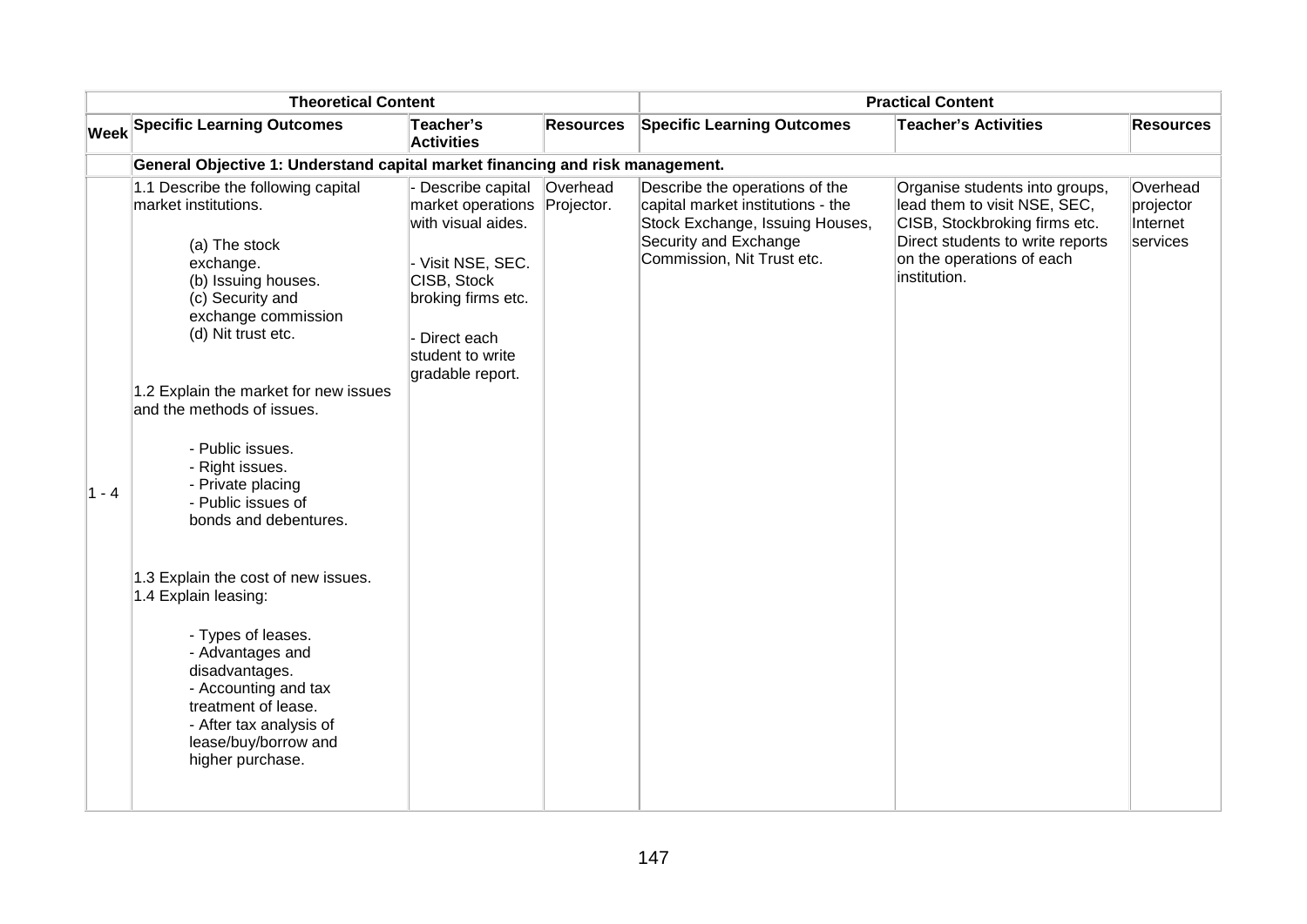| <b>Theoretical Content</b> |                                                                                                                                                                                                                                                                                                                                                                                                                                                                                                                                                                                                                     |                                                                                                                                                                              | <b>Practical Content</b> |                                                                                                                                                               |                                                                                                                                                                                  |                                               |
|----------------------------|---------------------------------------------------------------------------------------------------------------------------------------------------------------------------------------------------------------------------------------------------------------------------------------------------------------------------------------------------------------------------------------------------------------------------------------------------------------------------------------------------------------------------------------------------------------------------------------------------------------------|------------------------------------------------------------------------------------------------------------------------------------------------------------------------------|--------------------------|---------------------------------------------------------------------------------------------------------------------------------------------------------------|----------------------------------------------------------------------------------------------------------------------------------------------------------------------------------|-----------------------------------------------|
|                            | <b>Week Specific Learning Outcomes</b>                                                                                                                                                                                                                                                                                                                                                                                                                                                                                                                                                                              | Teacher's<br><b>Activities</b>                                                                                                                                               | <b>Resources</b>         | <b>Specific Learning Outcomes</b>                                                                                                                             | <b>Teacher's Activities</b>                                                                                                                                                      | <b>Resources</b>                              |
|                            | General Objective 1: Understand capital market financing and risk management.                                                                                                                                                                                                                                                                                                                                                                                                                                                                                                                                       |                                                                                                                                                                              |                          |                                                                                                                                                               |                                                                                                                                                                                  |                                               |
| $1 - 4$                    | 1.1 Describe the following capital<br>market institutions.<br>(a) The stock<br>exchange.<br>(b) Issuing houses.<br>(c) Security and<br>exchange commission<br>(d) Nit trust etc.<br>1.2 Explain the market for new issues<br>and the methods of issues.<br>- Public issues.<br>- Right issues.<br>- Private placing<br>- Public issues of<br>bonds and debentures.<br>1.3 Explain the cost of new issues.<br>1.4 Explain leasing:<br>- Types of leases.<br>- Advantages and<br>disadvantages.<br>- Accounting and tax<br>treatment of lease.<br>- After tax analysis of<br>lease/buy/borrow and<br>higher purchase. | Describe capital<br>market operations<br>with visual aides.<br>- Visit NSE, SEC.<br>CISB, Stock<br>broking firms etc.<br>Direct each<br>student to write<br>gradable report. | Overhead<br>Projector.   | Describe the operations of the<br>capital market institutions - the<br>Stock Exchange, Issuing Houses,<br>Security and Exchange<br>Commission, Nit Trust etc. | Organise students into groups,<br>lead them to visit NSE, SEC,<br>CISB, Stockbroking firms etc.<br>Direct students to write reports<br>on the operations of each<br>institution. | Overhead<br>projector<br>Internet<br>services |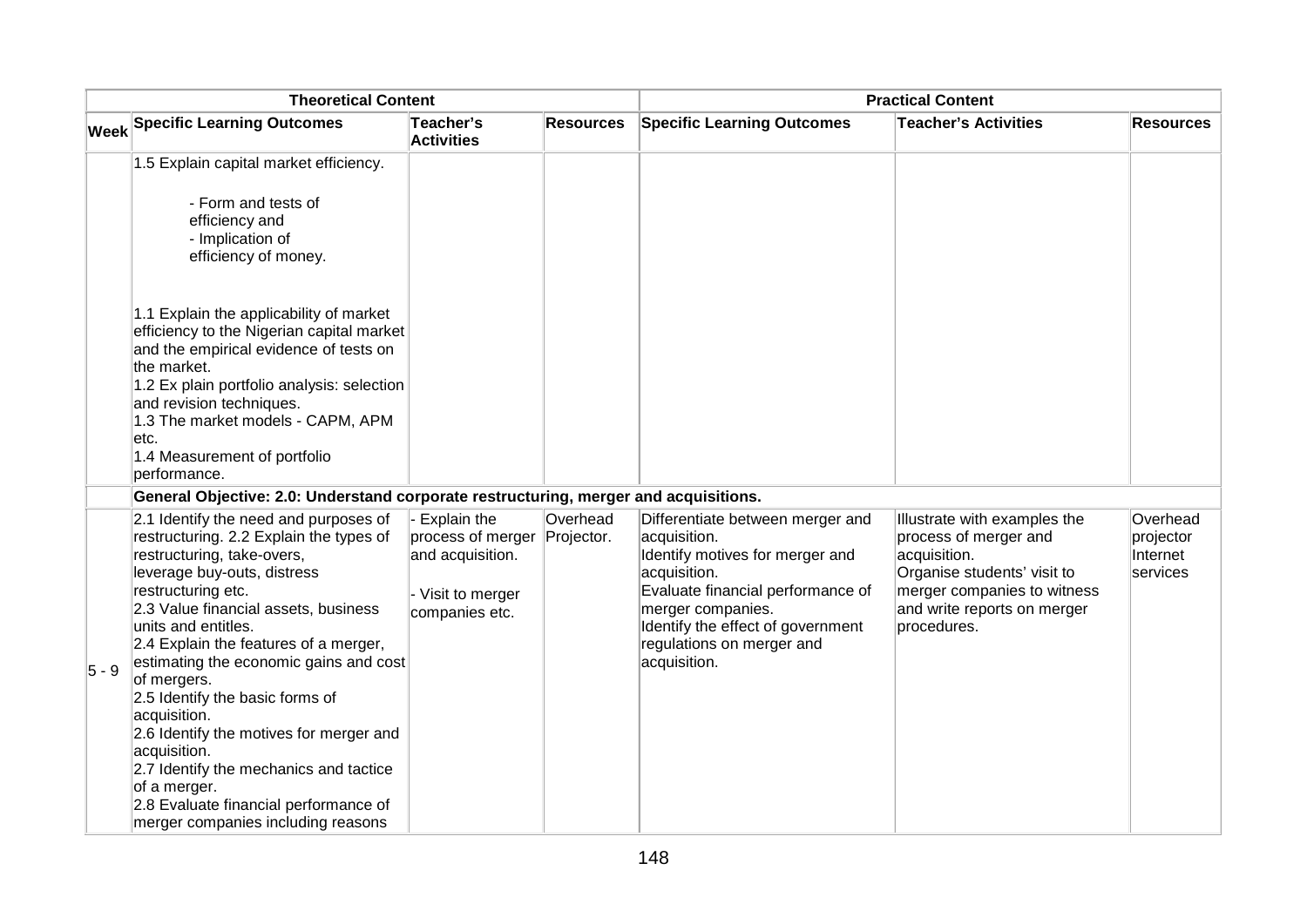| <b>Theoretical Content</b> |                                                                                                                                                                                                                                                                                                                                                                                                                                                                                                                                                                                             | <b>Practical Content</b>                                                                    |                        |                                                                                                                                                                                                                                                 |                                                                                                                                                                                   |                                                      |
|----------------------------|---------------------------------------------------------------------------------------------------------------------------------------------------------------------------------------------------------------------------------------------------------------------------------------------------------------------------------------------------------------------------------------------------------------------------------------------------------------------------------------------------------------------------------------------------------------------------------------------|---------------------------------------------------------------------------------------------|------------------------|-------------------------------------------------------------------------------------------------------------------------------------------------------------------------------------------------------------------------------------------------|-----------------------------------------------------------------------------------------------------------------------------------------------------------------------------------|------------------------------------------------------|
|                            | <b>Week Specific Learning Outcomes</b>                                                                                                                                                                                                                                                                                                                                                                                                                                                                                                                                                      | Teacher's<br><b>Activities</b>                                                              | <b>Resources</b>       | <b>Specific Learning Outcomes</b>                                                                                                                                                                                                               | <b>Teacher's Activities</b>                                                                                                                                                       | <b>Resources</b>                                     |
|                            | 1.5 Explain capital market efficiency.                                                                                                                                                                                                                                                                                                                                                                                                                                                                                                                                                      |                                                                                             |                        |                                                                                                                                                                                                                                                 |                                                                                                                                                                                   |                                                      |
|                            | - Form and tests of<br>efficiency and<br>- Implication of<br>efficiency of money.                                                                                                                                                                                                                                                                                                                                                                                                                                                                                                           |                                                                                             |                        |                                                                                                                                                                                                                                                 |                                                                                                                                                                                   |                                                      |
|                            | 1.1 Explain the applicability of market<br>efficiency to the Nigerian capital market<br>and the empirical evidence of tests on<br>the market.<br>1.2 Ex plain portfolio analysis: selection<br>and revision techniques.<br>1.3 The market models - CAPM, APM<br>letc.<br>1.4 Measurement of portfolio<br>performance.                                                                                                                                                                                                                                                                       |                                                                                             |                        |                                                                                                                                                                                                                                                 |                                                                                                                                                                                   |                                                      |
|                            | General Objective: 2.0: Understand corporate restructuring, merger and acquisitions.                                                                                                                                                                                                                                                                                                                                                                                                                                                                                                        |                                                                                             |                        |                                                                                                                                                                                                                                                 |                                                                                                                                                                                   |                                                      |
| $ 5-9 $                    | 2.1 Identify the need and purposes of<br>restructuring. 2.2 Explain the types of<br>restructuring, take-overs,<br>leverage buy-outs, distress<br>restructuring etc.<br>2.3 Value financial assets, business<br>units and entitles.<br>2.4 Explain the features of a merger,<br>estimating the economic gains and cost<br>of mergers.<br>2.5 Identify the basic forms of<br>acquisition.<br>2.6 Identify the motives for merger and<br>acquisition.<br>2.7 Identify the mechanics and tactice<br>of a merger.<br>2.8 Evaluate financial performance of<br>merger companies including reasons | Explain the<br>process of merger<br>and acquisition.<br>- Visit to merger<br>companies etc. | Overhead<br>Projector. | Differentiate between merger and<br>acquisition.<br>Identify motives for merger and<br>acquisition.<br>Evaluate financial performance of<br>merger companies.<br>Identify the effect of government<br>regulations on merger and<br>acquisition. | Illustrate with examples the<br>process of merger and<br>acquisition.<br>Organise students' visit to<br>merger companies to witness<br>and write reports on merger<br>procedures. | Overhead<br>projector<br>Internet<br><b>services</b> |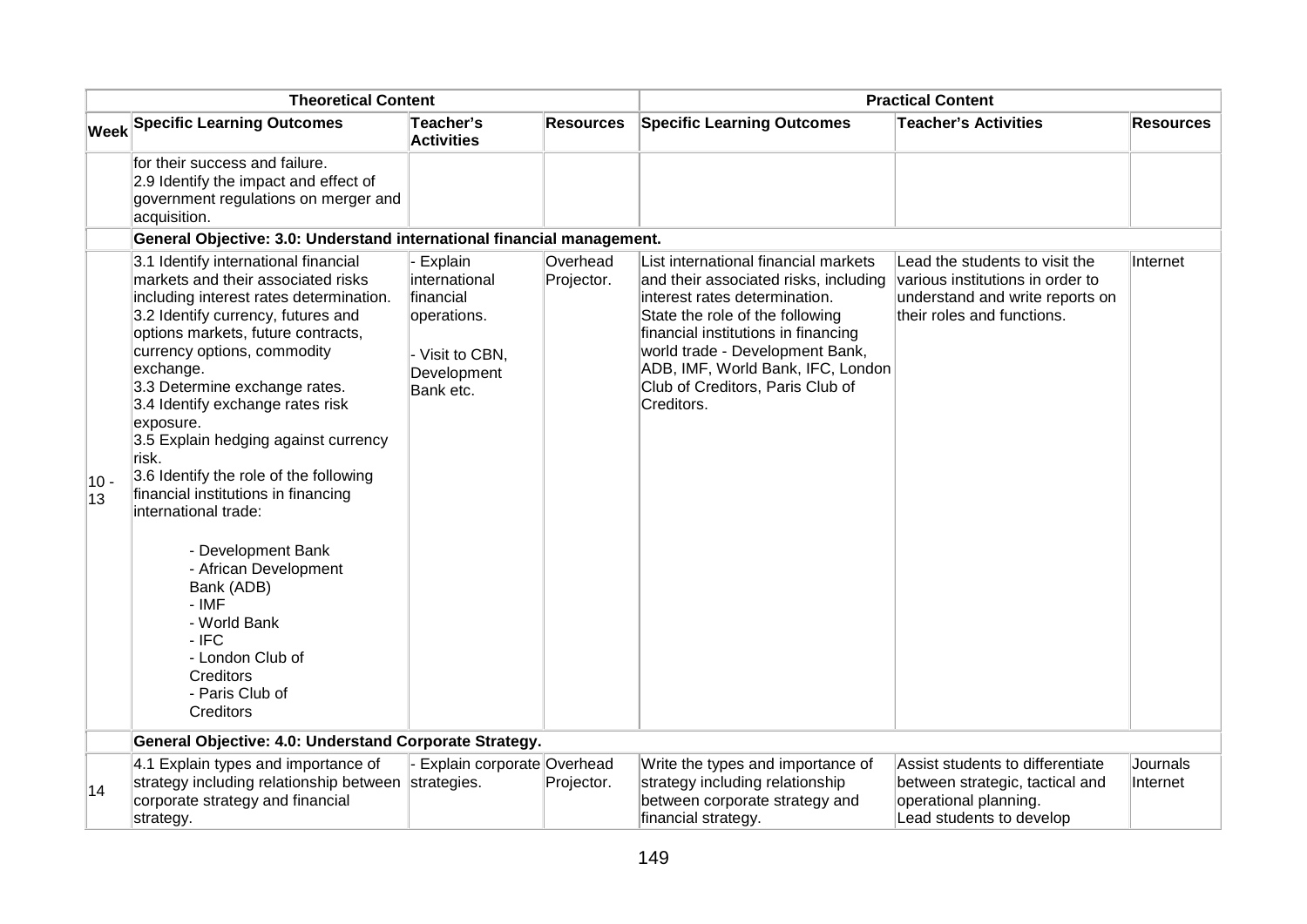| <b>Theoretical Content</b> |                                                                                                                                                                                                                                                                                                                                                                                                                                                                                                                                                                                                                                                             | <b>Practical Content</b>                                                                            |                        |                                                                                                                                                                                                                                                                                                                    |                                                                                                                                     |                      |
|----------------------------|-------------------------------------------------------------------------------------------------------------------------------------------------------------------------------------------------------------------------------------------------------------------------------------------------------------------------------------------------------------------------------------------------------------------------------------------------------------------------------------------------------------------------------------------------------------------------------------------------------------------------------------------------------------|-----------------------------------------------------------------------------------------------------|------------------------|--------------------------------------------------------------------------------------------------------------------------------------------------------------------------------------------------------------------------------------------------------------------------------------------------------------------|-------------------------------------------------------------------------------------------------------------------------------------|----------------------|
|                            | <b>Week Specific Learning Outcomes</b>                                                                                                                                                                                                                                                                                                                                                                                                                                                                                                                                                                                                                      | Teacher's<br><b>Activities</b>                                                                      | <b>Resources</b>       | <b>Specific Learning Outcomes</b>                                                                                                                                                                                                                                                                                  | <b>Teacher's Activities</b>                                                                                                         | <b>Resources</b>     |
|                            | for their success and failure.<br>2.9 Identify the impact and effect of<br>government regulations on merger and<br>acquisition.                                                                                                                                                                                                                                                                                                                                                                                                                                                                                                                             |                                                                                                     |                        |                                                                                                                                                                                                                                                                                                                    |                                                                                                                                     |                      |
|                            | General Objective: 3.0: Understand international financial management.                                                                                                                                                                                                                                                                                                                                                                                                                                                                                                                                                                                      |                                                                                                     |                        |                                                                                                                                                                                                                                                                                                                    |                                                                                                                                     |                      |
| $10 -$<br>13               | 3.1 Identify international financial<br>markets and their associated risks<br>including interest rates determination.<br>3.2 Identify currency, futures and<br>options markets, future contracts,<br>currency options, commodity<br>exchange.<br>3.3 Determine exchange rates.<br>3.4 Identify exchange rates risk<br>exposure.<br>3.5 Explain hedging against currency<br>risk.<br>3.6 Identify the role of the following<br>financial institutions in financing<br>international trade:<br>- Development Bank<br>- African Development<br>Bank (ADB)<br>- IMF<br>- World Bank<br>$-$ IFC<br>- London Club of<br>Creditors<br>- Paris Club of<br>Creditors | Explain<br>international<br>financial<br>operations.<br>- Visit to CBN,<br>Development<br>Bank etc. | Overhead<br>Projector. | List international financial markets<br>and their associated risks, including<br>interest rates determination.<br>State the role of the following<br>financial institutions in financing<br>world trade - Development Bank,<br>ADB, IMF, World Bank, IFC, London<br>Club of Creditors, Paris Club of<br>Creditors. | Lead the students to visit the<br>various institutions in order to<br>understand and write reports on<br>their roles and functions. | Internet             |
|                            | General Objective: 4.0: Understand Corporate Strategy.                                                                                                                                                                                                                                                                                                                                                                                                                                                                                                                                                                                                      |                                                                                                     |                        |                                                                                                                                                                                                                                                                                                                    |                                                                                                                                     |                      |
| 14                         | 4.1 Explain types and importance of<br>strategy including relationship between<br>corporate strategy and financial<br>strategy.                                                                                                                                                                                                                                                                                                                                                                                                                                                                                                                             | Explain corporate Overhead<br>strategies.                                                           | Projector.             | Write the types and importance of<br>strategy including relationship<br>between corporate strategy and<br>financial strategy.                                                                                                                                                                                      | Assist students to differentiate<br>between strategic, tactical and<br>operational planning.<br>Lead students to develop            | Journals<br>Internet |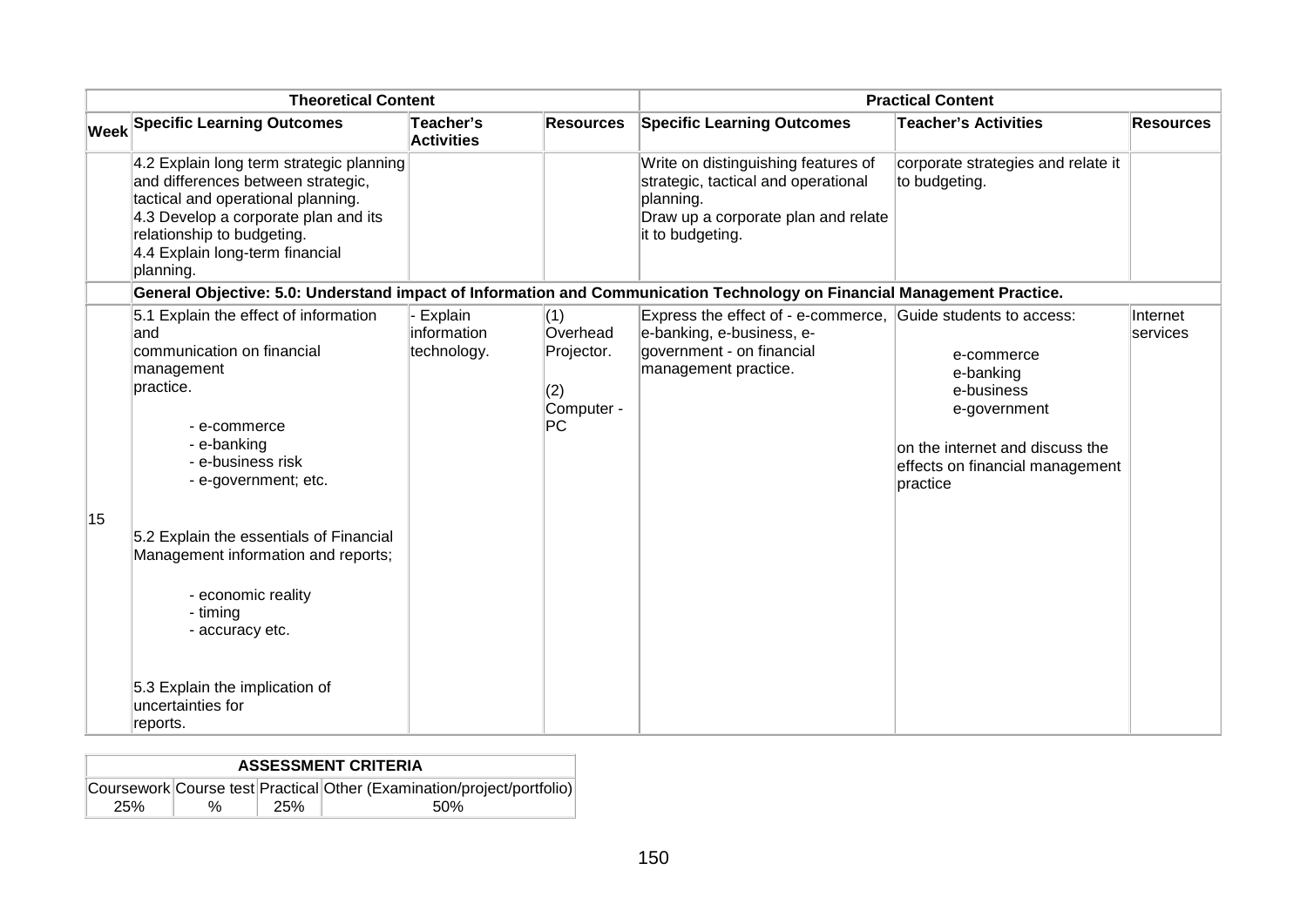| <b>Theoretical Content</b> |                                                                                                                                                                                                                                                                                                                           |                                       | <b>Practical Content</b>                                 |                                                                                                                                                    |                                                                                                                                         |                             |
|----------------------------|---------------------------------------------------------------------------------------------------------------------------------------------------------------------------------------------------------------------------------------------------------------------------------------------------------------------------|---------------------------------------|----------------------------------------------------------|----------------------------------------------------------------------------------------------------------------------------------------------------|-----------------------------------------------------------------------------------------------------------------------------------------|-----------------------------|
|                            | <b>Week Specific Learning Outcomes</b>                                                                                                                                                                                                                                                                                    | Teacher's<br><b>Activities</b>        | <b>Resources</b>                                         | <b>Specific Learning Outcomes</b>                                                                                                                  | <b>Teacher's Activities</b>                                                                                                             | <b>Resources</b>            |
|                            | 4.2 Explain long term strategic planning<br>and differences between strategic,<br>tactical and operational planning.<br>4.3 Develop a corporate plan and its<br>relationship to budgeting.<br>4.4 Explain long-term financial<br>planning.                                                                                |                                       |                                                          | Write on distinguishing features of<br>strategic, tactical and operational<br>planning.<br>Draw up a corporate plan and relate<br>it to budgeting. | corporate strategies and relate it<br>to budgeting.                                                                                     |                             |
|                            | General Objective: 5.0: Understand impact of Information and Communication Technology on Financial Management Practice.                                                                                                                                                                                                   |                                       |                                                          |                                                                                                                                                    |                                                                                                                                         |                             |
| 15                         | 5.1 Explain the effect of information<br>land<br>communication on financial<br>management<br>practice.<br>- e-commerce<br>- e-banking<br>- e-business risk<br>- e-government; etc.<br>5.2 Explain the essentials of Financial<br>Management information and reports;<br>- economic reality<br>- timing<br>- accuracy etc. | Explain<br>information<br>technology. | (1)<br>Overhead<br>Projector.<br>(2)<br>Computer -<br>PC | Express the effect of - e-commerce, Guide students to access:<br>e-banking, e-business, e-<br>government - on financial<br>management practice.    | e-commerce<br>e-banking<br>e-business<br>e-government<br>on the internet and discuss the<br>effects on financial management<br>practice | Internet<br><b>services</b> |
|                            | 5.3 Explain the implication of<br>uncertainties for<br>reports.                                                                                                                                                                                                                                                           |                                       |                                                          |                                                                                                                                                    |                                                                                                                                         |                             |

|     |   |     | <b>ASSESSMENT CRITERIA</b>                                                     |
|-----|---|-----|--------------------------------------------------------------------------------|
| 25% | % | 25% | Coursework Course test Practical Other (Examination/project/portfolio)<br>.50% |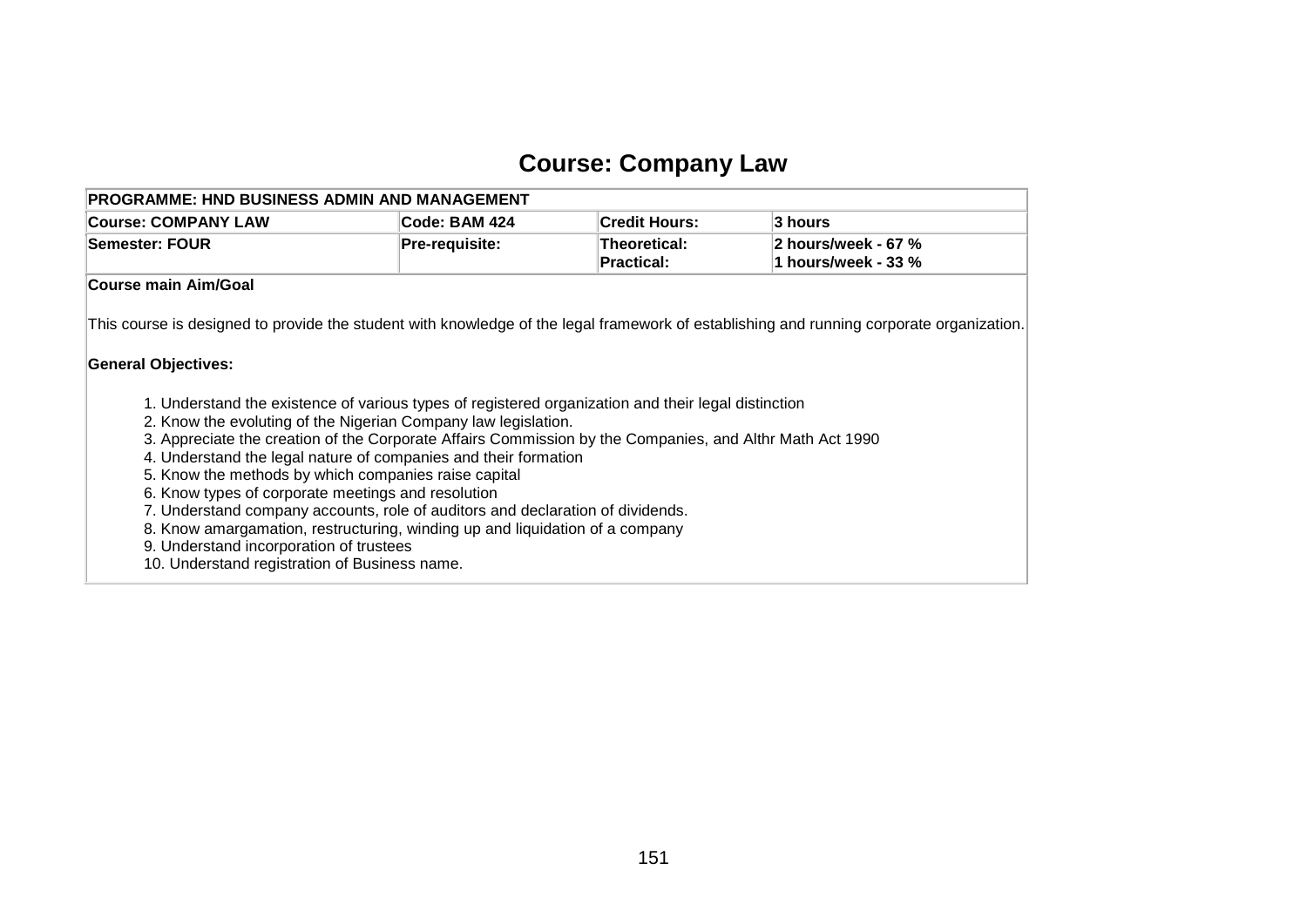# **Course: Company Law**

| <b>PROGRAMME: HND BUSINESS ADMIN AND MANAGEMENT</b>                                                                                                                                                                                                                                                                                                                                                                                                                                                                                                                                                                                                                                                                                                                                                                                                                                                        |                |                                   |                                            |
|------------------------------------------------------------------------------------------------------------------------------------------------------------------------------------------------------------------------------------------------------------------------------------------------------------------------------------------------------------------------------------------------------------------------------------------------------------------------------------------------------------------------------------------------------------------------------------------------------------------------------------------------------------------------------------------------------------------------------------------------------------------------------------------------------------------------------------------------------------------------------------------------------------|----------------|-----------------------------------|--------------------------------------------|
| <b>Course: COMPANY LAW</b>                                                                                                                                                                                                                                                                                                                                                                                                                                                                                                                                                                                                                                                                                                                                                                                                                                                                                 | Code: BAM 424  | <b>Credit Hours:</b>              | 3 hours                                    |
| <b>Semester: FOUR</b>                                                                                                                                                                                                                                                                                                                                                                                                                                                                                                                                                                                                                                                                                                                                                                                                                                                                                      | Pre-requisite: | Theoretical:<br><b>Practical:</b> | 2 hours/week - 67 %<br>1 hours/week - 33 % |
| <b>Course main Aim/Goal</b>                                                                                                                                                                                                                                                                                                                                                                                                                                                                                                                                                                                                                                                                                                                                                                                                                                                                                |                |                                   |                                            |
| This course is designed to provide the student with knowledge of the legal framework of establishing and running corporate organization.<br><b>General Objectives:</b><br>1. Understand the existence of various types of registered organization and their legal distinction<br>2. Know the evoluting of the Nigerian Company law legislation.<br>3. Appreciate the creation of the Corporate Affairs Commission by the Companies, and Althr Math Act 1990<br>4. Understand the legal nature of companies and their formation<br>5. Know the methods by which companies raise capital<br>6. Know types of corporate meetings and resolution<br>7. Understand company accounts, role of auditors and declaration of dividends.<br>8. Know amargamation, restructuring, winding up and liquidation of a company<br>9. Understand incorporation of trustees<br>10. Understand registration of Business name. |                |                                   |                                            |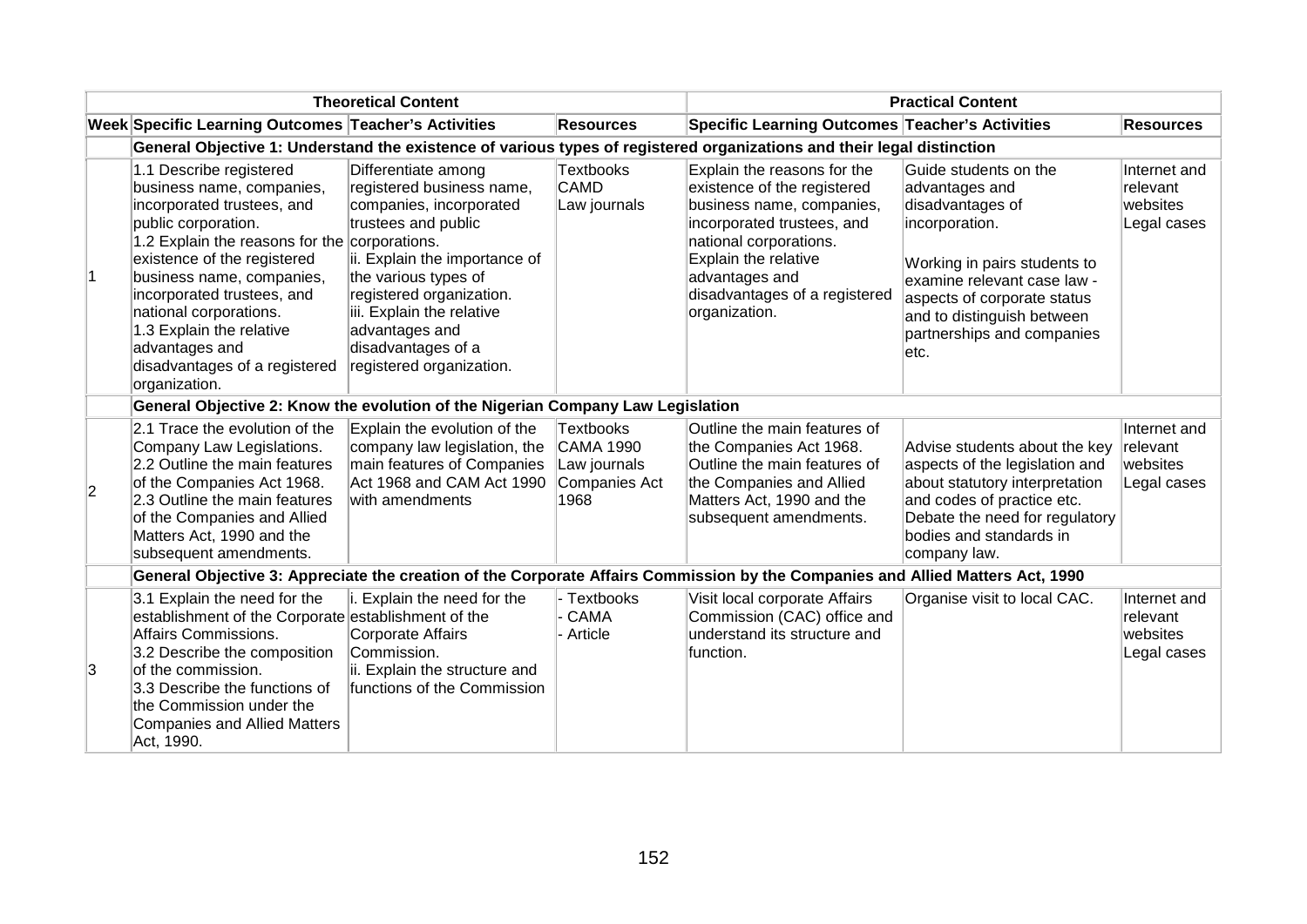|           |                                                                                                                                                                                                                                                                                                                                                                  | <b>Theoretical Content</b>                                                                                                                                                                                                                                                                                |                                                                               |                                                                                                                                                                                                                                             | <b>Practical Content</b>                                                                                                                                                                                                                         |                                                     |
|-----------|------------------------------------------------------------------------------------------------------------------------------------------------------------------------------------------------------------------------------------------------------------------------------------------------------------------------------------------------------------------|-----------------------------------------------------------------------------------------------------------------------------------------------------------------------------------------------------------------------------------------------------------------------------------------------------------|-------------------------------------------------------------------------------|---------------------------------------------------------------------------------------------------------------------------------------------------------------------------------------------------------------------------------------------|--------------------------------------------------------------------------------------------------------------------------------------------------------------------------------------------------------------------------------------------------|-----------------------------------------------------|
|           | Week Specific Learning Outcomes Teacher's Activities                                                                                                                                                                                                                                                                                                             |                                                                                                                                                                                                                                                                                                           | <b>Resources</b>                                                              | Specific Learning Outcomes Teacher's Activities                                                                                                                                                                                             |                                                                                                                                                                                                                                                  | <b>Resources</b>                                    |
|           |                                                                                                                                                                                                                                                                                                                                                                  |                                                                                                                                                                                                                                                                                                           |                                                                               | General Objective 1: Understand the existence of various types of registered organizations and their legal distinction                                                                                                                      |                                                                                                                                                                                                                                                  |                                                     |
| $\vert$ 1 | 1.1 Describe registered<br>business name, companies,<br>incorporated trustees, and<br>public corporation.<br>1.2 Explain the reasons for the<br>existence of the registered<br>business name, companies,<br>incorporated trustees, and<br>national corporations.<br>1.3 Explain the relative<br>advantages and<br>disadvantages of a registered<br>organization. | Differentiate among<br>registered business name,<br>companies, incorporated<br>trustees and public<br>corporations.<br>ii. Explain the importance of<br>the various types of<br>registered organization.<br>iii. Explain the relative<br>advantages and<br>disadvantages of a<br>registered organization. | <b>Textbooks</b><br><b>CAMD</b><br>Law journals                               | Explain the reasons for the<br>existence of the registered<br>business name, companies,<br>incorporated trustees, and<br>national corporations.<br>Explain the relative<br>advantages and<br>disadvantages of a registered<br>organization. | Guide students on the<br>advantages and<br>disadvantages of<br>incorporation.<br>Working in pairs students to<br>examine relevant case law -<br>aspects of corporate status<br>and to distinguish between<br>partnerships and companies<br>letc. | Internet and<br>relevant<br>websites<br>Legal cases |
|           | General Objective 2: Know the evolution of the Nigerian Company Law Legislation                                                                                                                                                                                                                                                                                  |                                                                                                                                                                                                                                                                                                           |                                                                               |                                                                                                                                                                                                                                             |                                                                                                                                                                                                                                                  |                                                     |
| 2         | 2.1 Trace the evolution of the<br>Company Law Legislations.<br>2.2 Outline the main features<br>of the Companies Act 1968.<br>2.3 Outline the main features<br>of the Companies and Allied<br>Matters Act, 1990 and the<br>subsequent amendments.                                                                                                                | Explain the evolution of the<br>company law legislation, the<br>main features of Companies<br>Act 1968 and CAM Act 1990<br>with amendments                                                                                                                                                                | <b>Textbooks</b><br><b>CAMA 1990</b><br>Law journals<br>Companies Act<br>1968 | Outline the main features of<br>the Companies Act 1968.<br>Outline the main features of<br>the Companies and Allied<br>Matters Act, 1990 and the<br>subsequent amendments.                                                                  | Advise students about the key<br>aspects of the legislation and<br>about statutory interpretation<br>and codes of practice etc.<br>Debate the need for regulatory<br>bodies and standards in<br>company law.                                     | Internet and<br>relevant<br>websites<br>Legal cases |
|           |                                                                                                                                                                                                                                                                                                                                                                  |                                                                                                                                                                                                                                                                                                           |                                                                               | General Objective 3: Appreciate the creation of the Corporate Affairs Commission by the Companies and Allied Matters Act, 1990                                                                                                              |                                                                                                                                                                                                                                                  |                                                     |
| 3         | 3.1 Explain the need for the<br>establishment of the Corporate establishment of the<br>Affairs Commissions.<br>3.2 Describe the composition<br>of the commission.<br>3.3 Describe the functions of<br>the Commission under the<br><b>Companies and Allied Matters</b><br>Act, 1990.                                                                              | Explain the need for the<br>Corporate Affairs<br>Commission.<br>ii. Explain the structure and<br>functions of the Commission                                                                                                                                                                              | - Textbooks<br><b>CAMA</b><br>- Article                                       | Visit local corporate Affairs<br>Commission (CAC) office and<br>understand its structure and<br>function.                                                                                                                                   | Organise visit to local CAC.                                                                                                                                                                                                                     | Internet and<br>relevant<br>websites<br>Legal cases |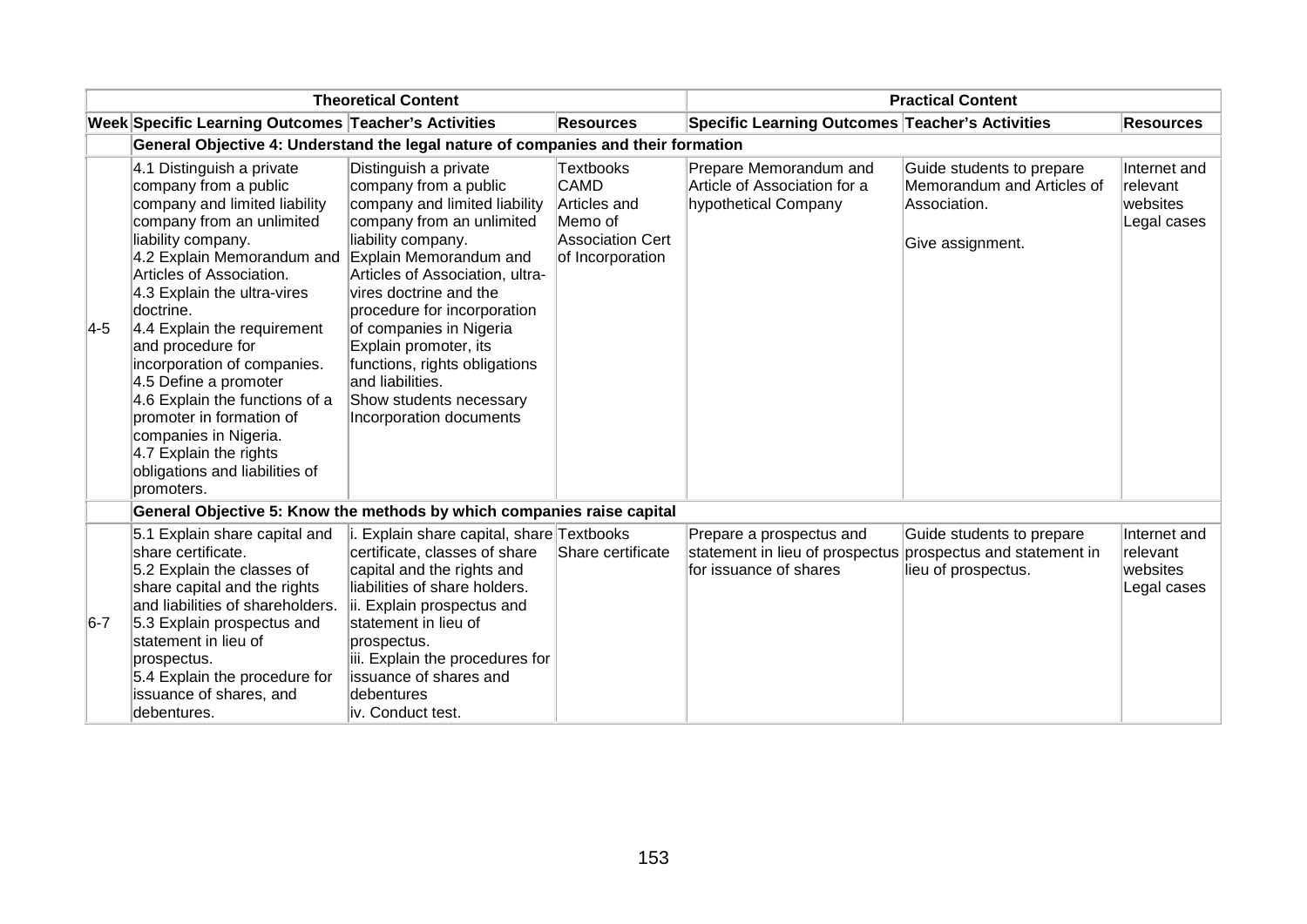| <b>Theoretical Content</b> |                                                                                                                                                                                                                                                                                                                                                                                                                                                                                                                           |                                                                                                                                                                                                                                                                                                                                                                                                                         | <b>Practical Content</b>                                                                                  |                                                                                       |                                                                                             |                                                            |
|----------------------------|---------------------------------------------------------------------------------------------------------------------------------------------------------------------------------------------------------------------------------------------------------------------------------------------------------------------------------------------------------------------------------------------------------------------------------------------------------------------------------------------------------------------------|-------------------------------------------------------------------------------------------------------------------------------------------------------------------------------------------------------------------------------------------------------------------------------------------------------------------------------------------------------------------------------------------------------------------------|-----------------------------------------------------------------------------------------------------------|---------------------------------------------------------------------------------------|---------------------------------------------------------------------------------------------|------------------------------------------------------------|
|                            | Week Specific Learning Outcomes Teacher's Activities                                                                                                                                                                                                                                                                                                                                                                                                                                                                      |                                                                                                                                                                                                                                                                                                                                                                                                                         | <b>Resources</b>                                                                                          | Specific Learning Outcomes Teacher's Activities                                       |                                                                                             | <b>Resources</b>                                           |
|                            | General Objective 4: Understand the legal nature of companies and their formation                                                                                                                                                                                                                                                                                                                                                                                                                                         |                                                                                                                                                                                                                                                                                                                                                                                                                         |                                                                                                           |                                                                                       |                                                                                             |                                                            |
| $\overline{4-5}$           | 4.1 Distinguish a private<br>company from a public<br>company and limited liability<br>company from an unlimited<br>liability company.<br>4.2 Explain Memorandum and<br>Articles of Association.<br>4.3 Explain the ultra-vires<br>doctrine.<br>4.4 Explain the requirement<br>and procedure for<br>incorporation of companies.<br>4.5 Define a promoter<br>4.6 Explain the functions of a<br>promoter in formation of<br>companies in Nigeria.<br>4.7 Explain the rights<br>obligations and liabilities of<br>promoters. | Distinguish a private<br>company from a public<br>company and limited liability<br>company from an unlimited<br>liability company.<br>Explain Memorandum and<br>Articles of Association, ultra-<br>vires doctrine and the<br>procedure for incorporation<br>of companies in Nigeria<br>Explain promoter, its<br>functions, rights obligations<br>and liabilities.<br>Show students necessary<br>Incorporation documents | <b>Textbooks</b><br><b>CAMD</b><br>Articles and<br>Memo of<br><b>Association Cert</b><br>of Incorporation | Prepare Memorandum and<br>Article of Association for a<br>hypothetical Company        | Guide students to prepare<br>Memorandum and Articles of<br>Association.<br>Give assignment. | Internet and<br><b>relevant</b><br>websites<br>Legal cases |
|                            | General Objective 5: Know the methods by which companies raise capital                                                                                                                                                                                                                                                                                                                                                                                                                                                    |                                                                                                                                                                                                                                                                                                                                                                                                                         |                                                                                                           |                                                                                       |                                                                                             |                                                            |
| $6-7$                      | 5.1 Explain share capital and<br>share certificate.<br>5.2 Explain the classes of<br>share capital and the rights<br>and liabilities of shareholders.<br>5.3 Explain prospectus and<br>statement in lieu of<br>prospectus.<br>5.4 Explain the procedure for<br>issuance of shares, and<br>debentures.                                                                                                                                                                                                                     | i. Explain share capital, share Textbooks<br>certificate, classes of share<br>capital and the rights and<br>liabilities of share holders.<br>ii. Explain prospectus and<br>statement in lieu of<br>prospectus.<br>iii. Explain the procedures for<br>lissuance of shares and<br>debentures<br>liv. Conduct test.                                                                                                        | Share certificate                                                                                         | Prepare a prospectus and<br>statement in lieu of prospectus<br>for issuance of shares | Guide students to prepare<br>prospectus and statement in<br>lieu of prospectus.             | Internet and<br>relevant<br>websites<br>Legal cases        |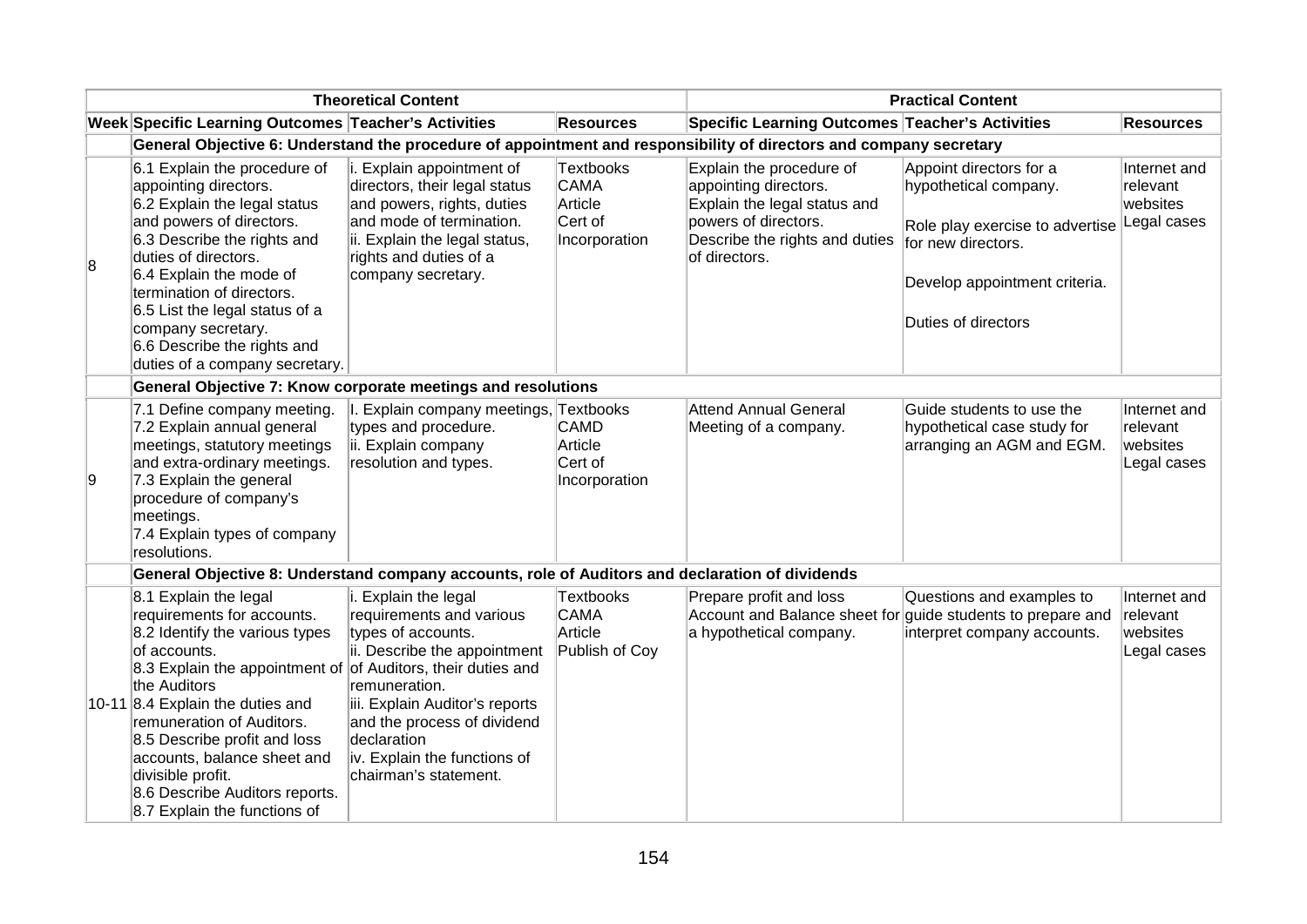|   |                                                                                                                                                                                                                                                                                                                                                                                                              | <b>Theoretical Content</b>                                                                                                                                                                                                                                       |                                                                        |                                                                                                                                                              | <b>Practical Content</b>                                                                                                                                          |                                                     |
|---|--------------------------------------------------------------------------------------------------------------------------------------------------------------------------------------------------------------------------------------------------------------------------------------------------------------------------------------------------------------------------------------------------------------|------------------------------------------------------------------------------------------------------------------------------------------------------------------------------------------------------------------------------------------------------------------|------------------------------------------------------------------------|--------------------------------------------------------------------------------------------------------------------------------------------------------------|-------------------------------------------------------------------------------------------------------------------------------------------------------------------|-----------------------------------------------------|
|   | Week Specific Learning Outcomes Teacher's Activities                                                                                                                                                                                                                                                                                                                                                         |                                                                                                                                                                                                                                                                  | <b>Resources</b>                                                       | <b>Specific Learning Outcomes Teacher's Activities</b>                                                                                                       |                                                                                                                                                                   | <b>Resources</b>                                    |
|   |                                                                                                                                                                                                                                                                                                                                                                                                              |                                                                                                                                                                                                                                                                  |                                                                        | General Objective 6: Understand the procedure of appointment and responsibility of directors and company secretary                                           |                                                                                                                                                                   |                                                     |
| 8 | 6.1 Explain the procedure of<br>appointing directors.<br>6.2 Explain the legal status<br>and powers of directors.<br>6.3 Describe the rights and<br>duties of directors.<br>6.4 Explain the mode of<br>termination of directors.<br>6.5 List the legal status of a<br>company secretary.<br>6.6 Describe the rights and<br>duties of a company secretary.                                                    | i. Explain appointment of<br>directors, their legal status<br>and powers, rights, duties<br>and mode of termination.<br>ii. Explain the legal status,<br>rights and duties of a<br>company secretary.                                                            | <b>Textbooks</b><br><b>CAMA</b><br>Article<br>Cert of<br>Incorporation | Explain the procedure of<br>appointing directors.<br>Explain the legal status and<br>powers of directors.<br>Describe the rights and duties<br>of directors. | Appoint directors for a<br>hypothetical company.<br>Role play exercise to advertise<br>for new directors.<br>Develop appointment criteria.<br>Duties of directors | Internet and<br>relevant<br>websites<br>Legal cases |
|   | General Objective 7: Know corporate meetings and resolutions                                                                                                                                                                                                                                                                                                                                                 |                                                                                                                                                                                                                                                                  |                                                                        |                                                                                                                                                              |                                                                                                                                                                   |                                                     |
| 9 | 7.1 Define company meeting.<br>7.2 Explain annual general<br>meetings, statutory meetings<br>and extra-ordinary meetings.<br>7.3 Explain the general<br>procedure of company's<br>meetings.<br>7.4 Explain types of company<br>resolutions.                                                                                                                                                                  | I. Explain company meetings, Textbooks<br>types and procedure.<br>ii. Explain company<br>resolution and types.                                                                                                                                                   | CAMD<br>Article<br>Cert of<br>Incorporation                            | <b>Attend Annual General</b><br>Meeting of a company.                                                                                                        | Guide students to use the<br>hypothetical case study for<br>arranging an AGM and EGM.                                                                             | Internet and<br>relevant<br>websites<br>Legal cases |
|   | General Objective 8: Understand company accounts, role of Auditors and declaration of dividends                                                                                                                                                                                                                                                                                                              |                                                                                                                                                                                                                                                                  |                                                                        |                                                                                                                                                              |                                                                                                                                                                   |                                                     |
|   | 8.1 Explain the legal<br>requirements for accounts.<br>8.2 Identify the various types<br>of accounts.<br>8.3 Explain the appointment of of Auditors, their duties and<br>the Auditors<br>10-11 8.4 Explain the duties and<br>remuneration of Auditors.<br>8.5 Describe profit and loss<br>accounts, balance sheet and<br>divisible profit.<br>8.6 Describe Auditors reports.<br>8.7 Explain the functions of | i. Explain the legal<br>requirements and various<br>types of accounts.<br>ii. Describe the appointment<br>remuneration.<br>iii. Explain Auditor's reports<br>and the process of dividend<br>declaration<br>iv. Explain the functions of<br>chairman's statement. | Textbooks<br>CAMA<br>Article<br>Publish of Coy                         | Prepare profit and loss<br>Account and Balance sheet for<br>a hypothetical company.                                                                          | Questions and examples to<br>guide students to prepare and<br>interpret company accounts.                                                                         | Internet and<br>relevant<br>websites<br>Legal cases |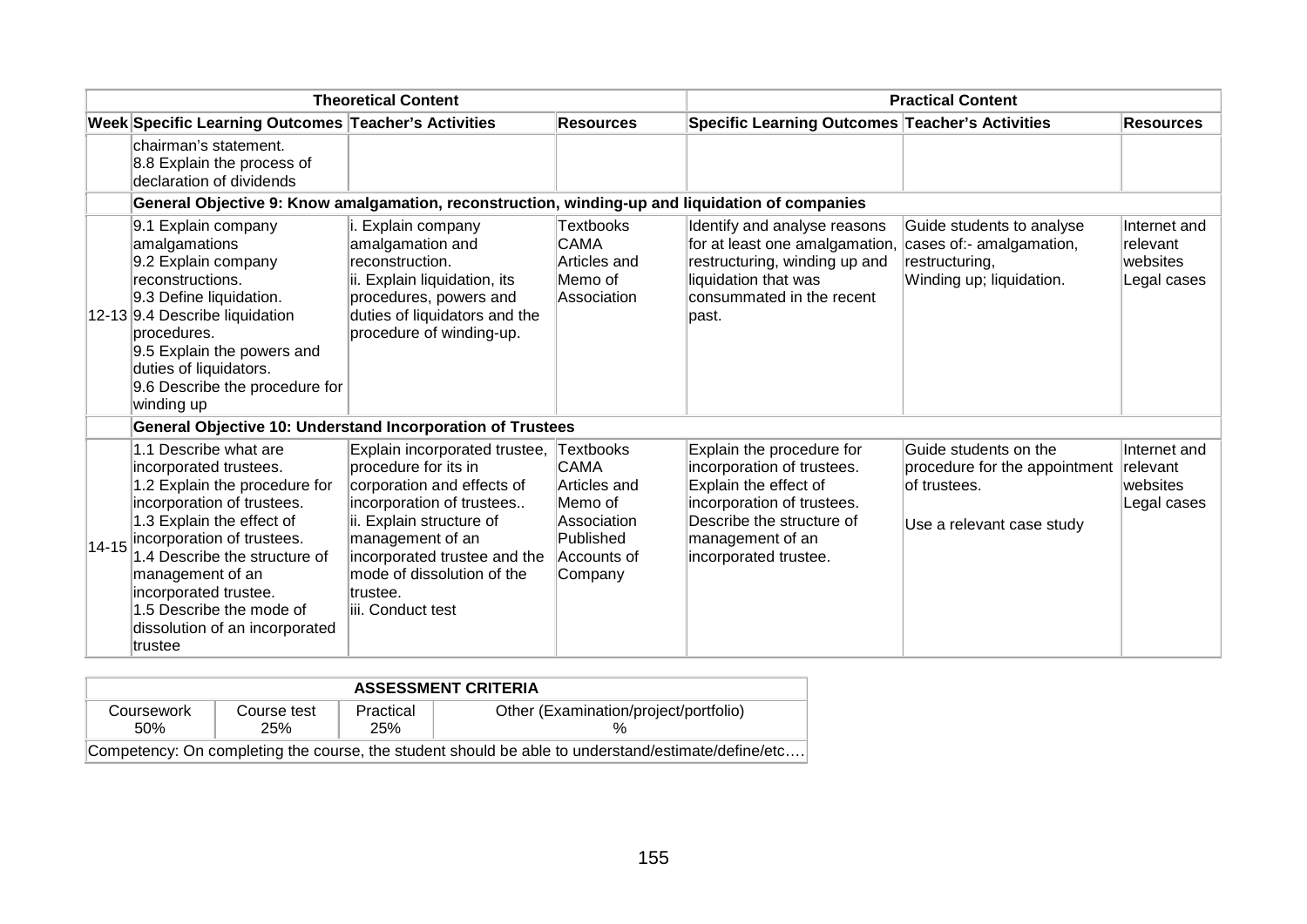| <b>Theoretical Content</b> |                                                                                                                                                                                                                                                                                                                                         |                                                                                                                                                                                                                                                                 |                                                                                                                  | <b>Practical Content</b>                                                                                                                                                                 |                                                                                                     |                                                            |  |
|----------------------------|-----------------------------------------------------------------------------------------------------------------------------------------------------------------------------------------------------------------------------------------------------------------------------------------------------------------------------------------|-----------------------------------------------------------------------------------------------------------------------------------------------------------------------------------------------------------------------------------------------------------------|------------------------------------------------------------------------------------------------------------------|------------------------------------------------------------------------------------------------------------------------------------------------------------------------------------------|-----------------------------------------------------------------------------------------------------|------------------------------------------------------------|--|
|                            | Week Specific Learning Outcomes Teacher's Activities                                                                                                                                                                                                                                                                                    |                                                                                                                                                                                                                                                                 | <b>Resources</b>                                                                                                 | <b>Specific Learning Outcomes Teacher's Activities</b>                                                                                                                                   |                                                                                                     | <b>Resources</b>                                           |  |
|                            | chairman's statement.<br>8.8 Explain the process of<br>declaration of dividends                                                                                                                                                                                                                                                         |                                                                                                                                                                                                                                                                 |                                                                                                                  |                                                                                                                                                                                          |                                                                                                     |                                                            |  |
|                            | General Objective 9: Know amalgamation, reconstruction, winding-up and liquidation of companies                                                                                                                                                                                                                                         |                                                                                                                                                                                                                                                                 |                                                                                                                  |                                                                                                                                                                                          |                                                                                                     |                                                            |  |
|                            | 9.1 Explain company<br>amalgamations<br>9.2 Explain company<br>reconstructions.<br>9.3 Define liquidation.<br>12-13 9.4 Describe liquidation<br>procedures.<br>9.5 Explain the powers and<br>duties of liquidators.<br>9.6 Describe the procedure for<br>winding up                                                                     | i. Explain company<br>amalgamation and<br>reconstruction.<br>ii. Explain liquidation, its<br>procedures, powers and<br>duties of liquidators and the<br>procedure of winding-up.                                                                                | Textbooks<br><b>CAMA</b><br>Articles and<br>Memo of<br>Association                                               | Identify and analyse reasons<br>for at least one amalgamation<br>restructuring, winding up and<br>liquidation that was<br>consummated in the recent<br>lpast.                            | Guide students to analyse<br>cases of:- amalgamation,<br>restructuring,<br>Winding up; liquidation. | Internet and<br>relevant<br>websites<br>Legal cases        |  |
|                            | <b>General Objective 10: Understand Incorporation of Trustees</b>                                                                                                                                                                                                                                                                       |                                                                                                                                                                                                                                                                 |                                                                                                                  |                                                                                                                                                                                          |                                                                                                     |                                                            |  |
|                            | 1.1 Describe what are<br>incorporated trustees.<br>1.2 Explain the procedure for<br>incorporation of trustees.<br>1.3 Explain the effect of<br>14-15 incorporation of trustees.<br>1.4 Describe the structure of<br>management of an<br>incorporated trustee.<br>1.5 Describe the mode of<br>dissolution of an incorporated<br>ltrustee | Explain incorporated trustee,<br>procedure for its in<br>corporation and effects of<br>incorporation of trustees<br>ii. Explain structure of<br>management of an<br>incorporated trustee and the<br>mode of dissolution of the<br>trustee.<br>iii. Conduct test | <b>Textbooks</b><br><b>CAMA</b><br>Articles and<br>Memo of<br>Association<br>Published<br>Accounts of<br>Company | Explain the procedure for<br>incorporation of trustees.<br>Explain the effect of<br>incorporation of trustees.<br>Describe the structure of<br>management of an<br>incorporated trustee. | Guide students on the<br>procedure for the appointment<br>of trustees.<br>Use a relevant case study | Internet and<br><b>relevant</b><br>websites<br>Legal cases |  |

| <b>ASSESSMENT CRITERIA</b> |                                                                                                    |                  |                                       |  |  |  |  |  |
|----------------------------|----------------------------------------------------------------------------------------------------|------------------|---------------------------------------|--|--|--|--|--|
| Coursework<br>.50%         | Course test<br>25%                                                                                 | Practical<br>25% | Other (Examination/project/portfolio) |  |  |  |  |  |
|                            | Competency: On completing the course, the student should be able to understand/estimate/define/etc |                  |                                       |  |  |  |  |  |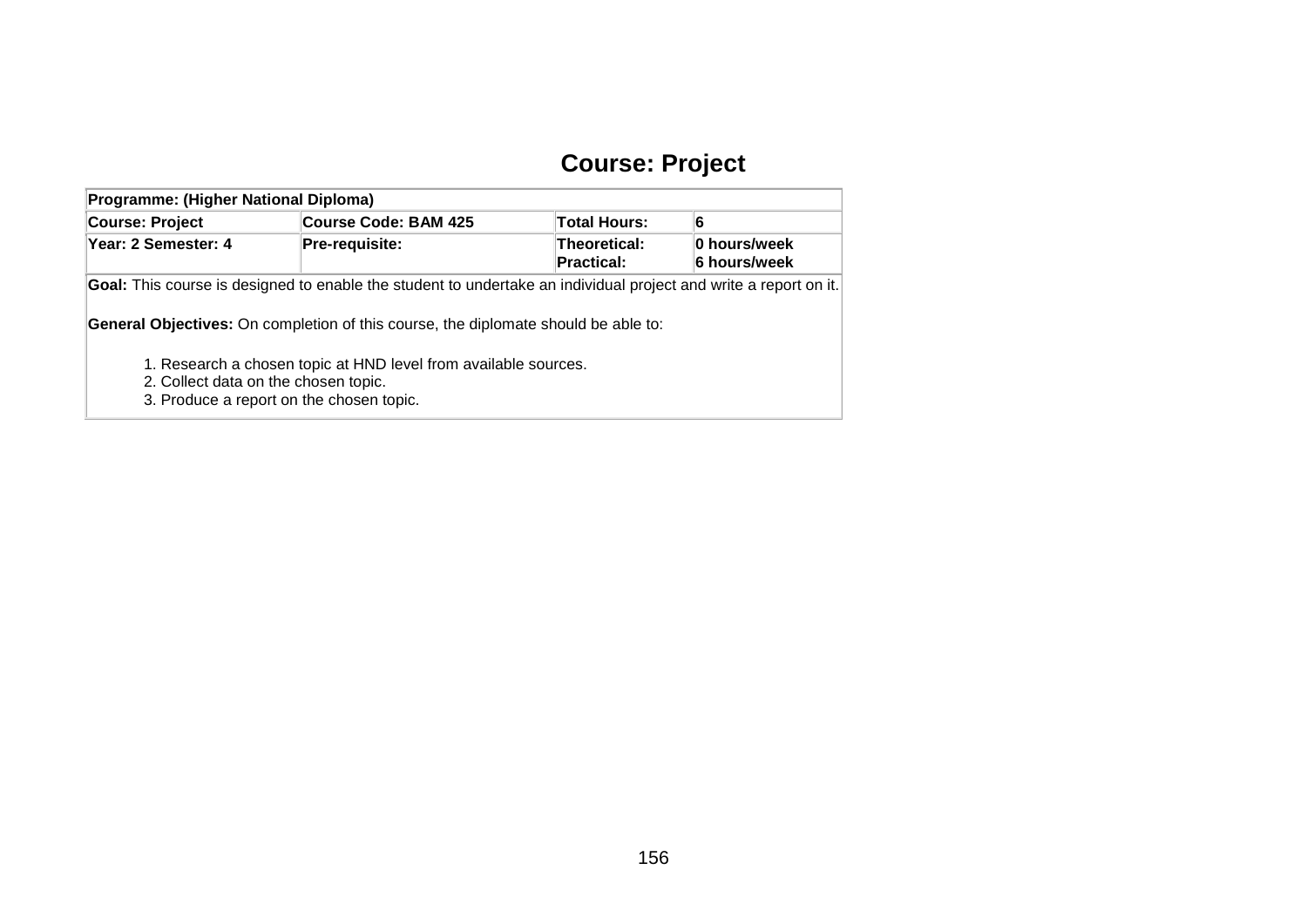## **Course: Project**

| Programme: (Higher National Diploma)                                             |                                                                                                                                                                                                               |                     |   |  |  |  |  |  |  |
|----------------------------------------------------------------------------------|---------------------------------------------------------------------------------------------------------------------------------------------------------------------------------------------------------------|---------------------|---|--|--|--|--|--|--|
| <b>Course: Project</b>                                                           | <b>Course Code: BAM 425</b>                                                                                                                                                                                   | <b>Total Hours:</b> | 6 |  |  |  |  |  |  |
| Year: 2 Semester: 4                                                              | 0 hours/week<br>6 hours/week                                                                                                                                                                                  |                     |   |  |  |  |  |  |  |
|                                                                                  | Goal: This course is designed to enable the student to undertake an individual project and write a report on it.<br><b>General Objectives:</b> On completion of this course, the diplomate should be able to: |                     |   |  |  |  |  |  |  |
| 2. Collect data on the chosen topic.<br>3. Produce a report on the chosen topic. | 1. Research a chosen topic at HND level from available sources.                                                                                                                                               |                     |   |  |  |  |  |  |  |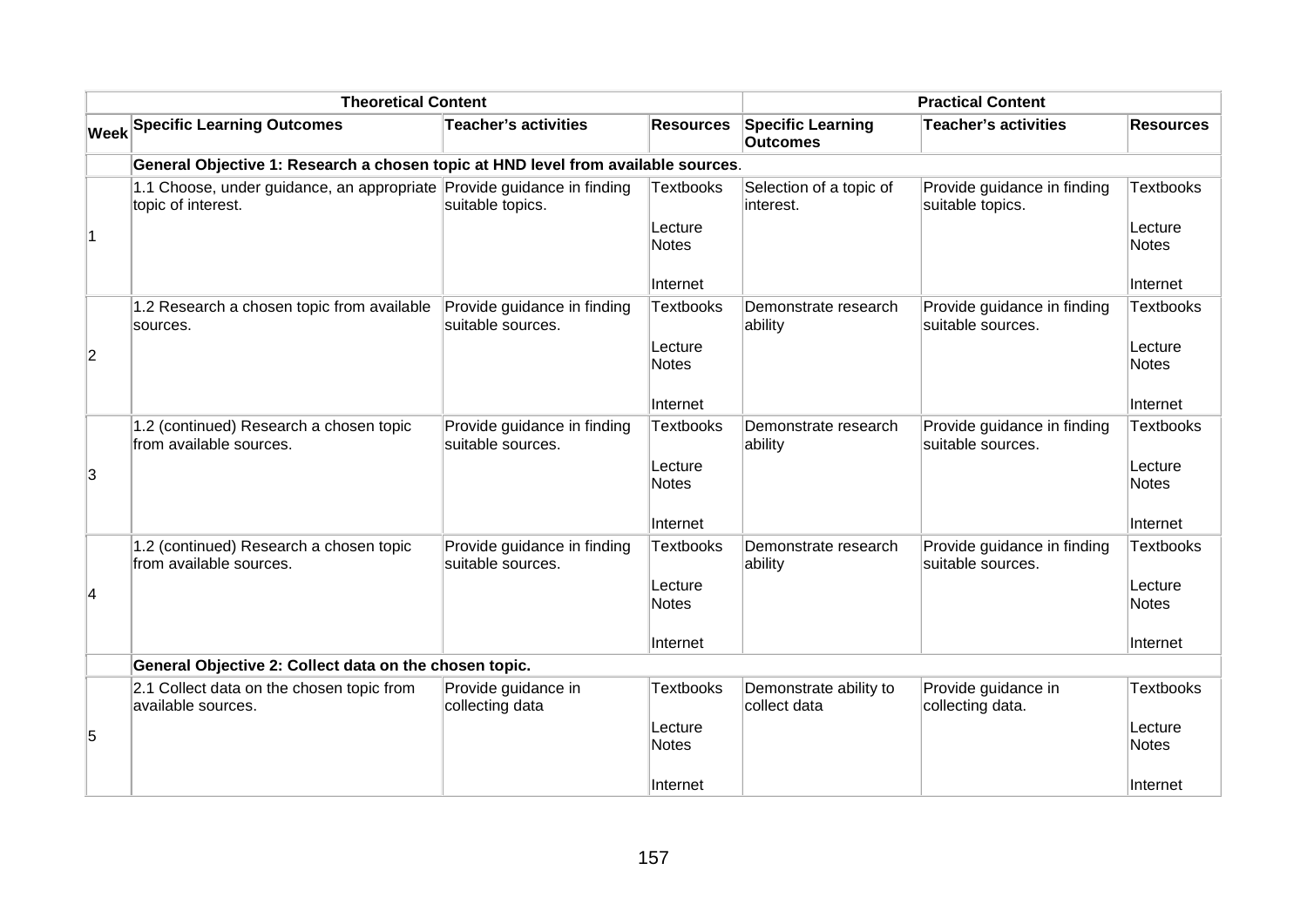|                | <b>Theoretical Content</b>                                                                   |                                                  |                         |                                             | <b>Practical Content</b>                         |                         |
|----------------|----------------------------------------------------------------------------------------------|--------------------------------------------------|-------------------------|---------------------------------------------|--------------------------------------------------|-------------------------|
|                | <b>Week Specific Learning Outcomes</b>                                                       | <b>Teacher's activities</b>                      | <b>Resources</b>        | <b>Specific Learning</b><br><b>Outcomes</b> | Teacher's activities                             | <b>Resources</b>        |
|                | General Objective 1: Research a chosen topic at HND level from available sources.            |                                                  |                         |                                             |                                                  |                         |
|                | 1.1 Choose, under guidance, an appropriate Provide guidance in finding<br>topic of interest. | suitable topics.                                 | <b>Textbooks</b>        | Selection of a topic of<br>interest.        | Provide guidance in finding<br>suitable topics.  | <b>Textbooks</b>        |
| $\overline{1}$ |                                                                                              |                                                  | Lecture<br>Notes        |                                             |                                                  | Lecture<br><b>Notes</b> |
|                |                                                                                              |                                                  | Internet                |                                             |                                                  | <b>Internet</b>         |
|                | 1.2 Research a chosen topic from available<br>sources.                                       | Provide guidance in finding<br>suitable sources. | Textbooks               | Demonstrate research<br>ability             | Provide guidance in finding<br>suitable sources. | <b>Textbooks</b>        |
| $\overline{c}$ |                                                                                              |                                                  | Lecture<br><b>Notes</b> |                                             |                                                  | Lecture<br>Notes        |
|                |                                                                                              |                                                  | Internet                |                                             |                                                  | Internet                |
|                | 1.2 (continued) Research a chosen topic<br>from available sources.                           | Provide guidance in finding<br>suitable sources. | <b>Textbooks</b>        | Demonstrate research<br>ability             | Provide guidance in finding<br>suitable sources. | Textbooks               |
| 3              |                                                                                              |                                                  | Lecture<br><b>Notes</b> |                                             |                                                  | Lecture<br>Notes        |
|                |                                                                                              |                                                  | Internet                |                                             |                                                  | Internet                |
|                | 1.2 (continued) Research a chosen topic<br>from available sources.                           | Provide guidance in finding<br>suitable sources. | <b>Textbooks</b>        | Demonstrate research<br>ability             | Provide guidance in finding<br>suitable sources. | Textbooks               |
| 4              |                                                                                              |                                                  | Lecture<br><b>Notes</b> |                                             |                                                  | Lecture<br><b>Notes</b> |
|                |                                                                                              |                                                  | Internet                |                                             |                                                  | Internet                |
|                | General Objective 2: Collect data on the chosen topic.                                       |                                                  |                         |                                             |                                                  |                         |
|                | 2.1 Collect data on the chosen topic from<br>available sources.                              | Provide guidance in<br>collecting data           | <b>Textbooks</b>        | Demonstrate ability to<br>collect data      | Provide guidance in<br>collecting data.          | Textbooks               |
| 5              |                                                                                              |                                                  | Lecture<br>Notes        |                                             |                                                  | Lecture<br>Notes        |
|                |                                                                                              |                                                  | Internet                |                                             |                                                  | Internet                |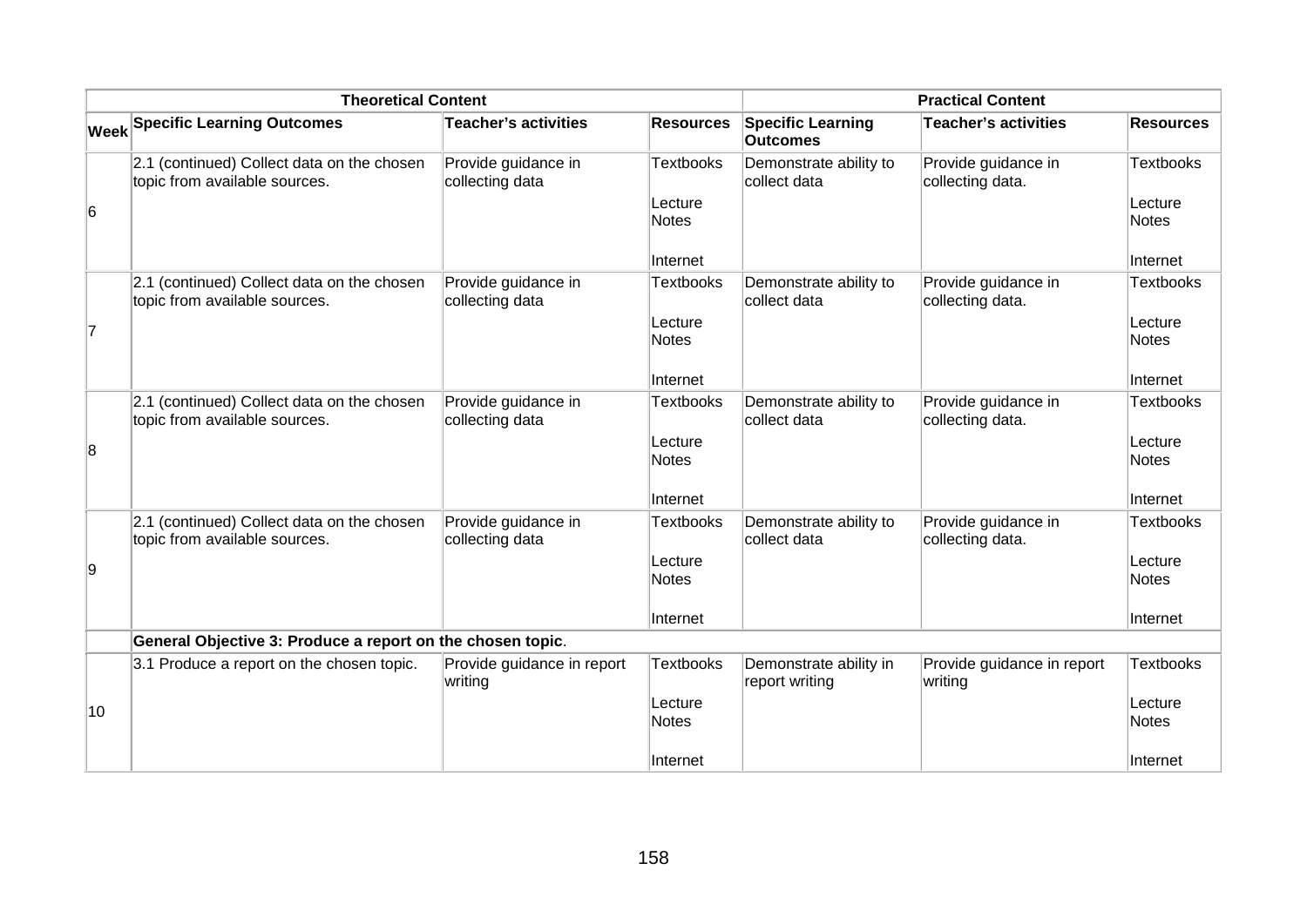| <b>Theoretical Content</b> |                                                                             |                                        | <b>Practical Content</b> |                                             |                                         |                         |
|----------------------------|-----------------------------------------------------------------------------|----------------------------------------|--------------------------|---------------------------------------------|-----------------------------------------|-------------------------|
|                            | <b>Week Specific Learning Outcomes</b>                                      | <b>Teacher's activities</b>            | <b>Resources</b>         | <b>Specific Learning</b><br><b>Outcomes</b> | <b>Teacher's activities</b>             | <b>Resources</b>        |
|                            | 2.1 (continued) Collect data on the chosen<br>topic from available sources. | Provide guidance in<br>collecting data | <b>Textbooks</b>         | Demonstrate ability to<br>collect data      | Provide guidance in<br>collecting data. | Textbooks               |
| 6                          |                                                                             |                                        | Lecture<br>Notes         |                                             |                                         | Lecture<br><b>Notes</b> |
|                            |                                                                             |                                        | Internet                 |                                             |                                         | Internet                |
|                            | 2.1 (continued) Collect data on the chosen<br>topic from available sources. | Provide guidance in<br>collecting data | <b>Textbooks</b>         | Demonstrate ability to<br>collect data      | Provide guidance in<br>collecting data. | Textbooks               |
| 7                          |                                                                             |                                        | Lecture<br><b>Notes</b>  |                                             |                                         | Lecture<br><b>Notes</b> |
|                            |                                                                             |                                        | Internet                 |                                             |                                         | Internet                |
|                            | 2.1 (continued) Collect data on the chosen<br>topic from available sources. | Provide guidance in<br>collecting data | <b>Textbooks</b>         | Demonstrate ability to<br>collect data      | Provide guidance in<br>collecting data. | Textbooks               |
| 8                          |                                                                             |                                        | Lecture<br><b>Notes</b>  |                                             |                                         | Lecture<br><b>Notes</b> |
|                            |                                                                             |                                        | Internet                 |                                             |                                         | Internet                |
|                            | 2.1 (continued) Collect data on the chosen<br>topic from available sources. | Provide guidance in<br>collecting data | <b>Textbooks</b>         | Demonstrate ability to<br>collect data      | Provide guidance in<br>collecting data. | Textbooks               |
| 9                          |                                                                             |                                        | Lecture<br><b>Notes</b>  |                                             |                                         | Lecture<br><b>Notes</b> |
|                            |                                                                             |                                        | Internet                 |                                             |                                         | Internet                |
|                            | General Objective 3: Produce a report on the chosen topic.                  |                                        |                          |                                             |                                         |                         |
|                            | 3.1 Produce a report on the chosen topic.                                   | Provide guidance in report<br>writing  | <b>Textbooks</b>         | Demonstrate ability in<br>report writing    | Provide guidance in report<br>writing   | <b>Textbooks</b>        |
| 10                         |                                                                             |                                        | Lecture<br><b>Notes</b>  |                                             |                                         | Lecture<br>Notes        |
|                            |                                                                             |                                        | Internet                 |                                             |                                         | Internet                |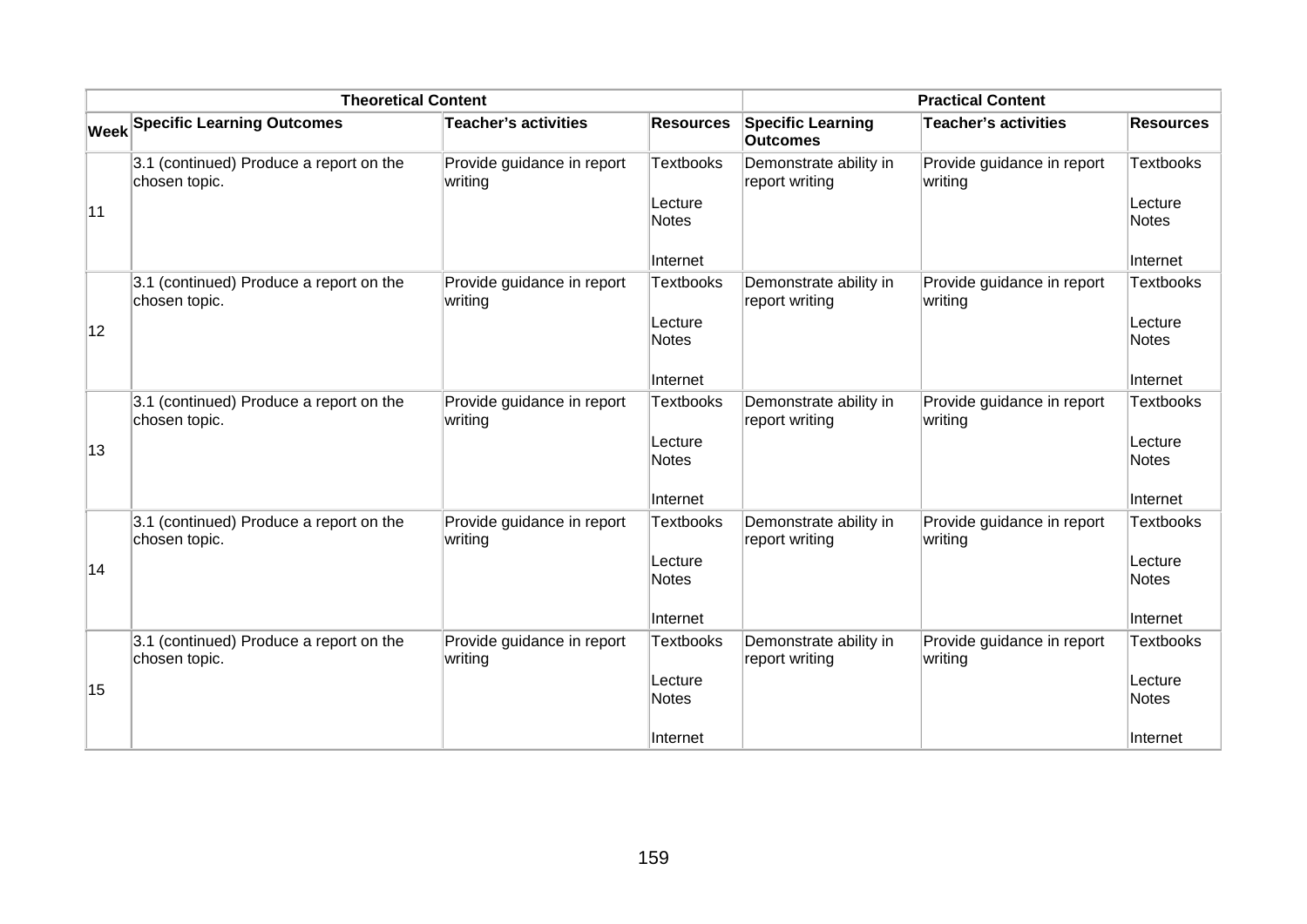|    | <b>Theoretical Content</b>                               |                                       |                                                         |                                             | <b>Practical Content</b>              |                                                         |
|----|----------------------------------------------------------|---------------------------------------|---------------------------------------------------------|---------------------------------------------|---------------------------------------|---------------------------------------------------------|
|    | <b>Week Specific Learning Outcomes</b>                   | <b>Teacher's activities</b>           | <b>Resources</b>                                        | <b>Specific Learning</b><br><b>Outcomes</b> | Teacher's activities                  | <b>Resources</b>                                        |
| 11 | 3.1 (continued) Produce a report on the<br>chosen topic. | Provide guidance in report<br>writing | <b>Textbooks</b><br>Lecture<br><b>Notes</b><br>Internet | Demonstrate ability in<br>report writing    | Provide guidance in report<br>writing | <b>Textbooks</b><br>Lecture<br><b>Notes</b><br>Internet |
| 12 | 3.1 (continued) Produce a report on the<br>chosen topic. | Provide guidance in report<br>writing | <b>Textbooks</b><br>Lecture<br><b>Notes</b><br>Internet | Demonstrate ability in<br>report writing    | Provide guidance in report<br>writing | <b>Textbooks</b><br>Lecture<br><b>Notes</b><br>Internet |
| 13 | 3.1 (continued) Produce a report on the<br>chosen topic. | Provide guidance in report<br>writing | <b>Textbooks</b><br>Lecture<br><b>Notes</b><br>Internet | Demonstrate ability in<br>report writing    | Provide guidance in report<br>writing | <b>Textbooks</b><br>Lecture<br><b>Notes</b><br>Internet |
| 14 | 3.1 (continued) Produce a report on the<br>chosen topic. | Provide guidance in report<br>writing | <b>Textbooks</b><br>Lecture<br><b>Notes</b><br>Internet | Demonstrate ability in<br>report writing    | Provide guidance in report<br>writing | <b>Textbooks</b><br>Lecture<br><b>Notes</b><br>Internet |
| 15 | 3.1 (continued) Produce a report on the<br>chosen topic. | Provide guidance in report<br>writing | <b>Textbooks</b><br>Lecture<br><b>Notes</b><br>Internet | Demonstrate ability in<br>report writing    | Provide guidance in report<br>writing | <b>Textbooks</b><br>Lecture<br><b>Notes</b><br>Internet |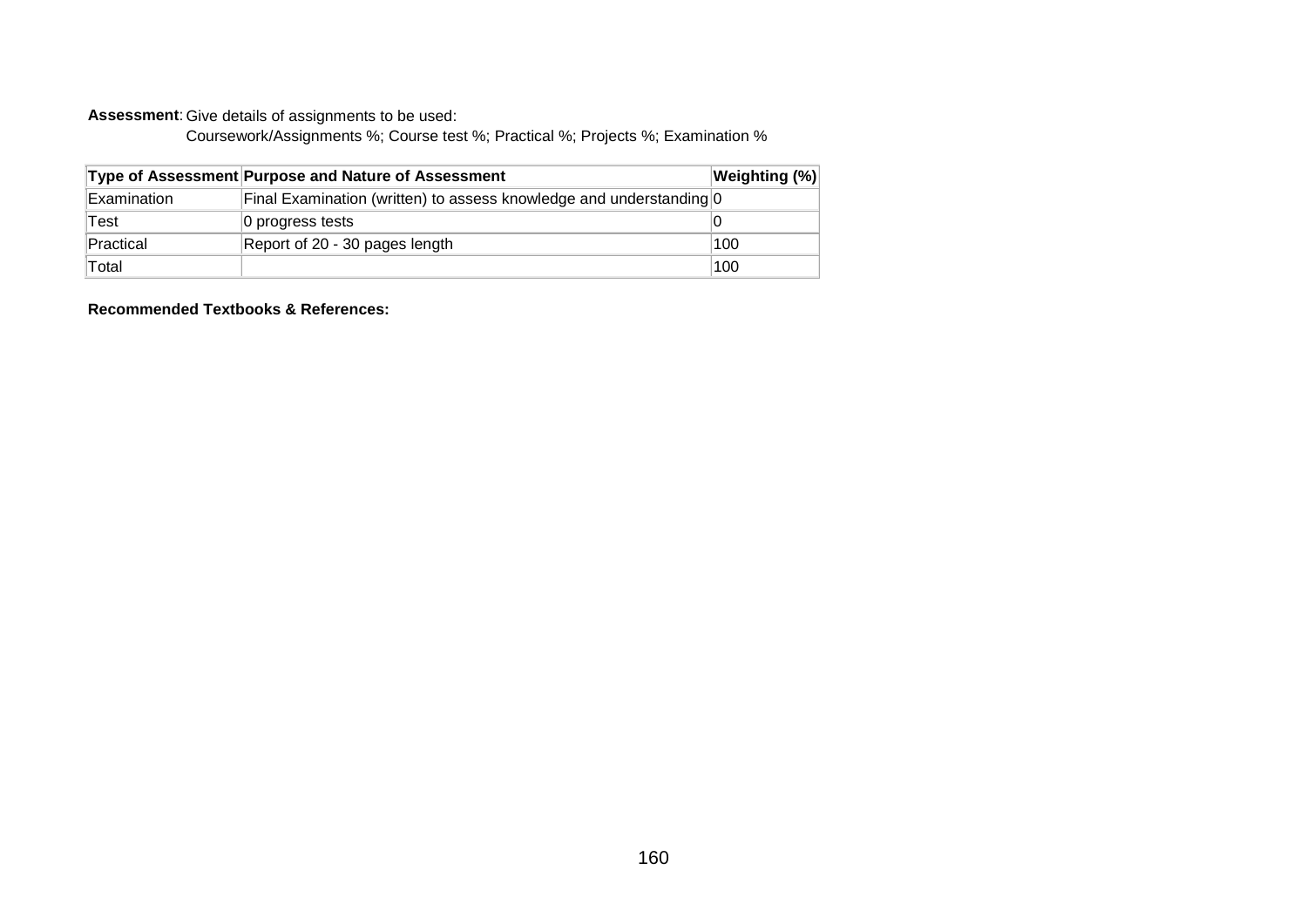**Assessment**: Give details of assignments to be used:

Coursework/Assignments %; Course test %; Practical %; Projects %; Examination %

|             | Type of Assessment Purpose and Nature of Assessment                 | Weighting (%) |
|-------------|---------------------------------------------------------------------|---------------|
| Examination | Final Examination (written) to assess knowledge and understanding 0 |               |
| Test        | 0 progress tests                                                    |               |
| Practical   | Report of 20 - 30 pages length                                      | 100           |
| Total       |                                                                     | 100           |

**Recommended Textbooks & References:**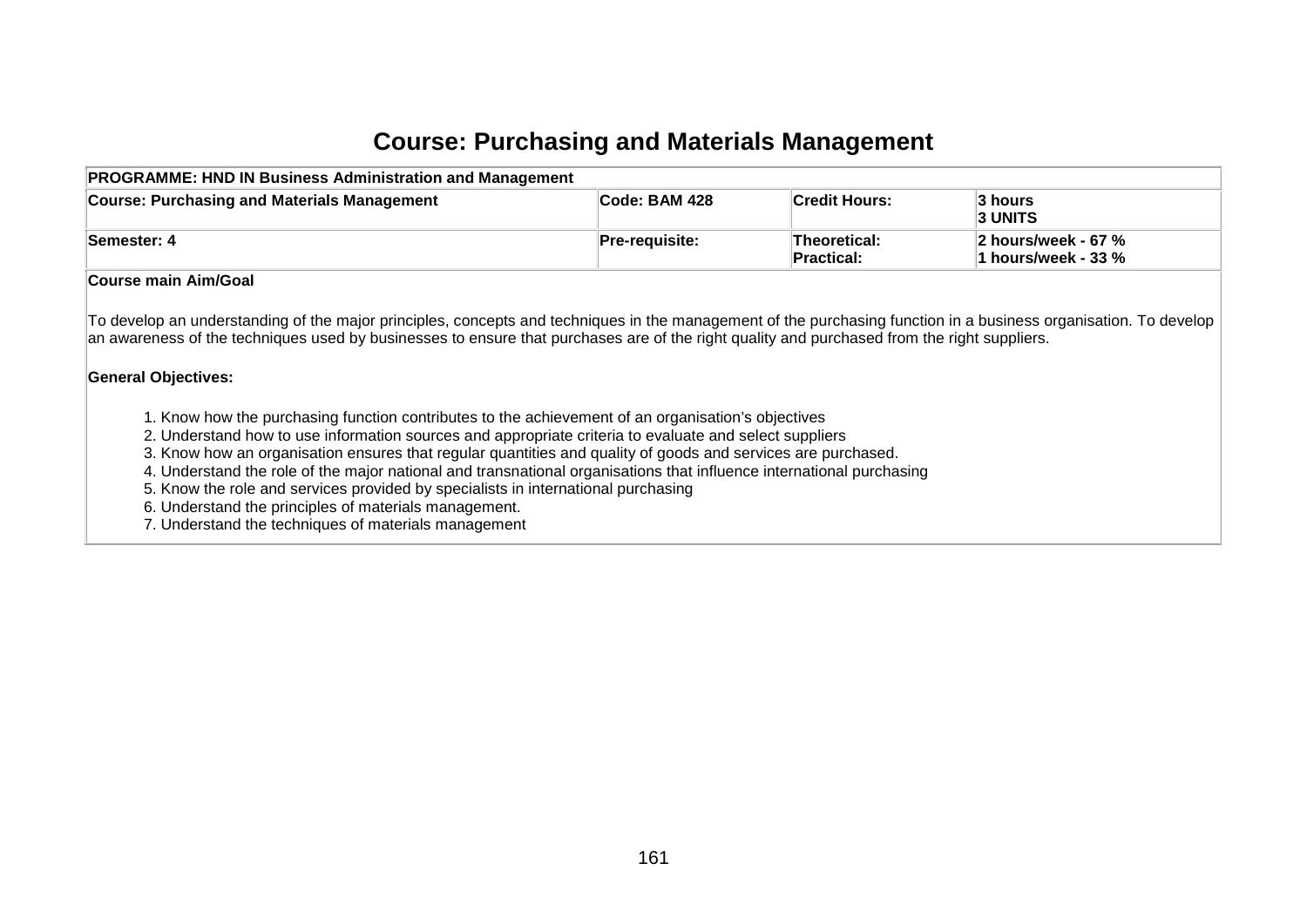#### **Course: Purchasing and Materials Management**

| <b>Course: Purchasing and Materials Management</b> | <b>Code: BAM 428</b> | ∣Credit Hours:                    | 3 hours<br><b>3 UNITS</b>                  |
|----------------------------------------------------|----------------------|-----------------------------------|--------------------------------------------|
| Semester: 4                                        | Pre-requisite:       | <b>Theoretical:</b><br>Practical: | 2 hours/week - 67 %<br>1 hours/week - 33 % |
| Course main Aim/Goal                               |                      |                                   |                                            |

an awareness of the techniques used by businesses to ensure that purchases are of the right quality and purchased from the right suppliers.

#### **General Objectives:**

- 1. Know how the purchasing function contributes to the achievement of an organisation's objectives
- 2. Understand how to use information sources and appropriate criteria to evaluate and select suppliers
- 3. Know how an organisation ensures that regular quantities and quality of goods and services are purchased.
- 4. Understand the role of the major national and transnational organisations that influence international purchasing
- 5. Know the role and services provided by specialists in international purchasing
- 6. Understand the principles of materials management.
- 7. Understand the techniques of materials management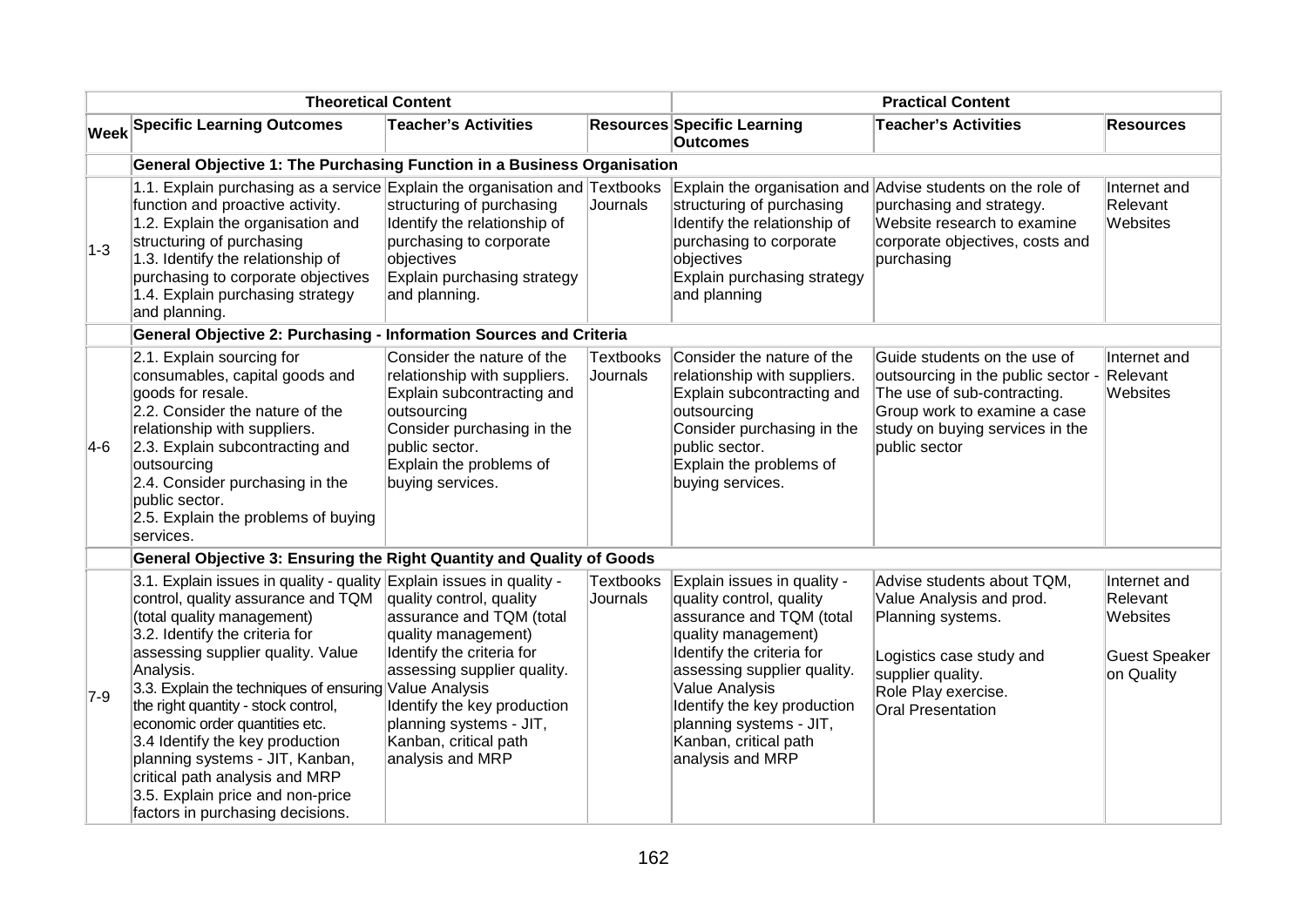| <b>Theoretical Content</b> |                                                                                                                                                                                                                                                                                                                                                                                                                                                                                                                                                 | <b>Practical Content</b>                                                                                                                                                                                                                       |                              |                                                                                                                                                                                                                                                                                                 |                                                                                                                                                                                       |                                                                            |
|----------------------------|-------------------------------------------------------------------------------------------------------------------------------------------------------------------------------------------------------------------------------------------------------------------------------------------------------------------------------------------------------------------------------------------------------------------------------------------------------------------------------------------------------------------------------------------------|------------------------------------------------------------------------------------------------------------------------------------------------------------------------------------------------------------------------------------------------|------------------------------|-------------------------------------------------------------------------------------------------------------------------------------------------------------------------------------------------------------------------------------------------------------------------------------------------|---------------------------------------------------------------------------------------------------------------------------------------------------------------------------------------|----------------------------------------------------------------------------|
|                            | <b>Week Specific Learning Outcomes</b>                                                                                                                                                                                                                                                                                                                                                                                                                                                                                                          | <b>Teacher's Activities</b>                                                                                                                                                                                                                    |                              | <b>Resources Specific Learning</b><br><b>Outcomes</b>                                                                                                                                                                                                                                           | <b>Teacher's Activities</b>                                                                                                                                                           | <b>Resources</b>                                                           |
|                            | General Objective 1: The Purchasing Function in a Business Organisation                                                                                                                                                                                                                                                                                                                                                                                                                                                                         |                                                                                                                                                                                                                                                |                              |                                                                                                                                                                                                                                                                                                 |                                                                                                                                                                                       |                                                                            |
| $ 1-3 $                    | 1.1. Explain purchasing as a service Explain the organisation and Textbooks<br>function and proactive activity.<br>1.2. Explain the organisation and<br>structuring of purchasing<br>1.3. Identify the relationship of<br>purchasing to corporate objectives<br>1.4. Explain purchasing strategy<br>and planning.                                                                                                                                                                                                                               | structuring of purchasing<br>Identify the relationship of<br>purchasing to corporate<br>objectives<br>Explain purchasing strategy<br>and planning.                                                                                             | Journals                     | structuring of purchasing<br>Identify the relationship of<br>purchasing to corporate<br>objectives<br>Explain purchasing strategy<br>and planning                                                                                                                                               | Explain the organisation and Advise students on the role of<br>purchasing and strategy.<br>Website research to examine<br>corporate objectives, costs and<br>purchasing               | Internet and<br>Relevant<br>Websites                                       |
|                            | General Objective 2: Purchasing - Information Sources and Criteria                                                                                                                                                                                                                                                                                                                                                                                                                                                                              |                                                                                                                                                                                                                                                |                              |                                                                                                                                                                                                                                                                                                 |                                                                                                                                                                                       |                                                                            |
| $ 4-6 $                    | 2.1. Explain sourcing for<br>consumables, capital goods and<br>goods for resale.<br>2.2. Consider the nature of the<br>relationship with suppliers.<br>2.3. Explain subcontracting and<br>outsourcing<br>2.4. Consider purchasing in the<br>public sector.<br>2.5. Explain the problems of buying<br>services.                                                                                                                                                                                                                                  | Consider the nature of the<br>relationship with suppliers.<br>Explain subcontracting and<br>outsourcing<br>Consider purchasing in the<br>public sector.<br>Explain the problems of<br>buying services.                                         | <b>Textbooks</b><br>Journals | Consider the nature of the<br>relationship with suppliers.<br>Explain subcontracting and<br>outsourcing<br>Consider purchasing in the<br>public sector.<br>Explain the problems of<br>buying services.                                                                                          | Guide students on the use of<br>outsourcing in the public sector -<br>The use of sub-contracting.<br>Group work to examine a case<br>study on buying services in the<br>public sector | Internet and<br>Relevant<br>Websites                                       |
|                            | General Objective 3: Ensuring the Right Quantity and Quality of Goods                                                                                                                                                                                                                                                                                                                                                                                                                                                                           |                                                                                                                                                                                                                                                |                              |                                                                                                                                                                                                                                                                                                 |                                                                                                                                                                                       |                                                                            |
| $7-9$                      | 3.1. Explain issues in quality - quality Explain issues in quality -<br>control, quality assurance and TQM<br>(total quality management)<br>3.2. Identify the criteria for<br>assessing supplier quality. Value<br>Analysis.<br>3.3. Explain the techniques of ensuring Value Analysis<br>the right quantity - stock control,<br>economic order quantities etc.<br>3.4 Identify the key production<br>planning systems - JIT, Kanban,<br>critical path analysis and MRP<br>3.5. Explain price and non-price<br>factors in purchasing decisions. | quality control, quality<br>assurance and TQM (total<br>quality management)<br>Identify the criteria for<br>assessing supplier quality.<br>Identify the key production<br>planning systems - JIT,<br>Kanban, critical path<br>analysis and MRP | <b>Textbooks</b><br>Journals | Explain issues in quality -<br>quality control, quality<br>assurance and TQM (total<br>quality management)<br>Identify the criteria for<br>assessing supplier quality.<br>Value Analysis<br>Identify the key production<br>planning systems - JIT,<br>Kanban, critical path<br>analysis and MRP | Advise students about TQM,<br>Value Analysis and prod.<br>Planning systems.<br>Logistics case study and<br>supplier quality.<br>Role Play exercise.<br><b>Oral Presentation</b>       | Internet and<br>Relevant<br>Websites<br><b>Guest Speaker</b><br>on Quality |